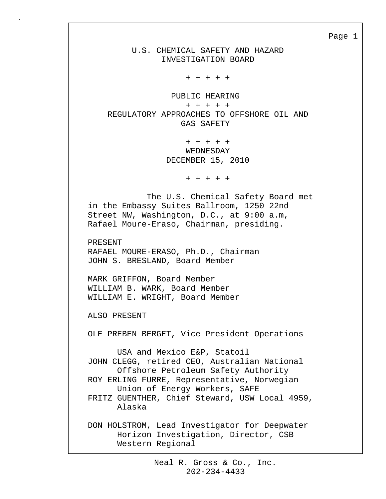U.S. CHEMICAL SAFETY AND HAZARD INVESTIGATION BOARD

+ + + + +

 PUBLIC HEARING + + + + + REGULATORY APPROACHES TO OFFSHORE OIL AND GAS SAFETY

> + + + + + WEDNESDAY DECEMBER 15, 2010

> > + + + + +

 The U.S. Chemical Safety Board met in the Embassy Suites Ballroom, 1250 22nd Street NW, Washington, D.C., at 9:00 a.m, Rafael Moure-Eraso, Chairman, presiding.

PRESENT RAFAEL MOURE-ERASO, Ph.D., Chairman JOHN S. BRESLAND, Board Member

MARK GRIFFON, Board Member WILLIAM B. WARK, Board Member WILLIAM E. WRIGHT, Board Member

ALSO PRESENT

OLE PREBEN BERGET, Vice President Operations

 USA and Mexico E&P, Statoil JOHN CLEGG, retired CEO, Australian National Offshore Petroleum Safety Authority ROY ERLING FURRE, Representative, Norwegian Union of Energy Workers, SAFE FRITZ GUENTHER, Chief Steward, USW Local 4959, Alaska

DON HOLSTROM, Lead Investigator for Deepwater Horizon Investigation, Director, CSB Western Regional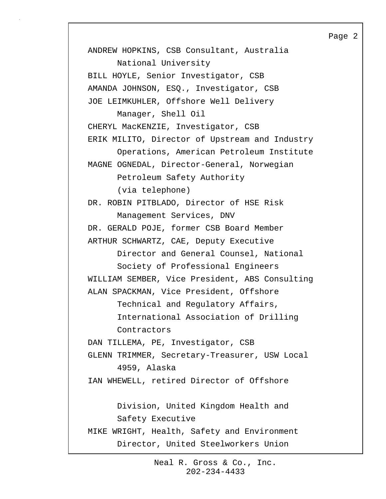ANDREW HOPKINS, CSB Consultant, Australia National University BILL HOYLE, Senior Investigator, CSB AMANDA JOHNSON, ESQ., Investigator, CSB JOE LEIMKUHLER, Offshore Well Delivery Manager, Shell Oil CHERYL MacKENZIE, Investigator, CSB ERIK MILITO, Director of Upstream and Industry Operations, American Petroleum Institute MAGNE OGNEDAL, Director-General, Norwegian Petroleum Safety Authority (via telephone) DR. ROBIN PITBLADO, Director of HSE Risk Management Services, DNV DR. GERALD POJE, former CSB Board Member ARTHUR SCHWARTZ, CAE, Deputy Executive Director and General Counsel, National Society of Professional Engineers WILLIAM SEMBER, Vice President, ABS Consulting ALAN SPACKMAN, Vice President, Offshore Technical and Regulatory Affairs, International Association of Drilling Contractors DAN TILLEMA, PE, Investigator, CSB GLENN TRIMMER, Secretary-Treasurer, USW Local 4959, Alaska IAN WHEWELL, retired Director of Offshore Division, United Kingdom Health and Safety Executive MIKE WRIGHT, Health, Safety and Environment Director, United Steelworkers Union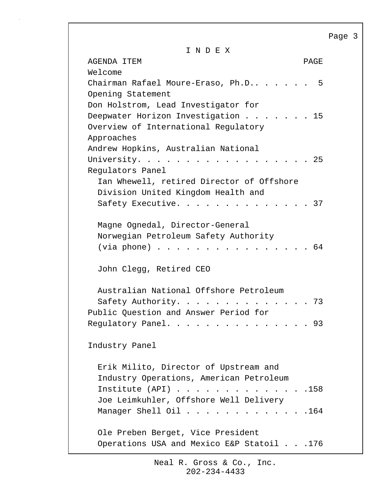I N D E X

AGENDA ITEM PAGE Welcome Chairman Rafael Moure-Eraso, Ph.D.. . . . . 5 Opening Statement Don Holstrom, Lead Investigator for Deepwater Horizon Investigation . . . . . . 15 Overview of International Regulatory Approaches Andrew Hopkins, Australian National University. . . . . . . . . . . . . . . . . 25 Regulators Panel Ian Whewell, retired Director of Offshore Division United Kingdom Health and Safety Executive. . . . . . . . . . . . . 37 Magne Ognedal, Director-General Norwegian Petroleum Safety Authority (via phone)  $\ldots$  . . . . . . . . . . . . . . 64 John Clegg, Retired CEO Australian National Offshore Petroleum Safety Authority. . . . . . . . . . . . . . 73 Public Question and Answer Period for Regulatory Panel. . . . . . . . . . . . . . 93 Industry Panel Erik Milito, Director of Upstream and Industry Operations, American Petroleum Institute (API) . . . . . . . . . . . . . .158 Joe Leimkuhler, Offshore Well Delivery Manager Shell Oil . . . . . . . . . . . . . 164 Ole Preben Berget, Vice President Operations USA and Mexico E&P Statoil . . .176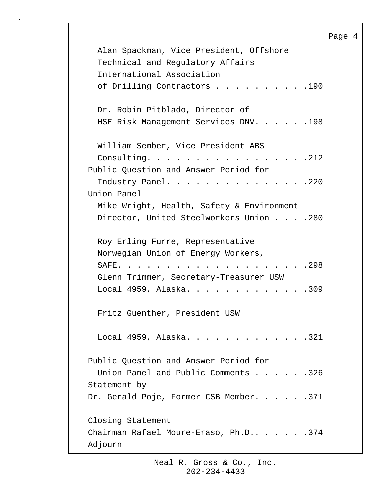```
Page 4
   Alan Spackman, Vice President, Offshore 
   Technical and Regulatory Affairs 
   International Association
  of Drilling Contractors . . . . . . . . . . 190
   Dr. Robin Pitblado, Director of 
   HSE Risk Management Services DNV. . . . . .198
   William Sember, Vice President ABS 
   Consulting. . . . . . . . . . . . . . . . .212
Public Question and Answer Period for 
  Industry Panel. . . . . . . . . . . . . . . 220
Union Panel
   Mike Wright, Health, Safety & Environment
  Director, United Steelworkers Union . . . . 280
   Roy Erling Furre, Representative
   Norwegian Union of Energy Workers,
   SAFE. . . . . . . . . . . . . . . . . . . .298
   Glenn Trimmer, Secretary-Treasurer USW 
  Local 4959, Alaska. . . . . . . . . . . . . 309
   Fritz Guenther, President USW 
  Local 4959, Alaska. . . . . . . . . . . . . 321
Public Question and Answer Period for 
  Union Panel and Public Comments . . . . . . 326
Statement by
Dr. Gerald Poje, Former CSB Member. . . . . . 371
Closing Statement
Chairman Rafael Moure-Eraso, Ph.D.. . . . . .374
Adjourn
```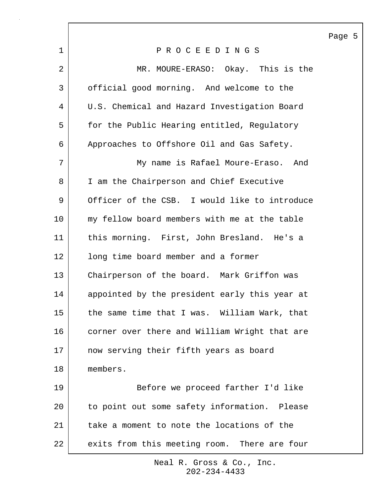|    |                                               | Page 5 |
|----|-----------------------------------------------|--------|
| 1  | PROCEEDINGS                                   |        |
| 2  | MR. MOURE-ERASO: Okay. This is the            |        |
| 3  | official good morning. And welcome to the     |        |
| 4  | U.S. Chemical and Hazard Investigation Board  |        |
| 5  | for the Public Hearing entitled, Regulatory   |        |
| 6  | Approaches to Offshore Oil and Gas Safety.    |        |
| 7  | My name is Rafael Moure-Eraso. And            |        |
| 8  | I am the Chairperson and Chief Executive      |        |
| 9  | Officer of the CSB. I would like to introduce |        |
| 10 | my fellow board members with me at the table  |        |
| 11 | this morning. First, John Bresland. He's a    |        |
| 12 | long time board member and a former           |        |
| 13 | Chairperson of the board. Mark Griffon was    |        |
| 14 | appointed by the president early this year at |        |
| 15 | the same time that I was. William Wark, that  |        |
| 16 | corner over there and William Wright that are |        |
| 17 | now serving their fifth years as board        |        |
| 18 | members.                                      |        |
| 19 | Before we proceed farther I'd like            |        |
| 20 | to point out some safety information. Please  |        |
| 21 | take a moment to note the locations of the    |        |
| 22 | exits from this meeting room. There are four  |        |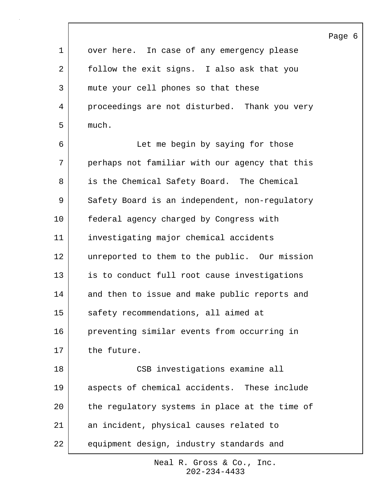|                |                                                | Page 6 |  |
|----------------|------------------------------------------------|--------|--|
| $\mathbf{1}$   | over here. In case of any emergency please     |        |  |
| $\overline{a}$ | follow the exit signs. I also ask that you     |        |  |
| 3              | mute your cell phones so that these            |        |  |
| 4              | proceedings are not disturbed. Thank you very  |        |  |
| 5              | much.                                          |        |  |
| 6              | Let me begin by saying for those               |        |  |
| 7              | perhaps not familiar with our agency that this |        |  |
| 8              | is the Chemical Safety Board. The Chemical     |        |  |
| 9              | Safety Board is an independent, non-regulatory |        |  |
| 10             | federal agency charged by Congress with        |        |  |
| 11             | investigating major chemical accidents         |        |  |
| 12             | unreported to them to the public. Our mission  |        |  |
| 13             | is to conduct full root cause investigations   |        |  |
| 14             | and then to issue and make public reports and  |        |  |
| 15             | safety recommendations, all aimed at           |        |  |
| 16             | preventing similar events from occurring in    |        |  |
| 17             | the future.                                    |        |  |
| 18             | CSB investigations examine all                 |        |  |
| 19             | aspects of chemical accidents. These include   |        |  |
| 20             | the regulatory systems in place at the time of |        |  |
| 21             | an incident, physical causes related to        |        |  |
| 22             | equipment design, industry standards and       |        |  |

 $\overline{\phantom{a}}$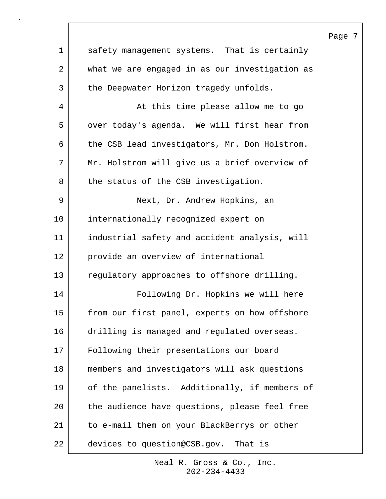| $\mathbf 1$ | safety management systems. That is certainly   |
|-------------|------------------------------------------------|
| 2           | what we are engaged in as our investigation as |
| 3           | the Deepwater Horizon tragedy unfolds.         |
| 4           | At this time please allow me to go             |
| 5           | over today's agenda. We will first hear from   |
| 6           | the CSB lead investigators, Mr. Don Holstrom.  |
| 7           | Mr. Holstrom will give us a brief overview of  |
| 8           | the status of the CSB investigation.           |
| 9           | Next, Dr. Andrew Hopkins, an                   |
| 10          | internationally recognized expert on           |
| 11          | industrial safety and accident analysis, will  |
| 12          | provide an overview of international           |
| 13          | regulatory approaches to offshore drilling.    |
| 14          | Following Dr. Hopkins we will here             |
| 15          | from our first panel, experts on how offshore  |
| 16          | drilling is managed and regulated overseas.    |
| 17          | Following their presentations our board        |
| 18          | members and investigators will ask questions   |
| 19          | of the panelists. Additionally, if members of  |
| 20          | the audience have questions, please feel free  |
| 21          | to e-mail them on your BlackBerrys or other    |
| 22          | devices to question@CSB.gov. That is           |

## Page 7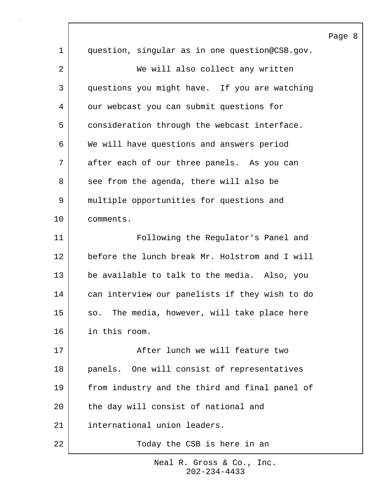|             |                                                | Ρ |
|-------------|------------------------------------------------|---|
| $\mathbf 1$ | question, singular as in one question@CSB.gov. |   |
| 2           | We will also collect any written               |   |
| 3           | questions you might have. If you are watching  |   |
| 4           | our webcast you can submit questions for       |   |
| 5           | consideration through the webcast interface.   |   |
| 6           | We will have questions and answers period      |   |
| 7           | after each of our three panels. As you can     |   |
| 8           | see from the agenda, there will also be        |   |
| 9           | multiple opportunities for questions and       |   |
| $10 \,$     | comments.                                      |   |
| 11          | Following the Regulator's Panel and            |   |
| 12          | before the lunch break Mr. Holstrom and I will |   |
| 13          | be available to talk to the media. Also, you   |   |
| 14          | can interview our panelists if they wish to do |   |
| 15          | so. The media, however, will take place here   |   |
| 16          | in this room.                                  |   |
| 17          | After lunch we will feature two                |   |
| 18          | panels. One will consist of representatives    |   |
| 19          | from industry and the third and final panel of |   |
| 20          | the day will consist of national and           |   |
| 21          | international union leaders.                   |   |
| 22          | Today the CSB is here in an                    |   |

 $\sqrt{ }$ 

202-234-4433 Neal R. Gross & Co., Inc.

### Page 8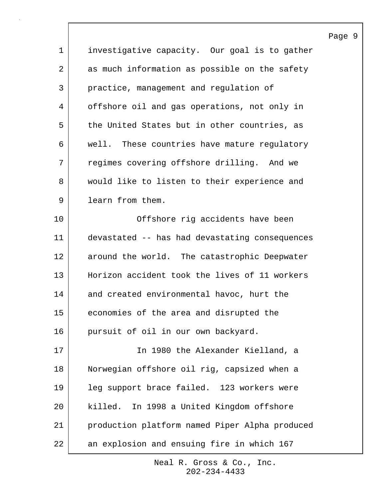|             |                                                | $P\tilde{c}$ |
|-------------|------------------------------------------------|--------------|
| $\mathbf 1$ | investigative capacity. Our goal is to gather  |              |
| 2           | as much information as possible on the safety  |              |
| 3           | practice, management and regulation of         |              |
| 4           | offshore oil and gas operations, not only in   |              |
| 5           | the United States but in other countries, as   |              |
| 6           | well. These countries have mature regulatory   |              |
| 7           | regimes covering offshore drilling. And we     |              |
| 8           | would like to listen to their experience and   |              |
| 9           | learn from them.                               |              |
| 10          | Offshore rig accidents have been               |              |
| 11          | devastated -- has had devastating consequences |              |
| 12          | around the world. The catastrophic Deepwater   |              |
| 13          | Horizon accident took the lives of 11 workers  |              |
| 14          | and created environmental havoc, hurt the      |              |
| 15          | economies of the area and disrupted the        |              |
| 16          | pursuit of oil in our own backyard.            |              |
| 17          | In 1980 the Alexander Kielland, a              |              |
| 18          | Norwegian offshore oil rig, capsized when a    |              |
| 19          | leg support brace failed. 123 workers were     |              |
| 20          | killed. In 1998 a United Kingdom offshore      |              |
| 21          | production platform named Piper Alpha produced |              |
| 22          | an explosion and ensuing fire in which 167     |              |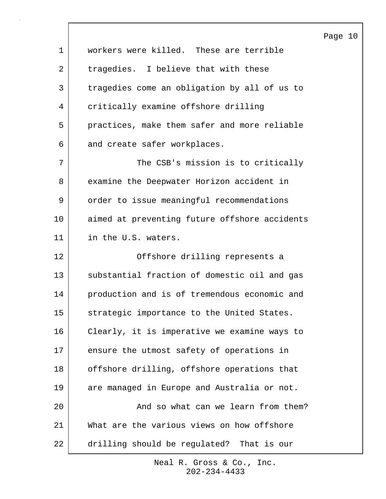|             |                                               | Page 10 |  |
|-------------|-----------------------------------------------|---------|--|
| $\mathbf 1$ | workers were killed. These are terrible       |         |  |
| 2           | tragedies. I believe that with these          |         |  |
| 3           | tragedies come an obligation by all of us to  |         |  |
| 4           | critically examine offshore drilling          |         |  |
| 5           | practices, make them safer and more reliable  |         |  |
| 6           | and create safer workplaces.                  |         |  |
| 7           | The CSB's mission is to critically            |         |  |
| 8           | examine the Deepwater Horizon accident in     |         |  |
| 9           | order to issue meaningful recommendations     |         |  |
| 10          | aimed at preventing future offshore accidents |         |  |
| 11          | in the U.S. waters.                           |         |  |
| 12          | Offshore drilling represents a                |         |  |
| 13          | substantial fraction of domestic oil and gas  |         |  |
| 14          | production and is of tremendous economic and  |         |  |
| 15          | strategic importance to the United States.    |         |  |
| 16          | Clearly, it is imperative we examine ways to  |         |  |
| 17          | ensure the utmost safety of operations in     |         |  |
| 18          | offshore drilling, offshore operations that   |         |  |
| 19          | are managed in Europe and Australia or not.   |         |  |
| 20          | And so what can we learn from them?           |         |  |
| 21          | What are the various views on how offshore    |         |  |
| 22          | drilling should be regulated? That is our     |         |  |

 $\sqrt{ }$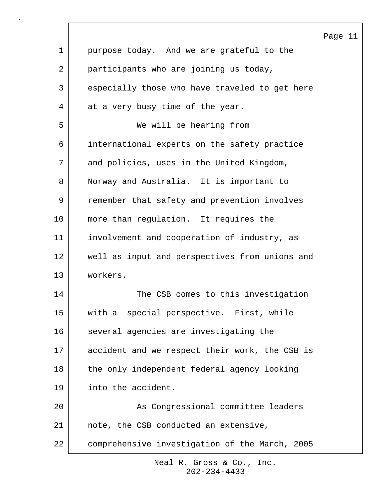|              |                                                | Page 11 |
|--------------|------------------------------------------------|---------|
| $\mathbf{1}$ | purpose today. And we are grateful to the      |         |
| 2            | participants who are joining us today,         |         |
| 3            | especially those who have traveled to get here |         |
| 4            | at a very busy time of the year.               |         |
| 5            | We will be hearing from                        |         |
| 6            | international experts on the safety practice   |         |
| 7            | and policies, uses in the United Kingdom,      |         |
| 8            | Norway and Australia. It is important to       |         |
| 9            | remember that safety and prevention involves   |         |
| 10           | more than regulation. It requires the          |         |
| 11           | involvement and cooperation of industry, as    |         |
| 12           | well as input and perspectives from unions and |         |
| 13           | workers.                                       |         |
| 14           | The CSB comes to this investigation            |         |
| 15           | with a special perspective. First, while       |         |
| 16           | several agencies are investigating the         |         |
| 17           | accident and we respect their work, the CSB is |         |
| $18\,$       | the only independent federal agency looking    |         |
| 19           | into the accident.                             |         |
| 20           | As Congressional committee leaders             |         |
| 21           | note, the CSB conducted an extensive,          |         |
| 22           | comprehensive investigation of the March, 2005 |         |

 $\mathsf{l}$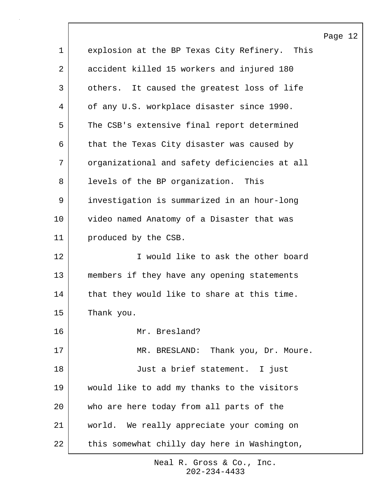|                |                                               | Page 12 |  |
|----------------|-----------------------------------------------|---------|--|
| $\mathbf 1$    | explosion at the BP Texas City Refinery. This |         |  |
| $\overline{2}$ | accident killed 15 workers and injured 180    |         |  |
| 3              | others. It caused the greatest loss of life   |         |  |
| 4              | of any U.S. workplace disaster since 1990.    |         |  |
| 5              | The CSB's extensive final report determined   |         |  |
| 6              | that the Texas City disaster was caused by    |         |  |
| 7              | organizational and safety deficiencies at all |         |  |
| 8              | levels of the BP organization.<br>This        |         |  |
| 9              | investigation is summarized in an hour-long   |         |  |
| 10             | video named Anatomy of a Disaster that was    |         |  |
| 11             | produced by the CSB.                          |         |  |
| 12             | I would like to ask the other board           |         |  |
| 13             | members if they have any opening statements   |         |  |
| 14             | that they would like to share at this time.   |         |  |
| 15             | Thank you.                                    |         |  |
| 16             | Mr. Bresland?                                 |         |  |
| 17             | MR. BRESLAND: Thank you, Dr. Moure.           |         |  |
| 18             | Just a brief statement. I just                |         |  |
| 19             | would like to add my thanks to the visitors   |         |  |
| 20             | who are here today from all parts of the      |         |  |
| 21             | world. We really appreciate your coming on    |         |  |
| 22             | this somewhat chilly day here in Washington,  |         |  |

 $\lceil$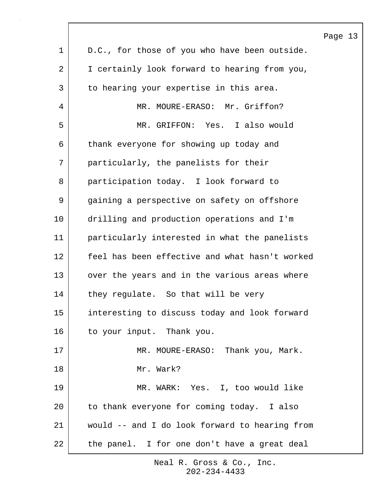|             |                                                | Page 13 |  |
|-------------|------------------------------------------------|---------|--|
| $\mathbf 1$ | D.C., for those of you who have been outside.  |         |  |
| 2           | I certainly look forward to hearing from you,  |         |  |
| 3           | to hearing your expertise in this area.        |         |  |
| 4           | MR. MOURE-ERASO: Mr. Griffon?                  |         |  |
| 5           | MR. GRIFFON: Yes. I also would                 |         |  |
| 6           | thank everyone for showing up today and        |         |  |
| 7           | particularly, the panelists for their          |         |  |
| 8           | participation today. I look forward to         |         |  |
| 9           | gaining a perspective on safety on offshore    |         |  |
| 10          | drilling and production operations and I'm     |         |  |
| 11          | particularly interested in what the panelists  |         |  |
| 12          | feel has been effective and what hasn't worked |         |  |
| 13          | over the years and in the various areas where  |         |  |
| 14          | they regulate. So that will be very            |         |  |
| 15          | interesting to discuss today and look forward  |         |  |
| 16          | to your input. Thank you.                      |         |  |
| 17          | MR. MOURE-ERASO: Thank you, Mark.              |         |  |
| 18          | Mr. Wark?                                      |         |  |
| 19          | MR. WARK: Yes. I, too would like               |         |  |
| 20          | to thank everyone for coming today. I also     |         |  |
| 21          | would -- and I do look forward to hearing from |         |  |
| 22          | the panel. I for one don't have a great deal   |         |  |

 $\mathsf{l}$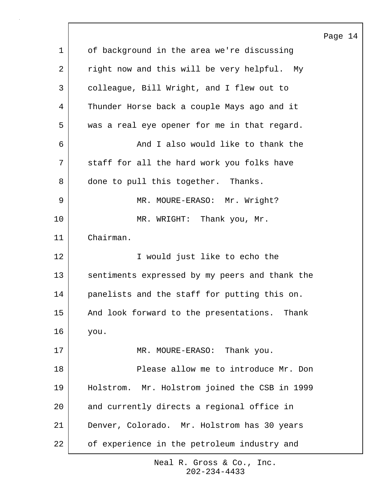1 of background in the area we're discussing 2 right now and this will be very helpful. My 3 colleague, Bill Wright, and I flew out to 4 Thunder Horse back a couple Mays ago and it 5 was a real eye opener for me in that regard. 6 And I also would like to thank the 7 staff for all the hard work you folks have 8 done to pull this together. Thanks. 9 | MR. MOURE-ERASO: Mr. Wright? 10 MR. WRIGHT: Thank you, Mr. 11 Chairman. 12 I would just like to echo the 13 sentiments expressed by my peers and thank the 14 panelists and the staff for putting this on. 15 | And look forward to the presentations. Thank 16 you. 17 MR. MOURE-ERASO: Thank you. 18 Please allow me to introduce Mr. Don 19 Holstrom. Mr. Holstrom joined the CSB in 1999 20 and currently directs a regional office in 21 Denver, Colorado. Mr. Holstrom has 30 years 22 of experience in the petroleum industry and

> 202-234-4433 Neal R. Gross & Co., Inc.

#### Page 14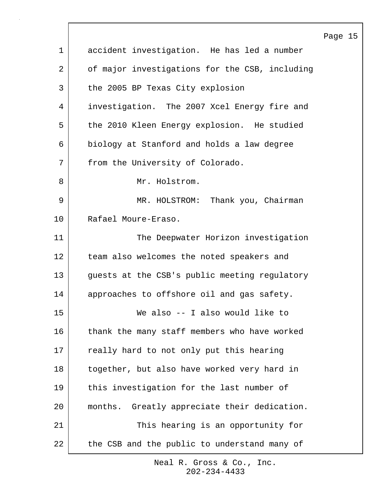|             |                                                 | Page 15 |  |
|-------------|-------------------------------------------------|---------|--|
| $\mathbf 1$ | accident investigation. He has led a number     |         |  |
| 2           | of major investigations for the CSB, including  |         |  |
| 3           | the 2005 BP Texas City explosion                |         |  |
| 4           | investigation. The 2007 Xcel Energy fire and    |         |  |
| 5           | the 2010 Kleen Energy explosion. He studied     |         |  |
| 6           | biology at Stanford and holds a law degree      |         |  |
| 7           | from the University of Colorado.                |         |  |
| 8           | Mr. Holstrom.                                   |         |  |
| 9           | MR. HOLSTROM: Thank you, Chairman               |         |  |
| 10          | Rafael Moure-Eraso.                             |         |  |
| 11          | The Deepwater Horizon investigation             |         |  |
| 12          | team also welcomes the noted speakers and       |         |  |
| 13          | guests at the CSB's public meeting regulatory   |         |  |
| 14          | approaches to offshore oil and gas safety.      |         |  |
| 15          | We also -- I also would like to                 |         |  |
| 16          | thank the many staff members who have worked    |         |  |
| 17          | really hard to not only put this hearing        |         |  |
| 18          | together, but also have worked very hard in     |         |  |
| 19          | this investigation for the last number of       |         |  |
| 20          | months.<br>Greatly appreciate their dedication. |         |  |
| 21          | This hearing is an opportunity for              |         |  |
| 22          | the CSB and the public to understand many of    |         |  |

 $\Gamma$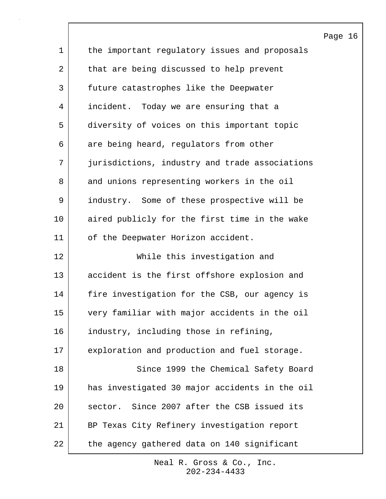Page 16 1 the important regulatory issues and proposals 2 that are being discussed to help prevent 3 future catastrophes like the Deepwater 4 incident. Today we are ensuring that a 5 diversity of voices on this important topic 6 are being heard, regulators from other 7 jurisdictions, industry and trade associations 8 and unions representing workers in the oil 9 industry. Some of these prospective will be 10 aired publicly for the first time in the wake 11 | of the Deepwater Horizon accident. 12 While this investigation and 13 accident is the first offshore explosion and 14 | fire investigation for the CSB, our agency is 15 very familiar with major accidents in the oil 16 industry, including those in refining, 17 exploration and production and fuel storage. 18 Since 1999 the Chemical Safety Board 19 has investigated 30 major accidents in the oil 20 sector. Since 2007 after the CSB issued its 21 BP Texas City Refinery investigation report 22 the agency gathered data on 140 significant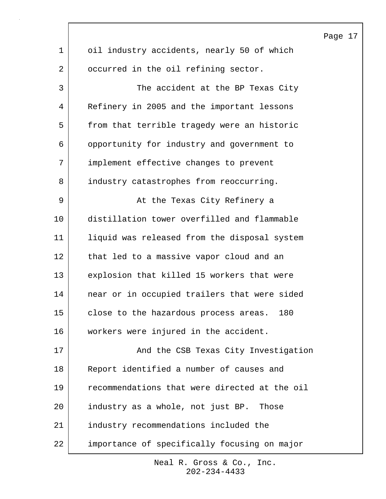|             |                                               | Pac |
|-------------|-----------------------------------------------|-----|
| $\mathbf 1$ | oil industry accidents, nearly 50 of which    |     |
| 2           | occurred in the oil refining sector.          |     |
| 3           | The accident at the BP Texas City             |     |
| 4           | Refinery in 2005 and the important lessons    |     |
| 5           | from that terrible tragedy were an historic   |     |
| 6           | opportunity for industry and government to    |     |
| 7           | implement effective changes to prevent        |     |
| 8           | industry catastrophes from reoccurring.       |     |
| 9           | At the Texas City Refinery a                  |     |
| 10          | distillation tower overfilled and flammable   |     |
| 11          | liquid was released from the disposal system  |     |
| 12          | that led to a massive vapor cloud and an      |     |
| 13          | explosion that killed 15 workers that were    |     |
| 14          | near or in occupied trailers that were sided  |     |
| 15          | close to the hazardous process areas.<br>180  |     |
| 16          | workers were injured in the accident.         |     |
| 17          | And the CSB Texas City Investigation          |     |
| 18          | Report identified a number of causes and      |     |
| 19          | recommendations that were directed at the oil |     |
| 20          | industry as a whole, not just BP. Those       |     |
| 21          | industry recommendations included the         |     |
| 22          | importance of specifically focusing on major  |     |

 $\lceil$ 

202-234-4433 Neal R. Gross & Co., Inc. ge 17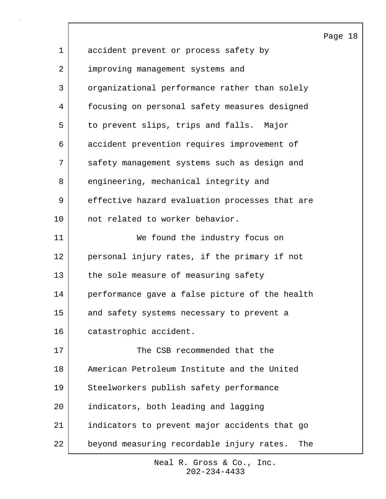|             |                                                  | Page 18 |  |
|-------------|--------------------------------------------------|---------|--|
| $\mathbf 1$ | accident prevent or process safety by            |         |  |
| 2           | improving management systems and                 |         |  |
| 3           | organizational performance rather than solely    |         |  |
| 4           | focusing on personal safety measures designed    |         |  |
| 5           | to prevent slips, trips and falls. Major         |         |  |
| 6           | accident prevention requires improvement of      |         |  |
| 7           | safety management systems such as design and     |         |  |
| 8           | engineering, mechanical integrity and            |         |  |
| 9           | effective hazard evaluation processes that are   |         |  |
| 10          | not related to worker behavior.                  |         |  |
| 11          | We found the industry focus on                   |         |  |
| 12          | personal injury rates, if the primary if not     |         |  |
| 13          | the sole measure of measuring safety             |         |  |
| 14          | performance gave a false picture of the health   |         |  |
| 15          | and safety systems necessary to prevent a        |         |  |
| 16          | catastrophic accident.                           |         |  |
| 17          | The CSB recommended that the                     |         |  |
| 18          | American Petroleum Institute and the United      |         |  |
| 19          | Steelworkers publish safety performance          |         |  |
| 20          | indicators, both leading and lagging             |         |  |
| 21          | indicators to prevent major accidents that go    |         |  |
| 22          | beyond measuring recordable injury rates.<br>The |         |  |

 $\mathsf{l}$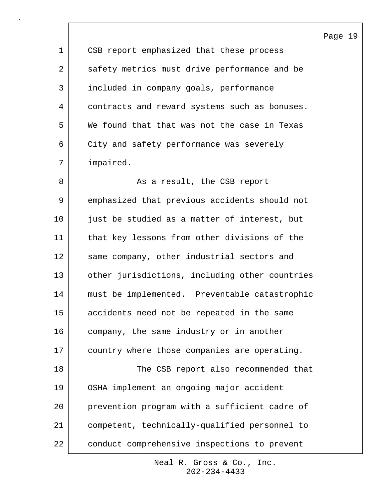1 | CSB report emphasized that these process 2 safety metrics must drive performance and be 3 included in company goals, performance 4 contracts and reward systems such as bonuses. 5 We found that that was not the case in Texas 6 City and safety performance was severely 7 impaired. 8 | Richard As a result, the CSB report

9 emphasized that previous accidents should not 10 iust be studied as a matter of interest, but 11 that key lessons from other divisions of the 12 same company, other industrial sectors and 13 other jurisdictions, including other countries 14 must be implemented. Preventable catastrophic 15 accidents need not be repeated in the same 16 company, the same industry or in another 17 country where those companies are operating. 18 The CSB report also recommended that 19 OSHA implement an ongoing major accident 20 prevention program with a sufficient cadre of 21 competent, technically-qualified personnel to 22 conduct comprehensive inspections to prevent

> 202-234-4433 Neal R. Gross & Co., Inc.

Page 19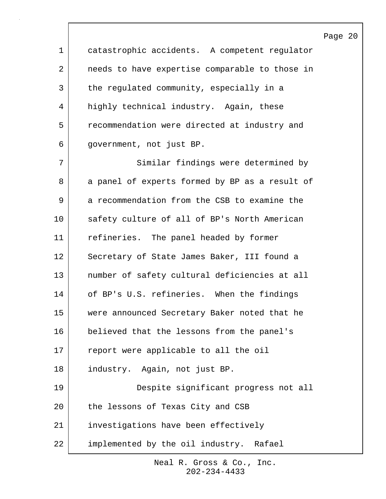1 catastrophic accidents. A competent regulator 2 | needs to have expertise comparable to those in 3 the regulated community, especially in a 4 highly technical industry. Again, these 5 recommendation were directed at industry and 6 government, not just BP. 7 Similar findings were determined by 8 a panel of experts formed by BP as a result of 9 a recommendation from the CSB to examine the 10 safety culture of all of BP's North American 11 refineries. The panel headed by former 12 | Secretary of State James Baker, III found a 13 number of safety cultural deficiencies at all 14 of BP's U.S. refineries. When the findings 15 were announced Secretary Baker noted that he 16 believed that the lessons from the panel's 17 report were applicable to all the oil 18 | industry. Again, not just BP. 19 Despite significant progress not all 20 the lessons of Texas City and CSB 21 investigations have been effectively 22 | implemented by the oil industry. Rafael

> 202-234-4433 Neal R. Gross & Co., Inc.

#### Page 20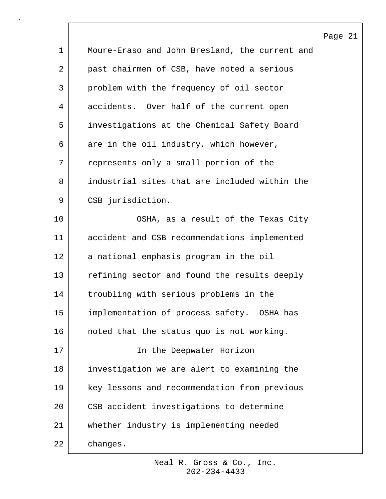|             |                                                | Page 21 |  |
|-------------|------------------------------------------------|---------|--|
| $\mathbf 1$ | Moure-Eraso and John Bresland, the current and |         |  |
| 2           | past chairmen of CSB, have noted a serious     |         |  |
| 3           | problem with the frequency of oil sector       |         |  |
| 4           | accidents. Over half of the current open       |         |  |
| 5           | investigations at the Chemical Safety Board    |         |  |
| 6           | are in the oil industry, which however,        |         |  |
| 7           | represents only a small portion of the         |         |  |
| 8           | industrial sites that are included within the  |         |  |
| 9           | CSB jurisdiction.                              |         |  |
| 10          | OSHA, as a result of the Texas City            |         |  |
| 11          | accident and CSB recommendations implemented   |         |  |
| 12          | a national emphasis program in the oil         |         |  |
| 13          | refining sector and found the results deeply   |         |  |
| 14          | troubling with serious problems in the         |         |  |
| 15          | implementation of process safety. OSHA has     |         |  |
| 16          | noted that the status quo is not working.      |         |  |
| 17          | In the Deepwater Horizon                       |         |  |
| 18          | investigation we are alert to examining the    |         |  |
| 19          | key lessons and recommendation from previous   |         |  |
| 20          | CSB accident investigations to determine       |         |  |
| 21          | whether industry is implementing needed        |         |  |
| 22          | changes.                                       |         |  |

 $\overline{\phantom{a}}$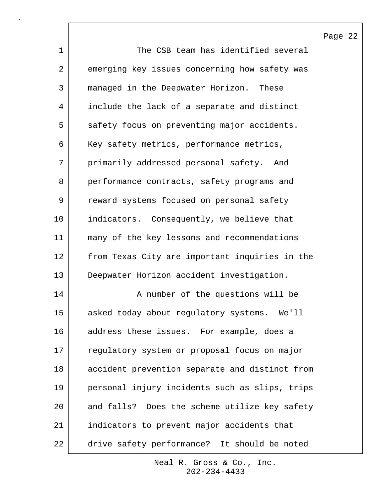1 The CSB team has identified several 2 emerging key issues concerning how safety was 3 managed in the Deepwater Horizon. These 4 include the lack of a separate and distinct 5 safety focus on preventing major accidents. 6 | Key safety metrics, performance metrics, 7 primarily addressed personal safety. And 8 performance contracts, safety programs and 9 | reward systems focused on personal safety 10 indicators. Consequently, we believe that 11 many of the key lessons and recommendations 12 from Texas City are important inquiries in the 13 Deepwater Horizon accident investigation. 14 | A number of the questions will be 15 asked today about regulatory systems. We'll 16 address these issues. For example, does a 17 requiatory system or proposal focus on major 18 accident prevention separate and distinct from 19 personal injury incidents such as slips, trips 20 and falls? Does the scheme utilize key safety 21 indicators to prevent major accidents that 22 drive safety performance? It should be noted

> 202-234-4433 Neal R. Gross & Co., Inc.

Page 22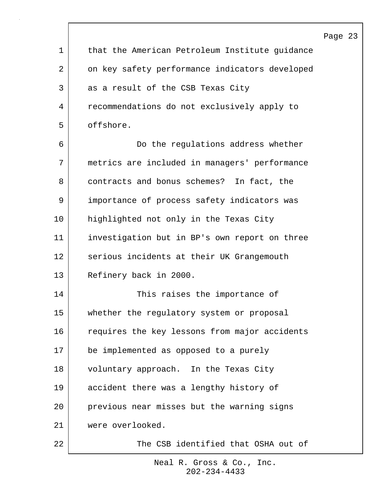|             |                                                | Pac |
|-------------|------------------------------------------------|-----|
| $\mathbf 1$ | that the American Petroleum Institute guidance |     |
| 2           | on key safety performance indicators developed |     |
| 3           | as a result of the CSB Texas City              |     |
| 4           | recommendations do not exclusively apply to    |     |
| 5           | offshore.                                      |     |
| 6           | Do the regulations address whether             |     |
| 7           | metrics are included in managers' performance  |     |
| 8           | contracts and bonus schemes? In fact, the      |     |
| 9           | importance of process safety indicators was    |     |
| 10          | highlighted not only in the Texas City         |     |
| 11          | investigation but in BP's own report on three  |     |
| 12          | serious incidents at their UK Grangemouth      |     |
| 13          | Refinery back in 2000.                         |     |
| 14          | This raises the importance of                  |     |
| 15          | whether the regulatory system or proposal      |     |
| 16          | requires the key lessons from major accidents  |     |
| 17          | be implemented as opposed to a purely          |     |
| 18          | voluntary approach. In the Texas City          |     |
| 19          | accident there was a lengthy history of        |     |
| 20          | previous near misses but the warning signs     |     |
| 21          | were overlooked.                               |     |
| 22          | The CSB identified that OSHA out of            |     |

 $\lceil$ 

202-234-4433 Neal R. Gross & Co., Inc.

# ge 23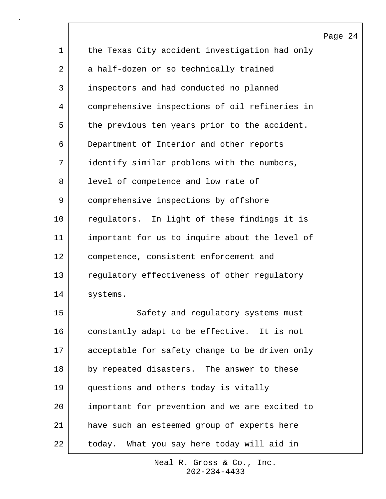|             |                                                | Page 24 |  |
|-------------|------------------------------------------------|---------|--|
| $\mathbf 1$ | the Texas City accident investigation had only |         |  |
| 2           | a half-dozen or so technically trained         |         |  |
| 3           | inspectors and had conducted no planned        |         |  |
| 4           | comprehensive inspections of oil refineries in |         |  |
| 5           | the previous ten years prior to the accident.  |         |  |
| 6           | Department of Interior and other reports       |         |  |
| 7           | identify similar problems with the numbers,    |         |  |
| 8           | level of competence and low rate of            |         |  |
| 9           | comprehensive inspections by offshore          |         |  |
| 10          | regulators. In light of these findings it is   |         |  |
| 11          | important for us to inquire about the level of |         |  |
| 12          | competence, consistent enforcement and         |         |  |
| 13          | regulatory effectiveness of other regulatory   |         |  |
| 14          | systems.                                       |         |  |
| 15          | Safety and regulatory systems must             |         |  |
| 16          | constantly adapt to be effective. It is not    |         |  |
| 17          | acceptable for safety change to be driven only |         |  |
| 18          | by repeated disasters. The answer to these     |         |  |
| 19          | questions and others today is vitally          |         |  |
| 20          | important for prevention and we are excited to |         |  |
| 21          | have such an esteemed group of experts here    |         |  |
| 22          | today. What you say here today will aid in     |         |  |

 $\mathsf{l}$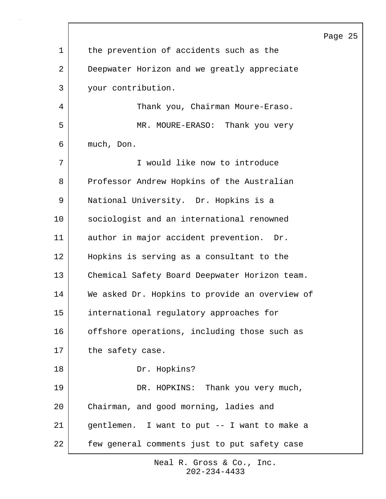| 1  | the prevention of accidents such as the        |
|----|------------------------------------------------|
| 2  | Deepwater Horizon and we greatly appreciate    |
| 3  | your contribution.                             |
| 4  | Thank you, Chairman Moure-Eraso.               |
| 5  | MR. MOURE-ERASO: Thank you very                |
| 6  | much, Don.                                     |
| 7  | I would like now to introduce                  |
| 8  | Professor Andrew Hopkins of the Australian     |
| 9  | National University. Dr. Hopkins is a          |
| 10 | sociologist and an international renowned      |
| 11 | author in major accident prevention. Dr.       |
| 12 | Hopkins is serving as a consultant to the      |
| 13 | Chemical Safety Board Deepwater Horizon team.  |
| 14 | We asked Dr. Hopkins to provide an overview of |
| 15 | international regulatory approaches for        |
| 16 | offshore operations, including those such as   |
| 17 | the safety case.                               |
| 18 | Dr. Hopkins?                                   |
| 19 | DR. HOPKINS: Thank you very much,              |
| 20 | Chairman, and good morning, ladies and         |
| 21 | gentlemen. I want to put -- I want to make a   |
| 22 | few general comments just to put safety case   |

## Page 25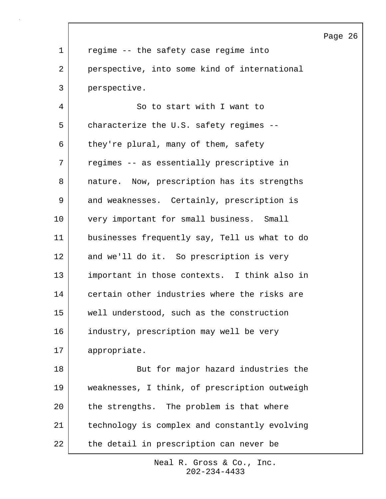|    |                                               | Page 26 |  |
|----|-----------------------------------------------|---------|--|
| 1  | regime -- the safety case regime into         |         |  |
| 2  | perspective, into some kind of international  |         |  |
| 3  | perspective.                                  |         |  |
| 4  | So to start with I want to                    |         |  |
| 5  | characterize the U.S. safety regimes --       |         |  |
| 6  | they're plural, many of them, safety          |         |  |
| 7  | regimes -- as essentially prescriptive in     |         |  |
| 8  | nature. Now, prescription has its strengths   |         |  |
| 9  | and weaknesses. Certainly, prescription is    |         |  |
| 10 | very important for small business. Small      |         |  |
| 11 | businesses frequently say, Tell us what to do |         |  |
| 12 | and we'll do it. So prescription is very      |         |  |
| 13 | important in those contexts. I think also in  |         |  |
| 14 | certain other industries where the risks are  |         |  |
| 15 | well understood, such as the construction     |         |  |
| 16 | industry, prescription may well be very       |         |  |
| 17 | appropriate.                                  |         |  |
| 18 | But for major hazard industries the           |         |  |
| 19 | weaknesses, I think, of prescription outweigh |         |  |
| 20 | the strengths. The problem is that where      |         |  |
| 21 | technology is complex and constantly evolving |         |  |
| 22 | the detail in prescription can never be       |         |  |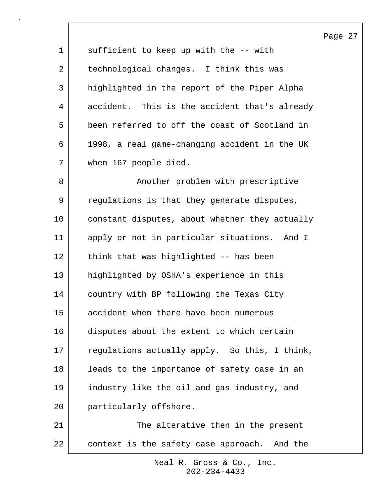| 1  | sufficient to keep up with the -- with         |
|----|------------------------------------------------|
| 2  | technological changes. I think this was        |
| 3  | highlighted in the report of the Piper Alpha   |
| 4  | accident. This is the accident that's already  |
| 5  | been referred to off the coast of Scotland in  |
| 6  | 1998, a real game-changing accident in the UK  |
| 7  | when 167 people died.                          |
| 8  | Another problem with prescriptive              |
| 9  | regulations is that they generate disputes,    |
| 10 | constant disputes, about whether they actually |
| 11 | apply or not in particular situations. And I   |
| 12 | think that was highlighted -- has been         |
| 13 | highlighted by OSHA's experience in this       |
| 14 | country with BP following the Texas City       |
| 15 | accident when there have been numerous         |
| 16 | disputes about the extent to which certain     |
| 17 | regulations actually apply. So this, I think,  |
| 18 | leads to the importance of safety case in an   |
| 19 | industry like the oil and gas industry, and    |
| 20 | particularly offshore.                         |
| 21 | The alterative then in the present             |
| 22 | context is the safety case approach. And the   |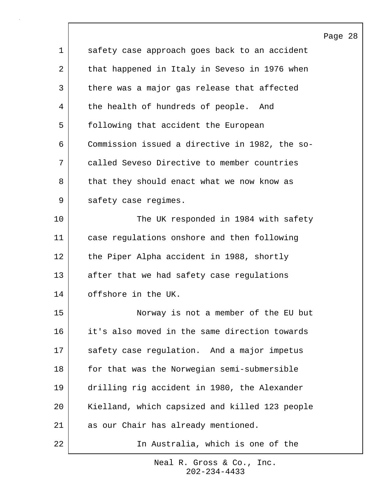|    |                                                | Page |
|----|------------------------------------------------|------|
| 1  | safety case approach goes back to an accident  |      |
| 2  | that happened in Italy in Seveso in 1976 when  |      |
| 3  | there was a major gas release that affected    |      |
| 4  | the health of hundreds of people. And          |      |
| 5  | following that accident the European           |      |
| 6  | Commission issued a directive in 1982, the so- |      |
| 7  | called Seveso Directive to member countries    |      |
| 8  | that they should enact what we now know as     |      |
| 9  | safety case regimes.                           |      |
| 10 | The UK responded in 1984 with safety           |      |
| 11 | case regulations onshore and then following    |      |
| 12 | the Piper Alpha accident in 1988, shortly      |      |
| 13 | after that we had safety case regulations      |      |
| 14 | offshore in the UK.                            |      |
| 15 | Norway is not a member of the EU but           |      |
| 16 | it's also moved in the same direction towards  |      |
| 17 | safety case regulation. And a major impetus    |      |
| 18 | for that was the Norwegian semi-submersible    |      |
| 19 | drilling rig accident in 1980, the Alexander   |      |
| 20 | Kielland, which capsized and killed 123 people |      |
| 21 | as our Chair has already mentioned.            |      |
| 22 | In Australia, which is one of the              |      |

 $\overline{\phantom{a}}$ 

Page 28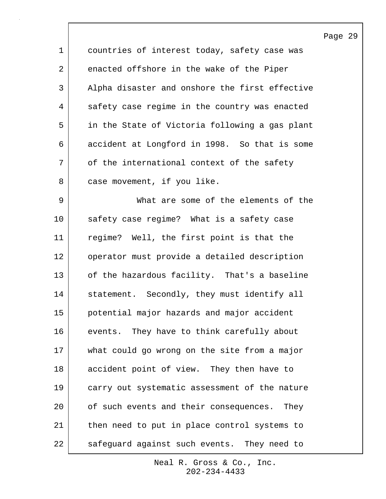|             |                                                | Ρą |
|-------------|------------------------------------------------|----|
| $\mathbf 1$ | countries of interest today, safety case was   |    |
| 2           | enacted offshore in the wake of the Piper      |    |
| 3           | Alpha disaster and onshore the first effective |    |
| 4           | safety case regime in the country was enacted  |    |
| 5           | in the State of Victoria following a gas plant |    |
| 6           | accident at Longford in 1998. So that is some  |    |
| 7           | of the international context of the safety     |    |
| 8           | case movement, if you like.                    |    |
| 9           | What are some of the elements of the           |    |
| 10          | safety case regime? What is a safety case      |    |
| 11          | regime? Well, the first point is that the      |    |
| 12          | operator must provide a detailed description   |    |
| 13          | of the hazardous facility. That's a baseline   |    |
| 14          | statement. Secondly, they must identify all    |    |
| 15          | potential major hazards and major accident     |    |
| 16          | events. They have to think carefully about     |    |
| 17          | what could go wrong on the site from a major   |    |
| 18          | accident point of view. They then have to      |    |
| 19          | carry out systematic assessment of the nature  |    |
| 20          | of such events and their consequences.<br>They |    |
| 21          | then need to put in place control systems to   |    |
| 22          | safeguard against such events. They need to    |    |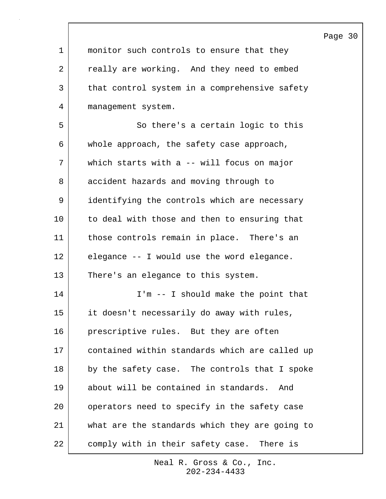|             |                                                | Page 30 |  |
|-------------|------------------------------------------------|---------|--|
| $\mathbf 1$ | monitor such controls to ensure that they      |         |  |
| 2           | really are working. And they need to embed     |         |  |
| 3           | that control system in a comprehensive safety  |         |  |
| 4           | management system.                             |         |  |
| 5           | So there's a certain logic to this             |         |  |
| 6           | whole approach, the safety case approach,      |         |  |
| 7           | which starts with a -- will focus on major     |         |  |
| 8           | accident hazards and moving through to         |         |  |
| 9           | identifying the controls which are necessary   |         |  |
| 10          | to deal with those and then to ensuring that   |         |  |
| 11          | those controls remain in place. There's an     |         |  |
| 12          | elegance -- I would use the word elegance.     |         |  |
| 13          | There's an elegance to this system.            |         |  |
| 14          | I'm -- I should make the point that            |         |  |
| 15          | it doesn't necessarily do away with rules,     |         |  |
| 16          | prescriptive rules. But they are often         |         |  |
| 17          | contained within standards which are called up |         |  |
| 18          | by the safety case. The controls that I spoke  |         |  |
| 19          | about will be contained in standards.<br>And   |         |  |
| 20          | operators need to specify in the safety case   |         |  |
| 21          | what are the standards which they are going to |         |  |
| 22          | comply with in their safety case. There is     |         |  |

 $\lceil$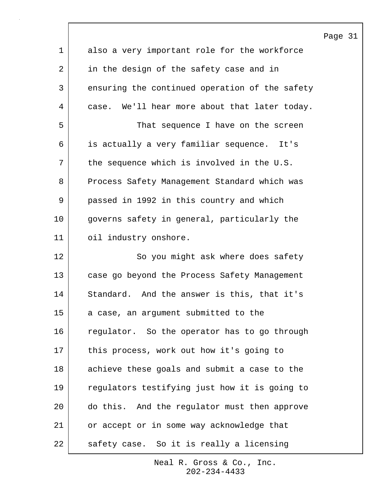|             |                                                | Page 31 |  |
|-------------|------------------------------------------------|---------|--|
| $\mathbf 1$ | also a very important role for the workforce   |         |  |
| 2           | in the design of the safety case and in        |         |  |
| 3           | ensuring the continued operation of the safety |         |  |
| 4           | case. We'll hear more about that later today.  |         |  |
| 5           | That sequence I have on the screen             |         |  |
| 6           | is actually a very familiar sequence. It's     |         |  |
| 7           | the sequence which is involved in the U.S.     |         |  |
| 8           | Process Safety Management Standard which was   |         |  |
| 9           | passed in 1992 in this country and which       |         |  |
| 10          | governs safety in general, particularly the    |         |  |
| 11          | oil industry onshore.                          |         |  |
| 12          | So you might ask where does safety             |         |  |
| 13          | case go beyond the Process Safety Management   |         |  |
| 14          | Standard. And the answer is this, that it's    |         |  |
| 15          | a case, an argument submitted to the           |         |  |
| 16          | regulator. So the operator has to go through   |         |  |
| 17          | this process, work out how it's going to       |         |  |
| 18          | achieve these goals and submit a case to the   |         |  |
| 19          | regulators testifying just how it is going to  |         |  |
| 20          | do this. And the regulator must then approve   |         |  |
| 21          | or accept or in some way acknowledge that      |         |  |
| 22          | safety case. So it is really a licensing       |         |  |

 $\sqrt{ }$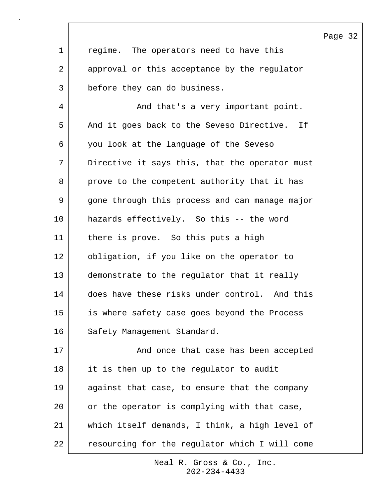|             |                                                | Page 32 |  |
|-------------|------------------------------------------------|---------|--|
| $\mathbf 1$ | regime. The operators need to have this        |         |  |
| 2           | approval or this acceptance by the regulator   |         |  |
| 3           | before they can do business.                   |         |  |
| 4           | And that's a very important point.             |         |  |
| 5           | And it goes back to the Seveso Directive. If   |         |  |
| 6           | you look at the language of the Seveso         |         |  |
| 7           | Directive it says this, that the operator must |         |  |
| 8           | prove to the competent authority that it has   |         |  |
| 9           | gone through this process and can manage major |         |  |
| 10          | hazards effectively. So this -- the word       |         |  |
| 11          | there is prove. So this puts a high            |         |  |
| 12          | obligation, if you like on the operator to     |         |  |
| 13          | demonstrate to the regulator that it really    |         |  |
| 14          | does have these risks under control. And this  |         |  |
| 15          | is where safety case goes beyond the Process   |         |  |
| 16          | Safety Management Standard.                    |         |  |
| 17          | And once that case has been accepted           |         |  |
| $18\,$      | it is then up to the regulator to audit        |         |  |
| 19          | against that case, to ensure that the company  |         |  |
| 20          | or the operator is complying with that case,   |         |  |
| 21          | which itself demands, I think, a high level of |         |  |
| 22          | resourcing for the regulator which I will come |         |  |

 $\sqrt{ }$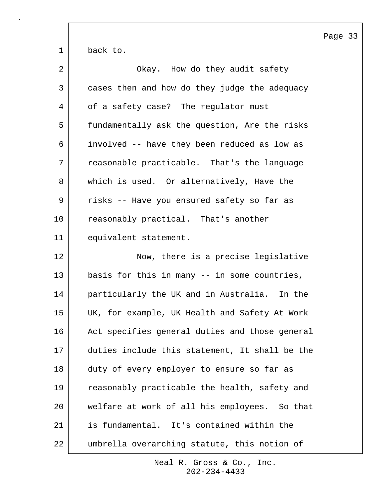|    | $\mathbf P$                                    |
|----|------------------------------------------------|
| 1  | back to.                                       |
| 2  | Okay. How do they audit safety                 |
| 3  | cases then and how do they judge the adequacy  |
| 4  | of a safety case? The regulator must           |
| 5  | fundamentally ask the question, Are the risks  |
| 6  | involved -- have they been reduced as low as   |
| 7  | reasonable practicable. That's the language    |
| 8  | which is used. Or alternatively, Have the      |
| 9  | risks -- Have you ensured safety so far as     |
| 10 | reasonably practical. That's another           |
| 11 | equivalent statement.                          |
| 12 | Now, there is a precise legislative            |
| 13 | basis for this in many -- in some countries,   |
| 14 | particularly the UK and in Australia. In the   |
| 15 | UK, for example, UK Health and Safety At Work  |
| 16 | Act specifies general duties and those general |
| 17 | duties include this statement, It shall be the |
| 18 | duty of every employer to ensure so far as     |
| 19 | reasonably practicable the health, safety and  |
| 20 | welfare at work of all his employees. So that  |
| 21 | is fundamental. It's contained within the      |
| 22 | umbrella overarching statute, this notion of   |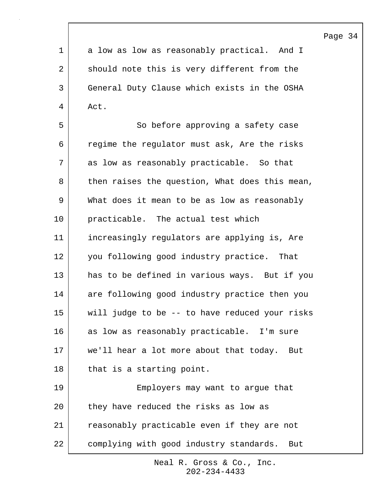1 a low as low as reasonably practical. And I 2 should note this is very different from the 3 General Duty Clause which exists in the OSHA 4 Act.

5 So before approving a safety case 6 regime the regulator must ask, Are the risks 7 as low as reasonably practicable. So that 8 then raises the question, What does this mean, 9 What does it mean to be as low as reasonably 10 practicable. The actual test which 11 increasingly regulators are applying is, Are 12 you following good industry practice. That 13 has to be defined in various ways. But if you 14 are following good industry practice then you 15 will judge to be -- to have reduced your risks 16 | as low as reasonably practicable. I'm sure 17 we'll hear a lot more about that today. But 18 | that is a starting point. 19 Employers may want to argue that 20 they have reduced the risks as low as 21 reasonably practicable even if they are not

22 complying with good industry standards. But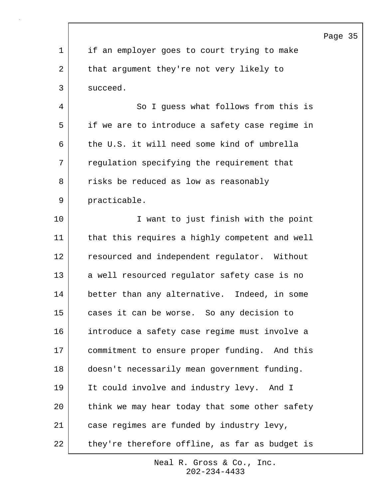|             |                                                | Page 35 |  |
|-------------|------------------------------------------------|---------|--|
| $\mathbf 1$ | if an employer goes to court trying to make    |         |  |
| 2           | that argument they're not very likely to       |         |  |
| 3           | succeed.                                       |         |  |
| 4           | So I guess what follows from this is           |         |  |
| 5           | if we are to introduce a safety case regime in |         |  |
| 6           | the U.S. it will need some kind of umbrella    |         |  |
| 7           | regulation specifying the requirement that     |         |  |
| 8           | risks be reduced as low as reasonably          |         |  |
| 9           | practicable.                                   |         |  |
| 10          | I want to just finish with the point           |         |  |
| 11          | that this requires a highly competent and well |         |  |
| 12          | resourced and independent regulator. Without   |         |  |
| 13          | a well resourced regulator safety case is no   |         |  |
| 14          | better than any alternative. Indeed, in some   |         |  |
| 15          | cases it can be worse. So any decision to      |         |  |
| 16          | introduce a safety case regime must involve a  |         |  |
| 17          | commitment to ensure proper funding. And this  |         |  |
| 18          | doesn't necessarily mean government funding.   |         |  |
| 19          | It could involve and industry levy. And I      |         |  |
| 20          | think we may hear today that some other safety |         |  |
| 21          | case regimes are funded by industry levy,      |         |  |
| 22          | they're therefore offline, as far as budget is |         |  |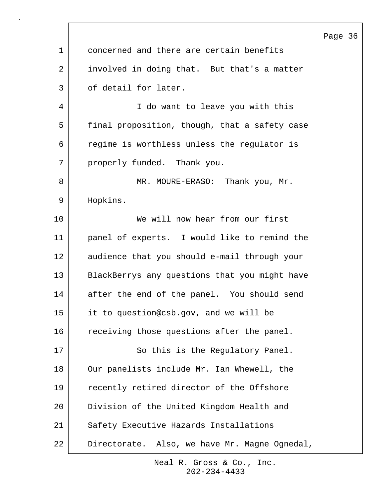|             |                                               | Page |
|-------------|-----------------------------------------------|------|
| $\mathbf 1$ | concerned and there are certain benefits      |      |
| 2           | involved in doing that. But that's a matter   |      |
| 3           | of detail for later.                          |      |
| 4           | I do want to leave you with this              |      |
| 5           | final proposition, though, that a safety case |      |
| 6           | regime is worthless unless the regulator is   |      |
| 7           | properly funded. Thank you.                   |      |
| 8           | MR. MOURE-ERASO: Thank you, Mr.               |      |
| 9           | Hopkins.                                      |      |
| 10          | We will now hear from our first               |      |
| 11          | panel of experts. I would like to remind the  |      |
| 12          | audience that you should e-mail through your  |      |
| 13          | BlackBerrys any questions that you might have |      |
| 14          | after the end of the panel. You should send   |      |
| 15          | it to question@csb.gov, and we will be        |      |
| 16          | receiving those questions after the panel.    |      |
| 17          | So this is the Regulatory Panel.              |      |
| 18          | Our panelists include Mr. Ian Whewell, the    |      |
| 19          | recently retired director of the Offshore     |      |
| 20          | Division of the United Kingdom Health and     |      |
| 21          | Safety Executive Hazards Installations        |      |
| 22          | Directorate. Also, we have Mr. Magne Ognedal, |      |

 $\Gamma$ 

Page 36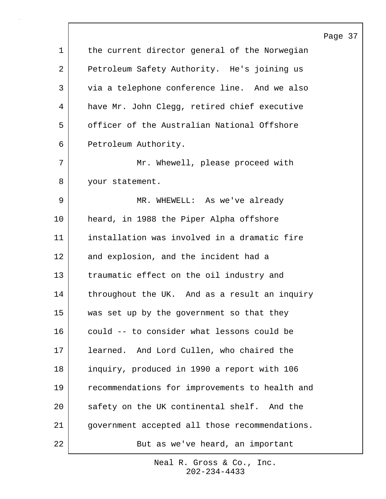|             |                                                | Page |
|-------------|------------------------------------------------|------|
| $\mathbf 1$ | the current director general of the Norwegian  |      |
| 2           | Petroleum Safety Authority. He's joining us    |      |
| 3           | via a telephone conference line. And we also   |      |
| 4           | have Mr. John Clegg, retired chief executive   |      |
| 5           | officer of the Australian National Offshore    |      |
| 6           | Petroleum Authority.                           |      |
| 7           | Mr. Whewell, please proceed with               |      |
| 8           | your statement.                                |      |
| 9           | MR. WHEWELL: As we've already                  |      |
| 10          | heard, in 1988 the Piper Alpha offshore        |      |
| 11          | installation was involved in a dramatic fire   |      |
| 12          | and explosion, and the incident had a          |      |
| 13          | traumatic effect on the oil industry and       |      |
| 14          | throughout the UK. And as a result an inquiry  |      |
| 15          | was set up by the government so that they      |      |
| 16          | could -- to consider what lessons could be     |      |
| 17          | learned. And Lord Cullen, who chaired the      |      |
| 18          | inquiry, produced in 1990 a report with 106    |      |
| 19          | recommendations for improvements to health and |      |
| 20          | safety on the UK continental shelf. And the    |      |
| 21          | government accepted all those recommendations. |      |
| 22          | But as we've heard, an important               |      |

 $\sqrt{ }$ 

202-234-4433 Neal R. Gross & Co., Inc.

# e 37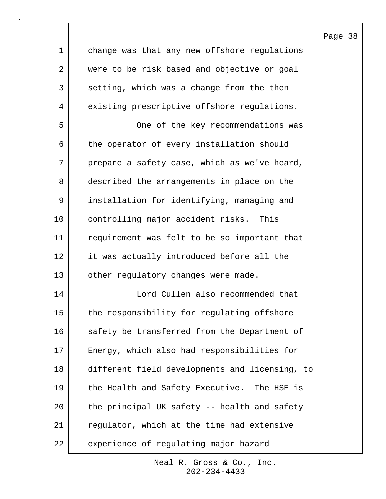| $\mathbf 1$ | change was that any new offshore regulations   |
|-------------|------------------------------------------------|
| 2           | were to be risk based and objective or goal    |
| 3           | setting, which was a change from the then      |
| 4           | existing prescriptive offshore regulations.    |
| 5           | One of the key recommendations was             |
| 6           | the operator of every installation should      |
| 7           | prepare a safety case, which as we've heard,   |
| 8           | described the arrangements in place on the     |
| 9           | installation for identifying, managing and     |
| 10          | controlling major accident risks. This         |
| 11          | requirement was felt to be so important that   |
| 12          | it was actually introduced before all the      |
| 13          | other regulatory changes were made.            |
| 14          | Lord Cullen also recommended that              |
| 15          | the responsibility for regulating offshore     |
| 16          | safety be transferred from the Department of   |
| 17          | Energy, which also had responsibilities for    |
| 18          | different field developments and licensing, to |
| 19          | the Health and Safety Executive. The HSE is    |
| 20          | the principal UK safety -- health and safety   |
| 21          | regulator, which at the time had extensive     |
| 22          | experience of regulating major hazard          |

202-234-4433 Neal R. Gross & Co., Inc.

# Page 38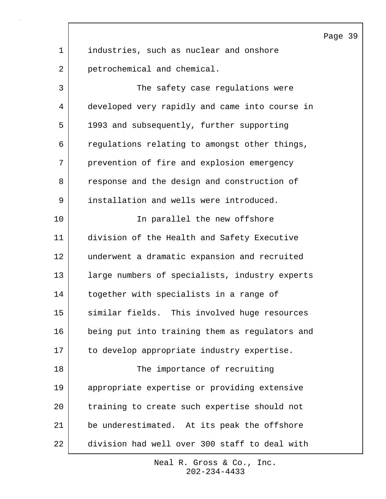1 industries, such as nuclear and onshore 2 petrochemical and chemical. 3 The safety case regulations were 4 developed very rapidly and came into course in 5 1993 and subsequently, further supporting 6 regulations relating to amongst other things, 7 prevention of fire and explosion emergency 8 response and the design and construction of 9 installation and wells were introduced. 10 In parallel the new offshore 11 division of the Health and Safety Executive 12 underwent a dramatic expansion and recruited 13 | large numbers of specialists, industry experts 14 together with specialists in a range of 15 similar fields. This involved huge resources 16 being put into training them as regulators and 17 to develop appropriate industry expertise. 18 | The importance of recruiting 19 appropriate expertise or providing extensive 20 training to create such expertise should not 21 be underestimated. At its peak the offshore 22 division had well over 300 staff to deal with

> 202-234-4433 Neal R. Gross & Co., Inc.

### Page 39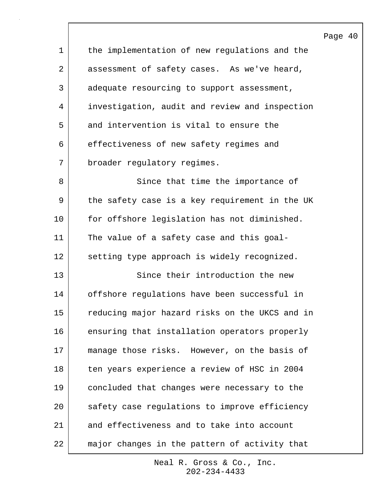Page 40 1 the implementation of new regulations and the 2 assessment of safety cases. As we've heard, 3 adequate resourcing to support assessment, 4 investigation, audit and review and inspection 5 and intervention is vital to ensure the 6 effectiveness of new safety regimes and 7 broader regulatory regimes. 8 Since that time the importance of 9 the safety case is a key requirement in the UK 10 for offshore legislation has not diminished. 11 The value of a safety case and this goal-12 setting type approach is widely recognized. 13 Since their introduction the new 14 offshore regulations have been successful in 15 reducing major hazard risks on the UKCS and in 16 ensuring that installation operators properly 17 | manage those risks. However, on the basis of 18 ten years experience a review of HSC in 2004 19 concluded that changes were necessary to the 20 safety case regulations to improve efficiency 21 and effectiveness and to take into account 22 major changes in the pattern of activity that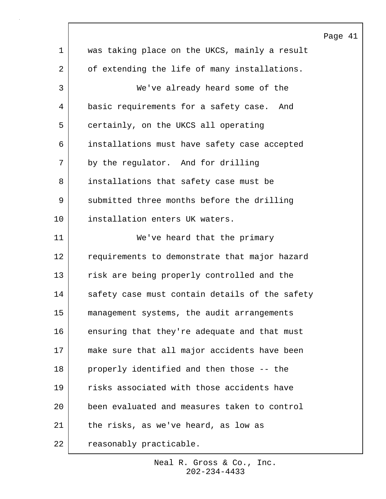|                |                                                | Page 41 |  |
|----------------|------------------------------------------------|---------|--|
| $\mathbf 1$    | was taking place on the UKCS, mainly a result  |         |  |
| $\overline{2}$ | of extending the life of many installations.   |         |  |
| $\mathsf{3}$   | We've already heard some of the                |         |  |
| 4              | basic requirements for a safety case. And      |         |  |
| 5              | certainly, on the UKCS all operating           |         |  |
| 6              | installations must have safety case accepted   |         |  |
| 7              | by the regulator. And for drilling             |         |  |
| 8              | installations that safety case must be         |         |  |
| 9              | submitted three months before the drilling     |         |  |
| 10             | installation enters UK waters.                 |         |  |
| 11             | We've heard that the primary                   |         |  |
| 12             | requirements to demonstrate that major hazard  |         |  |
| 13             | risk are being properly controlled and the     |         |  |
| 14             | safety case must contain details of the safety |         |  |
| 15             | management systems, the audit arrangements     |         |  |
| 16             | ensuring that they're adequate and that must   |         |  |
| 17             | make sure that all major accidents have been   |         |  |
| 18             | properly identified and then those -- the      |         |  |
| 19             | risks associated with those accidents have     |         |  |
| 20             | been evaluated and measures taken to control   |         |  |
| 21             | the risks, as we've heard, as low as           |         |  |
| 22             | reasonably practicable.                        |         |  |

 $\sqrt{ }$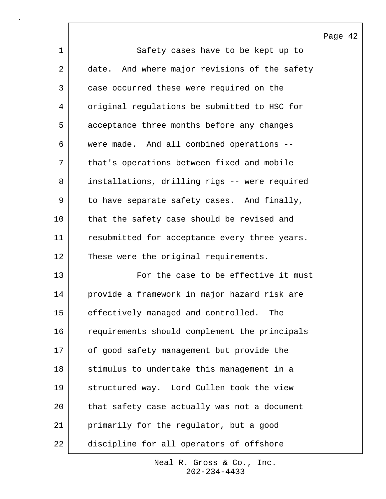|             |                                               | Page 42 |  |
|-------------|-----------------------------------------------|---------|--|
| $\mathbf 1$ | Safety cases have to be kept up to            |         |  |
| 2           | date. And where major revisions of the safety |         |  |
| 3           | case occurred these were required on the      |         |  |
| 4           | original regulations be submitted to HSC for  |         |  |
| 5           | acceptance three months before any changes    |         |  |
| 6           | were made. And all combined operations --     |         |  |
| 7           | that's operations between fixed and mobile    |         |  |
| 8           | installations, drilling rigs -- were required |         |  |
| 9           | to have separate safety cases. And finally,   |         |  |
| 10          | that the safety case should be revised and    |         |  |
| 11          | resubmitted for acceptance every three years. |         |  |
| 12          | These were the original requirements.         |         |  |
| 13          | For the case to be effective it must          |         |  |
| 14          | provide a framework in major hazard risk are  |         |  |
| 15          | effectively managed and controlled.<br>The    |         |  |
| 16          | requirements should complement the principals |         |  |
| 17          | of good safety management but provide the     |         |  |
| 18          | stimulus to undertake this management in a    |         |  |
| 19          | structured way. Lord Cullen took the view     |         |  |
| 20          | that safety case actually was not a document  |         |  |
| 21          | primarily for the regulator, but a good       |         |  |
| 22          | discipline for all operators of offshore      |         |  |

 $\sqrt{ }$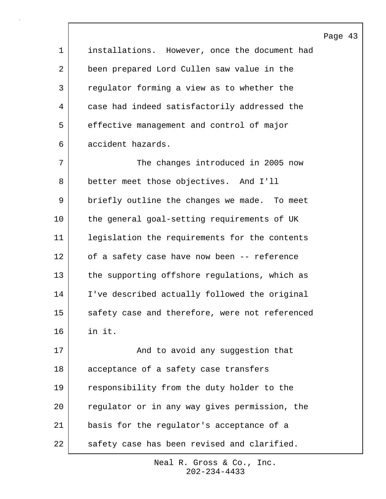| $\mathbf 1$ | installations. However, once the document had  |
|-------------|------------------------------------------------|
| 2           | been prepared Lord Cullen saw value in the     |
| 3           | regulator forming a view as to whether the     |
| 4           | case had indeed satisfactorily addressed the   |
| 5           | effective management and control of major      |
| 6           | accident hazards.                              |
| 7           | The changes introduced in 2005 now             |
| 8           | better meet those objectives. And I'll         |
| 9           | briefly outline the changes we made. To meet   |
| 10          | the general goal-setting requirements of UK    |
| 11          | legislation the requirements for the contents  |
| 12          | of a safety case have now been -- reference    |
| 13          | the supporting offshore regulations, which as  |
| 14          | I've described actually followed the original  |
| 15          | safety case and therefore, were not referenced |
| 16          | in it.                                         |
| 17          | And to avoid any suggestion that               |
| 18          | acceptance of a safety case transfers          |
| 19          | responsibility from the duty holder to the     |
| 20          | regulator or in any way gives permission, the  |
| 21          | basis for the regulator's acceptance of a      |
| 22          | safety case has been revised and clarified.    |

202-234-4433 Neal R. Gross & Co., Inc.

# Page 43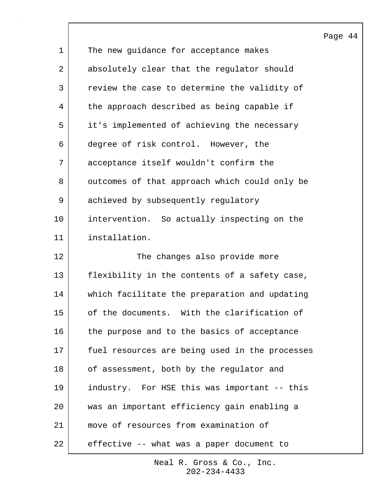|    |                                                | $\, {\bf P}$ |
|----|------------------------------------------------|--------------|
| 1  | The new guidance for acceptance makes          |              |
| 2  | absolutely clear that the regulator should     |              |
| 3  | review the case to determine the validity of   |              |
| 4  | the approach described as being capable if     |              |
| 5  | it's implemented of achieving the necessary    |              |
| 6  | degree of risk control. However, the           |              |
| 7  | acceptance itself wouldn't confirm the         |              |
| 8  | outcomes of that approach which could only be  |              |
| 9  | achieved by subsequently regulatory            |              |
| 10 | intervention. So actually inspecting on the    |              |
| 11 | installation.                                  |              |
| 12 | The changes also provide more                  |              |
| 13 | flexibility in the contents of a safety case,  |              |
| 14 | which facilitate the preparation and updating  |              |
| 15 | of the documents. With the clarification of    |              |
| 16 | the purpose and to the basics of acceptance    |              |
| 17 | fuel resources are being used in the processes |              |
| 18 | of assessment, both by the regulator and       |              |
| 19 | industry. For HSE this was important -- this   |              |
| 20 | was an important efficiency gain enabling a    |              |
| 21 | move of resources from examination of          |              |
| 22 | effective -- what was a paper document to      |              |

 $\mathsf{l}$ 

202-234-4433 Neal R. Gross & Co., Inc.

# age 44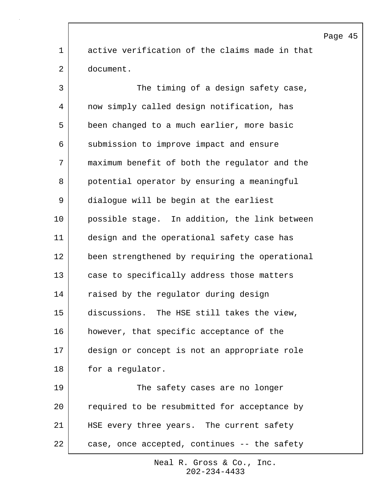1 active verification of the claims made in that 2 document. 3 The timing of a design safety case, 4 now simply called design notification, has 5 been changed to a much earlier, more basic 6 submission to improve impact and ensure 7 maximum benefit of both the regulator and the 8 potential operator by ensuring a meaningful 9 dialogue will be begin at the earliest 10 possible stage. In addition, the link between 11 design and the operational safety case has 12 been strengthened by requiring the operational 13 case to specifically address those matters 14 | raised by the regulator during design 15 discussions. The HSE still takes the view, 16 however, that specific acceptance of the 17 design or concept is not an appropriate role 18 for a regulator. 19 The safety cases are no longer 20 | required to be resubmitted for acceptance by 21 | HSE every three years. The current safety 22 case, once accepted, continues -- the safety

> 202-234-4433 Neal R. Gross & Co., Inc.

### Page 45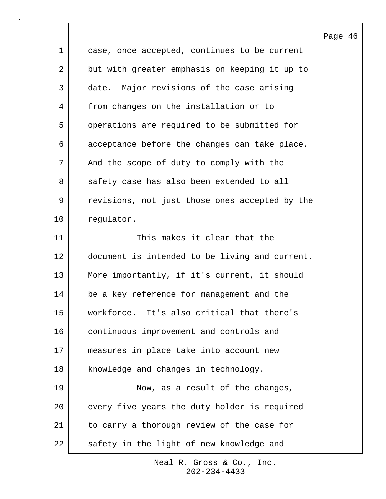|             |                                                | Page |
|-------------|------------------------------------------------|------|
| $\mathbf 1$ | case, once accepted, continues to be current   |      |
| 2           | but with greater emphasis on keeping it up to  |      |
| 3           | date. Major revisions of the case arising      |      |
| 4           | from changes on the installation or to         |      |
| 5           | operations are required to be submitted for    |      |
| 6           | acceptance before the changes can take place.  |      |
| 7           | And the scope of duty to comply with the       |      |
| 8           | safety case has also been extended to all      |      |
| 9           | revisions, not just those ones accepted by the |      |
| 10          | regulator.                                     |      |
| 11          | This makes it clear that the                   |      |
| 12          | document is intended to be living and current. |      |
| 13          | More importantly, if it's current, it should   |      |
| 14          | be a key reference for management and the      |      |
| 15          | workforce. It's also critical that there's     |      |
| 16          | continuous improvement and controls and        |      |
| 17          | measures in place take into account new        |      |
| 18          | knowledge and changes in technology.           |      |
| 19          | Now, as a result of the changes,               |      |
| 20          | every five years the duty holder is required   |      |
| 21          | to carry a thorough review of the case for     |      |
| 22          | safety in the light of new knowledge and       |      |

 $\lceil$ 

46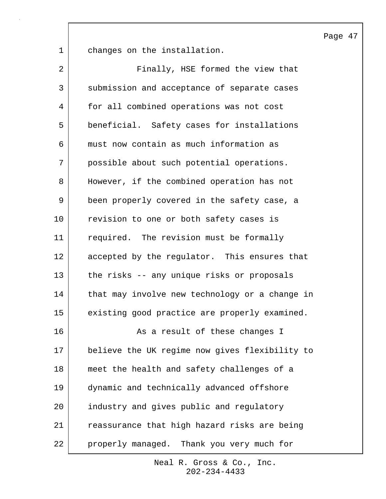Page 47

1 changes on the installation.

| $\overline{2}$  | Finally, HSE formed the view that              |
|-----------------|------------------------------------------------|
| 3               | submission and acceptance of separate cases    |
| 4               | for all combined operations was not cost       |
| 5               | beneficial. Safety cases for installations     |
| 6               | must now contain as much information as        |
| 7               | possible about such potential operations.      |
| 8               | However, if the combined operation has not     |
| 9               | been properly covered in the safety case, a    |
| 10              | revision to one or both safety cases is        |
| 11              | required. The revision must be formally        |
| 12 <sup>°</sup> | accepted by the regulator. This ensures that   |
| 13              | the risks -- any unique risks or proposals     |
| 14              | that may involve new technology or a change in |
| 15              | existing good practice are properly examined.  |
| 16              | As a result of these changes I                 |
| 17              | believe the UK regime now gives flexibility to |
| 18              | meet the health and safety challenges of a     |
| 19              | dynamic and technically advanced offshore      |
| 20              | industry and gives public and regulatory       |
| 21              | reassurance that high hazard risks are being   |
| 22              | properly managed. Thank you very much for      |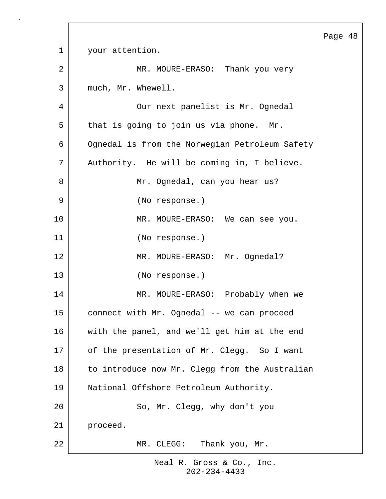Page 48 1 your attention. 2 MR. MOURE-ERASO: Thank you very 3 much, Mr. Whewell. 4 Our next panelist is Mr. Ognedal 5 that is going to join us via phone. Mr. 6 Ognedal is from the Norwegian Petroleum Safety 7 Authority. He will be coming in, I believe. 8 Mr. Ognedal, can you hear us? 9 (No response.) 10 MR. MOURE-ERASO: We can see you. 11 (No response.) 12 | MR. MOURE-ERASO: Mr. Ognedal? 13 (No response.) 14 MR. MOURE-ERASO: Probably when we 15 connect with Mr. Ognedal -- we can proceed 16 with the panel, and we'll get him at the end 17 of the presentation of Mr. Clegg. So I want 18 to introduce now Mr. Clegg from the Australian 19 National Offshore Petroleum Authority. 20 So, Mr. Clegg, why don't you 21 proceed. 22 MR. CLEGG: Thank you, Mr.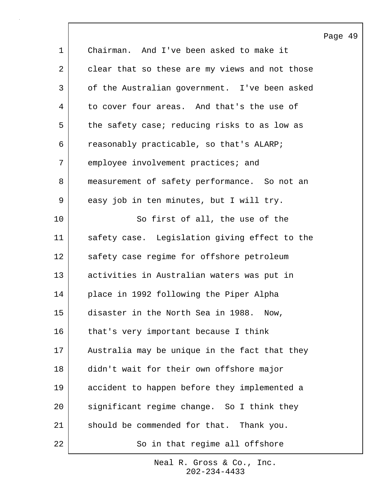|                |                                                | Page 49 |  |
|----------------|------------------------------------------------|---------|--|
| $\mathbf 1$    | Chairman. And I've been asked to make it       |         |  |
| $\overline{a}$ | clear that so these are my views and not those |         |  |
| 3              | of the Australian government. I've been asked  |         |  |
| 4              | to cover four areas. And that's the use of     |         |  |
| 5              | the safety case; reducing risks to as low as   |         |  |
| 6              | reasonably practicable, so that's ALARP;       |         |  |
| 7              | employee involvement practices; and            |         |  |
| 8              | measurement of safety performance. So not an   |         |  |
| 9              | easy job in ten minutes, but I will try.       |         |  |
| 10             | So first of all, the use of the                |         |  |
| 11             | safety case. Legislation giving effect to the  |         |  |
| 12             | safety case regime for offshore petroleum      |         |  |
| 13             | activities in Australian waters was put in     |         |  |
| 14             | place in 1992 following the Piper Alpha        |         |  |
| 15             | disaster in the North Sea in 1988. Now,        |         |  |
| 16             | that's very important because I think          |         |  |
| 17             | Australia may be unique in the fact that they  |         |  |
| 18             | didn't wait for their own offshore major       |         |  |
| 19             | accident to happen before they implemented a   |         |  |
| 20             | significant regime change. So I think they     |         |  |
| 21             | should be commended for that. Thank you.       |         |  |
| 22             | So in that regime all offshore                 |         |  |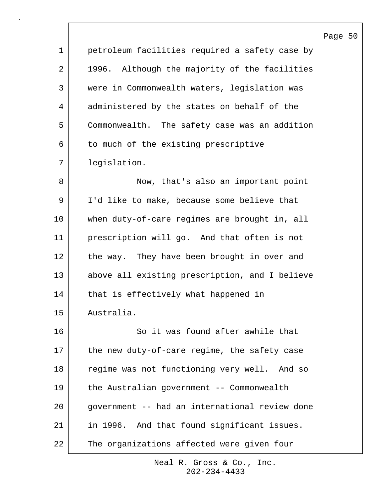|    |                                                  | Page 50 |  |
|----|--------------------------------------------------|---------|--|
| 1  | petroleum facilities required a safety case by   |         |  |
| 2  | Although the majority of the facilities<br>1996. |         |  |
| 3  | were in Commonwealth waters, legislation was     |         |  |
| 4  | administered by the states on behalf of the      |         |  |
| 5  | Commonwealth. The safety case was an addition    |         |  |
| 6  | to much of the existing prescriptive             |         |  |
| 7  | legislation.                                     |         |  |
| 8  | Now, that's also an important point              |         |  |
| 9  | I'd like to make, because some believe that      |         |  |
| 10 | when duty-of-care regimes are brought in, all    |         |  |
| 11 | prescription will go. And that often is not      |         |  |
| 12 | the way. They have been brought in over and      |         |  |
| 13 | above all existing prescription, and I believe   |         |  |
| 14 | that is effectively what happened in             |         |  |
| 15 | Australia.                                       |         |  |
| 16 | So it was found after awhile that                |         |  |
| 17 | the new duty-of-care regime, the safety case     |         |  |
| 18 | regime was not functioning very well. And so     |         |  |
| 19 | the Australian government -- Commonwealth        |         |  |
| 20 | government -- had an international review done   |         |  |
| 21 | in 1996. And that found significant issues.      |         |  |
| 22 | The organizations affected were given four       |         |  |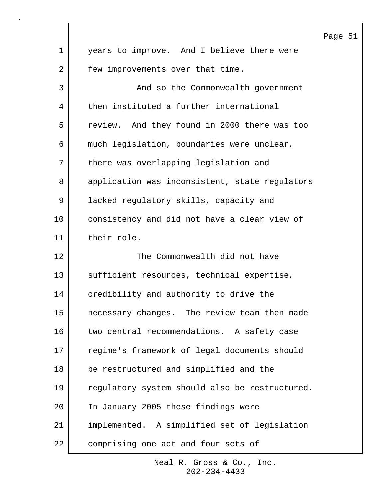|             |                                                | Page 51 |  |
|-------------|------------------------------------------------|---------|--|
| $\mathbf 1$ | years to improve. And I believe there were     |         |  |
| 2           | few improvements over that time.               |         |  |
| 3           | And so the Commonwealth government             |         |  |
| 4           | then instituted a further international        |         |  |
| 5           | review. And they found in 2000 there was too   |         |  |
| 6           | much legislation, boundaries were unclear,     |         |  |
| 7           | there was overlapping legislation and          |         |  |
| 8           | application was inconsistent, state regulators |         |  |
| 9           | lacked regulatory skills, capacity and         |         |  |
| 10          | consistency and did not have a clear view of   |         |  |
| 11          | their role.                                    |         |  |
| 12          | The Commonwealth did not have                  |         |  |
| 13          | sufficient resources, technical expertise,     |         |  |
| 14          | credibility and authority to drive the         |         |  |
| 15          | necessary changes. The review team then made   |         |  |
| 16          | two central recommendations. A safety case     |         |  |
| 17          | regime's framework of legal documents should   |         |  |
| 18          | be restructured and simplified and the         |         |  |
| 19          | regulatory system should also be restructured. |         |  |
| 20          | In January 2005 these findings were            |         |  |
| 21          | implemented. A simplified set of legislation   |         |  |
| 22          | comprising one act and four sets of            |         |  |

 $\Gamma$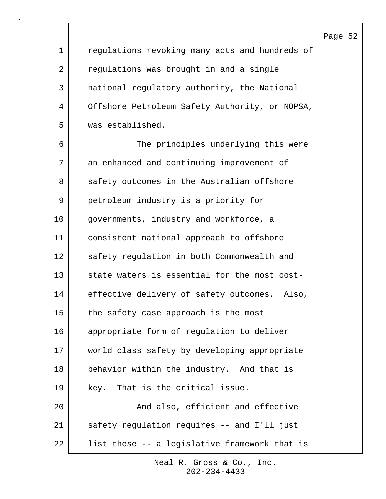1 regulations revoking many acts and hundreds of 2 regulations was brought in and a single 3 national regulatory authority, the National 4 Offshore Petroleum Safety Authority, or NOPSA, 5 was established. 6 The principles underlying this were 7 an enhanced and continuing improvement of 8 safety outcomes in the Australian offshore 9 petroleum industry is a priority for 10 | governments, industry and workforce, a 11 consistent national approach to offshore 12 safety regulation in both Commonwealth and 13 state waters is essential for the most cost-14 effective delivery of safety outcomes. Also, 15 the safety case approach is the most 16 appropriate form of regulation to deliver 17 | world class safety by developing appropriate 18 behavior within the industry. And that is 19 key. That is the critical issue. 20 and also, efficient and effective 21 safety regulation requires -- and I'll just 22 | list these -- a legislative framework that is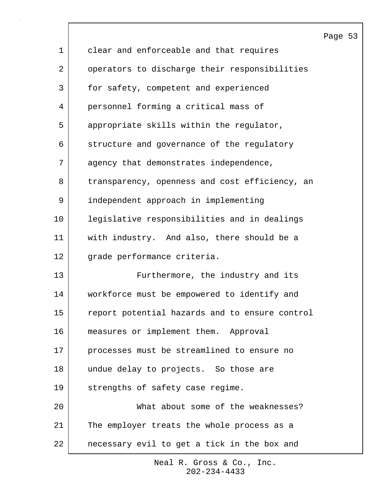|                 |                                                | P <sub>i</sub> |
|-----------------|------------------------------------------------|----------------|
| $\mathbf 1$     | clear and enforceable and that requires        |                |
| 2               | operators to discharge their responsibilities  |                |
| 3               | for safety, competent and experienced          |                |
| 4               | personnel forming a critical mass of           |                |
| 5               | appropriate skills within the regulator,       |                |
| 6               | structure and governance of the regulatory     |                |
| 7               | agency that demonstrates independence,         |                |
| 8               | transparency, openness and cost efficiency, an |                |
| 9               | independent approach in implementing           |                |
| 10              | legislative responsibilities and in dealings   |                |
| 11              | with industry. And also, there should be a     |                |
| 12 <sub>2</sub> | grade performance criteria.                    |                |
| 13              | Furthermore, the industry and its              |                |
| 14              | workforce must be empowered to identify and    |                |
| 15              | report potential hazards and to ensure control |                |
| 16              | measures or implement them. Approval           |                |
| 17              | processes must be streamlined to ensure no     |                |
| 18              | undue delay to projects. So those are          |                |
| 19              | strengths of safety case regime.               |                |
| 20              | What about some of the weaknesses?             |                |
| 21              | The employer treats the whole process as a     |                |
| 22              | necessary evil to get a tick in the box and    |                |

 $\overline{\phantom{a}}$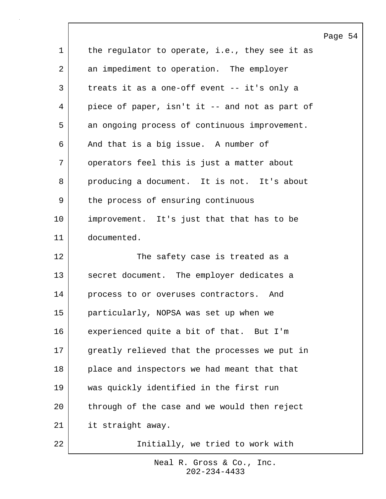|                |                                                | Page 54 |  |
|----------------|------------------------------------------------|---------|--|
| $\mathbf{1}$   | the regulator to operate, i.e., they see it as |         |  |
| $\overline{a}$ | an impediment to operation. The employer       |         |  |
| 3              | treats it as a one-off event -- it's only a    |         |  |
| 4              | piece of paper, isn't it -- and not as part of |         |  |
| 5              | an ongoing process of continuous improvement.  |         |  |
| 6              | And that is a big issue. A number of           |         |  |
| 7              | operators feel this is just a matter about     |         |  |
| 8              | producing a document. It is not. It's about    |         |  |
| 9              | the process of ensuring continuous             |         |  |
| 10             | improvement. It's just that that has to be     |         |  |
| 11             | documented.                                    |         |  |
| 12             | The safety case is treated as a                |         |  |
| 13             | secret document. The employer dedicates a      |         |  |
| 14             | process to or overuses contractors. And        |         |  |
| 15             | particularly, NOPSA was set up when we         |         |  |
| 16             | experienced quite a bit of that. But I'm       |         |  |
| 17             | greatly relieved that the processes we put in  |         |  |
| 18             | place and inspectors we had meant that that    |         |  |
| 19             | was quickly identified in the first run        |         |  |
| 20             | through of the case and we would then reject   |         |  |
| 21             | it straight away.                              |         |  |
| 22             | Initially, we tried to work with               |         |  |

 $\Gamma$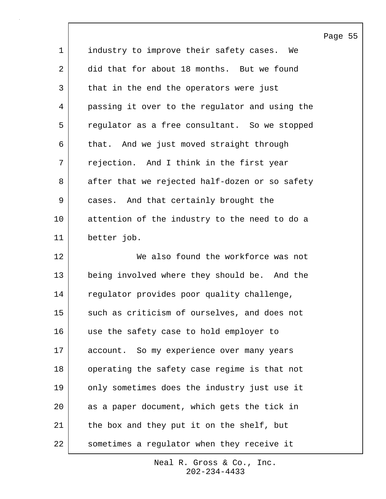| 1  | industry to improve their safety cases. We     |
|----|------------------------------------------------|
| 2  | did that for about 18 months. But we found     |
| 3  | that in the end the operators were just        |
| 4  | passing it over to the regulator and using the |
| 5  | regulator as a free consultant. So we stopped  |
| 6  | that. And we just moved straight through       |
| 7  | rejection. And I think in the first year       |
| 8  | after that we rejected half-dozen or so safety |
| 9  | cases. And that certainly brought the          |
| 10 | attention of the industry to the need to do a  |
| 11 | better job.                                    |
| 12 | We also found the workforce was not            |
| 13 | being involved where they should be. And the   |
| 14 | regulator provides poor quality challenge,     |
| 15 | such as criticism of ourselves, and does not   |
| 16 | use the safety case to hold employer to        |
| 17 | account. So my experience over many years      |
| 18 | operating the safety case regime is that not   |
| 19 | only sometimes does the industry just use it   |
| 20 | as a paper document, which gets the tick in    |
| 21 | the box and they put it on the shelf, but      |
| 22 | sometimes a regulator when they receive it     |

202-234-4433 Neal R. Gross & Co., Inc. Page 55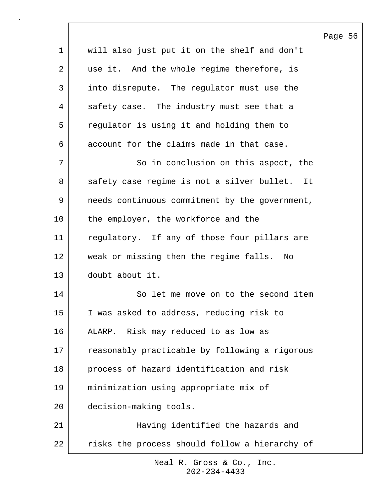Page 56 1 will also just put it on the shelf and don't 2 | use it. And the whole regime therefore, is 3 into disrepute. The regulator must use the 4 safety case. The industry must see that a 5 regulator is using it and holding them to 6 account for the claims made in that case. 7 | So in conclusion on this aspect, the 8 safety case regime is not a silver bullet. It 9 needs continuous commitment by the government, 10 the employer, the workforce and the 11 regulatory. If any of those four pillars are 12 weak or missing then the regime falls. No 13 doubt about it. 14 So let me move on to the second item 15 I was asked to address, reducing risk to 16 ALARP. Risk may reduced to as low as 17 reasonably practicable by following a rigorous 18 process of hazard identification and risk 19 minimization using appropriate mix of 20 decision-making tools. 21 Having identified the hazards and 22 risks the process should follow a hierarchy of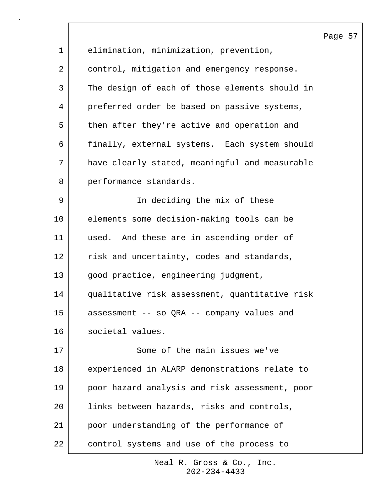|         |                                                | Page |
|---------|------------------------------------------------|------|
| 1       | elimination, minimization, prevention,         |      |
| 2       | control, mitigation and emergency response.    |      |
| 3       | The design of each of those elements should in |      |
| 4       | preferred order be based on passive systems,   |      |
| 5       | then after they're active and operation and    |      |
| 6       | finally, external systems. Each system should  |      |
| 7       | have clearly stated, meaningful and measurable |      |
| 8       | performance standards.                         |      |
| 9       | In deciding the mix of these                   |      |
| $10 \,$ | elements some decision-making tools can be     |      |
| 11      | used. And these are in ascending order of      |      |
| 12      | risk and uncertainty, codes and standards,     |      |
| 13      | good practice, engineering judgment,           |      |
| 14      | qualitative risk assessment, quantitative risk |      |
| 15      | assessment -- so QRA -- company values and     |      |
| 16      | societal values.                               |      |
| 17      | Some of the main issues we've                  |      |
| 18      | experienced in ALARP demonstrations relate to  |      |
| 19      | poor hazard analysis and risk assessment, poor |      |
| 20      | links between hazards, risks and controls,     |      |
| 21      | poor understanding of the performance of       |      |
| 22      | control systems and use of the process to      |      |

57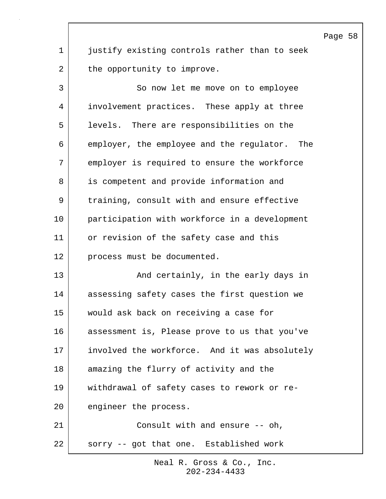Page 58 1 justify existing controls rather than to seek 2 the opportunity to improve. 3 So now let me move on to employee 4 involvement practices. These apply at three 5 levels. There are responsibilities on the 6 employer, the employee and the regulator. The 7 employer is required to ensure the workforce 8 is competent and provide information and 9 | training, consult with and ensure effective 10 participation with workforce in a development 11 or revision of the safety case and this 12 process must be documented. 13 And certainly, in the early days in 14 assessing safety cases the first question we 15 would ask back on receiving a case for 16 assessment is, Please prove to us that you've 17 involved the workforce. And it was absolutely 18 amazing the flurry of activity and the 19 withdrawal of safety cases to rework or re-20 engineer the process. 21 Consult with and ensure -- oh, 22 sorry -- got that one. Established work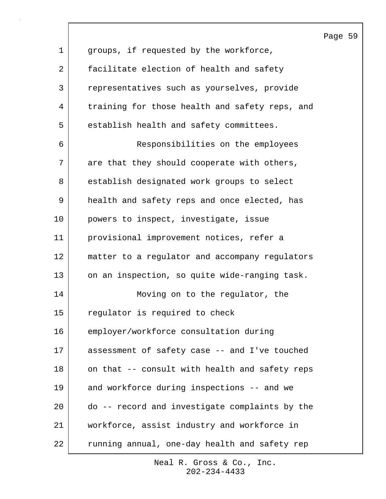|             |                                                | Page 59 |  |
|-------------|------------------------------------------------|---------|--|
| $\mathbf 1$ | groups, if requested by the workforce,         |         |  |
| 2           | facilitate election of health and safety       |         |  |
| 3           | representatives such as yourselves, provide    |         |  |
| 4           | training for those health and safety reps, and |         |  |
| 5           | establish health and safety committees.        |         |  |
| 6           | Responsibilities on the employees              |         |  |
| 7           | are that they should cooperate with others,    |         |  |
| 8           | establish designated work groups to select     |         |  |
| 9           | health and safety reps and once elected, has   |         |  |
| 10          | powers to inspect, investigate, issue          |         |  |
| 11          | provisional improvement notices, refer a       |         |  |
| 12          | matter to a regulator and accompany regulators |         |  |
| 13          | on an inspection, so quite wide-ranging task.  |         |  |
| 14          | Moving on to the regulator, the                |         |  |
| 15          | regulator is required to check                 |         |  |
| 16          | employer/workforce consultation during         |         |  |
| 17          | assessment of safety case -- and I've touched  |         |  |
| 18          | on that -- consult with health and safety reps |         |  |
| 19          | and workforce during inspections -- and we     |         |  |
| 20          | do -- record and investigate complaints by the |         |  |
| 21          | workforce, assist industry and workforce in    |         |  |
| 22          | running annual, one-day health and safety rep  |         |  |

 $\sqrt{ }$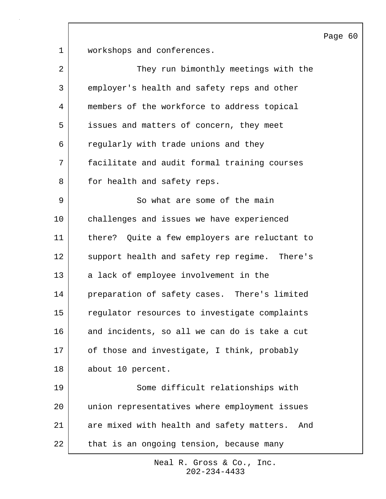Page 60

1 workshops and conferences.

| $\overline{2}$ | They run bimonthly meetings with the             |
|----------------|--------------------------------------------------|
| 3              | employer's health and safety reps and other      |
| 4              | members of the workforce to address topical      |
| 5              | issues and matters of concern, they meet         |
| 6              | regularly with trade unions and they             |
| 7              | facilitate and audit formal training courses     |
| 8              | for health and safety reps.                      |
| 9              | So what are some of the main                     |
| 10             | challenges and issues we have experienced        |
| 11             | there? Quite a few employers are reluctant to    |
| 12             | support health and safety rep regime. There's    |
| 13             | a lack of employee involvement in the            |
| 14             | preparation of safety cases. There's limited     |
| 15             | regulator resources to investigate complaints    |
| 16             | and incidents, so all we can do is take a cut    |
| 17             | of those and investigate, I think, probably      |
| 18             | about 10 percent.                                |
| 19             | Some difficult relationships with                |
| 20             | union representatives where employment issues    |
| 21             | are mixed with health and safety matters.<br>And |
| 22             | that is an ongoing tension, because many         |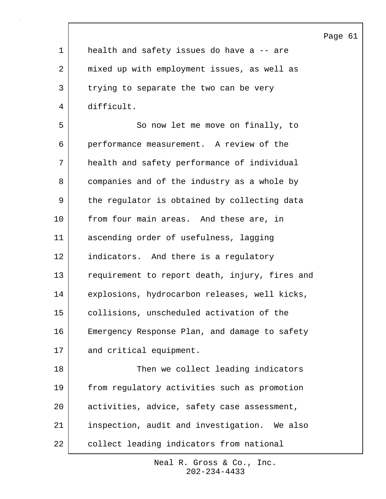|             |                                                | Page 61 |  |
|-------------|------------------------------------------------|---------|--|
| $\mathbf 1$ | health and safety issues do have a -- are      |         |  |
| 2           | mixed up with employment issues, as well as    |         |  |
| 3           | trying to separate the two can be very         |         |  |
| 4           | difficult.                                     |         |  |
| 5           | So now let me move on finally, to              |         |  |
| 6           | performance measurement. A review of the       |         |  |
| 7           | health and safety performance of individual    |         |  |
| 8           | companies and of the industry as a whole by    |         |  |
| 9           | the regulator is obtained by collecting data   |         |  |
| 10          | from four main areas. And these are, in        |         |  |
| 11          | ascending order of usefulness, lagging         |         |  |
| 12          | indicators. And there is a regulatory          |         |  |
| 13          | requirement to report death, injury, fires and |         |  |
| 14          | explosions, hydrocarbon releases, well kicks,  |         |  |
| 15          | collisions, unscheduled activation of the      |         |  |
| 16          | Emergency Response Plan, and damage to safety  |         |  |
| 17          | and critical equipment.                        |         |  |
| 18          | Then we collect leading indicators             |         |  |
| 19          | from regulatory activities such as promotion   |         |  |
| 20          | activities, advice, safety case assessment,    |         |  |
| 21          | inspection, audit and investigation. We also   |         |  |
| 22          | collect leading indicators from national       |         |  |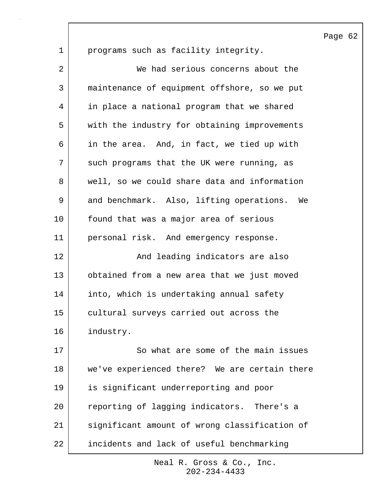1 programs such as facility integrity. 2 We had serious concerns about the 3 maintenance of equipment offshore, so we put 4 in place a national program that we shared 5 with the industry for obtaining improvements 6 in the area. And, in fact, we tied up with 7 such programs that the UK were running, as 8 well, so we could share data and information 9 and benchmark. Also, lifting operations. We 10 found that was a major area of serious 11 personal risk. And emergency response. 12 | The Mand leading indicators are also 13 obtained from a new area that we just moved 14 into, which is undertaking annual safety 15 cultural surveys carried out across the 16 industry. 17 So what are some of the main issues 18 we've experienced there? We are certain there 19 is significant underreporting and poor 20 reporting of lagging indicators. There's a 21 significant amount of wrong classification of 22 incidents and lack of useful benchmarking

> 202-234-4433 Neal R. Gross & Co., Inc.

Page 62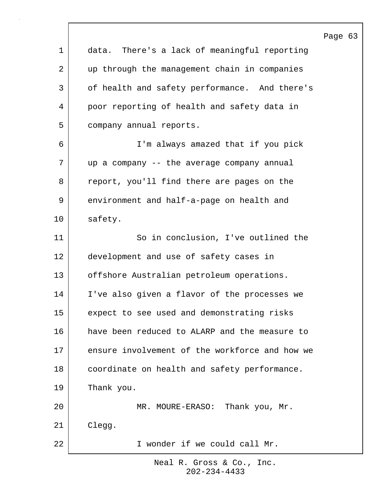|              |                                                 | Page 63 |  |
|--------------|-------------------------------------------------|---------|--|
| $\mathbf 1$  | There's a lack of meaningful reporting<br>data. |         |  |
| 2            | up through the management chain in companies    |         |  |
| $\mathsf{3}$ | of health and safety performance. And there's   |         |  |
| 4            | poor reporting of health and safety data in     |         |  |
| 5            | company annual reports.                         |         |  |
| 6            | I'm always amazed that if you pick              |         |  |
| 7            | up a company -- the average company annual      |         |  |
| 8            | report, you'll find there are pages on the      |         |  |
| 9            | environment and half-a-page on health and       |         |  |
| 10           | safety.                                         |         |  |
| 11           | So in conclusion, I've outlined the             |         |  |
| 12           | development and use of safety cases in          |         |  |
| 13           | offshore Australian petroleum operations.       |         |  |
| 14           | I've also given a flavor of the processes we    |         |  |
| 15           | expect to see used and demonstrating risks      |         |  |
| 16           | have been reduced to ALARP and the measure to   |         |  |
| 17           | ensure involvement of the workforce and how we  |         |  |
| 18           | coordinate on health and safety performance.    |         |  |
| 19           | Thank you.                                      |         |  |
| 20           | MR. MOURE-ERASO:<br>Thank you, Mr.              |         |  |
| 21           | Clegg.                                          |         |  |
| 22           | I wonder if we could call Mr.                   |         |  |

 $\Gamma$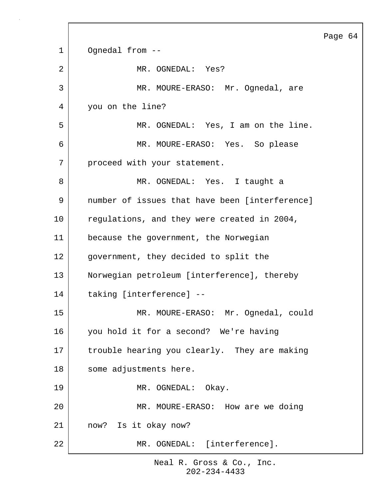|                |                                                | Page 64 |  |
|----------------|------------------------------------------------|---------|--|
| $\mathbf{1}$   | Ognedal from --                                |         |  |
| $\overline{a}$ | MR. OGNEDAL: Yes?                              |         |  |
| 3              | MR. MOURE-ERASO: Mr. Ognedal, are              |         |  |
| 4              | you on the line?                               |         |  |
| 5              | MR. OGNEDAL: Yes, I am on the line.            |         |  |
| 6              | MR. MOURE-ERASO: Yes. So please                |         |  |
| 7              | proceed with your statement.                   |         |  |
| 8              | MR. OGNEDAL: Yes. I taught a                   |         |  |
| 9              | number of issues that have been [interference] |         |  |
| 10             | regulations, and they were created in 2004,    |         |  |
| 11             | because the government, the Norwegian          |         |  |
| 12             | government, they decided to split the          |         |  |
| 13             | Norwegian petroleum [interference], thereby    |         |  |
| 14             | taking [interference] --                       |         |  |
| 15             | MOURE-ERASO: Mr. Ognedal, could<br>MR          |         |  |
| 16             | you hold it for a second? We're having         |         |  |
| 17             | trouble hearing you clearly. They are making   |         |  |
| $18\,$         | some adjustments here.                         |         |  |
| 19             | MR. OGNEDAL: Okay.                             |         |  |
| 20             | MR. MOURE-ERASO: How are we doing              |         |  |
| 21             | now? Is it okay now?                           |         |  |
| 22             | MR. OGNEDAL: [interference].                   |         |  |

 $\mathsf{l}$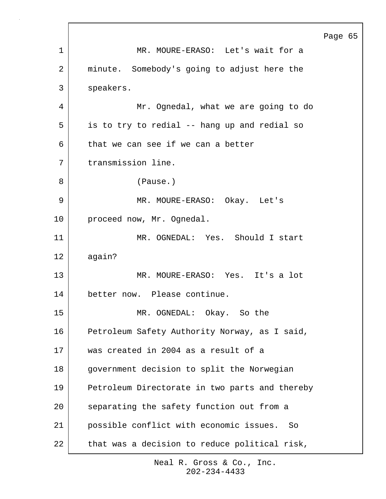Page 65 1 MR. MOURE-ERASO: Let's wait for a 2 | minute. Somebody's going to adjust here the 3 speakers. 4 Mr. Ognedal, what we are going to do 5 | is to try to redial -- hang up and redial so 6 that we can see if we can a better 7 transmission line. 8 (Pause.) 9 MR. MOURE-ERASO: Okay. Let's 10 proceed now, Mr. Ognedal. 11 MR. OGNEDAL: Yes. Should I start 12 again? 13 MR. MOURE-ERASO: Yes. It's a lot 14 better now. Please continue. 15 MR. OGNEDAL: Okay. So the 16 Petroleum Safety Authority Norway, as I said, 17 was created in 2004 as a result of a 18 government decision to split the Norwegian 19 Petroleum Directorate in two parts and thereby 20 separating the safety function out from a 21 possible conflict with economic issues. So  $22$  that was a decision to reduce political risk,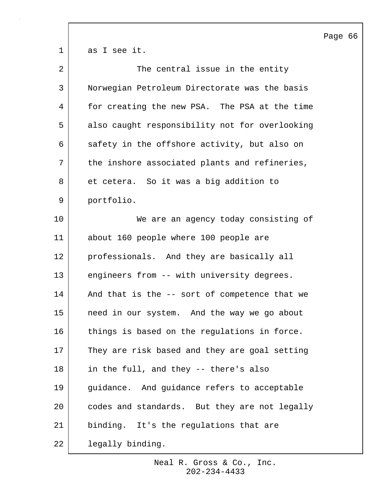1 as I see it. 2 The central issue in the entity 3 Norwegian Petroleum Directorate was the basis 4 for creating the new PSA. The PSA at the time 5 also caught responsibility not for overlooking 6 safety in the offshore activity, but also on 7 | the inshore associated plants and refineries, 8 et cetera. So it was a big addition to 9 portfolio. 10 We are an agency today consisting of 11 about 160 people where 100 people are 12 professionals. And they are basically all 13 engineers from -- with university degrees. 14 | And that is the -- sort of competence that we 15 need in our system. And the way we go about 16 things is based on the regulations in force. 17 They are risk based and they are goal setting 18 in the full, and they -- there's also 19 guidance. And guidance refers to acceptable 20 codes and standards. But they are not legally 21 binding. It's the regulations that are 22 legally binding.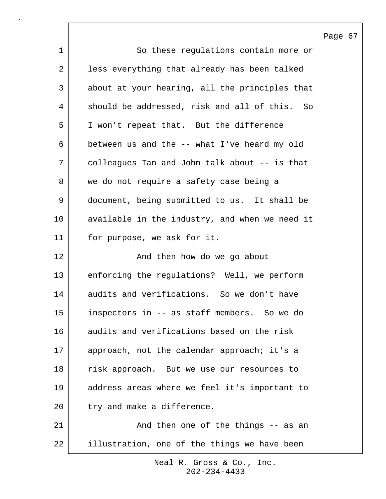|                |                                                | Page 67 |  |
|----------------|------------------------------------------------|---------|--|
| $\mathbf{1}$   | So these regulations contain more or           |         |  |
| $\overline{2}$ | less everything that already has been talked   |         |  |
| 3              | about at your hearing, all the principles that |         |  |
| 4              | should be addressed, risk and all of this. So  |         |  |
| 5              | I won't repeat that. But the difference        |         |  |
| 6              | between us and the -- what I've heard my old   |         |  |
| 7              | colleagues Ian and John talk about -- is that  |         |  |
| 8              | we do not require a safety case being a        |         |  |
| 9              | document, being submitted to us. It shall be   |         |  |
| 10             | available in the industry, and when we need it |         |  |
| 11             | for purpose, we ask for it.                    |         |  |
| 12             | And then how do we go about                    |         |  |
| 13             | enforcing the regulations? Well, we perform    |         |  |
| 14             | audits and verifications. So we don't have     |         |  |
| 15             | inspectors in -- as staff members. So we do    |         |  |
| 16             | audits and verifications based on the risk     |         |  |
| 17             | approach, not the calendar approach; it's a    |         |  |
| 18             | risk approach. But we use our resources to     |         |  |
| 19             | address areas where we feel it's important to  |         |  |
| 20             | try and make a difference.                     |         |  |
| 21             | And then one of the things -- as an            |         |  |
| 22             | illustration, one of the things we have been   |         |  |

 $\Gamma$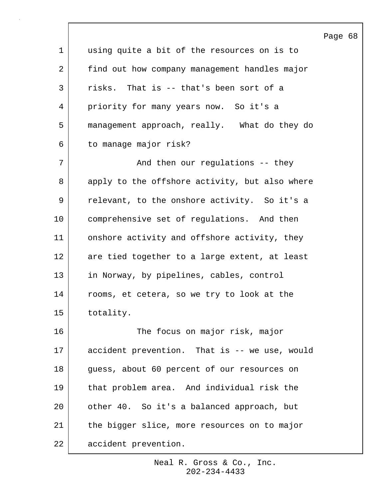|                 |                                                | Page 68 |  |
|-----------------|------------------------------------------------|---------|--|
| $\mathbf 1$     | using quite a bit of the resources on is to    |         |  |
| 2               | find out how company management handles major  |         |  |
| 3               | risks. That is -- that's been sort of a        |         |  |
| 4               | priority for many years now. So it's a         |         |  |
| 5               | management approach, really. What do they do   |         |  |
| 6               | to manage major risk?                          |         |  |
| 7               | And then our regulations -- they               |         |  |
| 8               | apply to the offshore activity, but also where |         |  |
| 9               | relevant, to the onshore activity. So it's a   |         |  |
| 10              | comprehensive set of regulations. And then     |         |  |
| 11              | onshore activity and offshore activity, they   |         |  |
| 12              | are tied together to a large extent, at least  |         |  |
| 13              | in Norway, by pipelines, cables, control       |         |  |
| 14              | rooms, et cetera, so we try to look at the     |         |  |
| 15 <sub>1</sub> | totality.                                      |         |  |
| 16              | The focus on major risk, major                 |         |  |
| 17              | accident prevention. That is -- we use, would  |         |  |
| 18              | guess, about 60 percent of our resources on    |         |  |
| 19              | that problem area. And individual risk the     |         |  |
| 20              | other 40. So it's a balanced approach, but     |         |  |
| 21              | the bigger slice, more resources on to major   |         |  |
| 22              | accident prevention.                           |         |  |

 $\Gamma$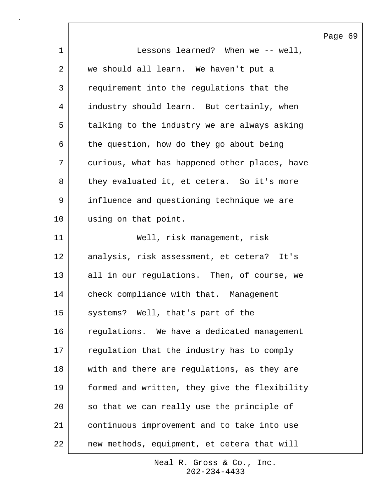|                |                                               | Page |
|----------------|-----------------------------------------------|------|
| $\mathbf 1$    | Lessons learned? When we -- well,             |      |
| $\overline{2}$ | we should all learn. We haven't put a         |      |
| 3              | requirement into the regulations that the     |      |
| 4              | industry should learn. But certainly, when    |      |
| 5              | talking to the industry we are always asking  |      |
| 6              | the question, how do they go about being      |      |
| 7              | curious, what has happened other places, have |      |
| 8              | they evaluated it, et cetera. So it's more    |      |
| 9              | influence and questioning technique we are    |      |
| 10             | using on that point.                          |      |
| 11             | Well, risk management, risk                   |      |
| 12             | analysis, risk assessment, et cetera?<br>It's |      |
| 13             | all in our regulations. Then, of course, we   |      |
| 14             | check compliance with that. Management        |      |
| 15             | systems? Well, that's part of the             |      |
| 16             | regulations. We have a dedicated management   |      |
| 17             | regulation that the industry has to comply    |      |
| 18             | with and there are regulations, as they are   |      |
| 19             | formed and written, they give the flexibility |      |
| 20             | so that we can really use the principle of    |      |
| 21             | continuous improvement and to take into use   |      |
| 22             | new methods, equipment, et cetera that will   |      |

 $\lceil$ 

69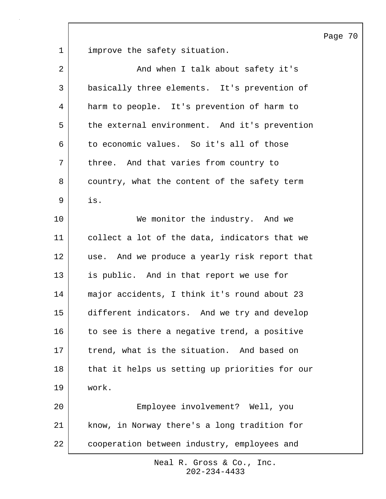Page 70

1 improve the safety situation.

| $\overline{a}$ | And when I talk about safety it's              |
|----------------|------------------------------------------------|
| 3              | basically three elements. It's prevention of   |
| 4              | harm to people. It's prevention of harm to     |
| 5              | the external environment. And it's prevention  |
| 6              | to economic values. So it's all of those       |
| 7              | three. And that varies from country to         |
| 8              | country, what the content of the safety term   |
| 9              | is.                                            |
| 10             | We monitor the industry. And we                |
| 11             | collect a lot of the data, indicators that we  |
| 12             | use. And we produce a yearly risk report that  |
| 13             | is public. And in that report we use for       |
| 14             | major accidents, I think it's round about 23   |
| 15             | different indicators. And we try and develop   |
| 16             | to see is there a negative trend, a positive   |
| 17             | trend, what is the situation. And based on     |
| 18             | that it helps us setting up priorities for our |
| 19             | work.                                          |
| 20             | Employee involvement? Well, you                |
| 21             | know, in Norway there's a long tradition for   |
| 22             | cooperation between industry, employees and    |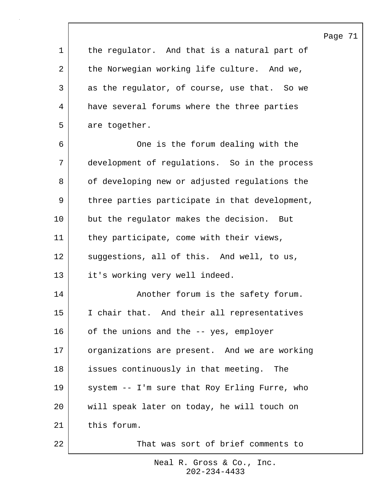Page 71

1 the regulator. And that is a natural part of 2 the Norwegian working life culture. And we, 3 as the regulator, of course, use that. So we 4 have several forums where the three parties 5 are together.

6 One is the forum dealing with the 7 development of regulations. So in the process 8 of developing new or adjusted regulations the 9 | three parties participate in that development, 10 but the regulator makes the decision. But 11 they participate, come with their views, 12 suggestions, all of this. And well, to us, 13 it's working very well indeed. 14 Another forum is the safety forum. 15 I chair that. And their all representatives 16 of the unions and the -- yes, employer 17 organizations are present. And we are working 18 issues continuously in that meeting. The 19 | system -- I'm sure that Roy Erling Furre, who 20 will speak later on today, he will touch on 21 this forum. 22 That was sort of brief comments to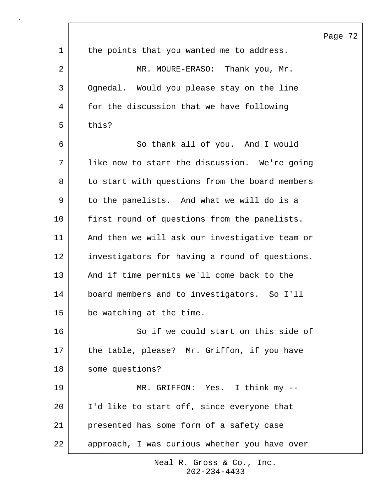|              |                                                | Page 72 |  |
|--------------|------------------------------------------------|---------|--|
| $\mathbf{1}$ | the points that you wanted me to address.      |         |  |
| 2            | MR. MOURE-ERASO: Thank you, Mr.                |         |  |
| 3            | Ognedal. Would you please stay on the line     |         |  |
| 4            | for the discussion that we have following      |         |  |
| 5            | this?                                          |         |  |
| 6            | So thank all of you. And I would               |         |  |
| 7            | like now to start the discussion. We're going  |         |  |
| 8            | to start with questions from the board members |         |  |
| 9            | to the panelists. And what we will do is a     |         |  |
| 10           | first round of questions from the panelists.   |         |  |
| 11           | And then we will ask our investigative team or |         |  |
| 12           | investigators for having a round of questions. |         |  |
| 13           | And if time permits we'll come back to the     |         |  |
| 14           | board members and to investigators. So I'll    |         |  |
| 15           | be watching at the time.                       |         |  |
| 16           | So if we could start on this side of           |         |  |
| 17           | the table, please? Mr. Griffon, if you have    |         |  |
| 18           | some questions?                                |         |  |
| 19           | MR. GRIFFON: Yes. I think my --                |         |  |
| 20           | I'd like to start off, since everyone that     |         |  |
| 21           | presented has some form of a safety case       |         |  |
| 22           | approach, I was curious whether you have over  |         |  |

 $\Gamma$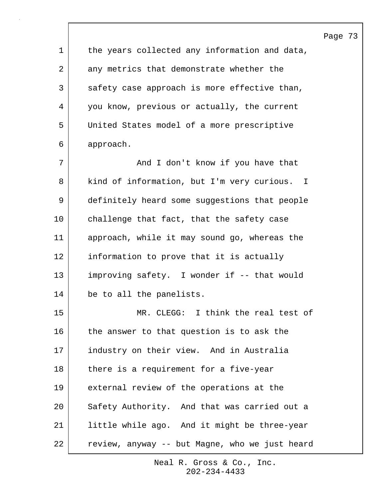1 | the years collected any information and data, 2 | any metrics that demonstrate whether the 3 safety case approach is more effective than, 4 you know, previous or actually, the current 5 United States model of a more prescriptive 6 approach. 7 | The Mand I don't know if you have that 8 kind of information, but I'm very curious. I 9 definitely heard some suggestions that people 10 challenge that fact, that the safety case 11 approach, while it may sound go, whereas the 12 information to prove that it is actually 13 improving safety. I wonder if -- that would 14 be to all the panelists. 15 MR. CLEGG: I think the real test of 16 the answer to that question is to ask the 17 industry on their view. And in Australia 18 there is a requirement for a five-year 19 external review of the operations at the 20 Safety Authority. And that was carried out a 21 little while ago. And it might be three-year 22 | review, anyway -- but Magne, who we just heard

Page 73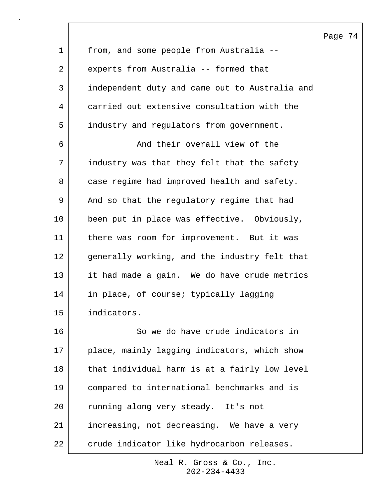1 from, and some people from Australia -- 2 experts from Australia -- formed that 3 independent duty and came out to Australia and 4 carried out extensive consultation with the 5 industry and regulators from government. 6 and their overall view of the 7 industry was that they felt that the safety 8 case regime had improved health and safety. 9 | And so that the regulatory regime that had 10 been put in place was effective. Obviously, 11 there was room for improvement. But it was 12 generally working, and the industry felt that 13 it had made a gain. We do have crude metrics 14 in place, of course; typically lagging 15 indicators. 16 So we do have crude indicators in 17 place, mainly lagging indicators, which show 18 | that individual harm is at a fairly low level 19 compared to international benchmarks and is 20 | running along very steady. It's not 21 increasing, not decreasing. We have a very 22 crude indicator like hydrocarbon releases.

> 202-234-4433 Neal R. Gross & Co., Inc.

Page 74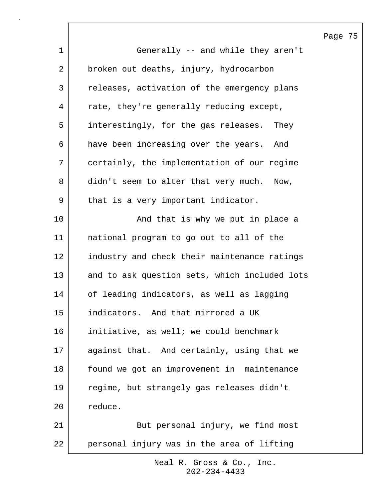Page 75 1 Generally -- and while they aren't 2 broken out deaths, injury, hydrocarbon 3 releases, activation of the emergency plans 4 | rate, they're generally reducing except, 5 interestingly, for the gas releases. They 6 have been increasing over the years. And 7 certainly, the implementation of our regime 8 didn't seem to alter that very much. Now, 9 | that is a very important indicator. 10 | The South Chat is why we put in place a 11 national program to go out to all of the 12 industry and check their maintenance ratings 13 and to ask question sets, which included lots 14 of leading indicators, as well as lagging 15 indicators. And that mirrored a UK 16 initiative, as well; we could benchmark 17 aqainst that. And certainly, using that we 18 | found we got an improvement in maintenance 19 regime, but strangely gas releases didn't 20 reduce. 21 | But personal injury, we find most 22 personal injury was in the area of lifting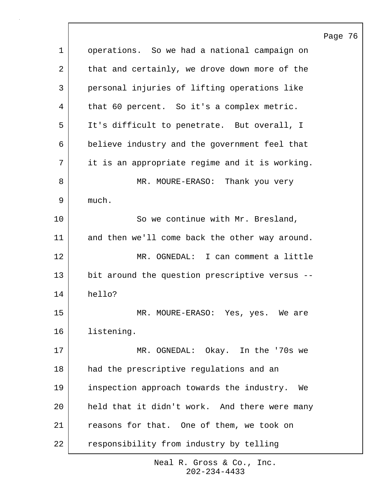Page 76 1 operations. So we had a national campaign on 2 that and certainly, we drove down more of the 3 personal injuries of lifting operations like 4 | that 60 percent. So it's a complex metric. 5 It's difficult to penetrate. But overall, I 6 believe industry and the government feel that 7 it is an appropriate regime and it is working. 8 MR. MOURE-ERASO: Thank you very 9 much. 10 So we continue with Mr. Bresland, 11 and then we'll come back the other way around. 12 | MR. OGNEDAL: I can comment a little 13 bit around the question prescriptive versus --14 hello? 15 | MR. MOURE-ERASO: Yes, yes. We are 16 listening. 17 | MR. OGNEDAL: Okay. In the '70s we 18 had the prescriptive regulations and an 19 inspection approach towards the industry. We 20 held that it didn't work. And there were many 21 reasons for that. One of them, we took on 22 responsibility from industry by telling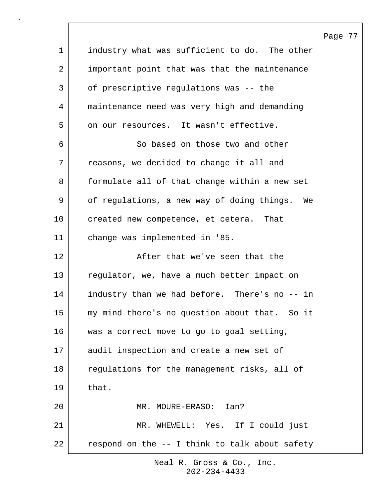|             |                                                | Page 77 |  |
|-------------|------------------------------------------------|---------|--|
| $\mathbf 1$ | industry what was sufficient to do. The other  |         |  |
| 2           | important point that was that the maintenance  |         |  |
| 3           | of prescriptive regulations was -- the         |         |  |
| 4           | maintenance need was very high and demanding   |         |  |
| 5           | on our resources. It wasn't effective.         |         |  |
| 6           | So based on those two and other                |         |  |
| 7           | reasons, we decided to change it all and       |         |  |
| 8           | formulate all of that change within a new set  |         |  |
| 9           | of regulations, a new way of doing things. We  |         |  |
| 10          | created new competence, et cetera.<br>That     |         |  |
| 11          | change was implemented in '85.                 |         |  |
| 12          | After that we've seen that the                 |         |  |
| 13          | regulator, we, have a much better impact on    |         |  |
| 14          | industry than we had before. There's no -- in  |         |  |
| 15          | my mind there's no question about that. So it  |         |  |
| 16          | was a correct move to go to goal setting,      |         |  |
| 17          | audit inspection and create a new set of       |         |  |
| 18          | regulations for the management risks, all of   |         |  |
| 19          | that.                                          |         |  |
| 20          | MR. MOURE-ERASO:<br>Ian?                       |         |  |
| 21          | MR. WHEWELL: Yes. If I could just              |         |  |
| 22          | respond on the -- I think to talk about safety |         |  |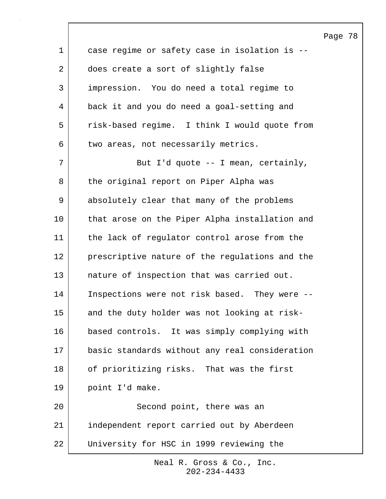Page 78 1 case regime or safety case in isolation is --2 does create a sort of slightly false 3 impression. You do need a total regime to 4 back it and you do need a goal-setting and 5 | risk-based regime. I think I would quote from 6 two areas, not necessarily metrics. 7 | But I'd quote -- I mean, certainly, 8 the original report on Piper Alpha was 9 absolutely clear that many of the problems 10 that arose on the Piper Alpha installation and 11 the lack of regulator control arose from the 12 prescriptive nature of the regulations and the 13 nature of inspection that was carried out. 14 Inspections were not risk based. They were --15 and the duty holder was not looking at risk-16 based controls. It was simply complying with 17 basic standards without any real consideration 18 of prioritizing risks. That was the first 19 point I'd make. 20 Second point, there was an 21 independent report carried out by Aberdeen 22 University for HSC in 1999 reviewing the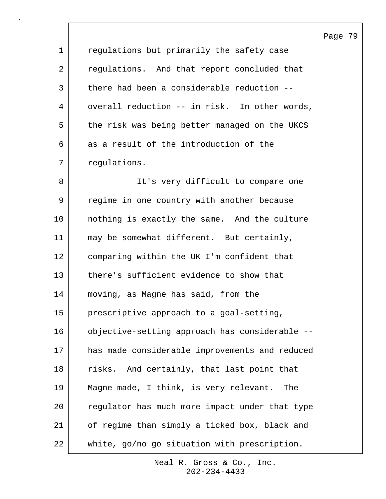| $\mathbf 1$ | regulations but primarily the safety case      |
|-------------|------------------------------------------------|
| 2           | regulations. And that report concluded that    |
| 3           | there had been a considerable reduction --     |
| 4           | overall reduction -- in risk. In other words,  |
| 5           | the risk was being better managed on the UKCS  |
| 6           | as a result of the introduction of the         |
| 7           | regulations.                                   |
| 8           | It's very difficult to compare one             |
| 9           | regime in one country with another because     |
| 10          | nothing is exactly the same. And the culture   |
| 11          | may be somewhat different. But certainly,      |
| 12          | comparing within the UK I'm confident that     |
| 13          | there's sufficient evidence to show that       |
| 14          | moving, as Magne has said, from the            |
| 15          | prescriptive approach to a goal-setting,       |
| 16          | objective-setting approach has considerable -- |
| 17          | has made considerable improvements and reduced |
| 18          | risks. And certainly, that last point that     |
| 19          | Magne made, I think, is very relevant. The     |
| 20          | regulator has much more impact under that type |
| 21          | of regime than simply a ticked box, black and  |
| 22          | white, go/no go situation with prescription.   |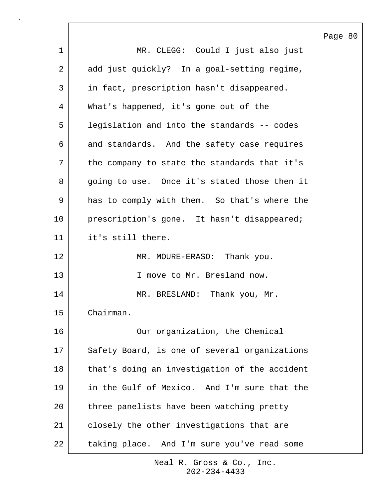|                |                                               | Page 80 |  |
|----------------|-----------------------------------------------|---------|--|
| $\mathbf 1$    | MR. CLEGG: Could I just also just             |         |  |
| $\overline{2}$ | add just quickly? In a goal-setting regime,   |         |  |
| 3              | in fact, prescription hasn't disappeared.     |         |  |
| 4              | What's happened, it's gone out of the         |         |  |
| 5              | legislation and into the standards -- codes   |         |  |
| 6              | and standards. And the safety case requires   |         |  |
| 7              | the company to state the standards that it's  |         |  |
| 8              | going to use. Once it's stated those then it  |         |  |
| 9              | has to comply with them. So that's where the  |         |  |
| 10             | prescription's gone. It hasn't disappeared;   |         |  |
| 11             | it's still there.                             |         |  |
| 12             | MR. MOURE-ERASO: Thank you.                   |         |  |
| 13             | I move to Mr. Bresland now.                   |         |  |
| 14             | MR. BRESLAND: Thank you, Mr.                  |         |  |
| 15             | Chairman.                                     |         |  |
| 16             | Our organization, the Chemical                |         |  |
| 17             | Safety Board, is one of several organizations |         |  |
| 18             | that's doing an investigation of the accident |         |  |
| 19             | in the Gulf of Mexico. And I'm sure that the  |         |  |
| 20             | three panelists have been watching pretty     |         |  |
| 21             | closely the other investigations that are     |         |  |
| 22             | taking place. And I'm sure you've read some   |         |  |

 $\lceil$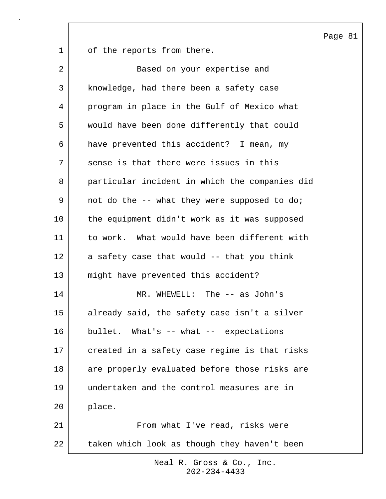Page 81

1 of the reports from there.

| 2  | Based on your expertise and                    |
|----|------------------------------------------------|
| 3  | knowledge, had there been a safety case        |
| 4  | program in place in the Gulf of Mexico what    |
| 5  | would have been done differently that could    |
| 6  | have prevented this accident? I mean, my       |
| 7  | sense is that there were issues in this        |
| 8  | particular incident in which the companies did |
| 9  | not do the -- what they were supposed to do;   |
| 10 | the equipment didn't work as it was supposed   |
| 11 | to work. What would have been different with   |
| 12 | a safety case that would -- that you think     |
| 13 | might have prevented this accident?            |
| 14 | MR. WHEWELL: The -- as John's                  |
| 15 | already said, the safety case isn't a silver   |
| 16 | bullet. What's -- what -- expectations         |
| 17 | created in a safety case regime is that risks  |
| 18 | are properly evaluated before those risks are  |
| 19 | undertaken and the control measures are in     |
| 20 | place.                                         |
| 21 | From what I've read, risks were                |
| 22 | taken which look as though they haven't been   |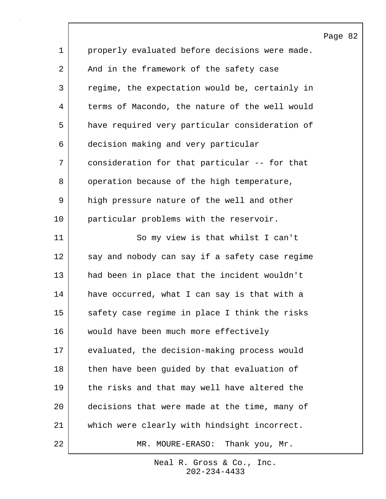| 1  | properly evaluated before decisions were made. |
|----|------------------------------------------------|
| 2  | And in the framework of the safety case        |
| 3  | regime, the expectation would be, certainly in |
| 4  | terms of Macondo, the nature of the well would |
| 5  | have required very particular consideration of |
| 6  | decision making and very particular            |
| 7  | consideration for that particular -- for that  |
| 8  | operation because of the high temperature,     |
| 9  | high pressure nature of the well and other     |
| 10 | particular problems with the reservoir.        |
| 11 | So my view is that whilst I can't              |
| 12 | say and nobody can say if a safety case regime |
| 13 | had been in place that the incident wouldn't   |
| 14 | have occurred, what I can say is that with a   |
| 15 | safety case regime in place I think the risks  |
| 16 | would have been much more effectively          |
| 17 | evaluated, the decision-making process would   |
| 18 | then have been guided by that evaluation of    |
| 19 | the risks and that may well have altered the   |
| 20 | decisions that were made at the time, many of  |
| 21 | which were clearly with hindsight incorrect.   |
| 22 | MOURE-ERASO: Thank you, Mr.<br>$MR$ .          |

 $\mathsf{l}$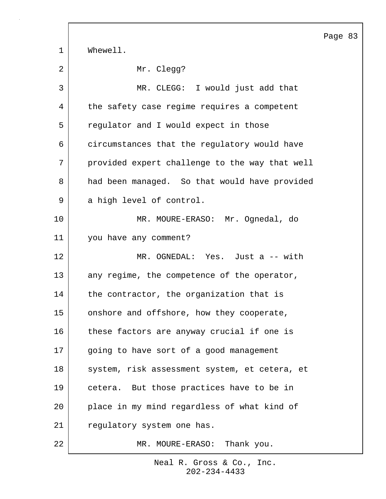Page 83 1 Whewell. 2 Mr. Clegg? 3 MR. CLEGG: I would just add that 4 the safety case regime requires a competent 5 regulator and I would expect in those 6 circumstances that the regulatory would have 7 provided expert challenge to the way that well 8 had been managed. So that would have provided 9 a high level of control. 10 MR. MOURE-ERASO: Mr. Ognedal, do 11 you have any comment? 12 MR. OGNEDAL: Yes. Just a -- with 13 any regime, the competence of the operator, 14 the contractor, the organization that is 15 onshore and offshore, how they cooperate, 16 these factors are anyway crucial if one is 17 | going to have sort of a good management 18 system, risk assessment system, et cetera, et 19 cetera. But those practices have to be in 20 place in my mind regardless of what kind of 21 | regulatory system one has. 22 MR. MOURE-ERASO: Thank you.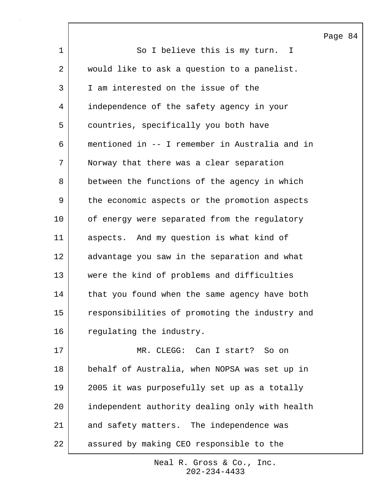Page 84 1 So I believe this is my turn. I 2 | would like to ask a question to a panelist. 3 I am interested on the issue of the 4 independence of the safety agency in your 5 countries, specifically you both have 6 mentioned in -- I remember in Australia and in 7 Norway that there was a clear separation 8 between the functions of the agency in which 9 | the economic aspects or the promotion aspects 10 of energy were separated from the regulatory 11 aspects. And my question is what kind of 12 advantage you saw in the separation and what 13 were the kind of problems and difficulties 14 that you found when the same agency have both 15 responsibilities of promoting the industry and 16 regulating the industry. 17 MR. CLEGG: Can I start? So on 18 behalf of Australia, when NOPSA was set up in 19 2005 it was purposefully set up as a totally 20 independent authority dealing only with health 21 and safety matters. The independence was 22 assured by making CEO responsible to the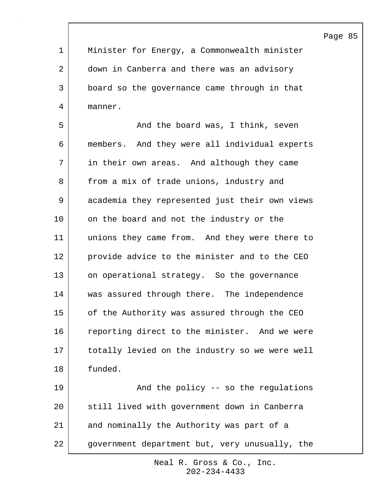Page 85 1 Minister for Energy, a Commonwealth minister 2 down in Canberra and there was an advisory 3 board so the governance came through in that 4 manner. 5 | Think, seven and the board was, I think, seven 6 members. And they were all individual experts 7 in their own areas. And although they came 8 from a mix of trade unions, industry and 9 academia they represented just their own views 10 on the board and not the industry or the 11 unions they came from. And they were there to 12 provide advice to the minister and to the CEO 13 on operational strategy. So the governance 14 was assured through there. The independence 15 of the Authority was assured through the CEO 16 reporting direct to the minister. And we were 17 totally levied on the industry so we were well 18 funded. 19 | The policy -- so the regulations 20 still lived with government down in Canberra 21 and nominally the Authority was part of a 22 government department but, very unusually, the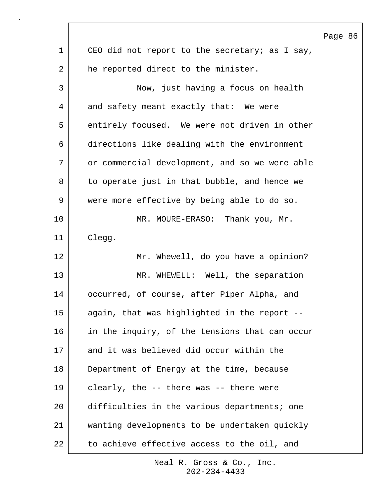Page 86 1 | CEO did not report to the secretary; as I say, 2 he reported direct to the minister. 3 Now, just having a focus on health 4 and safety meant exactly that: We were 5 entirely focused. We were not driven in other 6 directions like dealing with the environment 7 | or commercial development, and so we were able 8 to operate just in that bubble, and hence we 9 were more effective by being able to do so. 10 MR. MOURE-ERASO: Thank you, Mr. 11 Clegg. 12 Mr. Whewell, do you have a opinion? 13 NR. WHEWELL: Well, the separation 14 occurred, of course, after Piper Alpha, and 15 again, that was highlighted in the report -- 16 in the inquiry, of the tensions that can occur 17 and it was believed did occur within the 18 Department of Energy at the time, because 19 clearly, the -- there was -- there were 20 difficulties in the various departments; one 21 wanting developments to be undertaken quickly 22 to achieve effective access to the oil, and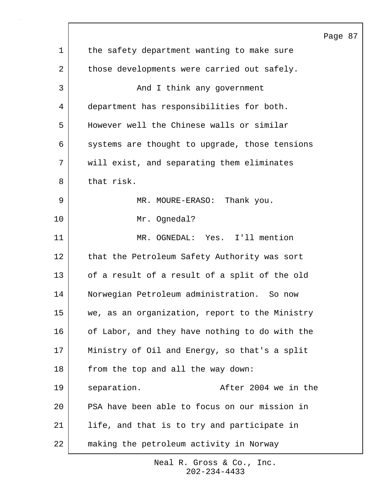|              |                                                | Page 87 |  |
|--------------|------------------------------------------------|---------|--|
| $\mathbf{1}$ | the safety department wanting to make sure     |         |  |
| 2            | those developments were carried out safely.    |         |  |
| 3            | And I think any government                     |         |  |
| 4            | department has responsibilities for both.      |         |  |
| 5            | However well the Chinese walls or similar      |         |  |
| 6            | systems are thought to upgrade, those tensions |         |  |
| 7            | will exist, and separating them eliminates     |         |  |
| 8            | that risk.                                     |         |  |
| 9            | Thank you.<br>MR. MOURE-ERASO:                 |         |  |
| 10           | Mr. Ognedal?                                   |         |  |
| 11           | MR. OGNEDAL: Yes. I'll mention                 |         |  |
| 12           | that the Petroleum Safety Authority was sort   |         |  |
| 13           | of a result of a result of a split of the old  |         |  |
| 14           | Norwegian Petroleum administration. So now     |         |  |
| 15           | we, as an organization, report to the Ministry |         |  |
| 16           | of Labor, and they have nothing to do with the |         |  |
| 17           | Ministry of Oil and Energy, so that's a split  |         |  |
| 18           | from the top and all the way down:             |         |  |
| 19           | After 2004 we in the<br>separation.            |         |  |
| 20           | PSA have been able to focus on our mission in  |         |  |
| 21           | life, and that is to try and participate in    |         |  |
| 22           | making the petroleum activity in Norway        |         |  |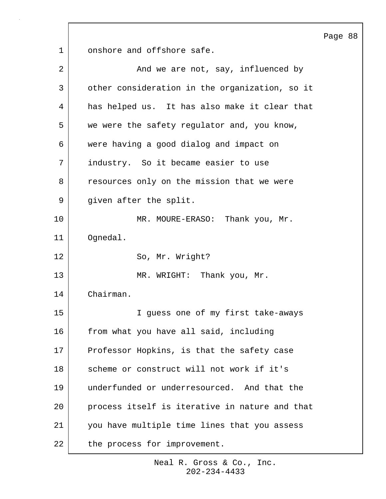Page 88

1 onshore and offshore safe.

| $\overline{2}$ | And we are not, say, influenced by             |
|----------------|------------------------------------------------|
| 3              | other consideration in the organization, so it |
| 4              | has helped us. It has also make it clear that  |
| 5              | we were the safety regulator and, you know,    |
| 6              | were having a good dialog and impact on        |
| 7              | industry. So it became easier to use           |
| 8              | resources only on the mission that we were     |
| 9              | given after the split.                         |
| 10             | MR. MOURE-ERASO: Thank you, Mr.                |
| 11             | Ognedal.                                       |
| 12             | So, Mr. Wright?                                |
| 13             | MR. WRIGHT: Thank you, Mr.                     |
| 14             | Chairman.                                      |
| 15             | I guess one of my first take-aways             |
| 16             | from what you have all said, including         |
| 17             | Professor Hopkins, is that the safety case     |
| 18             | scheme or construct will not work if it's      |
| 19             | underfunded or underresourced. And that the    |
| 20             | process itself is iterative in nature and that |
| 21             | you have multiple time lines that you assess   |
| 22             | the process for improvement.                   |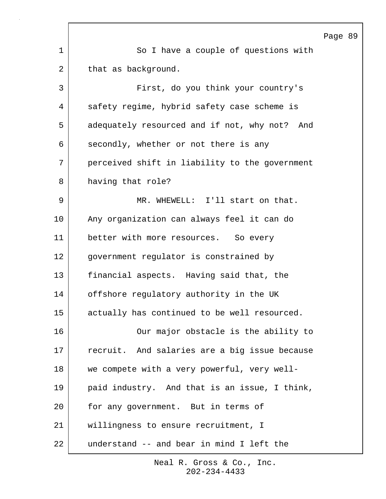|    |                                                | Page 89 |  |
|----|------------------------------------------------|---------|--|
| 1  | So I have a couple of questions with           |         |  |
| 2  | that as background.                            |         |  |
| 3  | First, do you think your country's             |         |  |
| 4  | safety regime, hybrid safety case scheme is    |         |  |
| 5  | adequately resourced and if not, why not? And  |         |  |
| 6  | secondly, whether or not there is any          |         |  |
| 7  | perceived shift in liability to the government |         |  |
| 8  | having that role?                              |         |  |
| 9  | MR. WHEWELL: I'll start on that.               |         |  |
| 10 | Any organization can always feel it can do     |         |  |
| 11 | better with more resources. So every           |         |  |
| 12 | government regulator is constrained by         |         |  |
| 13 | financial aspects. Having said that, the       |         |  |
| 14 | offshore regulatory authority in the UK        |         |  |
| 15 | actually has continued to be well resourced.   |         |  |
| 16 | Our major obstacle is the ability to           |         |  |
| 17 | recruit. And salaries are a big issue because  |         |  |
| 18 | we compete with a very powerful, very well-    |         |  |
| 19 | paid industry. And that is an issue, I think,  |         |  |
| 20 | for any government. But in terms of            |         |  |
| 21 | willingness to ensure recruitment, I           |         |  |
| 22 | understand -- and bear in mind I left the      |         |  |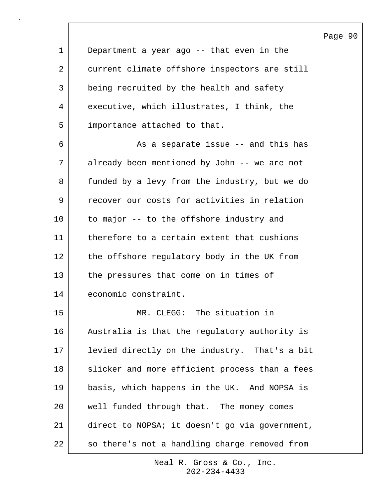1 Department a year ago -- that even in the 2 current climate offshore inspectors are still 3 being recruited by the health and safety 4 executive, which illustrates, I think, the 5 importance attached to that. 6 **As a separate issue -- and this has** 7 already been mentioned by John -- we are not 8 funded by a levy from the industry, but we do 9 recover our costs for activities in relation 10 to major -- to the offshore industry and 11 therefore to a certain extent that cushions 12 the offshore regulatory body in the UK from 13 the pressures that come on in times of 14 economic constraint. 15 MR. CLEGG: The situation in 16 | Australia is that the regulatory authority is 17 levied directly on the industry. That's a bit 18 | slicker and more efficient process than a fees 19 basis, which happens in the UK. And NOPSA is

20 well funded through that. The money comes 21 direct to NOPSA; it doesn't go via government, 22 so there's not a handling charge removed from

> 202-234-4433 Neal R. Gross & Co., Inc.

## Page 90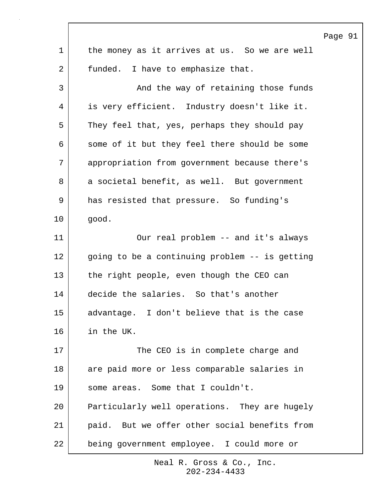|             |                                                | Page |
|-------------|------------------------------------------------|------|
| $\mathbf 1$ | the money as it arrives at us. So we are well  |      |
| 2           | funded. I have to emphasize that.              |      |
| 3           | And the way of retaining those funds           |      |
| 4           | is very efficient. Industry doesn't like it.   |      |
| 5           | They feel that, yes, perhaps they should pay   |      |
| 6           | some of it but they feel there should be some  |      |
| 7           | appropriation from government because there's  |      |
| 8           | a societal benefit, as well. But government    |      |
| 9           | has resisted that pressure. So funding's       |      |
| 10          | good.                                          |      |
| 11          | Our real problem -- and it's always            |      |
| 12          | going to be a continuing problem -- is getting |      |
| 13          | the right people, even though the CEO can      |      |
| 14          | decide the salaries. So that's another         |      |
| 15          | advantage. I don't believe that is the case    |      |
| 16          | in the UK.                                     |      |
| 17          | The CEO is in complete charge and              |      |
| 18          | are paid more or less comparable salaries in   |      |
| 19          | some areas. Some that I couldn't.              |      |
| 20          | Particularly well operations. They are hugely  |      |
| 21          | paid. But we offer other social benefits from  |      |
| 22          | being government employee. I could more or     |      |

 $\sqrt{ }$ 

91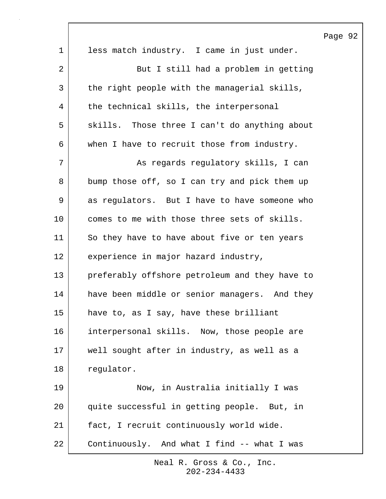|             |                                                | Page 92 |  |
|-------------|------------------------------------------------|---------|--|
| $\mathbf 1$ | less match industry. I came in just under.     |         |  |
| 2           | But I still had a problem in getting           |         |  |
| 3           | the right people with the managerial skills,   |         |  |
| 4           | the technical skills, the interpersonal        |         |  |
| 5           | skills. Those three I can't do anything about  |         |  |
| 6           | when I have to recruit those from industry.    |         |  |
| 7           | As regards regulatory skills, I can            |         |  |
| 8           | bump those off, so I can try and pick them up  |         |  |
| 9           | as regulators. But I have to have someone who  |         |  |
| 10          | comes to me with those three sets of skills.   |         |  |
| 11          | So they have to have about five or ten years   |         |  |
| 12          | experience in major hazard industry,           |         |  |
| 13          | preferably offshore petroleum and they have to |         |  |
| 14          | have been middle or senior managers. And they  |         |  |
| 15          | have to, as I say, have these brilliant        |         |  |
| 16          | interpersonal skills. Now, those people are    |         |  |
| 17          | well sought after in industry, as well as a    |         |  |
| 18          | regulator.                                     |         |  |
| 19          | Now, in Australia initially I was              |         |  |
| 20          | quite successful in getting people. But, in    |         |  |
| 21          | fact, I recruit continuously world wide.       |         |  |
| 22          | Continuously. And what I find -- what I was    |         |  |

 $\sqrt{ }$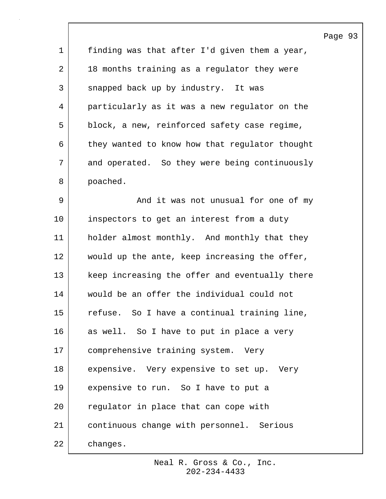| 1  | finding was that after I'd given them a year,  |
|----|------------------------------------------------|
| 2  | 18 months training as a regulator they were    |
| 3  | snapped back up by industry. It was            |
| 4  | particularly as it was a new regulator on the  |
| 5  | block, a new, reinforced safety case regime,   |
| 6  | they wanted to know how that regulator thought |
| 7  | and operated. So they were being continuously  |
| 8  | poached.                                       |
| 9  | And it was not unusual for one of my           |
| 10 | inspectors to get an interest from a duty      |
| 11 | holder almost monthly. And monthly that they   |
| 12 | would up the ante, keep increasing the offer,  |
| 13 | keep increasing the offer and eventually there |
| 14 | would be an offer the individual could not     |
| 15 | refuse. So I have a continual training line,   |
| 16 | as well. So I have to put in place a very      |
| 17 | comprehensive training system. Very            |
| 18 | expensive. Very expensive to set up. Very      |
| 19 | expensive to run. So I have to put a           |
| 20 | regulator in place that can cope with          |
| 21 | continuous change with personnel. Serious      |
| 22 | changes.                                       |

Page 93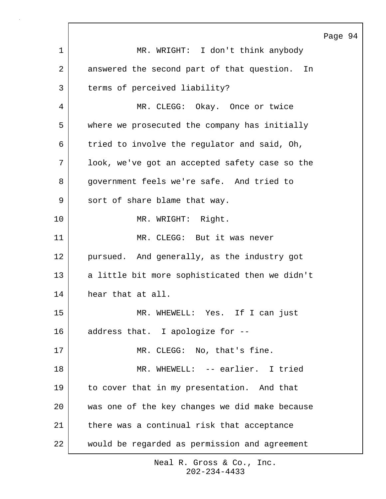|                |                                                  | Page 94 |  |
|----------------|--------------------------------------------------|---------|--|
| $\mathbf{1}$   | MR. WRIGHT: I don't think anybody                |         |  |
| $\overline{2}$ | answered the second part of that question.<br>In |         |  |
| 3              | terms of perceived liability?                    |         |  |
| 4              | MR. CLEGG: Okay. Once or twice                   |         |  |
| 5              | where we prosecuted the company has initially    |         |  |
| 6              | tried to involve the regulator and said, Oh,     |         |  |
| 7              | look, we've got an accepted safety case so the   |         |  |
| 8              | government feels we're safe. And tried to        |         |  |
| 9              | sort of share blame that way.                    |         |  |
| 10             | MR. WRIGHT: Right.                               |         |  |
| 11             | MR. CLEGG: But it was never                      |         |  |
| 12             | pursued. And generally, as the industry got      |         |  |
| 13             | a little bit more sophisticated then we didn't   |         |  |
| 14             | hear that at all.                                |         |  |
| 15             | MR. WHEWELL: Yes. If I can just                  |         |  |
| 16             | address that. I apologize for --                 |         |  |
| 17             | MR. CLEGG: No, that's fine.                      |         |  |
| 18             | MR. WHEWELL: -- earlier. I tried                 |         |  |
| 19             | to cover that in my presentation. And that       |         |  |
| 20             | was one of the key changes we did make because   |         |  |
| 21             | there was a continual risk that acceptance       |         |  |
| 22             | would be regarded as permission and agreement    |         |  |

 $\Gamma$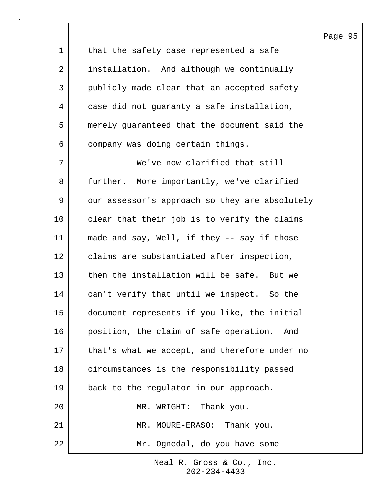|                |                                                | Ρa |
|----------------|------------------------------------------------|----|
| $\mathbf 1$    | that the safety case represented a safe        |    |
| $\overline{a}$ | installation. And although we continually      |    |
| 3              | publicly made clear that an accepted safety    |    |
| 4              | case did not guaranty a safe installation,     |    |
| 5              | merely guaranteed that the document said the   |    |
| 6              | company was doing certain things.              |    |
| 7              | We've now clarified that still                 |    |
| 8              | further. More importantly, we've clarified     |    |
| 9              | our assessor's approach so they are absolutely |    |
| 10             | clear that their job is to verify the claims   |    |
| 11             | made and say, Well, if they -- say if those    |    |
| 12             | claims are substantiated after inspection,     |    |
| 13             | then the installation will be safe. But we     |    |
| 14             | can't verify that until we inspect. So the     |    |
| 15             | document represents if you like, the initial   |    |
| 16             | position, the claim of safe operation.<br>And  |    |
| 17             | that's what we accept, and therefore under no  |    |
| 18             | circumstances is the responsibility passed     |    |
| 19             | back to the regulator in our approach.         |    |
| 20             | MR. WRIGHT: Thank you.                         |    |
| 21             | MR. MOURE-ERASO: Thank you.                    |    |
| 22             | Mr. Ognedal, do you have some                  |    |

## age 95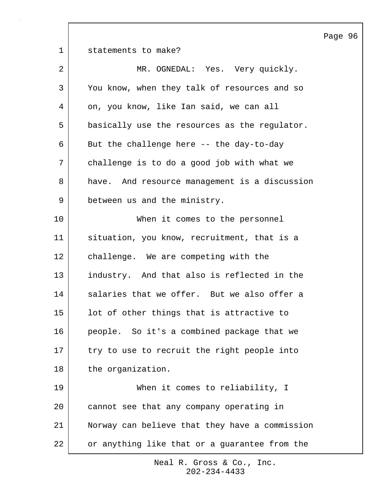1 Statements to make? 2 MR. OGNEDAL: Yes. Very quickly. 3 You know, when they talk of resources and so 4 on, you know, like Ian said, we can all 5 basically use the resources as the regulator. 6 But the challenge here -- the day-to-day 7 challenge is to do a good job with what we 8 have. And resource management is a discussion 9 between us and the ministry. 10 When it comes to the personnel 11 situation, you know, recruitment, that is a 12 challenge. We are competing with the 13 industry. And that also is reflected in the 14 salaries that we offer. But we also offer a 15 lot of other things that is attractive to 16 people. So it's a combined package that we 17 try to use to recruit the right people into 18 the organization. 19 When it comes to reliability, I 20 cannot see that any company operating in 21 Norway can believe that they have a commission 22 or anything like that or a quarantee from the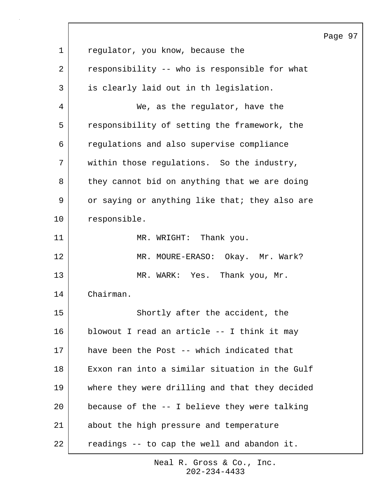|             |                                                | Page |
|-------------|------------------------------------------------|------|
| $\mathbf 1$ | regulator, you know, because the               |      |
| 2           | responsibility -- who is responsible for what  |      |
| 3           | is clearly laid out in th legislation.         |      |
| 4           | We, as the regulator, have the                 |      |
| 5           | responsibility of setting the framework, the   |      |
| 6           | regulations and also supervise compliance      |      |
| 7           | within those regulations. So the industry,     |      |
| 8           | they cannot bid on anything that we are doing  |      |
| 9           | or saying or anything like that; they also are |      |
| 10          | responsible.                                   |      |
| 11          | MR. WRIGHT: Thank you.                         |      |
| 12          | MR. MOURE-ERASO: Okay. Mr. Wark?               |      |
| 13          | MR. WARK: Yes. Thank you, Mr.                  |      |
| 14          | Chairman.                                      |      |
| 15          | Shortly after the accident, the                |      |
| 16          | blowout I read an article -- I think it may    |      |
| 17          | have been the Post -- which indicated that     |      |
| 18          | Exxon ran into a similar situation in the Gulf |      |
| 19          | where they were drilling and that they decided |      |
| 20          | because of the -- I believe they were talking  |      |
| 21          | about the high pressure and temperature        |      |
| 22          | readings -- to cap the well and abandon it.    |      |

 $\sqrt{ }$ 

97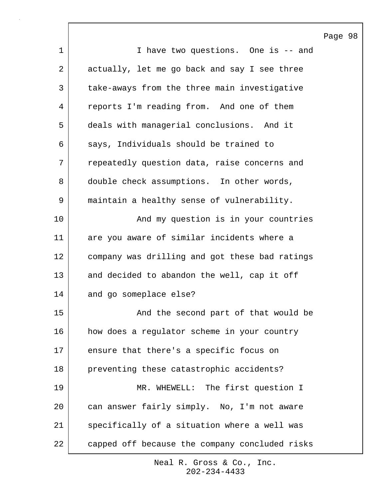|             |                                                | Page 98 |  |
|-------------|------------------------------------------------|---------|--|
| $\mathbf 1$ | I have two questions. One is -- and            |         |  |
| 2           | actually, let me go back and say I see three   |         |  |
| 3           | take-aways from the three main investigative   |         |  |
| 4           | reports I'm reading from. And one of them      |         |  |
| 5           | deals with managerial conclusions. And it      |         |  |
| 6           | says, Individuals should be trained to         |         |  |
| 7           | repeatedly question data, raise concerns and   |         |  |
| 8           | double check assumptions. In other words,      |         |  |
| 9           | maintain a healthy sense of vulnerability.     |         |  |
| 10          | And my question is in your countries           |         |  |
| 11          | are you aware of similar incidents where a     |         |  |
| 12          | company was drilling and got these bad ratings |         |  |
| 13          | and decided to abandon the well, cap it off    |         |  |
| 14          | and go someplace else?                         |         |  |
| 15          | And the second part of that would be           |         |  |
| 16          | how does a regulator scheme in your country    |         |  |
| 17          | ensure that there's a specific focus on        |         |  |
| 18          | preventing these catastrophic accidents?       |         |  |
| 19          | MR. WHEWELL: The first question I              |         |  |
| 20          | can answer fairly simply. No, I'm not aware    |         |  |
| 21          | specifically of a situation where a well was   |         |  |
| 22          | capped off because the company concluded risks |         |  |

 $\lceil$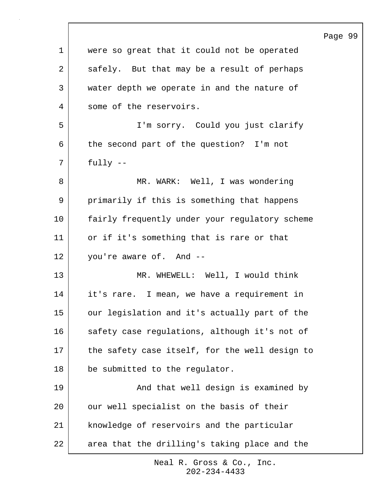|             |                                                | Page 99 |  |
|-------------|------------------------------------------------|---------|--|
| $\mathbf 1$ | were so great that it could not be operated    |         |  |
| 2           | safely. But that may be a result of perhaps    |         |  |
| 3           | water depth we operate in and the nature of    |         |  |
| 4           | some of the reservoirs.                        |         |  |
| 5           | I'm sorry. Could you just clarify              |         |  |
| 6           | the second part of the question? I'm not       |         |  |
| 7           | $fully --$                                     |         |  |
| 8           | MR. WARK: Well, I was wondering                |         |  |
| 9           | primarily if this is something that happens    |         |  |
| 10          | fairly frequently under your regulatory scheme |         |  |
| 11          | or if it's something that is rare or that      |         |  |
| 12          | you're aware of. And --                        |         |  |
| 13          | MR. WHEWELL: Well, I would think               |         |  |
| 14          | it's rare. I mean, we have a requirement in    |         |  |
| 15          | our legislation and it's actually part of the  |         |  |
| 16          | safety case regulations, although it's not of  |         |  |
| 17          | the safety case itself, for the well design to |         |  |
| 18          | be submitted to the regulator.                 |         |  |
| 19          | And that well design is examined by            |         |  |
| 20          | our well specialist on the basis of their      |         |  |
| 21          | knowledge of reservoirs and the particular     |         |  |
| 22          | area that the drilling's taking place and the  |         |  |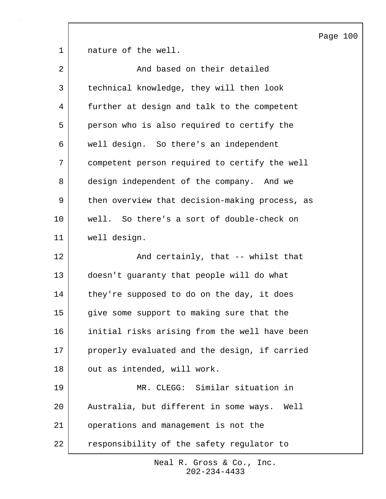1 | nature of the well. 2 and based on their detailed 3 technical knowledge, they will then look 4 further at design and talk to the competent 5 person who is also required to certify the 6 well design. So there's an independent 7 competent person required to certify the well 8 design independent of the company. And we 9 then overview that decision-making process, as 10 well. So there's a sort of double-check on 11 well design. 12 and certainly, that -- whilst that 13 doesn't guaranty that people will do what 14 they're supposed to do on the day, it does 15 give some support to making sure that the 16 initial risks arising from the well have been 17 properly evaluated and the design, if carried 18 | out as intended, will work. 19 MR. CLEGG: Similar situation in 20 Australia, but different in some ways. Well 21 operations and management is not the 22 responsibility of the safety regulator to

> 202-234-4433 Neal R. Gross & Co., Inc.

## Page 100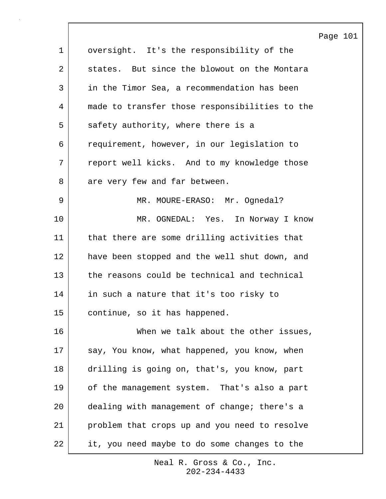|             |                                                | Page 101 |  |
|-------------|------------------------------------------------|----------|--|
| $\mathbf 1$ | oversight. It's the responsibility of the      |          |  |
| 2           | states. But since the blowout on the Montara   |          |  |
| 3           | in the Timor Sea, a recommendation has been    |          |  |
| 4           | made to transfer those responsibilities to the |          |  |
| 5           | safety authority, where there is a             |          |  |
| 6           | requirement, however, in our legislation to    |          |  |
| 7           | report well kicks. And to my knowledge those   |          |  |
| 8           | are very few and far between.                  |          |  |
| 9           | MR. MOURE-ERASO: Mr. Ognedal?                  |          |  |
| 10          | MR. OGNEDAL: Yes. In Norway I know             |          |  |
| 11          | that there are some drilling activities that   |          |  |
| 12          | have been stopped and the well shut down, and  |          |  |
| 13          | the reasons could be technical and technical   |          |  |
| 14          | in such a nature that it's too risky to        |          |  |
| 15          | continue, so it has happened.                  |          |  |
| 16          | When we talk about the other issues,           |          |  |
| 17          | say, You know, what happened, you know, when   |          |  |
| 18          | drilling is going on, that's, you know, part   |          |  |
| 19          | of the management system. That's also a part   |          |  |
| 20          | dealing with management of change; there's a   |          |  |
| 21          | problem that crops up and you need to resolve  |          |  |
| 22          | it, you need maybe to do some changes to the   |          |  |

 $\Gamma$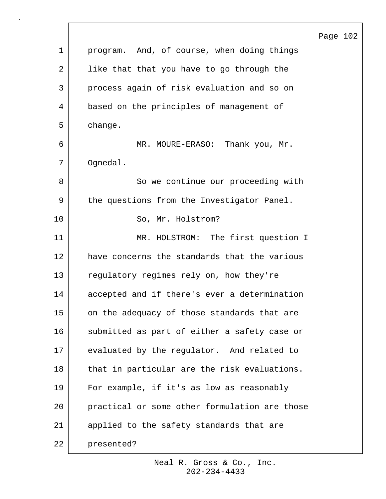|    |                                               | Page 102 |  |
|----|-----------------------------------------------|----------|--|
| 1  | program. And, of course, when doing things    |          |  |
| 2  | like that that you have to go through the     |          |  |
| 3  | process again of risk evaluation and so on    |          |  |
| 4  | based on the principles of management of      |          |  |
| 5  | change.                                       |          |  |
| 6  | MR. MOURE-ERASO: Thank you, Mr.               |          |  |
| 7  | Ognedal.                                      |          |  |
| 8  | So we continue our proceeding with            |          |  |
| 9  | the questions from the Investigator Panel.    |          |  |
| 10 | So, Mr. Holstrom?                             |          |  |
| 11 | MR. HOLSTROM: The first question I            |          |  |
| 12 | have concerns the standards that the various  |          |  |
| 13 | regulatory regimes rely on, how they're       |          |  |
| 14 | accepted and if there's ever a determination  |          |  |
| 15 | on the adequacy of those standards that are   |          |  |
| 16 | submitted as part of either a safety case or  |          |  |
| 17 | evaluated by the regulator. And related to    |          |  |
| 18 | that in particular are the risk evaluations.  |          |  |
| 19 | For example, if it's as low as reasonably     |          |  |
| 20 | practical or some other formulation are those |          |  |
| 21 | applied to the safety standards that are      |          |  |
| 22 | presented?                                    |          |  |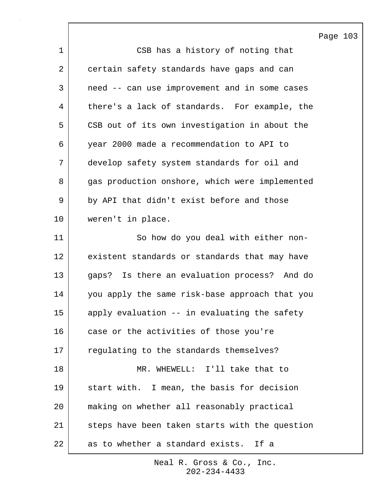|    |                                                | Page |
|----|------------------------------------------------|------|
| 1  | CSB has a history of noting that               |      |
| 2  | certain safety standards have gaps and can     |      |
| 3  | need -- can use improvement and in some cases  |      |
| 4  | there's a lack of standards. For example, the  |      |
| 5  | CSB out of its own investigation in about the  |      |
| 6  | year 2000 made a recommendation to API to      |      |
| 7  | develop safety system standards for oil and    |      |
| 8  | gas production onshore, which were implemented |      |
| 9  | by API that didn't exist before and those      |      |
| 10 | weren't in place.                              |      |
| 11 | So how do you deal with either non-            |      |
| 12 | existent standards or standards that may have  |      |
| 13 | gaps? Is there an evaluation process? And do   |      |
| 14 | you apply the same risk-base approach that you |      |
| 15 | apply evaluation -- in evaluating the safety   |      |
| 16 | case or the activities of those you're         |      |
| 17 | regulating to the standards themselves?        |      |
| 18 | MR. WHEWELL: I'll take that to                 |      |
| 19 | start with. I mean, the basis for decision     |      |
| 20 | making on whether all reasonably practical     |      |
| 21 | steps have been taken starts with the question |      |
| 22 | as to whether a standard exists. If a          |      |

 $\lceil$ 

103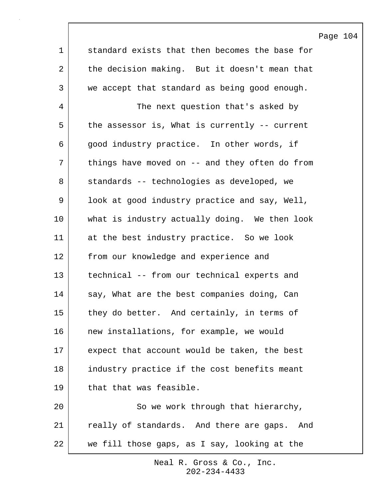|             |                                                 | Page |
|-------------|-------------------------------------------------|------|
| $\mathbf 1$ | standard exists that then becomes the base for  |      |
| 2           | the decision making. But it doesn't mean that   |      |
| 3           | we accept that standard as being good enough.   |      |
| 4           | The next question that's asked by               |      |
| 5           | the assessor is, What is currently -- current   |      |
| 6           | good industry practice. In other words, if      |      |
| 7           | things have moved on $-$ and they often do from |      |
| 8           | standards -- technologies as developed, we      |      |
| 9           | look at good industry practice and say, Well,   |      |
| $10 \,$     | what is industry actually doing. We then look   |      |
| 11          | at the best industry practice. So we look       |      |
| 12          | from our knowledge and experience and           |      |
| 13          | technical -- from our technical experts and     |      |
| 14          | say, What are the best companies doing, Can     |      |
| $15\,$      | they do better. And certainly, in terms of      |      |
| 16          | new installations, for example, we would        |      |
| 17          | expect that account would be taken, the best    |      |
| 18          | industry practice if the cost benefits meant    |      |
| 19          | that that was feasible.                         |      |
| 20          | So we work through that hierarchy,              |      |
| 21          | really of standards. And there are gaps. And    |      |
| 22          | we fill those gaps, as I say, looking at the    |      |

 $\overline{\phantom{a}}$ 

104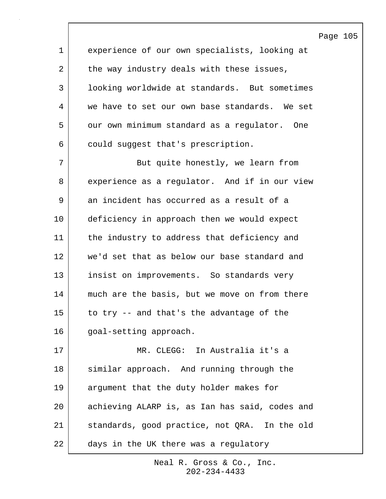|                |                                                | Page |
|----------------|------------------------------------------------|------|
| $\mathbf 1$    | experience of our own specialists, looking at  |      |
| $\overline{a}$ | the way industry deals with these issues,      |      |
| 3              | looking worldwide at standards. But sometimes  |      |
| 4              | we have to set our own base standards. We set  |      |
| 5              | our own minimum standard as a regulator. One   |      |
| 6              | could suggest that's prescription.             |      |
| 7              | But quite honestly, we learn from              |      |
| 8              | experience as a regulator. And if in our view  |      |
| $\mathsf 9$    | an incident has occurred as a result of a      |      |
| 10             | deficiency in approach then we would expect    |      |
| 11             | the industry to address that deficiency and    |      |
| 12             | we'd set that as below our base standard and   |      |
| 13             | insist on improvements. So standards very      |      |
| 14             | much are the basis, but we move on from there  |      |
| 15             | to try -- and that's the advantage of the      |      |
| 16             | goal-setting approach.                         |      |
| 17             | MR. CLEGG: In Australia it's a                 |      |
| 18             | similar approach. And running through the      |      |
| 19             | argument that the duty holder makes for        |      |
| 20             | achieving ALARP is, as Ian has said, codes and |      |
| 21             | standards, good practice, not QRA. In the old  |      |
| 22             | days in the UK there was a regulatory          |      |

 $\mathsf{l}$ 

105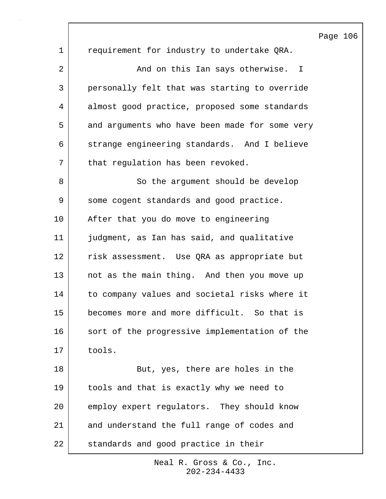1 | requirement for industry to undertake QRA. 2 | The Mond on this Ian says otherwise. I 3 personally felt that was starting to override 4 almost good practice, proposed some standards 5 and arguments who have been made for some very 6 strange engineering standards. And I believe 7 | that regulation has been revoked. 8 So the argument should be develop 9 | some cogent standards and good practice. 10 After that you do move to engineering 11 judgment, as Ian has said, and qualitative 12 risk assessment. Use QRA as appropriate but 13 not as the main thing. And then you move up 14 to company values and societal risks where it 15 becomes more and more difficult. So that is 16 sort of the progressive implementation of the 17 tools. 18 | Rut, yes, there are holes in the 19 tools and that is exactly why we need to 20 employ expert regulators. They should know 21 and understand the full range of codes and 22 standards and good practice in their

> 202-234-4433 Neal R. Gross & Co., Inc.

## Page 106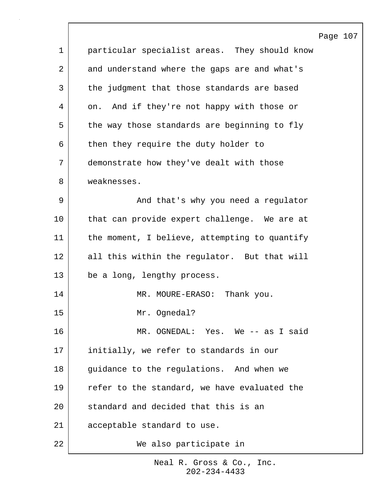|             | Page 107                                      |
|-------------|-----------------------------------------------|
| $\mathbf 1$ | particular specialist areas. They should know |
| 2           | and understand where the gaps are and what's  |
| 3           | the judgment that those standards are based   |
| 4           | on. And if they're not happy with those or    |
| 5           | the way those standards are beginning to fly  |
| 6           | then they require the duty holder to          |
| 7           | demonstrate how they've dealt with those      |
| 8           | weaknesses.                                   |
| 9           | And that's why you need a regulator           |
| 10          | that can provide expert challenge. We are at  |
| 11          | the moment, I believe, attempting to quantify |
| 12          | all this within the regulator. But that will  |
| 13          | be a long, lengthy process.                   |
| 14          | MR. MOURE-ERASO: Thank you.                   |
| 15          | Mr. Ognedal?                                  |
| 16          | MR. OGNEDAL: Yes. We -- as I said             |
| 17          | initially, we refer to standards in our       |
| 18          | guidance to the regulations. And when we      |
| 19          | refer to the standard, we have evaluated the  |
| 20          | standard and decided that this is an          |
| 21          | acceptable standard to use.                   |
| 22          | We also participate in                        |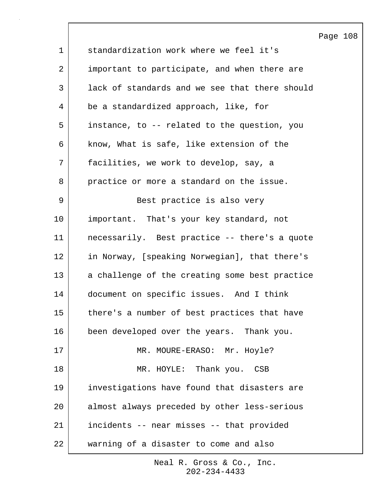|                |                                                | Page 108 |  |
|----------------|------------------------------------------------|----------|--|
| $\mathbf 1$    | standardization work where we feel it's        |          |  |
| $\overline{2}$ | important to participate, and when there are   |          |  |
| 3              | lack of standards and we see that there should |          |  |
| 4              | be a standardized approach, like, for          |          |  |
| 5              | instance, to -- related to the question, you   |          |  |
| 6              | know, What is safe, like extension of the      |          |  |
| 7              | facilities, we work to develop, say, a         |          |  |
| 8              | practice or more a standard on the issue.      |          |  |
| 9              | Best practice is also very                     |          |  |
| 10             | important. That's your key standard, not       |          |  |
| 11             | necessarily. Best practice -- there's a quote  |          |  |
| 12             | in Norway, [speaking Norwegian], that there's  |          |  |
| 13             | a challenge of the creating some best practice |          |  |
| 14             | document on specific issues. And I think       |          |  |
| 15             | there's a number of best practices that have   |          |  |
| 16             | been developed over the years. Thank you.      |          |  |
| 17             | MR. MOURE-ERASO: Mr. Hoyle?                    |          |  |
| 18             | MR. HOYLE: Thank you. CSB                      |          |  |
| 19             | investigations have found that disasters are   |          |  |
| 20             | almost always preceded by other less-serious   |          |  |
| 21             | incidents -- near misses -- that provided      |          |  |
| 22             | warning of a disaster to come and also         |          |  |

 $\lceil$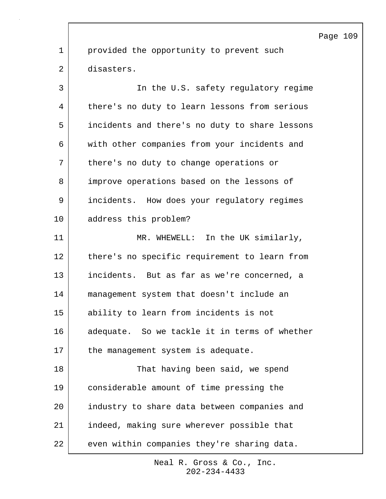1 provided the opportunity to prevent such 2 disasters.

3 In the U.S. safety regulatory regime 4 there's no duty to learn lessons from serious 5 incidents and there's no duty to share lessons 6 with other companies from your incidents and 7 | there's no duty to change operations or 8 improve operations based on the lessons of 9 incidents. How does your regulatory regimes 10 address this problem?

11 MR. WHEWELL: In the UK similarly, 12 there's no specific requirement to learn from 13 incidents. But as far as we're concerned, a 14 management system that doesn't include an 15 ability to learn from incidents is not 16 adequate. So we tackle it in terms of whether 17 the management system is adequate. 18 That having been said, we spend 19 considerable amount of time pressing the

20 industry to share data between companies and 21 indeed, making sure wherever possible that 22 even within companies they're sharing data.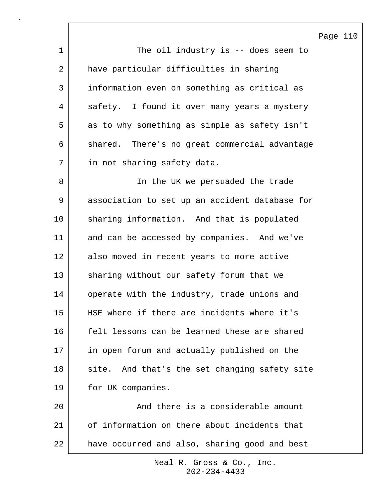Page 110 1 The oil industry is -- does seem to 2 have particular difficulties in sharing 3 information even on something as critical as 4 safety. I found it over many years a mystery 5 as to why something as simple as safety isn't 6 shared. There's no great commercial advantage 7 in not sharing safety data. 8 | The UK we persuaded the trade 9 association to set up an accident database for 10 | sharing information. And that is populated 11 and can be accessed by companies. And we've 12 also moved in recent years to more active 13 sharing without our safety forum that we 14 operate with the industry, trade unions and 15 HSE where if there are incidents where it's 16 felt lessons can be learned these are shared 17 in open forum and actually published on the 18 site. And that's the set changing safety site 19 for UK companies. 20 and there is a considerable amount 21 of information on there about incidents that 22 have occurred and also, sharing good and best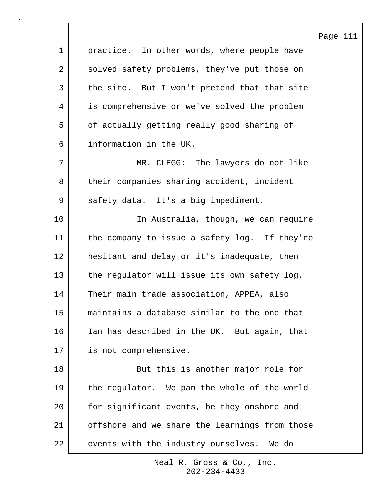Page 111 1 | practice. In other words, where people have 2 solved safety problems, they've put those on 3 the site. But I won't pretend that that site 4 is comprehensive or we've solved the problem 5 of actually getting really good sharing of 6 information in the UK. 7 MR. CLEGG: The lawyers do not like 8 their companies sharing accident, incident 9 | safety data. It's a big impediment. 10 | The Australia, though, we can require 11 the company to issue a safety log. If they're 12 hesitant and delay or it's inadequate, then 13 the regulator will issue its own safety log. 14 Their main trade association, APPEA, also 15 maintains a database similar to the one that 16 Ian has described in the UK. But again, that 17 is not comprehensive. 18 | But this is another major role for 19 | the regulator. We pan the whole of the world 20 for significant events, be they onshore and 21 offshore and we share the learnings from those 22 events with the industry ourselves. We do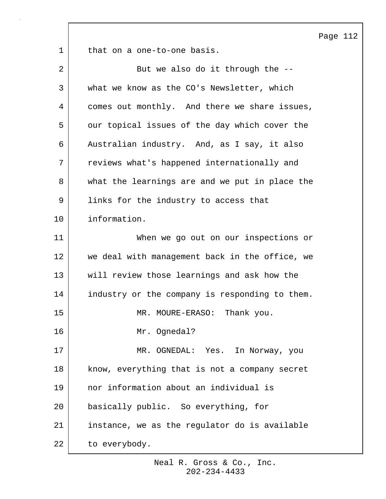Page 112

1 that on a one-to-one basis.

| $\overline{2}$ | But we also do it through the --               |
|----------------|------------------------------------------------|
| 3              | what we know as the CO's Newsletter, which     |
| 4              | comes out monthly. And there we share issues,  |
| 5              | our topical issues of the day which cover the  |
| 6              | Australian industry. And, as I say, it also    |
| 7              | reviews what's happened internationally and    |
| 8              | what the learnings are and we put in place the |
| 9              | links for the industry to access that          |
| 10             | information.                                   |
| 11             | When we go out on our inspections or           |
| 12             | we deal with management back in the office, we |
| 13             | will review those learnings and ask how the    |
| 14             | industry or the company is responding to them. |
| 15             | MR. MOURE-ERASO: Thank you.                    |
| 16             | Mr. Ognedal?                                   |
| 17             | MR. OGNEDAL: Yes. In Norway, you               |
| 18             | know, everything that is not a company secret  |
| 19             | nor information about an individual is         |
| 20             | basically public. So everything, for           |
| 21             | instance, we as the regulator do is available  |
| 22             | to everybody.                                  |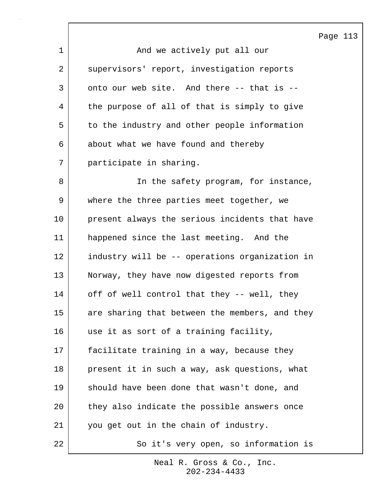1 and we actively put all our 2 | supervisors' report, investigation reports 3 onto our web site. And there -- that is --4 | the purpose of all of that is simply to give 5 to the industry and other people information 6 about what we have found and thereby 7 participate in sharing. 8 | The safety program, for instance, 9 where the three parties meet together, we 10 present always the serious incidents that have 11 happened since the last meeting. And the 12 industry will be -- operations organization in 13 Norway, they have now digested reports from 14 off of well control that they -- well, they 15 are sharing that between the members, and they 16 use it as sort of a training facility, 17 facilitate training in a way, because they 18 present it in such a way, ask questions, what 19 should have been done that wasn't done, and 20 they also indicate the possible answers once 21 you get out in the chain of industry. 22 | So it's very open, so information is

> 202-234-4433 Neal R. Gross & Co., Inc.

## Page 113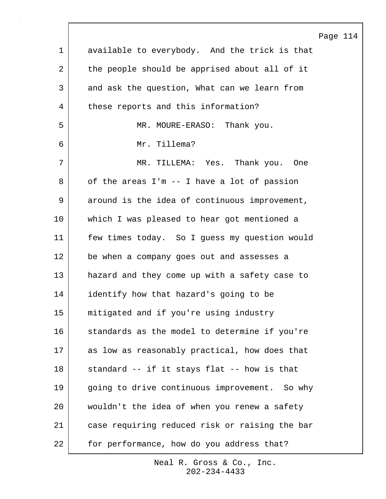|             |                                                | Page |
|-------------|------------------------------------------------|------|
| $\mathbf 1$ | available to everybody. And the trick is that  |      |
| 2           | the people should be apprised about all of it  |      |
| 3           | and ask the question, What can we learn from   |      |
| 4           | these reports and this information?            |      |
| 5           | MR. MOURE-ERASO: Thank you.                    |      |
| 6           | Mr. Tillema?                                   |      |
| 7           | MR. TILLEMA: Yes. Thank you. One               |      |
| 8           | of the areas I'm -- I have a lot of passion    |      |
| 9           | around is the idea of continuous improvement,  |      |
| 10          | which I was pleased to hear got mentioned a    |      |
| 11          | few times today. So I guess my question would  |      |
| 12          | be when a company goes out and assesses a      |      |
| 13          | hazard and they come up with a safety case to  |      |
| 14          | identify how that hazard's going to be         |      |
| 15          | mitigated and if you're using industry         |      |
| 16          | standards as the model to determine if you're  |      |
| 17          | as low as reasonably practical, how does that  |      |
| 18          | standard -- if it stays flat -- how is that    |      |
| 19          | going to drive continuous improvement. So why  |      |
| 20          | wouldn't the idea of when you renew a safety   |      |
| 21          | case requiring reduced risk or raising the bar |      |
| 22          | for performance, how do you address that?      |      |

 $\sqrt{ }$ 

114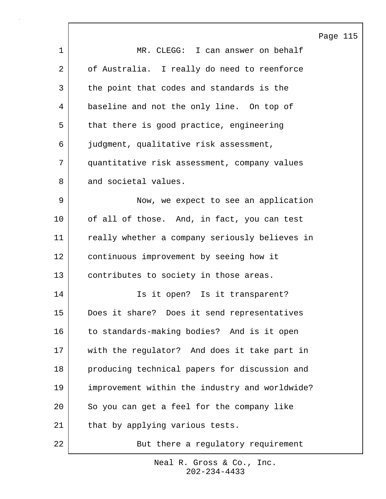|              |                                                | Page 115 |  |
|--------------|------------------------------------------------|----------|--|
| $\mathbf{1}$ | MR. CLEGG: I can answer on behalf              |          |  |
| 2            | of Australia. I really do need to reenforce    |          |  |
| 3            | the point that codes and standards is the      |          |  |
| 4            | baseline and not the only line. On top of      |          |  |
| 5            | that there is good practice, engineering       |          |  |
| 6            | judgment, qualitative risk assessment,         |          |  |
| 7            | quantitative risk assessment, company values   |          |  |
| 8            | and societal values.                           |          |  |
| 9            | Now, we expect to see an application           |          |  |
| 10           | of all of those. And, in fact, you can test    |          |  |
| 11           | really whether a company seriously believes in |          |  |
| 12           | continuous improvement by seeing how it        |          |  |
| 13           | contributes to society in those areas.         |          |  |
| 14           | Is it open? Is it transparent?                 |          |  |
| 15           | Does it share? Does it send representatives    |          |  |
| 16           | to standards-making bodies? And is it open     |          |  |
| 17           | with the regulator? And does it take part in   |          |  |
| 18           | producing technical papers for discussion and  |          |  |
| 19           | improvement within the industry and worldwide? |          |  |
| 20           | So you can get a feel for the company like     |          |  |
| 21           | that by applying various tests.                |          |  |
| 22           | But there a regulatory requirement             |          |  |

 $\sqrt{ }$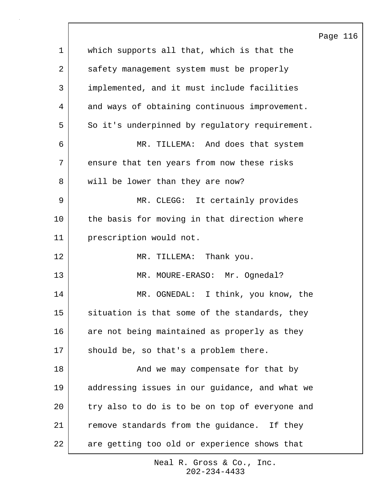|             |                                                | Page 116 |  |
|-------------|------------------------------------------------|----------|--|
| $\mathbf 1$ | which supports all that, which is that the     |          |  |
| 2           | safety management system must be properly      |          |  |
| 3           | implemented, and it must include facilities    |          |  |
| 4           | and ways of obtaining continuous improvement.  |          |  |
| 5           | So it's underpinned by regulatory requirement. |          |  |
| 6           | MR. TILLEMA: And does that system              |          |  |
| 7           | ensure that ten years from now these risks     |          |  |
| 8           | will be lower than they are now?               |          |  |
| 9           | MR. CLEGG: It certainly provides               |          |  |
| 10          | the basis for moving in that direction where   |          |  |
| 11          | prescription would not.                        |          |  |
| 12          | MR. TILLEMA: Thank you.                        |          |  |
| 13          | MR. MOURE-ERASO: Mr. Ognedal?                  |          |  |
| 14          | MR. OGNEDAL: I think, you know, the            |          |  |
| 15          | situation is that some of the standards, they  |          |  |
| 16          | are not being maintained as properly as they   |          |  |
| 17          | should be, so that's a problem there.          |          |  |
| 18          | And we may compensate for that by              |          |  |
| 19          | addressing issues in our guidance, and what we |          |  |
| 20          | try also to do is to be on top of everyone and |          |  |
| 21          | remove standards from the guidance. If they    |          |  |
| 22          | are getting too old or experience shows that   |          |  |

 $\Gamma$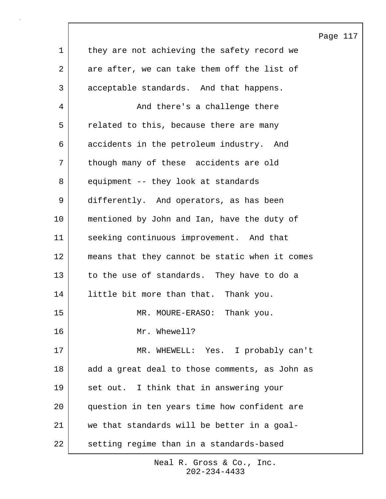|             |                                                | Page 117 |  |
|-------------|------------------------------------------------|----------|--|
| $\mathbf 1$ | they are not achieving the safety record we    |          |  |
| 2           | are after, we can take them off the list of    |          |  |
| 3           | acceptable standards. And that happens.        |          |  |
| 4           | And there's a challenge there                  |          |  |
| 5           | related to this, because there are many        |          |  |
| 6           | accidents in the petroleum industry. And       |          |  |
| 7           | though many of these accidents are old         |          |  |
| 8           | equipment -- they look at standards            |          |  |
| 9           | differently. And operators, as has been        |          |  |
| 10          | mentioned by John and Ian, have the duty of    |          |  |
| 11          | seeking continuous improvement. And that       |          |  |
| 12          | means that they cannot be static when it comes |          |  |
| 13          | to the use of standards. They have to do a     |          |  |
| 14          | little bit more than that. Thank you.          |          |  |
| 15          | MR. MOURE-ERASO: Thank you.                    |          |  |
| 16          | Mr. Whewell?                                   |          |  |
| 17          | MR. WHEWELL: Yes. I probably can't             |          |  |
| 18          | add a great deal to those comments, as John as |          |  |
| 19          | set out. I think that in answering your        |          |  |
| 20          | question in ten years time how confident are   |          |  |
| 21          | we that standards will be better in a goal-    |          |  |
| 22          | setting regime than in a standards-based       |          |  |

 $\sqrt{ }$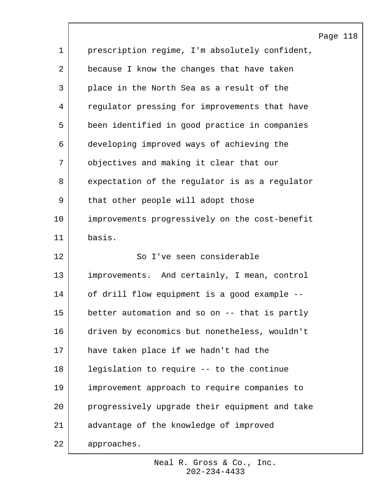|                |                                                | Page 118 |  |
|----------------|------------------------------------------------|----------|--|
| $\mathbf 1$    | prescription regime, I'm absolutely confident, |          |  |
| $\overline{a}$ | because I know the changes that have taken     |          |  |
| 3              | place in the North Sea as a result of the      |          |  |
| 4              | regulator pressing for improvements that have  |          |  |
| 5              | been identified in good practice in companies  |          |  |
| 6              | developing improved ways of achieving the      |          |  |
| 7              | objectives and making it clear that our        |          |  |
| 8              | expectation of the regulator is as a regulator |          |  |
| 9              | that other people will adopt those             |          |  |
| 10             | improvements progressively on the cost-benefit |          |  |
| 11             | basis.                                         |          |  |
| 12             | So I've seen considerable                      |          |  |
| 13             | improvements. And certainly, I mean, control   |          |  |
| 14             | of drill flow equipment is a good example --   |          |  |
| 15             | better automation and so on -- that is partly  |          |  |
| 16             | driven by economics but nonetheless, wouldn't  |          |  |
| 17             | have taken place if we hadn't had the          |          |  |
| 18             | legislation to require -- to the continue      |          |  |
| 19             | improvement approach to require companies to   |          |  |
| 20             | progressively upgrade their equipment and take |          |  |
| 21             | advantage of the knowledge of improved         |          |  |
| 22             | approaches.                                    |          |  |

 $\Gamma$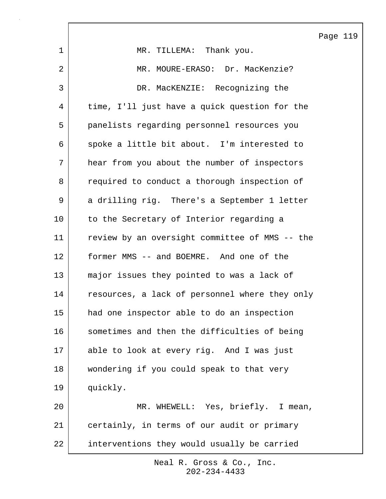|              |                                                | Page 119 |  |
|--------------|------------------------------------------------|----------|--|
| 1            | MR. TILLEMA: Thank you.                        |          |  |
| 2            | MR. MOURE-ERASO: Dr. MacKenzie?                |          |  |
| $\mathsf{3}$ | DR. MacKENZIE: Recognizing the                 |          |  |
| 4            | time, I'll just have a quick question for the  |          |  |
| 5            | panelists regarding personnel resources you    |          |  |
| 6            | spoke a little bit about. I'm interested to    |          |  |
| 7            | hear from you about the number of inspectors   |          |  |
| 8            | required to conduct a thorough inspection of   |          |  |
| 9            | a drilling rig. There's a September 1 letter   |          |  |
| 10           | to the Secretary of Interior regarding a       |          |  |
| 11           | review by an oversight committee of MMS -- the |          |  |
| 12           | former MMS -- and BOEMRE. And one of the       |          |  |
| 13           | major issues they pointed to was a lack of     |          |  |
| 14           | resources, a lack of personnel where they only |          |  |
| 15           | had one inspector able to do an inspection     |          |  |
| 16           | sometimes and then the difficulties of being   |          |  |
| 17           | able to look at every rig. And I was just      |          |  |
| 18           | wondering if you could speak to that very      |          |  |
| 19           | quickly.                                       |          |  |
| 20           | MR. WHEWELL: Yes, briefly. I mean,             |          |  |
| 21           | certainly, in terms of our audit or primary    |          |  |
| 22           | interventions they would usually be carried    |          |  |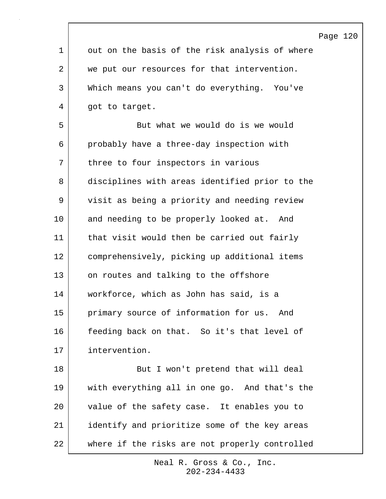|             | Page 120                                       |
|-------------|------------------------------------------------|
| $\mathbf 1$ | out on the basis of the risk analysis of where |
| 2           | we put our resources for that intervention.    |
| 3           | Which means you can't do everything. You've    |
| 4           | got to target.                                 |
| 5           | But what we would do is we would               |
| 6           | probably have a three-day inspection with      |
| 7           | three to four inspectors in various            |
| 8           | disciplines with areas identified prior to the |
| 9           | visit as being a priority and needing review   |
| 10          | and needing to be properly looked at. And      |
| 11          | that visit would then be carried out fairly    |
| 12          | comprehensively, picking up additional items   |
| 13          | on routes and talking to the offshore          |
| 14          | workforce, which as John has said, is a        |
| 15          | primary source of information for us. And      |
| 16          | feeding back on that. So it's that level of    |
| 17          | intervention.                                  |
| 18          | But I won't pretend that will deal             |
| 19          | with everything all in one go. And that's the  |
| 20          | value of the safety case. It enables you to    |
| 21          | identify and prioritize some of the key areas  |
| 22          | where if the risks are not properly controlled |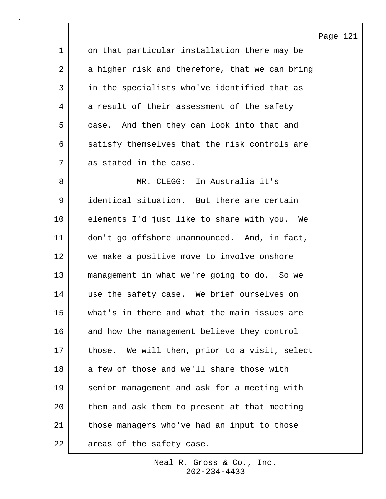Page 121 1 on that particular installation there may be 2 a higher risk and therefore, that we can bring 3 in the specialists who've identified that as 4 a result of their assessment of the safety 5 case. And then they can look into that and 6 satisfy themselves that the risk controls are 7 as stated in the case. 8 MR. CLEGG: In Australia it's 9 identical situation. But there are certain 10 elements I'd just like to share with you. We 11 don't go offshore unannounced. And, in fact, 12 we make a positive move to involve onshore 13 management in what we're going to do. So we 14 use the safety case. We brief ourselves on 15 what's in there and what the main issues are 16 and how the management believe they control 17 | those. We will then, prior to a visit, select 18 a few of those and we'll share those with 19 senior management and ask for a meeting with 20 them and ask them to present at that meeting 21 | those managers who've had an input to those 22 areas of the safety case.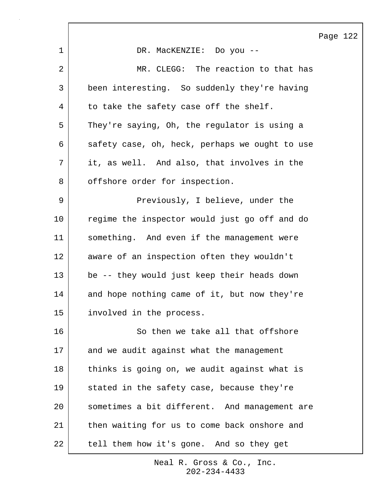Page 122

|    |                                                | Ρā |
|----|------------------------------------------------|----|
| 1  | DR. MacKENZIE: Do you --                       |    |
| 2  | MR. CLEGG: The reaction to that has            |    |
| 3  | been interesting. So suddenly they're having   |    |
| 4  | to take the safety case off the shelf.         |    |
| 5  | They're saying, Oh, the regulator is using a   |    |
| 6  | safety case, oh, heck, perhaps we ought to use |    |
| 7  | it, as well. And also, that involves in the    |    |
| 8  | offshore order for inspection.                 |    |
| 9  | Previously, I believe, under the               |    |
| 10 | regime the inspector would just go off and do  |    |
| 11 | something. And even if the management were     |    |
| 12 | aware of an inspection often they wouldn't     |    |
| 13 | be -- they would just keep their heads down    |    |
| 14 | and hope nothing came of it, but now they're   |    |
| 15 | involved in the process.                       |    |
| 16 | So then we take all that offshore              |    |
| 17 | and we audit against what the management       |    |
| 18 | thinks is going on, we audit against what is   |    |
| 19 | stated in the safety case, because they're     |    |
| 20 | sometimes a bit different. And management are  |    |
| 21 | then waiting for us to come back onshore and   |    |
| 22 | tell them how it's gone. And so they get       |    |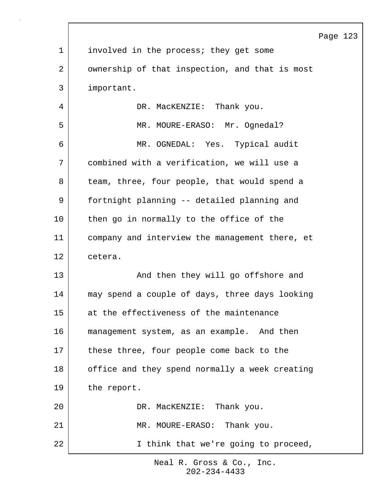|             |                                                | Page 123 |  |
|-------------|------------------------------------------------|----------|--|
| $\mathbf 1$ | involved in the process; they get some         |          |  |
| 2           | ownership of that inspection, and that is most |          |  |
| 3           | important.                                     |          |  |
| 4           | DR. MacKENZIE: Thank you.                      |          |  |
| 5           | MR. MOURE-ERASO: Mr. Ognedal?                  |          |  |
| 6           | MR. OGNEDAL: Yes. Typical audit                |          |  |
| 7           | combined with a verification, we will use a    |          |  |
| 8           | team, three, four people, that would spend a   |          |  |
| 9           | fortnight planning -- detailed planning and    |          |  |
| 10          | then go in normally to the office of the       |          |  |
| 11          | company and interview the management there, et |          |  |
| 12          | cetera.                                        |          |  |
| 13          | And then they will go offshore and             |          |  |
| 14          | may spend a couple of days, three days looking |          |  |
| 15          | at the effectiveness of the maintenance        |          |  |
| 16          | management system, as an example. And then     |          |  |
| 17          | these three, four people come back to the      |          |  |
| 18          | office and they spend normally a week creating |          |  |
| 19          | the report.                                    |          |  |
| 20          | DR. MacKENZIE: Thank you.                      |          |  |
| 21          | MR. MOURE-ERASO: Thank you.                    |          |  |
| 22          | I think that we're going to proceed,           |          |  |

 $\lceil$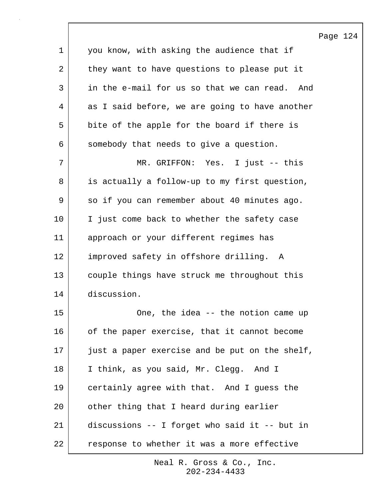1 you know, with asking the audience that if 2 they want to have questions to please put it 3 in the e-mail for us so that we can read. And 4 as I said before, we are going to have another 5 bite of the apple for the board if there is 6 somebody that needs to give a question. 7 MR. GRIFFON: Yes. I just -- this 8 is actually a follow-up to my first question, 9 | so if you can remember about 40 minutes ago. 10 | I just come back to whether the safety case 11 approach or your different regimes has 12 improved safety in offshore drilling. A 13 couple things have struck me throughout this 14 discussion.

Page 124

15 | Cone, the idea -- the notion came up 16 of the paper exercise, that it cannot become 17 just a paper exercise and be put on the shelf, 18 I think, as you said, Mr. Clegg. And I 19 certainly agree with that. And I guess the 20 other thing that I heard during earlier 21 discussions -- I forget who said it -- but in 22 | response to whether it was a more effective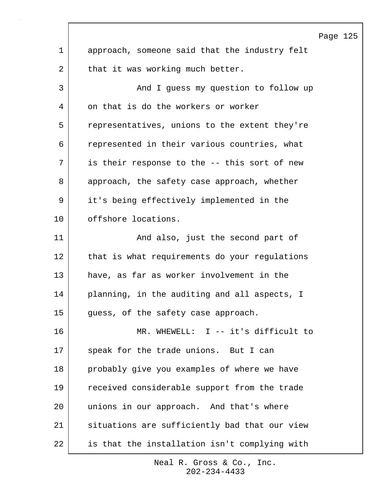|              |                                               | Page 125 |  |
|--------------|-----------------------------------------------|----------|--|
| $\mathbf{1}$ | approach, someone said that the industry felt |          |  |
| 2            | that it was working much better.              |          |  |
| 3            | And I guess my question to follow up          |          |  |
| 4            | on that is do the workers or worker           |          |  |
| 5            | representatives, unions to the extent they're |          |  |
| 6            | represented in their various countries, what  |          |  |
| 7            | is their response to the -- this sort of new  |          |  |
| 8            | approach, the safety case approach, whether   |          |  |
| 9            | it's being effectively implemented in the     |          |  |
| 10           | offshore locations.                           |          |  |
| 11           | And also, just the second part of             |          |  |
| 12           | that is what requirements do your regulations |          |  |
| 13           | have, as far as worker involvement in the     |          |  |
| 14           | planning, in the auditing and all aspects, I  |          |  |
| 15           | guess, of the safety case approach.           |          |  |
| 16           | MR. WHEWELL: I -- it's difficult to           |          |  |
| 17           | speak for the trade unions. But I can         |          |  |
| 18           | probably give you examples of where we have   |          |  |
| 19           | received considerable support from the trade  |          |  |
| 20           | unions in our approach. And that's where      |          |  |
| 21           | situations are sufficiently bad that our view |          |  |
| 22           | is that the installation isn't complying with |          |  |

 $\lceil$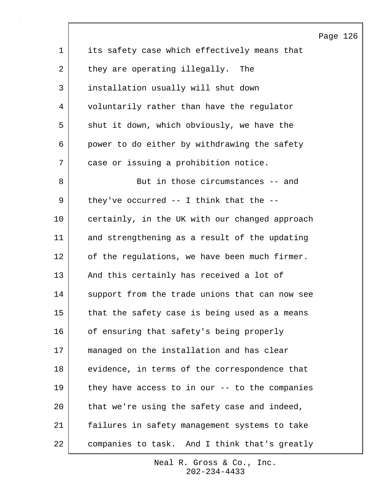|             |                                                | Page |
|-------------|------------------------------------------------|------|
| $\mathbf 1$ | its safety case which effectively means that   |      |
| 2           | they are operating illegally. The              |      |
| 3           | installation usually will shut down            |      |
| 4           | voluntarily rather than have the regulator     |      |
| 5           | shut it down, which obviously, we have the     |      |
| 6           | power to do either by withdrawing the safety   |      |
| 7           | case or issuing a prohibition notice.          |      |
| 8           | But in those circumstances -- and              |      |
| 9           | they've occurred $--$ I think that the $--$    |      |
| 10          | certainly, in the UK with our changed approach |      |
| 11          | and strengthening as a result of the updating  |      |
| 12          | of the regulations, we have been much firmer.  |      |
| 13          | And this certainly has received a lot of       |      |
| 14          | support from the trade unions that can now see |      |
| 15          | that the safety case is being used as a means  |      |
| 16          | of ensuring that safety's being properly       |      |
| 17          | managed on the installation and has clear      |      |
| 18          | evidence, in terms of the correspondence that  |      |
| 19          | they have access to in our -- to the companies |      |
| 20          | that we're using the safety case and indeed,   |      |
| 21          | failures in safety management systems to take  |      |
| 22          | companies to task. And I think that's greatly  |      |

126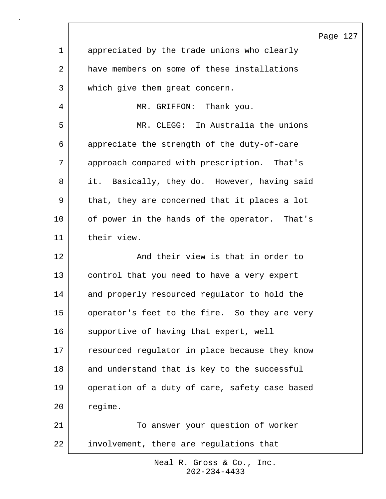|                |                                                | Page 127 |  |
|----------------|------------------------------------------------|----------|--|
| $\mathbf 1$    | appreciated by the trade unions who clearly    |          |  |
| $\overline{a}$ | have members on some of these installations    |          |  |
| 3              | which give them great concern.                 |          |  |
| 4              | MR. GRIFFON: Thank you.                        |          |  |
| 5              | MR. CLEGG: In Australia the unions             |          |  |
| 6              | appreciate the strength of the duty-of-care    |          |  |
| 7              | approach compared with prescription. That's    |          |  |
| 8              | it. Basically, they do. However, having said   |          |  |
| $\mathsf 9$    | that, they are concerned that it places a lot  |          |  |
| 10             | of power in the hands of the operator. That's  |          |  |
| 11             | their view.                                    |          |  |
| 12             | And their view is that in order to             |          |  |
| 13             | control that you need to have a very expert    |          |  |
| 14             | and properly resourced regulator to hold the   |          |  |
| 15             | operator's feet to the fire. So they are very  |          |  |
| 16             | supportive of having that expert, well         |          |  |
| 17             | resourced regulator in place because they know |          |  |
| 18             | and understand that is key to the successful   |          |  |
| 19             | operation of a duty of care, safety case based |          |  |
| 20             | regime.                                        |          |  |
| 21             | To answer your question of worker              |          |  |
| 22             | involvement, there are regulations that        |          |  |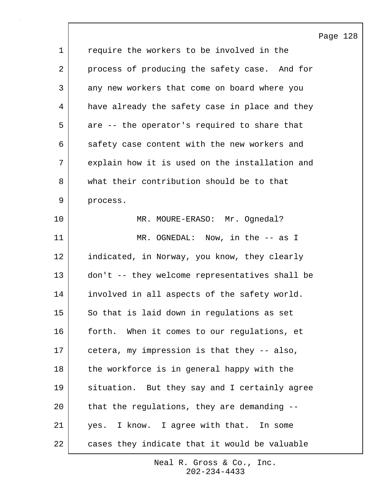|             |                                                | Page |
|-------------|------------------------------------------------|------|
| $\mathbf 1$ | require the workers to be involved in the      |      |
| 2           | process of producing the safety case. And for  |      |
| 3           | any new workers that come on board where you   |      |
| 4           | have already the safety case in place and they |      |
| 5           | are -- the operator's required to share that   |      |
| 6           | safety case content with the new workers and   |      |
| 7           | explain how it is used on the installation and |      |
| 8           | what their contribution should be to that      |      |
| 9           | process.                                       |      |
| 10          | MR. MOURE-ERASO: Mr. Ognedal?                  |      |
| 11          | MR. OGNEDAL: Now, in the -- as I               |      |
| 12          | indicated, in Norway, you know, they clearly   |      |
| 13          | don't -- they welcome representatives shall be |      |
| 14          | involved in all aspects of the safety world.   |      |
| 15          | So that is laid down in regulations as set     |      |
| 16          | When it comes to our regulations, et<br>forth. |      |
| 17          | cetera, my impression is that they -- also,    |      |
| 18          | the workforce is in general happy with the     |      |
| 19          | situation. But they say and I certainly agree  |      |
| 20          | that the regulations, they are demanding --    |      |
| 21          | yes. I know. I agree with that. In some        |      |
| 22          | cases they indicate that it would be valuable  |      |

Page 128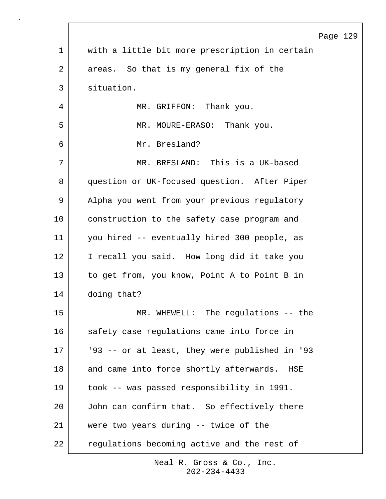|    | Page                                           |
|----|------------------------------------------------|
| 1  | with a little bit more prescription in certain |
| 2  | areas. So that is my general fix of the        |
| 3  | situation.                                     |
| 4  | MR. GRIFFON: Thank you.                        |
| 5  | MR. MOURE-ERASO: Thank you.                    |
| 6  | Mr. Bresland?                                  |
| 7  | MR. BRESLAND: This is a UK-based               |
| 8  | question or UK-focused question. After Piper   |
| 9  | Alpha you went from your previous regulatory   |
| 10 | construction to the safety case program and    |
| 11 | you hired -- eventually hired 300 people, as   |
| 12 | I recall you said. How long did it take you    |
| 13 | to get from, you know, Point A to Point B in   |
| 14 | doing that?                                    |
| 15 | MR. WHEWELL: The regulations -- the            |
| 16 | safety case regulations came into force in     |
| 17 | '93 -- or at least, they were published in '93 |
| 18 | and came into force shortly afterwards. HSE    |
| 19 | took -- was passed responsibility in 1991.     |
| 20 | John can confirm that. So effectively there    |
| 21 | were two years during -- twice of the          |
| 22 | regulations becoming active and the rest of    |

129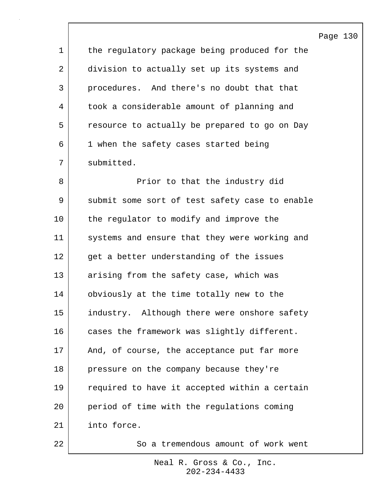Page 130 1 the regulatory package being produced for the 2 division to actually set up its systems and 3 procedures. And there's no doubt that that 4 took a considerable amount of planning and 5 | resource to actually be prepared to go on Day 6 1 when the safety cases started being 7 submitted. 8 | The Prior to that the industry did 9 submit some sort of test safety case to enable 10 the regulator to modify and improve the 11 systems and ensure that they were working and 12 get a better understanding of the issues 13 arising from the safety case, which was 14 | obviously at the time totally new to the 15 industry. Although there were onshore safety 16 cases the framework was slightly different. 17 | And, of course, the acceptance put far more 18 pressure on the company because they're 19 required to have it accepted within a certain 20 period of time with the regulations coming 21 into force.

> 202-234-4433 Neal R. Gross & Co., Inc.

22 So a tremendous amount of work went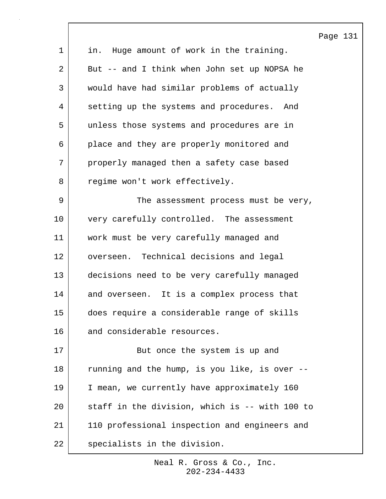|             |                                                | Page 131 |  |
|-------------|------------------------------------------------|----------|--|
| $\mathbf 1$ | in. Huge amount of work in the training.       |          |  |
| 2           | But -- and I think when John set up NOPSA he   |          |  |
| 3           | would have had similar problems of actually    |          |  |
| 4           | setting up the systems and procedures. And     |          |  |
| 5           | unless those systems and procedures are in     |          |  |
| 6           | place and they are properly monitored and      |          |  |
| 7           | properly managed then a safety case based      |          |  |
| 8           | regime won't work effectively.                 |          |  |
| 9           | The assessment process must be very,           |          |  |
| 10          | very carefully controlled. The assessment      |          |  |
| 11          | work must be very carefully managed and        |          |  |
| 12          | overseen. Technical decisions and legal        |          |  |
| 13          | decisions need to be very carefully managed    |          |  |
| 14          | and overseen. It is a complex process that     |          |  |
| 15          | does require a considerable range of skills    |          |  |
| 16          | and considerable resources.                    |          |  |
| 17          | But once the system is up and                  |          |  |
| 18          | running and the hump, is you like, is over --  |          |  |
| 19          | I mean, we currently have approximately 160    |          |  |
| 20          | staff in the division, which is -- with 100 to |          |  |
| 21          | 110 professional inspection and engineers and  |          |  |
| 22          | specialists in the division.                   |          |  |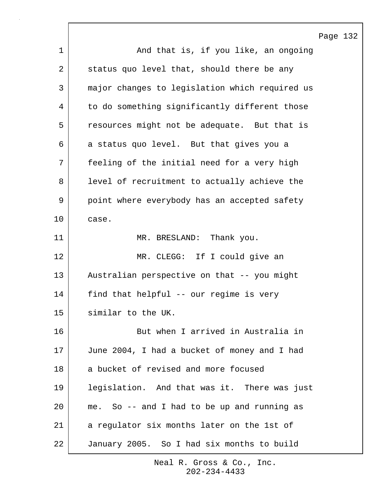|    | Page 132                                       |
|----|------------------------------------------------|
| 1  | And that is, if you like, an ongoing           |
| 2  | status quo level that, should there be any     |
| 3  | major changes to legislation which required us |
| 4  | to do something significantly different those  |
| 5  | resources might not be adequate. But that is   |
| 6  | a status quo level. But that gives you a       |
| 7  | feeling of the initial need for a very high    |
| 8  | level of recruitment to actually achieve the   |
| 9  | point where everybody has an accepted safety   |
| 10 | case.                                          |
| 11 | MR. BRESLAND: Thank you.                       |
| 12 | MR. CLEGG: If I could give an                  |
| 13 | Australian perspective on that -- you might    |
| 14 | find that helpful -- our regime is very        |
| 15 | similar to the UK.                             |
| 16 | But when I arrived in Australia in             |
| 17 | June 2004, I had a bucket of money and I had   |
| 18 | a bucket of revised and more focused           |
| 19 | legislation. And that was it. There was just   |
| 20 | me. So -- and I had to be up and running as    |
| 21 | a regulator six months later on the 1st of     |
| 22 | January 2005. So I had six months to build     |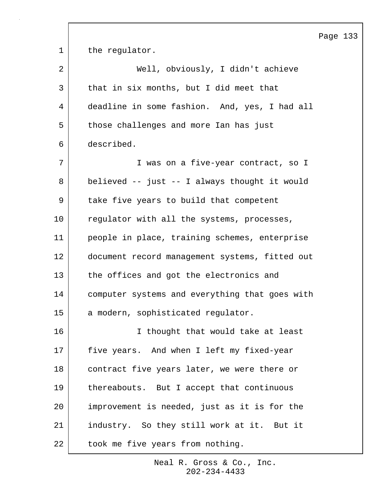1 the requlator. 2 | Well, obviously, I didn't achieve 3 that in six months, but I did meet that 4 deadline in some fashion. And, yes, I had all 5 those challenges and more Ian has just 6 described. 7 I was on a five-year contract, so I 8 believed -- just -- I always thought it would 9 | take five years to build that competent 10 regulator with all the systems, processes, 11 people in place, training schemes, enterprise 12 document record management systems, fitted out 13 the offices and got the electronics and 14 computer systems and everything that goes with 15 a modern, sophisticated regulator. 16 I thought that would take at least 17 | five years. And when I left my fixed-year 18 | contract five years later, we were there or 19 | thereabouts. But I accept that continuous 20 improvement is needed, just as it is for the 21 industry. So they still work at it. But it 22 | took me five years from nothing.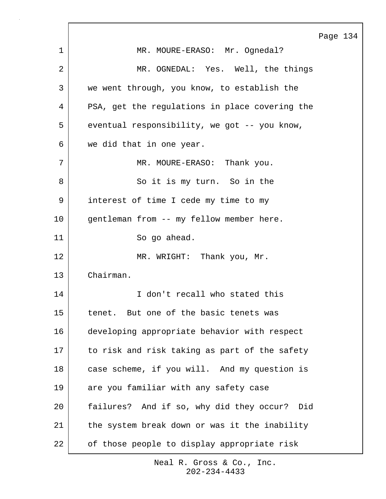Page 134 1 | MR. MOURE-ERASO: Mr. Oqnedal? 2 MR. OGNEDAL: Yes. Well, the things 3 we went through, you know, to establish the 4 PSA, get the regulations in place covering the 5 eventual responsibility, we got -- you know, 6 we did that in one year. 7 | MR. MOURE-ERASO: Thank you. 8 So it is my turn. So in the 9 interest of time I cede my time to my 10 | gentleman from -- my fellow member here. 11 So go ahead. 12 MR. WRIGHT: Thank you, Mr. 13 Chairman. 14 I don't recall who stated this 15 tenet. But one of the basic tenets was 16 developing appropriate behavior with respect 17 to risk and risk taking as part of the safety 18 case scheme, if you will. And my question is 19 are you familiar with any safety case 20 failures? And if so, why did they occur? Did 21 | the system break down or was it the inability 22 of those people to display appropriate risk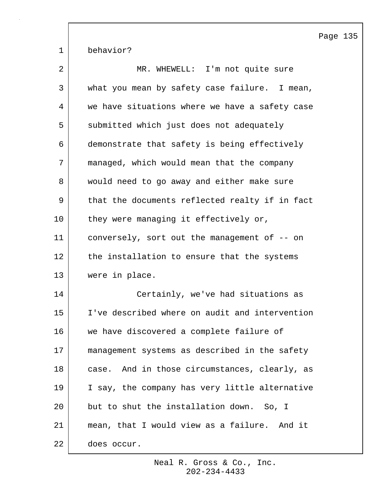Page 135 1 behavior? 2 | MR. WHEWELL: I'm not quite sure 3 what you mean by safety case failure. I mean, 4 we have situations where we have a safety case 5 submitted which just does not adequately 6 demonstrate that safety is being effectively 7 managed, which would mean that the company 8 | would need to go away and either make sure 9 | that the documents reflected realty if in fact 10 they were managing it effectively or, 11 conversely, sort out the management of -- on 12 the installation to ensure that the systems 13 were in place. 14 Certainly, we've had situations as 15 I've described where on audit and intervention 16 we have discovered a complete failure of 17 management systems as described in the safety 18 case. And in those circumstances, clearly, as 19 I say, the company has very little alternative 20 but to shut the installation down. So, I 21 mean, that I would view as a failure. And it 22 does occur.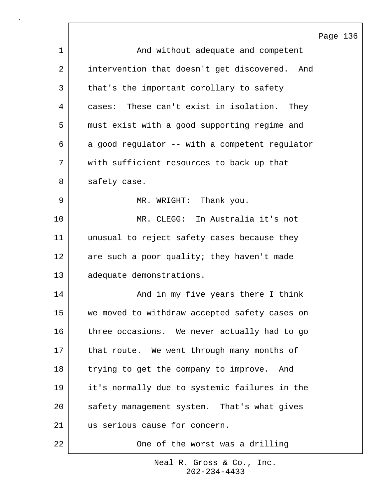|                |                                                | Page 136 |  |
|----------------|------------------------------------------------|----------|--|
| 1              | And without adequate and competent             |          |  |
| $\overline{2}$ | intervention that doesn't get discovered. And  |          |  |
| 3              | that's the important corollary to safety       |          |  |
| 4              | cases: These can't exist in isolation. They    |          |  |
| 5              | must exist with a good supporting regime and   |          |  |
| 6              | a good regulator -- with a competent regulator |          |  |
| 7              | with sufficient resources to back up that      |          |  |
| 8              | safety case.                                   |          |  |
| 9              | MR. WRIGHT: Thank you.                         |          |  |
| 10             | MR. CLEGG: In Australia it's not               |          |  |
| 11             | unusual to reject safety cases because they    |          |  |
| 12             | are such a poor quality; they haven't made     |          |  |
| 13             | adequate demonstrations.                       |          |  |
| 14             | And in my five years there I think             |          |  |
| 15             | we moved to withdraw accepted safety cases on  |          |  |
| 16             | three occasions. We never actually had to go   |          |  |
| 17             | that route. We went through many months of     |          |  |
| 18             | trying to get the company to improve. And      |          |  |
| 19             | it's normally due to systemic failures in the  |          |  |
| 20             | safety management system. That's what gives    |          |  |
| 21             | us serious cause for concern.                  |          |  |
| 22             | One of the worst was a drilling                |          |  |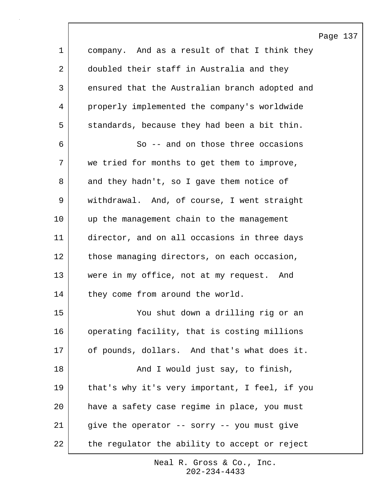|             | $\, {\bf P}$                                   |
|-------------|------------------------------------------------|
| $\mathbf 1$ | company. And as a result of that I think they  |
| 2           | doubled their staff in Australia and they      |
| 3           | ensured that the Australian branch adopted and |
| 4           | properly implemented the company's worldwide   |
| 5           | standards, because they had been a bit thin.   |
| 6           | So -- and on those three occasions             |
| 7           | we tried for months to get them to improve,    |
| 8           | and they hadn't, so I gave them notice of      |
| 9           | withdrawal. And, of course, I went straight    |
| 10          | up the management chain to the management      |
| 11          | director, and on all occasions in three days   |
| 12          | those managing directors, on each occasion,    |
| 13          | were in my office, not at my request. And      |
| 14          | they come from around the world.               |
| 15          | You shut down a drilling rig or an             |
| 16          | operating facility, that is costing millions   |
| 17          | of pounds, dollars. And that's what does it.   |
| 18          | And I would just say, to finish,               |
| 19          | that's why it's very important, I feel, if you |
| 20          | have a safety case regime in place, you must   |
| 21          | give the operator -- sorry -- you must give    |
| 22          | the regulator the ability to accept or reject  |

202-234-4433 Neal R. Gross & Co., Inc.

## age 137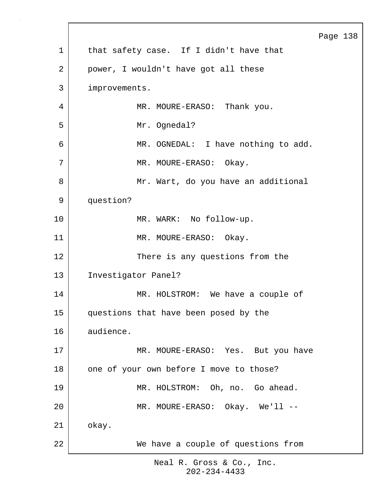Page 138 1 | that safety case. If I didn't have that 2 | power, I wouldn't have got all these 3 improvements. 4 | MR. MOURE-ERASO: Thank you. 5 Mr. Ognedal? 6 MR. OGNEDAL: I have nothing to add. 7 MR. MOURE-ERASO: Okay. 8 | Mr. Wart, do you have an additional 9 question? 10 MR. WARK: No follow-up. 11 MR. MOURE-ERASO: Okay. 12 There is any questions from the 13 Investigator Panel? 14 MR. HOLSTROM: We have a couple of 15 questions that have been posed by the 16 audience. 17 MR. MOURE-ERASO: Yes. But you have 18 one of your own before I move to those? 19 MR. HOLSTROM: Oh, no. Go ahead. 20 MR. MOURE-ERASO: Okay. We'll -- 21 okay. 22 We have a couple of questions from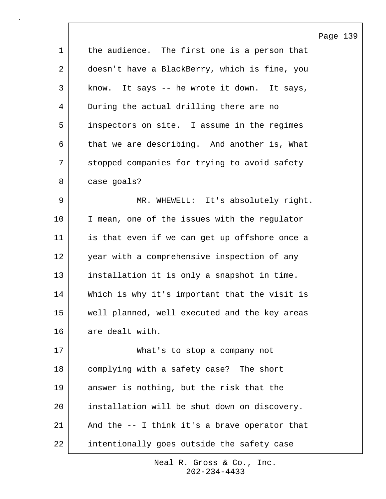|             |                                               | Page |
|-------------|-----------------------------------------------|------|
| $\mathbf 1$ | the audience. The first one is a person that  |      |
| 2           | doesn't have a BlackBerry, which is fine, you |      |
| 3           | know. It says -- he wrote it down. It says,   |      |
| 4           | During the actual drilling there are no       |      |
| 5           | inspectors on site. I assume in the regimes   |      |
| 6           | that we are describing. And another is, What  |      |
| 7           | stopped companies for trying to avoid safety  |      |
| 8           | case goals?                                   |      |
| $\mathsf 9$ | MR. WHEWELL: It's absolutely right.           |      |
| 10          | I mean, one of the issues with the regulator  |      |
| 11          | is that even if we can get up offshore once a |      |
| 12          | year with a comprehensive inspection of any   |      |
| 13          | installation it is only a snapshot in time.   |      |
| 14          | Which is why it's important that the visit is |      |
| 15          | well planned, well executed and the key areas |      |
| 16          | are dealt with.                               |      |
| 17          | What's to stop a company not                  |      |
| 18          | complying with a safety case? The short       |      |
| 19          | answer is nothing, but the risk that the      |      |
| 20          | installation will be shut down on discovery.  |      |
| 21          | And the -- I think it's a brave operator that |      |
| 22          | intentionally goes outside the safety case    |      |

139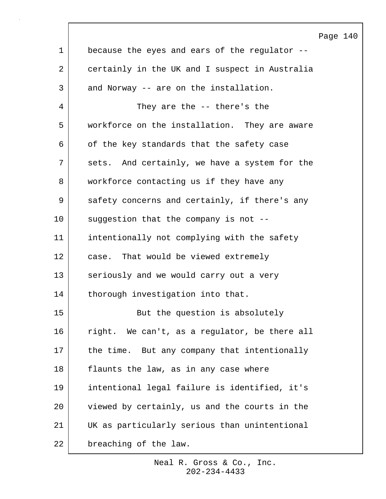|             |                                                | Page |
|-------------|------------------------------------------------|------|
| $\mathbf 1$ | because the eyes and ears of the regulator --  |      |
| 2           | certainly in the UK and I suspect in Australia |      |
| 3           | and Norway -- are on the installation.         |      |
| 4           | They are the -- there's the                    |      |
| 5           | workforce on the installation. They are aware  |      |
| 6           | of the key standards that the safety case      |      |
| 7           | sets. And certainly, we have a system for the  |      |
| 8           | workforce contacting us if they have any       |      |
| 9           | safety concerns and certainly, if there's any  |      |
| 10          | suggestion that the company is not --          |      |
| 11          | intentionally not complying with the safety    |      |
| 12          | case. That would be viewed extremely           |      |
| 13          | seriously and we would carry out a very        |      |
| 14          | thorough investigation into that.              |      |
| 15          | But the question is absolutely                 |      |
| 16          | right. We can't, as a regulator, be there all  |      |
| 17          | the time. But any company that intentionally   |      |
| 18          | flaunts the law, as in any case where          |      |
| 19          | intentional legal failure is identified, it's  |      |
| 20          | viewed by certainly, us and the courts in the  |      |
| 21          | UK as particularly serious than unintentional  |      |
| 22          | breaching of the law.                          |      |

 $\sqrt{ }$ 

140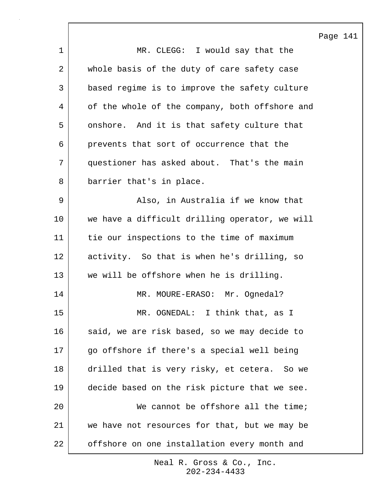|             |                                                | Page 141 |  |
|-------------|------------------------------------------------|----------|--|
| $\mathbf 1$ | MR. CLEGG: I would say that the                |          |  |
| 2           | whole basis of the duty of care safety case    |          |  |
| 3           | based regime is to improve the safety culture  |          |  |
| 4           | of the whole of the company, both offshore and |          |  |
| 5           | onshore. And it is that safety culture that    |          |  |
| 6           | prevents that sort of occurrence that the      |          |  |
| 7           | questioner has asked about. That's the main    |          |  |
| 8           | barrier that's in place.                       |          |  |
| 9           | Also, in Australia if we know that             |          |  |
| 10          | we have a difficult drilling operator, we will |          |  |
| 11          | tie our inspections to the time of maximum     |          |  |
| 12          | activity. So that is when he's drilling, so    |          |  |
| 13          | we will be offshore when he is drilling.       |          |  |
| 14          | MR. MOURE-ERASO: Mr. Ognedal?                  |          |  |
| 15          | MR. OGNEDAL: I think that, as I                |          |  |
| 16          | said, we are risk based, so we may decide to   |          |  |
| 17          | go offshore if there's a special well being    |          |  |
| 18          | drilled that is very risky, et cetera. So we   |          |  |
| 19          | decide based on the risk picture that we see.  |          |  |
| 20          | We cannot be offshore all the time;            |          |  |
| 21          | we have not resources for that, but we may be  |          |  |
| 22          | offshore on one installation every month and   |          |  |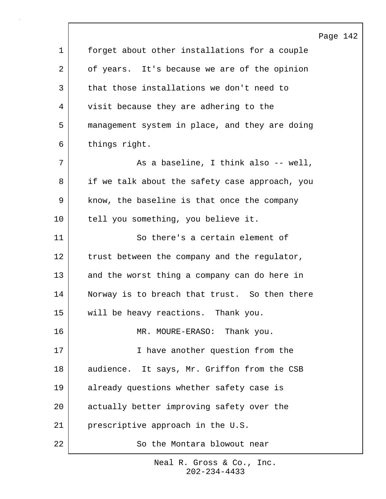|             |                                                | Page 142 |  |
|-------------|------------------------------------------------|----------|--|
| $\mathbf 1$ | forget about other installations for a couple  |          |  |
| 2           | of years. It's because we are of the opinion   |          |  |
| 3           | that those installations we don't need to      |          |  |
| 4           | visit because they are adhering to the         |          |  |
| 5           | management system in place, and they are doing |          |  |
| 6           | things right.                                  |          |  |
| 7           | As a baseline, I think also -- well,           |          |  |
| 8           | if we talk about the safety case approach, you |          |  |
| 9           | know, the baseline is that once the company    |          |  |
| 10          | tell you something, you believe it.            |          |  |
| 11          | So there's a certain element of                |          |  |
| 12          | trust between the company and the regulator,   |          |  |
| 13          | and the worst thing a company can do here in   |          |  |
| 14          | Norway is to breach that trust. So then there  |          |  |
| 15          | will be heavy reactions. Thank you.            |          |  |
| 16          | Thank you.<br>MR. MOURE-ERASO:                 |          |  |
| 17          | I have another question from the               |          |  |
| 18          | audience. It says, Mr. Griffon from the CSB    |          |  |
| 19          | already questions whether safety case is       |          |  |
| 20          | actually better improving safety over the      |          |  |
| 21          | prescriptive approach in the U.S.              |          |  |
| 22          | So the Montara blowout near                    |          |  |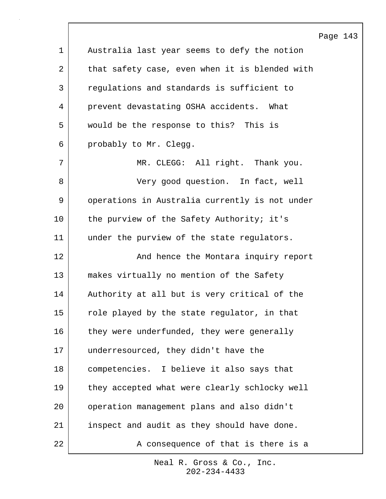|             |                                                | Page 143 |  |
|-------------|------------------------------------------------|----------|--|
| $\mathbf 1$ | Australia last year seems to defy the notion   |          |  |
| 2           | that safety case, even when it is blended with |          |  |
| 3           | regulations and standards is sufficient to     |          |  |
| 4           | prevent devastating OSHA accidents. What       |          |  |
| 5           | would be the response to this? This is         |          |  |
| 6           | probably to Mr. Clegg.                         |          |  |
| 7           | MR. CLEGG: All right. Thank you.               |          |  |
| 8           | Very good question. In fact, well              |          |  |
| $\mathsf 9$ | operations in Australia currently is not under |          |  |
| 10          | the purview of the Safety Authority; it's      |          |  |
| 11          | under the purview of the state regulators.     |          |  |
| 12          | And hence the Montara inquiry report           |          |  |
| 13          | makes virtually no mention of the Safety       |          |  |
| 14          | Authority at all but is very critical of the   |          |  |
| 15          | role played by the state regulator, in that    |          |  |
| 16          | they were underfunded, they were generally     |          |  |
| 17          | underresourced, they didn't have the           |          |  |
| 18          | competencies. I believe it also says that      |          |  |
| 19          | they accepted what were clearly schlocky well  |          |  |
| 20          | operation management plans and also didn't     |          |  |
| 21          | inspect and audit as they should have done.    |          |  |
| 22          | A consequence of that is there is a            |          |  |

 $\lceil$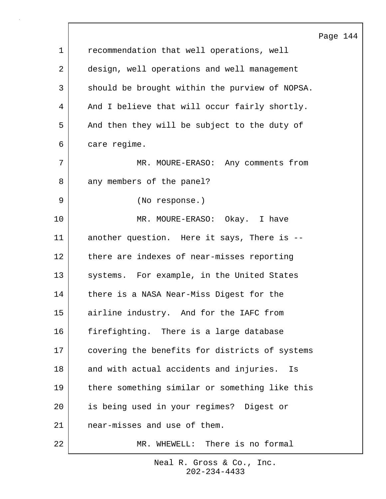|             | Page                                           |
|-------------|------------------------------------------------|
| $\mathbf 1$ | recommendation that well operations, well      |
| 2           | design, well operations and well management    |
| 3           | should be brought within the purview of NOPSA. |
| 4           | And I believe that will occur fairly shortly.  |
| 5           | And then they will be subject to the duty of   |
| 6           | care regime.                                   |
| 7           | MR. MOURE-ERASO: Any comments from             |
| 8           | any members of the panel?                      |
| 9           | (No response.)                                 |
| 10          | MR. MOURE-ERASO: Okay. I have                  |
| 11          | another question. Here it says, There is --    |
| 12          | there are indexes of near-misses reporting     |
| 13          | systems. For example, in the United States     |
| 14          | there is a NASA Near-Miss Digest for the       |
| 15          | airline industry. And for the IAFC from        |
| 16          | firefighting. There is a large database        |
| 17          | covering the benefits for districts of systems |
| 18          | and with actual accidents and injuries.<br>Is  |
| 19          | there something similar or something like this |
| 20          | is being used in your regimes? Digest or       |
| 21          | near-misses and use of them.                   |
| 22          | There is no formal<br>MR. WHEWELL:             |

 $\lceil$ 

144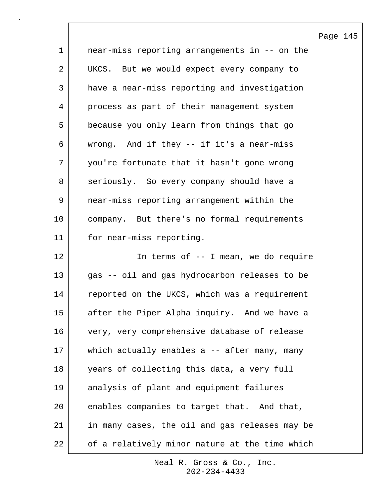|             |                                                | Page 145 |  |
|-------------|------------------------------------------------|----------|--|
| $\mathbf 1$ | near-miss reporting arrangements in -- on the  |          |  |
| 2           | UKCS. But we would expect every company to     |          |  |
| 3           | have a near-miss reporting and investigation   |          |  |
| 4           | process as part of their management system     |          |  |
| 5           | because you only learn from things that go     |          |  |
| 6           | wrong. And if they -- if it's a near-miss      |          |  |
| 7           | you're fortunate that it hasn't gone wrong     |          |  |
| 8           | seriously. So every company should have a      |          |  |
| 9           | near-miss reporting arrangement within the     |          |  |
| $10 \,$     | company. But there's no formal requirements    |          |  |
| 11          | for near-miss reporting.                       |          |  |
| 12          | In terms of $-$ - I mean, we do require        |          |  |
| 13          | gas -- oil and gas hydrocarbon releases to be  |          |  |
| 14          | reported on the UKCS, which was a requirement  |          |  |
| 15          | after the Piper Alpha inquiry. And we have a   |          |  |
| 16          | very, very comprehensive database of release   |          |  |
| 17          | which actually enables a -- after many, many   |          |  |
| 18          | years of collecting this data, a very full     |          |  |
| 19          | analysis of plant and equipment failures       |          |  |
| 20          | enables companies to target that. And that,    |          |  |
| 21          | in many cases, the oil and gas releases may be |          |  |
| 22          | of a relatively minor nature at the time which |          |  |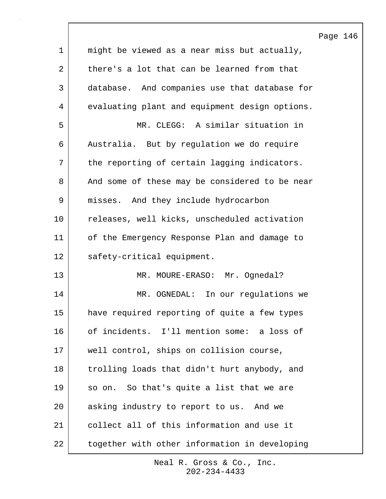|             |                                                | Page 146 |  |
|-------------|------------------------------------------------|----------|--|
| $\mathbf 1$ | might be viewed as a near miss but actually,   |          |  |
| 2           | there's a lot that can be learned from that    |          |  |
| 3           | database. And companies use that database for  |          |  |
| 4           | evaluating plant and equipment design options. |          |  |
| 5           | MR. CLEGG: A similar situation in              |          |  |
| 6           | Australia. But by regulation we do require     |          |  |
| 7           | the reporting of certain lagging indicators.   |          |  |
| 8           | And some of these may be considered to be near |          |  |
| 9           | misses. And they include hydrocarbon           |          |  |
| 10          | releases, well kicks, unscheduled activation   |          |  |
| 11          | of the Emergency Response Plan and damage to   |          |  |
| 12          | safety-critical equipment.                     |          |  |
| 13          | MR. MOURE-ERASO: Mr. Ognedal?                  |          |  |
| 14          | MR. OGNEDAL: In our regulations we             |          |  |
| 15          | have required reporting of quite a few types   |          |  |
| 16          | of incidents. I'll mention some: a loss of     |          |  |
| 17          | well control, ships on collision course,       |          |  |
| 18          | trolling loads that didn't hurt anybody, and   |          |  |
| 19          | So that's quite a list that we are<br>so on.   |          |  |
| 20          | asking industry to report to us. And we        |          |  |
| 21          | collect all of this information and use it     |          |  |
| 22          | together with other information in developing  |          |  |

 $\sqrt{ }$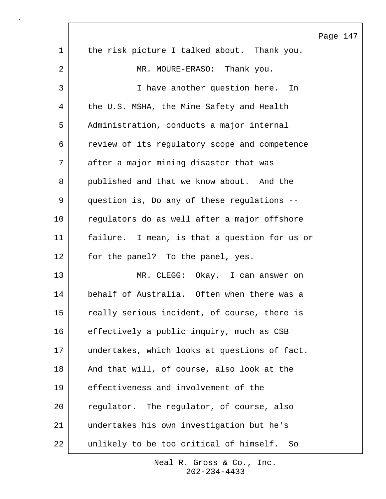|    |                                               | Page 147 |  |
|----|-----------------------------------------------|----------|--|
| 1  | the risk picture I talked about. Thank you.   |          |  |
| 2  | MR. MOURE-ERASO: Thank you.                   |          |  |
| 3  | I have another question here.<br>In           |          |  |
| 4  | the U.S. MSHA, the Mine Safety and Health     |          |  |
| 5  | Administration, conducts a major internal     |          |  |
| 6  | review of its regulatory scope and competence |          |  |
| 7  | after a major mining disaster that was        |          |  |
| 8  | published and that we know about. And the     |          |  |
| 9  | question is, Do any of these regulations --   |          |  |
| 10 | regulators do as well after a major offshore  |          |  |
| 11 | failure. I mean, is that a question for us or |          |  |
| 12 | for the panel? To the panel, yes.             |          |  |
| 13 | MR. CLEGG: Okay. I can answer on              |          |  |
| 14 | behalf of Australia. Often when there was a   |          |  |
| 15 | really serious incident, of course, there is  |          |  |
| 16 | effectively a public inquiry, much as CSB     |          |  |
| 17 | undertakes, which looks at questions of fact. |          |  |
| 18 | And that will, of course, also look at the    |          |  |
| 19 | effectiveness and involvement of the          |          |  |
| 20 | regulator. The regulator, of course, also     |          |  |
| 21 | undertakes his own investigation but he's     |          |  |
| 22 | unlikely to be too critical of himself.<br>So |          |  |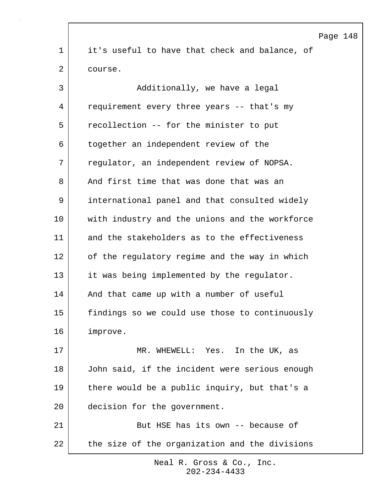Page 148 1 it's useful to have that check and balance, of 2 course. 3 | Additionally, we have a legal 4 requirement every three years -- that's my 5 recollection -- for the minister to put 6 together an independent review of the 7 regulator, an independent review of NOPSA. 8 And first time that was done that was an 9 international panel and that consulted widely 10 with industry and the unions and the workforce 11 and the stakeholders as to the effectiveness 12 of the regulatory regime and the way in which 13 it was being implemented by the regulator. 14 | And that came up with a number of useful 15 findings so we could use those to continuously 16 improve. 17 MR. WHEWELL: Yes. In the UK, as 18 John said, if the incident were serious enough 19 there would be a public inquiry, but that's a 20 decision for the government. 21 But HSE has its own -- because of 22 | the size of the organization and the divisions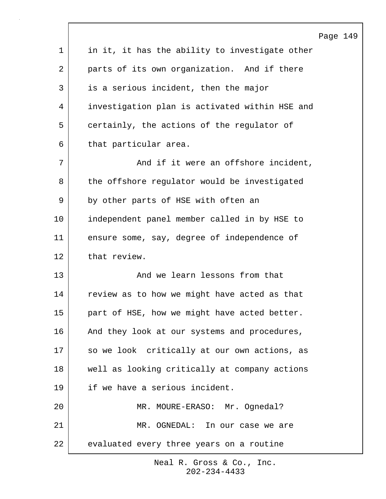|             |                                                | Page 149 |  |
|-------------|------------------------------------------------|----------|--|
| $\mathbf 1$ | in it, it has the ability to investigate other |          |  |
| 2           | parts of its own organization. And if there    |          |  |
| 3           | is a serious incident, then the major          |          |  |
| 4           | investigation plan is activated within HSE and |          |  |
| 5           | certainly, the actions of the regulator of     |          |  |
| 6           | that particular area.                          |          |  |
| 7           | And if it were an offshore incident,           |          |  |
| 8           | the offshore regulator would be investigated   |          |  |
| 9           | by other parts of HSE with often an            |          |  |
| 10          | independent panel member called in by HSE to   |          |  |
| 11          | ensure some, say, degree of independence of    |          |  |
| 12          | that review.                                   |          |  |
| 13          | And we learn lessons from that                 |          |  |
| 14          | review as to how we might have acted as that   |          |  |
| 15          | part of HSE, how we might have acted better.   |          |  |
| 16          | And they look at our systems and procedures,   |          |  |
| 17          | so we look critically at our own actions, as   |          |  |
| 18          | well as looking critically at company actions  |          |  |
| 19          | if we have a serious incident.                 |          |  |
| 20          | MR. MOURE-ERASO: Mr. Ognedal?                  |          |  |
| 21          | MR. OGNEDAL: In our case we are                |          |  |
| 22          | evaluated every three years on a routine       |          |  |

 $\Gamma$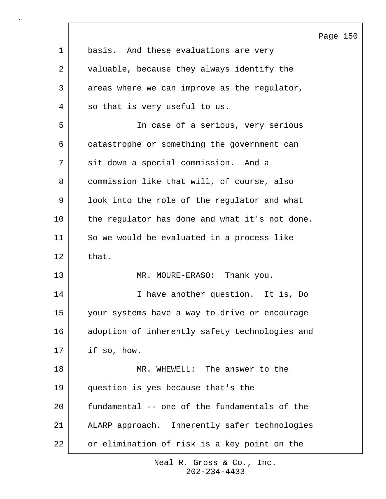|             |                                                | Page 150 |  |
|-------------|------------------------------------------------|----------|--|
| $\mathbf 1$ | basis. And these evaluations are very          |          |  |
| 2           | valuable, because they always identify the     |          |  |
| 3           | areas where we can improve as the regulator,   |          |  |
| 4           | so that is very useful to us.                  |          |  |
| 5           | In case of a serious, very serious             |          |  |
| 6           | catastrophe or something the government can    |          |  |
| 7           | sit down a special commission. And a           |          |  |
| 8           | commission like that will, of course, also     |          |  |
| 9           | look into the role of the regulator and what   |          |  |
| 10          | the regulator has done and what it's not done. |          |  |
| 11          | So we would be evaluated in a process like     |          |  |
| 12          | that.                                          |          |  |
| 13          | MR. MOURE-ERASO: Thank you.                    |          |  |
| 14          | I have another question. It is, Do             |          |  |
| 15          | your systems have a way to drive or encourage  |          |  |
| 16          | adoption of inherently safety technologies and |          |  |
| 17          | if so, how.                                    |          |  |
| 18          | MR. WHEWELL: The answer to the                 |          |  |
| 19          | question is yes because that's the             |          |  |
| 20          | fundamental -- one of the fundamentals of the  |          |  |
| 21          | ALARP approach. Inherently safer technologies  |          |  |
| 22          | or elimination of risk is a key point on the   |          |  |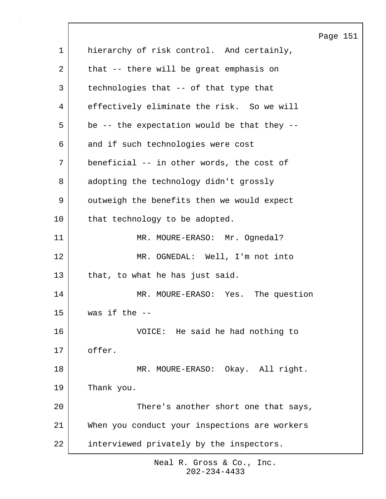|             | Page 151                                      |
|-------------|-----------------------------------------------|
| $\mathbf 1$ | hierarchy of risk control. And certainly,     |
| 2           | that -- there will be great emphasis on       |
| 3           | technologies that -- of that type that        |
| 4           | effectively eliminate the risk. So we will    |
| 5           | be -- the expectation would be that they --   |
| 6           | and if such technologies were cost            |
| 7           | beneficial -- in other words, the cost of     |
| 8           | adopting the technology didn't grossly        |
| 9           | outweigh the benefits then we would expect    |
| 10          | that technology to be adopted.                |
| 11          | MR. MOURE-ERASO: Mr. Ognedal?                 |
| 12          | MR. OGNEDAL: Well, I'm not into               |
| 13          | that, to what he has just said.               |
| 14          | MR. MOURE-ERASO: Yes. The question            |
| 15          | was if the $--$                               |
| 16          | VOICE: He said he had nothing to              |
| 17          | offer.                                        |
| 18          | MR. MOURE-ERASO: Okay. All right.             |
| 19          | Thank you.                                    |
| 20          | There's another short one that says,          |
| 21          | When you conduct your inspections are workers |
| 22          | interviewed privately by the inspectors.      |

 $\lceil$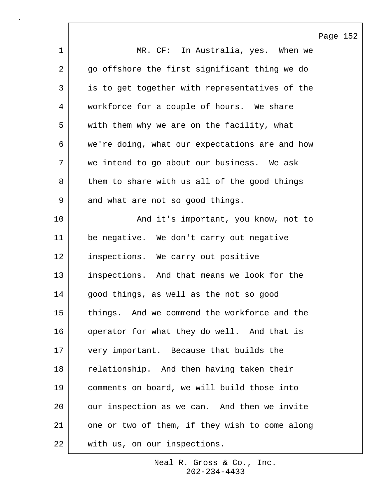|             | Page 152                                       |
|-------------|------------------------------------------------|
| $\mathbf 1$ | MR. CF: In Australia, yes. When we             |
| 2           | go offshore the first significant thing we do  |
| 3           | is to get together with representatives of the |
| 4           | workforce for a couple of hours. We share      |
| 5           | with them why we are on the facility, what     |
| 6           | we're doing, what our expectations are and how |
| 7           | we intend to go about our business. We ask     |
| 8           | them to share with us all of the good things   |
| 9           | and what are not so good things.               |
| 10          | And it's important, you know, not to           |
| 11          | be negative. We don't carry out negative       |
| 12          | inspections. We carry out positive             |
| 13          | inspections. And that means we look for the    |
| 14          | good things, as well as the not so good        |
| 15          | things. And we commend the workforce and the   |
| 16          | operator for what they do well. And that is    |
| 17          | very important. Because that builds the        |
| 18          | relationship. And then having taken their      |
| 19          | comments on board, we will build those into    |
| 20          | our inspection as we can. And then we invite   |
| 21          | one or two of them, if they wish to come along |
| 22          | with us, on our inspections.                   |

 $\Gamma$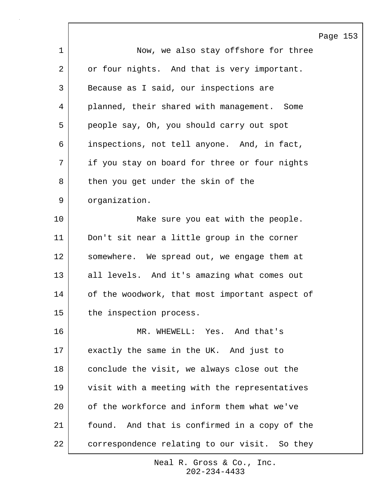|                | Page 153                                       |
|----------------|------------------------------------------------|
| $\mathbf 1$    | Now, we also stay offshore for three           |
| $\overline{2}$ | or four nights. And that is very important.    |
| 3              | Because as I said, our inspections are         |
| 4              | planned, their shared with management. Some    |
| 5              | people say, Oh, you should carry out spot      |
| 6              | inspections, not tell anyone. And, in fact,    |
| 7              | if you stay on board for three or four nights  |
| 8              | then you get under the skin of the             |
| $\mathsf 9$    | organization.                                  |
| 10             | Make sure you eat with the people.             |
| 11             | Don't sit near a little group in the corner    |
| 12             | somewhere. We spread out, we engage them at    |
| 13             | all levels. And it's amazing what comes out    |
| 14             | of the woodwork, that most important aspect of |
| 15             | the inspection process.                        |
| 16             | MR. WHEWELL: Yes. And that's                   |
| 17             | exactly the same in the UK. And just to        |
| 18             | conclude the visit, we always close out the    |
| 19             | visit with a meeting with the representatives  |
| 20             | of the workforce and inform them what we've    |
| 21             | found. And that is confirmed in a copy of the  |
| 22             | correspondence relating to our visit. So they  |

 $\Gamma$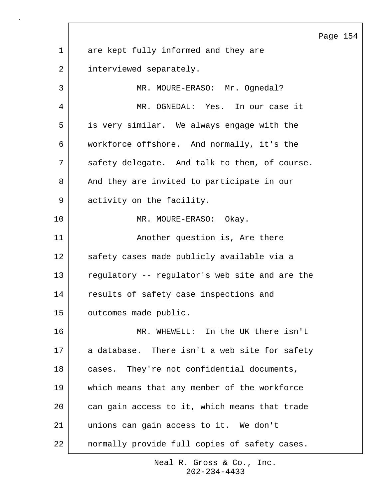|             |                                                | Page 154 |  |
|-------------|------------------------------------------------|----------|--|
| $\mathbf 1$ | are kept fully informed and they are           |          |  |
| 2           | interviewed separately.                        |          |  |
| 3           | MR. MOURE-ERASO: Mr. Ognedal?                  |          |  |
| 4           | MR. OGNEDAL: Yes. In our case it               |          |  |
| 5           | is very similar. We always engage with the     |          |  |
| 6           | workforce offshore. And normally, it's the     |          |  |
| 7           | safety delegate. And talk to them, of course.  |          |  |
| 8           | And they are invited to participate in our     |          |  |
| 9           | activity on the facility.                      |          |  |
| 10          | MR. MOURE-ERASO: Okay.                         |          |  |
| 11          | Another question is, Are there                 |          |  |
| 12          | safety cases made publicly available via a     |          |  |
| 13          | regulatory -- regulator's web site and are the |          |  |
| 14          | results of safety case inspections and         |          |  |
| 15          | outcomes made public.                          |          |  |
| 16          | MR. WHEWELL: In the UK there isn't             |          |  |
| 17          | a database. There isn't a web site for safety  |          |  |
| 18          | cases. They're not confidential documents,     |          |  |
| 19          | which means that any member of the workforce   |          |  |
| 20          | can gain access to it, which means that trade  |          |  |
| 21          | unions can gain access to it. We don't         |          |  |
| 22          | normally provide full copies of safety cases.  |          |  |

 $\sqrt{ }$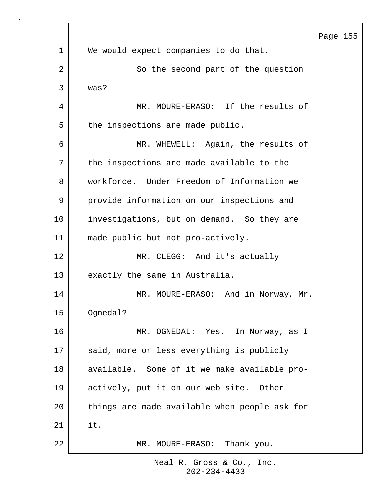|    |                                               | Page |
|----|-----------------------------------------------|------|
| 1  | We would expect companies to do that.         |      |
| 2  | So the second part of the question            |      |
| 3  | was?                                          |      |
| 4  | MR. MOURE-ERASO: If the results of            |      |
| 5  | the inspections are made public.              |      |
| 6  | MR. WHEWELL: Again, the results of            |      |
| 7  | the inspections are made available to the     |      |
| 8  | workforce. Under Freedom of Information we    |      |
| 9  | provide information on our inspections and    |      |
| 10 | investigations, but on demand. So they are    |      |
| 11 | made public but not pro-actively.             |      |
| 12 | MR. CLEGG: And it's actually                  |      |
| 13 | exactly the same in Australia.                |      |
| 14 | MR. MOURE-ERASO: And in Norway, Mr.           |      |
| 15 | Ognedal?                                      |      |
| 16 | MR. OGNEDAL: Yes. In Norway, as I             |      |
| 17 | said, more or less everything is publicly     |      |
| 18 | available. Some of it we make available pro-  |      |
| 19 | actively, put it on our web site. Other       |      |
| 20 | things are made available when people ask for |      |
| 21 | it.                                           |      |
| 22 | Thank you.<br>MR. MOURE-ERASO:                |      |

155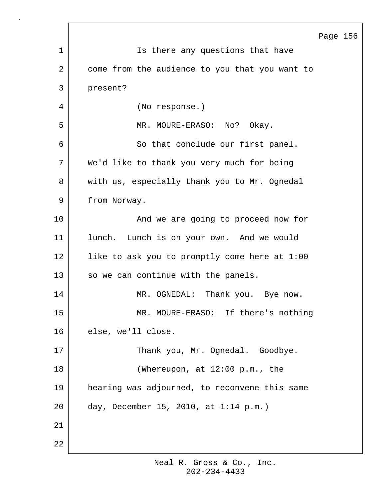|    |                                                | Page 156 |  |
|----|------------------------------------------------|----------|--|
| 1  | Is there any questions that have               |          |  |
| 2  | come from the audience to you that you want to |          |  |
| 3  | present?                                       |          |  |
| 4  | (No response.)                                 |          |  |
| 5  | MR. MOURE-ERASO: No?<br>Okay.                  |          |  |
| 6  | So that conclude our first panel.              |          |  |
| 7  | We'd like to thank you very much for being     |          |  |
| 8  | with us, especially thank you to Mr. Ognedal   |          |  |
| 9  | from Norway.                                   |          |  |
| 10 | And we are going to proceed now for            |          |  |
| 11 | lunch. Lunch is on your own. And we would      |          |  |
| 12 | like to ask you to promptly come here at 1:00  |          |  |
| 13 | so we can continue with the panels.            |          |  |
| 14 | MR. OGNEDAL: Thank you. Bye now.               |          |  |
| 15 | MR. MOURE-ERASO: If there's nothing            |          |  |
| 16 | else, we'll close.                             |          |  |
| 17 | Thank you, Mr. Ognedal. Goodbye.               |          |  |
| 18 | (Whereupon, at 12:00 p.m., the                 |          |  |
| 19 | hearing was adjourned, to reconvene this same  |          |  |
| 20 | day, December 15, 2010, at $1:14$ p.m.)        |          |  |
| 21 |                                                |          |  |
| 22 |                                                |          |  |

Г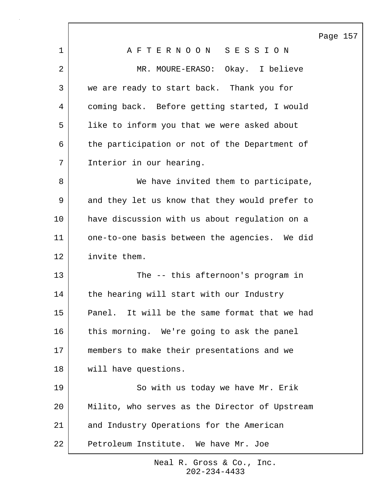Page 157

|    | r,                                             |
|----|------------------------------------------------|
| 1  | AFTERNOON SESSION                              |
| 2  | MR. MOURE-ERASO: Okay. I believe               |
| 3  | we are ready to start back. Thank you for      |
| 4  | coming back. Before getting started, I would   |
| 5  | like to inform you that we were asked about    |
| 6  | the participation or not of the Department of  |
| 7  | Interior in our hearing.                       |
| 8  | We have invited them to participate,           |
| 9  | and they let us know that they would prefer to |
| 10 | have discussion with us about regulation on a  |
| 11 | one-to-one basis between the agencies. We did  |
| 12 | invite them.                                   |
| 13 | The -- this afternoon's program in             |
| 14 | the hearing will start with our Industry       |
| 15 | Panel. It will be the same format that we had  |
| 16 | this morning. We're going to ask the panel     |
| 17 | members to make their presentations and we     |
| 18 | will have questions.                           |
| 19 | So with us today we have Mr. Erik              |
| 20 | Milito, who serves as the Director of Upstream |
| 21 | and Industry Operations for the American       |
| 22 | Petroleum Institute. We have Mr. Joe           |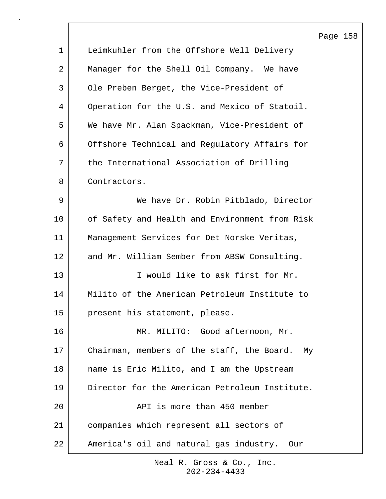|             |                                                | Page 158 |  |
|-------------|------------------------------------------------|----------|--|
| $\mathbf 1$ | Leimkuhler from the Offshore Well Delivery     |          |  |
| 2           | Manager for the Shell Oil Company. We have     |          |  |
| 3           | Ole Preben Berget, the Vice-President of       |          |  |
| 4           | Operation for the U.S. and Mexico of Statoil.  |          |  |
| 5           | We have Mr. Alan Spackman, Vice-President of   |          |  |
| 6           | Offshore Technical and Regulatory Affairs for  |          |  |
| 7           | the International Association of Drilling      |          |  |
| 8           | Contractors.                                   |          |  |
| 9           | We have Dr. Robin Pitblado, Director           |          |  |
| 10          | of Safety and Health and Environment from Risk |          |  |
| 11          | Management Services for Det Norske Veritas,    |          |  |
| 12          | and Mr. William Sember from ABSW Consulting.   |          |  |
| 13          | I would like to ask first for Mr.              |          |  |
| 14          | Milito of the American Petroleum Institute to  |          |  |
| 15          | present his statement, please.                 |          |  |
| 16          | MR. MILITO: Good afternoon, Mr.                |          |  |
| 17          | Chairman, members of the staff, the Board. My  |          |  |
| 18          | name is Eric Milito, and I am the Upstream     |          |  |
| 19          | Director for the American Petroleum Institute. |          |  |
| 20          | API is more than 450 member                    |          |  |
| 21          | companies which represent all sectors of       |          |  |
| 22          | America's oil and natural gas industry. Our    |          |  |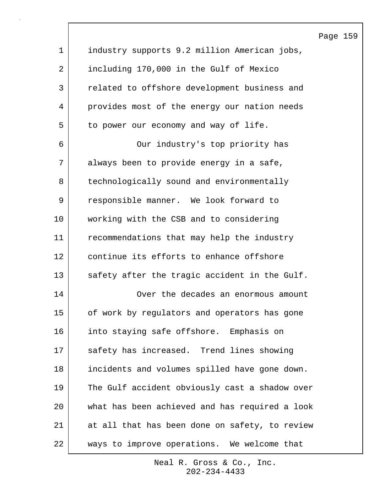|     |                                               | Pac |
|-----|-----------------------------------------------|-----|
| 1   | industry supports 9.2 million American jobs,  |     |
| 2   | including 170,000 in the Gulf of Mexico       |     |
| 3   | related to offshore development business and  |     |
| 4   | provides most of the energy our nation needs  |     |
| 5   | to power our economy and way of life.         |     |
| 6   | Our industry's top priority has               |     |
| 7   | always been to provide energy in a safe,      |     |
| 8   | technologically sound and environmentally     |     |
| 9   | responsible manner. We look forward to        |     |
| 10  | working with the CSB and to considering       |     |
| 11  | recommendations that may help the industry    |     |
| 12  | continue its efforts to enhance offshore      |     |
| 13  | safety after the tragic accident in the Gulf. |     |
| 14  | Over the decades an enormous amount           |     |
| 15  | of work by regulators and operators has gone  |     |
| 16  | into staying safe offshore. Emphasis on       |     |
| 1 m | esfatii baa tusisaasad Tiinaa shaiina         |     |

16 into staying safe offshore. Emphasis on 17 | safety has increased. Trend lines showing 18 incidents and volumes spilled have gone down. 19 The Gulf accident obviously cast a shadow over 20 what has been achieved and has required a look 21 at all that has been done on safety, to review 22 ways to improve operations. We welcome that

> 202-234-4433 Neal R. Gross & Co., Inc.

## ge 159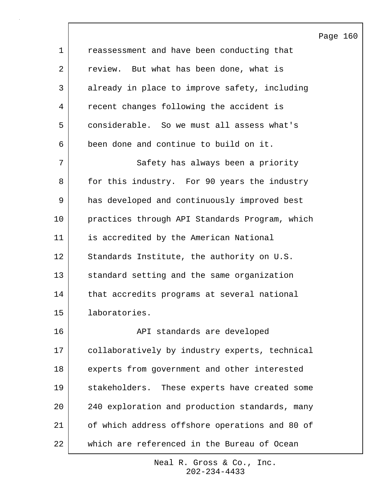Page 160 1 **cassessment and have been conducting that** 2 review. But what has been done, what is 3 already in place to improve safety, including 4 recent changes following the accident is 5 considerable. So we must all assess what's 6 been done and continue to build on it. 7 | Safety has always been a priority 8 for this industry. For 90 years the industry 9 has developed and continuously improved best 10 practices through API Standards Program, which 11 is accredited by the American National 12 Standards Institute, the authority on U.S. 13 standard setting and the same organization 14 | that accredits programs at several national 15 laboratories. 16 | RPI standards are developed 17 collaboratively by industry experts, technical 18 experts from government and other interested 19 stakeholders. These experts have created some 20 240 exploration and production standards, many 21 of which address offshore operations and 80 of 22 which are referenced in the Bureau of Ocean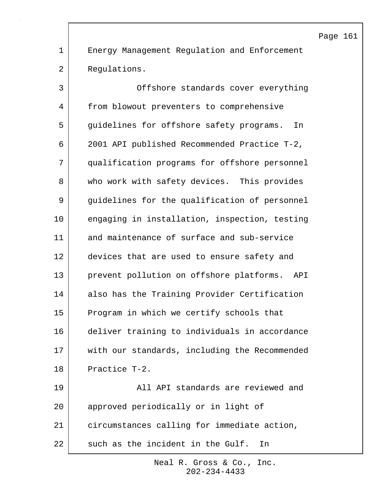1 Energy Management Regulation and Enforcement 2 Requlations.

3 Offshore standards cover everything 4 from blowout preventers to comprehensive 5 guidelines for offshore safety programs. In 6 2001 API published Recommended Practice T-2, 7 qualification programs for offshore personnel 8 who work with safety devices. This provides 9 guidelines for the qualification of personnel 10 engaging in installation, inspection, testing 11 and maintenance of surface and sub-service 12 devices that are used to ensure safety and 13 prevent pollution on offshore platforms. API 14 also has the Training Provider Certification 15 Program in which we certify schools that 16 deliver training to individuals in accordance 17 with our standards, including the Recommended 18 Practice T-2. 19 all API standards are reviewed and 20 approved periodically or in light of 21 circumstances calling for immediate action, 22 such as the incident in the Gulf. In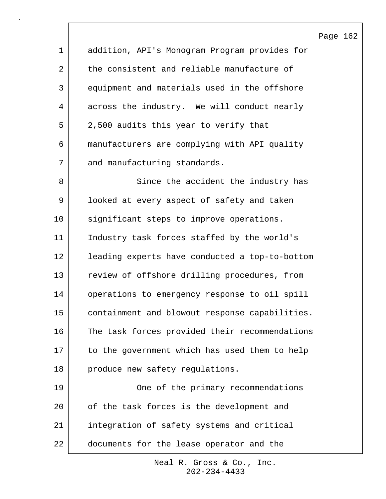Page 162 1 addition, API's Monogram Program provides for 2 the consistent and reliable manufacture of 3 equipment and materials used in the offshore 4 across the industry. We will conduct nearly 5 2,500 audits this year to verify that 6 manufacturers are complying with API quality 7 and manufacturing standards. 8 Since the accident the industry has 9 looked at every aspect of safety and taken 10 significant steps to improve operations. 11 Industry task forces staffed by the world's 12 leading experts have conducted a top-to-bottom 13 review of offshore drilling procedures, from 14 operations to emergency response to oil spill 15 containment and blowout response capabilities. 16 The task forces provided their recommendations 17 to the government which has used them to help 18 produce new safety regulations. 19 One of the primary recommendations 20 of the task forces is the development and 21 integration of safety systems and critical 22 documents for the lease operator and the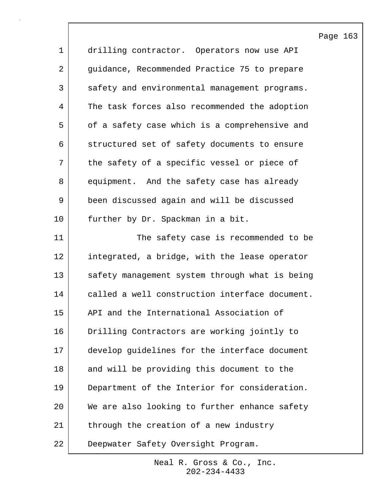|             |                                                | Page 163 |  |
|-------------|------------------------------------------------|----------|--|
| $\mathbf 1$ | drilling contractor. Operators now use API     |          |  |
| 2           | guidance, Recommended Practice 75 to prepare   |          |  |
| 3           | safety and environmental management programs.  |          |  |
| 4           | The task forces also recommended the adoption  |          |  |
| 5           | of a safety case which is a comprehensive and  |          |  |
| 6           | structured set of safety documents to ensure   |          |  |
| 7           | the safety of a specific vessel or piece of    |          |  |
| 8           | equipment. And the safety case has already     |          |  |
| 9           | been discussed again and will be discussed     |          |  |
| 10          | further by Dr. Spackman in a bit.              |          |  |
| 11          | The safety case is recommended to be           |          |  |
| 12          | integrated, a bridge, with the lease operator  |          |  |
| 13          | safety management system through what is being |          |  |
| 14          | called a well construction interface document. |          |  |
| 15          | API and the International Association of       |          |  |
| 16          | Drilling Contractors are working jointly to    |          |  |
| 17          | develop guidelines for the interface document  |          |  |
| 18          | and will be providing this document to the     |          |  |
| 19          | Department of the Interior for consideration.  |          |  |
| 20          | We are also looking to further enhance safety  |          |  |
| 21          | through the creation of a new industry         |          |  |
| 22          | Deepwater Safety Oversight Program.            |          |  |

 $\mathsf{l}$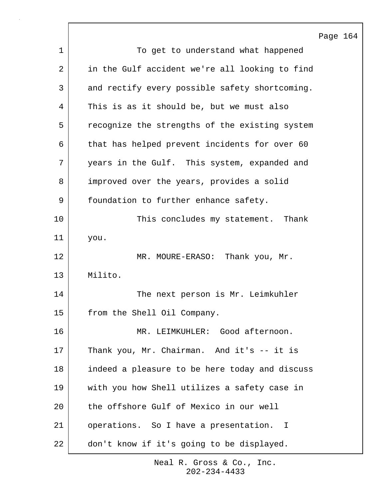Page 164 1 To get to understand what happened 2 in the Gulf accident we're all looking to find 3 and rectify every possible safety shortcoming. 4 This is as it should be, but we must also 5 The recognize the strengths of the existing system 6 that has helped prevent incidents for over 60 7 years in the Gulf. This system, expanded and 8 improved over the years, provides a solid 9 | foundation to further enhance safety. 10 | This concludes my statement. Thank 11 you. 12 | MR. MOURE-ERASO: Thank you, Mr. 13 Milito. 14 The next person is Mr. Leimkuhler 15 from the Shell Oil Company. 16 MR. LEIMKUHLER: Good afternoon. 17 Thank you, Mr. Chairman. And it's -- it is 18 indeed a pleasure to be here today and discuss 19 with you how Shell utilizes a safety case in 20 the offshore Gulf of Mexico in our well 21 | operations. So I have a presentation. I 22 don't know if it's going to be displayed.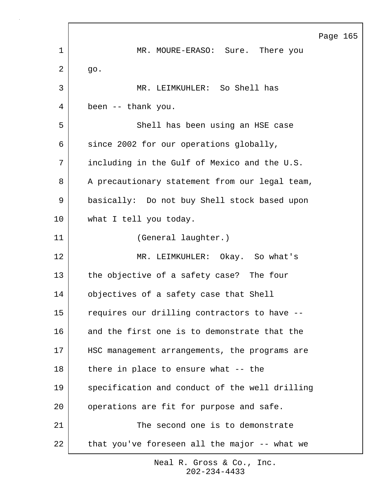Page 165 1 MR. MOURE-ERASO: Sure. There you  $2 \mid$  go. 3 MR. LEIMKUHLER: So Shell has 4 been -- thank you. 5 Shell has been using an HSE case 6 since 2002 for our operations globally, 7 including in the Gulf of Mexico and the U.S. 8 | A precautionary statement from our legal team, 9 basically: Do not buy Shell stock based upon 10 what I tell you today. 11 (General laughter.) 12 MR. LEIMKUHLER: Okay. So what's 13 the objective of a safety case? The four 14 objectives of a safety case that Shell 15 | requires our drilling contractors to have --16 and the first one is to demonstrate that the 17 | HSC management arrangements, the programs are  $18$  there in place to ensure what  $-$ - the 19 specification and conduct of the well drilling 20 operations are fit for purpose and safe. 21 The second one is to demonstrate  $22$  that you've foreseen all the major  $-$ - what we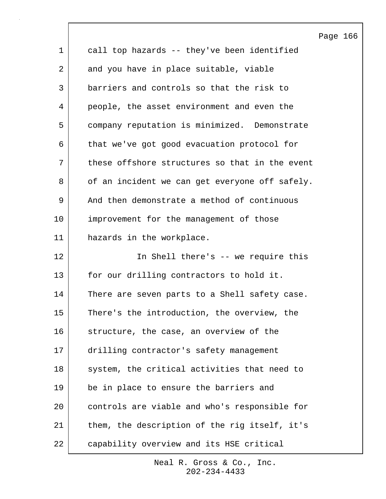|             |                                                | Page 166 |  |
|-------------|------------------------------------------------|----------|--|
| $\mathbf 1$ | call top hazards -- they've been identified    |          |  |
| 2           | and you have in place suitable, viable         |          |  |
| 3           | barriers and controls so that the risk to      |          |  |
| 4           | people, the asset environment and even the     |          |  |
| 5           | company reputation is minimized. Demonstrate   |          |  |
| 6           | that we've got good evacuation protocol for    |          |  |
| 7           | these offshore structures so that in the event |          |  |
| 8           | of an incident we can get everyone off safely. |          |  |
| 9           | And then demonstrate a method of continuous    |          |  |
| 10          | improvement for the management of those        |          |  |
| 11          | hazards in the workplace.                      |          |  |
| 12          | In Shell there's -- we require this            |          |  |
| 13          | for our drilling contractors to hold it.       |          |  |
| 14          | There are seven parts to a Shell safety case.  |          |  |
| 15          | There's the introduction, the overview, the    |          |  |
| 16          | structure, the case, an overview of the        |          |  |
| 17          | drilling contractor's safety management        |          |  |
| 18          | system, the critical activities that need to   |          |  |
| 19          | be in place to ensure the barriers and         |          |  |
| 20          | controls are viable and who's responsible for  |          |  |
| 21          | them, the description of the rig itself, it's  |          |  |
| 22          | capability overview and its HSE critical       |          |  |

 $\lceil$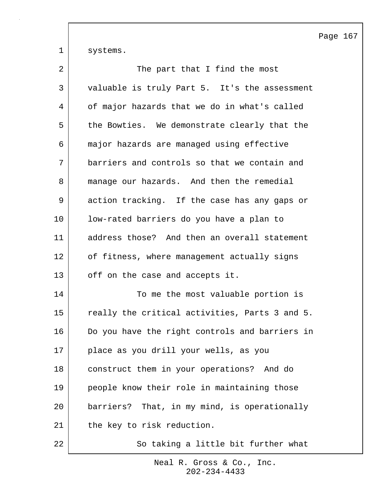1 systems.

| 2  | The part that I find the most                  |
|----|------------------------------------------------|
| 3  | valuable is truly Part 5. It's the assessment  |
| 4  | of major hazards that we do in what's called   |
| 5  | the Bowties. We demonstrate clearly that the   |
| 6  | major hazards are managed using effective      |
| 7  | barriers and controls so that we contain and   |
| 8  | manage our hazards. And then the remedial      |
| 9  | action tracking. If the case has any gaps or   |
| 10 | low-rated barriers do you have a plan to       |
| 11 | address those? And then an overall statement   |
| 12 | of fitness, where management actually signs    |
| 13 | off on the case and accepts it.                |
| 14 | To me the most valuable portion is             |
| 15 | really the critical activities, Parts 3 and 5. |
| 16 | Do you have the right controls and barriers in |
| 17 | place as you drill your wells, as you          |
| 18 | construct them in your operations? And do      |
| 19 | people know their role in maintaining those    |
| 20 | barriers? That, in my mind, is operationally   |
| 21 | the key to risk reduction.                     |
| 22 | So taking a little bit further what            |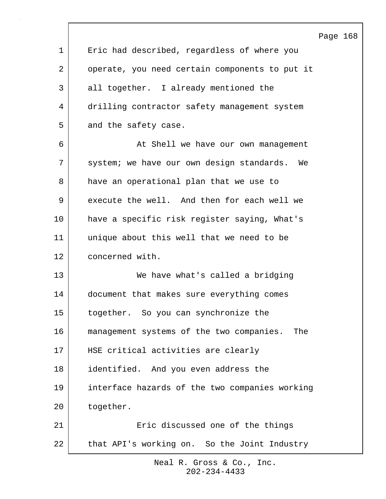|              | Page 168                                        |
|--------------|-------------------------------------------------|
| $\mathbf{1}$ | Eric had described, regardless of where you     |
| 2            | operate, you need certain components to put it  |
| 3            | all together. I already mentioned the           |
| 4            | drilling contractor safety management system    |
| 5            | and the safety case.                            |
| 6            | At Shell we have our own management             |
| 7            | system; we have our own design standards. We    |
| 8            | have an operational plan that we use to         |
| 9            | execute the well. And then for each well we     |
| 10           | have a specific risk register saying, What's    |
| 11           | unique about this well that we need to be       |
| 12           | concerned with.                                 |
| 13           | We have what's called a bridging                |
| 14           | document that makes sure everything comes       |
| 15           | together. So you can synchronize the            |
| 16           | management systems of the two companies.<br>The |
| 17           | HSE critical activities are clearly             |
| 18           | identified. And you even address the            |
| 19           | interface hazards of the two companies working  |
| 20           | together.                                       |
| 21           | Eric discussed one of the things                |
| 22           | that API's working on. So the Joint Industry    |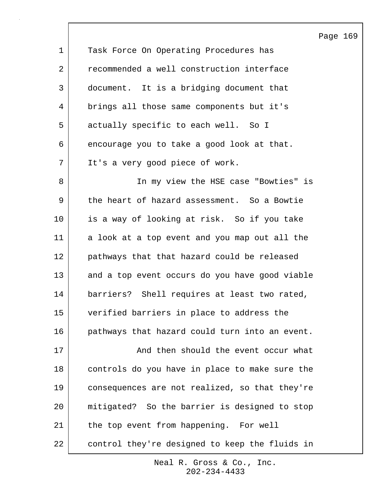|             |                                                | Pa |
|-------------|------------------------------------------------|----|
| $\mathbf 1$ | Task Force On Operating Procedures has         |    |
| 2           | recommended a well construction interface      |    |
| 3           | document. It is a bridging document that       |    |
| 4           | brings all those same components but it's      |    |
| 5           | actually specific to each well. So I           |    |
| 6           | encourage you to take a good look at that.     |    |
| 7           | It's a very good piece of work.                |    |
| 8           | In my view the HSE case "Bowties" is           |    |
| 9           | the heart of hazard assessment. So a Bowtie    |    |
| 10          | is a way of looking at risk. So if you take    |    |
| 11          | a look at a top event and you map out all the  |    |
| 12          | pathways that that hazard could be released    |    |
| 13          | and a top event occurs do you have good viable |    |
| 14          | barriers? Shell requires at least two rated,   |    |
| 15          | verified barriers in place to address the      |    |
| 16          | pathways that hazard could turn into an event. |    |
| 17          | And then should the event occur what           |    |
| 18          | controls do you have in place to make sure the |    |
| 19          | consequences are not realized, so that they're |    |
| 20          | mitigated? So the barrier is designed to stop  |    |
| 21          | the top event from happening. For well         |    |
| 22          | control they're designed to keep the fluids in |    |

 $\overline{\phantom{a}}$ 

202-234-4433 Neal R. Gross & Co., Inc. ige 169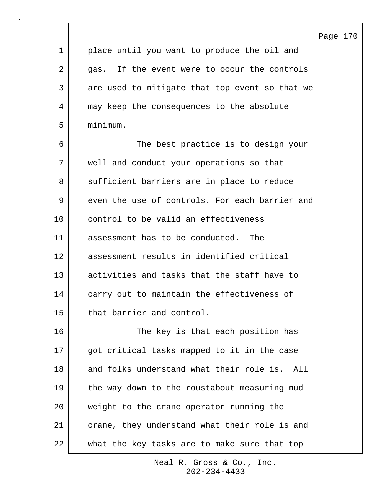Page 170

1 | place until you want to produce the oil and 2 gas. If the event were to occur the controls 3 are used to mitigate that top event so that we 4 may keep the consequences to the absolute 5 minimum. 6 The best practice is to design your 7 well and conduct your operations so that 8 sufficient barriers are in place to reduce

9 even the use of controls. For each barrier and 10 control to be valid an effectiveness 11 assessment has to be conducted. The 12 assessment results in identified critical 13 activities and tasks that the staff have to 14 carry out to maintain the effectiveness of 15 that barrier and control.

16 The key is that each position has 17 | got critical tasks mapped to it in the case 18 and folks understand what their role is. All 19 the way down to the roustabout measuring mud 20 weight to the crane operator running the 21 crane, they understand what their role is and 22 what the key tasks are to make sure that top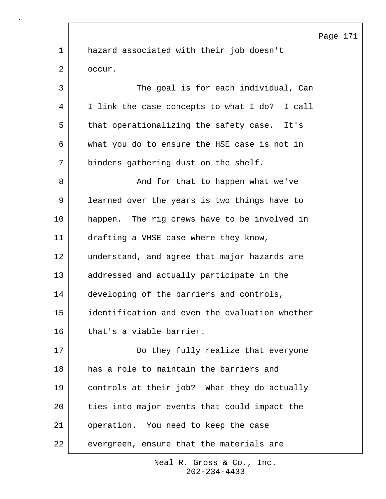1 hazard associated with their job doesn't 2 occur. 3 The goal is for each individual, Can 4 I link the case concepts to what I do? I call 5 that operationalizing the safety case. It's 6 what you do to ensure the HSE case is not in 7 binders gathering dust on the shelf. 8 | And for that to happen what we've 9 learned over the years is two things have to 10 happen. The rig crews have to be involved in 11 drafting a VHSE case where they know, 12 understand, and agree that major hazards are 13 addressed and actually participate in the 14 developing of the barriers and controls, 15 identification and even the evaluation whether 16 that's a viable barrier. 17 Do they fully realize that everyone 18 has a role to maintain the barriers and 19 controls at their job? What they do actually 20 ties into major events that could impact the 21 operation. You need to keep the case 22 evergreen, ensure that the materials are

> 202-234-4433 Neal R. Gross & Co., Inc.

## Page 171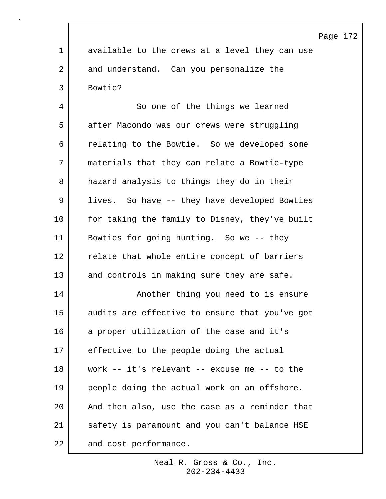|             | Page 172                                       |
|-------------|------------------------------------------------|
| $\mathbf 1$ | available to the crews at a level they can use |
| 2           | and understand. Can you personalize the        |
| 3           | Bowtie?                                        |
| 4           | So one of the things we learned                |
| 5           | after Macondo was our crews were struggling    |
| 6           | relating to the Bowtie. So we developed some   |
| 7           | materials that they can relate a Bowtie-type   |
| 8           | hazard analysis to things they do in their     |
| 9           | lives. So have -- they have developed Bowties  |
| 10          | for taking the family to Disney, they've built |
| 11          | Bowties for going hunting. So we -- they       |
| 12          | relate that whole entire concept of barriers   |
| 13          | and controls in making sure they are safe.     |
| 14          | Another thing you need to is ensure            |
| 15          | audits are effective to ensure that you've got |
| 16          | a proper utilization of the case and it's      |
| 17          | effective to the people doing the actual       |
| 18          | work -- it's relevant -- excuse me -- to the   |
| 19          | people doing the actual work on an offshore.   |
| 20          | And then also, use the case as a reminder that |
| 21          | safety is paramount and you can't balance HSE  |
| 22          | and cost performance.                          |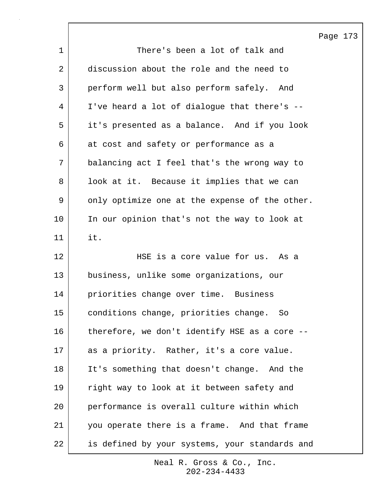|    |                                                | Page 173 |  |
|----|------------------------------------------------|----------|--|
| 1  | There's been a lot of talk and                 |          |  |
| 2  | discussion about the role and the need to      |          |  |
| 3  | perform well but also perform safely. And      |          |  |
| 4  | I've heard a lot of dialogue that there's --   |          |  |
| 5  | it's presented as a balance. And if you look   |          |  |
| 6  | at cost and safety or performance as a         |          |  |
| 7  | balancing act I feel that's the wrong way to   |          |  |
| 8  | look at it. Because it implies that we can     |          |  |
| 9  | only optimize one at the expense of the other. |          |  |
| 10 | In our opinion that's not the way to look at   |          |  |
| 11 | it.                                            |          |  |
| 12 | HSE is a core value for us. As a               |          |  |
| 13 | business, unlike some organizations, our       |          |  |
| 14 | priorities change over time. Business          |          |  |
| 15 | conditions change, priorities change. So       |          |  |
| 16 | therefore, we don't identify HSE as a core --  |          |  |
| 17 | as a priority. Rather, it's a core value.      |          |  |
| 18 | It's something that doesn't change. And the    |          |  |
| 19 | right way to look at it between safety and     |          |  |
| 20 | performance is overall culture within which    |          |  |
| 21 | you operate there is a frame. And that frame   |          |  |
| 22 | is defined by your systems, your standards and |          |  |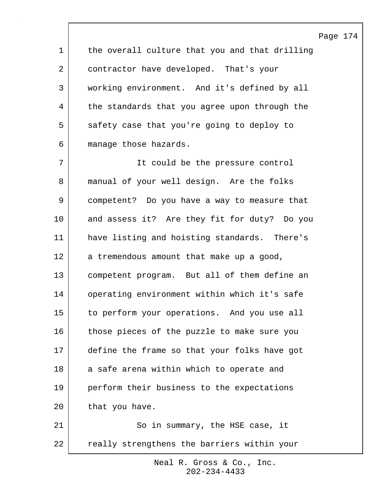1 the overall culture that you and that drilling 2 contractor have developed. That's your 3 working environment. And it's defined by all 4 the standards that you agree upon through the 5 safety case that you're going to deploy to 6 manage those hazards. 7 It could be the pressure control 8 manual of your well design. Are the folks 9 competent? Do you have a way to measure that 10 and assess it? Are they fit for duty? Do you 11 have listing and hoisting standards. There's 12 a tremendous amount that make up a good, 13 competent program. But all of them define an 14 operating environment within which it's safe 15 to perform your operations. And you use all 16 those pieces of the puzzle to make sure you 17 define the frame so that your folks have got 18 a safe arena within which to operate and 19 perform their business to the expectations 20 that you have. 21 | So in summary, the HSE case, it

Page 174

22 really strengthens the barriers within your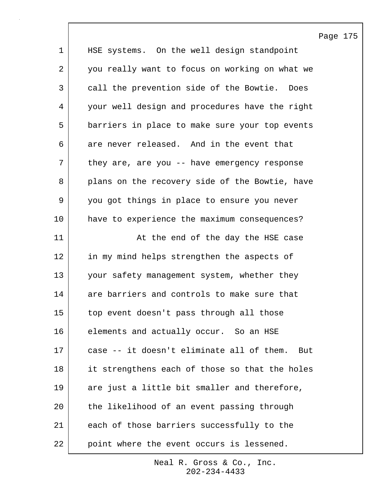|                |                                                 | Page |
|----------------|-------------------------------------------------|------|
| $\mathbf 1$    | HSE systems. On the well design standpoint      |      |
| $\overline{2}$ | you really want to focus on working on what we  |      |
| 3              | call the prevention side of the Bowtie.<br>Does |      |
| 4              | your well design and procedures have the right  |      |
| 5              | barriers in place to make sure your top events  |      |
| 6              | are never released. And in the event that       |      |
| 7              | they are, are you $-$ - have emergency response |      |
| 8              | plans on the recovery side of the Bowtie, have  |      |
| 9              | you got things in place to ensure you never     |      |
| 10             | have to experience the maximum consequences?    |      |
| 11             | At the end of the day the HSE case              |      |
| 12             | in my mind helps strengthen the aspects of      |      |
| 13             | your safety management system, whether they     |      |
| 14             | are barriers and controls to make sure that     |      |
| 15             | top event doesn't pass through all those        |      |
| 16             | elements and actually occur. So an HSE          |      |
| 17             | case -- it doesn't eliminate all of them. But   |      |
| 18             | it strengthens each of those so that the holes  |      |
| 19             | are just a little bit smaller and therefore,    |      |
| 20             | the likelihood of an event passing through      |      |
| 21             | each of those barriers successfully to the      |      |
| 22             | point where the event occurs is lessened.       |      |

175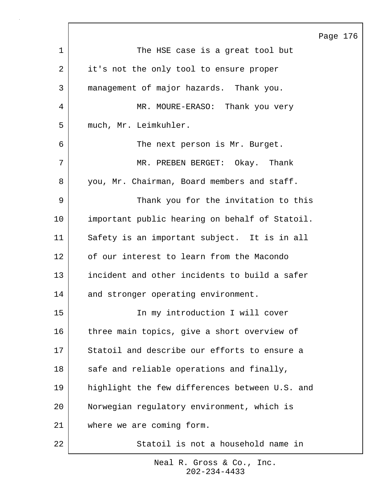|    |                                                | Page 176 |  |
|----|------------------------------------------------|----------|--|
| 1  | The HSE case is a great tool but               |          |  |
| 2  | it's not the only tool to ensure proper        |          |  |
| 3  | management of major hazards. Thank you.        |          |  |
| 4  | MR. MOURE-ERASO: Thank you very                |          |  |
| 5  | much, Mr. Leimkuhler.                          |          |  |
| 6  | The next person is Mr. Burget.                 |          |  |
| 7  | MR. PREBEN BERGET: Okay. Thank                 |          |  |
| 8  | you, Mr. Chairman, Board members and staff.    |          |  |
| 9  | Thank you for the invitation to this           |          |  |
| 10 | important public hearing on behalf of Statoil. |          |  |
| 11 | Safety is an important subject. It is in all   |          |  |
| 12 | of our interest to learn from the Macondo      |          |  |
| 13 | incident and other incidents to build a safer  |          |  |
| 14 | and stronger operating environment.            |          |  |
| 15 | In my introduction I will cover                |          |  |
| 16 | three main topics, give a short overview of    |          |  |
| 17 | Statoil and describe our efforts to ensure a   |          |  |
| 18 | safe and reliable operations and finally,      |          |  |
| 19 | highlight the few differences between U.S. and |          |  |
| 20 | Norwegian regulatory environment, which is     |          |  |
| 21 | where we are coming form.                      |          |  |
| 22 | Statoil is not a household name in             |          |  |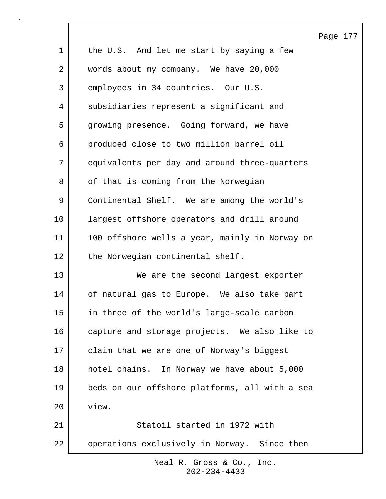|              |                                                | Page 177 |  |
|--------------|------------------------------------------------|----------|--|
| $\mathbf{1}$ | the U.S. And let me start by saying a few      |          |  |
| 2            | words about my company. We have 20,000         |          |  |
| 3            | employees in 34 countries. Our U.S.            |          |  |
| 4            | subsidiaries represent a significant and       |          |  |
| 5            | growing presence. Going forward, we have       |          |  |
| 6            | produced close to two million barrel oil       |          |  |
| 7            | equivalents per day and around three-quarters  |          |  |
| 8            | of that is coming from the Norwegian           |          |  |
| $\mathsf 9$  | Continental Shelf. We are among the world's    |          |  |
| 10           | largest offshore operators and drill around    |          |  |
| 11           | 100 offshore wells a year, mainly in Norway on |          |  |
| 12           | the Norwegian continental shelf.               |          |  |
| 13           | We are the second largest exporter             |          |  |
| 14           | of natural gas to Europe. We also take part    |          |  |
| 15           | in three of the world's large-scale carbon     |          |  |
| 16           | capture and storage projects. We also like to  |          |  |
| 17           | claim that we are one of Norway's biggest      |          |  |
| 18           | hotel chains. In Norway we have about 5,000    |          |  |
| 19           | beds on our offshore platforms, all with a sea |          |  |
| 20           | view.                                          |          |  |
| 21           | Statoil started in 1972 with                   |          |  |
| 22           | operations exclusively in Norway. Since then   |          |  |

 $\sqrt{ }$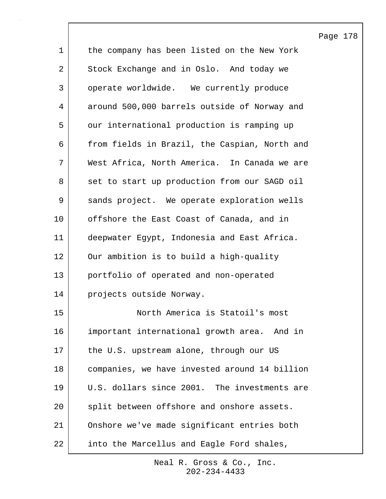|             |                                               | Page 178 |  |
|-------------|-----------------------------------------------|----------|--|
| $\mathbf 1$ | the company has been listed on the New York   |          |  |
| 2           | Stock Exchange and in Oslo. And today we      |          |  |
| 3           | operate worldwide. We currently produce       |          |  |
| 4           | around 500,000 barrels outside of Norway and  |          |  |
| 5           | our international production is ramping up    |          |  |
| 6           | from fields in Brazil, the Caspian, North and |          |  |
| 7           | West Africa, North America. In Canada we are  |          |  |
| 8           | set to start up production from our SAGD oil  |          |  |
| 9           | sands project. We operate exploration wells   |          |  |
| 10          | offshore the East Coast of Canada, and in     |          |  |
| 11          | deepwater Egypt, Indonesia and East Africa.   |          |  |
| 12          | Our ambition is to build a high-quality       |          |  |
| 13          | portfolio of operated and non-operated        |          |  |
| 14          | projects outside Norway.                      |          |  |
| 15          | North America is Statoil's most               |          |  |
| 16          | important international growth area. And in   |          |  |
| 17          | the U.S. upstream alone, through our US       |          |  |
| 18          | companies, we have invested around 14 billion |          |  |
| 19          | U.S. dollars since 2001. The investments are  |          |  |
| 20          | split between offshore and onshore assets.    |          |  |
| 21          | Onshore we've made significant entries both   |          |  |
| 22          | into the Marcellus and Eagle Ford shales,     |          |  |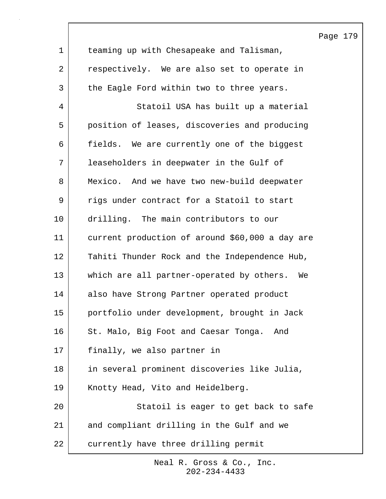|    |                                                 | Page 179 |  |
|----|-------------------------------------------------|----------|--|
| 1  | teaming up with Chesapeake and Talisman,        |          |  |
| 2  | respectively. We are also set to operate in     |          |  |
| 3  | the Eagle Ford within two to three years.       |          |  |
| 4  | Statoil USA has built up a material             |          |  |
| 5  | position of leases, discoveries and producing   |          |  |
| 6  | fields. We are currently one of the biggest     |          |  |
| 7  | leaseholders in deepwater in the Gulf of        |          |  |
| 8  | Mexico. And we have two new-build deepwater     |          |  |
| 9  | rigs under contract for a Statoil to start      |          |  |
| 10 | drilling. The main contributors to our          |          |  |
| 11 | current production of around \$60,000 a day are |          |  |
| 12 | Tahiti Thunder Rock and the Independence Hub,   |          |  |
| 13 | which are all partner-operated by others.<br>We |          |  |
| 14 | also have Strong Partner operated product       |          |  |
| 15 | portfolio under development, brought in Jack    |          |  |
| 16 | St. Malo, Big Foot and Caesar Tonga.<br>And     |          |  |
| 17 | finally, we also partner in                     |          |  |
| 18 | in several prominent discoveries like Julia,    |          |  |
| 19 | Knotty Head, Vito and Heidelberg.               |          |  |
| 20 | Statoil is eager to get back to safe            |          |  |
| 21 | and compliant drilling in the Gulf and we       |          |  |
| 22 | currently have three drilling permit            |          |  |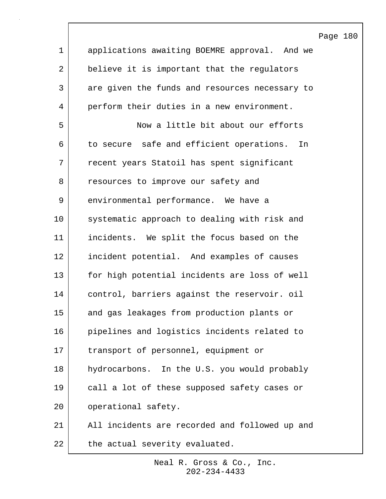|                | Page 180                                       |
|----------------|------------------------------------------------|
| $\mathbf 1$    | applications awaiting BOEMRE approval. And we  |
| $\overline{2}$ | believe it is important that the regulators    |
| 3              | are given the funds and resources necessary to |
| 4              | perform their duties in a new environment.     |
| 5              | Now a little bit about our efforts             |
| 6              | to secure safe and efficient operations.<br>In |
| 7              | recent years Statoil has spent significant     |
| 8              | resources to improve our safety and            |
| 9              | environmental performance. We have a           |
| 10             | systematic approach to dealing with risk and   |
| 11             | incidents. We split the focus based on the     |
| 12             | incident potential. And examples of causes     |
| 13             | for high potential incidents are loss of well  |
| 14             | control, barriers against the reservoir. oil   |
| 15             | and gas leakages from production plants or     |
| 16             | pipelines and logistics incidents related to   |
| 17             | transport of personnel, equipment or           |
| 18             | hydrocarbons. In the U.S. you would probably   |
| 19             | call a lot of these supposed safety cases or   |
| 20             | operational safety.                            |
| 21             | All incidents are recorded and followed up and |
| 22             | the actual severity evaluated.                 |

 $\lceil$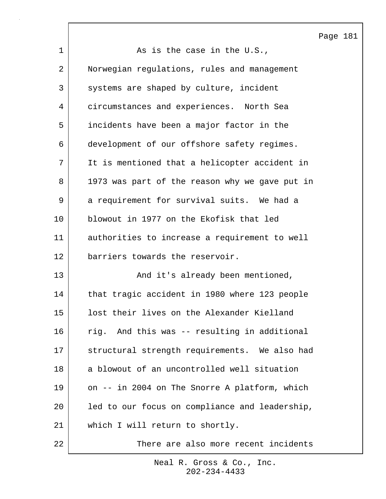Page 181

1 as is the case in the U.S., 2 Norwegian regulations, rules and management 3 systems are shaped by culture, incident 4 circumstances and experiences. North Sea 5 incidents have been a major factor in the 6 development of our offshore safety regimes. 7 It is mentioned that a helicopter accident in 8 1973 was part of the reason why we gave put in 9 a requirement for survival suits. We had a 10 blowout in 1977 on the Ekofisk that led 11 authorities to increase a requirement to well 12 barriers towards the reservoir. 13 and it's already been mentioned, 14 that tragic accident in 1980 where 123 people 15 lost their lives on the Alexander Kielland 16 rig. And this was -- resulting in additional 17 structural strength requirements. We also had 18 a blowout of an uncontrolled well situation 19 on -- in 2004 on The Snorre A platform, which 20 led to our focus on compliance and leadership, 21 which I will return to shortly. 22 There are also more recent incidents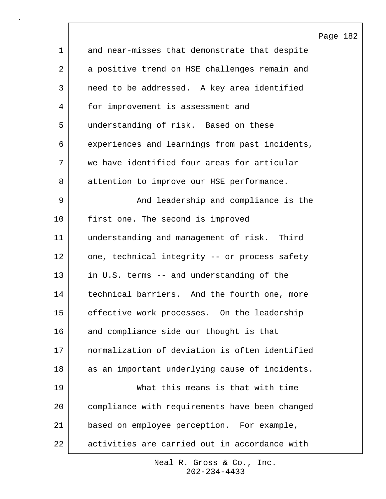|             |                                                | Page |
|-------------|------------------------------------------------|------|
| $\mathbf 1$ | and near-misses that demonstrate that despite  |      |
| 2           | a positive trend on HSE challenges remain and  |      |
| 3           | need to be addressed. A key area identified    |      |
| 4           | for improvement is assessment and              |      |
| 5           | understanding of risk. Based on these          |      |
| 6           | experiences and learnings from past incidents, |      |
| 7           | we have identified four areas for articular    |      |
| 8           | attention to improve our HSE performance.      |      |
| 9           | And leadership and compliance is the           |      |
| 10          | first one. The second is improved              |      |
| 11          | understanding and management of risk. Third    |      |
| 12          | one, technical integrity -- or process safety  |      |
| 13          | in U.S. terms -- and understanding of the      |      |
| 14          | technical barriers. And the fourth one, more   |      |
| 15          | effective work processes. On the leadership    |      |
| 16          | and compliance side our thought is that        |      |
| 17          | normalization of deviation is often identified |      |
| 18          | as an important underlying cause of incidents. |      |
| 19          | What this means is that with time              |      |
| 20          | compliance with requirements have been changed |      |
| 21          | based on employee perception. For example,     |      |
| 22          | activities are carried out in accordance with  |      |

 $\lceil$ 

182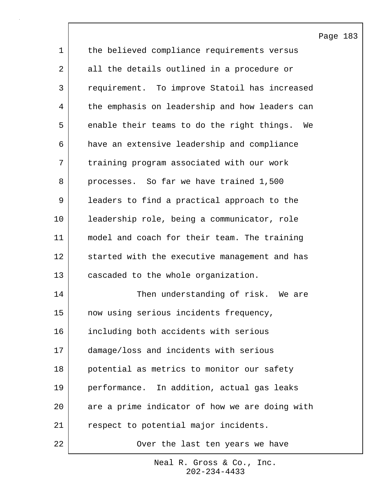|             |                                                | Page 183 |  |
|-------------|------------------------------------------------|----------|--|
| $\mathbf 1$ | the believed compliance requirements versus    |          |  |
| 2           | all the details outlined in a procedure or     |          |  |
| 3           | requirement. To improve Statoil has increased  |          |  |
| 4           | the emphasis on leadership and how leaders can |          |  |
| 5           | enable their teams to do the right things. We  |          |  |
| 6           | have an extensive leadership and compliance    |          |  |
| 7           | training program associated with our work      |          |  |
| 8           | processes. So far we have trained 1,500        |          |  |
| 9           | leaders to find a practical approach to the    |          |  |
| 10          | leadership role, being a communicator, role    |          |  |
| 11          | model and coach for their team. The training   |          |  |
| 12          | started with the executive management and has  |          |  |
| 13          | cascaded to the whole organization.            |          |  |
| 14          | Then understanding of risk. We are             |          |  |
| 15          | now using serious incidents frequency,         |          |  |
| 16          | including both accidents with serious          |          |  |
| 17          | damage/loss and incidents with serious         |          |  |
| 18          | potential as metrics to monitor our safety     |          |  |
| 19          | performance. In addition, actual gas leaks     |          |  |
| 20          | are a prime indicator of how we are doing with |          |  |
| 21          | respect to potential major incidents.          |          |  |
| 22          | Over the last ten years we have                |          |  |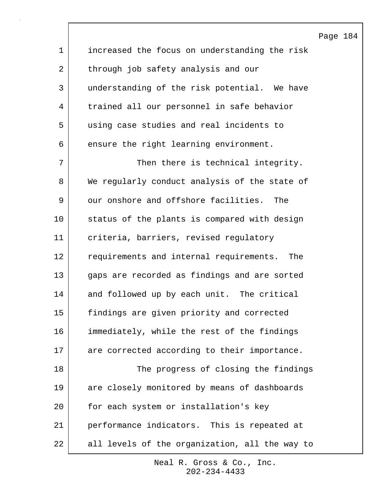Page 184 1 increased the focus on understanding the risk 2 through job safety analysis and our 3 understanding of the risk potential. We have 4 trained all our personnel in safe behavior 5 using case studies and real incidents to 6 ensure the right learning environment. 7 Then there is technical integrity. 8 We regularly conduct analysis of the state of 9 our onshore and offshore facilities. The 10 status of the plants is compared with design 11 criteria, barriers, revised regulatory 12 requirements and internal requirements. The 13 gaps are recorded as findings and are sorted 14 and followed up by each unit. The critical 15 findings are given priority and corrected 16 immediately, while the rest of the findings 17 are corrected according to their importance. 18 The progress of closing the findings 19 are closely monitored by means of dashboards 20 for each system or installation's key 21 performance indicators. This is repeated at 22 | all levels of the organization, all the way to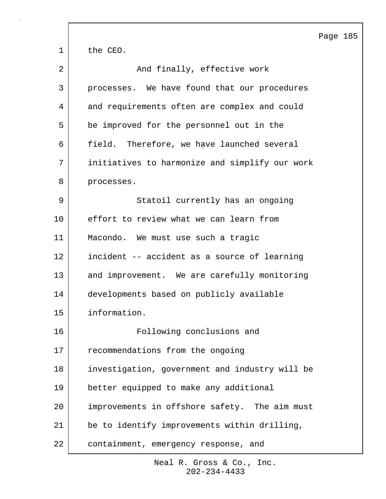|             |                                                | Page 185 |  |
|-------------|------------------------------------------------|----------|--|
| $\mathbf 1$ | the CEO.                                       |          |  |
| 2           | And finally, effective work                    |          |  |
| 3           | processes. We have found that our procedures   |          |  |
| 4           | and requirements often are complex and could   |          |  |
| 5           | be improved for the personnel out in the       |          |  |
| 6           | field. Therefore, we have launched several     |          |  |
| 7           | initiatives to harmonize and simplify our work |          |  |
| 8           | processes.                                     |          |  |
| 9           | Statoil currently has an ongoing               |          |  |
| 10          | effort to review what we can learn from        |          |  |
| 11          | Macondo. We must use such a tragic             |          |  |
| 12          | incident -- accident as a source of learning   |          |  |
| 13          | and improvement. We are carefully monitoring   |          |  |
| 14          | developments based on publicly available       |          |  |
| 15          | information.                                   |          |  |
| 16          | Following conclusions and                      |          |  |
| 17          | recommendations from the ongoing               |          |  |
| 18          | investigation, government and industry will be |          |  |
| 19          | better equipped to make any additional         |          |  |
| 20          | improvements in offshore safety. The aim must  |          |  |
| 21          | be to identify improvements within drilling,   |          |  |
| 22          | containment, emergency response, and           |          |  |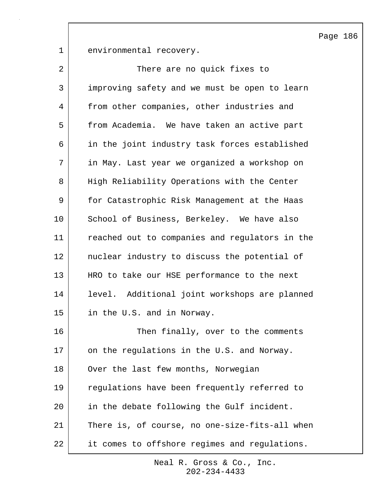Page 186

1 environmental recovery.

| $\overline{2}$ | There are no quick fixes to                    |
|----------------|------------------------------------------------|
| 3              | improving safety and we must be open to learn  |
| 4              | from other companies, other industries and     |
| 5              | from Academia. We have taken an active part    |
| 6              | in the joint industry task forces established  |
| 7              | in May. Last year we organized a workshop on   |
| 8              | High Reliability Operations with the Center    |
| 9              | for Catastrophic Risk Management at the Haas   |
| 10             | School of Business, Berkeley. We have also     |
| 11             | reached out to companies and regulators in the |
| 12             | nuclear industry to discuss the potential of   |
| 13             | HRO to take our HSE performance to the next    |
| 14             | level. Additional joint workshops are planned  |
| 15             | in the U.S. and in Norway.                     |
| 16             | Then finally, over to the comments             |
| 17             | on the regulations in the U.S. and Norway.     |
| 18             | Over the last few months, Norwegian            |
| 19             | regulations have been frequently referred to   |
| 20             | in the debate following the Gulf incident.     |
| 21             | There is, of course, no one-size-fits-all when |
| 22             | it comes to offshore regimes and regulations.  |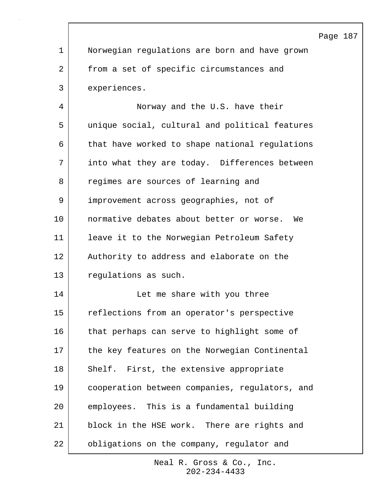|             |                                                | Page |
|-------------|------------------------------------------------|------|
| $\mathbf 1$ | Norwegian regulations are born and have grown  |      |
| 2           | from a set of specific circumstances and       |      |
| 3           | experiences.                                   |      |
| 4           | Norway and the U.S. have their                 |      |
| 5           | unique social, cultural and political features |      |
| 6           | that have worked to shape national regulations |      |
| 7           | into what they are today. Differences between  |      |
| 8           | regimes are sources of learning and            |      |
| 9           | improvement across geographies, not of         |      |
| 10          | normative debates about better or worse. We    |      |
| 11          | leave it to the Norwegian Petroleum Safety     |      |
| 12          | Authority to address and elaborate on the      |      |
| 13          | regulations as such.                           |      |
| 14          | Let me share with you three                    |      |
| 15          | reflections from an operator's perspective     |      |
| 16          | that perhaps can serve to highlight some of    |      |
| 17          | the key features on the Norwegian Continental  |      |
| 18          | Shelf. First, the extensive appropriate        |      |
| 19          | cooperation between companies, regulators, and |      |
| 20          | employees. This is a fundamental building      |      |
| 21          | block in the HSE work. There are rights and    |      |
| 22          | obligations on the company, regulator and      |      |

187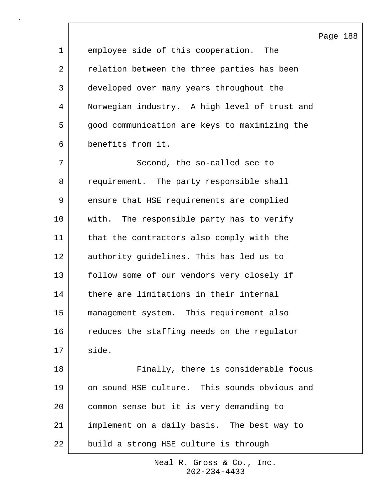|             |                                               | Page 188 |  |
|-------------|-----------------------------------------------|----------|--|
| $\mathbf 1$ | employee side of this cooperation.<br>The     |          |  |
| 2           | relation between the three parties has been   |          |  |
| 3           | developed over many years throughout the      |          |  |
| 4           | Norwegian industry. A high level of trust and |          |  |
| 5           | good communication are keys to maximizing the |          |  |
| 6           | benefits from it.                             |          |  |
| 7           | Second, the so-called see to                  |          |  |
| 8           | requirement. The party responsible shall      |          |  |
| 9           | ensure that HSE requirements are complied     |          |  |
| 10          | with. The responsible party has to verify     |          |  |
| 11          | that the contractors also comply with the     |          |  |
| 12          | authority guidelines. This has led us to      |          |  |
| 13          | follow some of our vendors very closely if    |          |  |
| 14          | there are limitations in their internal       |          |  |
| 15          | management system. This requirement also      |          |  |
| 16          | reduces the staffing needs on the regulator   |          |  |
| 17          | side.                                         |          |  |
| 18          | Finally, there is considerable focus          |          |  |
| 19          | on sound HSE culture. This sounds obvious and |          |  |
| 20          | common sense but it is very demanding to      |          |  |
| 21          | implement on a daily basis. The best way to   |          |  |
| 22          | build a strong HSE culture is through         |          |  |

 $\overline{\phantom{a}}$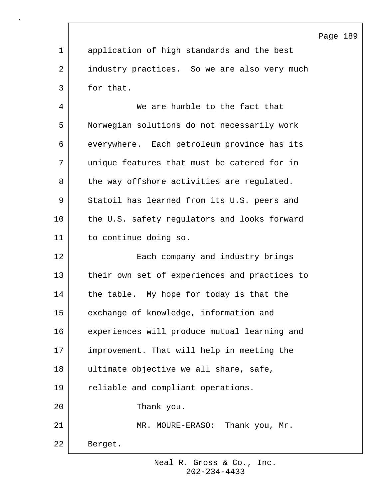|                |                                               | Page 189 |  |
|----------------|-----------------------------------------------|----------|--|
| $\mathbf 1$    | application of high standards and the best    |          |  |
| $\overline{2}$ | industry practices. So we are also very much  |          |  |
| 3              | for that.                                     |          |  |
| 4              | We are humble to the fact that                |          |  |
| 5              | Norwegian solutions do not necessarily work   |          |  |
| 6              | everywhere. Each petroleum province has its   |          |  |
| 7              | unique features that must be catered for in   |          |  |
| 8              | the way offshore activities are regulated.    |          |  |
| 9              | Statoil has learned from its U.S. peers and   |          |  |
| 10             | the U.S. safety regulators and looks forward  |          |  |
| 11             | to continue doing so.                         |          |  |
| 12             | Each company and industry brings              |          |  |
| 13             | their own set of experiences and practices to |          |  |
| 14             | the table. My hope for today is that the      |          |  |
| 15             | exchange of knowledge, information and        |          |  |
| 16             | experiences will produce mutual learning and  |          |  |
| 17             | improvement. That will help in meeting the    |          |  |
| 18             | ultimate objective we all share, safe,        |          |  |
| 19             | reliable and compliant operations.            |          |  |
| 20             | Thank you.                                    |          |  |
| 21             | MR. MOURE-ERASO: Thank you, Mr.               |          |  |
| 22             | Berget.                                       |          |  |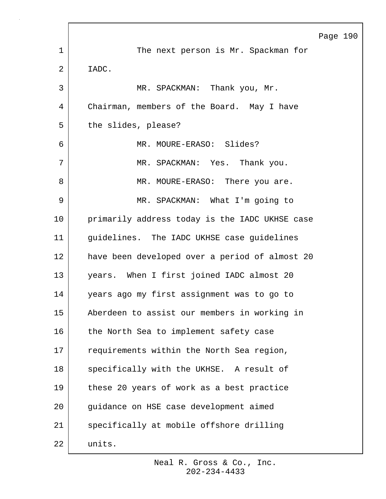|    |                                                | Page 190 |  |
|----|------------------------------------------------|----------|--|
| 1  | The next person is Mr. Spackman for            |          |  |
| 2  | IADC.                                          |          |  |
| 3  | MR. SPACKMAN: Thank you, Mr.                   |          |  |
| 4  | Chairman, members of the Board. May I have     |          |  |
| 5  | the slides, please?                            |          |  |
| 6  | MR. MOURE-ERASO: Slides?                       |          |  |
| 7  | MR. SPACKMAN: Yes. Thank you.                  |          |  |
| 8  | MR. MOURE-ERASO: There you are.                |          |  |
| 9  | MR. SPACKMAN: What I'm going to                |          |  |
| 10 | primarily address today is the IADC UKHSE case |          |  |
| 11 | quidelines. The IADC UKHSE case guidelines     |          |  |
| 12 | have been developed over a period of almost 20 |          |  |
| 13 | years. When I first joined IADC almost 20      |          |  |
| 14 | years ago my first assignment was to go to     |          |  |
| 15 | Aberdeen to assist our members in working in   |          |  |
| 16 | the North Sea to implement safety case         |          |  |
| 17 | requirements within the North Sea region,      |          |  |
| 18 | specifically with the UKHSE. A result of       |          |  |
| 19 | these 20 years of work as a best practice      |          |  |
| 20 | guidance on HSE case development aimed         |          |  |
| 21 | specifically at mobile offshore drilling       |          |  |
| 22 | units.                                         |          |  |

 $\Gamma$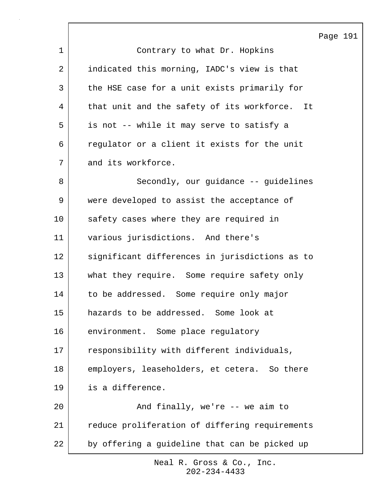Page 191 1 Contrary to what Dr. Hopkins 2 indicated this morning, IADC's view is that 3 the HSE case for a unit exists primarily for 4 | that unit and the safety of its workforce. It 5 is not -- while it may serve to satisfy a 6 regulator or a client it exists for the unit 7 and its workforce. 8 | Secondly, our guidance -- guidelines 9 were developed to assist the acceptance of 10 safety cases where they are required in 11 various jurisdictions. And there's 12 significant differences in jurisdictions as to 13 | what they require. Some require safety only 14 to be addressed. Some require only major 15 hazards to be addressed. Some look at 16 environment. Some place regulatory 17 responsibility with different individuals, 18 employers, leaseholders, et cetera. So there 19 is a difference. 20 | Rimally, we're -- we aim to 21 | reduce proliferation of differing requirements 22 by offering a guideline that can be picked up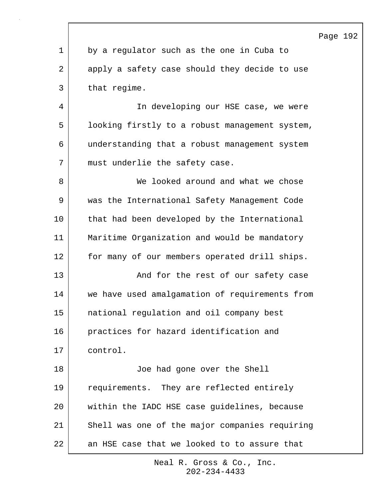|                |                                                | Page 192 |  |
|----------------|------------------------------------------------|----------|--|
| $\mathbf 1$    | by a regulator such as the one in Cuba to      |          |  |
| $\overline{2}$ | apply a safety case should they decide to use  |          |  |
| 3              | that regime.                                   |          |  |
| 4              | In developing our HSE case, we were            |          |  |
| 5              | looking firstly to a robust management system, |          |  |
| 6              | understanding that a robust management system  |          |  |
| 7              | must underlie the safety case.                 |          |  |
| 8              | We looked around and what we chose             |          |  |
| 9              | was the International Safety Management Code   |          |  |
| 10             | that had been developed by the International   |          |  |
| 11             | Maritime Organization and would be mandatory   |          |  |
| 12             | for many of our members operated drill ships.  |          |  |
| 13             | And for the rest of our safety case            |          |  |
| 14             | we have used amalgamation of requirements from |          |  |
| 15             | national regulation and oil company best       |          |  |
| 16             | practices for hazard identification and        |          |  |
| 17             | control.                                       |          |  |
| 18             | Joe had gone over the Shell                    |          |  |
| 19             | requirements. They are reflected entirely      |          |  |
| 20             | within the IADC HSE case guidelines, because   |          |  |
| 21             | Shell was one of the major companies requiring |          |  |
| 22             | an HSE case that we looked to to assure that   |          |  |

Г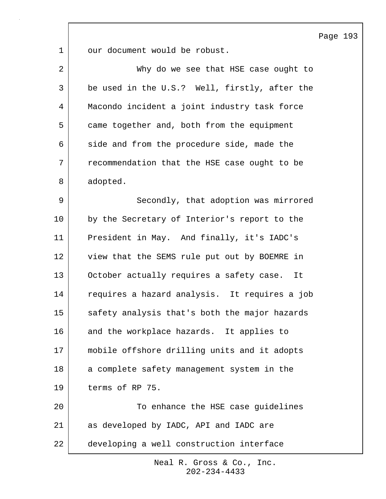Page 193

| $\mathbf 1$    | our document would be robust.                 |
|----------------|-----------------------------------------------|
| $\overline{2}$ | Why do we see that HSE case ought to          |
| 3              | be used in the U.S.? Well, firstly, after the |
| 4              | Macondo incident a joint industry task force  |
| 5              | came together and, both from the equipment    |
| 6              | side and from the procedure side, made the    |
| 7              | recommendation that the HSE case ought to be  |
| 8              | adopted.                                      |
| 9              | Secondly, that adoption was mirrored          |
| 10             | by the Secretary of Interior's report to the  |
| 11             | President in May. And finally, it's IADC's    |
| 12             | view that the SEMS rule put out by BOEMRE in  |
| 13             | October actually requires a safety case. It   |
| 14             | requires a hazard analysis. It requires a job |
| 15             | safety analysis that's both the major hazards |
| 16             | and the workplace hazards. It applies to      |
| 17             | mobile offshore drilling units and it adopts  |
| 18             | a complete safety management system in the    |
| 19             | terms of RP 75.                               |
| 20             | To enhance the HSE case guidelines            |
| 21             | as developed by IADC, API and IADC are        |
| 22             | developing a well construction interface      |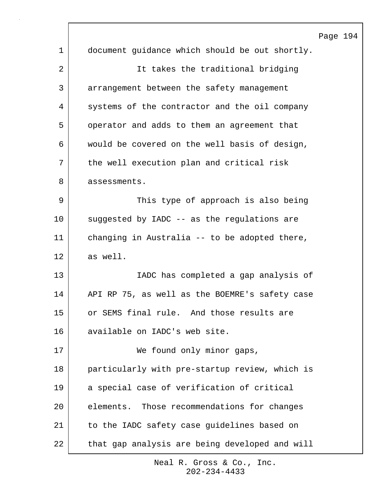|    | Page 194                                       |
|----|------------------------------------------------|
| 1  | document guidance which should be out shortly. |
| 2  | It takes the traditional bridging              |
| 3  | arrangement between the safety management      |
| 4  | systems of the contractor and the oil company  |
| 5  | operator and adds to them an agreement that    |
| 6  | would be covered on the well basis of design,  |
| 7  | the well execution plan and critical risk      |
| 8  | assessments.                                   |
| 9  | This type of approach is also being            |
| 10 | suggested by IADC -- as the regulations are    |
| 11 | changing in Australia -- to be adopted there,  |
| 12 | as well.                                       |
| 13 | IADC has completed a gap analysis of           |
| 14 | API RP 75, as well as the BOEMRE's safety case |
| 15 | or SEMS final rule. And those results are      |
| 16 | available on IADC's web site.                  |
| 17 | We found only minor gaps,                      |
| 18 | particularly with pre-startup review, which is |
| 19 | a special case of verification of critical     |
| 20 | elements. Those recommendations for changes    |
| 21 | to the IADC safety case guidelines based on    |
| 22 | that gap analysis are being developed and will |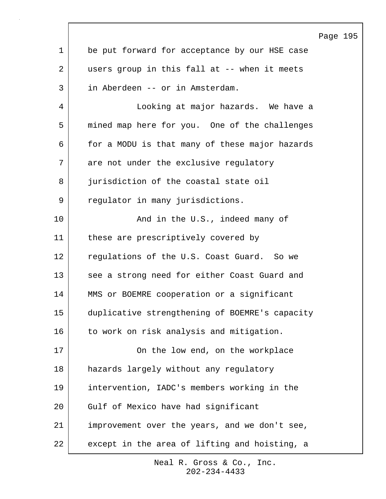|              |                                                | Page 195 |  |
|--------------|------------------------------------------------|----------|--|
| $\mathbf{1}$ | be put forward for acceptance by our HSE case  |          |  |
| 2            | users group in this fall at -- when it meets   |          |  |
| 3            | in Aberdeen -- or in Amsterdam.                |          |  |
| 4            | Looking at major hazards. We have a            |          |  |
| 5            | mined map here for you. One of the challenges  |          |  |
| 6            | for a MODU is that many of these major hazards |          |  |
| 7            | are not under the exclusive regulatory         |          |  |
| 8            | jurisdiction of the coastal state oil          |          |  |
| 9            | regulator in many jurisdictions.               |          |  |
| 10           | And in the U.S., indeed many of                |          |  |
| 11           | these are prescriptively covered by            |          |  |
| 12           | regulations of the U.S. Coast Guard. So we     |          |  |
| 13           | see a strong need for either Coast Guard and   |          |  |
| 14           | MMS or BOEMRE cooperation or a significant     |          |  |
| 15           | duplicative strengthening of BOEMRE's capacity |          |  |
| 16           | to work on risk analysis and mitigation.       |          |  |
| 17           | On the low end, on the workplace               |          |  |
| 18           | hazards largely without any regulatory         |          |  |
| 19           | intervention, IADC's members working in the    |          |  |
| 20           | Gulf of Mexico have had significant            |          |  |
| 21           | improvement over the years, and we don't see,  |          |  |
| 22           | except in the area of lifting and hoisting, a  |          |  |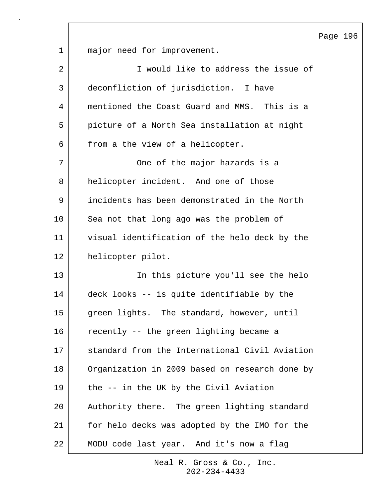Page 196

1 major need for improvement.

| 2  | I would like to address the issue of           |
|----|------------------------------------------------|
| 3  | deconfliction of jurisdiction. I have          |
| 4  | mentioned the Coast Guard and MMS. This is a   |
| 5  | picture of a North Sea installation at night   |
| 6  | from a the view of a helicopter.               |
| 7  | One of the major hazards is a                  |
| 8  | helicopter incident. And one of those          |
| 9  | incidents has been demonstrated in the North   |
| 10 | Sea not that long ago was the problem of       |
| 11 | visual identification of the helo deck by the  |
| 12 | helicopter pilot.                              |
| 13 | In this picture you'll see the helo            |
| 14 | deck looks -- is quite identifiable by the     |
| 15 | green lights. The standard, however, until     |
| 16 | recently -- the green lighting became a        |
| 17 | standard from the International Civil Aviation |
| 18 | Organization in 2009 based on research done by |
| 19 | the -- in the UK by the Civil Aviation         |
| 20 | Authority there. The green lighting standard   |
| 21 | for helo decks was adopted by the IMO for the  |
| 22 | MODU code last year. And it's now a flag       |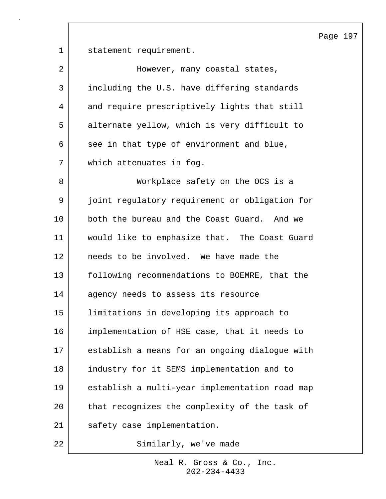Page 197

1 statement requirement.

| 2  | However, many coastal states,                  |
|----|------------------------------------------------|
| 3  | including the U.S. have differing standards    |
| 4  | and require prescriptively lights that still   |
| 5  | alternate yellow, which is very difficult to   |
| 6  | see in that type of environment and blue,      |
| 7  | which attenuates in fog.                       |
| 8  | Workplace safety on the OCS is a               |
| 9  | joint regulatory requirement or obligation for |
| 10 | both the bureau and the Coast Guard. And we    |
| 11 | would like to emphasize that. The Coast Guard  |
| 12 | needs to be involved. We have made the         |
| 13 | following recommendations to BOEMRE, that the  |
| 14 | agency needs to assess its resource            |
| 15 | limitations in developing its approach to      |
| 16 | implementation of HSE case, that it needs to   |
| 17 | establish a means for an ongoing dialogue with |
| 18 | industry for it SEMS implementation and to     |
| 19 | establish a multi-year implementation road map |
| 20 | that recognizes the complexity of the task of  |
| 21 | safety case implementation.                    |
| 22 | Similarly, we've made                          |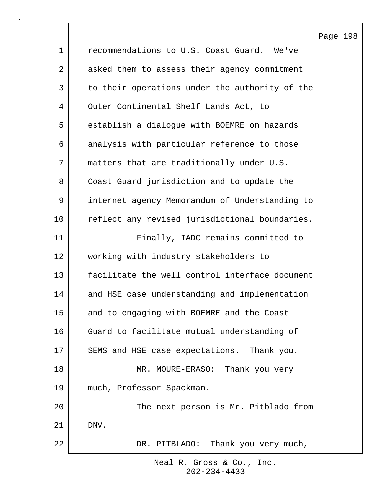Page 198 1 **commendations to U.S. Coast Guard.** We've 2 asked them to assess their agency commitment 3 to their operations under the authority of the 4 Outer Continental Shelf Lands Act, to 5 establish a dialogue with BOEMRE on hazards 6 analysis with particular reference to those 7 matters that are traditionally under U.S. 8 Coast Guard jurisdiction and to update the 9 internet agency Memorandum of Understanding to 10 reflect any revised jurisdictional boundaries. 11 | Finally, IADC remains committed to 12 working with industry stakeholders to 13 facilitate the well control interface document 14 and HSE case understanding and implementation 15 and to engaging with BOEMRE and the Coast 16 Guard to facilitate mutual understanding of 17 SEMS and HSE case expectations. Thank you. 18 MR. MOURE-ERASO: Thank you very 19 much, Professor Spackman. 20 | The next person is Mr. Pitblado from 21 DNV. 22 DR. PITBLADO: Thank you very much,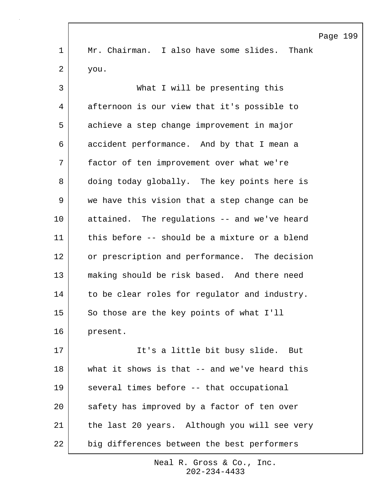|             | Page 199                                      |
|-------------|-----------------------------------------------|
| $\mathbf 1$ | Mr. Chairman. I also have some slides. Thank  |
| 2           | you.                                          |
| 3           | What I will be presenting this                |
| 4           | afternoon is our view that it's possible to   |
| 5           | achieve a step change improvement in major    |
| 6           | accident performance. And by that I mean a    |
| 7           | factor of ten improvement over what we're     |
| 8           | doing today globally. The key points here is  |
| 9           | we have this vision that a step change can be |
| 10          | attained. The regulations -- and we've heard  |
| 11          | this before -- should be a mixture or a blend |
| 12          | or prescription and performance. The decision |
| 13          | making should be risk based. And there need   |
| 14          | to be clear roles for regulator and industry. |
| 15          | So those are the key points of what I'll      |
| 16          | present.                                      |
| 17          | It's a little bit busy slide.<br>But          |
| 18          | what it shows is that -- and we've heard this |
| 19          | several times before -- that occupational     |
| 20          | safety has improved by a factor of ten over   |
| 21          | the last 20 years. Although you will see very |
| 22          | big differences between the best performers   |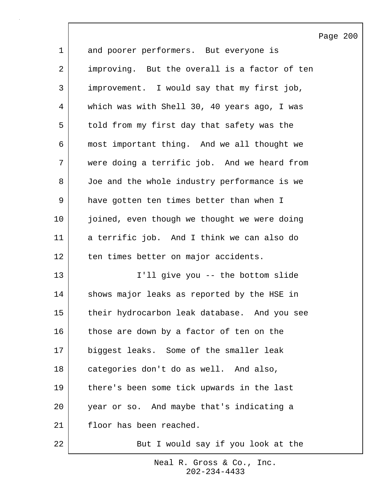|                |                                               | Page 200 |  |
|----------------|-----------------------------------------------|----------|--|
| $\mathbf 1$    | and poorer performers. But everyone is        |          |  |
| $\overline{a}$ | improving. But the overall is a factor of ten |          |  |
| 3              | improvement. I would say that my first job,   |          |  |
| 4              | which was with Shell 30, 40 years ago, I was  |          |  |
| 5              | told from my first day that safety was the    |          |  |
| 6              | most important thing. And we all thought we   |          |  |
| 7              | were doing a terrific job. And we heard from  |          |  |
| 8              | Joe and the whole industry performance is we  |          |  |
| $\mathsf 9$    | have gotten ten times better than when I      |          |  |
| 10             | joined, even though we thought we were doing  |          |  |
| 11             | a terrific job. And I think we can also do    |          |  |
| 12             | ten times better on major accidents.          |          |  |
| 13             | I'll give you -- the bottom slide             |          |  |
| 14             | shows major leaks as reported by the HSE in   |          |  |
| 15             | their hydrocarbon leak database. And you see  |          |  |
| 16             | those are down by a factor of ten on the      |          |  |
| 17             | biggest leaks. Some of the smaller leak       |          |  |
| 18             | categories don't do as well. And also,        |          |  |
| 19             | there's been some tick upwards in the last    |          |  |
| 20             | year or so. And maybe that's indicating a     |          |  |
| 21             | floor has been reached.                       |          |  |
| 22             | But I would say if you look at the            |          |  |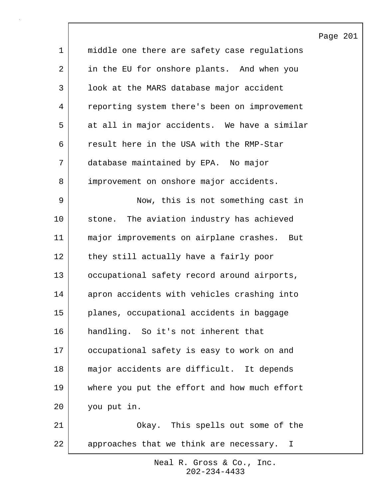|                |                                               | Page |
|----------------|-----------------------------------------------|------|
| $\mathbf 1$    | middle one there are safety case regulations  |      |
| $\overline{a}$ | in the EU for onshore plants. And when you    |      |
| 3              | look at the MARS database major accident      |      |
| 4              | reporting system there's been on improvement  |      |
| 5              | at all in major accidents. We have a similar  |      |
| 6              | result here in the USA with the RMP-Star      |      |
| 7              | database maintained by EPA. No major          |      |
| 8              | improvement on onshore major accidents.       |      |
| 9              | Now, this is not something cast in            |      |
| 10             | stone. The aviation industry has achieved     |      |
| 11             | major improvements on airplane crashes. But   |      |
| 12             | they still actually have a fairly poor        |      |
| 13             | occupational safety record around airports,   |      |
| 14             | apron accidents with vehicles crashing into   |      |
| 15             | planes, occupational accidents in baggage     |      |
| 16             | handling. So it's not inherent that           |      |
| 17             | occupational safety is easy to work on and    |      |
| 18             | major accidents are difficult. It depends     |      |
| 19             | where you put the effort and how much effort  |      |
| 20             | you put in.                                   |      |
| 21             | Okay. This spells out some of the             |      |
| 22             | approaches that we think are necessary.<br>I. |      |

201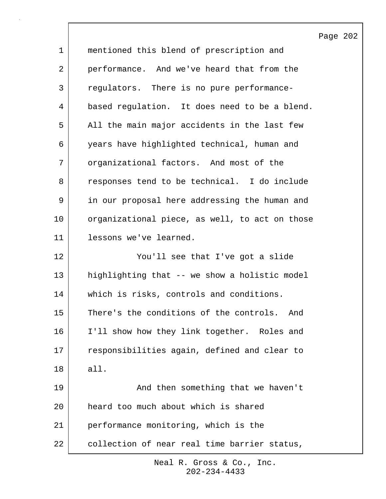|             |                                                | Page 202 |  |
|-------------|------------------------------------------------|----------|--|
| $\mathbf 1$ | mentioned this blend of prescription and       |          |  |
| 2           | performance. And we've heard that from the     |          |  |
| 3           | regulators. There is no pure performance-      |          |  |
| 4           | based regulation. It does need to be a blend.  |          |  |
| 5           | All the main major accidents in the last few   |          |  |
| 6           | years have highlighted technical, human and    |          |  |
| 7           | organizational factors. And most of the        |          |  |
| 8           | responses tend to be technical. I do include   |          |  |
| 9           | in our proposal here addressing the human and  |          |  |
| 10          | organizational piece, as well, to act on those |          |  |
| 11          | lessons we've learned.                         |          |  |
| 12          | You'll see that I've got a slide               |          |  |
| 13          | highlighting that -- we show a holistic model  |          |  |
| 14          | which is risks, controls and conditions.       |          |  |
| 15          | There's the conditions of the controls. And    |          |  |
| 16          | I'll show how they link together. Roles and    |          |  |
| 17          | responsibilities again, defined and clear to   |          |  |
| 18          | all.                                           |          |  |
| 19          | And then something that we haven't             |          |  |
| 20          | heard too much about which is shared           |          |  |
| 21          | performance monitoring, which is the           |          |  |
| 22          | collection of near real time barrier status,   |          |  |

 $\lceil$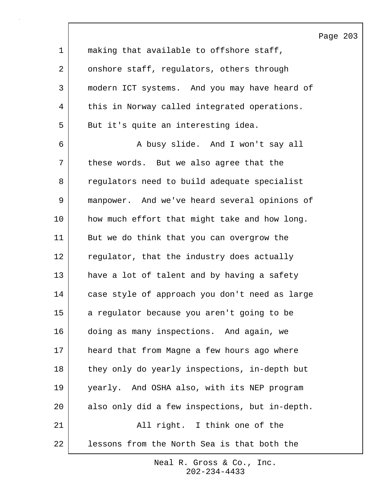Page 203

1 making that available to offshore staff, 2 onshore staff, regulators, others through 3 modern ICT systems. And you may have heard of 4 this in Norway called integrated operations. 5 But it's quite an interesting idea.

6 A busy slide. And I won't say all 7 | these words. But we also agree that the 8 regulators need to build adequate specialist 9 manpower. And we've heard several opinions of 10 how much effort that might take and how long. 11 But we do think that you can overgrow the 12 regulator, that the industry does actually 13 have a lot of talent and by having a safety 14 case style of approach you don't need as large 15 a regulator because you aren't going to be 16 doing as many inspections. And again, we 17 heard that from Magne a few hours ago where 18 | they only do yearly inspections, in-depth but 19 yearly. And OSHA also, with its NEP program 20 also only did a few inspections, but in-depth. 21 | All right. I think one of the 22 lessons from the North Sea is that both the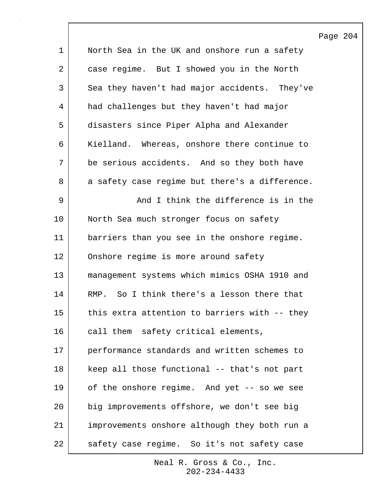|             |                                                | Page 204 |  |
|-------------|------------------------------------------------|----------|--|
| $\mathbf 1$ | North Sea in the UK and onshore run a safety   |          |  |
| 2           | case regime. But I showed you in the North     |          |  |
| 3           | Sea they haven't had major accidents. They've  |          |  |
| 4           | had challenges but they haven't had major      |          |  |
| 5           | disasters since Piper Alpha and Alexander      |          |  |
| 6           | Kielland. Whereas, onshore there continue to   |          |  |
| 7           | be serious accidents. And so they both have    |          |  |
| 8           | a safety case regime but there's a difference. |          |  |
| 9           | And I think the difference is in the           |          |  |
| 10          | North Sea much stronger focus on safety        |          |  |
| 11          | barriers than you see in the onshore regime.   |          |  |
| 12          | Onshore regime is more around safety           |          |  |
| 13          | management systems which mimics OSHA 1910 and  |          |  |
| 14          | RMP. So I think there's a lesson there that    |          |  |
| 15          | this extra attention to barriers with -- they  |          |  |
| 16          | call them safety critical elements,            |          |  |
| 17          | performance standards and written schemes to   |          |  |
| 18          | keep all those functional -- that's not part   |          |  |
| 19          | of the onshore regime. And yet -- so we see    |          |  |
| 20          | big improvements offshore, we don't see big    |          |  |
| 21          | improvements onshore although they both run a  |          |  |
| 22          | safety case regime. So it's not safety case    |          |  |

 $\overline{\phantom{a}}$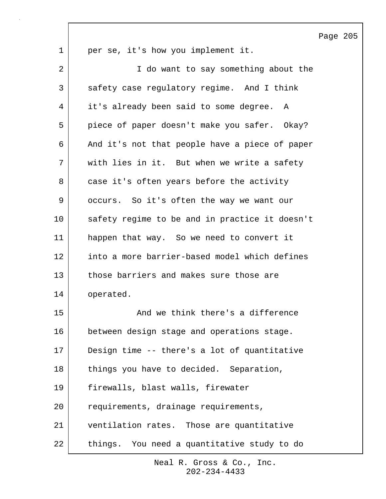|             |                                                | Page |
|-------------|------------------------------------------------|------|
| $\mathbf 1$ | per se, it's how you implement it.             |      |
| 2           | I do want to say something about the           |      |
| 3           | safety case regulatory regime. And I think     |      |
| 4           | it's already been said to some degree. A       |      |
| 5           | piece of paper doesn't make you safer. Okay?   |      |
| 6           | And it's not that people have a piece of paper |      |
| 7           | with lies in it. But when we write a safety    |      |
| 8           | case it's often years before the activity      |      |
| 9           | occurs. So it's often the way we want our      |      |
| 10          | safety regime to be and in practice it doesn't |      |
| 11          | happen that way. So we need to convert it      |      |
| 12          | into a more barrier-based model which defines  |      |
| 13          | those barriers and makes sure those are        |      |
| 14          | operated.                                      |      |
| 15          | And we think there's a difference              |      |
| 16          | between design stage and operations stage.     |      |
| 17          | Design time -- there's a lot of quantitative   |      |
| 18          | things you have to decided. Separation,        |      |
| 19          | firewalls, blast walls, firewater              |      |
| 20          | requirements, drainage requirements,           |      |
| 21          | ventilation rates. Those are quantitative      |      |
| 22          | things. You need a quantitative study to do    |      |

 $\lceil$ 

205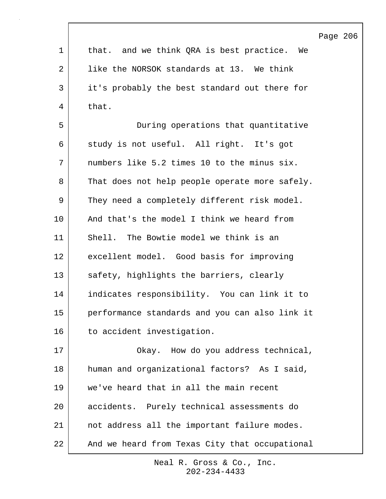|             |                                                | Page 206 |  |
|-------------|------------------------------------------------|----------|--|
| $\mathbf 1$ | that. and we think QRA is best practice. We    |          |  |
| 2           | like the NORSOK standards at 13. We think      |          |  |
| 3           | it's probably the best standard out there for  |          |  |
| 4           | that.                                          |          |  |
| 5           | During operations that quantitative            |          |  |
| 6           | study is not useful. All right. It's got       |          |  |
| 7           | numbers like 5.2 times 10 to the minus six.    |          |  |
| 8           | That does not help people operate more safely. |          |  |
| 9           | They need a completely different risk model.   |          |  |
| 10          | And that's the model I think we heard from     |          |  |
| 11          | Shell. The Bowtie model we think is an         |          |  |
| 12          | excellent model. Good basis for improving      |          |  |
| 13          | safety, highlights the barriers, clearly       |          |  |
| 14          | indicates responsibility. You can link it to   |          |  |
| 15          | performance standards and you can also link it |          |  |
| 16          | to accident investigation.                     |          |  |
| 17          | Okay. How do you address technical,            |          |  |
| 18          | human and organizational factors? As I said,   |          |  |
| 19          | we've heard that in all the main recent        |          |  |
| 20          | accidents. Purely technical assessments do     |          |  |
| 21          | not address all the important failure modes.   |          |  |
| 22          | And we heard from Texas City that occupational |          |  |

 $\Gamma$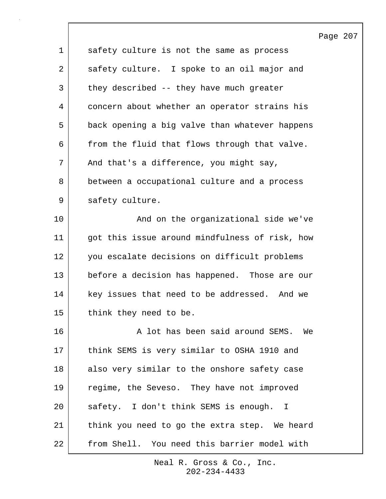|             |                                                | Page 207 |  |
|-------------|------------------------------------------------|----------|--|
| $\mathbf 1$ | safety culture is not the same as process      |          |  |
| 2           | safety culture. I spoke to an oil major and    |          |  |
| 3           | they described -- they have much greater       |          |  |
| 4           | concern about whether an operator strains his  |          |  |
| 5           | back opening a big valve than whatever happens |          |  |
| 6           | from the fluid that flows through that valve.  |          |  |
| 7           | And that's a difference, you might say,        |          |  |
| 8           | between a occupational culture and a process   |          |  |
| 9           | safety culture.                                |          |  |
| 10          | And on the organizational side we've           |          |  |
| 11          | got this issue around mindfulness of risk, how |          |  |
| 12          | you escalate decisions on difficult problems   |          |  |
| 13          | before a decision has happened. Those are our  |          |  |
| 14          | key issues that need to be addressed. And we   |          |  |
| 15          | think they need to be.                         |          |  |
| 16          | A lot has been said around SEMS. We            |          |  |
| 17          | think SEMS is very similar to OSHA 1910 and    |          |  |
| 18          | also very similar to the onshore safety case   |          |  |
| 19          | regime, the Seveso. They have not improved     |          |  |
| 20          | safety. I don't think SEMS is enough. I        |          |  |
| 21          | think you need to go the extra step. We heard  |          |  |
| 22          | from Shell. You need this barrier model with   |          |  |

 $\sqrt{ }$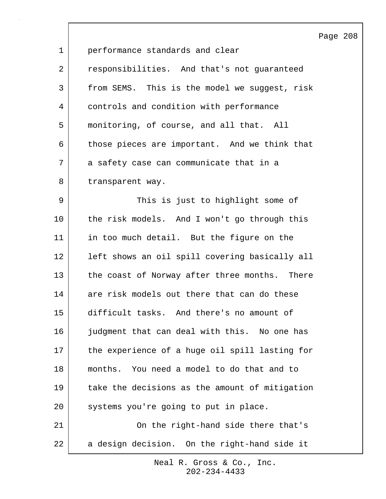|                |                                                | Page 208 |  |
|----------------|------------------------------------------------|----------|--|
| $\mathbf{1}$   | performance standards and clear                |          |  |
| $\overline{2}$ | responsibilities. And that's not guaranteed    |          |  |
| 3              | from SEMS. This is the model we suggest, risk  |          |  |
| 4              | controls and condition with performance        |          |  |
| 5              | monitoring, of course, and all that. All       |          |  |
| 6              | those pieces are important. And we think that  |          |  |
| 7              | a safety case can communicate that in a        |          |  |
| 8              | transparent way.                               |          |  |
| 9              | This is just to highlight some of              |          |  |
| 10             | the risk models. And I won't go through this   |          |  |
| 11             | in too much detail. But the figure on the      |          |  |
| 12             | left shows an oil spill covering basically all |          |  |
| 13             | the coast of Norway after three months. There  |          |  |
| 14             | are risk models out there that can do these    |          |  |
| 15             | difficult tasks. And there's no amount of      |          |  |
| 16             | judgment that can deal with this. No one has   |          |  |
| 17             | the experience of a huge oil spill lasting for |          |  |
| 18             | months. You need a model to do that and to     |          |  |
| 19             | take the decisions as the amount of mitigation |          |  |
| 20             | systems you're going to put in place.          |          |  |
| 21             | On the right-hand side there that's            |          |  |
| 22             | a design decision. On the right-hand side it   |          |  |

 $\overline{\phantom{a}}$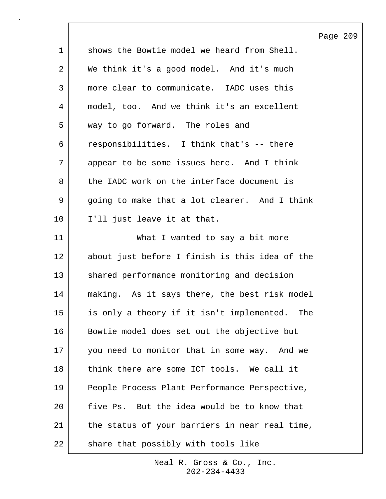|             |                                                  | Page 209 |  |
|-------------|--------------------------------------------------|----------|--|
| $\mathbf 1$ | shows the Bowtie model we heard from Shell.      |          |  |
| 2           | We think it's a good model. And it's much        |          |  |
| 3           | more clear to communicate. IADC uses this        |          |  |
| 4           | model, too. And we think it's an excellent       |          |  |
| 5           | way to go forward. The roles and                 |          |  |
| 6           | responsibilities. I think that's -- there        |          |  |
| 7           | appear to be some issues here. And I think       |          |  |
| 8           | the IADC work on the interface document is       |          |  |
| 9           | going to make that a lot clearer. And I think    |          |  |
| 10          | I'll just leave it at that.                      |          |  |
| 11          | What I wanted to say a bit more                  |          |  |
| 12          | about just before I finish is this idea of the   |          |  |
| 13          | shared performance monitoring and decision       |          |  |
| 14          | making. As it says there, the best risk model    |          |  |
| 15          | is only a theory if it isn't implemented.<br>The |          |  |
| 16          | Bowtie model does set out the objective but      |          |  |
| 17          | you need to monitor that in some way. And we     |          |  |
| 18          | think there are some ICT tools. We call it       |          |  |
| 19          | People Process Plant Performance Perspective,    |          |  |
| 20          | five Ps. But the idea would be to know that      |          |  |
| 21          | the status of your barriers in near real time,   |          |  |
| 22          | share that possibly with tools like              |          |  |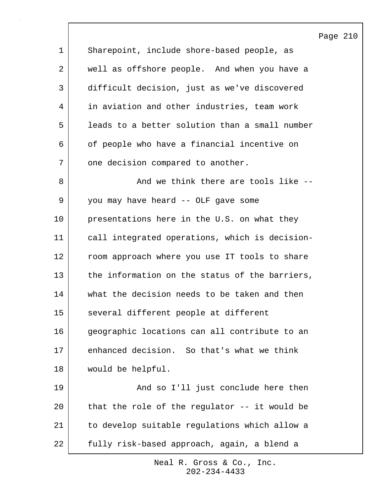Page 210

| 1  | Sharepoint, include shore-based people, as     |
|----|------------------------------------------------|
| 2  | well as offshore people. And when you have a   |
| 3  | difficult decision, just as we've discovered   |
| 4  | in aviation and other industries, team work    |
| 5  | leads to a better solution than a small number |
| 6  | of people who have a financial incentive on    |
| 7  | one decision compared to another.              |
| 8  | And we think there are tools like --           |
| 9  | you may have heard -- OLF gave some            |
| 10 | presentations here in the U.S. on what they    |
| 11 | call integrated operations, which is decision- |
| 12 | room approach where you use IT tools to share  |
| 13 | the information on the status of the barriers, |
| 14 | what the decision needs to be taken and then   |
| 15 | several different people at different          |
| 16 | geographic locations can all contribute to an  |
| 17 | enhanced decision. So that's what we think     |
| 18 | would be helpful.                              |
| 19 | And so I'll just conclude here then            |
| 20 | that the role of the regulator -- it would be  |
| 21 | to develop suitable regulations which allow a  |
| 22 | fully risk-based approach, again, a blend a    |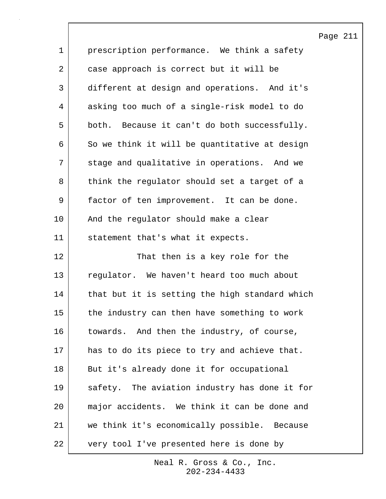Page 211 1 prescription performance. We think a safety 2 case approach is correct but it will be 3 different at design and operations. And it's 4 asking too much of a single-risk model to do 5 both. Because it can't do both successfully. 6 | So we think it will be quantitative at design 7 stage and qualitative in operations. And we 8 think the regulator should set a target of a 9 factor of ten improvement. It can be done. 10 | And the regulator should make a clear 11 statement that's what it expects. 12 That then is a key role for the 13 regulator. We haven't heard too much about 14 | that but it is setting the high standard which 15 the industry can then have something to work 16 towards. And then the industry, of course, 17 has to do its piece to try and achieve that. 18 But it's already done it for occupational 19 safety. The aviation industry has done it for 20 major accidents. We think it can be done and 21 we think it's economically possible. Because 22 very tool I've presented here is done by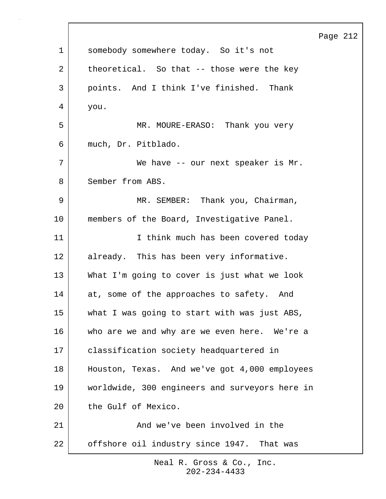|             |                                                | Page 212 |  |
|-------------|------------------------------------------------|----------|--|
| $\mathbf 1$ | somebody somewhere today. So it's not          |          |  |
| 2           | theoretical. So that -- those were the key     |          |  |
| 3           | points. And I think I've finished. Thank       |          |  |
| 4           | you.                                           |          |  |
| 5           | MR. MOURE-ERASO: Thank you very                |          |  |
| 6           | much, Dr. Pitblado.                            |          |  |
| 7           | We have -- our next speaker is Mr.             |          |  |
| 8           | Sember from ABS.                               |          |  |
| 9           | MR. SEMBER: Thank you, Chairman,               |          |  |
| 10          | members of the Board, Investigative Panel.     |          |  |
| 11          | I think much has been covered today            |          |  |
| 12          | already. This has been very informative.       |          |  |
| 13          | What I'm going to cover is just what we look   |          |  |
| 14          | at, some of the approaches to safety. And      |          |  |
| 15          | what I was going to start with was just ABS,   |          |  |
| 16          | who are we and why are we even here. We're a   |          |  |
| 17          | classification society headquartered in        |          |  |
| 18          | Houston, Texas. And we've got 4,000 employees  |          |  |
| 19          | worldwide, 300 engineers and surveyors here in |          |  |
| 20          | the Gulf of Mexico.                            |          |  |
| 21          | And we've been involved in the                 |          |  |
| 22          | offshore oil industry since 1947. That was     |          |  |
|             |                                                |          |  |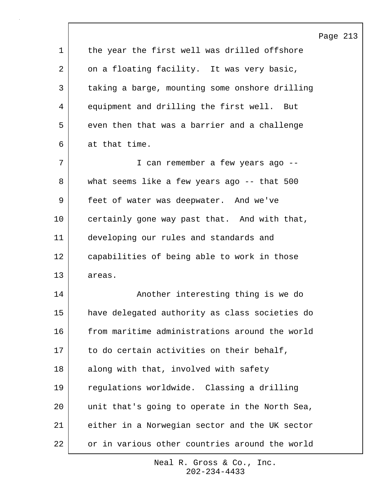|             |                                                | Page 213 |  |
|-------------|------------------------------------------------|----------|--|
| $\mathbf 1$ | the year the first well was drilled offshore   |          |  |
| 2           | on a floating facility. It was very basic,     |          |  |
| 3           | taking a barge, mounting some onshore drilling |          |  |
| 4           | equipment and drilling the first well. But     |          |  |
| 5           | even then that was a barrier and a challenge   |          |  |
| 6           | at that time.                                  |          |  |
| 7           | I can remember a few years ago --              |          |  |
| 8           | what seems like a few years ago -- that 500    |          |  |
| 9           | feet of water was deepwater. And we've         |          |  |
| 10          | certainly gone way past that. And with that,   |          |  |
| 11          | developing our rules and standards and         |          |  |
| 12          | capabilities of being able to work in those    |          |  |
| 13          | areas.                                         |          |  |
| 14          | Another interesting thing is we do             |          |  |
| 15          | have delegated authority as class societies do |          |  |
| 16          | from maritime administrations around the world |          |  |
| 17          | to do certain activities on their behalf,      |          |  |
| 18          | along with that, involved with safety          |          |  |
| 19          | regulations worldwide. Classing a drilling     |          |  |
| 20          | unit that's going to operate in the North Sea, |          |  |
| 21          | either in a Norwegian sector and the UK sector |          |  |
| 22          | or in various other countries around the world |          |  |

 $\sqrt{ }$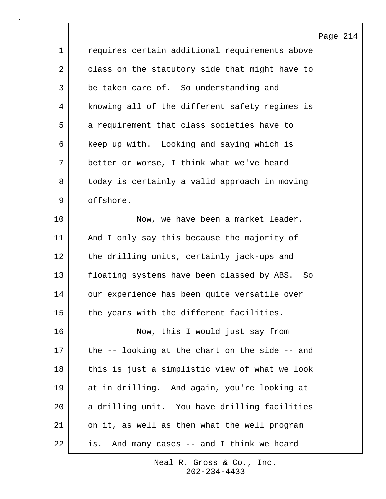|             |                                                      | Page |
|-------------|------------------------------------------------------|------|
| $\mathbf 1$ | requires certain additional requirements above       |      |
| 2           | class on the statutory side that might have to       |      |
| 3           | be taken care of. So understanding and               |      |
| 4           | knowing all of the different safety regimes is       |      |
| 5           | a requirement that class societies have to           |      |
| 6           | keep up with. Looking and saying which is            |      |
| 7           | better or worse, I think what we've heard            |      |
| 8           | today is certainly a valid approach in moving        |      |
| 9           | offshore.                                            |      |
| 10          | Now, we have been a market leader.                   |      |
| 11          | And I only say this because the majority of          |      |
| 12          | the drilling units, certainly jack-ups and           |      |
| 13          | floating systems have been classed by ABS. So        |      |
| 14          | our experience has been quite versatile over         |      |
| 15          | the years with the different facilities.             |      |
| 16          | Now, this I would just say from                      |      |
| 17          | the $-$ - looking at the chart on the side $-$ - and |      |
| 18          | this is just a simplistic view of what we look       |      |
| 19          | at in drilling. And again, you're looking at         |      |
| 20          | a drilling unit. You have drilling facilities        |      |
| 21          | on it, as well as then what the well program         |      |
| 22          | And many cases -- and I think we heard<br>is.        |      |

 $\sqrt{ }$ 

214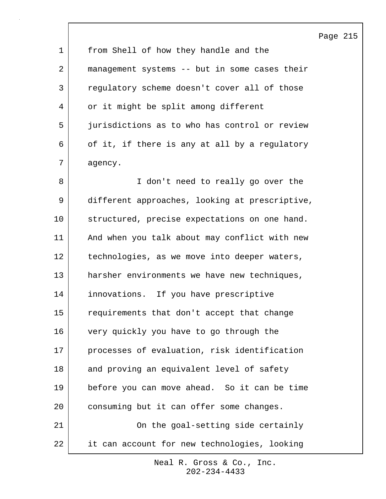|             |                                                | Page 215 |  |
|-------------|------------------------------------------------|----------|--|
| $\mathbf 1$ | from Shell of how they handle and the          |          |  |
| 2           | management systems -- but in some cases their  |          |  |
| 3           | regulatory scheme doesn't cover all of those   |          |  |
| 4           | or it might be split among different           |          |  |
| 5           | jurisdictions as to who has control or review  |          |  |
| 6           | of it, if there is any at all by a regulatory  |          |  |
| 7           | agency.                                        |          |  |
| 8           | I don't need to really go over the             |          |  |
| 9           | different approaches, looking at prescriptive, |          |  |
| 10          | structured, precise expectations on one hand.  |          |  |
| 11          | And when you talk about may conflict with new  |          |  |
| 12          | technologies, as we move into deeper waters,   |          |  |
| 13          | harsher environments we have new techniques,   |          |  |
| 14          | innovations. If you have prescriptive          |          |  |
| 15          | requirements that don't accept that change     |          |  |
| 16          | very quickly you have to go through the        |          |  |
| 17          | processes of evaluation, risk identification   |          |  |
| 18          | and proving an equivalent level of safety      |          |  |
| 19          | before you can move ahead. So it can be time   |          |  |
| 20          | consuming but it can offer some changes.       |          |  |
| 21          | On the goal-setting side certainly             |          |  |
| 22          | it can account for new technologies, looking   |          |  |

 $\mathsf{l}$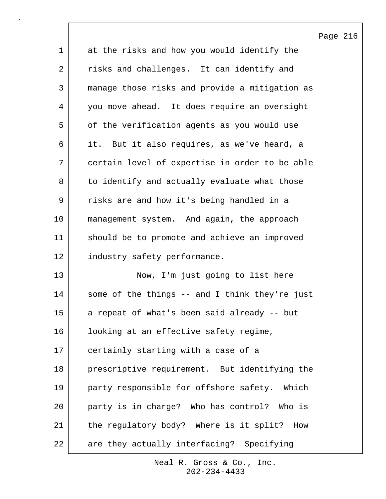1 at the risks and how you would identify the 2 risks and challenges. It can identify and 3 manage those risks and provide a mitigation as 4 you move ahead. It does require an oversight 5 of the verification agents as you would use 6 it. But it also requires, as we've heard, a 7 certain level of expertise in order to be able 8 to identify and actually evaluate what those 9 | risks are and how it's being handled in a 10 management system. And again, the approach 11 should be to promote and achieve an improved 12 industry safety performance. 13 Now, I'm just going to list here 14 some of the things -- and I think they're just 15 a repeat of what's been said already -- but 16 | looking at an effective safety regime, 17 certainly starting with a case of a 18 prescriptive requirement. But identifying the 19 party responsible for offshore safety. Which 20 party is in charge? Who has control? Who is 21 | the regulatory body? Where is it split? How 22 are they actually interfacing? Specifying

> 202-234-4433 Neal R. Gross & Co., Inc.

## Page 216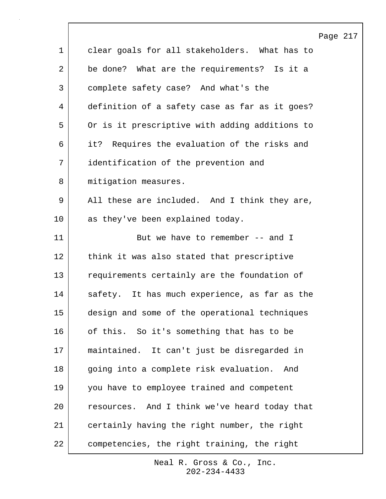|             | Page 217                                       |
|-------------|------------------------------------------------|
| $\mathbf 1$ | clear goals for all stakeholders. What has to  |
| 2           | be done? What are the requirements? Is it a    |
| 3           | complete safety case? And what's the           |
| 4           | definition of a safety case as far as it goes? |
| 5           | Or is it prescriptive with adding additions to |
| 6           | it? Requires the evaluation of the risks and   |
| 7           | identification of the prevention and           |
| 8           | mitigation measures.                           |
| 9           | All these are included. And I think they are,  |
| 10          | as they've been explained today.               |
| 11          | But we have to remember -- and I               |
| 12          | think it was also stated that prescriptive     |
| 13          | requirements certainly are the foundation of   |
| 14          | safety. It has much experience, as far as the  |
| 15          | design and some of the operational techniques  |
| 16          | of this. So it's something that has to be      |
| 17          | maintained. It can't just be disregarded in    |
| 18          | going into a complete risk evaluation.<br>And  |
| 19          | you have to employee trained and competent     |
| 20          | resources. And I think we've heard today that  |
| 21          | certainly having the right number, the right   |
| 22          | competencies, the right training, the right    |

 $\Gamma$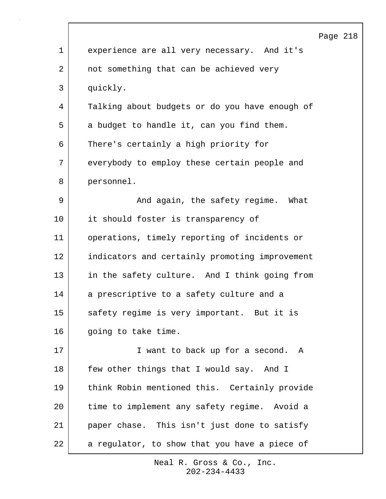|              | Page 218                                       |
|--------------|------------------------------------------------|
| $\mathbf{1}$ | experience are all very necessary. And it's    |
| 2            | not something that can be achieved very        |
| 3            | quickly.                                       |
| 4            | Talking about budgets or do you have enough of |
| 5            | a budget to handle it, can you find them.      |
| 6            | There's certainly a high priority for          |
| 7            | everybody to employ these certain people and   |
| 8            | personnel.                                     |
| 9            | And again, the safety regime. What             |
| 10           | it should foster is transparency of            |
| 11           | operations, timely reporting of incidents or   |
| 12           | indicators and certainly promoting improvement |
| 13           | in the safety culture. And I think going from  |
| 14           | a prescriptive to a safety culture and a       |
| 15           | safety regime is very important. But it is     |
| 16           | going to take time.                            |
| 17           | I want to back up for a second. A              |
| 18           | few other things that I would say. And I       |
| 19           | think Robin mentioned this. Certainly provide  |
| 20           | time to implement any safety regime. Avoid a   |
| 21           | paper chase. This isn't just done to satisfy   |
| 22           | a regulator, to show that you have a piece of  |
|              |                                                |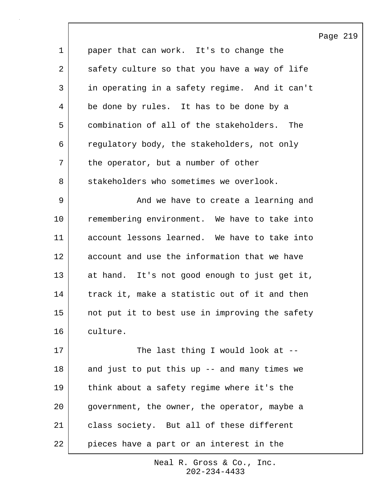|                 |                                                | Page 219 |  |
|-----------------|------------------------------------------------|----------|--|
| $\mathbf 1$     | paper that can work. It's to change the        |          |  |
| $\overline{2}$  | safety culture so that you have a way of life  |          |  |
| 3               | in operating in a safety regime. And it can't  |          |  |
| 4               | be done by rules. It has to be done by a       |          |  |
| 5               | combination of all of the stakeholders. The    |          |  |
| 6               | regulatory body, the stakeholders, not only    |          |  |
| 7               | the operator, but a number of other            |          |  |
| 8               | stakeholders who sometimes we overlook.        |          |  |
| 9               | And we have to create a learning and           |          |  |
| 10              | remembering environment. We have to take into  |          |  |
| 11              | account lessons learned. We have to take into  |          |  |
| 12              | account and use the information that we have   |          |  |
| 13              | at hand. It's not good enough to just get it,  |          |  |
| 14              | track it, make a statistic out of it and then  |          |  |
| 15 <sub>1</sub> | not put it to best use in improving the safety |          |  |
| 16              | culture.                                       |          |  |
| 17              | The last thing I would look at --              |          |  |
| 18              | and just to put this up -- and many times we   |          |  |
| 19              | think about a safety regime where it's the     |          |  |
| 20              | government, the owner, the operator, maybe a   |          |  |
| 21              | class society. But all of these different      |          |  |
| 22              | pieces have a part or an interest in the       |          |  |

 $\mathsf{l}$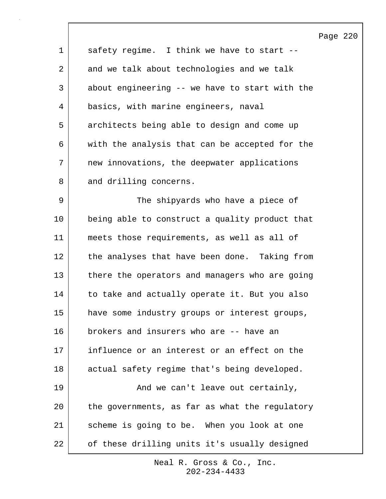Page 220 1 safety regime. I think we have to start --2 and we talk about technologies and we talk 3 about engineering -- we have to start with the 4 basics, with marine engineers, naval 5 architects being able to design and come up 6 with the analysis that can be accepted for the 7 new innovations, the deepwater applications 8 and drilling concerns. 9 | The shipyards who have a piece of 10 being able to construct a quality product that 11 meets those requirements, as well as all of 12 the analyses that have been done. Taking from 13 there the operators and managers who are going 14 to take and actually operate it. But you also 15 have some industry groups or interest groups, 16 brokers and insurers who are -- have an 17 influence or an interest or an effect on the 18 actual safety regime that's being developed. 19 | The Can't leave out certainly, 20 the governments, as far as what the regulatory 21 | scheme is going to be. When you look at one 22 of these drilling units it's usually designed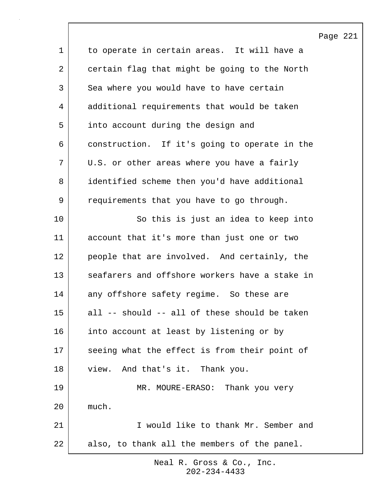|                |                                                | Page 221 |  |
|----------------|------------------------------------------------|----------|--|
| $\mathbf 1$    | to operate in certain areas. It will have a    |          |  |
| $\overline{a}$ | certain flag that might be going to the North  |          |  |
| 3              | Sea where you would have to have certain       |          |  |
| 4              | additional requirements that would be taken    |          |  |
| 5              | into account during the design and             |          |  |
| 6              | construction. If it's going to operate in the  |          |  |
| 7              | U.S. or other areas where you have a fairly    |          |  |
| 8              | identified scheme then you'd have additional   |          |  |
| 9              | requirements that you have to go through.      |          |  |
| 10             | So this is just an idea to keep into           |          |  |
| 11             | account that it's more than just one or two    |          |  |
| 12             | people that are involved. And certainly, the   |          |  |
| 13             | seafarers and offshore workers have a stake in |          |  |
| 14             | any offshore safety regime. So these are       |          |  |
| 15             | all -- should -- all of these should be taken  |          |  |
| 16             | into account at least by listening or by       |          |  |
| 17             | seeing what the effect is from their point of  |          |  |
| 18             | view. And that's it. Thank you.                |          |  |
| 19             | MR. MOURE-ERASO: Thank you very                |          |  |
| 20             | much.                                          |          |  |
| 21             | I would like to thank Mr. Sember and           |          |  |
| 22             | also, to thank all the members of the panel.   |          |  |

 $\mathsf{l}$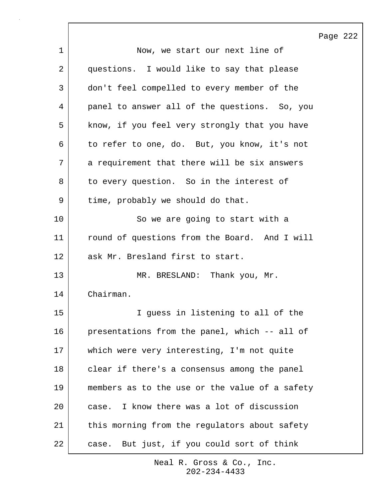|    |                                                | Page 222 |  |
|----|------------------------------------------------|----------|--|
| 1  | Now, we start our next line of                 |          |  |
| 2  | questions. I would like to say that please     |          |  |
| 3  | don't feel compelled to every member of the    |          |  |
| 4  | panel to answer all of the questions. So, you  |          |  |
| 5  | know, if you feel very strongly that you have  |          |  |
| 6  | to refer to one, do. But, you know, it's not   |          |  |
| 7  | a requirement that there will be six answers   |          |  |
| 8  | to every question. So in the interest of       |          |  |
| 9  | time, probably we should do that.              |          |  |
| 10 | So we are going to start with a                |          |  |
| 11 | round of questions from the Board. And I will  |          |  |
| 12 | ask Mr. Bresland first to start.               |          |  |
| 13 | MR. BRESLAND: Thank you, Mr.                   |          |  |
| 14 | Chairman.                                      |          |  |
| 15 | I guess in listening to all of the             |          |  |
| 16 | presentations from the panel, which -- all of  |          |  |
| 17 | which were very interesting, I'm not quite     |          |  |
| 18 | clear if there's a consensus among the panel   |          |  |
| 19 | members as to the use or the value of a safety |          |  |
| 20 | case. I know there was a lot of discussion     |          |  |
| 21 | this morning from the regulators about safety  |          |  |
| 22 | But just, if you could sort of think<br>case.  |          |  |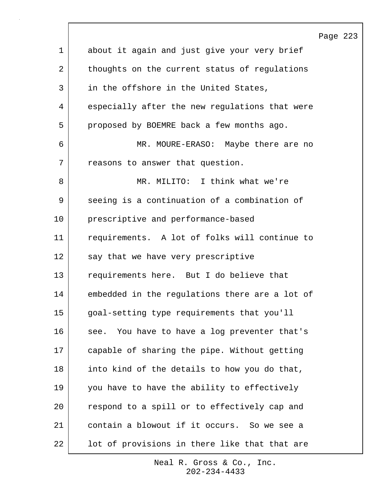|                |                                                 | Page 223 |  |
|----------------|-------------------------------------------------|----------|--|
| $\mathbf 1$    | about it again and just give your very brief    |          |  |
| $\overline{2}$ | thoughts on the current status of regulations   |          |  |
| $\mathfrak{Z}$ | in the offshore in the United States,           |          |  |
| 4              | especially after the new regulations that were  |          |  |
| 5              | proposed by BOEMRE back a few months ago.       |          |  |
| 6              | MR. MOURE-ERASO: Maybe there are no             |          |  |
| 7              | reasons to answer that question.                |          |  |
| 8              | MR. MILITO: I think what we're                  |          |  |
| 9              | seeing is a continuation of a combination of    |          |  |
| 10             | prescriptive and performance-based              |          |  |
| 11             | requirements. A lot of folks will continue to   |          |  |
| 12             | say that we have very prescriptive              |          |  |
| 13             | requirements here. But I do believe that        |          |  |
| 14             | embedded in the regulations there are a lot of  |          |  |
| 15             | goal-setting type requirements that you'll      |          |  |
| 16             | You have to have a log preventer that's<br>see. |          |  |
| 17             | capable of sharing the pipe. Without getting    |          |  |
| 18             | into kind of the details to how you do that,    |          |  |
| 19             | you have to have the ability to effectively     |          |  |
| 20             | respond to a spill or to effectively cap and    |          |  |
| 21             | contain a blowout if it occurs. So we see a     |          |  |
| 22             | lot of provisions in there like that that are   |          |  |

 $\sqrt{ }$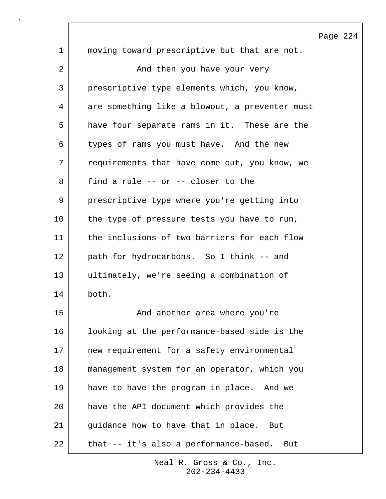1 moving toward prescriptive but that are not. 2 | And then you have your very 3 prescriptive type elements which, you know, 4 are something like a blowout, a preventer must 5 have four separate rams in it. These are the 6 types of rams you must have. And the new 7 requirements that have come out, you know, we 8 find a rule -- or -- closer to the 9 | prescriptive type where you're getting into 10 the type of pressure tests you have to run, 11 the inclusions of two barriers for each flow 12 path for hydrocarbons. So I think -- and 13 ultimately, we're seeing a combination of 14 both. 15 | The Sand another area where you're 16 looking at the performance-based side is the 17 new requirement for a safety environmental 18 management system for an operator, which you 19 have to have the program in place. And we 20 have the API document which provides the 21 guidance how to have that in place. But 22 that -- it's also a performance-based. But

> 202-234-4433 Neal R. Gross & Co., Inc.

## Page 224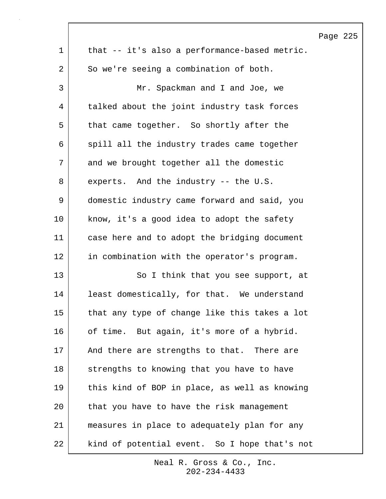|             |                                               | Page 225 |  |
|-------------|-----------------------------------------------|----------|--|
| $\mathbf 1$ | that -- it's also a performance-based metric. |          |  |
| 2           | So we're seeing a combination of both.        |          |  |
| 3           | Mr. Spackman and I and Joe, we                |          |  |
| 4           | talked about the joint industry task forces   |          |  |
| 5           | that came together. So shortly after the      |          |  |
| 6           | spill all the industry trades came together   |          |  |
| 7           | and we brought together all the domestic      |          |  |
| 8           | experts. And the industry -- the U.S.         |          |  |
| 9           | domestic industry came forward and said, you  |          |  |
| 10          | know, it's a good idea to adopt the safety    |          |  |
| 11          | case here and to adopt the bridging document  |          |  |
| 12          | in combination with the operator's program.   |          |  |
| 13          | So I think that you see support, at           |          |  |
| 14          | least domestically, for that. We understand   |          |  |
| 15          | that any type of change like this takes a lot |          |  |
| 16          | of time. But again, it's more of a hybrid.    |          |  |
| 17          | And there are strengths to that. There are    |          |  |
| 18          | strengths to knowing that you have to have    |          |  |
| 19          | this kind of BOP in place, as well as knowing |          |  |
| 20          | that you have to have the risk management     |          |  |
| 21          | measures in place to adequately plan for any  |          |  |
| 22          | kind of potential event. So I hope that's not |          |  |

 $\Gamma$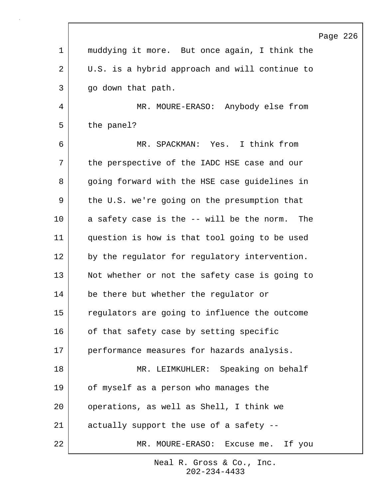|    |                                                | Page |
|----|------------------------------------------------|------|
| 1  | muddying it more. But once again, I think the  |      |
| 2  | U.S. is a hybrid approach and will continue to |      |
| 3  | go down that path.                             |      |
| 4  | MR. MOURE-ERASO: Anybody else from             |      |
| 5  | the panel?                                     |      |
| 6  | MR. SPACKMAN: Yes. I think from                |      |
| 7  | the perspective of the IADC HSE case and our   |      |
| 8  | going forward with the HSE case guidelines in  |      |
| 9  | the U.S. we're going on the presumption that   |      |
| 10 | a safety case is the -- will be the norm. The  |      |
| 11 | question is how is that tool going to be used  |      |
| 12 | by the regulator for regulatory intervention.  |      |
| 13 | Not whether or not the safety case is going to |      |
| 14 | be there but whether the regulator or          |      |
| 15 | regulators are going to influence the outcome  |      |
| 16 | of that safety case by setting specific        |      |
| 17 | performance measures for hazards analysis.     |      |
| 18 | MR. LEIMKUHLER: Speaking on behalf             |      |
| 19 | of myself as a person who manages the          |      |
| 20 | operations, as well as Shell, I think we       |      |
| 21 | actually support the use of a safety --        |      |
| 22 | MR. MOURE-ERASO: Excuse me. If you             |      |

Г

Page 226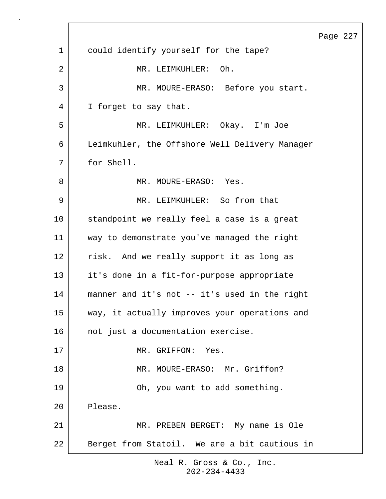|             |                                                | Page 227 |  |
|-------------|------------------------------------------------|----------|--|
| $\mathbf 1$ | could identify yourself for the tape?          |          |  |
| 2           | Oh.<br>MR. LEIMKUHLER:                         |          |  |
| 3           | MR. MOURE-ERASO: Before you start.             |          |  |
| 4           | I forget to say that.                          |          |  |
| 5           | MR. LEIMKUHLER: Okay. I'm Joe                  |          |  |
| 6           | Leimkuhler, the Offshore Well Delivery Manager |          |  |
| 7           | for Shell.                                     |          |  |
| 8           | MR. MOURE-ERASO: Yes.                          |          |  |
| 9           | MR. LEIMKUHLER: So from that                   |          |  |
| 10          | standpoint we really feel a case is a great    |          |  |
| 11          | way to demonstrate you've managed the right    |          |  |
| 12          | risk. And we really support it as long as      |          |  |
| 13          | it's done in a fit-for-purpose appropriate     |          |  |
| 14          | manner and it's not -- it's used in the right  |          |  |
| 15          | way, it actually improves your operations and  |          |  |
| 16          | not just a documentation exercise.             |          |  |
| 17          | MR. GRIFFON: Yes.                              |          |  |
| 18          | MR. MOURE-ERASO: Mr. Griffon?                  |          |  |
| 19          | Oh, you want to add something.                 |          |  |
| 20          | Please.                                        |          |  |
| 21          | MR. PREBEN BERGET: My name is Ole              |          |  |
| 22          | Berget from Statoil. We are a bit cautious in  |          |  |

 $\Gamma$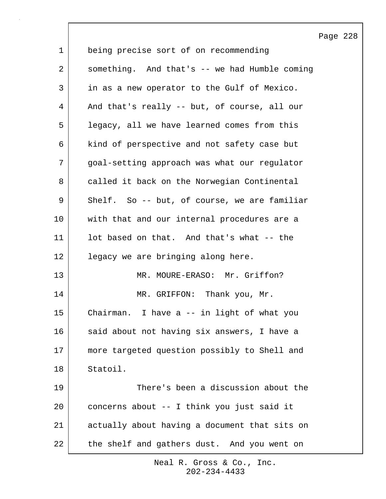|    |                                               | Page 228 |  |
|----|-----------------------------------------------|----------|--|
| 1  | being precise sort of on recommending         |          |  |
| 2  | something. And that's -- we had Humble coming |          |  |
| 3  | in as a new operator to the Gulf of Mexico.   |          |  |
| 4  | And that's really -- but, of course, all our  |          |  |
| 5  | legacy, all we have learned comes from this   |          |  |
| 6  | kind of perspective and not safety case but   |          |  |
| 7  | goal-setting approach was what our regulator  |          |  |
| 8  | called it back on the Norwegian Continental   |          |  |
| 9  | Shelf. So -- but, of course, we are familiar  |          |  |
| 10 | with that and our internal procedures are a   |          |  |
| 11 | lot based on that. And that's what -- the     |          |  |
| 12 | legacy we are bringing along here.            |          |  |
| 13 | MR. MOURE-ERASO: Mr. Griffon?                 |          |  |
| 14 | MR. GRIFFON: Thank you, Mr.                   |          |  |
| 15 | Chairman. I have a -- in light of what you    |          |  |
| 16 | said about not having six answers, I have a   |          |  |
| 17 | more targeted question possibly to Shell and  |          |  |
| 18 | Statoil.                                      |          |  |
| 19 | There's been a discussion about the           |          |  |
| 20 | concerns about -- I think you just said it    |          |  |
| 21 | actually about having a document that sits on |          |  |
| 22 | the shelf and gathers dust. And you went on   |          |  |

 $\mathsf{l}$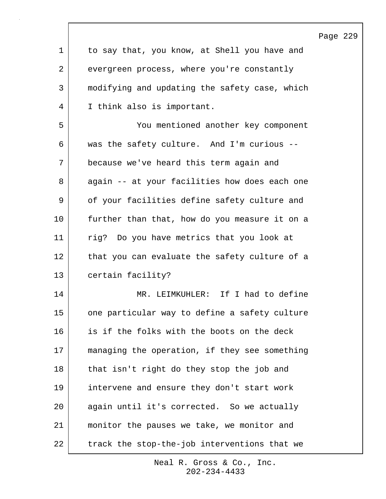|    |                                               | Page 229 |  |
|----|-----------------------------------------------|----------|--|
| 1  | to say that, you know, at Shell you have and  |          |  |
| 2  | evergreen process, where you're constantly    |          |  |
| 3  | modifying and updating the safety case, which |          |  |
| 4  | I think also is important.                    |          |  |
| 5  | You mentioned another key component           |          |  |
| 6  | was the safety culture. And I'm curious --    |          |  |
| 7  | because we've heard this term again and       |          |  |
| 8  | again -- at your facilities how does each one |          |  |
| 9  | of your facilities define safety culture and  |          |  |
| 10 | further than that, how do you measure it on a |          |  |
| 11 | rig? Do you have metrics that you look at     |          |  |
| 12 | that you can evaluate the safety culture of a |          |  |
| 13 | certain facility?                             |          |  |
| 14 | MR. LEIMKUHLER: If I had to define            |          |  |
| 15 | one particular way to define a safety culture |          |  |
| 16 | is if the folks with the boots on the deck    |          |  |
| 17 | managing the operation, if they see something |          |  |
| 18 | that isn't right do they stop the job and     |          |  |
| 19 | intervene and ensure they don't start work    |          |  |
| 20 | again until it's corrected. So we actually    |          |  |
| 21 | monitor the pauses we take, we monitor and    |          |  |
| 22 | track the stop-the-job interventions that we  |          |  |

 $\mathsf{l}$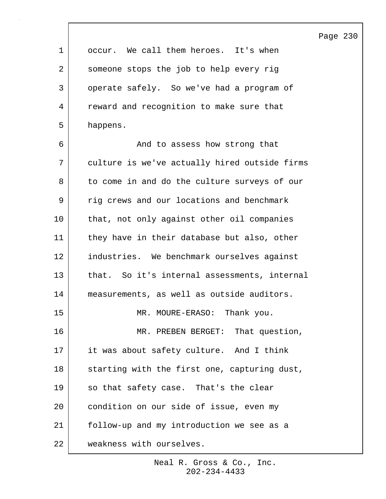Page 230 1 occur. We call them heroes. It's when 2 someone stops the job to help every rig 3 | operate safely. So we've had a program of 4 reward and recognition to make sure that 5 happens. 6 And to assess how strong that 7 culture is we've actually hired outside firms 8 to come in and do the culture surveys of our 9 | rig crews and our locations and benchmark 10 that, not only against other oil companies 11 they have in their database but also, other 12 | industries. We benchmark ourselves against 13 that. So it's internal assessments, internal 14 measurements, as well as outside auditors. 15 MR. MOURE-ERASO: Thank you. 16 MR. PREBEN BERGET: That question, 17 it was about safety culture. And I think 18 Starting with the first one, capturing dust, 19 so that safety case. That's the clear 20 condition on our side of issue, even my 21 follow-up and my introduction we see as a 22 weakness with ourselves.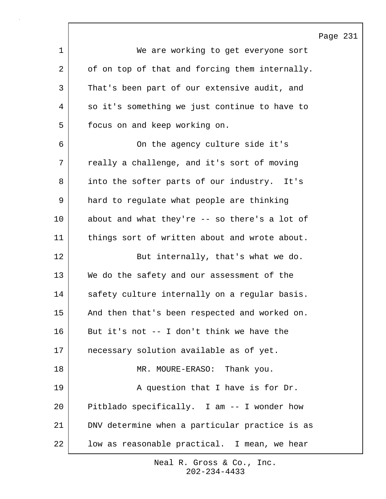|    |                                                | Page 231 |  |
|----|------------------------------------------------|----------|--|
| 1  | We are working to get everyone sort            |          |  |
| 2  | of on top of that and forcing them internally. |          |  |
| 3  | That's been part of our extensive audit, and   |          |  |
| 4  | so it's something we just continue to have to  |          |  |
| 5  | focus on and keep working on.                  |          |  |
| 6  | On the agency culture side it's                |          |  |
| 7  | really a challenge, and it's sort of moving    |          |  |
| 8  | into the softer parts of our industry. It's    |          |  |
| 9  | hard to regulate what people are thinking      |          |  |
| 10 | about and what they're -- so there's a lot of  |          |  |
| 11 | things sort of written about and wrote about.  |          |  |
| 12 | But internally, that's what we do.             |          |  |
| 13 | We do the safety and our assessment of the     |          |  |
| 14 | safety culture internally on a regular basis.  |          |  |
| 15 | And then that's been respected and worked on.  |          |  |
| 16 | But it's not -- I don't think we have the      |          |  |
| 17 | necessary solution available as of yet.        |          |  |
| 18 | MR. MOURE-ERASO: Thank you.                    |          |  |
| 19 | A question that I have is for Dr.              |          |  |
| 20 | Pitblado specifically. I am -- I wonder how    |          |  |
| 21 | DNV determine when a particular practice is as |          |  |
| 22 | low as reasonable practical. I mean, we hear   |          |  |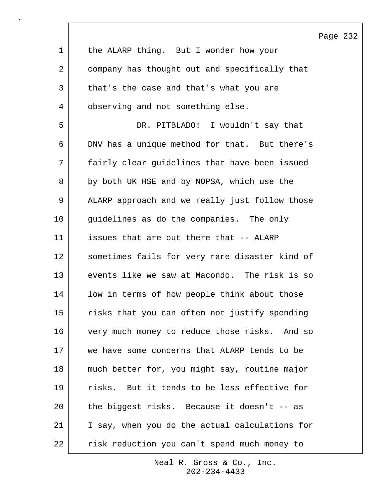|    |                                                | Page |
|----|------------------------------------------------|------|
| 1  | the ALARP thing. But I wonder how your         |      |
| 2  | company has thought out and specifically that  |      |
| 3  | that's the case and that's what you are        |      |
| 4  | observing and not something else.              |      |
| 5  | DR. PITBLADO: I wouldn't say that              |      |
| 6  | DNV has a unique method for that. But there's  |      |
| 7  | fairly clear guidelines that have been issued  |      |
| 8  | by both UK HSE and by NOPSA, which use the     |      |
| 9  | ALARP approach and we really just follow those |      |
| 10 | guidelines as do the companies. The only       |      |
| 11 | issues that are out there that -- ALARP        |      |
| 12 | sometimes fails for very rare disaster kind of |      |
| 13 | events like we saw at Macondo. The risk is so  |      |
| 14 | low in terms of how people think about those   |      |
| 15 | risks that you can often not justify spending  |      |
| 16 | very much money to reduce those risks. And so  |      |
| 17 | we have some concerns that ALARP tends to be   |      |
| 18 | much better for, you might say, routine major  |      |
| 19 | risks. But it tends to be less effective for   |      |
| 20 | the biggest risks. Because it doesn't -- as    |      |
| 21 | I say, when you do the actual calculations for |      |
| 22 | risk reduction you can't spend much money to   |      |

 $\sqrt{ }$ 

Page 232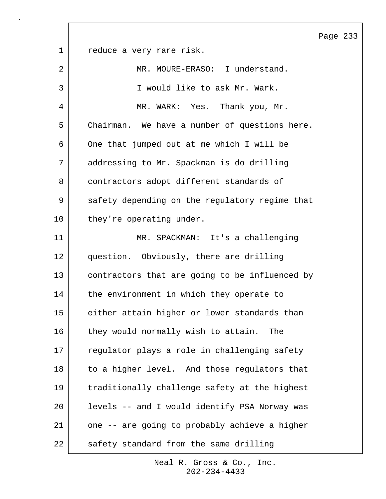Page 233 1 reduce a very rare risk. 2 MR. MOURE-ERASO: I understand. 3 I would like to ask Mr. Wark. 4 MR. WARK: Yes. Thank you, Mr. 5 Chairman. We have a number of questions here. 6 One that jumped out at me which I will be 7 addressing to Mr. Spackman is do drilling 8 contractors adopt different standards of 9 safety depending on the regulatory regime that 10 they're operating under. 11 MR. SPACKMAN: It's a challenging 12 question. Obviously, there are drilling 13 contractors that are going to be influenced by 14 the environment in which they operate to 15 either attain higher or lower standards than 16 they would normally wish to attain. The 17 requlator plays a role in challenging safety 18 to a higher level. And those regulators that 19 traditionally challenge safety at the highest 20 levels -- and I would identify PSA Norway was 21 one -- are going to probably achieve a higher 22 safety standard from the same drilling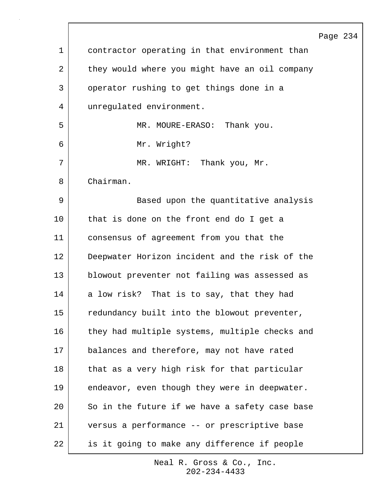|             |                                                | Page 234 |  |
|-------------|------------------------------------------------|----------|--|
| $\mathbf 1$ | contractor operating in that environment than  |          |  |
| 2           | they would where you might have an oil company |          |  |
| 3           | operator rushing to get things done in a       |          |  |
| 4           | unregulated environment.                       |          |  |
| 5           | MR. MOURE-ERASO: Thank you.                    |          |  |
| 6           | Mr. Wright?                                    |          |  |
| 7           | MR. WRIGHT: Thank you, Mr.                     |          |  |
| 8           | Chairman.                                      |          |  |
| 9           | Based upon the quantitative analysis           |          |  |
| 10          | that is done on the front end do I get a       |          |  |
| 11          | consensus of agreement from you that the       |          |  |
| 12          | Deepwater Horizon incident and the risk of the |          |  |
| 13          | blowout preventer not failing was assessed as  |          |  |
| 14          | a low risk? That is to say, that they had      |          |  |
| 15          | redundancy built into the blowout preventer,   |          |  |
| 16          | they had multiple systems, multiple checks and |          |  |
| 17          | balances and therefore, may not have rated     |          |  |
| 18          | that as a very high risk for that particular   |          |  |
| 19          | endeavor, even though they were in deepwater.  |          |  |
| 20          | So in the future if we have a safety case base |          |  |
| 21          | versus a performance -- or prescriptive base   |          |  |
| 22          | is it going to make any difference if people   |          |  |

 $\Gamma$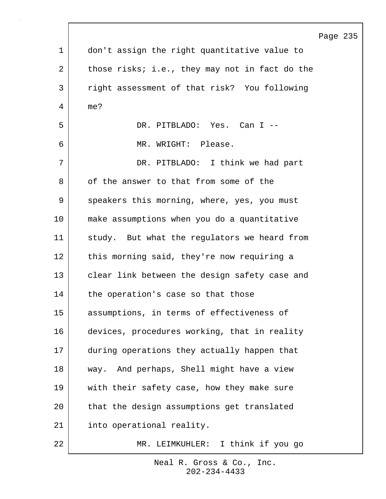|             |                                                | Page 235 |  |
|-------------|------------------------------------------------|----------|--|
| $\mathbf 1$ | don't assign the right quantitative value to   |          |  |
| 2           | those risks; i.e., they may not in fact do the |          |  |
| 3           | right assessment of that risk? You following   |          |  |
| 4           | me?                                            |          |  |
| 5           | DR. PITBLADO: Yes. Can I --                    |          |  |
| 6           | MR. WRIGHT: Please.                            |          |  |
| 7           | DR. PITBLADO: I think we had part              |          |  |
| 8           | of the answer to that from some of the         |          |  |
| 9           | speakers this morning, where, yes, you must    |          |  |
| 10          | make assumptions when you do a quantitative    |          |  |
| 11          | study. But what the regulators we heard from   |          |  |
| 12          | this morning said, they're now requiring a     |          |  |
| 13          | clear link between the design safety case and  |          |  |
| 14          | the operation's case so that those             |          |  |
| 15          | assumptions, in terms of effectiveness of      |          |  |
| 16          | devices, procedures working, that in reality   |          |  |
| 17          | during operations they actually happen that    |          |  |
| 18          | way. And perhaps, Shell might have a view      |          |  |
| 19          | with their safety case, how they make sure     |          |  |
| 20          | that the design assumptions get translated     |          |  |
| 21          | into operational reality.                      |          |  |
| 22          | MR. LEIMKUHLER: I think if you go              |          |  |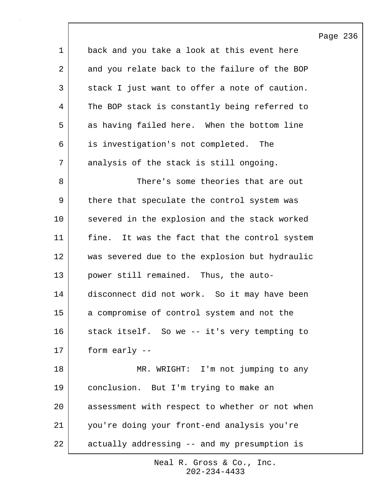Page 236 1 back and you take a look at this event here 2 and you relate back to the failure of the BOP 3 stack I just want to offer a note of caution. 4 The BOP stack is constantly being referred to 5 as having failed here. When the bottom line 6 is investigation's not completed. The 7 analysis of the stack is still ongoing. 8 Same theories that are out 9 | there that speculate the control system was 10 severed in the explosion and the stack worked 11 fine. It was the fact that the control system 12 was severed due to the explosion but hydraulic 13 power still remained. Thus, the auto-14 disconnect did not work. So it may have been 15 a compromise of control system and not the 16 stack itself. So we -- it's very tempting to 17 form early -- 18 MR. WRIGHT: I'm not jumping to any 19 conclusion. But I'm trying to make an 20 assessment with respect to whether or not when 21 you're doing your front-end analysis you're 22 actually addressing -- and my presumption is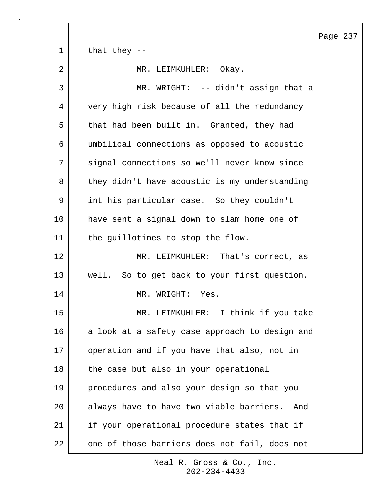|             | Page 237                                        |
|-------------|-------------------------------------------------|
| $\mathbf 1$ | that they $-$                                   |
| 2           | MR. LEIMKUHLER:<br>Okay.                        |
| 3           | MR. WRIGHT: -- didn't assign that a             |
| 4           | very high risk because of all the redundancy    |
| 5           | that had been built in. Granted, they had       |
| 6           | umbilical connections as opposed to acoustic    |
| 7           | signal connections so we'll never know since    |
| 8           | they didn't have acoustic is my understanding   |
| 9           | int his particular case. So they couldn't       |
| 10          | have sent a signal down to slam home one of     |
| 11          | the guillotines to stop the flow.               |
| 12          | MR. LEIMKUHLER: That's correct, as              |
| 13          | well. So to get back to your first question.    |
| 14          | MR. WRIGHT:<br>Yes.                             |
| 15          | MR. LEIMKUHLER: I think if you take             |
| 16          | a look at a safety case approach to design and  |
| 17          | operation and if you have that also, not in     |
| 18          | the case but also in your operational           |
| 19          | procedures and also your design so that you     |
| 20          | always have to have two viable barriers.<br>And |
| 21          | if your operational procedure states that if    |
| 22          | one of those barriers does not fail, does not   |

 $\sqrt{ }$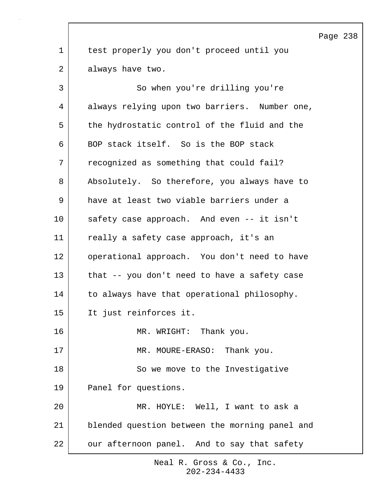Page 238 1 test properly you don't proceed until you 2 always have two. 3 So when you're drilling you're 4 always relying upon two barriers. Number one, 5 the hydrostatic control of the fluid and the 6 BOP stack itself. So is the BOP stack 7 | recognized as something that could fail? 8 Absolutely. So therefore, you always have to 9 have at least two viable barriers under a 10 safety case approach. And even -- it isn't 11 really a safety case approach, it's an 12 operational approach. You don't need to have 13 that -- you don't need to have a safety case 14 to always have that operational philosophy. 15 It just reinforces it. 16 MR. WRIGHT: Thank you. 17 MR. MOURE-ERASO: Thank you. 18 | So we move to the Investigative 19 Panel for questions. 20 MR. HOYLE: Well, I want to ask a 21 blended question between the morning panel and 22 our afternoon panel. And to say that safety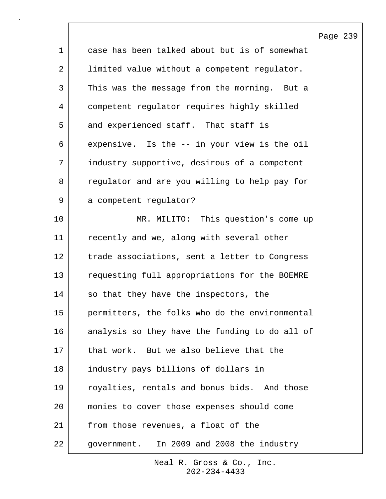|             |                                                | Page 239 |  |
|-------------|------------------------------------------------|----------|--|
| $\mathbf 1$ | case has been talked about but is of somewhat  |          |  |
| 2           | limited value without a competent regulator.   |          |  |
| 3           | This was the message from the morning. But a   |          |  |
| 4           | competent regulator requires highly skilled    |          |  |
| 5           | and experienced staff. That staff is           |          |  |
| 6           | expensive. Is the -- in your view is the oil   |          |  |
| 7           | industry supportive, desirous of a competent   |          |  |
| 8           | regulator and are you willing to help pay for  |          |  |
| 9           | a competent regulator?                         |          |  |
| 10          | MR. MILITO: This question's come up            |          |  |
| 11          | recently and we, along with several other      |          |  |
| 12          | trade associations, sent a letter to Congress  |          |  |
| 13          | requesting full appropriations for the BOEMRE  |          |  |
| 14          | so that they have the inspectors, the          |          |  |
| 15          | permitters, the folks who do the environmental |          |  |
| 16          | analysis so they have the funding to do all of |          |  |
| 17          | that work. But we also believe that the        |          |  |
| 18          | industry pays billions of dollars in           |          |  |
| 19          | royalties, rentals and bonus bids. And those   |          |  |
| 20          | monies to cover those expenses should come     |          |  |
| 21          | from those revenues, a float of the            |          |  |
| 22          | government. In 2009 and 2008 the industry      |          |  |

 $\sqrt{ }$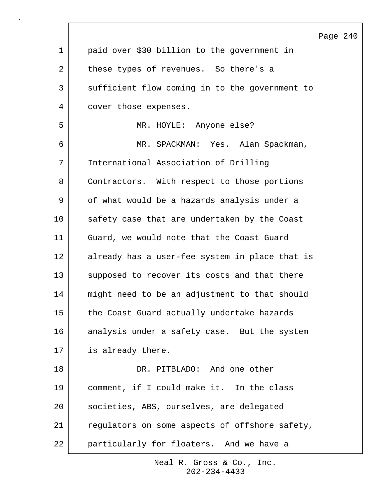|             |                                                | Page |
|-------------|------------------------------------------------|------|
| $\mathbf 1$ | paid over \$30 billion to the government in    |      |
| 2           | these types of revenues. So there's a          |      |
| 3           | sufficient flow coming in to the government to |      |
| 4           | cover those expenses.                          |      |
| 5           | MR. HOYLE: Anyone else?                        |      |
| 6           | MR. SPACKMAN: Yes. Alan Spackman,              |      |
| 7           | International Association of Drilling          |      |
| 8           | Contractors. With respect to those portions    |      |
| 9           | of what would be a hazards analysis under a    |      |
| 10          | safety case that are undertaken by the Coast   |      |
| 11          | Guard, we would note that the Coast Guard      |      |
| 12          | already has a user-fee system in place that is |      |
| 13          | supposed to recover its costs and that there   |      |
| 14          | might need to be an adjustment to that should  |      |
| 15          | the Coast Guard actually undertake hazards     |      |
| 16          | analysis under a safety case. But the system   |      |
| 17          | is already there.                              |      |
| 18          | DR. PITBLADO: And one other                    |      |
| 19          | comment, if I could make it. In the class      |      |
| 20          | societies, ABS, ourselves, are delegated       |      |
| 21          | regulators on some aspects of offshore safety, |      |
| 22          | particularly for floaters. And we have a       |      |

 $\sqrt{ }$ 

Page 240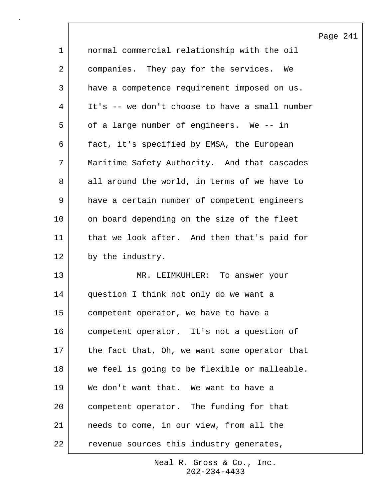|             |                                                | Page 241 |  |
|-------------|------------------------------------------------|----------|--|
| $\mathbf 1$ | normal commercial relationship with the oil    |          |  |
| 2           | companies. They pay for the services.<br>We    |          |  |
| 3           | have a competence requirement imposed on us.   |          |  |
| 4           | It's -- we don't choose to have a small number |          |  |
| 5           | of a large number of engineers. We -- in       |          |  |
| 6           | fact, it's specified by EMSA, the European     |          |  |
| 7           | Maritime Safety Authority. And that cascades   |          |  |
| 8           | all around the world, in terms of we have to   |          |  |
| 9           | have a certain number of competent engineers   |          |  |
| 10          | on board depending on the size of the fleet    |          |  |
| 11          | that we look after. And then that's paid for   |          |  |
| 12          | by the industry.                               |          |  |
| 13          | MR. LEIMKUHLER: To answer your                 |          |  |
| 14          | question I think not only do we want a         |          |  |
| 15          | competent operator, we have to have a          |          |  |
| 16          | competent operator. It's not a question of     |          |  |
| 17          | the fact that, Oh, we want some operator that  |          |  |
| 18          | we feel is going to be flexible or malleable.  |          |  |
| 19          | We don't want that. We want to have a          |          |  |
| 20          | competent operator. The funding for that       |          |  |
| 21          | needs to come, in our view, from all the       |          |  |
| 22          | revenue sources this industry generates,       |          |  |

 $\overline{\phantom{a}}$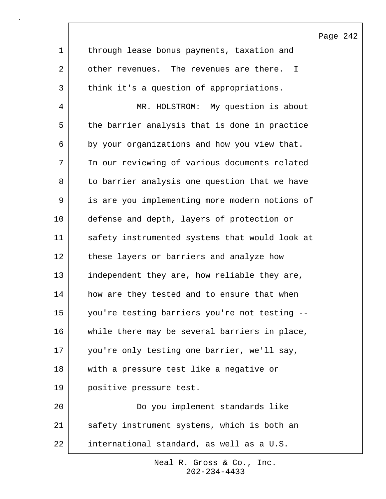|             |                                                | Page 242 |  |
|-------------|------------------------------------------------|----------|--|
| $\mathbf 1$ | through lease bonus payments, taxation and     |          |  |
| 2           | other revenues. The revenues are there. I      |          |  |
| 3           | think it's a question of appropriations.       |          |  |
| 4           | MR. HOLSTROM: My question is about             |          |  |
| 5           | the barrier analysis that is done in practice  |          |  |
| 6           | by your organizations and how you view that.   |          |  |
| 7           | In our reviewing of various documents related  |          |  |
| 8           | to barrier analysis one question that we have  |          |  |
| 9           | is are you implementing more modern notions of |          |  |
| 10          | defense and depth, layers of protection or     |          |  |
| 11          | safety instrumented systems that would look at |          |  |
| 12          | these layers or barriers and analyze how       |          |  |
| 13          | independent they are, how reliable they are,   |          |  |
| 14          | how are they tested and to ensure that when    |          |  |
| 15          | you're testing barriers you're not testing --  |          |  |
| 16          | while there may be several barriers in place,  |          |  |
| 17          | you're only testing one barrier, we'll say,    |          |  |
| 18          | with a pressure test like a negative or        |          |  |
| 19          | positive pressure test.                        |          |  |
| 20          | Do you implement standards like                |          |  |
| 21          | safety instrument systems, which is both an    |          |  |
| 22          | international standard, as well as a U.S.      |          |  |

 $\overline{\phantom{a}}$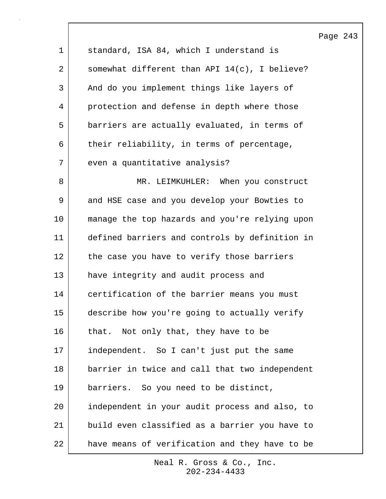|             |                                                  | Page 243 |  |
|-------------|--------------------------------------------------|----------|--|
| $\mathbf 1$ | standard, ISA 84, which I understand is          |          |  |
| 2           | somewhat different than API $14(c)$ , I believe? |          |  |
| 3           | And do you implement things like layers of       |          |  |
| 4           | protection and defense in depth where those      |          |  |
| 5           | barriers are actually evaluated, in terms of     |          |  |
| 6           | their reliability, in terms of percentage,       |          |  |
| 7           | even a quantitative analysis?                    |          |  |
| 8           | MR. LEIMKUHLER: When you construct               |          |  |
| 9           | and HSE case and you develop your Bowties to     |          |  |
| 10          | manage the top hazards and you're relying upon   |          |  |
| 11          | defined barriers and controls by definition in   |          |  |
| 12          | the case you have to verify those barriers       |          |  |
| 13          | have integrity and audit process and             |          |  |
| 14          | certification of the barrier means you must      |          |  |
| 15          | describe how you're going to actually verify     |          |  |
| 16          | that. Not only that, they have to be             |          |  |
| 17          | independent. So I can't just put the same        |          |  |
| 18          | barrier in twice and call that two independent   |          |  |
| 19          | barriers. So you need to be distinct,            |          |  |
| 20          | independent in your audit process and also, to   |          |  |
| 21          | build even classified as a barrier you have to   |          |  |
| 22          | have means of verification and they have to be   |          |  |

 $\lceil$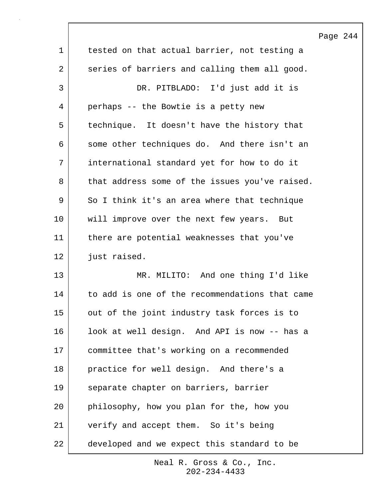|             |                                                | Pa |
|-------------|------------------------------------------------|----|
| $\mathbf 1$ | tested on that actual barrier, not testing a   |    |
| 2           | series of barriers and calling them all good.  |    |
| 3           | DR. PITBLADO: I'd just add it is               |    |
| 4           | perhaps -- the Bowtie is a petty new           |    |
| 5           | technique. It doesn't have the history that    |    |
| 6           | some other techniques do. And there isn't an   |    |
| 7           | international standard yet for how to do it    |    |
| 8           | that address some of the issues you've raised. |    |
| 9           | So I think it's an area where that technique   |    |
| 10          | will improve over the next few years. But      |    |
| 11          | there are potential weaknesses that you've     |    |
| 12          | just raised.                                   |    |
| 13          | MR. MILITO: And one thing I'd like             |    |
| 14          | to add is one of the recommendations that came |    |
| 15          | out of the joint industry task forces is to    |    |
| 16          | look at well design. And API is now -- has a   |    |
| 17          | committee that's working on a recommended      |    |
| 18          | practice for well design. And there's a        |    |
| 19          | separate chapter on barriers, barrier          |    |
| 20          | philosophy, how you plan for the, how you      |    |
| 21          | verify and accept them. So it's being          |    |
| 22          | developed and we expect this standard to be    |    |

 $\sqrt{ }$ 

202-234-4433 Neal R. Gross & Co., Inc.

## age 244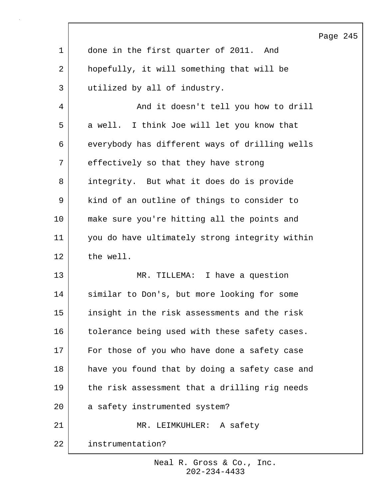|             |                                                | Page 245 |  |
|-------------|------------------------------------------------|----------|--|
| $\mathbf 1$ | done in the first quarter of 2011. And         |          |  |
| 2           | hopefully, it will something that will be      |          |  |
| 3           | utilized by all of industry.                   |          |  |
| 4           | And it doesn't tell you how to drill           |          |  |
| 5           | a well. I think Joe will let you know that     |          |  |
| 6           | everybody has different ways of drilling wells |          |  |
| 7           | effectively so that they have strong           |          |  |
| 8           | integrity. But what it does do is provide      |          |  |
| 9           | kind of an outline of things to consider to    |          |  |
| 10          | make sure you're hitting all the points and    |          |  |
| 11          | you do have ultimately strong integrity within |          |  |
| 12          | the well.                                      |          |  |
| 13          | MR. TILLEMA: I have a question                 |          |  |
| 14          | similar to Don's, but more looking for some    |          |  |
| 15          | insight in the risk assessments and the risk   |          |  |
| 16          | tolerance being used with these safety cases.  |          |  |
| 17          | For those of you who have done a safety case   |          |  |
| 18          | have you found that by doing a safety case and |          |  |
| 19          | the risk assessment that a drilling rig needs  |          |  |
| 20          | a safety instrumented system?                  |          |  |
| 21          | MR. LEIMKUHLER: A safety                       |          |  |
| 22          | instrumentation?                               |          |  |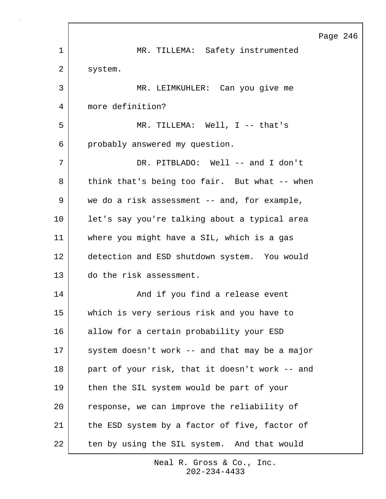|             |                                                | Page 246 |  |
|-------------|------------------------------------------------|----------|--|
| $\mathbf 1$ | MR. TILLEMA: Safety instrumented               |          |  |
| 2           | system.                                        |          |  |
| 3           | MR. LEIMKUHLER: Can you give me                |          |  |
| 4           | more definition?                               |          |  |
| 5           | MR. TILLEMA: Well, $I$ -- that's               |          |  |
| 6           | probably answered my question.                 |          |  |
| 7           | DR. PITBLADO: Well -- and I don't              |          |  |
| 8           | think that's being too fair. But what -- when  |          |  |
| 9           | we do a risk assessment -- and, for example,   |          |  |
| 10          | let's say you're talking about a typical area  |          |  |
| 11          | where you might have a SIL, which is a gas     |          |  |
| 12          | detection and ESD shutdown system. You would   |          |  |
| 13          | do the risk assessment.                        |          |  |
| 14          | And if you find a release event                |          |  |
| 15          | which is very serious risk and you have to     |          |  |
| 16          | allow for a certain probability your ESD       |          |  |
| 17          | system doesn't work -- and that may be a major |          |  |
| 18          | part of your risk, that it doesn't work -- and |          |  |
| 19          | then the SIL system would be part of your      |          |  |
| 20          | response, we can improve the reliability of    |          |  |
| 21          | the ESD system by a factor of five, factor of  |          |  |
| 22          | ten by using the SIL system. And that would    |          |  |

Г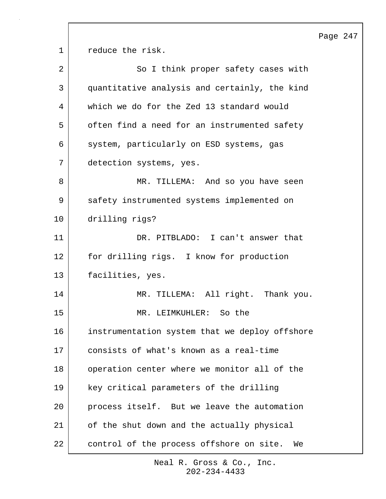Page 247 1 **c** reduce the risk. 2 So I think proper safety cases with 3 quantitative analysis and certainly, the kind 4 which we do for the Zed 13 standard would 5 often find a need for an instrumented safety 6 | system, particularly on ESD systems, gas 7 detection systems, yes. 8 MR. TILLEMA: And so you have seen 9 | safety instrumented systems implemented on 10 drilling rigs? 11 DR. PITBLADO: I can't answer that 12 for drilling rigs. I know for production 13 facilities, yes. 14 | MR. TILLEMA: All right. Thank you. 15 MR. LEIMKUHLER: So the 16 instrumentation system that we deploy offshore 17 consists of what's known as a real-time 18 operation center where we monitor all of the 19 key critical parameters of the drilling 20 process itself. But we leave the automation 21 of the shut down and the actually physical 22 control of the process offshore on site. We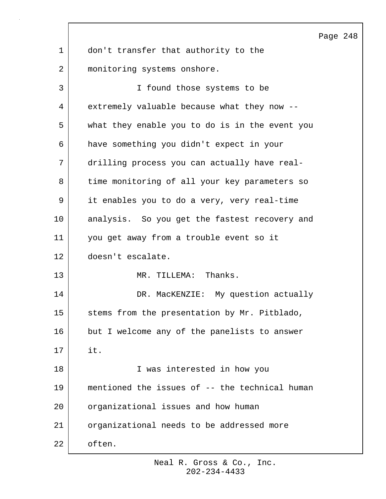Page 248 1 don't transfer that authority to the 2 | monitoring systems onshore. 3 I found those systems to be 4 extremely valuable because what they now -- 5 what they enable you to do is in the event you 6 have something you didn't expect in your 7 drilling process you can actually have real-8 time monitoring of all your key parameters so 9 it enables you to do a very, very real-time 10 | analysis. So you get the fastest recovery and 11 you get away from a trouble event so it 12 doesn't escalate. 13 MR. TILLEMA: Thanks. 14 DR. MacKENZIE: My question actually 15 | stems from the presentation by Mr. Pitblado, 16 but I welcome any of the panelists to answer 17 it. 18 I was interested in how you 19 mentioned the issues of -- the technical human 20 organizational issues and how human 21 organizational needs to be addressed more 22 often.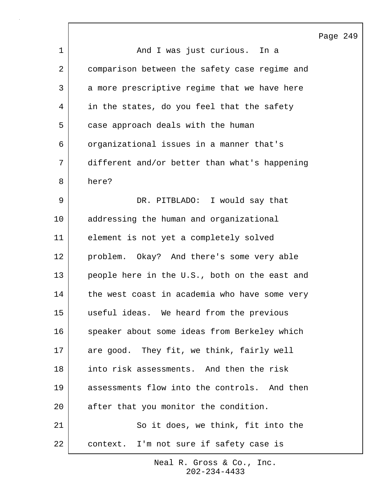|                |                                               | Page 249 |  |
|----------------|-----------------------------------------------|----------|--|
| $\mathbf{1}$   | And I was just curious. In a                  |          |  |
| $\overline{a}$ | comparison between the safety case regime and |          |  |
| 3              | a more prescriptive regime that we have here  |          |  |
| 4              | in the states, do you feel that the safety    |          |  |
| 5              | case approach deals with the human            |          |  |
| 6              | organizational issues in a manner that's      |          |  |
| 7              | different and/or better than what's happening |          |  |
| 8              | here?                                         |          |  |
| 9              | DR. PITBLADO: I would say that                |          |  |
| 10             | addressing the human and organizational       |          |  |
| 11             | element is not yet a completely solved        |          |  |
| 12             | problem. Okay? And there's some very able     |          |  |
| 13             | people here in the U.S., both on the east and |          |  |
| 14             | the west coast in academia who have some very |          |  |
| 15             | useful ideas. We heard from the previous      |          |  |
| 16             | speaker about some ideas from Berkeley which  |          |  |
| 17             | are good. They fit, we think, fairly well     |          |  |
| 18             | into risk assessments. And then the risk      |          |  |
| 19             | assessments flow into the controls. And then  |          |  |
| 20             | after that you monitor the condition.         |          |  |
| 21             | So it does, we think, fit into the            |          |  |
| 22             | context. I'm not sure if safety case is       |          |  |

 $\lceil$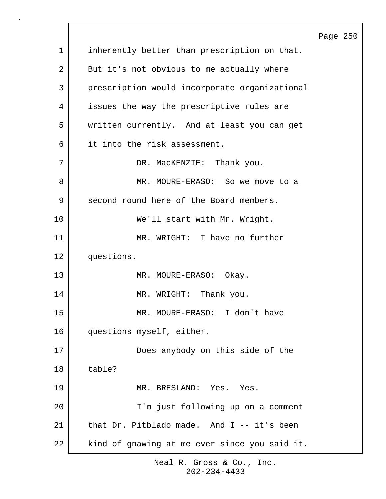Page 250 1 | inherently better than prescription on that. 2 But it's not obvious to me actually where 3 prescription would incorporate organizational 4 issues the way the prescriptive rules are 5 written currently. And at least you can get 6 it into the risk assessment. 7 | DR. MacKENZIE: Thank you. 8 MR. MOURE-ERASO: So we move to a 9 | second round here of the Board members. 10 | We'll start with Mr. Wright. 11 MR. WRIGHT: I have no further 12 questions. 13 MR. MOURE-ERASO: Okay. 14 MR. WRIGHT: Thank you. 15 MR. MOURE-ERASO: I don't have 16 | questions myself, either. 17 Does anybody on this side of the 18 table? 19 MR. BRESLAND: Yes. Yes. 20 I'm just following up on a comment 21 | that Dr. Pitblado made. And I -- it's been 22 kind of gnawing at me ever since you said it.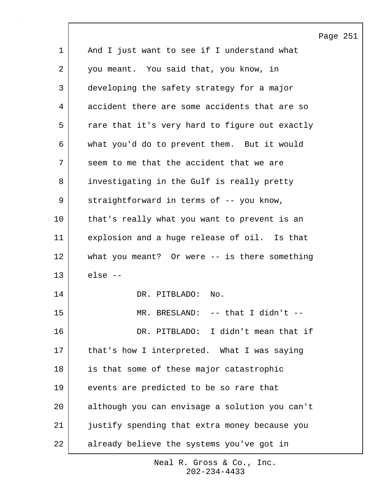|             |                                                 | Page 251 |  |
|-------------|-------------------------------------------------|----------|--|
| $\mathbf 1$ | And I just want to see if I understand what     |          |  |
| 2           | you meant. You said that, you know, in          |          |  |
| 3           | developing the safety strategy for a major      |          |  |
| 4           | accident there are some accidents that are so   |          |  |
| 5           | rare that it's very hard to figure out exactly  |          |  |
| 6           | what you'd do to prevent them. But it would     |          |  |
| 7           | seem to me that the accident that we are        |          |  |
| 8           | investigating in the Gulf is really pretty      |          |  |
| 9           | straightforward in terms of -- you know,        |          |  |
| 10          | that's really what you want to prevent is an    |          |  |
| 11          | explosion and a huge release of oil. Is that    |          |  |
| 12          | what you meant? Or were $--$ is there something |          |  |
| 13          | else --                                         |          |  |
| 14          | DR. PITBLADO:<br>No.                            |          |  |
| 15          | $MR$ .<br>BRESLAND: $--$ that I didn't $--$     |          |  |
| 16          | DR. PITBLADO: I didn't mean that if             |          |  |
| 17          | that's how I interpreted. What I was saying     |          |  |
| 18          | is that some of these major catastrophic        |          |  |
| 19          | events are predicted to be so rare that         |          |  |
| 20          | although you can envisage a solution you can't  |          |  |
| 21          | justify spending that extra money because you   |          |  |
| 22          | already believe the systems you've got in       |          |  |

 $\mathsf{l}$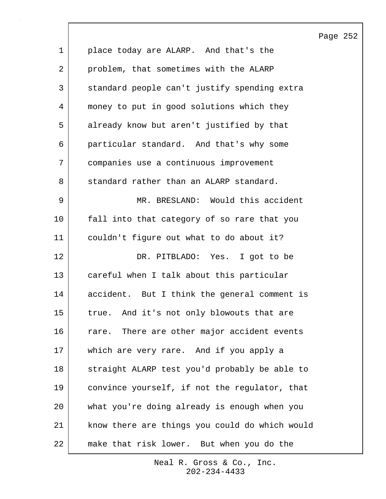Page 252 1 place today are ALARP. And that's the 2 problem, that sometimes with the ALARP 3 standard people can't justify spending extra 4 money to put in good solutions which they 5 already know but aren't justified by that 6 particular standard. And that's why some 7 companies use a continuous improvement 8 standard rather than an ALARP standard. 9 MR. BRESLAND: Would this accident 10 | fall into that category of so rare that you 11 couldn't figure out what to do about it? 12 DR. PITBLADO: Yes. I got to be 13 careful when I talk about this particular 14 accident. But I think the general comment is 15 true. And it's not only blowouts that are 16 rare. There are other major accident events 17 which are very rare. And if you apply a 18 straight ALARP test you'd probably be able to 19 convince yourself, if not the regulator, that 20 what you're doing already is enough when you 21 know there are things you could do which would 22 make that risk lower. But when you do the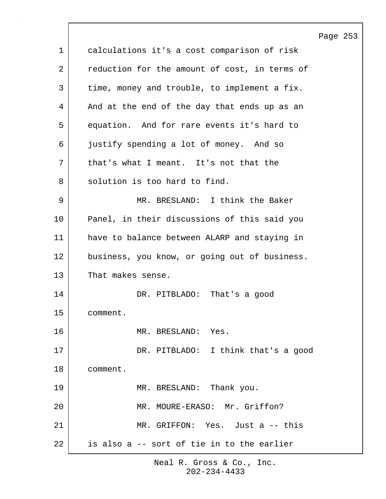|             |                                               | Page 253 |  |
|-------------|-----------------------------------------------|----------|--|
| $\mathbf 1$ | calculations it's a cost comparison of risk   |          |  |
| 2           | reduction for the amount of cost, in terms of |          |  |
| 3           | time, money and trouble, to implement a fix.  |          |  |
| 4           | And at the end of the day that ends up as an  |          |  |
| 5           | equation. And for rare events it's hard to    |          |  |
| 6           | justify spending a lot of money. And so       |          |  |
| 7           | that's what I meant. It's not that the        |          |  |
| 8           | solution is too hard to find.                 |          |  |
| 9           | MR. BRESLAND: I think the Baker               |          |  |
| 10          | Panel, in their discussions of this said you  |          |  |
| 11          | have to balance between ALARP and staying in  |          |  |
| 12          | business, you know, or going out of business. |          |  |
| 13          | That makes sense.                             |          |  |
| 14          | DR. PITBLADO: That's a good                   |          |  |
| 15          | comment.                                      |          |  |
| 16          | MR. BRESLAND: Yes.                            |          |  |
| 17          | DR. PITBLADO: I think that's a good           |          |  |
| 18          | comment.                                      |          |  |
| 19          | MR. BRESLAND: Thank you.                      |          |  |
| 20          | MR. MOURE-ERASO: Mr. Griffon?                 |          |  |
| 21          | MR. GRIFFON: Yes. Just a -- this              |          |  |
| 22          | is also a -- sort of tie in to the earlier    |          |  |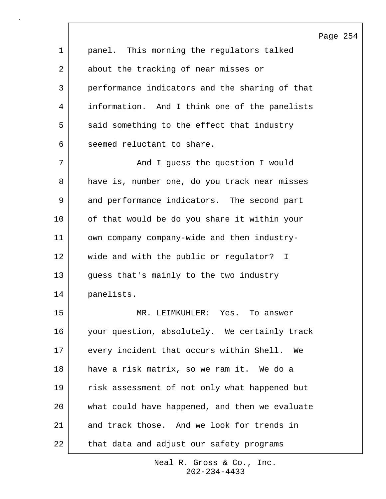|    | Page                                           |
|----|------------------------------------------------|
| 1  | panel. This morning the regulators talked      |
| 2  | about the tracking of near misses or           |
| 3  | performance indicators and the sharing of that |
| 4  | information. And I think one of the panelists  |
| 5  | said something to the effect that industry     |
| 6  | seemed reluctant to share.                     |
| 7  | And I guess the question I would               |
| 8  | have is, number one, do you track near misses  |
| 9  | and performance indicators. The second part    |
| 10 | of that would be do you share it within your   |
| 11 | own company company-wide and then industry-    |
| 12 | wide and with the public or regulator? I       |
| 13 | guess that's mainly to the two industry        |
| 14 | panelists.                                     |
| 15 | MR<br>LEIMKUHLER: Yes.<br>To answer            |
| 16 | your question, absolutely. We certainly track  |
| 17 | every incident that occurs within Shell.<br>We |
| 18 | have a risk matrix, so we ram it. We do a      |
| 19 | risk assessment of not only what happened but  |
| 20 | what could have happened, and then we evaluate |
| 21 | and track those. And we look for trends in     |
| 22 | that data and adjust our safety programs       |

 $\lceil$ 

254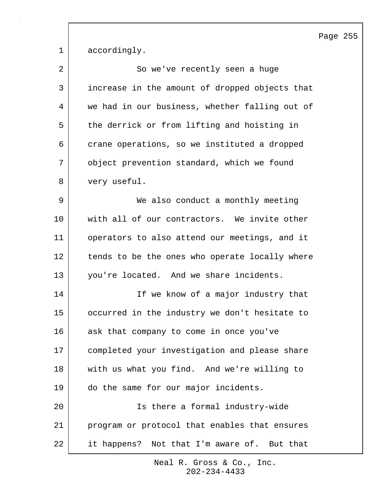Page 255

1 accordingly.

| 2  | So we've recently seen a huge                  |
|----|------------------------------------------------|
| 3  | increase in the amount of dropped objects that |
| 4  | we had in our business, whether falling out of |
| 5  | the derrick or from lifting and hoisting in    |
| 6  | crane operations, so we instituted a dropped   |
| 7  | object prevention standard, which we found     |
| 8  | very useful.                                   |
| 9  | We also conduct a monthly meeting              |
| 10 | with all of our contractors. We invite other   |
| 11 | operators to also attend our meetings, and it  |
| 12 | tends to be the ones who operate locally where |
| 13 | you're located. And we share incidents.        |
| 14 | If we know of a major industry that            |
| 15 | occurred in the industry we don't hesitate to  |
| 16 | ask that company to come in once you've        |
| 17 | completed your investigation and please share  |
| 18 | with us what you find. And we're willing to    |
| 19 | do the same for our major incidents.           |
| 20 | Is there a formal industry-wide                |
| 21 | program or protocol that enables that ensures  |
| 22 | it happens? Not that I'm aware of. But that    |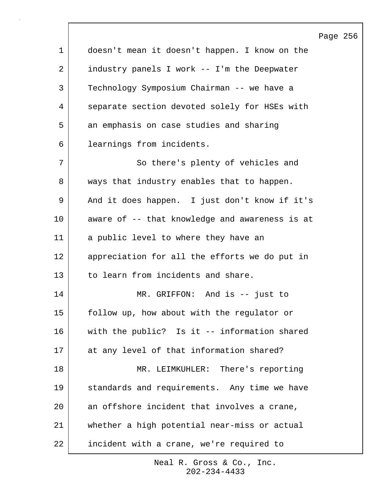|             |                                                | Page 256 |  |
|-------------|------------------------------------------------|----------|--|
| $\mathbf 1$ | doesn't mean it doesn't happen. I know on the  |          |  |
| 2           | industry panels I work -- I'm the Deepwater    |          |  |
| 3           | Technology Symposium Chairman -- we have a     |          |  |
| 4           | separate section devoted solely for HSEs with  |          |  |
| 5           | an emphasis on case studies and sharing        |          |  |
| 6           | learnings from incidents.                      |          |  |
| 7           | So there's plenty of vehicles and              |          |  |
| 8           | ways that industry enables that to happen.     |          |  |
| 9           | And it does happen. I just don't know if it's  |          |  |
| 10          | aware of -- that knowledge and awareness is at |          |  |
| 11          | a public level to where they have an           |          |  |
| 12          | appreciation for all the efforts we do put in  |          |  |
| 13          | to learn from incidents and share.             |          |  |
| 14          | MR. GRIFFON: And is -- just to                 |          |  |
| 15          | follow up, how about with the regulator or     |          |  |
| 16          | with the public? Is it -- information shared   |          |  |
| 17          | at any level of that information shared?       |          |  |
| 18          | MR. LEIMKUHLER: There's reporting              |          |  |
| 19          | standards and requirements. Any time we have   |          |  |
| 20          | an offshore incident that involves a crane,    |          |  |
| 21          | whether a high potential near-miss or actual   |          |  |
| 22          | incident with a crane, we're required to       |          |  |

 $\sqrt{ }$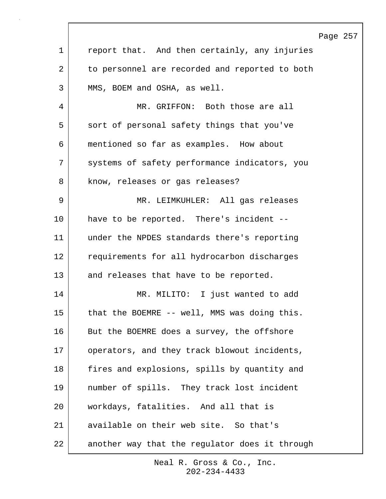|              |                                                | Page 257 |  |
|--------------|------------------------------------------------|----------|--|
| $\mathbf{1}$ | report that. And then certainly, any injuries  |          |  |
| 2            | to personnel are recorded and reported to both |          |  |
| 3            | MMS, BOEM and OSHA, as well.                   |          |  |
| 4            | MR. GRIFFON: Both those are all                |          |  |
| 5            | sort of personal safety things that you've     |          |  |
| 6            | mentioned so far as examples. How about        |          |  |
| 7            | systems of safety performance indicators, you  |          |  |
| 8            | know, releases or gas releases?                |          |  |
| 9            | MR. LEIMKUHLER: All gas releases               |          |  |
| 10           | have to be reported. There's incident --       |          |  |
| 11           | under the NPDES standards there's reporting    |          |  |
| 12           | requirements for all hydrocarbon discharges    |          |  |
| 13           | and releases that have to be reported.         |          |  |
| 14           | MR. MILITO: I just wanted to add               |          |  |
| 15           | that the BOEMRE -- well, MMS was doing this.   |          |  |
| 16           | But the BOEMRE does a survey, the offshore     |          |  |
| 17           | operators, and they track blowout incidents,   |          |  |
| 18           | fires and explosions, spills by quantity and   |          |  |
| 19           | number of spills. They track lost incident     |          |  |
| 20           | workdays, fatalities. And all that is          |          |  |
| 21           | available on their web site. So that's         |          |  |
| 22           | another way that the regulator does it through |          |  |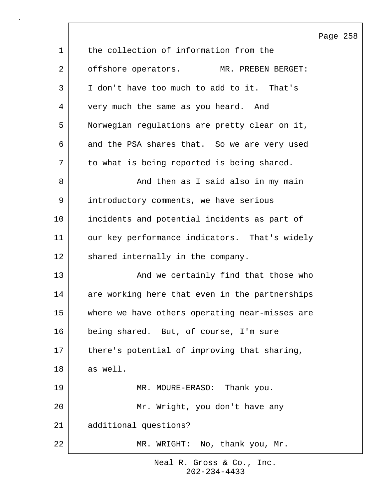|              |                                                | Page 258 |  |
|--------------|------------------------------------------------|----------|--|
| $\mathbf{1}$ | the collection of information from the         |          |  |
| 2            | offshore operators.<br>MR. PREBEN BERGET:      |          |  |
| 3            | I don't have too much to add to it. That's     |          |  |
| 4            | very much the same as you heard. And           |          |  |
| 5            | Norwegian regulations are pretty clear on it,  |          |  |
| 6            | and the PSA shares that. So we are very used   |          |  |
| 7            | to what is being reported is being shared.     |          |  |
| 8            | And then as I said also in my main             |          |  |
| 9            | introductory comments, we have serious         |          |  |
| 10           | incidents and potential incidents as part of   |          |  |
| 11           | our key performance indicators. That's widely  |          |  |
| 12           | shared internally in the company.              |          |  |
| 13           | And we certainly find that those who           |          |  |
| 14           | are working here that even in the partnerships |          |  |
| 15           | where we have others operating near-misses are |          |  |
| 16           | being shared. But, of course, I'm sure         |          |  |
| 17           | there's potential of improving that sharing,   |          |  |
| 18           | as well.                                       |          |  |
| 19           | MR. MOURE-ERASO: Thank you.                    |          |  |
| 20           | Mr. Wright, you don't have any                 |          |  |
| 21           | additional questions?                          |          |  |
| 22           | MR. WRIGHT: No, thank you, Mr.                 |          |  |

 $\lceil$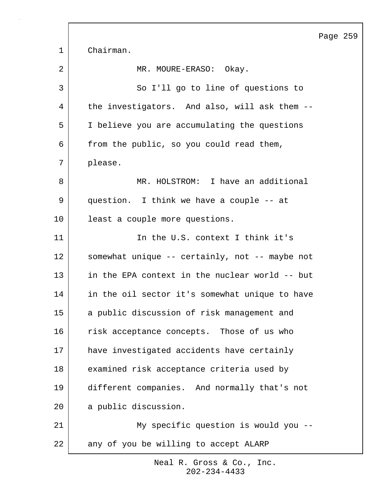|             |                                                | Page 259 |  |
|-------------|------------------------------------------------|----------|--|
| $\mathbf 1$ | Chairman.                                      |          |  |
| 2           | MR. MOURE-ERASO: Okay.                         |          |  |
| 3           | So I'll go to line of questions to             |          |  |
| 4           | the investigators. And also, will ask them --  |          |  |
| 5           | I believe you are accumulating the questions   |          |  |
| 6           | from the public, so you could read them,       |          |  |
| 7           | please.                                        |          |  |
| 8           | MR. HOLSTROM: I have an additional             |          |  |
| 9           | question. I think we have a couple -- at       |          |  |
| 10          | least a couple more questions.                 |          |  |
| 11          | In the U.S. context I think it's               |          |  |
| 12          | somewhat unique -- certainly, not -- maybe not |          |  |
| 13          | in the EPA context in the nuclear world -- but |          |  |
| 14          | in the oil sector it's somewhat unique to have |          |  |
| 15          | a public discussion of risk management and     |          |  |
| 16          | risk acceptance concepts. Those of us who      |          |  |
| 17          | have investigated accidents have certainly     |          |  |
| 18          | examined risk acceptance criteria used by      |          |  |
| 19          | different companies. And normally that's not   |          |  |
| 20          | a public discussion.                           |          |  |
| 21          | My specific question is would you --           |          |  |
| 22          | any of you be willing to accept ALARP          |          |  |

 $\Gamma$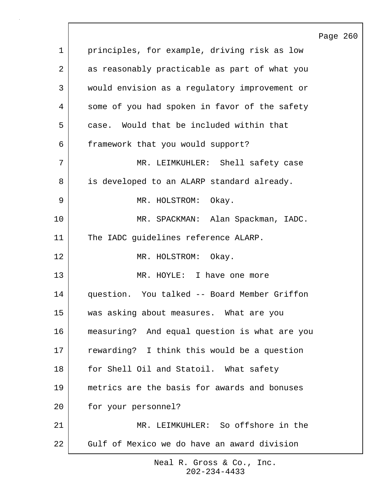|              |                                               | Page 260 |  |
|--------------|-----------------------------------------------|----------|--|
| $\mathbf{1}$ | principles, for example, driving risk as low  |          |  |
| 2            | as reasonably practicable as part of what you |          |  |
| 3            | would envision as a regulatory improvement or |          |  |
| 4            | some of you had spoken in favor of the safety |          |  |
| 5            | case. Would that be included within that      |          |  |
| 6            | framework that you would support?             |          |  |
| 7            | MR. LEIMKUHLER: Shell safety case             |          |  |
| 8            | is developed to an ALARP standard already.    |          |  |
| 9            | MR. HOLSTROM: Okay.                           |          |  |
| 10           | MR. SPACKMAN: Alan Spackman, IADC.            |          |  |
| 11           | The IADC guidelines reference ALARP.          |          |  |
| 12           | MR. HOLSTROM: Okay.                           |          |  |
| 13           | MR. HOYLE: I have one more                    |          |  |
| 14           | question. You talked -- Board Member Griffon  |          |  |
| 15           | was asking about measures. What are you       |          |  |
| 16           | measuring? And equal question is what are you |          |  |
| 17           | rewarding? I think this would be a question   |          |  |
| 18           | for Shell Oil and Statoil. What safety        |          |  |
| 19           | metrics are the basis for awards and bonuses  |          |  |
| 20           | for your personnel?                           |          |  |
| 21           | MR. LEIMKUHLER: So offshore in the            |          |  |
| 22           | Gulf of Mexico we do have an award division   |          |  |
|              |                                               |          |  |

 $\Gamma$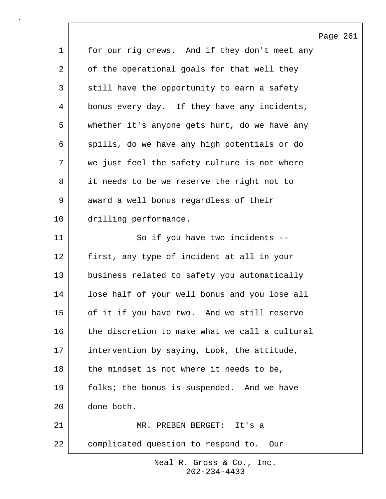|             |                                                | Page 261 |  |
|-------------|------------------------------------------------|----------|--|
| $\mathbf 1$ | for our rig crews. And if they don't meet any  |          |  |
| 2           | of the operational goals for that well they    |          |  |
| 3           | still have the opportunity to earn a safety    |          |  |
| 4           | bonus every day. If they have any incidents,   |          |  |
| 5           | whether it's anyone gets hurt, do we have any  |          |  |
| 6           | spills, do we have any high potentials or do   |          |  |
| 7           | we just feel the safety culture is not where   |          |  |
| 8           | it needs to be we reserve the right not to     |          |  |
| 9           | award a well bonus regardless of their         |          |  |
| 10          | drilling performance.                          |          |  |
| 11          | So if you have two incidents --                |          |  |
| 12          | first, any type of incident at all in your     |          |  |
| 13          | business related to safety you automatically   |          |  |
| 14          | lose half of your well bonus and you lose all  |          |  |
| 15          | of it if you have two. And we still reserve    |          |  |
| 16          | the discretion to make what we call a cultural |          |  |
| 17          | intervention by saying, Look, the attitude,    |          |  |
| 18          | the mindset is not where it needs to be,       |          |  |
| 19          | folks; the bonus is suspended. And we have     |          |  |
| 20          | done both.                                     |          |  |
| 21          | MR. PREBEN BERGET: It's a                      |          |  |
| 22          | complicated question to respond to.<br>Our     |          |  |

 $\lceil$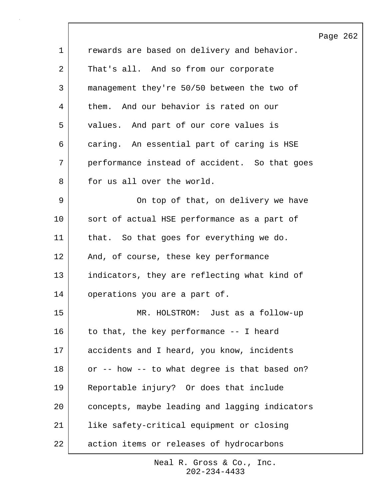|    |                                                | Page 262 |  |
|----|------------------------------------------------|----------|--|
| 1  | rewards are based on delivery and behavior.    |          |  |
| 2  | That's all. And so from our corporate          |          |  |
| 3  | management they're 50/50 between the two of    |          |  |
| 4  | them. And our behavior is rated on our         |          |  |
| 5  | values. And part of our core values is         |          |  |
| 6  | caring. An essential part of caring is HSE     |          |  |
| 7  | performance instead of accident. So that goes  |          |  |
| 8  | for us all over the world.                     |          |  |
| 9  | On top of that, on delivery we have            |          |  |
| 10 | sort of actual HSE performance as a part of    |          |  |
| 11 | that. So that goes for everything we do.       |          |  |
| 12 | And, of course, these key performance          |          |  |
| 13 | indicators, they are reflecting what kind of   |          |  |
| 14 | operations you are a part of.                  |          |  |
| 15 | MR. HOLSTROM: Just as a follow-up              |          |  |
| 16 | to that, the key performance -- I heard        |          |  |
| 17 | accidents and I heard, you know, incidents     |          |  |
| 18 | or -- how -- to what degree is that based on?  |          |  |
| 19 | Reportable injury? Or does that include        |          |  |
| 20 | concepts, maybe leading and lagging indicators |          |  |
| 21 | like safety-critical equipment or closing      |          |  |
| 22 | action items or releases of hydrocarbons       |          |  |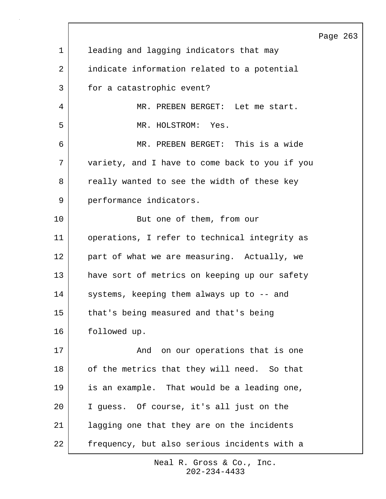|             |                                                | Page 263 |  |
|-------------|------------------------------------------------|----------|--|
| $\mathbf 1$ | leading and lagging indicators that may        |          |  |
| 2           | indicate information related to a potential    |          |  |
| 3           | for a catastrophic event?                      |          |  |
| 4           | MR. PREBEN BERGET: Let me start.               |          |  |
| 5           | MR. HOLSTROM: Yes.                             |          |  |
| 6           | MR. PREBEN BERGET: This is a wide              |          |  |
| 7           | variety, and I have to come back to you if you |          |  |
| 8           | really wanted to see the width of these key    |          |  |
| 9           | performance indicators.                        |          |  |
| 10          | But one of them, from our                      |          |  |
| 11          | operations, I refer to technical integrity as  |          |  |
| 12          | part of what we are measuring. Actually, we    |          |  |
| 13          | have sort of metrics on keeping up our safety  |          |  |
| 14          | systems, keeping them always up to -- and      |          |  |
| 15          | that's being measured and that's being         |          |  |
| 16          | followed up.                                   |          |  |
| 17          | And on our operations that is one              |          |  |
| 18          | of the metrics that they will need. So that    |          |  |
| 19          | is an example. That would be a leading one,    |          |  |
| 20          | I guess. Of course, it's all just on the       |          |  |
| 21          | lagging one that they are on the incidents     |          |  |
| 22          | frequency, but also serious incidents with a   |          |  |

 $\sqrt{ }$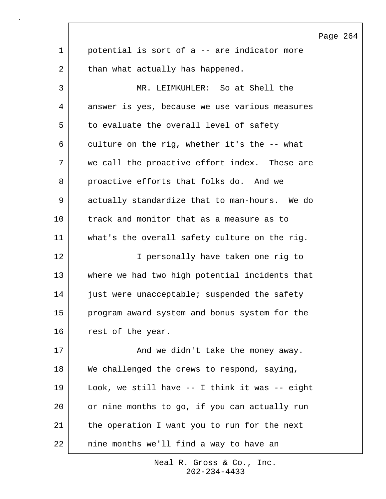Page 264 1 potential is sort of a -- are indicator more 2 than what actually has happened. 3 MR. LEIMKUHLER: So at Shell the 4 answer is yes, because we use various measures 5 to evaluate the overall level of safety 6 culture on the rig, whether it's the -- what 7 we call the proactive effort index. These are 8 proactive efforts that folks do. And we 9 actually standardize that to man-hours. We do 10 track and monitor that as a measure as to 11 what's the overall safety culture on the rig. 12 I personally have taken one rig to 13 where we had two high potential incidents that 14 just were unacceptable; suspended the safety 15 program award system and bonus system for the 16 rest of the year. 17 and we didn't take the money away. 18 We challenged the crews to respond, saying, 19 Look, we still have -- I think it was -- eight 20 or nine months to go, if you can actually run 21 | the operation I want you to run for the next 22 nine months we'll find a way to have an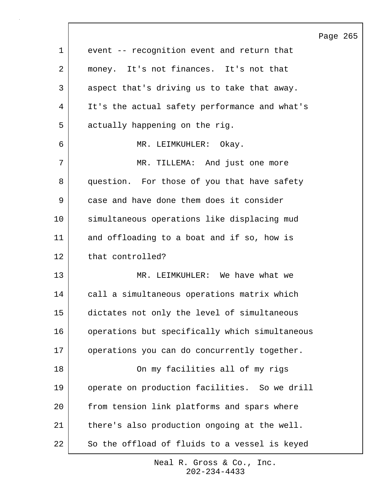|    | Page                                           |  |
|----|------------------------------------------------|--|
| 1  | event -- recognition event and return that     |  |
| 2  | money. It's not finances. It's not that        |  |
| 3  | aspect that's driving us to take that away.    |  |
| 4  | It's the actual safety performance and what's  |  |
| 5  | actually happening on the rig.                 |  |
| 6  | MR. LEIMKUHLER: Okay.                          |  |
| 7  | MR. TILLEMA: And just one more                 |  |
| 8  | question. For those of you that have safety    |  |
| 9  | case and have done them does it consider       |  |
| 10 | simultaneous operations like displacing mud    |  |
| 11 | and offloading to a boat and if so, how is     |  |
| 12 | that controlled?                               |  |
| 13 | MR. LEIMKUHLER: We have what we                |  |
| 14 | call a simultaneous operations matrix which    |  |
| 15 | dictates not only the level of simultaneous    |  |
| 16 | operations but specifically which simultaneous |  |
| 17 | operations you can do concurrently together.   |  |
| 18 | On my facilities all of my rigs                |  |
| 19 | operate on production facilities. So we drill  |  |
| 20 | from tension link platforms and spars where    |  |
| 21 | there's also production ongoing at the well.   |  |
| 22 | So the offload of fluids to a vessel is keyed  |  |

 $\lceil$ 

265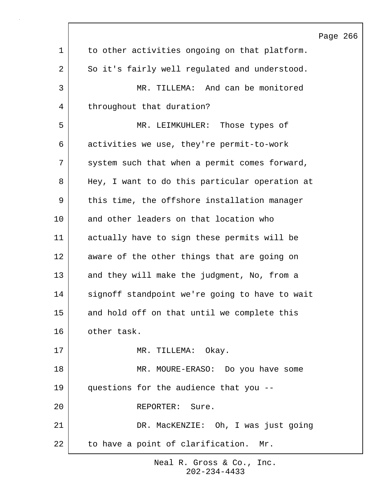|             |                                                | Page 266 |  |
|-------------|------------------------------------------------|----------|--|
| $\mathbf 1$ | to other activities ongoing on that platform.  |          |  |
| 2           | So it's fairly well regulated and understood.  |          |  |
| 3           | MR. TILLEMA: And can be monitored              |          |  |
| 4           | throughout that duration?                      |          |  |
| 5           | MR. LEIMKUHLER: Those types of                 |          |  |
| 6           | activities we use, they're permit-to-work      |          |  |
| 7           | system such that when a permit comes forward,  |          |  |
| 8           | Hey, I want to do this particular operation at |          |  |
| 9           | this time, the offshore installation manager   |          |  |
| 10          | and other leaders on that location who         |          |  |
| 11          | actually have to sign these permits will be    |          |  |
| 12          | aware of the other things that are going on    |          |  |
| 13          | and they will make the judgment, No, from a    |          |  |
| 14          | signoff standpoint we're going to have to wait |          |  |
| 15          | and hold off on that until we complete this    |          |  |
| 16          | other task.                                    |          |  |
| 17          | MR. TILLEMA: Okay.                             |          |  |
| 18          | MR. MOURE-ERASO: Do you have some              |          |  |
| 19          | questions for the audience that you --         |          |  |
| 20          | REPORTER: Sure.                                |          |  |
| 21          | DR. MacKENZIE: Oh, I was just going            |          |  |
| 22          | to have a point of clarification. Mr.          |          |  |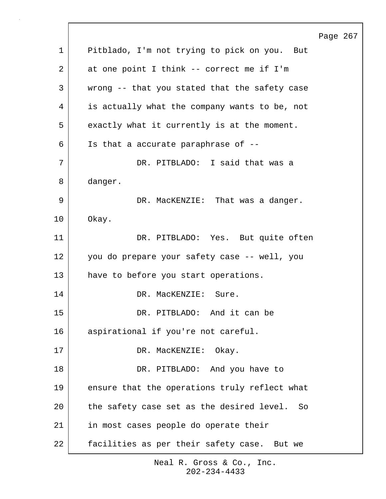|    | Page 267                                      |
|----|-----------------------------------------------|
| 1  | Pitblado, I'm not trying to pick on you. But  |
| 2  | at one point I think -- correct me if I'm     |
| 3  | wrong -- that you stated that the safety case |
| 4  | is actually what the company wants to be, not |
| 5  | exactly what it currently is at the moment.   |
| 6  | Is that a accurate paraphrase of --           |
| 7  | DR. PITBLADO: I said that was a               |
| 8  | danger.                                       |
| 9  | DR. MacKENZIE: That was a danger.             |
| 10 | Okay.                                         |
| 11 | DR. PITBLADO: Yes. But quite often            |
| 12 | you do prepare your safety case -- well, you  |
| 13 | have to before you start operations.          |
| 14 | DR. MacKENZIE:<br>Sure.                       |
| 15 | DR. PITBLADO: And it can be                   |
| 16 | aspirational if you're not careful.           |
| 17 | DR. MacKENZIE: Okay.                          |
| 18 | DR. PITBLADO: And you have to                 |
| 19 | ensure that the operations truly reflect what |
| 20 | the safety case set as the desired level. So  |
| 21 | in most cases people do operate their         |
| 22 | facilities as per their safety case. But we   |
|    |                                               |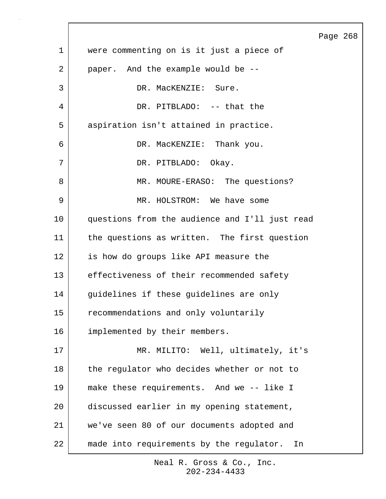|             |                                                | Page 268 |  |
|-------------|------------------------------------------------|----------|--|
| $\mathbf 1$ | were commenting on is it just a piece of       |          |  |
| 2           | paper. And the example would be --             |          |  |
| 3           | DR. MacKENZIE: Sure.                           |          |  |
| 4           | DR. PITBLADO: -- that the                      |          |  |
| 5           | aspiration isn't attained in practice.         |          |  |
| 6           | DR. MacKENZIE: Thank you.                      |          |  |
| 7           | DR. PITBLADO: Okay.                            |          |  |
| 8           | MR. MOURE-ERASO: The questions?                |          |  |
| 9           | MR. HOLSTROM: We have some                     |          |  |
| 10          | questions from the audience and I'll just read |          |  |
| 11          | the questions as written. The first question   |          |  |
| 12          | is how do groups like API measure the          |          |  |
| 13          | effectiveness of their recommended safety      |          |  |
| 14          | guidelines if these guidelines are only        |          |  |
| 15          | recommendations and only voluntarily           |          |  |
| 16          | implemented by their members.                  |          |  |
| 17          | MR. MILITO: Well, ultimately, it's             |          |  |
| 18          | the regulator who decides whether or not to    |          |  |
| 19          | make these requirements. And we -- like I      |          |  |
| 20          | discussed earlier in my opening statement,     |          |  |
| 21          | we've seen 80 of our documents adopted and     |          |  |
| 22          | made into requirements by the regulator.<br>In |          |  |

 $\overline{\phantom{a}}$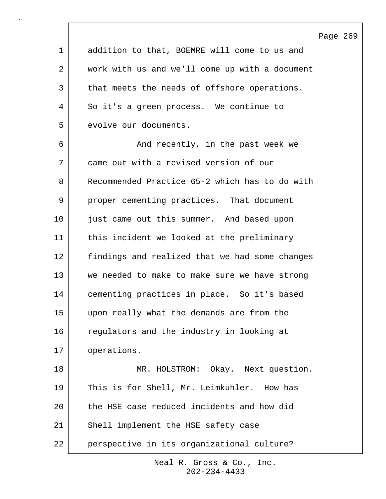Page 269 1 addition to that, BOEMRE will come to us and 2 work with us and we'll come up with a document 3 that meets the needs of offshore operations. 4 So it's a green process. We continue to 5 evolve our documents. 6 | And recently, in the past week we 7 came out with a revised version of our 8 Recommended Practice 65-2 which has to do with 9 proper cementing practices. That document 10 iust came out this summer. And based upon 11 this incident we looked at the preliminary 12 findings and realized that we had some changes 13 we needed to make to make sure we have strong 14 cementing practices in place. So it's based 15 upon really what the demands are from the 16 regulators and the industry in looking at 17 | operations. 18 MR. HOLSTROM: Okay. Next question. 19 This is for Shell, Mr. Leimkuhler. How has 20 the HSE case reduced incidents and how did 21 Shell implement the HSE safety case 22 perspective in its organizational culture?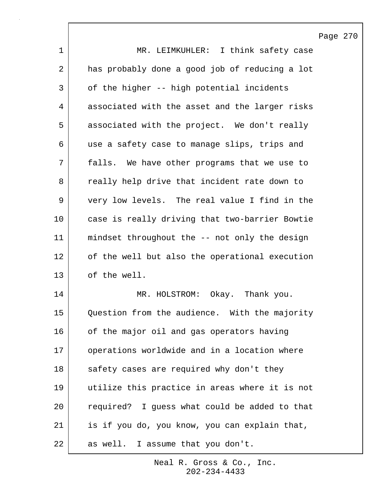Page 270 1 MR. LEIMKUHLER: I think safety case 2 has probably done a good job of reducing a lot 3 of the higher -- high potential incidents 4 associated with the asset and the larger risks 5 associated with the project. We don't really 6 | use a safety case to manage slips, trips and 7 falls. We have other programs that we use to 8 | really help drive that incident rate down to 9 very low levels. The real value I find in the 10 case is really driving that two-barrier Bowtie 11 mindset throughout the -- not only the design 12 of the well but also the operational execution 13 of the well. 14 MR. HOLSTROM: Okay. Thank you. 15 Question from the audience. With the majority 16 of the major oil and gas operators having 17 | operations worldwide and in a location where 18 safety cases are required why don't they 19 utilize this practice in areas where it is not 20 required? I quess what could be added to that 21 is if you do, you know, you can explain that, 22 as well. I assume that you don't.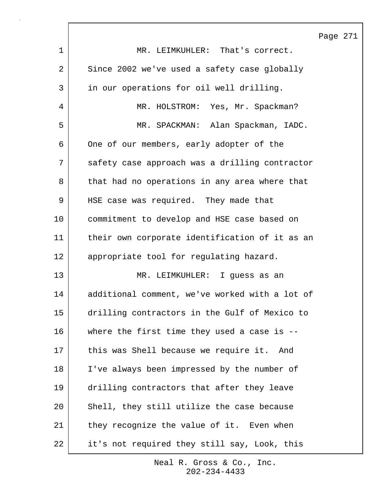Page 271 1 MR. LEIMKUHLER: That's correct. 2 Since 2002 we've used a safety case globally 3 in our operations for oil well drilling. 4 MR. HOLSTROM: Yes, Mr. Spackman? 5 | MR. SPACKMAN: Alan Spackman, IADC. 6 One of our members, early adopter of the 7 safety case approach was a drilling contractor 8 that had no operations in any area where that 9 | HSE case was required. They made that 10 commitment to develop and HSE case based on 11 their own corporate identification of it as an 12 | appropriate tool for regulating hazard. 13 MR. LEIMKUHLER: I guess as an 14 additional comment, we've worked with a lot of 15 drilling contractors in the Gulf of Mexico to 16 where the first time they used a case is -- 17 | this was Shell because we require it. And 18 I've always been impressed by the number of 19 drilling contractors that after they leave 20 Shell, they still utilize the case because 21 they recognize the value of it. Even when 22 it's not required they still say, Look, this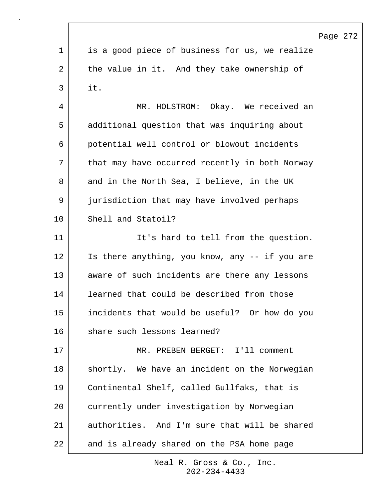|    |                                                | Page 272 |  |
|----|------------------------------------------------|----------|--|
| 1  | is a good piece of business for us, we realize |          |  |
| 2  | the value in it. And they take ownership of    |          |  |
| 3  | it.                                            |          |  |
| 4  | Okay. We received an<br>MR. HOLSTROM:          |          |  |
| 5  | additional question that was inquiring about   |          |  |
| 6  | potential well control or blowout incidents    |          |  |
| 7  | that may have occurred recently in both Norway |          |  |
| 8  | and in the North Sea, I believe, in the UK     |          |  |
| 9  | jurisdiction that may have involved perhaps    |          |  |
| 10 | Shell and Statoil?                             |          |  |
| 11 | It's hard to tell from the question.           |          |  |
| 12 | Is there anything, you know, any -- if you are |          |  |
| 13 | aware of such incidents are there any lessons  |          |  |
| 14 | learned that could be described from those     |          |  |
| 15 | incidents that would be useful? Or how do you  |          |  |
| 16 | share such lessons learned?                    |          |  |
| 17 | MR. PREBEN BERGET: I'll comment                |          |  |
| 18 | shortly. We have an incident on the Norwegian  |          |  |
| 19 | Continental Shelf, called Gullfaks, that is    |          |  |
| 20 | currently under investigation by Norwegian     |          |  |
| 21 | authorities. And I'm sure that will be shared  |          |  |
| 22 | and is already shared on the PSA home page     |          |  |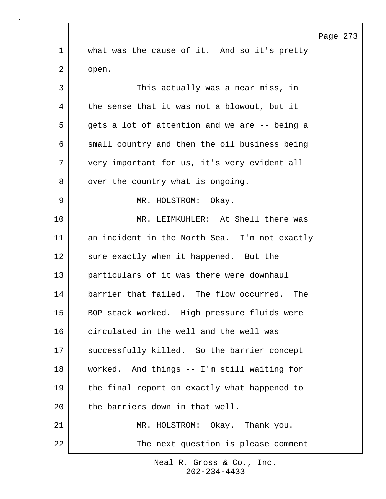Page 273 1 what was the cause of it. And so it's pretty 2 open. 3 | This actually was a near miss, in 4 the sense that it was not a blowout, but it 5 gets a lot of attention and we are -- being a 6 small country and then the oil business being 7 very important for us, it's very evident all 8 | over the country what is ongoing. 9 MR. HOLSTROM: Okay. 10 MR. LEIMKUHLER: At Shell there was 11 an incident in the North Sea. I'm not exactly 12 sure exactly when it happened. But the 13 particulars of it was there were downhaul 14 barrier that failed. The flow occurred. The 15 BOP stack worked. High pressure fluids were 16 circulated in the well and the well was 17 | successfully killed. So the barrier concept 18 worked. And things -- I'm still waiting for 19 the final report on exactly what happened to 20 the barriers down in that well. 21 | MR. HOLSTROM: Okay. Thank you. 22 The next question is please comment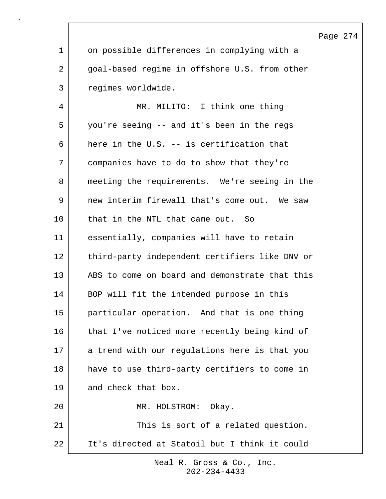|                |                                                | Page 274 |  |
|----------------|------------------------------------------------|----------|--|
| $\mathbf 1$    | on possible differences in complying with a    |          |  |
| $\overline{2}$ | goal-based regime in offshore U.S. from other  |          |  |
| 3              | regimes worldwide.                             |          |  |
| 4              | MR. MILITO: I think one thing                  |          |  |
| 5              | you're seeing -- and it's been in the regs     |          |  |
| 6              | here in the U.S. -- is certification that      |          |  |
| 7              | companies have to do to show that they're      |          |  |
| 8              | meeting the requirements. We're seeing in the  |          |  |
| 9              | new interim firewall that's come out. We saw   |          |  |
| 10             | that in the NTL that came out. So              |          |  |
| 11             | essentially, companies will have to retain     |          |  |
| 12             | third-party independent certifiers like DNV or |          |  |
| 13             | ABS to come on board and demonstrate that this |          |  |
| 14             | BOP will fit the intended purpose in this      |          |  |
| 15             | particular operation. And that is one thing    |          |  |
| 16             | that I've noticed more recently being kind of  |          |  |
| 17             | a trend with our regulations here is that you  |          |  |
| 18             | have to use third-party certifiers to come in  |          |  |
| 19             | and check that box.                            |          |  |
| 20             | MR. HOLSTROM:<br>Okay.                         |          |  |
| 21             | This is sort of a related question.            |          |  |
| 22             | It's directed at Statoil but I think it could  |          |  |

Г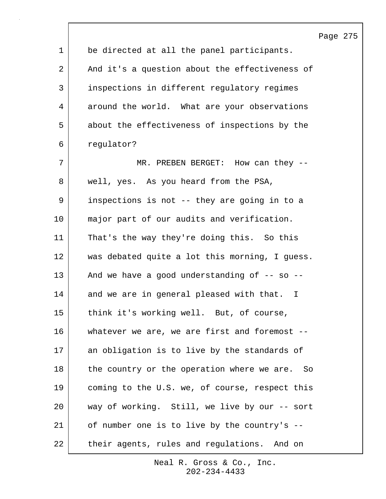|                |                                                    | Page 275 |  |
|----------------|----------------------------------------------------|----------|--|
| $\mathbf 1$    | be directed at all the panel participants.         |          |  |
| $\overline{2}$ | And it's a question about the effectiveness of     |          |  |
| $\mathsf{3}$   | inspections in different regulatory regimes        |          |  |
| 4              | around the world. What are your observations       |          |  |
| 5              | about the effectiveness of inspections by the      |          |  |
| 6              | regulator?                                         |          |  |
| 7              | MR. PREBEN BERGET: How can they --                 |          |  |
| 8              | well, yes. As you heard from the PSA,              |          |  |
| 9              | inspections is not -- they are going in to a       |          |  |
| 10             | major part of our audits and verification.         |          |  |
| 11             | That's the way they're doing this. So this         |          |  |
| 12             | was debated quite a lot this morning, I guess.     |          |  |
| 13             | And we have a good understanding of -- so --       |          |  |
| 14             | and we are in general pleased with that. I         |          |  |
| 15             | think it's working well. But, of course,           |          |  |
| 16             | whatever we are, we are first and foremost --      |          |  |
| 17             | an obligation is to live by the standards of       |          |  |
| 18             | the country or the operation where we are.<br>- So |          |  |
| 19             | coming to the U.S. we, of course, respect this     |          |  |
| 20             | way of working. Still, we live by our -- sort      |          |  |
| 21             | of number one is to live by the country's --       |          |  |
| 22             | their agents, rules and regulations. And on        |          |  |

 $\overline{\phantom{a}}$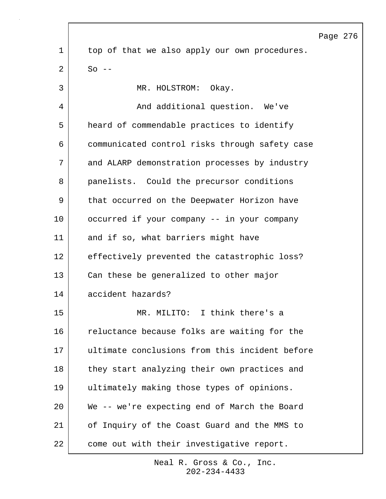|    |                                                | Page 276 |  |
|----|------------------------------------------------|----------|--|
| 1  | top of that we also apply our own procedures.  |          |  |
| 2  | $So$ --                                        |          |  |
| 3  | MR. HOLSTROM:<br>Okay.                         |          |  |
| 4  | And additional question. We've                 |          |  |
| 5  | heard of commendable practices to identify     |          |  |
| 6  | communicated control risks through safety case |          |  |
| 7  | and ALARP demonstration processes by industry  |          |  |
| 8  | panelists. Could the precursor conditions      |          |  |
| 9  | that occurred on the Deepwater Horizon have    |          |  |
| 10 | occurred if your company -- in your company    |          |  |
| 11 | and if so, what barriers might have            |          |  |
| 12 | effectively prevented the catastrophic loss?   |          |  |
| 13 | Can these be generalized to other major        |          |  |
| 14 | accident hazards?                              |          |  |
| 15 | MR. MILITO: I think there's a                  |          |  |
| 16 | reluctance because folks are waiting for the   |          |  |
| 17 | ultimate conclusions from this incident before |          |  |
| 18 | they start analyzing their own practices and   |          |  |
| 19 | ultimately making those types of opinions.     |          |  |
| 20 | We -- we're expecting end of March the Board   |          |  |
| 21 | of Inquiry of the Coast Guard and the MMS to   |          |  |
| 22 | come out with their investigative report.      |          |  |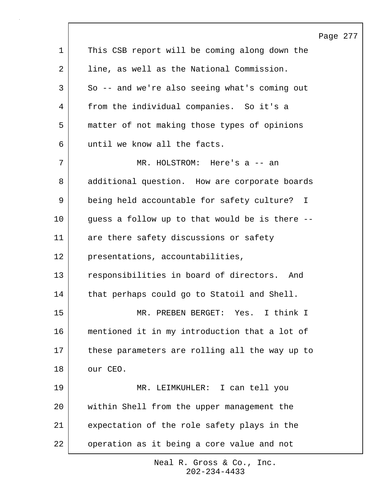|             | Page 277                                       |
|-------------|------------------------------------------------|
| $\mathbf 1$ | This CSB report will be coming along down the  |
| 2           | line, as well as the National Commission.      |
| 3           | So -- and we're also seeing what's coming out  |
| 4           | from the individual companies. So it's a       |
| 5           | matter of not making those types of opinions   |
| 6           | until we know all the facts.                   |
| 7           | MR. HOLSTROM: Here's a -- an                   |
| 8           | additional question. How are corporate boards  |
| 9           | being held accountable for safety culture? I   |
| 10          | guess a follow up to that would be is there -- |
| 11          | are there safety discussions or safety         |
| 12          | presentations, accountabilities,               |
| 13          | responsibilities in board of directors. And    |
| 14          | that perhaps could go to Statoil and Shell.    |
| 15          | MR. PREBEN BERGET: Yes. I think I              |
| 16          | mentioned it in my introduction that a lot of  |
| 17          | these parameters are rolling all the way up to |
| 18          | our CEO.                                       |
| 19          | MR. LEIMKUHLER: I can tell you                 |
| 20          | within Shell from the upper management the     |
| 21          | expectation of the role safety plays in the    |
| 22          | operation as it being a core value and not     |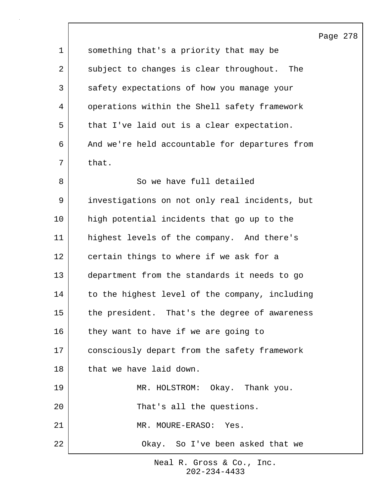|                |                                                | Page 278 |  |
|----------------|------------------------------------------------|----------|--|
| $\mathbf{1}$   | something that's a priority that may be        |          |  |
| $\overline{2}$ | subject to changes is clear throughout. The    |          |  |
| $\mathsf{3}$   | safety expectations of how you manage your     |          |  |
| 4              | operations within the Shell safety framework   |          |  |
| 5              | that I've laid out is a clear expectation.     |          |  |
| 6              | And we're held accountable for departures from |          |  |
| 7              | that.                                          |          |  |
| 8              | So we have full detailed                       |          |  |
| 9              | investigations on not only real incidents, but |          |  |
| 10             | high potential incidents that go up to the     |          |  |
| 11             | highest levels of the company. And there's     |          |  |
| 12             | certain things to where if we ask for a        |          |  |
| 13             | department from the standards it needs to go   |          |  |
| 14             | to the highest level of the company, including |          |  |
| 15             | the president. That's the degree of awareness  |          |  |
| 16             | they want to have if we are going to           |          |  |
| 17             | consciously depart from the safety framework   |          |  |
| 18             | that we have laid down.                        |          |  |
| 19             | MR. HOLSTROM: Okay. Thank you.                 |          |  |
| 20             | That's all the questions.                      |          |  |
| 21             | MR. MOURE-ERASO: Yes.                          |          |  |
| 22             | Okay. So I've been asked that we               |          |  |

 $\lceil$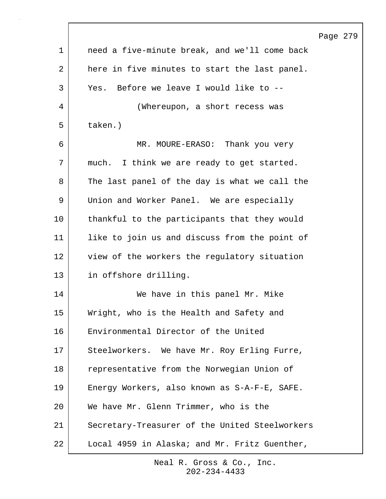|             |                                                | Page 279 |  |
|-------------|------------------------------------------------|----------|--|
| $\mathbf 1$ | need a five-minute break, and we'll come back  |          |  |
| 2           | here in five minutes to start the last panel.  |          |  |
| 3           | Yes. Before we leave I would like to --        |          |  |
| 4           | (Whereupon, a short recess was                 |          |  |
| 5           | taken.)                                        |          |  |
| 6           | MR. MOURE-ERASO: Thank you very                |          |  |
| 7           | much. I think we are ready to get started.     |          |  |
| 8           | The last panel of the day is what we call the  |          |  |
| 9           | Union and Worker Panel. We are especially      |          |  |
| 10          | thankful to the participants that they would   |          |  |
| 11          | like to join us and discuss from the point of  |          |  |
| 12          | view of the workers the regulatory situation   |          |  |
| 13          | in offshore drilling.                          |          |  |
| 14          | We have in this panel Mr. Mike                 |          |  |
| 15          | Wright, who is the Health and Safety and       |          |  |
| 16          | Environmental Director of the United           |          |  |
| 17          | We have Mr. Roy Erling Furre,<br>Steelworkers. |          |  |
| 18          | representative from the Norwegian Union of     |          |  |
| 19          | Energy Workers, also known as S-A-F-E, SAFE.   |          |  |
| 20          | We have Mr. Glenn Trimmer, who is the          |          |  |
| 21          | Secretary-Treasurer of the United Steelworkers |          |  |
| 22          | Local 4959 in Alaska; and Mr. Fritz Guenther,  |          |  |

 $\Gamma$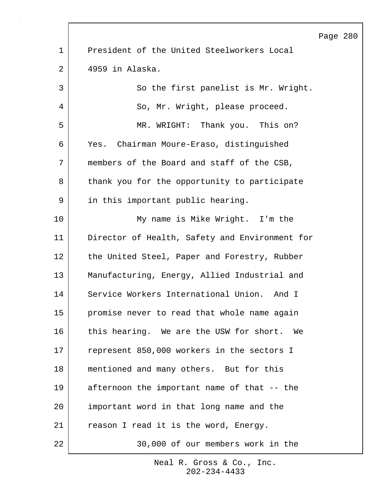|    | Page                                           |
|----|------------------------------------------------|
| 1  | President of the United Steelworkers Local     |
| 2  | 4959 in Alaska.                                |
| 3  | So the first panelist is Mr. Wright.           |
| 4  | So, Mr. Wright, please proceed.                |
| 5  | MR. WRIGHT: Thank you. This on?                |
| 6  | Yes. Chairman Moure-Eraso, distinguished       |
| 7  | members of the Board and staff of the CSB,     |
| 8  | thank you for the opportunity to participate   |
| 9  | in this important public hearing.              |
| 10 | My name is Mike Wright. I'm the                |
| 11 | Director of Health, Safety and Environment for |
| 12 | the United Steel, Paper and Forestry, Rubber   |
| 13 | Manufacturing, Energy, Allied Industrial and   |
| 14 | Service Workers International Union. And I     |
| 15 | promise never to read that whole name again    |
| 16 | this hearing. We are the USW for short. We     |
| 17 | represent 850,000 workers in the sectors I     |
| 18 | mentioned and many others. But for this        |
| 19 | afternoon the important name of that -- the    |
| 20 | important word in that long name and the       |
| 21 | reason I read it is the word, Energy.          |
| 22 | 30,000 of our members work in the              |

Page 280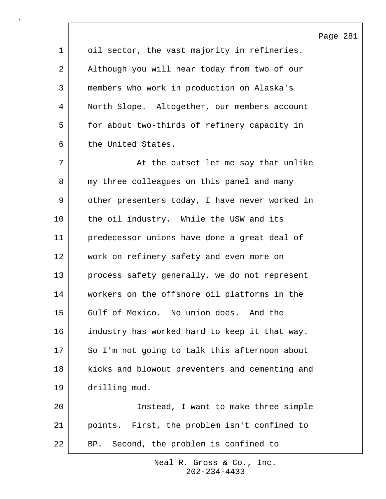Page 281

1 oil sector, the vast majority in refineries. 2 Although you will hear today from two of our 3 members who work in production on Alaska's 4 North Slope. Altogether, our members account 5 for about two-thirds of refinery capacity in 6 the United States.

7 | At the outset let me say that unlike 8 | my three colleagues on this panel and many 9 | other presenters today, I have never worked in 10 the oil industry. While the USW and its 11 predecessor unions have done a great deal of 12 work on refinery safety and even more on 13 process safety generally, we do not represent 14 workers on the offshore oil platforms in the 15 Gulf of Mexico. No union does. And the 16 industry has worked hard to keep it that way. 17 So I'm not going to talk this afternoon about 18 | kicks and blowout preventers and cementing and 19 drilling mud. 20 Instead, I want to make three simple

21 points. First, the problem isn't confined to 22 | BP. Second, the problem is confined to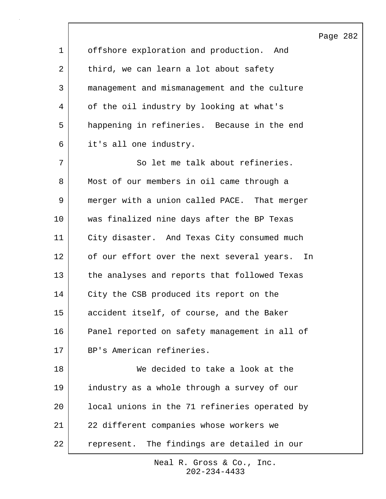Page 282 1 offshore exploration and production. And 2 third, we can learn a lot about safety 3 management and mismanagement and the culture 4 | of the oil industry by looking at what's 5 happening in refineries. Because in the end 6 it's all one industry. 7 So let me talk about refineries. 8 Most of our members in oil came through a 9 merger with a union called PACE. That merger 10 was finalized nine days after the BP Texas 11 City disaster. And Texas City consumed much 12 of our effort over the next several years. In 13 the analyses and reports that followed Texas 14 | City the CSB produced its report on the 15 accident itself, of course, and the Baker 16 Panel reported on safety management in all of 17 BP's American refineries. 18 We decided to take a look at the 19 industry as a whole through a survey of our 20 local unions in the 71 refineries operated by 21 22 different companies whose workers we 22 represent. The findings are detailed in our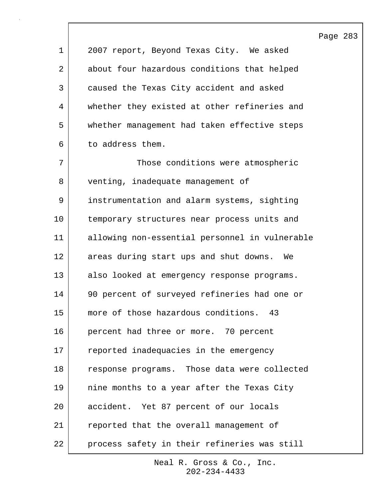Page 283 1 2007 report, Beyond Texas City. We asked 2 about four hazardous conditions that helped 3 caused the Texas City accident and asked 4 whether they existed at other refineries and 5 whether management had taken effective steps 6 to address them. 7 | Those conditions were atmospheric 8 venting, inadequate management of 9 instrumentation and alarm systems, sighting 10 temporary structures near process units and 11 allowing non-essential personnel in vulnerable 12 areas during start ups and shut downs. We 13 also looked at emergency response programs. 14 90 percent of surveyed refineries had one or 15 | more of those hazardous conditions. 43 16 percent had three or more. 70 percent 17 reported inadequacies in the emergency 18 response programs. Those data were collected 19 nine months to a year after the Texas City 20 accident. Yet 87 percent of our locals 21 reported that the overall management of 22 | process safety in their refineries was still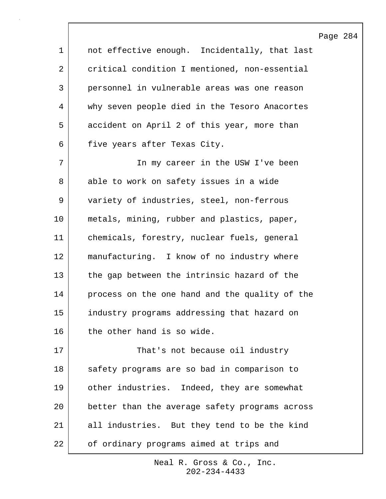Page 284

| $\mathbf 1$ | not effective enough. Incidentally, that last  |
|-------------|------------------------------------------------|
| 2           | critical condition I mentioned, non-essential  |
| 3           | personnel in vulnerable areas was one reason   |
| 4           | why seven people died in the Tesoro Anacortes  |
| 5           | accident on April 2 of this year, more than    |
| 6           | five years after Texas City.                   |
| 7           | In my career in the USW I've been              |
| 8           | able to work on safety issues in a wide        |
| 9           | variety of industries, steel, non-ferrous      |
| $10 \,$     | metals, mining, rubber and plastics, paper,    |
| 11          | chemicals, forestry, nuclear fuels, general    |
| 12          | manufacturing. I know of no industry where     |
| 13          | the gap between the intrinsic hazard of the    |
| 14          | process on the one hand and the quality of the |
| 15          | industry programs addressing that hazard on    |
| 16          | the other hand is so wide.                     |
| 17          | That's not because oil industry                |
| 18          | safety programs are so bad in comparison to    |
| 19          | other industries. Indeed, they are somewhat    |
| 20          | better than the average safety programs across |

 $\mathsf{l}$ 

22 of ordinary programs aimed at trips and

21 all industries. But they tend to be the kind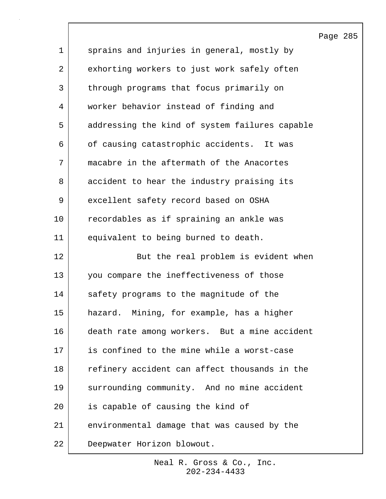|             |                                                | Page 285 |  |
|-------------|------------------------------------------------|----------|--|
| $\mathbf 1$ | sprains and injuries in general, mostly by     |          |  |
| 2           | exhorting workers to just work safely often    |          |  |
| 3           | through programs that focus primarily on       |          |  |
| 4           | worker behavior instead of finding and         |          |  |
| 5           | addressing the kind of system failures capable |          |  |
| 6           | of causing catastrophic accidents. It was      |          |  |
| 7           | macabre in the aftermath of the Anacortes      |          |  |
| 8           | accident to hear the industry praising its     |          |  |
| 9           | excellent safety record based on OSHA          |          |  |
| 10          | recordables as if spraining an ankle was       |          |  |
| 11          | equivalent to being burned to death.           |          |  |
| 12          | But the real problem is evident when           |          |  |
| 13          | you compare the ineffectiveness of those       |          |  |
| 14          | safety programs to the magnitude of the        |          |  |
| 15          | hazard. Mining, for example, has a higher      |          |  |
| 16          | death rate among workers. But a mine accident  |          |  |
| 17          | is confined to the mine while a worst-case     |          |  |
| 18          | refinery accident can affect thousands in the  |          |  |
| 19          | surrounding community. And no mine accident    |          |  |
| 20          | is capable of causing the kind of              |          |  |
| 21          | environmental damage that was caused by the    |          |  |
| 22          | Deepwater Horizon blowout.                     |          |  |

 $\overline{\phantom{a}}$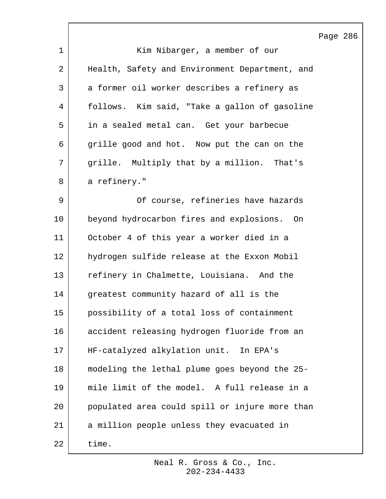|             |                                                | Page 286 |  |
|-------------|------------------------------------------------|----------|--|
| $\mathbf 1$ | Kim Nibarger, a member of our                  |          |  |
| 2           | Health, Safety and Environment Department, and |          |  |
| 3           | a former oil worker describes a refinery as    |          |  |
| 4           | follows. Kim said, "Take a gallon of gasoline  |          |  |
| 5           | in a sealed metal can. Get your barbecue       |          |  |
| 6           | grille good and hot. Now put the can on the    |          |  |
| 7           | grille. Multiply that by a million. That's     |          |  |
| 8           | a refinery."                                   |          |  |
| 9           | Of course, refineries have hazards             |          |  |
| 10          | beyond hydrocarbon fires and explosions. On    |          |  |
| 11          | October 4 of this year a worker died in a      |          |  |
| 12          | hydrogen sulfide release at the Exxon Mobil    |          |  |
| 13          | refinery in Chalmette, Louisiana. And the      |          |  |
| 14          | greatest community hazard of all is the        |          |  |
| 15          | possibility of a total loss of containment     |          |  |
| 16          | accident releasing hydrogen fluoride from an   |          |  |
| 17          | HF-catalyzed alkylation unit. In EPA's         |          |  |
| 18          | modeling the lethal plume goes beyond the 25-  |          |  |
| 19          | mile limit of the model. A full release in a   |          |  |
| 20          | populated area could spill or injure more than |          |  |
| 21          | a million people unless they evacuated in      |          |  |
| 22          | time.                                          |          |  |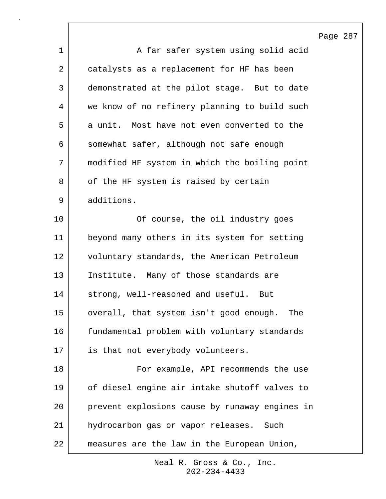Page 287 1 | A far safer system using solid acid 2 catalysts as a replacement for HF has been 3 demonstrated at the pilot stage. But to date 4 we know of no refinery planning to build such 5 a unit. Most have not even converted to the 6 somewhat safer, although not safe enough 7 modified HF system in which the boiling point 8 | of the HF system is raised by certain 9 additions. 10 Of course, the oil industry goes 11 beyond many others in its system for setting 12 voluntary standards, the American Petroleum 13 Institute. Many of those standards are 14 strong, well-reasoned and useful. But 15 overall, that system isn't good enough. The 16 | fundamental problem with voluntary standards 17 is that not everybody volunteers. 18 For example, API recommends the use 19 of diesel engine air intake shutoff valves to 20 prevent explosions cause by runaway engines in 21 hydrocarbon gas or vapor releases. Such 22 measures are the law in the European Union,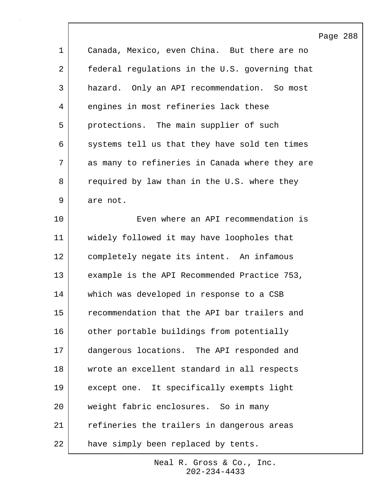|             |                                                | Page 288 |  |
|-------------|------------------------------------------------|----------|--|
| $\mathbf 1$ | Canada, Mexico, even China. But there are no   |          |  |
| 2           | federal regulations in the U.S. governing that |          |  |
| 3           | hazard. Only an API recommendation. So most    |          |  |
| 4           | engines in most refineries lack these          |          |  |
| 5           | protections. The main supplier of such         |          |  |
| 6           | systems tell us that they have sold ten times  |          |  |
| 7           | as many to refineries in Canada where they are |          |  |
| 8           | required by law than in the U.S. where they    |          |  |
| 9           | are not.                                       |          |  |
| 10          | Even where an API recommendation is            |          |  |
| 11          | widely followed it may have loopholes that     |          |  |
| 12          | completely negate its intent. An infamous      |          |  |
| 13          | example is the API Recommended Practice 753,   |          |  |
| 14          | which was developed in response to a CSB       |          |  |
| 15          | recommendation that the API bar trailers and   |          |  |
| 16          | other portable buildings from potentially      |          |  |
| 17          | dangerous locations. The API responded and     |          |  |
| 18          | wrote an excellent standard in all respects    |          |  |
| 19          | except one. It specifically exempts light      |          |  |
| 20          | weight fabric enclosures. So in many           |          |  |
| 21          | refineries the trailers in dangerous areas     |          |  |
| 22          | have simply been replaced by tents.            |          |  |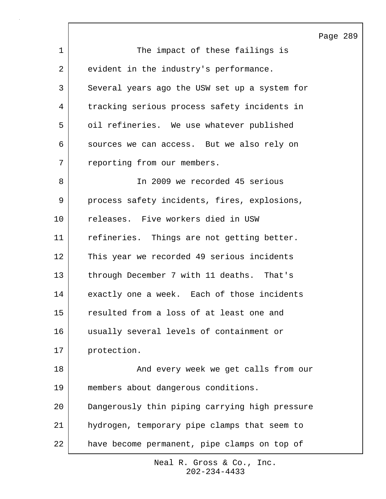Page 289 1 The impact of these failings is 2 evident in the industry's performance. 3 Several years ago the USW set up a system for 4 tracking serious process safety incidents in 5 oil refineries. We use whatever published 6 sources we can access. But we also rely on 7 reporting from our members. 8 In 2009 we recorded 45 serious 9 process safety incidents, fires, explosions, 10 releases. Five workers died in USW 11 refineries. Things are not getting better. 12 This year we recorded 49 serious incidents 13 through December 7 with 11 deaths. That's 14 exactly one a week. Each of those incidents 15 resulted from a loss of at least one and 16 usually several levels of containment or 17 protection. 18 | The Sole of the Control of the Shadevery week we get calls from our 19 members about dangerous conditions. 20 Dangerously thin piping carrying high pressure 21 hydrogen, temporary pipe clamps that seem to 22 have become permanent, pipe clamps on top of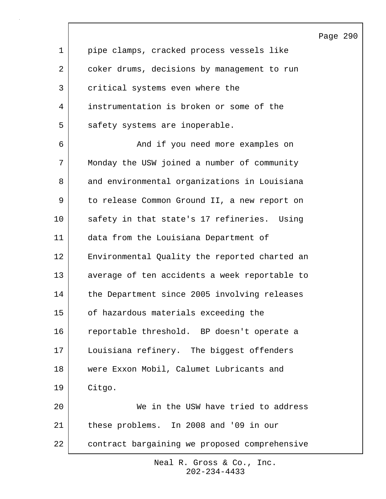|                |                                               | Page 290 |  |
|----------------|-----------------------------------------------|----------|--|
| $\mathbf{1}$   | pipe clamps, cracked process vessels like     |          |  |
| $\overline{a}$ | coker drums, decisions by management to run   |          |  |
| 3              | critical systems even where the               |          |  |
| 4              | instrumentation is broken or some of the      |          |  |
| 5              | safety systems are inoperable.                |          |  |
| 6              | And if you need more examples on              |          |  |
| 7              | Monday the USW joined a number of community   |          |  |
| 8              | and environmental organizations in Louisiana  |          |  |
| 9              | to release Common Ground II, a new report on  |          |  |
| 10             | safety in that state's 17 refineries. Using   |          |  |
| 11             | data from the Louisiana Department of         |          |  |
| 12             | Environmental Quality the reported charted an |          |  |
| 13             | average of ten accidents a week reportable to |          |  |
| 14             | the Department since 2005 involving releases  |          |  |
| 15             | of hazardous materials exceeding the          |          |  |
| 16             | reportable threshold. BP doesn't operate a    |          |  |
| 17             | Louisiana refinery. The biggest offenders     |          |  |
| 18             | were Exxon Mobil, Calumet Lubricants and      |          |  |
| 19             | Citgo.                                        |          |  |
| 20             | We in the USW have tried to address           |          |  |
| 21             | these problems. In 2008 and '09 in our        |          |  |
| 22             | contract bargaining we proposed comprehensive |          |  |

 $\Gamma$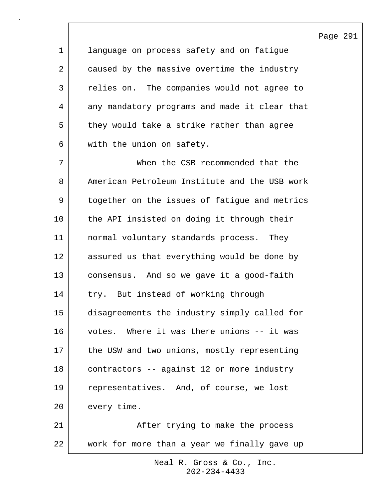1 language on process safety and on fatigue 2 caused by the massive overtime the industry 3 relies on. The companies would not agree to 4 any mandatory programs and made it clear that 5 they would take a strike rather than agree 6 with the union on safety. 7 When the CSB recommended that the 8 American Petroleum Institute and the USB work 9 together on the issues of fatigue and metrics 10 the API insisted on doing it through their 11 normal voluntary standards process. They 12 assured us that everything would be done by 13 consensus. And so we gave it a good-faith 14 try. But instead of working through 15 disagreements the industry simply called for 16 votes. Where it was there unions -- it was 17 the USW and two unions, mostly representing 18 contractors -- against 12 or more industry 19 representatives. And, of course, we lost 20 every time. 21 | After trying to make the process 22 work for more than a year we finally gave up

Page 291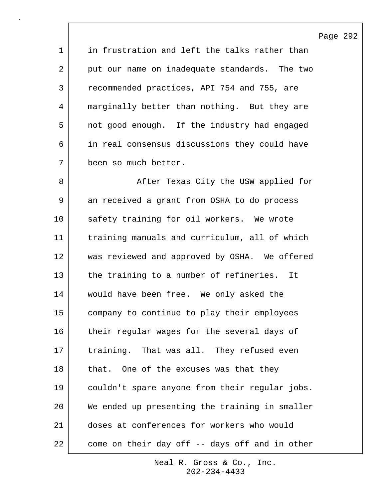Page 292

1 in frustration and left the talks rather than 2 put our name on inadequate standards. The two 3 recommended practices, API 754 and 755, are 4 marginally better than nothing. But they are 5 not good enough. If the industry had engaged 6 in real consensus discussions they could have 7 been so much better.

8 | After Texas City the USW applied for 9 an received a grant from OSHA to do process 10 safety training for oil workers. We wrote 11 training manuals and curriculum, all of which 12 was reviewed and approved by OSHA. We offered 13 the training to a number of refineries. It 14 | would have been free. We only asked the 15 company to continue to play their employees 16 their regular wages for the several days of 17 | training. That was all. They refused even 18 that. One of the excuses was that they 19 couldn't spare anyone from their regular jobs. 20 We ended up presenting the training in smaller 21 doses at conferences for workers who would 22 come on their day off -- days off and in other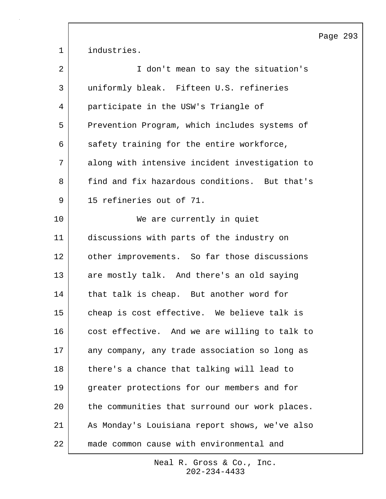Page 293 1 industries. 2 | T don't mean to say the situation's 3 uniformly bleak. Fifteen U.S. refineries 4 participate in the USW's Triangle of 5 Prevention Program, which includes systems of  $6$  safety training for the entire workforce, 7 along with intensive incident investigation to 8 find and fix hazardous conditions. But that's 9 | 15 refineries out of 71. 10 We are currently in quiet 11 discussions with parts of the industry on 12 | other improvements. So far those discussions 13 are mostly talk. And there's an old saying 14 | that talk is cheap. But another word for 15 cheap is cost effective. We believe talk is 16 cost effective. And we are willing to talk to 17 any company, any trade association so long as 18 there's a chance that talking will lead to 19 greater protections for our members and for 20 the communities that surround our work places. 21 As Monday's Louisiana report shows, we've also 22 made common cause with environmental and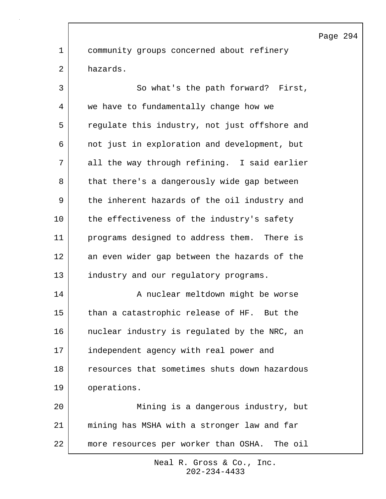1 community groups concerned about refinery 2 hazards.

3 So what's the path forward? First, 4 we have to fundamentally change how we 5 | regulate this industry, not just offshore and 6 not just in exploration and development, but 7 all the way through refining. I said earlier 8 that there's a dangerously wide gap between 9 the inherent hazards of the oil industry and 10 the effectiveness of the industry's safety 11 programs designed to address them. There is 12 an even wider gap between the hazards of the 13 industry and our regulatory programs. 14 | A nuclear meltdown might be worse 15 than a catastrophic release of HF. But the 16 | nuclear industry is regulated by the NRC, an 17 independent agency with real power and 18 resources that sometimes shuts down hazardous 19 operations. 20 Mining is a dangerous industry, but 21 mining has MSHA with a stronger law and far 22 more resources per worker than OSHA. The oil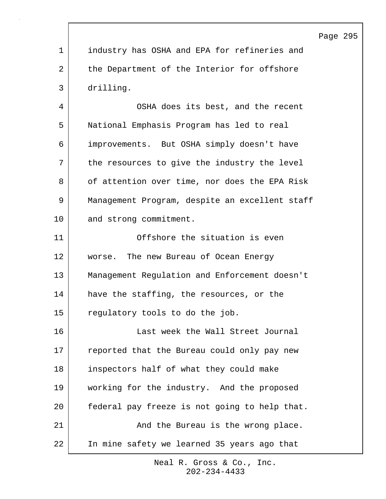|                |                                                | Page 295 |  |
|----------------|------------------------------------------------|----------|--|
| $\mathbf 1$    | industry has OSHA and EPA for refineries and   |          |  |
| $\overline{2}$ | the Department of the Interior for offshore    |          |  |
| 3              | drilling.                                      |          |  |
| 4              | OSHA does its best, and the recent             |          |  |
| 5              | National Emphasis Program has led to real      |          |  |
| 6              | improvements. But OSHA simply doesn't have     |          |  |
| 7              | the resources to give the industry the level   |          |  |
| 8              | of attention over time, nor does the EPA Risk  |          |  |
| 9              | Management Program, despite an excellent staff |          |  |
| 10             | and strong commitment.                         |          |  |
| 11             | Offshore the situation is even                 |          |  |
| 12             | worse. The new Bureau of Ocean Energy          |          |  |
| 13             | Management Regulation and Enforcement doesn't  |          |  |
| 14             | have the staffing, the resources, or the       |          |  |
| 15             | regulatory tools to do the job.                |          |  |
| 16             | Last week the Wall Street Journal              |          |  |
| 17             | reported that the Bureau could only pay new    |          |  |
| 18             | inspectors half of what they could make        |          |  |
| 19             | working for the industry. And the proposed     |          |  |
| 20             | federal pay freeze is not going to help that.  |          |  |
| 21             | And the Bureau is the wrong place.             |          |  |
| 22             | In mine safety we learned 35 years ago that    |          |  |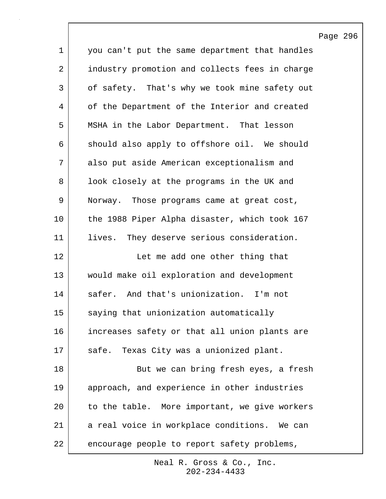|             |                                                | Page 296 |  |
|-------------|------------------------------------------------|----------|--|
| $\mathbf 1$ | you can't put the same department that handles |          |  |
| 2           | industry promotion and collects fees in charge |          |  |
| 3           | of safety. That's why we took mine safety out  |          |  |
| 4           | of the Department of the Interior and created  |          |  |
| 5           | MSHA in the Labor Department. That lesson      |          |  |
| 6           | should also apply to offshore oil. We should   |          |  |
| 7           | also put aside American exceptionalism and     |          |  |
| 8           | look closely at the programs in the UK and     |          |  |
| 9           | Norway. Those programs came at great cost,     |          |  |
| 10          | the 1988 Piper Alpha disaster, which took 167  |          |  |
| 11          | They deserve serious consideration.<br>lives.  |          |  |
| 12          | Let me add one other thing that                |          |  |
| 13          | would make oil exploration and development     |          |  |
| 14          | safer. And that's unionization. I'm not        |          |  |
| 15          | saying that unionization automatically         |          |  |
| 16          | increases safety or that all union plants are  |          |  |
| 17          | safe. Texas City was a unionized plant.        |          |  |
| 18          | But we can bring fresh eyes, a fresh           |          |  |
| 19          | approach, and experience in other industries   |          |  |
| 20          | to the table. More important, we give workers  |          |  |
| 21          | a real voice in workplace conditions. We can   |          |  |
| 22          | encourage people to report safety problems,    |          |  |

 $\mathsf{l}$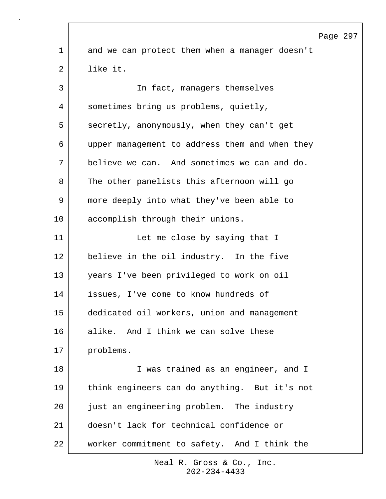|    |                                                | Page 297 |  |
|----|------------------------------------------------|----------|--|
| 1  | and we can protect them when a manager doesn't |          |  |
| 2  | like it.                                       |          |  |
| 3  | In fact, managers themselves                   |          |  |
| 4  | sometimes bring us problems, quietly,          |          |  |
| 5  | secretly, anonymously, when they can't get     |          |  |
| 6  | upper management to address them and when they |          |  |
| 7  | believe we can. And sometimes we can and do.   |          |  |
| 8  | The other panelists this afternoon will go     |          |  |
| 9  | more deeply into what they've been able to     |          |  |
| 10 | accomplish through their unions.               |          |  |
| 11 | Let me close by saying that I                  |          |  |
| 12 | believe in the oil industry. In the five       |          |  |
| 13 | years I've been privileged to work on oil      |          |  |
| 14 | issues, I've come to know hundreds of          |          |  |
| 15 | dedicated oil workers, union and management    |          |  |
| 16 | alike. And I think we can solve these          |          |  |
| 17 | problems.                                      |          |  |
| 18 | I was trained as an engineer, and I            |          |  |
| 19 | think engineers can do anything. But it's not  |          |  |
| 20 | just an engineering problem. The industry      |          |  |
| 21 | doesn't lack for technical confidence or       |          |  |
| 22 | worker commitment to safety. And I think the   |          |  |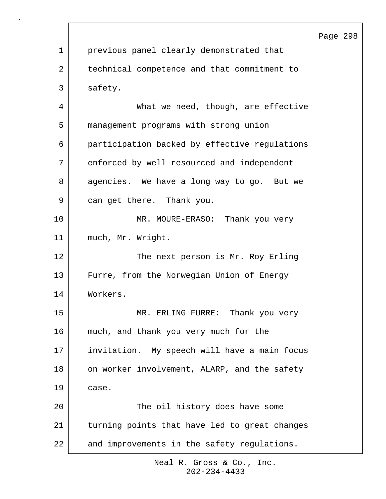|              |                                               | Page 298 |  |
|--------------|-----------------------------------------------|----------|--|
| $\mathbf{1}$ | previous panel clearly demonstrated that      |          |  |
| 2            | technical competence and that commitment to   |          |  |
| 3            | safety.                                       |          |  |
| 4            | What we need, though, are effective           |          |  |
| 5            | management programs with strong union         |          |  |
| 6            | participation backed by effective regulations |          |  |
| 7            | enforced by well resourced and independent    |          |  |
| 8            | agencies. We have a long way to go. But we    |          |  |
| 9            | can get there. Thank you.                     |          |  |
| 10           | MR. MOURE-ERASO: Thank you very               |          |  |
| 11           | much, Mr. Wright.                             |          |  |
| 12           | The next person is Mr. Roy Erling             |          |  |
| 13           | Furre, from the Norwegian Union of Energy     |          |  |
| 14           | Workers.                                      |          |  |
| 15           | Thank you very<br>MR. ERLING FURRE:           |          |  |
| 16           | much, and thank you very much for the         |          |  |
| 17           | invitation. My speech will have a main focus  |          |  |
| 18           | on worker involvement, ALARP, and the safety  |          |  |
| 19           | case.                                         |          |  |
| 20           | The oil history does have some                |          |  |
| 21           | turning points that have led to great changes |          |  |
| 22           | and improvements in the safety regulations.   |          |  |

 $\Gamma$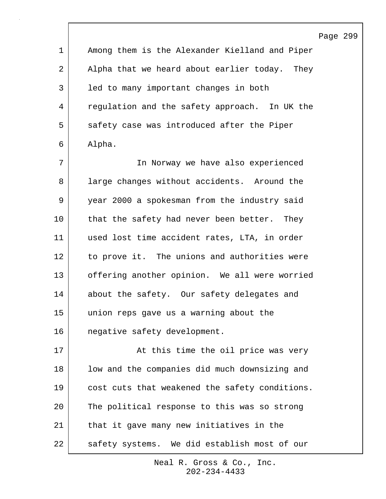Page 299

1 Among them is the Alexander Kielland and Piper 2 | Alpha that we heard about earlier today. They 3 | led to many important changes in both 4 regulation and the safety approach. In UK the 5 safety case was introduced after the Piper 6 Alpha.

7 In Norway we have also experienced 8 large changes without accidents. Around the 9 year 2000 a spokesman from the industry said 10 that the safety had never been better. They 11 used lost time accident rates, LTA, in order 12 | to prove it. The unions and authorities were 13 offering another opinion. We all were worried 14 about the safety. Our safety delegates and 15 union reps gave us a warning about the 16 | negative safety development.

17 | at this time the oil price was very 18 | low and the companies did much downsizing and 19 cost cuts that weakened the safety conditions. 20 The political response to this was so strong 21 | that it gave many new initiatives in the 22 | safety systems. We did establish most of our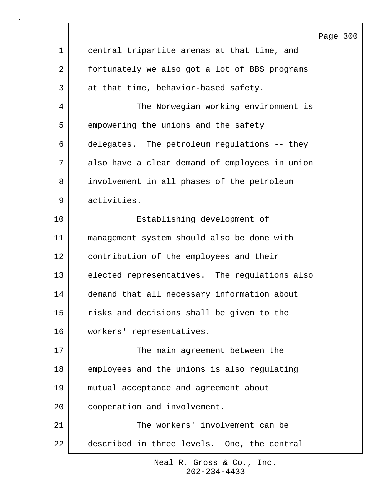|    |                                                | Page 300 |  |
|----|------------------------------------------------|----------|--|
| 1  | central tripartite arenas at that time, and    |          |  |
| 2  | fortunately we also got a lot of BBS programs  |          |  |
| 3  | at that time, behavior-based safety.           |          |  |
| 4  | The Norwegian working environment is           |          |  |
| 5  | empowering the unions and the safety           |          |  |
| 6  | delegates. The petroleum regulations -- they   |          |  |
| 7  | also have a clear demand of employees in union |          |  |
| 8  | involvement in all phases of the petroleum     |          |  |
| 9  | activities.                                    |          |  |
| 10 | Establishing development of                    |          |  |
| 11 | management system should also be done with     |          |  |
| 12 | contribution of the employees and their        |          |  |
| 13 | elected representatives. The regulations also  |          |  |
| 14 | demand that all necessary information about    |          |  |
| 15 | risks and decisions shall be given to the      |          |  |
| 16 | workers' representatives.                      |          |  |
| 17 | The main agreement between the                 |          |  |
| 18 | employees and the unions is also regulating    |          |  |
| 19 | mutual acceptance and agreement about          |          |  |
| 20 | cooperation and involvement.                   |          |  |
| 21 | The workers' involvement can be                |          |  |
| 22 | described in three levels. One, the central    |          |  |
|    |                                                |          |  |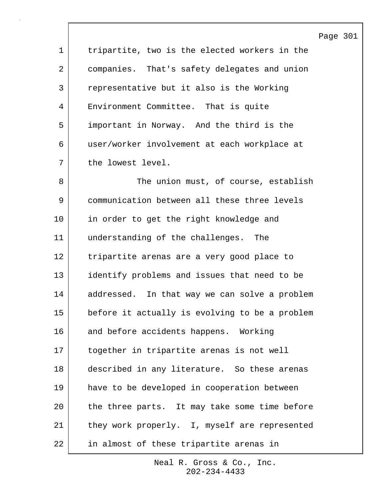Page 301

1 tripartite, two is the elected workers in the 2 companies. That's safety delegates and union 3 representative but it also is the Working 4 Environment Committee. That is quite 5 important in Norway. And the third is the 6 user/worker involvement at each workplace at 7 the lowest level.

8 The union must, of course, establish 9 communication between all these three levels 10 in order to get the right knowledge and 11 understanding of the challenges. The 12 tripartite arenas are a very good place to 13 identify problems and issues that need to be 14 addressed. In that way we can solve a problem 15 before it actually is evolving to be a problem 16 and before accidents happens. Working 17 together in tripartite arenas is not well 18 described in any literature. So these arenas 19 have to be developed in cooperation between 20 the three parts. It may take some time before 21 | they work properly. I, myself are represented 22 in almost of these tripartite arenas in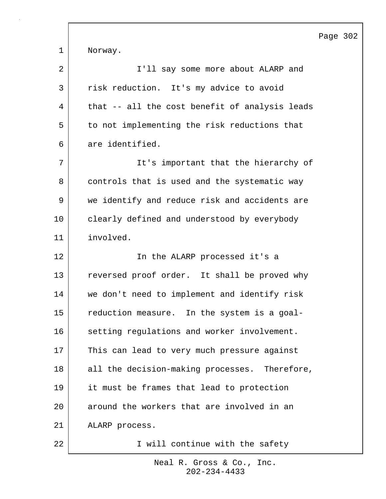|                |                                                | Page 302 |  |
|----------------|------------------------------------------------|----------|--|
| $\mathbf 1$    | Norway.                                        |          |  |
| $\overline{2}$ | I'll say some more about ALARP and             |          |  |
| 3              | risk reduction. It's my advice to avoid        |          |  |
| 4              | that -- all the cost benefit of analysis leads |          |  |
| 5              | to not implementing the risk reductions that   |          |  |
| 6              | are identified.                                |          |  |
| 7              | It's important that the hierarchy of           |          |  |
| 8              | controls that is used and the systematic way   |          |  |
| 9              | we identify and reduce risk and accidents are  |          |  |
| 10             | clearly defined and understood by everybody    |          |  |
| 11             | involved.                                      |          |  |
| 12             | In the ALARP processed it's a                  |          |  |
| 13             | reversed proof order. It shall be proved why   |          |  |
| 14             | we don't need to implement and identify risk   |          |  |
| 15             | reduction measure. In the system is a goal-    |          |  |
| 16             | setting regulations and worker involvement.    |          |  |
| 17             | This can lead to very much pressure against    |          |  |
| 18             | all the decision-making processes. Therefore,  |          |  |
| 19             | it must be frames that lead to protection      |          |  |
| 20             | around the workers that are involved in an     |          |  |
| 21             | ALARP process.                                 |          |  |
| 22             | I will continue with the safety                |          |  |

 $\sqrt{ }$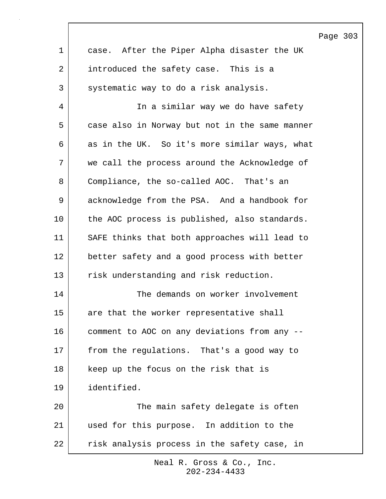|              |                                                | Page 303 |  |
|--------------|------------------------------------------------|----------|--|
| $\mathbf 1$  | case. After the Piper Alpha disaster the UK    |          |  |
| 2            | introduced the safety case. This is a          |          |  |
| $\mathsf{3}$ | systematic way to do a risk analysis.          |          |  |
| 4            | In a similar way we do have safety             |          |  |
| 5            | case also in Norway but not in the same manner |          |  |
| 6            | as in the UK. So it's more similar ways, what  |          |  |
| 7            | we call the process around the Acknowledge of  |          |  |
| 8            | Compliance, the so-called AOC. That's an       |          |  |
| 9            | acknowledge from the PSA. And a handbook for   |          |  |
| 10           | the AOC process is published, also standards.  |          |  |
| 11           | SAFE thinks that both approaches will lead to  |          |  |
| 12           | better safety and a good process with better   |          |  |
| 13           | risk understanding and risk reduction.         |          |  |
| 14           | The demands on worker involvement              |          |  |
| 15           | are that the worker representative shall       |          |  |
| 16           | comment to AOC on any deviations from any --   |          |  |
| 17           | from the regulations. That's a good way to     |          |  |
| 18           | keep up the focus on the risk that is          |          |  |
| 19           | identified.                                    |          |  |
| 20           | The main safety delegate is often              |          |  |
| 21           | used for this purpose. In addition to the      |          |  |
| 22           | risk analysis process in the safety case, in   |          |  |

 $\lceil$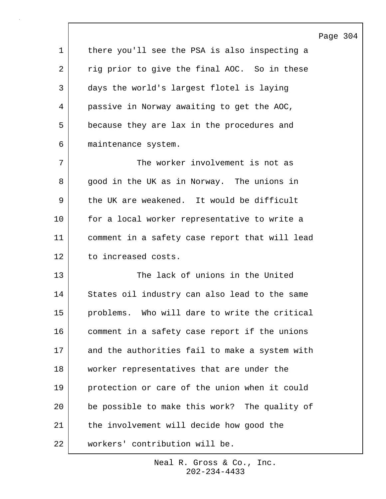|             |                                                | Page 304 |  |
|-------------|------------------------------------------------|----------|--|
| $\mathbf 1$ | there you'll see the PSA is also inspecting a  |          |  |
| 2           | rig prior to give the final AOC. So in these   |          |  |
| 3           | days the world's largest flotel is laying      |          |  |
| 4           | passive in Norway awaiting to get the AOC,     |          |  |
| 5           | because they are lax in the procedures and     |          |  |
| 6           | maintenance system.                            |          |  |
| 7           | The worker involvement is not as               |          |  |
| 8           | good in the UK as in Norway. The unions in     |          |  |
| 9           | the UK are weakened. It would be difficult     |          |  |
| 10          | for a local worker representative to write a   |          |  |
| 11          | comment in a safety case report that will lead |          |  |
| 12          | to increased costs.                            |          |  |
| 13          | The lack of unions in the United               |          |  |
| 14          | States oil industry can also lead to the same  |          |  |
| 15          | problems. Who will dare to write the critical  |          |  |
| 16          | comment in a safety case report if the unions  |          |  |
| 17          | and the authorities fail to make a system with |          |  |
| 18          | worker representatives that are under the      |          |  |
| 19          | protection or care of the union when it could  |          |  |
| 20          | be possible to make this work? The quality of  |          |  |
| 21          | the involvement will decide how good the       |          |  |
| 22          | workers' contribution will be.                 |          |  |

 $\overline{\phantom{a}}$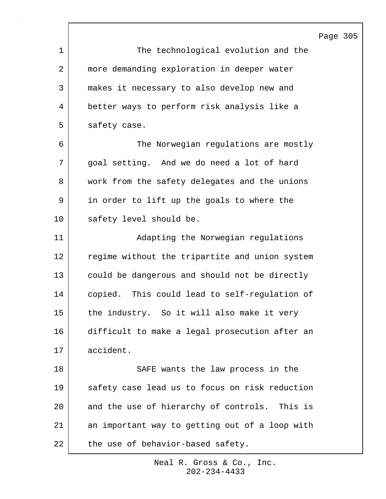Page 305

|             | F                                              |
|-------------|------------------------------------------------|
| $\mathbf 1$ | The technological evolution and the            |
| 2           | more demanding exploration in deeper water     |
| 3           | makes it necessary to also develop new and     |
| 4           | better ways to perform risk analysis like a    |
| 5           | safety case.                                   |
| 6           | The Norwegian regulations are mostly           |
| 7           | goal setting. And we do need a lot of hard     |
| 8           | work from the safety delegates and the unions  |
| 9           | in order to lift up the goals to where the     |
| 10          | safety level should be.                        |
| 11          | Adapting the Norwegian regulations             |
| 12          | regime without the tripartite and union system |
| 13          | could be dangerous and should not be directly  |
| 14          | copied. This could lead to self-regulation of  |
| 15          | the industry. So it will also make it very     |
| 16          | difficult to make a legal prosecution after an |
| 17          | accident.                                      |
| 18          | SAFE wants the law process in the              |
| 19          | safety case lead us to focus on risk reduction |
| 20          | and the use of hierarchy of controls. This is  |
| 21          | an important way to getting out of a loop with |
| 22          | the use of behavior-based safety.              |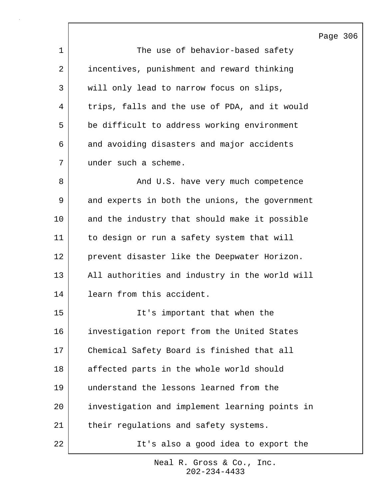Page 306 1 The use of behavior-based safety 2 incentives, punishment and reward thinking 3 | will only lead to narrow focus on slips, 4 trips, falls and the use of PDA, and it would 5 be difficult to address working environment 6 and avoiding disasters and major accidents 7 under such a scheme. 8 And U.S. have very much competence 9 and experts in both the unions, the government 10 and the industry that should make it possible 11 to design or run a safety system that will 12 prevent disaster like the Deepwater Horizon. 13 All authorities and industry in the world will 14 learn from this accident. 15 It's important that when the 16 investigation report from the United States 17 Chemical Safety Board is finished that all 18 affected parts in the whole world should 19 understand the lessons learned from the 20 investigation and implement learning points in 21 | their regulations and safety systems. 22 It's also a good idea to export the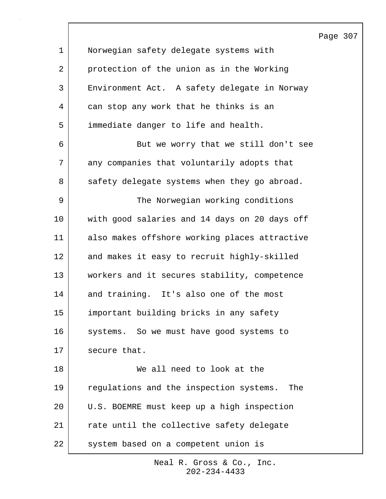Page 307 1 Norwegian safety delegate systems with 2 protection of the union as in the Working 3 Environment Act. A safety delegate in Norway 4 can stop any work that he thinks is an 5 immediate danger to life and health. 6 But we worry that we still don't see 7 any companies that voluntarily adopts that 8 safety delegate systems when they go abroad. 9 | The Norwegian working conditions 10 with good salaries and 14 days on 20 days off 11 also makes offshore working places attractive 12 and makes it easy to recruit highly-skilled 13 workers and it secures stability, competence 14 and training. It's also one of the most 15 important building bricks in any safety 16 systems. So we must have good systems to 17 secure that. 18 We all need to look at the 19 regulations and the inspection systems. The 20 U.S. BOEMRE must keep up a high inspection 21 rate until the collective safety delegate 22 | system based on a competent union is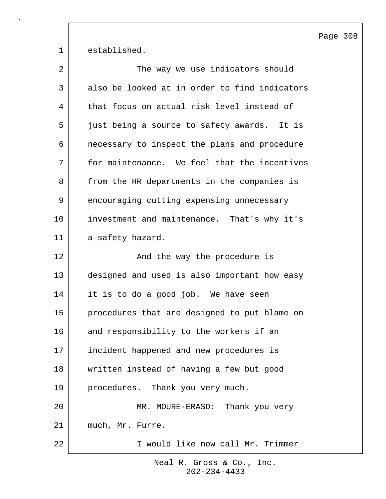Page 308

1 established.

| 2  | The way we use indicators should              |
|----|-----------------------------------------------|
| 3  | also be looked at in order to find indicators |
| 4  | that focus on actual risk level instead of    |
| 5  | just being a source to safety awards. It is   |
| 6  | necessary to inspect the plans and procedure  |
| 7  | for maintenance. We feel that the incentives  |
| 8  | from the HR departments in the companies is   |
| 9  | encouraging cutting expensing unnecessary     |
| 10 | investment and maintenance. That's why it's   |
| 11 | a safety hazard.                              |
| 12 | And the way the procedure is                  |
| 13 | designed and used is also important how easy  |
| 14 | it is to do a good job. We have seen          |
| 15 | procedures that are designed to put blame on  |
| 16 | and responsibility to the workers if an       |
| 17 | incident happened and new procedures is       |
| 18 | written instead of having a few but good      |
| 19 | procedures. Thank you very much.              |
| 20 | MR. MOURE-ERASO: Thank you very               |
| 21 | much, Mr. Furre.                              |
| 22 | I would like now call Mr. Trimmer             |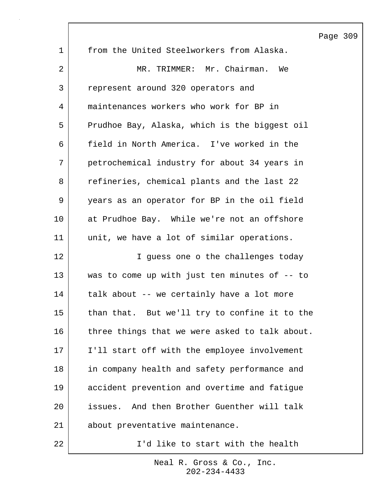Page 309 1 from the United Steelworkers from Alaska. 2 MR. TRIMMER: Mr. Chairman. We 3 represent around 320 operators and 4 maintenances workers who work for BP in 5 Prudhoe Bay, Alaska, which is the biggest oil 6 field in North America. I've worked in the 7 petrochemical industry for about 34 years in 8 refineries, chemical plants and the last 22 9 years as an operator for BP in the oil field 10 at Prudhoe Bay. While we're not an offshore 11 unit, we have a lot of similar operations. 12 | T guess one o the challenges today 13 was to come up with just ten minutes of -- to 14 | talk about -- we certainly have a lot more 15 than that. But we'll try to confine it to the 16 three things that we were asked to talk about. 17 I'll start off with the employee involvement 18 in company health and safety performance and 19 accident prevention and overtime and fatigue 20 issues. And then Brother Guenther will talk 21 about preventative maintenance. 22 | T'd like to start with the health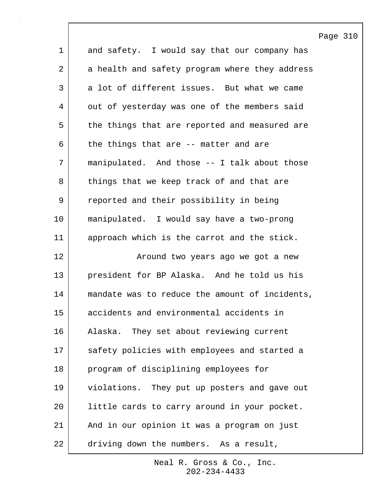|             |                                                | Page 310 |  |
|-------------|------------------------------------------------|----------|--|
| $\mathbf 1$ | and safety. I would say that our company has   |          |  |
| 2           | a health and safety program where they address |          |  |
| 3           | a lot of different issues. But what we came    |          |  |
| 4           | out of yesterday was one of the members said   |          |  |
| 5           | the things that are reported and measured are  |          |  |
| 6           | the things that are -- matter and are          |          |  |
| 7           | manipulated. And those -- I talk about those   |          |  |
| 8           | things that we keep track of and that are      |          |  |
| $\mathsf 9$ | reported and their possibility in being        |          |  |
| 10          | manipulated. I would say have a two-prong      |          |  |
| 11          | approach which is the carrot and the stick.    |          |  |
| 12          | Around two years ago we got a new              |          |  |
| 13          | president for BP Alaska. And he told us his    |          |  |
| 14          | mandate was to reduce the amount of incidents, |          |  |
| 15          | accidents and environmental accidents in       |          |  |
| 16          | Alaska. They set about reviewing current       |          |  |
| 17          | safety policies with employees and started a   |          |  |
| 18          | program of disciplining employees for          |          |  |
| 19          | violations. They put up posters and gave out   |          |  |
| 20          | little cards to carry around in your pocket.   |          |  |
| 21          | And in our opinion it was a program on just    |          |  |
| 22          | driving down the numbers. As a result,         |          |  |

 $\mathsf{l}$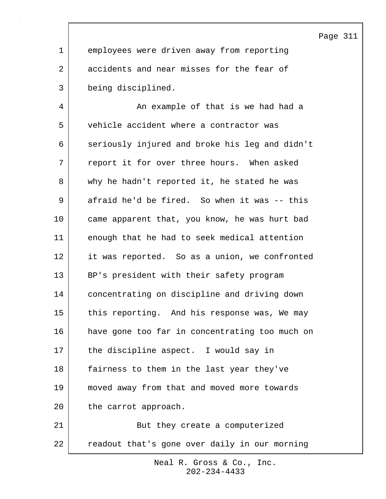Page 311

1 employees were driven away from reporting 2 accidents and near misses for the fear of 3 being disciplined.

4 An example of that is we had had a 5 vehicle accident where a contractor was 6 seriously injured and broke his leg and didn't 7 report it for over three hours. When asked 8 why he hadn't reported it, he stated he was 9 afraid he'd be fired. So when it was -- this 10 came apparent that, you know, he was hurt bad 11 enough that he had to seek medical attention 12 it was reported. So as a union, we confronted 13 BP's president with their safety program 14 concentrating on discipline and driving down 15 this reporting. And his response was, We may 16 have gone too far in concentrating too much on 17 the discipline aspect. I would say in 18 fairness to them in the last year they've 19 moved away from that and moved more towards 20 the carrot approach. 21 | But they create a computerized

> 202-234-4433 Neal R. Gross & Co., Inc.

22 readout that's gone over daily in our morning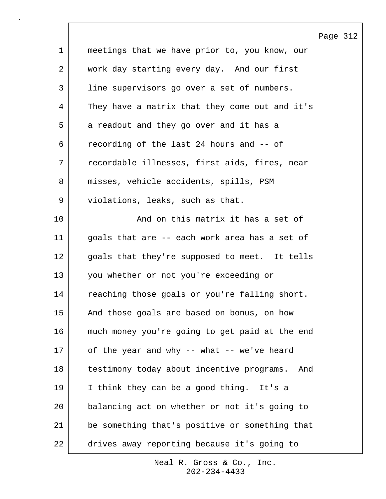|             |                                                  | Page 312 |  |
|-------------|--------------------------------------------------|----------|--|
| $\mathbf 1$ | meetings that we have prior to, you know, our    |          |  |
| 2           | work day starting every day. And our first       |          |  |
| 3           | line supervisors go over a set of numbers.       |          |  |
| 4           | They have a matrix that they come out and it's   |          |  |
| 5           | a readout and they go over and it has a          |          |  |
| 6           | recording of the last 24 hours and -- of         |          |  |
| 7           | recordable illnesses, first aids, fires, near    |          |  |
| 8           | misses, vehicle accidents, spills, PSM           |          |  |
| 9           | violations, leaks, such as that.                 |          |  |
| 10          | And on this matrix it has a set of               |          |  |
| 11          | goals that are -- each work area has a set of    |          |  |
| 12          | goals that they're supposed to meet. It tells    |          |  |
| 13          | you whether or not you're exceeding or           |          |  |
| 14          | reaching those goals or you're falling short.    |          |  |
| 15          | And those goals are based on bonus, on how       |          |  |
| 16          | much money you're going to get paid at the end   |          |  |
| 17          | of the year and why -- what -- we've heard       |          |  |
| 18          | testimony today about incentive programs.<br>And |          |  |
| 19          | I think they can be a good thing. It's a         |          |  |
| 20          | balancing act on whether or not it's going to    |          |  |
| 21          | be something that's positive or something that   |          |  |
| $2\sqrt{2}$ | drives away reporting because it's going to      |          |  |

 $\mathsf{l}$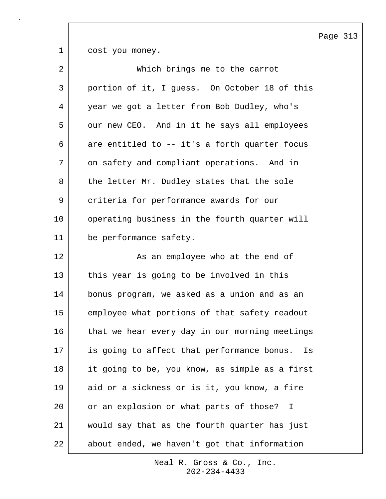1 cost you money.

| $\overline{2}$ | Which brings me to the carrot                    |
|----------------|--------------------------------------------------|
| 3              | portion of it, I guess. On October 18 of this    |
| 4              | year we got a letter from Bob Dudley, who's      |
| 5              | our new CEO. And in it he says all employees     |
| 6              | are entitled to -- it's a forth quarter focus    |
| 7              | on safety and compliant operations. And in       |
| 8              | the letter Mr. Dudley states that the sole       |
| 9              | criteria for performance awards for our          |
| 10             | operating business in the fourth quarter will    |
| 11             | be performance safety.                           |
| 12             | As an employee who at the end of                 |
| 13             | this year is going to be involved in this        |
| 14             | bonus program, we asked as a union and as an     |
| 15             | employee what portions of that safety readout    |
| 16             | that we hear every day in our morning meetings   |
| 17             | is going to affect that performance bonus.<br>Is |
| 18             | it going to be, you know, as simple as a first   |
| 19             | aid or a sickness or is it, you know, a fire     |
| 20             | or an explosion or what parts of those?<br>I     |
| 21             | would say that as the fourth quarter has just    |
| 22             | about ended, we haven't got that information     |

202-234-4433 Neal R. Gross & Co., Inc. Page 313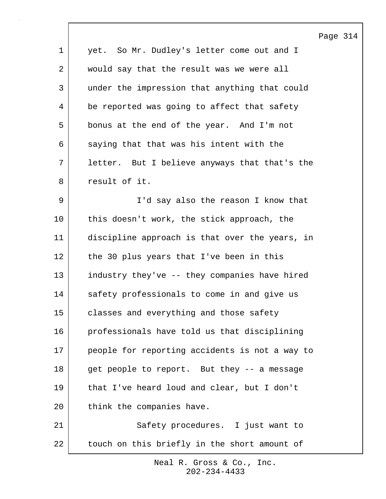|                |                                                | Page 314 |  |
|----------------|------------------------------------------------|----------|--|
| $\mathbf 1$    | yet. So Mr. Dudley's letter come out and I     |          |  |
| $\overline{a}$ | would say that the result was we were all      |          |  |
| 3              | under the impression that anything that could  |          |  |
| 4              | be reported was going to affect that safety    |          |  |
| 5              | bonus at the end of the year. And I'm not      |          |  |
| 6              | saying that that was his intent with the       |          |  |
| 7              | letter. But I believe anyways that that's the  |          |  |
| 8              | result of it.                                  |          |  |
| 9              | I'd say also the reason I know that            |          |  |
| 10             | this doesn't work, the stick approach, the     |          |  |
| 11             | discipline approach is that over the years, in |          |  |
| 12             | the 30 plus years that I've been in this       |          |  |
| 13             | industry they've -- they companies have hired  |          |  |
| 14             | safety professionals to come in and give us    |          |  |
| 15             | classes and everything and those safety        |          |  |
| 16             | professionals have told us that disciplining   |          |  |
| 17             | people for reporting accidents is not a way to |          |  |
| 18             | get people to report. But they -- a message    |          |  |
| 19             | that I've heard loud and clear, but I don't    |          |  |
| 20             | think the companies have.                      |          |  |
| 21             | Safety procedures. I just want to              |          |  |
| 22             | touch on this briefly in the short amount of   |          |  |

 $\sqrt{ }$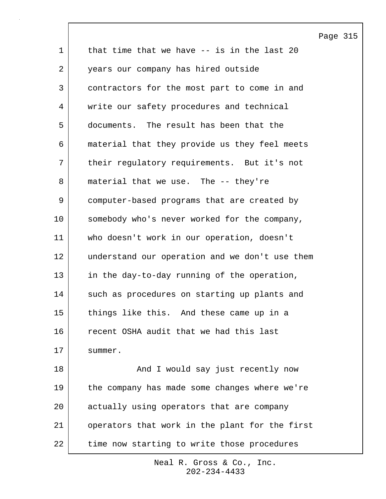Page 315 1 | that time that we have -- is in the last 20 2 years our company has hired outside 3 contractors for the most part to come in and 4 | write our safety procedures and technical 5 documents. The result has been that the 6 material that they provide us they feel meets 7 | their regulatory requirements. But it's not 8 material that we use. The -- they're 9 computer-based programs that are created by 10 somebody who's never worked for the company, 11 who doesn't work in our operation, doesn't 12 understand our operation and we don't use them 13 in the day-to-day running of the operation, 14 such as procedures on starting up plants and 15 things like this. And these came up in a 16 recent OSHA audit that we had this last 17 Summer. 18 | The Sound I would say just recently now 19 the company has made some changes where we're 20 actually using operators that are company 21 operators that work in the plant for the first 22 time now starting to write those procedures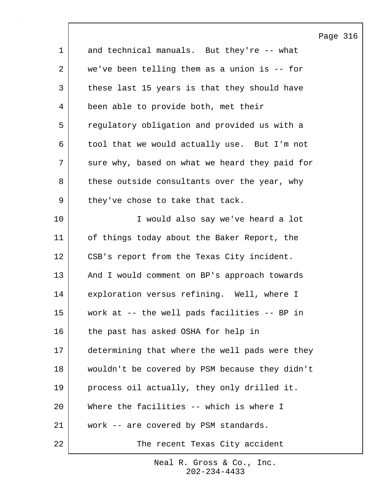|                |                                                | Page |
|----------------|------------------------------------------------|------|
| $\mathbf 1$    | and technical manuals. But they're -- what     |      |
| $\overline{a}$ | we've been telling them as a union is -- for   |      |
| 3              | these last 15 years is that they should have   |      |
| 4              | been able to provide both, met their           |      |
| 5              | regulatory obligation and provided us with a   |      |
| 6              | tool that we would actually use. But I'm not   |      |
| 7              | sure why, based on what we heard they paid for |      |
| 8              | these outside consultants over the year, why   |      |
| $\mathsf 9$    | they've chose to take that tack.               |      |
| 10             | I would also say we've heard a lot             |      |
| 11             | of things today about the Baker Report, the    |      |
| 12             | CSB's report from the Texas City incident.     |      |
| 13             | And I would comment on BP's approach towards   |      |
| 14             | exploration versus refining. Well, where I     |      |
| 15             | work at $-$ the well pads facilities $-$ BP in |      |
| 16             | the past has asked OSHA for help in            |      |
| 17             | determining that where the well pads were they |      |
| 18             | wouldn't be covered by PSM because they didn't |      |
| 19             | process oil actually, they only drilled it.    |      |
| 20             | Where the facilities -- which is where I       |      |
| 21             | work -- are covered by PSM standards.          |      |
| 22             | The recent Texas City accident                 |      |

 $\mathsf{l}$ 

316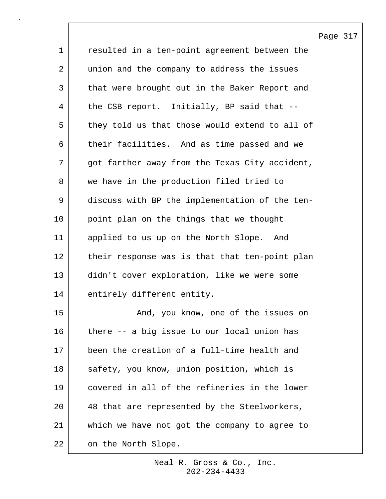|             |                                                | Page 317 |  |
|-------------|------------------------------------------------|----------|--|
| $\mathbf 1$ | resulted in a ten-point agreement between the  |          |  |
| 2           | union and the company to address the issues    |          |  |
| 3           | that were brought out in the Baker Report and  |          |  |
| 4           | the CSB report. Initially, BP said that --     |          |  |
| 5           | they told us that those would extend to all of |          |  |
| 6           | their facilities. And as time passed and we    |          |  |
| 7           | got farther away from the Texas City accident, |          |  |
| 8           | we have in the production filed tried to       |          |  |
| $\mathsf 9$ | discuss with BP the implementation of the ten- |          |  |
| 10          | point plan on the things that we thought       |          |  |
| 11          | applied to us up on the North Slope. And       |          |  |
| 12          | their response was is that that ten-point plan |          |  |
| 13          | didn't cover exploration, like we were some    |          |  |
| 14          | entirely different entity.                     |          |  |
| 15          | And, you know, one of the issues on            |          |  |
| 16          | there -- a big issue to our local union has    |          |  |
| 17          | been the creation of a full-time health and    |          |  |
| 18          | safety, you know, union position, which is     |          |  |
| 19          | covered in all of the refineries in the lower  |          |  |
| 20          | 48 that are represented by the Steelworkers,   |          |  |
| 21          | which we have not got the company to agree to  |          |  |
| 22          | on the North Slope.                            |          |  |

 $\overline{\phantom{a}}$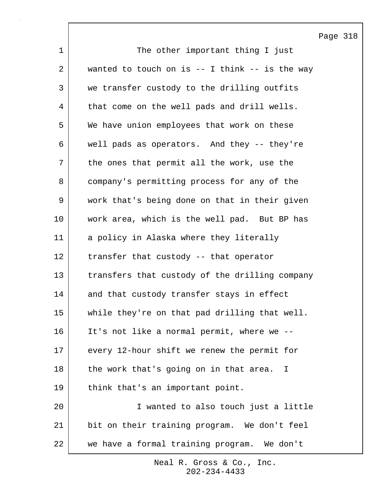Page 318 1 The other important thing I just  $2$  wanted to touch on is  $-1$  think  $-1$  is the way 3 we transfer custody to the drilling outfits 4 | that come on the well pads and drill wells. 5 We have union employees that work on these 6 well pads as operators. And they -- they're 7 | the ones that permit all the work, use the 8 company's permitting process for any of the 9 work that's being done on that in their given 10 work area, which is the well pad. But BP has 11 a policy in Alaska where they literally 12 transfer that custody -- that operator 13 transfers that custody of the drilling company 14 and that custody transfer stays in effect 15 while they're on that pad drilling that well. 16 It's not like a normal permit, where we -- 17 every 12-hour shift we renew the permit for 18 the work that's going on in that area. I 19 | think that's an important point. 20 I wanted to also touch just a little 21 bit on their training program. We don't feel 22 we have a formal training program. We don't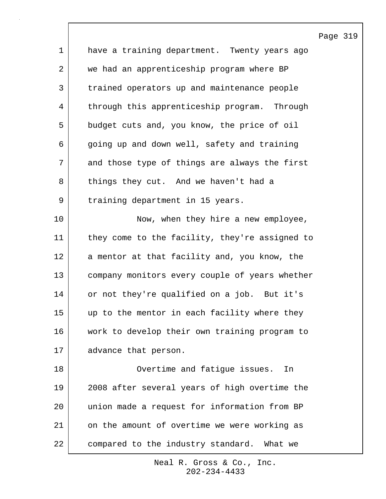|             |                                                | Page 319 |  |
|-------------|------------------------------------------------|----------|--|
| $\mathbf 1$ | have a training department. Twenty years ago   |          |  |
| 2           | we had an apprenticeship program where BP      |          |  |
| 3           | trained operators up and maintenance people    |          |  |
| 4           | through this apprenticeship program. Through   |          |  |
| 5           | budget cuts and, you know, the price of oil    |          |  |
| 6           | going up and down well, safety and training    |          |  |
| 7           | and those type of things are always the first  |          |  |
| 8           | things they cut. And we haven't had a          |          |  |
| $\mathsf 9$ | training department in 15 years.               |          |  |
| 10          | Now, when they hire a new employee,            |          |  |
| 11          | they come to the facility, they're assigned to |          |  |
| 12          | a mentor at that facility and, you know, the   |          |  |
| 13          | company monitors every couple of years whether |          |  |
| 14          | or not they're qualified on a job. But it's    |          |  |
| 15          | up to the mentor in each facility where they   |          |  |
| 16          | work to develop their own training program to  |          |  |
| 17          | advance that person.                           |          |  |
| 18          | Overtime and fatigue issues.<br>In             |          |  |
| 19          | 2008 after several years of high overtime the  |          |  |
| 20          | union made a request for information from BP   |          |  |
| 21          | on the amount of overtime we were working as   |          |  |
| 22          | compared to the industry standard. What we     |          |  |

 $\mathsf{l}$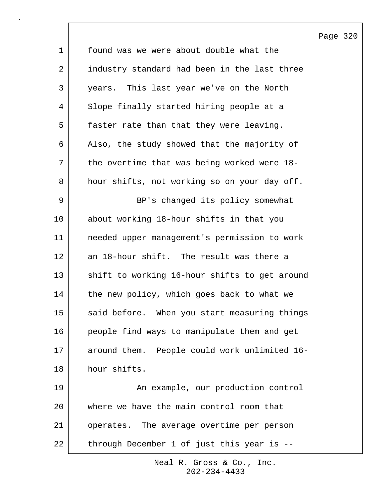|             |                                               | Page 320 |  |
|-------------|-----------------------------------------------|----------|--|
| $\mathbf 1$ | found was we were about double what the       |          |  |
| 2           | industry standard had been in the last three  |          |  |
| 3           | years. This last year we've on the North      |          |  |
| 4           | Slope finally started hiring people at a      |          |  |
| 5           | faster rate than that they were leaving.      |          |  |
| 6           | Also, the study showed that the majority of   |          |  |
| 7           | the overtime that was being worked were 18-   |          |  |
| 8           | hour shifts, not working so on your day off.  |          |  |
| 9           | BP's changed its policy somewhat              |          |  |
| 10          | about working 18-hour shifts in that you      |          |  |
| 11          | needed upper management's permission to work  |          |  |
| 12          | an 18-hour shift. The result was there a      |          |  |
| 13          | shift to working 16-hour shifts to get around |          |  |
| 14          | the new policy, which goes back to what we    |          |  |
| 15          | said before. When you start measuring things  |          |  |
| 16          | people find ways to manipulate them and get   |          |  |
| 17          | around them. People could work unlimited 16-  |          |  |
| 18          | hour shifts.                                  |          |  |
| 19          | An example, our production control            |          |  |
| 20          | where we have the main control room that      |          |  |
| 21          | operates. The average overtime per person     |          |  |
| 22          | through December 1 of just this year is --    |          |  |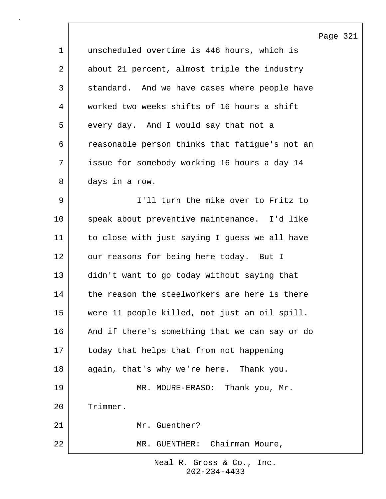Page 321 1 unscheduled overtime is 446 hours, which is 2 about 21 percent, almost triple the industry 3 standard. And we have cases where people have 4 worked two weeks shifts of 16 hours a shift 5 every day. And I would say that not a 6 reasonable person thinks that fatigue's not an 7 issue for somebody working 16 hours a day 14 8 days in a row. 9 I'll turn the mike over to Fritz to 10 speak about preventive maintenance. I'd like 11 to close with just saying I guess we all have 12 our reasons for being here today. But I 13 didn't want to go today without saying that 14 the reason the steelworkers are here is there 15 were 11 people killed, not just an oil spill. 16 And if there's something that we can say or do 17 today that helps that from not happening 18 again, that's why we're here. Thank you. 19 MR. MOURE-ERASO: Thank you, Mr. 20 Trimmer. 21 Mr. Guenther? 22 MR. GUENTHER: Chairman Moure,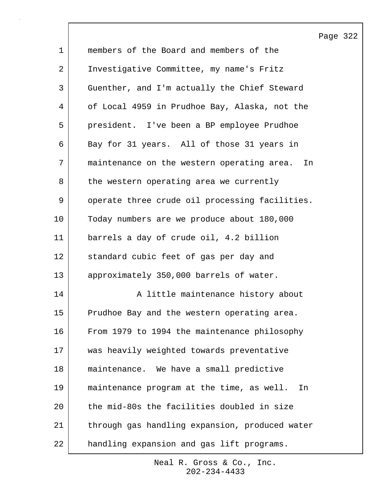|             |                                                 | Page 322 |  |
|-------------|-------------------------------------------------|----------|--|
| $\mathbf 1$ | members of the Board and members of the         |          |  |
| 2           | Investigative Committee, my name's Fritz        |          |  |
| 3           | Guenther, and I'm actually the Chief Steward    |          |  |
| 4           | of Local 4959 in Prudhoe Bay, Alaska, not the   |          |  |
| 5           | president. I've been a BP employee Prudhoe      |          |  |
| 6           | Bay for 31 years. All of those 31 years in      |          |  |
| 7           | maintenance on the western operating area. In   |          |  |
| 8           | the western operating area we currently         |          |  |
| 9           | operate three crude oil processing facilities.  |          |  |
| 10          | Today numbers are we produce about 180,000      |          |  |
| 11          | barrels a day of crude oil, 4.2 billion         |          |  |
| 12          | standard cubic feet of gas per day and          |          |  |
| 13          | approximately 350,000 barrels of water.         |          |  |
| 14          | A little maintenance history about              |          |  |
| 15          | Prudhoe Bay and the western operating area      |          |  |
| 16          | From 1979 to 1994 the maintenance philosophy    |          |  |
| 17          | was heavily weighted towards preventative       |          |  |
| 18          | maintenance. We have a small predictive         |          |  |
| 19          | maintenance program at the time, as well.<br>In |          |  |
| 20          | the mid-80s the facilities doubled in size      |          |  |
| 21          | through gas handling expansion, produced water  |          |  |
| 22          | handling expansion and gas lift programs.       |          |  |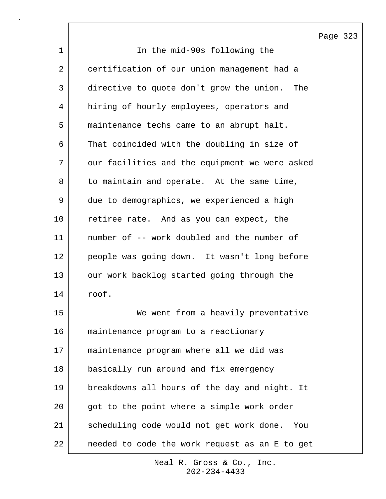1 I che mid-90s following the 2 certification of our union management had a 3 directive to quote don't grow the union. The 4 hiring of hourly employees, operators and 5 maintenance techs came to an abrupt halt. 6 That coincided with the doubling in size of 7 our facilities and the equipment we were asked 8 to maintain and operate. At the same time, 9 due to demographics, we experienced a high 10 | retiree rate. And as you can expect, the 11 number of -- work doubled and the number of 12 people was going down. It wasn't long before 13 our work backlog started going through the 14 roof. 15 We went from a heavily preventative 16 maintenance program to a reactionary 17 maintenance program where all we did was 18 basically run around and fix emergency 19 breakdowns all hours of the day and night. It 20 got to the point where a simple work order 21 scheduling code would not get work done. You 22 needed to code the work request as an E to get

> 202-234-4433 Neal R. Gross & Co., Inc.

Page 323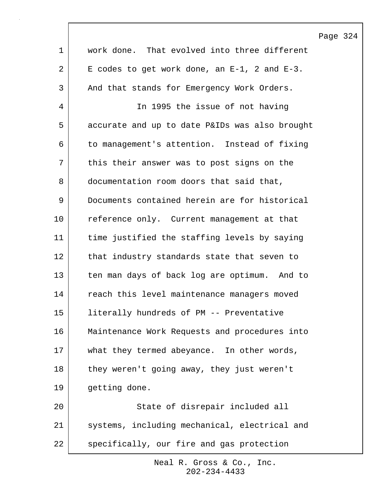|                 |                                                    | Page 324 |  |
|-----------------|----------------------------------------------------|----------|--|
| $\mathbf{1}$    | work done. That evolved into three different       |          |  |
| $\overline{a}$  | E codes to get work done, an $E-1$ , 2 and $E-3$ . |          |  |
| $\mathsf{3}$    | And that stands for Emergency Work Orders.         |          |  |
| 4               | In 1995 the issue of not having                    |          |  |
| 5               | accurate and up to date P&IDs was also brought     |          |  |
| 6               | to management's attention. Instead of fixing       |          |  |
| 7               | this their answer was to post signs on the         |          |  |
| 8               | documentation room doors that said that,           |          |  |
| 9               | Documents contained herein are for historical      |          |  |
| 10              | reference only. Current management at that         |          |  |
| 11              | time justified the staffing levels by saying       |          |  |
| 12              | that industry standards state that seven to        |          |  |
| 13              | ten man days of back log are optimum. And to       |          |  |
| 14              | reach this level maintenance managers moved        |          |  |
| 15 <sub>1</sub> | literally hundreds of PM -- Preventative           |          |  |
| 16              | Maintenance Work Requests and procedures into      |          |  |
| 17              | what they termed abeyance. In other words,         |          |  |
| $18\,$          | they weren't going away, they just weren't         |          |  |
| 19              | getting done.                                      |          |  |
| 20              | State of disrepair included all                    |          |  |
| 21              | systems, including mechanical, electrical and      |          |  |
| 22              | specifically, our fire and gas protection          |          |  |

 $\mathsf{l}$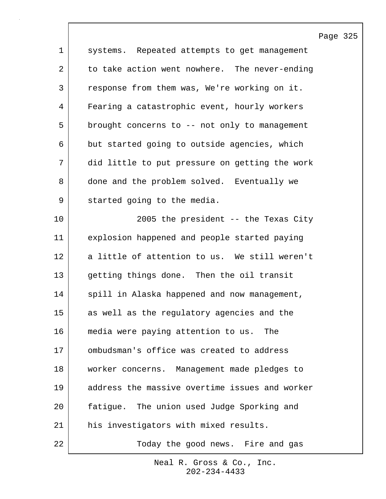|                |                                                | Page 325 |  |
|----------------|------------------------------------------------|----------|--|
| $\mathbf{1}$   | systems. Repeated attempts to get management   |          |  |
| $\overline{2}$ | to take action went nowhere. The never-ending  |          |  |
| $\mathsf{3}$   | response from them was, We're working on it.   |          |  |
| 4              | Fearing a catastrophic event, hourly workers   |          |  |
| 5              | brought concerns to -- not only to management  |          |  |
| 6              | but started going to outside agencies, which   |          |  |
| 7              | did little to put pressure on getting the work |          |  |
| 8              | done and the problem solved. Eventually we     |          |  |
| 9              | started going to the media.                    |          |  |
| 10             | 2005 the president -- the Texas City           |          |  |
| 11             | explosion happened and people started paying   |          |  |
| 12             | a little of attention to us. We still weren't  |          |  |
| 13             | getting things done. Then the oil transit      |          |  |
| 14             | spill in Alaska happened and now management,   |          |  |
| 15             | as well as the regulatory agencies and the     |          |  |
| 16             | media were paying attention to us. The         |          |  |
| 17             | ombudsman's office was created to address      |          |  |
| 18             | worker concerns. Management made pledges to    |          |  |
| 19             | address the massive overtime issues and worker |          |  |
| 20             | fatigue. The union used Judge Sporking and     |          |  |
| 21             | his investigators with mixed results.          |          |  |
| 22             | Today the good news. Fire and gas              |          |  |

 $\sqrt{ }$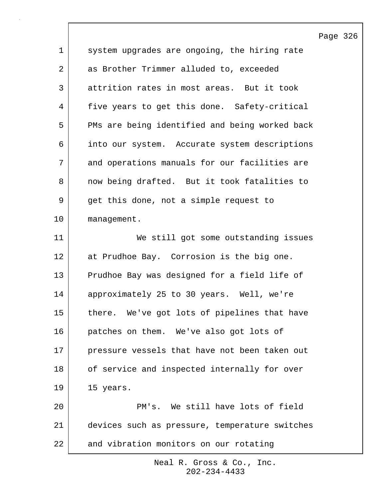|             |                                                | Page 326 |  |
|-------------|------------------------------------------------|----------|--|
| $\mathbf 1$ | system upgrades are ongoing, the hiring rate   |          |  |
| 2           | as Brother Trimmer alluded to, exceeded        |          |  |
| 3           | attrition rates in most areas. But it took     |          |  |
| 4           | five years to get this done. Safety-critical   |          |  |
| 5           | PMs are being identified and being worked back |          |  |
| 6           | into our system. Accurate system descriptions  |          |  |
| 7           | and operations manuals for our facilities are  |          |  |
| 8           | now being drafted. But it took fatalities to   |          |  |
| 9           | get this done, not a simple request to         |          |  |
| 10          | management.                                    |          |  |
| 11          | We still got some outstanding issues           |          |  |
| 12          | at Prudhoe Bay. Corrosion is the big one.      |          |  |
| 13          | Prudhoe Bay was designed for a field life of   |          |  |
| 14          | approximately 25 to 30 years. Well, we're      |          |  |
| 15          | there. We've got lots of pipelines that have   |          |  |
| 16          | patches on them. We've also got lots of        |          |  |
| 17          | pressure vessels that have not been taken out  |          |  |
| 18          | of service and inspected internally for over   |          |  |
| 19          | 15 years.                                      |          |  |
| 20          | PM's. We still have lots of field              |          |  |
| 21          | devices such as pressure, temperature switches |          |  |
| 22          | and vibration monitors on our rotating         |          |  |

 $\lceil$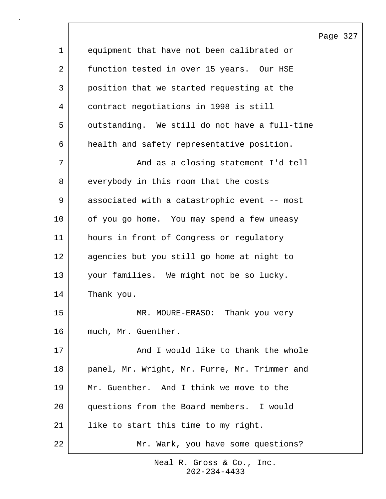Page 327 1 equipment that have not been calibrated or 2 | function tested in over 15 years. Our HSE 3 position that we started requesting at the 4 contract negotiations in 1998 is still 5 | outstanding. We still do not have a full-time 6 health and safety representative position. 7 | And as a closing statement I'd tell 8 everybody in this room that the costs 9 associated with a catastrophic event -- most 10 of you go home. You may spend a few uneasy 11 hours in front of Congress or regulatory 12 agencies but you still go home at night to 13 your families. We might not be so lucky. 14 Thank you. 15 MR. MOURE-ERASO: Thank you very 16 much, Mr. Guenther. 17 | And I would like to thank the whole 18 | panel, Mr. Wright, Mr. Furre, Mr. Trimmer and 19 Mr. Guenther. And I think we move to the 20 questions from the Board members. I would 21 | like to start this time to my right. 22 | Mr. Wark, you have some questions?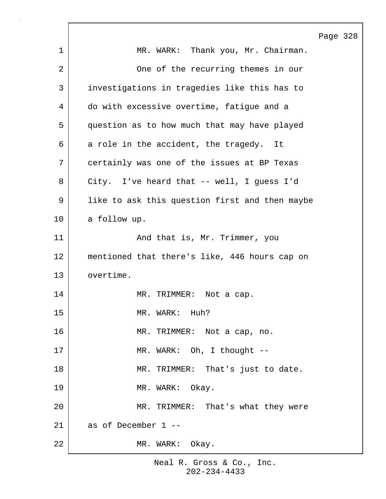|             | Page 328                                       |
|-------------|------------------------------------------------|
| $\mathbf 1$ | MR. WARK: Thank you, Mr. Chairman.             |
| 2           | One of the recurring themes in our             |
| 3           | investigations in tragedies like this has to   |
| 4           | do with excessive overtime, fatigue and a      |
| 5           | question as to how much that may have played   |
| 6           | a role in the accident, the tragedy. It        |
| 7           | certainly was one of the issues at BP Texas    |
| 8           | City. I've heard that -- well, I guess I'd     |
| 9           | like to ask this question first and then maybe |
| 10          | a follow up.                                   |
| 11          | And that is, Mr. Trimmer, you                  |
| 12          | mentioned that there's like, 446 hours cap on  |
| 13          | overtime.                                      |
| 14          | MR. TRIMMER: Not a cap.                        |
| 15          | MR. WARK: Huh?                                 |
| 16          | MR. TRIMMER: Not a cap, no.                    |
| 17          | MR. WARK: Oh, I thought --                     |
| 18          | MR. TRIMMER: That's just to date.              |
| 19          | MR. WARK: Okay.                                |
| 20          | MR. TRIMMER: That's what they were             |
| 21          | as of December 1 --                            |
| 22          | MR. WARK: Okay.                                |

 $\Gamma$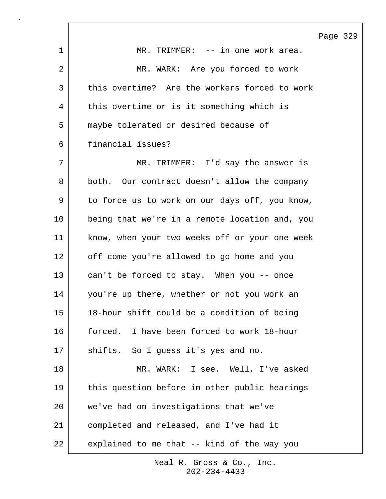|    |                                                | Page 329 |  |
|----|------------------------------------------------|----------|--|
| 1  | MR. TRIMMER: -- in one work area.              |          |  |
| 2  | MR. WARK: Are you forced to work               |          |  |
| 3  | this overtime? Are the workers forced to work  |          |  |
| 4  | this overtime or is it something which is      |          |  |
| 5  | maybe tolerated or desired because of          |          |  |
| 6  | financial issues?                              |          |  |
| 7  | MR. TRIMMER: I'd say the answer is             |          |  |
| 8  | both. Our contract doesn't allow the company   |          |  |
| 9  | to force us to work on our days off, you know, |          |  |
| 10 | being that we're in a remote location and, you |          |  |
| 11 | know, when your two weeks off or your one week |          |  |
| 12 | off come you're allowed to go home and you     |          |  |
| 13 | can't be forced to stay. When you -- once      |          |  |
| 14 | you're up there, whether or not you work an    |          |  |
| 15 | 18-hour shift could be a condition of being    |          |  |
| 16 | forced. I have been forced to work 18-hour     |          |  |
| 17 | shifts. So I guess it's yes and no.            |          |  |
| 18 | MR. WARK: I see. Well, I've asked              |          |  |
| 19 | this question before in other public hearings  |          |  |
| 20 | we've had on investigations that we've         |          |  |
| 21 | completed and released, and I've had it        |          |  |
| 22 | explained to me that -- kind of the way you    |          |  |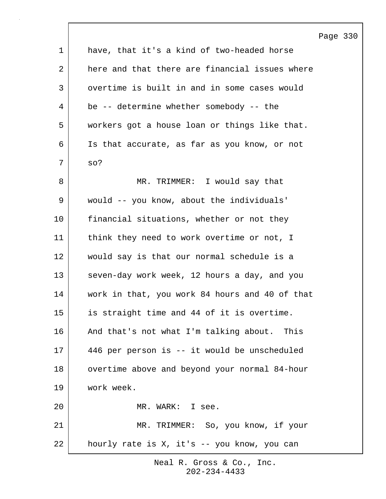|             |                                                | Page 330 |  |
|-------------|------------------------------------------------|----------|--|
| $\mathbf 1$ | have, that it's a kind of two-headed horse     |          |  |
| 2           | here and that there are financial issues where |          |  |
| 3           | overtime is built in and in some cases would   |          |  |
| 4           | be -- determine whether somebody -- the        |          |  |
| 5           | workers got a house loan or things like that.  |          |  |
| 6           | Is that accurate, as far as you know, or not   |          |  |
| 7           | $SO$ ?                                         |          |  |
| 8           | MR. TRIMMER: I would say that                  |          |  |
| 9           | would -- you know, about the individuals'      |          |  |
| $10 \,$     | financial situations, whether or not they      |          |  |
| 11          | think they need to work overtime or not, I     |          |  |
| 12          | would say is that our normal schedule is a     |          |  |
| 13          | seven-day work week, 12 hours a day, and you   |          |  |
| 14          | work in that, you work 84 hours and 40 of that |          |  |
| 15          | is straight time and 44 of it is overtime.     |          |  |
| 16          | And that's not what I'm talking about. This    |          |  |
| 17          | 446 per person is -- it would be unscheduled   |          |  |
| 18          | overtime above and beyond your normal 84-hour  |          |  |
| 19          | work week.                                     |          |  |
| 20          | MR. WARK: I see.                               |          |  |
| 21          | MR. TRIMMER: So, you know, if your             |          |  |
| 22          | hourly rate is X, it's -- you know, you can    |          |  |

 $\lceil$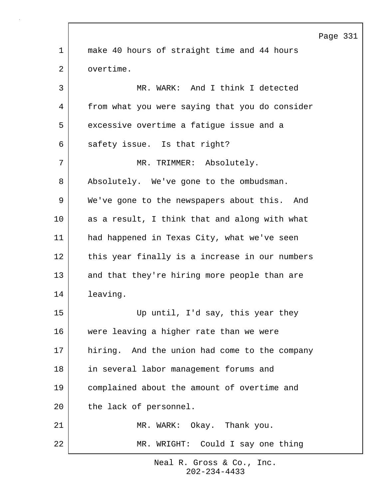|                |                                                | Page 331 |  |
|----------------|------------------------------------------------|----------|--|
| $\mathbf{1}$   | make 40 hours of straight time and 44 hours    |          |  |
| $\overline{a}$ | overtime.                                      |          |  |
| 3              | MR. WARK: And I think I detected               |          |  |
| 4              | from what you were saying that you do consider |          |  |
| 5              | excessive overtime a fatigue issue and a       |          |  |
| 6              | safety issue. Is that right?                   |          |  |
| 7              | MR. TRIMMER: Absolutely.                       |          |  |
| 8              | Absolutely. We've gone to the ombudsman.       |          |  |
| 9              | We've gone to the newspapers about this. And   |          |  |
| 10             | as a result, I think that and along with what  |          |  |
| 11             | had happened in Texas City, what we've seen    |          |  |
| 12             | this year finally is a increase in our numbers |          |  |
| 13             | and that they're hiring more people than are   |          |  |
| 14             | leaving.                                       |          |  |
| 15             | Up until, I'd say, this year they              |          |  |
| 16             | were leaving a higher rate than we were        |          |  |
| 17             | hiring. And the union had come to the company  |          |  |
| 18             | in several labor management forums and         |          |  |
| 19             | complained about the amount of overtime and    |          |  |
| 20             | the lack of personnel.                         |          |  |
| 21             | MR. WARK: Okay. Thank you.                     |          |  |
| 22             | MR. WRIGHT: Could I say one thing              |          |  |

 $\Gamma$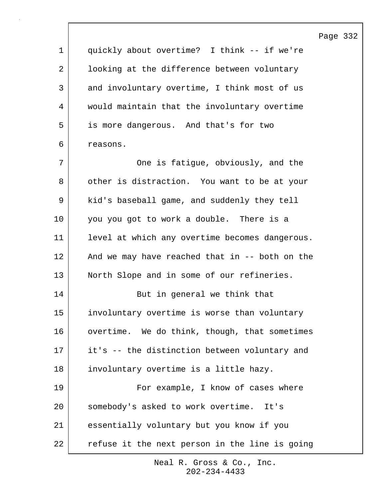Page 332

1 quickly about overtime? I think -- if we're 2 | looking at the difference between voluntary 3 and involuntary overtime, I think most of us 4 would maintain that the involuntary overtime 5 is more dangerous. And that's for two 6 reasons. 7 | Che is fatigue, obviously, and the 8 | other is distraction. You want to be at your 9 | kid's baseball game, and suddenly they tell 10 | you you got to work a double. There is a 11 level at which any overtime becomes dangerous. 12 | And we may have reached that in -- both on the 13 North Slope and in some of our refineries. 14 But in general we think that 15 involuntary overtime is worse than voluntary 16 overtime. We do think, though, that sometimes 17 it's -- the distinction between voluntary and 18 | involuntary overtime is a little hazy. 19 For example, I know of cases where 20 somebody's asked to work overtime. It's 21 essentially voluntary but you know if you 22 refuse it the next person in the line is going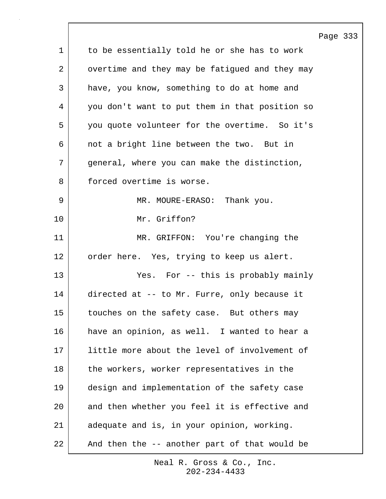|             |                                                | Page 333 |  |
|-------------|------------------------------------------------|----------|--|
| $\mathbf 1$ | to be essentially told he or she has to work   |          |  |
| 2           | overtime and they may be fatigued and they may |          |  |
| 3           | have, you know, something to do at home and    |          |  |
| 4           | you don't want to put them in that position so |          |  |
| 5           | you quote volunteer for the overtime. So it's  |          |  |
| 6           | not a bright line between the two. But in      |          |  |
| 7           | general, where you can make the distinction,   |          |  |
| 8           | forced overtime is worse.                      |          |  |
| 9           | MR. MOURE-ERASO: Thank you.                    |          |  |
| 10          | Mr. Griffon?                                   |          |  |
| 11          | MR. GRIFFON: You're changing the               |          |  |
| 12          | order here. Yes, trying to keep us alert.      |          |  |
| 13          | Yes. For -- this is probably mainly            |          |  |
| 14          | directed at -- to Mr. Furre, only because it   |          |  |
| 15          | touches on the safety case. But others may     |          |  |
| 16          | have an opinion, as well. I wanted to hear a   |          |  |
| 17          | little more about the level of involvement of  |          |  |
| 18          | the workers, worker representatives in the     |          |  |
| 19          | design and implementation of the safety case   |          |  |
| 20          | and then whether you feel it is effective and  |          |  |
| 21          | adequate and is, in your opinion, working.     |          |  |
| 22          | And then the -- another part of that would be  |          |  |

 $\sqrt{ }$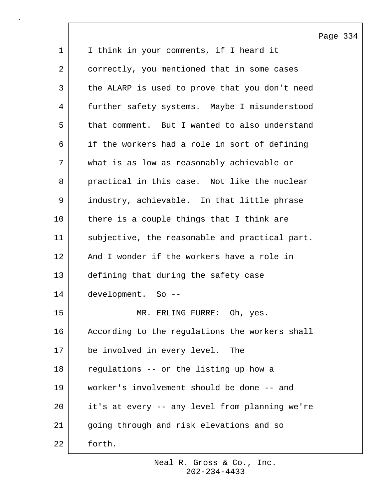Page 334 1 | I think in your comments, if I heard it 2 correctly, you mentioned that in some cases 3 the ALARP is used to prove that you don't need 4 further safety systems. Maybe I misunderstood 5 that comment. But I wanted to also understand 6 if the workers had a role in sort of defining 7 what is as low as reasonably achievable or 8 practical in this case. Not like the nuclear 9 industry, achievable. In that little phrase 10 there is a couple things that I think are 11 subjective, the reasonable and practical part. 12 | And I wonder if the workers have a role in 13 defining that during the safety case 14 development. So -- 15 MR. ERLING FURRE: Oh, yes. 16 | According to the regulations the workers shall 17 be involved in every level. The 18 | regulations -- or the listing up how a 19 worker's involvement should be done -- and 20 it's at every -- any level from planning we're 21 | going through and risk elevations and so 22 forth.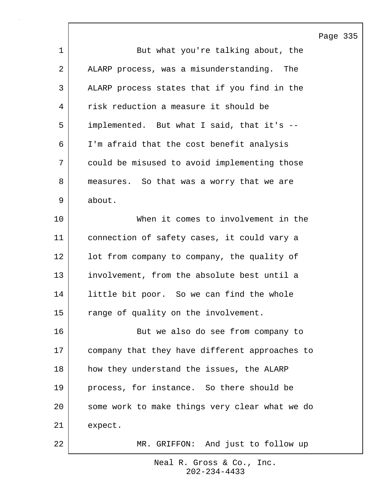Page 335

|    | Ε.                                             |
|----|------------------------------------------------|
| 1  | But what you're talking about, the             |
| 2  | ALARP process, was a misunderstanding. The     |
| 3  | ALARP process states that if you find in the   |
| 4  | risk reduction a measure it should be          |
| 5  | implemented. But what I said, that it's --     |
| 6  | I'm afraid that the cost benefit analysis      |
| 7  | could be misused to avoid implementing those   |
| 8  | measures. So that was a worry that we are      |
| 9  | about.                                         |
| 10 | When it comes to involvement in the            |
| 11 | connection of safety cases, it could vary a    |
| 12 | lot from company to company, the quality of    |
| 13 | involvement, from the absolute best until a    |
| 14 | little bit poor. So we can find the whole      |
| 15 | range of quality on the involvement.           |
| 16 | But we also do see from company to             |
| 17 | company that they have different approaches to |
| 18 | how they understand the issues, the ALARP      |
| 19 | process, for instance. So there should be      |
| 20 | some work to make things very clear what we do |
| 21 | expect.                                        |
| 22 | MR. GRIFFON: And just to follow up             |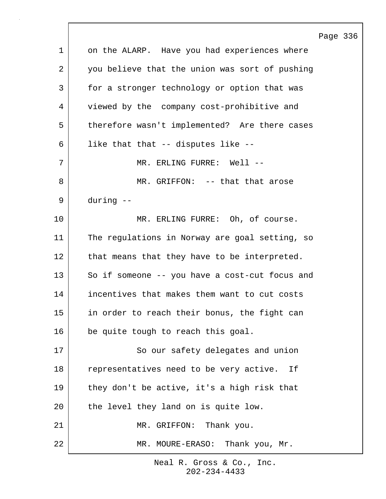|    |                                                | Page 336 |  |
|----|------------------------------------------------|----------|--|
| 1  | on the ALARP. Have you had experiences where   |          |  |
| 2  | you believe that the union was sort of pushing |          |  |
| 3  | for a stronger technology or option that was   |          |  |
| 4  | viewed by the company cost-prohibitive and     |          |  |
| 5  | therefore wasn't implemented? Are there cases  |          |  |
| 6  | like that that -- disputes like --             |          |  |
| 7  | MR. ERLING FURRE: Well --                      |          |  |
| 8  | MR. GRIFFON: -- that that arose                |          |  |
| 9  | during --                                      |          |  |
| 10 | MR. ERLING FURRE: Oh, of course.               |          |  |
| 11 | The regulations in Norway are goal setting, so |          |  |
| 12 | that means that they have to be interpreted.   |          |  |
| 13 | So if someone -- you have a cost-cut focus and |          |  |
| 14 | incentives that makes them want to cut costs   |          |  |
| 15 | in order to reach their bonus, the fight can   |          |  |
| 16 | be quite tough to reach this goal.             |          |  |
| 17 | So our safety delegates and union              |          |  |
| 18 | representatives need to be very active. If     |          |  |
| 19 | they don't be active, it's a high risk that    |          |  |
| 20 | the level they land on is quite low.           |          |  |
| 21 | MR. GRIFFON: Thank you.                        |          |  |
| 22 | Thank you, Mr.<br>MR. MOURE-ERASO:             |          |  |

 $\Gamma$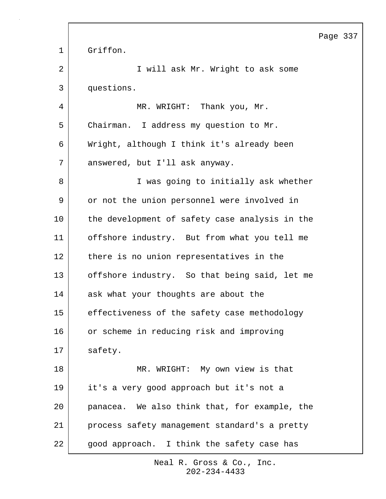Page 337 1 Griffon. 2 | Twill ask Mr. Wright to ask some 3 questions. 4 | MR. WRIGHT: Thank you, Mr. 5 Chairman. I address my question to Mr. 6 Wright, although I think it's already been 7 answered, but I'll ask anyway. 8 | Twas going to initially ask whether 9 or not the union personnel were involved in 10 the development of safety case analysis in the 11 offshore industry. But from what you tell me 12 there is no union representatives in the 13 offshore industry. So that being said, let me 14 ask what your thoughts are about the 15 effectiveness of the safety case methodology 16 or scheme in reducing risk and improving 17 safety. 18 MR. WRIGHT: My own view is that 19 it's a very good approach but it's not a 20 panacea. We also think that, for example, the 21 process safety management standard's a pretty 22 | good approach. I think the safety case has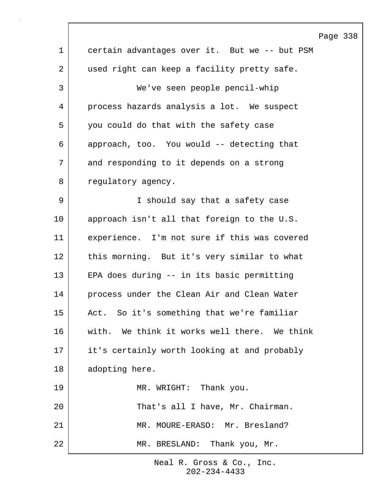|                | Page 338                                      |
|----------------|-----------------------------------------------|
| $\mathbf 1$    | certain advantages over it. But we -- but PSM |
| $\overline{2}$ | used right can keep a facility pretty safe.   |
| $\mathsf{3}$   | We've seen people pencil-whip                 |
| 4              | process hazards analysis a lot. We suspect    |
| 5              | you could do that with the safety case        |
| 6              | approach, too. You would -- detecting that    |
| 7              | and responding to it depends on a strong      |
| 8              | regulatory agency.                            |
| 9              | I should say that a safety case               |
| $10 \,$        | approach isn't all that foreign to the U.S.   |
| 11             | experience. I'm not sure if this was covered  |
| 12             | this morning. But it's very similar to what   |
| 13             | EPA does during -- in its basic permitting    |
| 14             | process under the Clean Air and Clean Water   |
| 15             | Act. So it's something that we're familiar    |
| 16             | with. We think it works well there. We think  |
| 17             | it's certainly worth looking at and probably  |
| 18             | adopting here.                                |
| 19             | MR. WRIGHT: Thank you.                        |
| 20             | That's all I have, Mr. Chairman.              |
| 21             | MR. MOURE-ERASO: Mr. Bresland?                |
| 22             | MR. BRESLAND: Thank you, Mr.                  |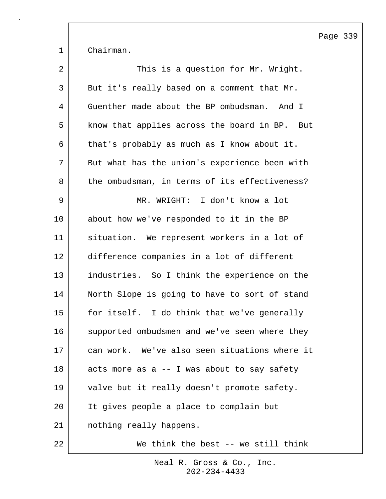Page 339

1 Chairman.

| $\overline{2}$ | This is a question for Mr. Wright.            |
|----------------|-----------------------------------------------|
| 3              | But it's really based on a comment that Mr.   |
| 4              | Guenther made about the BP ombudsman. And I   |
| 5              | know that applies across the board in BP. But |
| 6              | that's probably as much as I know about it.   |
| 7              | But what has the union's experience been with |
| 8              | the ombudsman, in terms of its effectiveness? |
| 9              | MR. WRIGHT: I don't know a lot                |
| 10             | about how we've responded to it in the BP     |
| 11             | situation. We represent workers in a lot of   |
| 12             | difference companies in a lot of different    |
| 13             | industries. So I think the experience on the  |
| 14             | North Slope is going to have to sort of stand |
| 15             | for itself. I do think that we've generally   |
| 16             | supported ombudsmen and we've seen where they |
| 17             | can work. We've also seen situations where it |
| 18             | acts more as a -- I was about to say safety   |
| 19             | valve but it really doesn't promote safety.   |
| 20             | It gives people a place to complain but       |
| 21             | nothing really happens.                       |
| 22             | We think the best -- we still think           |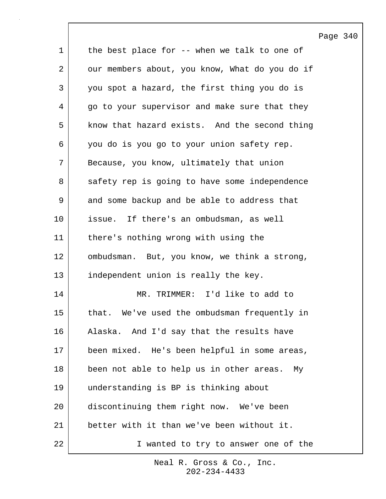|                 |                                                | Page |
|-----------------|------------------------------------------------|------|
| $\mathbf 1$     | the best place for -- when we talk to one of   |      |
| 2               | our members about, you know, What do you do if |      |
| 3               | you spot a hazard, the first thing you do is   |      |
| 4               | go to your supervisor and make sure that they  |      |
| 5               | know that hazard exists. And the second thing  |      |
| 6               | you do is you go to your union safety rep.     |      |
| 7               | Because, you know, ultimately that union       |      |
| 8               | safety rep is going to have some independence  |      |
| 9               | and some backup and be able to address that    |      |
| 10              | issue. If there's an ombudsman, as well        |      |
| 11              | there's nothing wrong with using the           |      |
| 12 <sub>2</sub> | ombudsman. But, you know, we think a strong,   |      |
| 13              | independent union is really the key.           |      |
| 14              | MR. TRIMMER: I'd like to add to                |      |
| 15              | that. We've used the ombudsman frequently in   |      |
| 16              | Alaska. And I'd say that the results have      |      |
| 17              | been mixed. He's been helpful in some areas,   |      |
| 18              | been not able to help us in other areas. My    |      |
| 19              | understanding is BP is thinking about          |      |
| 20              | discontinuing them right now. We've been       |      |
| 21              | better with it than we've been without it.     |      |
| 22              | I wanted to try to answer one of the           |      |

 $\mathsf{l}$ 

Page 340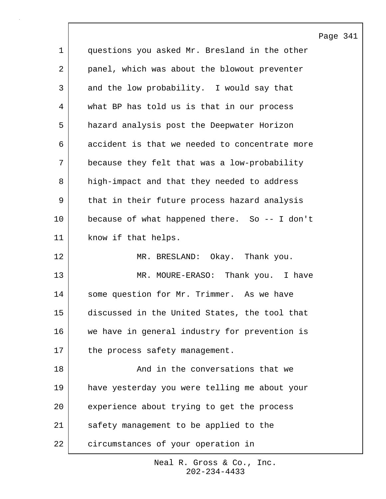|    |                                                | Page |
|----|------------------------------------------------|------|
| 1  | questions you asked Mr. Bresland in the other  |      |
| 2  | panel, which was about the blowout preventer   |      |
| 3  | and the low probability. I would say that      |      |
| 4  | what BP has told us is that in our process     |      |
| 5  | hazard analysis post the Deepwater Horizon     |      |
| 6  | accident is that we needed to concentrate more |      |
| 7  | because they felt that was a low-probability   |      |
| 8  | high-impact and that they needed to address    |      |
| 9  | that in their future process hazard analysis   |      |
| 10 | because of what happened there. So -- I don't  |      |
| 11 | know if that helps.                            |      |
| 12 | MR. BRESLAND: Okay. Thank you.                 |      |
| 13 | MR. MOURE-ERASO: Thank you. I have             |      |
| 14 | some question for Mr. Trimmer. As we have      |      |
| 15 | discussed in the United States, the tool that  |      |
| 16 | we have in general industry for prevention is  |      |
| 17 | the process safety management.                 |      |
| 18 | And in the conversations that we               |      |
| 19 | have yesterday you were telling me about your  |      |
| 20 | experience about trying to get the process     |      |
| 21 | safety management to be applied to the         |      |
| 22 | circumstances of your operation in             |      |

 $\lceil$ 

341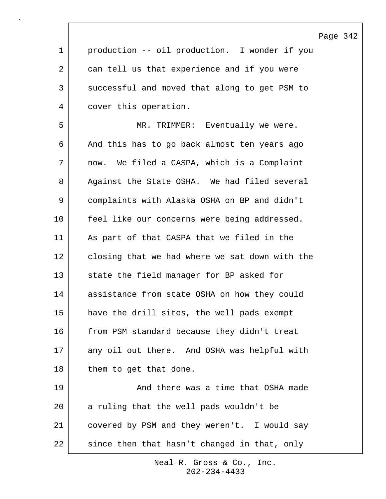|             |                                                | Page 342 |  |
|-------------|------------------------------------------------|----------|--|
| $\mathbf 1$ | production -- oil production. I wonder if you  |          |  |
| 2           | can tell us that experience and if you were    |          |  |
| 3           | successful and moved that along to get PSM to  |          |  |
| 4           | cover this operation.                          |          |  |
| 5           | MR. TRIMMER: Eventually we were.               |          |  |
| 6           | And this has to go back almost ten years ago   |          |  |
| 7           | now. We filed a CASPA, which is a Complaint    |          |  |
| 8           | Against the State OSHA. We had filed several   |          |  |
| 9           | complaints with Alaska OSHA on BP and didn't   |          |  |
| 10          | feel like our concerns were being addressed.   |          |  |
| 11          | As part of that CASPA that we filed in the     |          |  |
| 12          | closing that we had where we sat down with the |          |  |
| 13          | state the field manager for BP asked for       |          |  |
| 14          | assistance from state OSHA on how they could   |          |  |
| 15          | have the drill sites, the well pads exempt     |          |  |
| 16          | from PSM standard because they didn't treat    |          |  |
| 17          | any oil out there. And OSHA was helpful with   |          |  |
| 18          | them to get that done.                         |          |  |
| 19          | And there was a time that OSHA made            |          |  |
| 20          | a ruling that the well pads wouldn't be        |          |  |
| 21          | covered by PSM and they weren't. I would say   |          |  |
| 22          | since then that hasn't changed in that, only   |          |  |

 $\Gamma$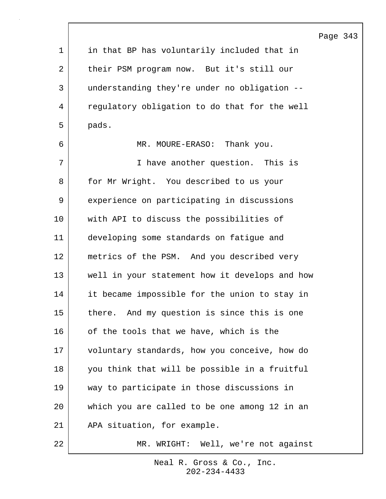|             |                                                | Page 343 |  |
|-------------|------------------------------------------------|----------|--|
| $\mathbf 1$ | in that BP has voluntarily included that in    |          |  |
| 2           | their PSM program now. But it's still our      |          |  |
| 3           | understanding they're under no obligation --   |          |  |
| 4           | regulatory obligation to do that for the well  |          |  |
| 5           | pads.                                          |          |  |
| 6           | MR. MOURE-ERASO: Thank you.                    |          |  |
| 7           | I have another question. This is               |          |  |
| 8           | for Mr Wright. You described to us your        |          |  |
| 9           | experience on participating in discussions     |          |  |
| 10          | with API to discuss the possibilities of       |          |  |
| 11          | developing some standards on fatigue and       |          |  |
| 12          | metrics of the PSM. And you described very     |          |  |
| 13          | well in your statement how it develops and how |          |  |
| 14          | it became impossible for the union to stay in  |          |  |
| 15          | there. And my question is since this is one    |          |  |
| 16          | of the tools that we have, which is the        |          |  |
| 17          | voluntary standards, how you conceive, how do  |          |  |
| 18          | you think that will be possible in a fruitful  |          |  |
| 19          | way to participate in those discussions in     |          |  |
| 20          | which you are called to be one among 12 in an  |          |  |
| 21          | APA situation, for example.                    |          |  |
| 22          | Well, we're not against<br>MR. WRIGHT:         |          |  |

 $\Gamma$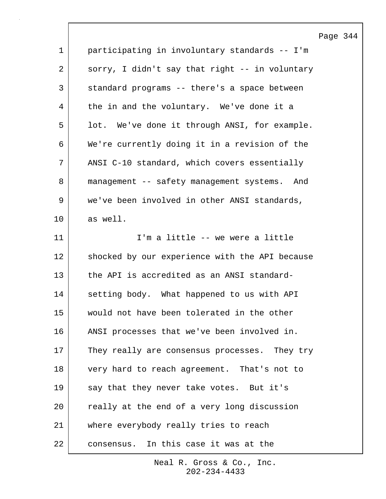|             |                                                | Page |
|-------------|------------------------------------------------|------|
| $\mathbf 1$ | participating in involuntary standards -- I'm  |      |
| 2           | sorry, I didn't say that right -- in voluntary |      |
| 3           | standard programs -- there's a space between   |      |
| 4           | the in and the voluntary. We've done it a      |      |
| 5           | lot. We've done it through ANSI, for example.  |      |
| 6           | We're currently doing it in a revision of the  |      |
| 7           | ANSI C-10 standard, which covers essentially   |      |
| 8           | management -- safety management systems. And   |      |
| 9           | we've been involved in other ANSI standards,   |      |
| 10          | as well.                                       |      |
| 11          | I'm a little -- we were a little               |      |
| 12          | shocked by our experience with the API because |      |
| 13          | the API is accredited as an ANSI standard-     |      |
| 14          | setting body. What happened to us with API     |      |
| 15          | would not have been tolerated in the other     |      |
| 16          | ANSI processes that we've been involved in.    |      |
| 17          | They really are consensus processes. They try  |      |
| 18          | very hard to reach agreement. That's not to    |      |
| 19          | say that they never take votes. But it's       |      |
| 20          | really at the end of a very long discussion    |      |
| 21          | where everybody really tries to reach          |      |
| 22          | consensus. In this case it was at the          |      |

Page 344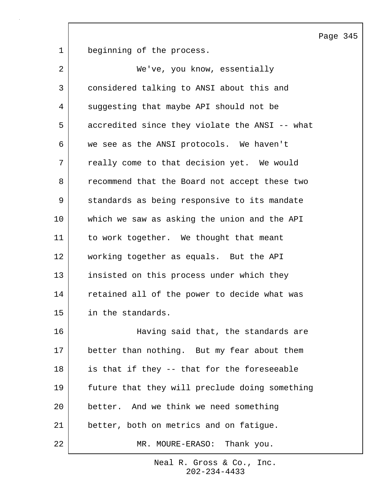Page 345

1 beginning of the process.

| $\overline{2}$ | We've, you know, essentially                   |  |
|----------------|------------------------------------------------|--|
| 3              | considered talking to ANSI about this and      |  |
| 4              | suggesting that maybe API should not be        |  |
| 5              | accredited since they violate the ANSI -- what |  |
| 6              | we see as the ANSI protocols. We haven't       |  |
| 7              | really come to that decision yet. We would     |  |
| 8              | recommend that the Board not accept these two  |  |
| 9              | standards as being responsive to its mandate   |  |
| 10             | which we saw as asking the union and the API   |  |
| 11             | to work together. We thought that meant        |  |
| 12             | working together as equals. But the API        |  |
| 13             | insisted on this process under which they      |  |
| 14             | retained all of the power to decide what was   |  |
| 15             | in the standards.                              |  |
| 16             | Having said that, the standards are            |  |
| 17             | better than nothing. But my fear about them    |  |
| 18             | is that if they -- that for the foreseeable    |  |
| 19             | future that they will preclude doing something |  |
| 20             | better. And we think we need something         |  |
| 21             | better, both on metrics and on fatigue.        |  |
| 22             | MR. MOURE-ERASO: Thank you.                    |  |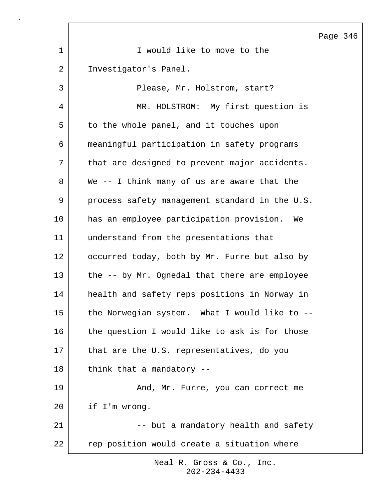Page 346 1 | I would like to move to the 2 | Investigator's Panel. 3 Please, Mr. Holstrom, start? 4 MR. HOLSTROM: My first question is 5 to the whole panel, and it touches upon 6 meaningful participation in safety programs 7 | that are designed to prevent major accidents. 8 We -- I think many of us are aware that the 9 process safety management standard in the U.S. 10 has an employee participation provision. We 11 understand from the presentations that 12 occurred today, both by Mr. Furre but also by 13 the -- by Mr. Ognedal that there are employee 14 health and safety reps positions in Norway in 15 the Norwegian system. What I would like to --16 the question I would like to ask is for those 17 that are the U.S. representatives, do you 18 think that a mandatory --19 | The Mond, Mr. Furre, you can correct me 20 if I'm wrong. 21 | The same of the but a mandatory health and safety 22 | rep position would create a situation where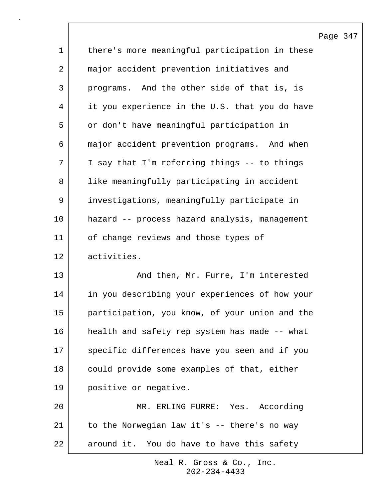|             |                                                | Page |
|-------------|------------------------------------------------|------|
| $\mathbf 1$ | there's more meaningful participation in these |      |
| 2           | major accident prevention initiatives and      |      |
| 3           | programs. And the other side of that is, is    |      |
| 4           | it you experience in the U.S. that you do have |      |
| 5           | or don't have meaningful participation in      |      |
| 6           | major accident prevention programs. And when   |      |
| 7           | I say that I'm referring things -- to things   |      |
| 8           | like meaningfully participating in accident    |      |
| 9           | investigations, meaningfully participate in    |      |
| 10          | hazard -- process hazard analysis, management  |      |
| 11          | of change reviews and those types of           |      |
| 12          | activities.                                    |      |
| 13          | And then, Mr. Furre, I'm interested            |      |
| 14          | in you describing your experiences of how your |      |
| 15          | participation, you know, of your union and the |      |
| 16          | health and safety rep system has made -- what  |      |
| 17          | specific differences have you seen and if you  |      |
| 18          | could provide some examples of that, either    |      |
| 19          | positive or negative.                          |      |
| 20          | MR. ERLING FURRE: Yes. According               |      |
| 21          | to the Norwegian law it's -- there's no way    |      |
| 22          | around it. You do have to have this safety     |      |

 $\lceil$ 

347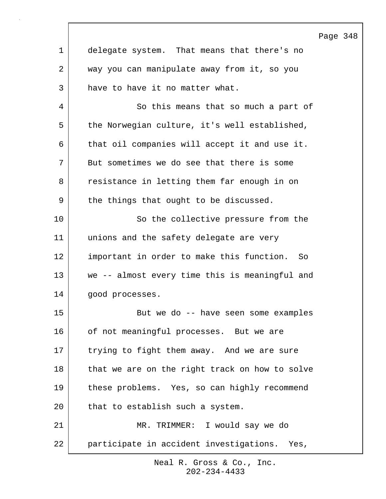|    |                                                 | Page 348 |  |
|----|-------------------------------------------------|----------|--|
| 1  | delegate system. That means that there's no     |          |  |
| 2  | way you can manipulate away from it, so you     |          |  |
| 3  | have to have it no matter what.                 |          |  |
| 4  | So this means that so much a part of            |          |  |
| 5  | the Norwegian culture, it's well established,   |          |  |
| 6  | that oil companies will accept it and use it.   |          |  |
| 7  | But sometimes we do see that there is some      |          |  |
| 8  | resistance in letting them far enough in on     |          |  |
| 9  | the things that ought to be discussed.          |          |  |
| 10 | So the collective pressure from the             |          |  |
| 11 | unions and the safety delegate are very         |          |  |
| 12 | important in order to make this function.<br>So |          |  |
| 13 | we -- almost every time this is meaningful and  |          |  |
| 14 | good processes.                                 |          |  |
| 15 | But we do -- have seen some examples            |          |  |
| 16 | of not meaningful processes. But we are         |          |  |
| 17 | trying to fight them away. And we are sure      |          |  |
| 18 | that we are on the right track on how to solve  |          |  |
| 19 | these problems. Yes, so can highly recommend    |          |  |
| 20 | that to establish such a system.                |          |  |
| 21 | MR. TRIMMER: I would say we do                  |          |  |
| 22 | participate in accident investigations. Yes,    |          |  |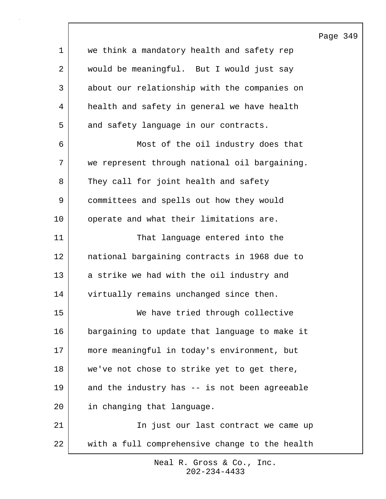Page 349 1 we think a mandatory health and safety rep 2 would be meaningful. But I would just say 3 about our relationship with the companies on 4 health and safety in general we have health 5 and safety language in our contracts. 6 Most of the oil industry does that 7 we represent through national oil bargaining. 8 They call for joint health and safety 9 committees and spells out how they would 10 operate and what their limitations are. 11 That language entered into the 12 national bargaining contracts in 1968 due to 13 a strike we had with the oil industry and 14 virtually remains unchanged since then. 15 We have tried through collective 16 bargaining to update that language to make it 17 more meaningful in today's environment, but 18 we've not chose to strike yet to get there, 19 and the industry has -- is not been agreeable 20 in changing that language. 21 | The just our last contract we came up 22 with a full comprehensive change to the health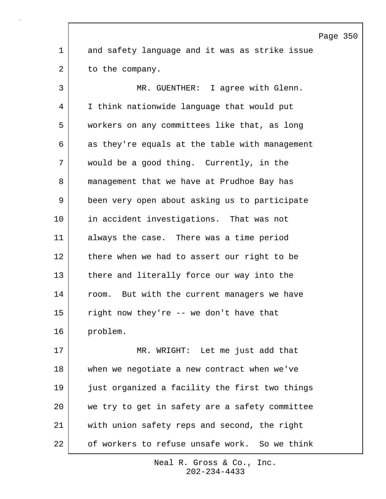1 and safety language and it was as strike issue 2 to the company. 3 MR. GUENTHER: I agree with Glenn. 4 I think nationwide language that would put 5 workers on any committees like that, as long 6 as they're equals at the table with management 7 would be a good thing. Currently, in the 8 management that we have at Prudhoe Bay has 9 been very open about asking us to participate 10 in accident investigations. That was not 11 always the case. There was a time period 12 there when we had to assert our right to be 13 there and literally force our way into the 14 room. But with the current managers we have  $15$  right now they're  $-$  we don't have that 16 problem. 17 MR. WRIGHT: Let me just add that 18 when we negotiate a new contract when we've 19 just organized a facility the first two things 20 we try to get in safety are a safety committee 21 with union safety reps and second, the right

> 202-234-4433 Neal R. Gross & Co., Inc.

22 of workers to refuse unsafe work. So we think

## Page 350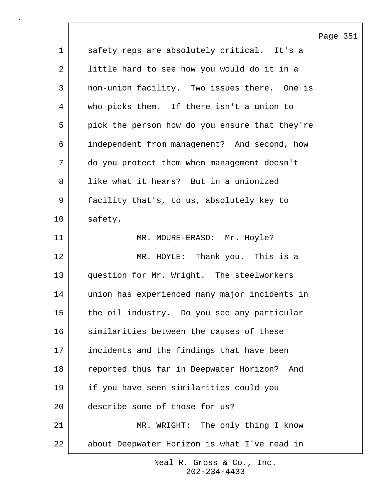Page 351 1 safety reps are absolutely critical. It's a 2 | little hard to see how you would do it in a 3 non-union facility. Two issues there. One is 4 who picks them. If there isn't a union to 5 pick the person how do you ensure that they're 6 independent from management? And second, how 7 do you protect them when management doesn't 8 l like what it hears? But in a unionized 9 facility that's, to us, absolutely key to 10 safety. 11 MR. MOURE-ERASO: Mr. Hoyle? 12 MR. HOYLE: Thank you. This is a 13 question for Mr. Wright. The steelworkers 14 union has experienced many major incidents in 15 the oil industry. Do you see any particular 16 similarities between the causes of these 17 incidents and the findings that have been 18 reported thus far in Deepwater Horizon? And 19 if you have seen similarities could you 20 describe some of those for us? 21 | MR. WRIGHT: The only thing I know 22 about Deepwater Horizon is what I've read in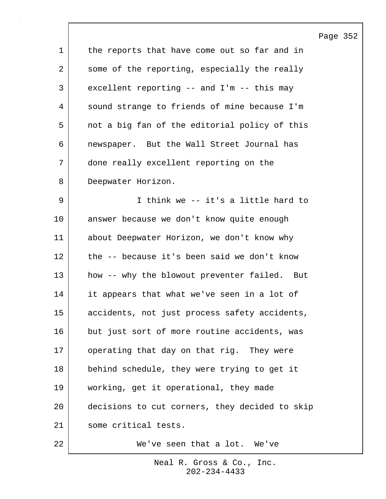|             |                                                | Page 352 |  |
|-------------|------------------------------------------------|----------|--|
| $\mathbf 1$ | the reports that have come out so far and in   |          |  |
| 2           | some of the reporting, especially the really   |          |  |
| 3           | excellent reporting -- and I'm -- this may     |          |  |
| 4           | sound strange to friends of mine because I'm   |          |  |
| 5           | not a big fan of the editorial policy of this  |          |  |
| 6           | newspaper. But the Wall Street Journal has     |          |  |
| 7           | done really excellent reporting on the         |          |  |
| 8           | Deepwater Horizon.                             |          |  |
| 9           | I think we -- it's a little hard to            |          |  |
| 10          | answer because we don't know quite enough      |          |  |
| 11          | about Deepwater Horizon, we don't know why     |          |  |
| 12          | the -- because it's been said we don't know    |          |  |
| 13          | how -- why the blowout preventer failed. But   |          |  |
| 14          | it appears that what we've seen in a lot of    |          |  |
| 15          | accidents, not just process safety accidents,  |          |  |
| 16          | but just sort of more routine accidents, was   |          |  |
| 17          | operating that day on that rig. They were      |          |  |
| 18          | behind schedule, they were trying to get it    |          |  |
| 19          | working, get it operational, they made         |          |  |
| 20          | decisions to cut corners, they decided to skip |          |  |
| 21          | some critical tests.                           |          |  |
| 22          | We've seen that a lot. We've                   |          |  |

 $\sqrt{ }$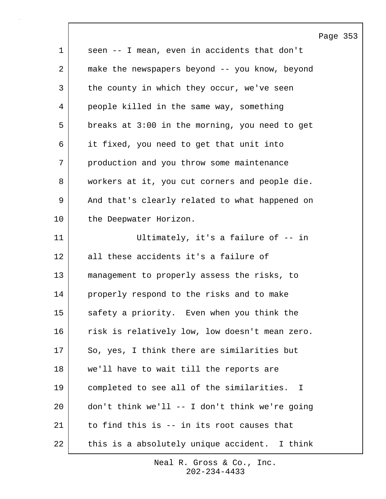|              |                                                | Page 353 |  |
|--------------|------------------------------------------------|----------|--|
| $\mathbf{1}$ | seen -- I mean, even in accidents that don't   |          |  |
| 2            | make the newspapers beyond -- you know, beyond |          |  |
| 3            | the county in which they occur, we've seen     |          |  |
| 4            | people killed in the same way, something       |          |  |
| 5            | breaks at 3:00 in the morning, you need to get |          |  |
| 6            | it fixed, you need to get that unit into       |          |  |
| 7            | production and you throw some maintenance      |          |  |
| 8            | workers at it, you cut corners and people die. |          |  |
| 9            | And that's clearly related to what happened on |          |  |
| 10           | the Deepwater Horizon.                         |          |  |
| 11           | Ultimately, it's a failure of -- in            |          |  |
| 12           | all these accidents it's a failure of          |          |  |
| 13           | management to properly assess the risks, to    |          |  |
| 14           | properly respond to the risks and to make      |          |  |
| 15           | safety a priority. Even when you think the     |          |  |
| 16           | risk is relatively low, low doesn't mean zero. |          |  |
| 17           | So, yes, I think there are similarities but    |          |  |
| 18           | we'll have to wait till the reports are        |          |  |
| 19           | completed to see all of the similarities. I    |          |  |
| 20           | don't think we'll -- I don't think we're going |          |  |
| 21           | to find this is -- in its root causes that     |          |  |
| 22           | this is a absolutely unique accident. I think  |          |  |

 $\lceil$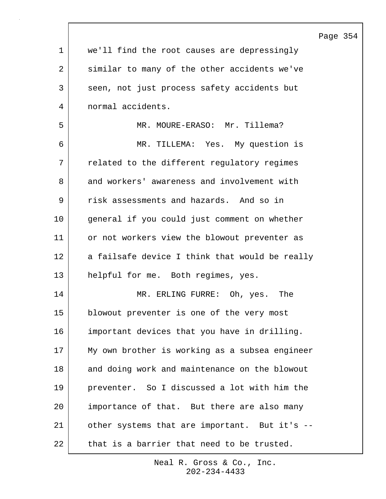|    | $P\epsilon$                                    |
|----|------------------------------------------------|
| 1  | we'll find the root causes are depressingly    |
| 2  | similar to many of the other accidents we've   |
| 3  | seen, not just process safety accidents but    |
| 4  | normal accidents.                              |
| 5  | MR. MOURE-ERASO: Mr. Tillema?                  |
| 6  | MR. TILLEMA: Yes. My question is               |
| 7  | related to the different regulatory regimes    |
| 8  | and workers' awareness and involvement with    |
| 9  | risk assessments and hazards. And so in        |
| 10 | general if you could just comment on whether   |
| 11 | or not workers view the blowout preventer as   |
| 12 | a failsafe device I think that would be really |
| 13 | helpful for me. Both regimes, yes.             |
| 14 | MR. ERLING FURRE: Oh, yes.<br>The              |
| 15 | blowout preventer is one of the very most      |
| 16 | important devices that you have in drilling.   |
| 17 | My own brother is working as a subsea engineer |
| 18 | and doing work and maintenance on the blowout  |
| 19 | preventer. So I discussed a lot with him the   |
| 20 | importance of that. But there are also many    |
| 21 | other systems that are important. But it's --  |
| 22 | that is a barrier that need to be trusted.     |

 $\sqrt{ }$ 

202-234-4433 Neal R. Gross & Co., Inc.

## age 354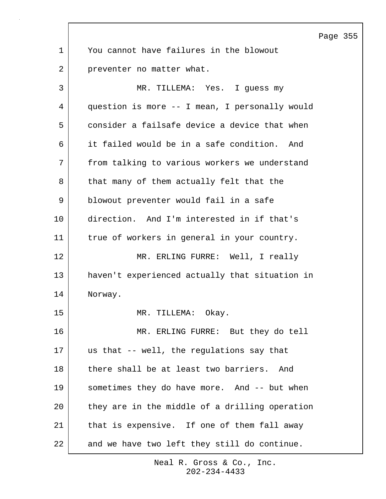Page 355 1 You cannot have failures in the blowout 2 preventer no matter what. 3 MR. TILLEMA: Yes. I guess my 4 question is more -- I mean, I personally would 5 consider a failsafe device a device that when 6 it failed would be in a safe condition. And 7 from talking to various workers we understand 8 that many of them actually felt that the 9 blowout preventer would fail in a safe 10 direction. And I'm interested in if that's 11 true of workers in general in your country. 12 MR. ERLING FURRE: Well, I really 13 haven't experienced actually that situation in 14 Norway. 15 MR. TILLEMA: Okay. 16 MR. ERLING FURRE: But they do tell 17 us that -- well, the regulations say that 18 there shall be at least two barriers. And 19 | sometimes they do have more. And -- but when 20 they are in the middle of a drilling operation 21 | that is expensive. If one of them fall away 22 and we have two left they still do continue.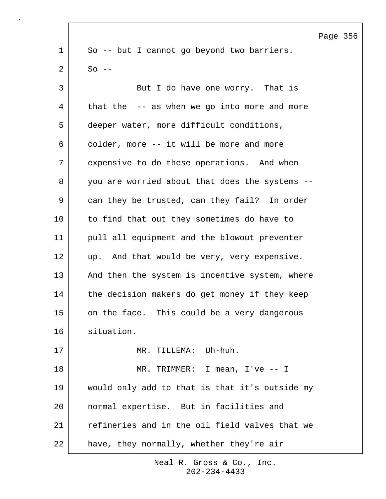Page 356 1 So -- but I cannot go beyond two barriers.  $2 \text{ }$  So --3 But I do have one worry. That is 4 that the -- as when we go into more and more 5 deeper water, more difficult conditions, 6 colder, more -- it will be more and more 7 expensive to do these operations. And when 8 you are worried about that does the systems --9 can they be trusted, can they fail? In order 10 to find that out they sometimes do have to 11 pull all equipment and the blowout preventer 12 up. And that would be very, very expensive. 13 And then the system is incentive system, where 14 the decision makers do get money if they keep 15 on the face. This could be a very dangerous 16 situation. 17 | MR. TILLEMA: Uh-huh. 18 MR. TRIMMER: I mean, I've -- I 19 would only add to that is that it's outside my 20 normal expertise. But in facilities and 21 refineries and in the oil field valves that we 22 have, they normally, whether they're air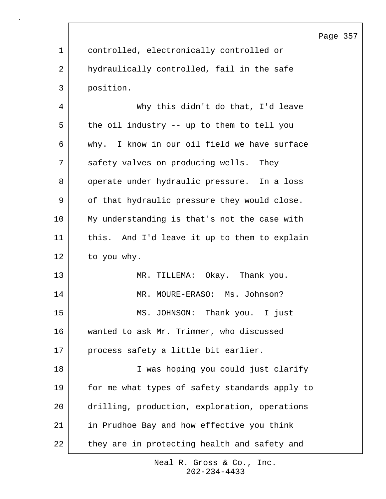|             |                                                | Page 357 |  |
|-------------|------------------------------------------------|----------|--|
| $\mathbf 1$ | controlled, electronically controlled or       |          |  |
| 2           | hydraulically controlled, fail in the safe     |          |  |
| 3           | position.                                      |          |  |
| 4           | Why this didn't do that, I'd leave             |          |  |
| 5           | the oil industry -- up to them to tell you     |          |  |
| 6           | why. I know in our oil field we have surface   |          |  |
| 7           | safety valves on producing wells. They         |          |  |
| 8           | operate under hydraulic pressure. In a loss    |          |  |
| 9           | of that hydraulic pressure they would close.   |          |  |
| 10          | My understanding is that's not the case with   |          |  |
| 11          | this. And I'd leave it up to them to explain   |          |  |
| 12          | to you why.                                    |          |  |
| 13          | MR. TILLEMA: Okay. Thank you.                  |          |  |
| 14          | MR. MOURE-ERASO: Ms. Johnson?                  |          |  |
| 15          | MS. JOHNSON: Thank you. I just                 |          |  |
| 16          | wanted to ask Mr. Trimmer, who discussed       |          |  |
| 17          | process safety a little bit earlier.           |          |  |
| 18          | I was hoping you could just clarify            |          |  |
| 19          | for me what types of safety standards apply to |          |  |
| 20          | drilling, production, exploration, operations  |          |  |
| 21          | in Prudhoe Bay and how effective you think     |          |  |
| 22          | they are in protecting health and safety and   |          |  |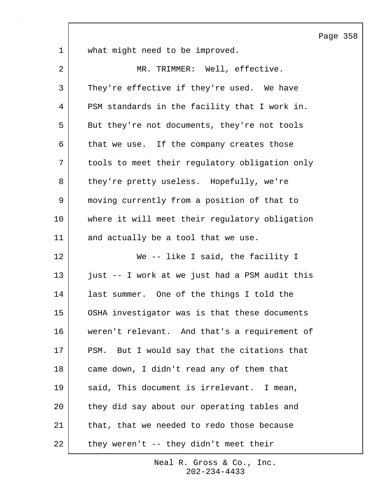Page 358 1 what might need to be improved. 2 MR. TRIMMER: Well, effective. 3 They're effective if they're used. We have 4 PSM standards in the facility that I work in. 5 But they're not documents, they're not tools 6 | that we use. If the company creates those 7 tools to meet their regulatory obligation only 8 they're pretty useless. Hopefully, we're 9 moving currently from a position of that to 10 where it will meet their regulatory obligation 11 and actually be a tool that we use. 12 We -- like I said, the facility I 13 just -- I work at we just had a PSM audit this 14 last summer. One of the things I told the 15 OSHA investigator was is that these documents 16 weren't relevant. And that's a requirement of 17 PSM. But I would say that the citations that 18 came down, I didn't read any of them that 19 said, This document is irrelevant. I mean, 20 | they did say about our operating tables and 21 that, that we needed to redo those because  $22$  | they weren't -- they didn't meet their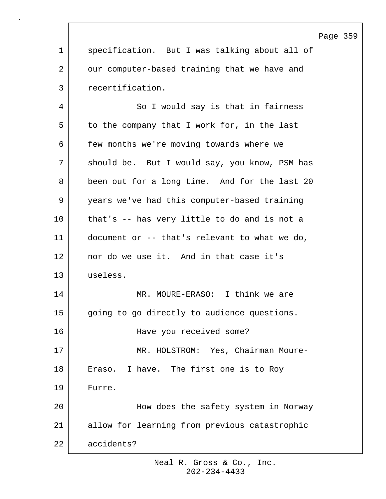| Page | 359 |
|------|-----|
|------|-----|

1 | specification. But I was talking about all of 2 our computer-based training that we have and 3 recertification.

4 So I would say is that in fairness 5 to the company that I work for, in the last 6 few months we're moving towards where we 7 | should be. But I would say, you know, PSM has 8 been out for a long time. And for the last 20 9 years we've had this computer-based training 10 that's -- has very little to do and is not a 11 document or -- that's relevant to what we do, 12 nor do we use it. And in that case it's 13 useless. 14 MR. MOURE-ERASO: I think we are 15 | going to go directly to audience questions. 16 Have you received some? 17 | MR. HOLSTROM: Yes, Chairman Moure-18 | Eraso. I have. The first one is to Roy 19 Furre. 20 How does the safety system in Norway 21 allow for learning from previous catastrophic 22 accidents?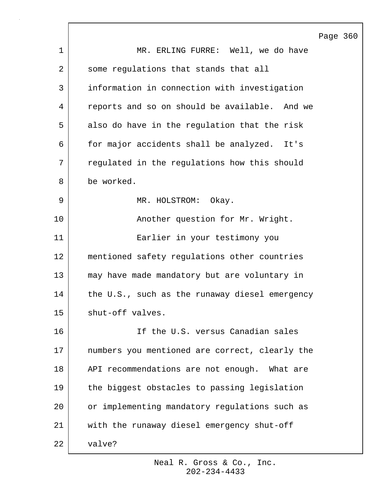|    | Page 360                                       |
|----|------------------------------------------------|
| 1  | MR. ERLING FURRE: Well, we do have             |
| 2  | some regulations that stands that all          |
| 3  | information in connection with investigation   |
| 4  | reports and so on should be available. And we  |
| 5  | also do have in the regulation that the risk   |
| 6  | for major accidents shall be analyzed. It's    |
| 7  | regulated in the regulations how this should   |
| 8  | be worked.                                     |
| 9  | MR. HOLSTROM: Okay.                            |
| 10 | Another question for Mr. Wright.               |
| 11 | Earlier in your testimony you                  |
| 12 | mentioned safety regulations other countries   |
| 13 | may have made mandatory but are voluntary in   |
| 14 | the U.S., such as the runaway diesel emergency |
| 15 | shut-off valves.                               |
| 16 | If the U.S. versus Canadian sales              |
| 17 | numbers you mentioned are correct, clearly the |
| 18 | API recommendations are not enough. What are   |
| 19 | the biggest obstacles to passing legislation   |
| 20 | or implementing mandatory regulations such as  |
| 21 | with the runaway diesel emergency shut-off     |
| 22 | valve?                                         |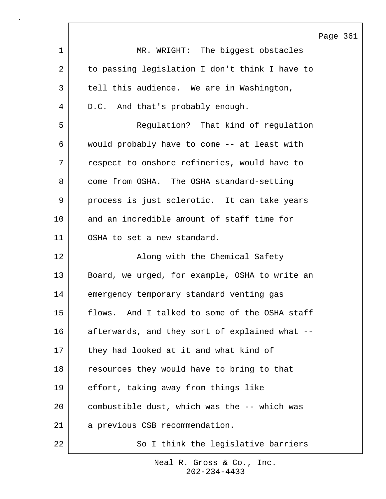|                |                                                | Page 361 |  |
|----------------|------------------------------------------------|----------|--|
| $\mathbf 1$    | MR. WRIGHT: The biggest obstacles              |          |  |
| $\overline{a}$ | to passing legislation I don't think I have to |          |  |
| 3              | tell this audience. We are in Washington,      |          |  |
| 4              | D.C. And that's probably enough.               |          |  |
| 5              | Regulation? That kind of regulation            |          |  |
| 6              | would probably have to come -- at least with   |          |  |
| 7              | respect to onshore refineries, would have to   |          |  |
| 8              | come from OSHA. The OSHA standard-setting      |          |  |
| 9              | process is just sclerotic. It can take years   |          |  |
| 10             | and an incredible amount of staff time for     |          |  |
| 11             | OSHA to set a new standard.                    |          |  |
| 12             | Along with the Chemical Safety                 |          |  |
| 13             | Board, we urged, for example, OSHA to write an |          |  |
| 14             | emergency temporary standard venting gas       |          |  |
| 15             | flows. And I talked to some of the OSHA staff  |          |  |
| 16             | afterwards, and they sort of explained what -- |          |  |
| 17             | they had looked at it and what kind of         |          |  |
| 18             | resources they would have to bring to that     |          |  |
| 19             | effort, taking away from things like           |          |  |
| 20             | combustible dust, which was the -- which was   |          |  |
| 21             | a previous CSB recommendation.                 |          |  |
| 22             | So I think the legislative barriers            |          |  |

 $\Gamma$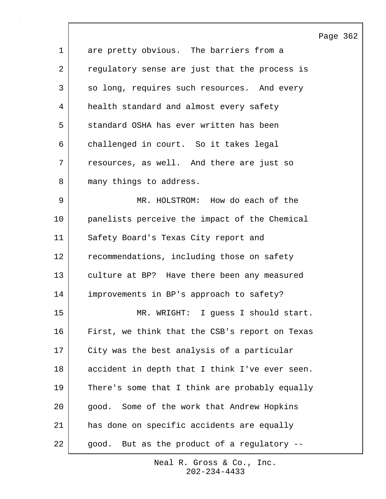|    |                                                | Page 362 |  |
|----|------------------------------------------------|----------|--|
| 1  | are pretty obvious. The barriers from a        |          |  |
| 2  | regulatory sense are just that the process is  |          |  |
| 3  | so long, requires such resources. And every    |          |  |
| 4  | health standard and almost every safety        |          |  |
| 5  | standard OSHA has ever written has been        |          |  |
| 6  | challenged in court. So it takes legal         |          |  |
| 7  | resources, as well. And there are just so      |          |  |
| 8  | many things to address.                        |          |  |
| 9  | MR. HOLSTROM: How do each of the               |          |  |
| 10 | panelists perceive the impact of the Chemical  |          |  |
| 11 | Safety Board's Texas City report and           |          |  |
| 12 | recommendations, including those on safety     |          |  |
| 13 | culture at BP? Have there been any measured    |          |  |
| 14 | improvements in BP's approach to safety?       |          |  |
| 15 | MR. WRIGHT: I guess I should start.            |          |  |
| 16 | First, we think that the CSB's report on Texas |          |  |
| 17 | City was the best analysis of a particular     |          |  |
| 18 | accident in depth that I think I've ever seen. |          |  |
| 19 | There's some that I think are probably equally |          |  |
| 20 | good. Some of the work that Andrew Hopkins     |          |  |
| 21 | has done on specific accidents are equally     |          |  |
| 22 | But as the product of a regulatory --<br>good. |          |  |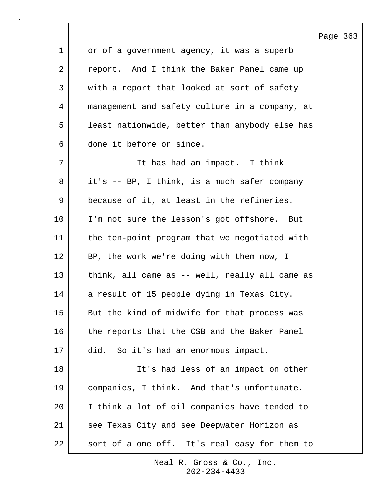|              |                                                | Page 363 |  |
|--------------|------------------------------------------------|----------|--|
| $\mathbf 1$  | or of a government agency, it was a superb     |          |  |
| 2            | report. And I think the Baker Panel came up    |          |  |
| $\mathsf{3}$ | with a report that looked at sort of safety    |          |  |
| 4            | management and safety culture in a company, at |          |  |
| 5            | least nationwide, better than anybody else has |          |  |
| 6            | done it before or since.                       |          |  |
| 7            | It has had an impact. I think                  |          |  |
| 8            | it's -- BP, I think, is a much safer company   |          |  |
| 9            | because of it, at least in the refineries.     |          |  |
| 10           | I'm not sure the lesson's got offshore. But    |          |  |
| 11           | the ten-point program that we negotiated with  |          |  |
| 12           | BP, the work we're doing with them now, I      |          |  |
| 13           | think, all came as -- well, really all came as |          |  |
| 14           | a result of 15 people dying in Texas City.     |          |  |
| 15           | But the kind of midwife for that process was   |          |  |
| 16           | the reports that the CSB and the Baker Panel   |          |  |
| 17           | did. So it's had an enormous impact.           |          |  |
| 18           | It's had less of an impact on other            |          |  |
| 19           | companies, I think. And that's unfortunate.    |          |  |
| 20           | I think a lot of oil companies have tended to  |          |  |
| 21           | see Texas City and see Deepwater Horizon as    |          |  |
| 22           | sort of a one off. It's real easy for them to  |          |  |

 $\lceil$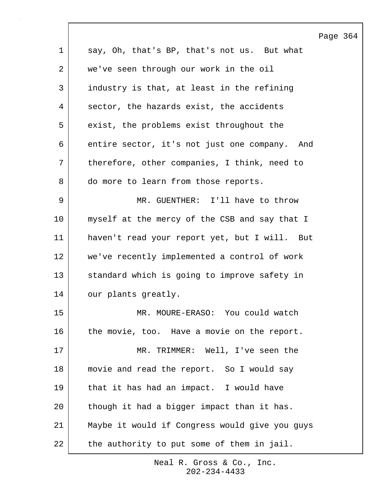|             |                                                | Page 364 |  |
|-------------|------------------------------------------------|----------|--|
| $\mathbf 1$ | say, Oh, that's BP, that's not us. But what    |          |  |
| 2           | we've seen through our work in the oil         |          |  |
| 3           | industry is that, at least in the refining     |          |  |
| 4           | sector, the hazards exist, the accidents       |          |  |
| 5           | exist, the problems exist throughout the       |          |  |
| 6           | entire sector, it's not just one company. And  |          |  |
| 7           | therefore, other companies, I think, need to   |          |  |
| 8           | do more to learn from those reports.           |          |  |
| 9           | MR. GUENTHER: I'll have to throw               |          |  |
| 10          | myself at the mercy of the CSB and say that I  |          |  |
| 11          | haven't read your report yet, but I will. But  |          |  |
| 12          | we've recently implemented a control of work   |          |  |
| 13          | standard which is going to improve safety in   |          |  |
| 14          | our plants greatly.                            |          |  |
| 15          | MR. MOURE-ERASO: You could watch               |          |  |
| 16          | the movie, too. Have a movie on the report.    |          |  |
| 17          | MR. TRIMMER: Well, I've seen the               |          |  |
| 18          | movie and read the report. So I would say      |          |  |
| 19          | that it has had an impact. I would have        |          |  |
| 20          | though it had a bigger impact than it has.     |          |  |
| 21          | Maybe it would if Congress would give you guys |          |  |
| 22          | the authority to put some of them in jail.     |          |  |

 $\Gamma$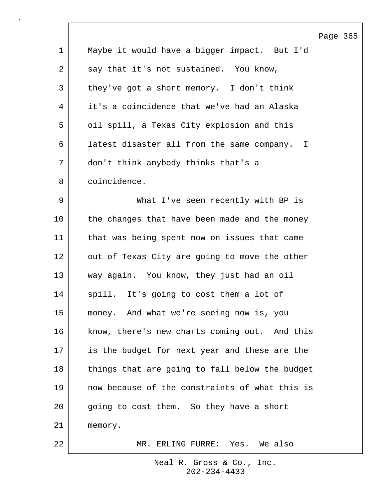|    | Page 365                                       |
|----|------------------------------------------------|
| 1  | Maybe it would have a bigger impact. But I'd   |
| 2  | say that it's not sustained. You know,         |
| 3  | they've got a short memory. I don't think      |
| 4  | it's a coincidence that we've had an Alaska    |
| 5  | oil spill, a Texas City explosion and this     |
| 6  | latest disaster all from the same company. I   |
| 7  | don't think anybody thinks that's a            |
| 8  | coincidence.                                   |
| 9  | What I've seen recently with BP is             |
| 10 | the changes that have been made and the money  |
| 11 | that was being spent now on issues that came   |
| 12 | out of Texas City are going to move the other  |
| 13 | way again. You know, they just had an oil      |
| 14 | spill. It's going to cost them a lot of        |
| 15 | money. And what we're seeing now is, you       |
| 16 | know, there's new charts coming out. And this  |
| 17 | is the budget for next year and these are the  |
| 18 | things that are going to fall below the budget |
| 19 | now because of the constraints of what this is |
| 20 | going to cost them. So they have a short       |
| 21 | memory.                                        |
| 22 | MR. ERLING FURRE: Yes. We also                 |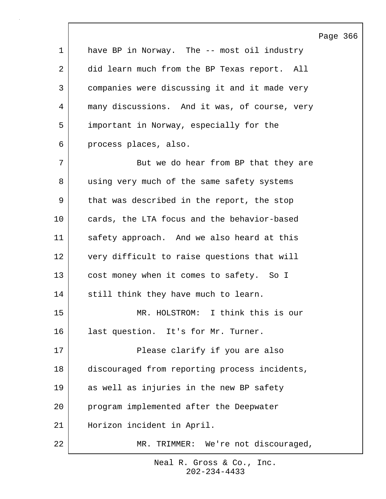Page 366 1 have BP in Norway. The -- most oil industry 2 did learn much from the BP Texas report. All 3 companies were discussing it and it made very 4 many discussions. And it was, of course, very 5 important in Norway, especially for the 6 process places, also. 7 | But we do hear from BP that they are 8 using very much of the same safety systems 9 | that was described in the report, the stop 10 cards, the LTA focus and the behavior-based 11 safety approach. And we also heard at this 12 very difficult to raise questions that will 13 cost money when it comes to safety. So I 14 still think they have much to learn. 15 MR. HOLSTROM: I think this is our 16 | last question. It's for Mr. Turner. 17 | Please clarify if you are also 18 discouraged from reporting process incidents, 19 as well as injuries in the new BP safety 20 program implemented after the Deepwater 21 Horizon incident in April. 22 MR. TRIMMER: We're not discouraged,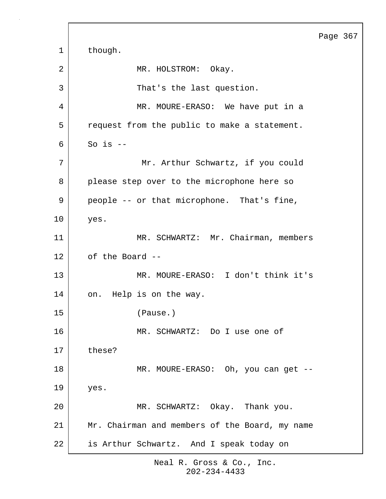Page 367 1 though. 2 MR. HOLSTROM: Okay. 3 | That's the last question. 4 MR. MOURE-ERASO: We have put in a 5 | request from the public to make a statement.  $6$  So is  $-$ 7 | Mr. Arthur Schwartz, if you could 8 please step over to the microphone here so 9 people -- or that microphone. That's fine, 10 yes. 11 | MR. SCHWARTZ: Mr. Chairman, members 12 of the Board --13 MR. MOURE-ERASO: I don't think it's 14 on. Help is on the way. 15 (Pause.) 16 MR. SCHWARTZ: Do I use one of 17 these? 18 | MR. MOURE-ERASO: Oh, you can get --19 yes. 20 MR. SCHWARTZ: Okay. Thank you. 21 Mr. Chairman and members of the Board, my name 22 is Arthur Schwartz. And I speak today on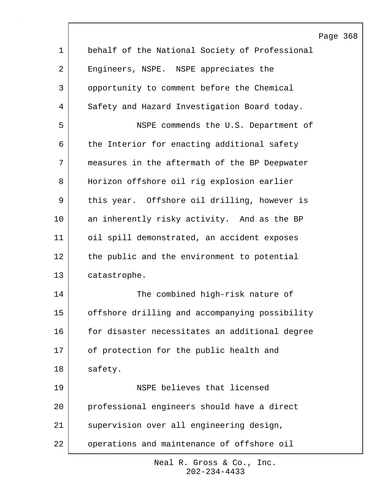|                |                                                | Page 368 |  |
|----------------|------------------------------------------------|----------|--|
| $\mathbf 1$    | behalf of the National Society of Professional |          |  |
| $\overline{2}$ | Engineers, NSPE. NSPE appreciates the          |          |  |
| $\mathsf{3}$   | opportunity to comment before the Chemical     |          |  |
| 4              | Safety and Hazard Investigation Board today.   |          |  |
| 5              | NSPE commends the U.S. Department of           |          |  |
| 6              | the Interior for enacting additional safety    |          |  |
| 7              | measures in the aftermath of the BP Deepwater  |          |  |
| 8              | Horizon offshore oil rig explosion earlier     |          |  |
| 9              | this year. Offshore oil drilling, however is   |          |  |
| 10             | an inherently risky activity. And as the BP    |          |  |
| 11             | oil spill demonstrated, an accident exposes    |          |  |
| 12             | the public and the environment to potential    |          |  |
| 13             | catastrophe.                                   |          |  |
| 14             | The combined high-risk nature of               |          |  |
| 15             | offshore drilling and accompanying possibility |          |  |
| 16             | for disaster necessitates an additional degree |          |  |
| 17             | of protection for the public health and        |          |  |
| 18             | safety.                                        |          |  |
| 19             | NSPE believes that licensed                    |          |  |
| 20             | professional engineers should have a direct    |          |  |
| 21             | supervision over all engineering design,       |          |  |
| 22             | operations and maintenance of offshore oil     |          |  |

 $\lceil$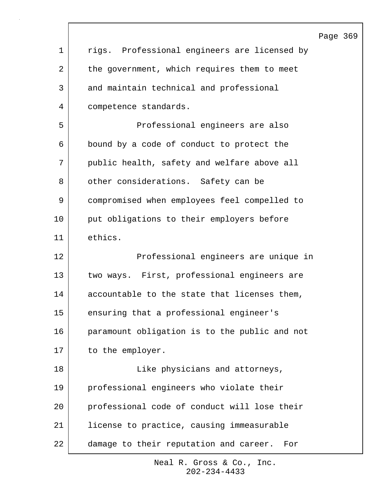|    |                                               | Page 369 |
|----|-----------------------------------------------|----------|
| 1  | rigs. Professional engineers are licensed by  |          |
| 2  | the government, which requires them to meet   |          |
| 3  | and maintain technical and professional       |          |
| 4  | competence standards.                         |          |
| 5  | Professional engineers are also               |          |
| 6  | bound by a code of conduct to protect the     |          |
| 7  | public health, safety and welfare above all   |          |
| 8  | other considerations. Safety can be           |          |
| 9  | compromised when employees feel compelled to  |          |
| 10 | put obligations to their employers before     |          |
| 11 | ethics.                                       |          |
| 12 | Professional engineers are unique in          |          |
| 13 | two ways. First, professional engineers are   |          |
| 14 | accountable to the state that licenses them,  |          |
| 15 | ensuring that a professional engineer's       |          |
| 16 | paramount obligation is to the public and not |          |
| 17 | to the employer.                              |          |
| 18 | Like physicians and attorneys,                |          |
| 19 | professional engineers who violate their      |          |
| 20 | professional code of conduct will lose their  |          |
| 21 | license to practice, causing immeasurable     |          |
| 22 | damage to their reputation and career.<br>For |          |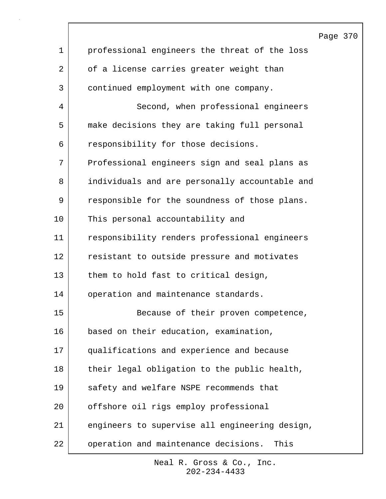|                |                                                | Page 370 |  |
|----------------|------------------------------------------------|----------|--|
| $\mathbf 1$    | professional engineers the threat of the loss  |          |  |
| $\overline{2}$ | of a license carries greater weight than       |          |  |
| 3              | continued employment with one company.         |          |  |
| 4              | Second, when professional engineers            |          |  |
| 5              | make decisions they are taking full personal   |          |  |
| 6              | responsibility for those decisions.            |          |  |
| 7              | Professional engineers sign and seal plans as  |          |  |
| 8              | individuals and are personally accountable and |          |  |
| 9              | responsible for the soundness of those plans.  |          |  |
| 10             | This personal accountability and               |          |  |
| 11             | responsibility renders professional engineers  |          |  |
| 12             | resistant to outside pressure and motivates    |          |  |
| 13             | them to hold fast to critical design,          |          |  |
| 14             | operation and maintenance standards.           |          |  |
| 15             | Because of their proven competence,            |          |  |
| 16             | based on their education, examination,         |          |  |
| 17             | qualifications and experience and because      |          |  |
| 18             | their legal obligation to the public health,   |          |  |
| 19             | safety and welfare NSPE recommends that        |          |  |
| 20             | offshore oil rigs employ professional          |          |  |
| 21             | engineers to supervise all engineering design, |          |  |
| 22             | operation and maintenance decisions.<br>This   |          |  |

 $\lceil$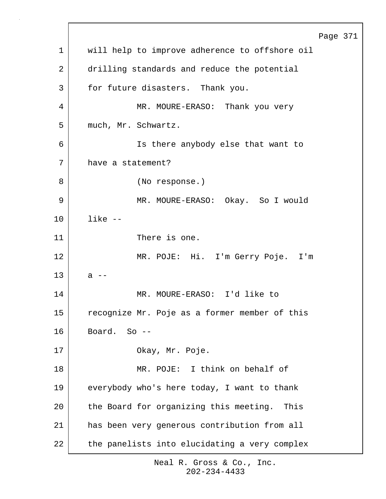Page 371 1 | will help to improve adherence to offshore oil 2 drilling standards and reduce the potential 3 for future disasters. Thank you. 4 | MR. MOURE-ERASO: Thank you very 5 much, Mr. Schwartz. 6 Is there anybody else that want to 7 have a statement? 8 (No response.) 9 MR. MOURE-ERASO: Okay. So I would 10 like -- 11 There is one. 12 MR. POJE: Hi. I'm Gerry Poje. I'm  $13$  a  $-$ 14 MR. MOURE-ERASO: I'd like to 15 recognize Mr. Poje as a former member of this  $16$  Board. So  $-$ 17 | Okay, Mr. Poje. 18 MR. POJE: I think on behalf of 19 everybody who's here today, I want to thank 20 the Board for organizing this meeting. This 21 has been very generous contribution from all 22 the panelists into elucidating a very complex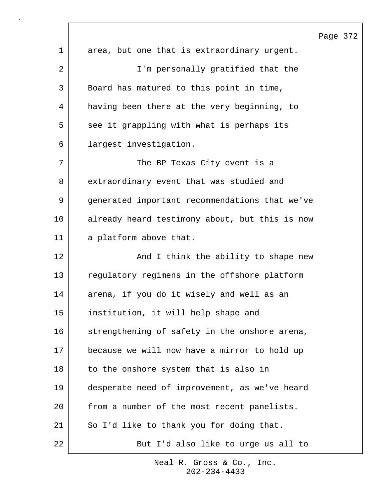|             |                                                | Page 372 |  |
|-------------|------------------------------------------------|----------|--|
| $\mathbf 1$ | area, but one that is extraordinary urgent.    |          |  |
| 2           | I'm personally gratified that the              |          |  |
| 3           | Board has matured to this point in time,       |          |  |
| 4           | having been there at the very beginning, to    |          |  |
| 5           | see it grappling with what is perhaps its      |          |  |
| 6           | largest investigation.                         |          |  |
| 7           | The BP Texas City event is a                   |          |  |
| 8           | extraordinary event that was studied and       |          |  |
| 9           | generated important recommendations that we've |          |  |
| $10 \,$     | already heard testimony about, but this is now |          |  |
| 11          | a platform above that.                         |          |  |
| 12          | And I think the ability to shape new           |          |  |
| 13          | regulatory regimens in the offshore platform   |          |  |
| 14          | arena, if you do it wisely and well as an      |          |  |
| 15          | institution, it will help shape and            |          |  |
| 16          | strengthening of safety in the onshore arena,  |          |  |
| 17          | because we will now have a mirror to hold up   |          |  |
| 18          | to the onshore system that is also in          |          |  |
| 19          | desperate need of improvement, as we've heard  |          |  |
| 20          | from a number of the most recent panelists.    |          |  |
| 21          | So I'd like to thank you for doing that.       |          |  |
| 22          | But I'd also like to urge us all to            |          |  |

 $\lceil$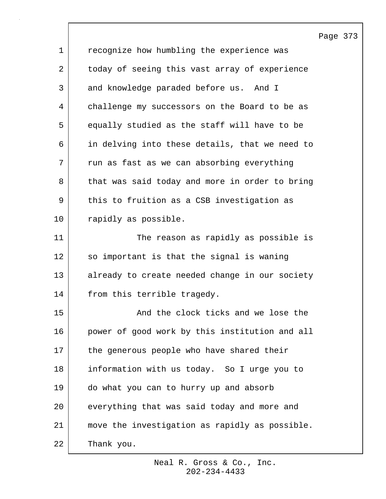|             |                                                | Page 373 |  |
|-------------|------------------------------------------------|----------|--|
| $\mathbf 1$ | recognize how humbling the experience was      |          |  |
| 2           | today of seeing this vast array of experience  |          |  |
| 3           | and knowledge paraded before us. And I         |          |  |
| 4           | challenge my successors on the Board to be as  |          |  |
| 5           | equally studied as the staff will have to be   |          |  |
| 6           | in delving into these details, that we need to |          |  |
| 7           | run as fast as we can absorbing everything     |          |  |
| 8           | that was said today and more in order to bring |          |  |
| 9           | this to fruition as a CSB investigation as     |          |  |
| 10          | rapidly as possible.                           |          |  |
| 11          | The reason as rapidly as possible is           |          |  |
| 12          | so important is that the signal is waning      |          |  |
| 13          | already to create needed change in our society |          |  |
| 14          | from this terrible tragedy.                    |          |  |
| 15          | And the clock ticks and we lose the            |          |  |
| 16          | power of good work by this institution and all |          |  |
| 17          | the generous people who have shared their      |          |  |
| 18          | information with us today. So I urge you to    |          |  |
| 19          | do what you can to hurry up and absorb         |          |  |
| 20          | everything that was said today and more and    |          |  |
| 21          | move the investigation as rapidly as possible. |          |  |
| 22          | Thank you.                                     |          |  |

 $\lceil$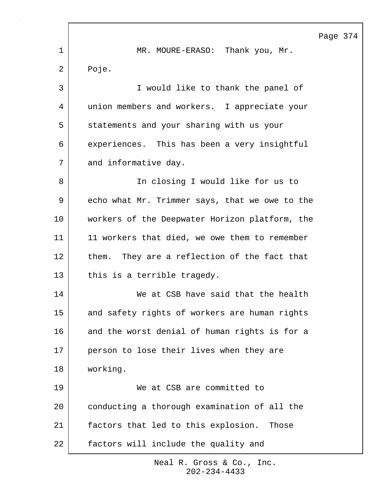1 MR. MOURE-ERASO: Thank you, Mr. 2 Poje. 3 I would like to thank the panel of 4 union members and workers. I appreciate your 5 statements and your sharing with us your 6 | experiences. This has been a very insightful 7 and informative day. 8 In closing I would like for us to 9 echo what Mr. Trimmer says, that we owe to the 10 | workers of the Deepwater Horizon platform, the 11 | 11 workers that died, we owe them to remember 12 them. They are a reflection of the fact that 13 this is a terrible tragedy. 14 We at CSB have said that the health 15 and safety rights of workers are human rights 16 and the worst denial of human rights is for a 17 person to lose their lives when they are 18 working. 19 We at CSB are committed to 20 conducting a thorough examination of all the 21 | factors that led to this explosion. Those 22 factors will include the quality and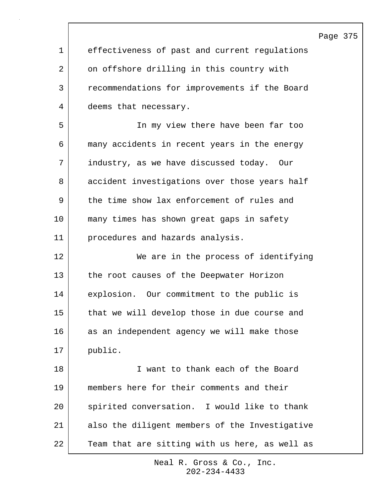|             |                                                | Page 375 |  |
|-------------|------------------------------------------------|----------|--|
| $\mathbf 1$ | effectiveness of past and current regulations  |          |  |
| 2           | on offshore drilling in this country with      |          |  |
| 3           | recommendations for improvements if the Board  |          |  |
| 4           | deems that necessary.                          |          |  |
| 5           | In my view there have been far too             |          |  |
| 6           | many accidents in recent years in the energy   |          |  |
| 7           | industry, as we have discussed today. Our      |          |  |
| 8           | accident investigations over those years half  |          |  |
| 9           | the time show lax enforcement of rules and     |          |  |
| 10          | many times has shown great gaps in safety      |          |  |
| 11          | procedures and hazards analysis.               |          |  |
| 12          | We are in the process of identifying           |          |  |
| 13          | the root causes of the Deepwater Horizon       |          |  |
| 14          | explosion. Our commitment to the public is     |          |  |
| 15          | that we will develop those in due course and   |          |  |
| 16          | as an independent agency we will make those    |          |  |
| 17          | public.                                        |          |  |
| 18          | I want to thank each of the Board              |          |  |
| 19          | members here for their comments and their      |          |  |
| 20          | spirited conversation. I would like to thank   |          |  |
| 21          | also the diligent members of the Investigative |          |  |
| 22          | Team that are sitting with us here, as well as |          |  |

 $\sqrt{ }$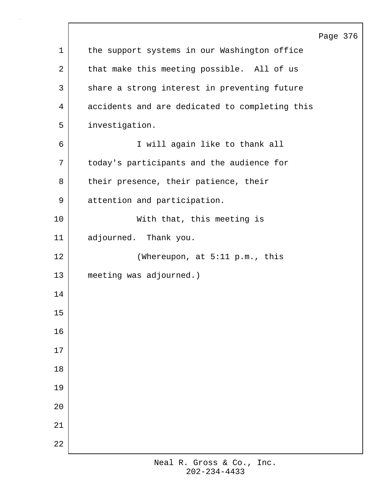|             |                                                | Page 376 |  |
|-------------|------------------------------------------------|----------|--|
| $\mathbf 1$ | the support systems in our Washington office   |          |  |
| 2           | that make this meeting possible. All of us     |          |  |
| 3           | share a strong interest in preventing future   |          |  |
| 4           | accidents and are dedicated to completing this |          |  |
| 5           | investigation.                                 |          |  |
| 6           | I will again like to thank all                 |          |  |
| 7           | today's participants and the audience for      |          |  |
| 8           | their presence, their patience, their          |          |  |
| 9           | attention and participation.                   |          |  |
| 10          | With that, this meeting is                     |          |  |
| 11          | adjourned. Thank you.                          |          |  |
| 12          | (Whereupon, at 5:11 p.m., this                 |          |  |
| 13          | meeting was adjourned.)                        |          |  |
| 14          |                                                |          |  |
| 15          |                                                |          |  |
| $16$        |                                                |          |  |
| $17\,$      |                                                |          |  |
| $1\,8$      |                                                |          |  |
| 19          |                                                |          |  |
| $20$        |                                                |          |  |
| 21          |                                                |          |  |
| 22          |                                                |          |  |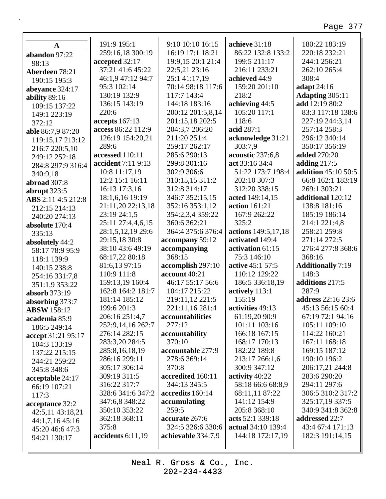٦

|                    | 191:9 195:1                     | 9:10 10:10 16:15       | achieve 31:18       | 180:22 183:19                     |
|--------------------|---------------------------------|------------------------|---------------------|-----------------------------------|
| $\mathbf A$        | 259:16,18 300:19                | 16:19 17:1 18:21       | 86:22 132:8 133:2   | 220:18 232:21                     |
| abandon 97:22      | accepted 32:17                  | 19:9,15 20:1 21:4      | 199:5 211:17        | 244:1 256:21                      |
| 98:13              | 37:21 41:6 45:22                | 22:5,21 23:16          | 216:11 233:21       | 262:10 265:4                      |
| Aberdeen 78:21     | 46:1,9 47:12 94:7               | 25:1 41:17,19          | achieved 44:9       | 308:4                             |
| 190:15 195:3       | 95:3 102:14                     | 70:14 98:18 117:6      | 159:20 201:10       | adapt $24:16$                     |
| abeyance 324:17    | 130:19 132:9                    | 117:7 143:4            | 218:2               | <b>Adapting 305:11</b>            |
| ability 89:16      | 136:15 143:19                   | 144:18 183:16          | achieving 44:5      | add 12:19 80:2                    |
| 109:15 137:22      | 220:6                           | 200:12 201:5,8,14      | 105:20 117:1        | 83:3 117:18 138:6                 |
| 149:1 223:19       | accepts 167:13                  | 201:15,18 202:5        | 118:6               | 227:19 244:3,14                   |
| 372:12             | access 86:22 112:9              | 204:3,7 206:20         | acid 287:1          | 257:14 258:3                      |
| able 86:7,9 87:20  | 126:19 154:20,21                | 211:20 251:4           | acknowledge 31:21   | 296:12 340:14                     |
| 119:15,17 213:12   | 289:6                           | 259:17 262:17          | 303:7,9             | 350:17 356:19                     |
| 216:7 220:5,10     | accessed 110:11                 | 285:6 290:13           | acoustic 237:6,8    | <b>added</b> 270:20               |
| 249:12 252:18      | accident 7:11 9:13              | 299:8 301:16           | act 33:16 34:4      | adding $217:5$                    |
| 284:8 297:9 316:4  | 10:8 11:17,19                   | 302:9 306:6            | 51:22 173:7 198:4   | addition 45:10 50:5               |
| 340:9,18           | 12:2 15:1 16:11                 | 310:15,15 311:2        | 202:10 307:3        | 66:8 162:1 183:19                 |
| abroad 307:8       | 16:13 17:3,16                   | 312:8 314:17           | 312:20 338:15       | 269:1 303:21                      |
| abrupt 323:5       | 18:1,6,16 19:19                 | 346:7 352:15,15        | acted 149:14,15     | additional 120:12                 |
| ABS 2:11 4:5 212:8 | 21:11,20 22:13,18               | 352:16 353:1,12        | action 161:21       | 138:8 181:16                      |
| 212:15 214:13      | 23:19 24:1,5                    | 354:2,3,4 359:22       | 167:9 262:22        | 185:19 186:14                     |
| 240:20 274:13      | 25:11 27:4,4,6,15               | 360:6 362:21           | 325:2               | 214:1 221:4,8                     |
| absolute 170:4     | 28:1,5,12,19 29:6               | 364:4 375:6 376:4      | actions 149:5,17,18 | 258:21 259:8                      |
| 335:13             | 29:15,18 30:8                   |                        | activated 149:4     | 271:14 272:5                      |
| absolutely 44:2    | 38:10 43:6 49:19                | accompany 59:12        | activation 61:15    | 276:4 277:8 368:6                 |
| 58:17 78:9 95:9    |                                 | accompanying<br>368:15 | 75:3 146:10         | 368:16                            |
| 118:1 139:9        | 68:17,22 80:18<br>81:6,13 97:15 | accomplish 297:10      | active 45:1 57:5    |                                   |
| 140:15 238:8       | 110:9 111:8                     | account 40:21          | 110:12 129:22       | <b>Additionally 7:19</b><br>148:3 |
| 254:16 331:7,8     | 159:13,19 160:4                 | 46:17 55:17 56:6       | 186:5 336:18,19     | additions 217:5                   |
| 351:1,9 353:22     | 162:8 164:2 181:7               | 104:17 215:22          | actively 113:1      | 287:9                             |
| absorb 373:19      | 181:14 185:12                   | 219:11,12 221:5        | 155:19              | <b>address</b> 22:16 23:6         |
| absorbing 373:7    | 199:6 201:3                     | 221:11,16 281:4        | activities 49:13    | 45:13 56:15 60:4                  |
| <b>ABSW</b> 158:12 | 206:16 251:4,7                  | accountabilities       | 61:19,20 90:9       | 67:19 72:1 94:16                  |
| academia 85:9      | 252:9,14,16 262:7               | 277:12                 | 101:11 103:16       | 105:11 109:10                     |
| 186:5 249:14       | 276:14 282:15                   | accountability         | 166:18 167:15       | 114:22 160:21                     |
| accept 31:21 95:17 | 283:3,20 284:5                  | 370:10                 | 168:17 170:13       | 167:11 168:18                     |
| 104:3 133:19       | 285:8,16,18,19                  | accountable 277:9      | 182:22 189:8        | 169:15 187:12                     |
| 137:22 215:15      | 286:16 299:11                   | 278:6 369:14           | 213:17 266:1,6      | 190:10 196:2                      |
| 244:21 259:22      | 305:17 306:14                   | 370:8                  | 300:9 347:12        | 206:17,21 244:8                   |
| 345:8 348:6        | 309:19 311:5                    | accredited 160:11      | activity 40:22      | 283:6 290:20                      |
| acceptable 24:17   | 316:22 317:7                    | 344:13 345:5           | 58:18 66:6 68:8,9   | 294:11 297:6                      |
| 66:19 107:21       | 328:6 341:6 347:2               | accredits 160:14       | 68:11,11 87:22      | 306:5 310:2 317:2                 |
| 117:3              | 347:6,8 348:22                  | accumulating           | 141:12 154:9        | 325:17,19 337:5                   |
| acceptance 32:2    | 350:10 353:22                   | 259:5                  | 205:8 368:10        | 340:9 341:8 362:8                 |
| 42:5,11 43:18,21   | 362:18 368:11                   | accurate 267:6         | acts 52:1 339:18    | addressed 22:7                    |
| 44:1,7,16 45:16    | 375:8                           | 324:5 326:6 330:6      | actual 34:10 139:4  | 43:4 67:4 171:13                  |
| 45:20 46:6 47:3    | accidents 6:11,19               | achievable 334:7,9     | 144:18 172:17,19    | 182:3 191:14,15                   |
| 94:21 130:17       |                                 |                        |                     |                                   |

Neal R. Gross & Co., Inc.  $202 - 234 - 4433$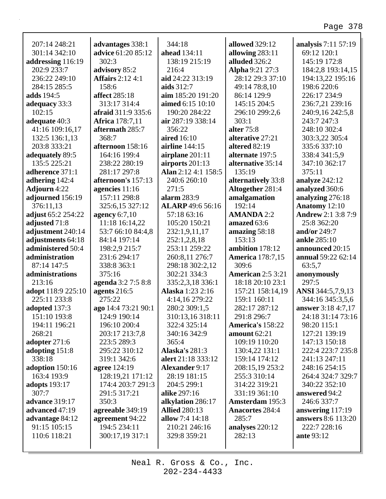| 207:14 248:21        | advantages 338:1                | 344:18                                    | <b>allowed</b> 329:12    | analysis 7:11 57:19                           |
|----------------------|---------------------------------|-------------------------------------------|--------------------------|-----------------------------------------------|
| 301:14 342:10        | <b>advice</b> 61:20 85:12       | ahead 134:11                              | allowing 283:11          | 69:12 120:1                                   |
| addressing 116:19    | 302:3                           | 138:19 215:19                             | alluded 326:2            | 145:19 172:8                                  |
| 202:9 233:7          | advisory 85:2                   | 216:4                                     | Alpha 9:21 27:3          | 184:2,8 193:14,15                             |
| 236:22 249:10        | <b>Affairs</b> 2:12 4:1         | aid 24:22 313:19                          | 28:12 29:3 37:10         | 194:13,22 195:16                              |
| 284:15 285:5         | 158:6                           | aids 312:7                                | 49:14 78:8,10            | 198:6 220:6                                   |
| adds 194:5           | affect 285:18                   | aim 185:20 191:20                         | 86:14 129:9              | 226:17 234:9                                  |
| adequacy 33:3        | 313:17 314:4                    | aimed 6:15 10:10                          | 145:15 204:5             | 236:7,21 239:16                               |
| 102:15               | afraid 311:9 335:6              | 190:20 284:22                             | 296:10 299:2,6           | 240:9,16 242:5,8                              |
| adequate 40:3        | <b>Africa</b> 178:7,11          | air 287:19 338:14                         | 303:1                    | 243:7 247:3                                   |
| 41:16 109:16,17      | aftermath 285:7                 | 356:22                                    | alter 75:8               | 248:10 302:4                                  |
| 132:5 136:1,13       | 368:7                           | aired 16:10                               | alterative 27:21         | 303:3,22 305:4                                |
| 203:8 333:21         | afternoon 158:16                | <b>airline</b> 144:15                     | altered 82:19            | 335:6337:10                                   |
| adequately 89:5      | 164:16 199:4                    | airplane $201:11$                         | alternate 197:5          | 338:4 341:5,9                                 |
| 135:5 225:21         | 238:22 280:19                   | airports 201:13                           | alternative 35:14        | 347:10 362:17                                 |
| adherence 371:1      | 281:17 297:8                    | Alan 2:12 4:1 158:5                       | 135:19                   | 375:11                                        |
| adhering 142:4       | afternoon's 157:13              | 240:6 260:10                              | alternatively 33:8       | analyze 242:12                                |
| <b>Adjourn</b> 4:22  | agencies 11:16                  | 271:5                                     | Altogether 281:4         | analyzed 360:6                                |
| adjourned 156:19     | 157:11 298:8                    | alarm 283:9                               | amalgamation             | analyzing 276:18                              |
| 376:11,13            | 325:6,15 327:12                 | <b>ALARP</b> 49:6 56:16                   | 192:14                   | Anatomy 12:10                                 |
| adjust 65:2 254:22   | agency $6:7,10$                 | 57:18 63:16                               | <b>AMANDA 2:2</b>        | <b>Andrew 2:1 3:8 7:9</b>                     |
| adjusted 71:8        | 11:18 16:14,22                  | 105:20 150:21                             | amazed 63:6              | 25:8 362:20                                   |
| adjustment 240:14    | 53:7 66:10 84:4,8               | 232:1,9,11,17                             | amazing 58:18            | and/or 249:7                                  |
| adjustments 64:18    | 84:14 197:14                    | 252:1,2,8,18                              | 153:13                   | ankle 285:10                                  |
| administered 50:4    | 198:2,9 215:7                   | 253:11 259:22                             | ambition 178:12          | announced 20:15                               |
| administration       | 231:6 294:17                    | 260:8,11 276:7                            | <b>America</b> 178:7,15  | annual 59:22 62:14                            |
| 87:14 147:5          | 338:8 363:1                     | 298:18 302:2,12                           | 309:6                    | 63:5,7                                        |
| administrations      | 375:16                          | 302:21 334:3                              | <b>American 2:5 3:21</b> | anonymously                                   |
| 213:16               | agenda 3:2 7:5 8:8              | 335:2,3,18 336:1                          | 18:18 20:10 23:1         | 297:5                                         |
| adopt 118:9 225:10   | agents 216:5                    | Alaska 1:23 2:16                          | 157:21 158:14,19         | ANSI 344:5,7,9,13                             |
| 225:11 233:8         | 275:22                          | 4:14,16 279:22                            | 159:1 160:11             | 344:16 345:3,5,6                              |
| adopted 137:3        | ago 14:4 73:21 90:1             | 280:2 309:1,5                             | 282:17 287:12            | <b>answer</b> 3:18 4:7,17                     |
| 151:10 193:8         | 124:9 190:14                    | 310:13,16 318:11                          | 291:8 296:7              | 24:18 31:14 73:16                             |
| 194:11 196:21        | 196:10 200:4                    | 322:4 325:14                              | America's 158:22         | 98:20 115:1                                   |
| 268:21               | 203:17 213:7,8                  | 340:16 342:9                              | amount $62:21$           | 127:21 139:19                                 |
| adopter 271:6        | 223:5 289:3                     | 365:4                                     | 109:19 110:20            | 147:13 150:18                                 |
| adopting $151:8$     | 295:22 310:12                   | <b>Alaska's 281:3</b>                     | 130:4,22 131:1           | 222:4 223:7 235:8                             |
| 338:18               | 319:1 342:6                     | alert 21:18 333:12                        | 159:14 174:12            | 241:13 247:11                                 |
| adoption 150:16      | <b>agree</b> 124:19             | <b>Alexander 9:17</b>                     | 208:15,19 253:2          | 248:16 254:15                                 |
| 163:4 193:9          | 128:19,21 171:12                | 28:19 181:15                              | 255:3 310:14             | 264:4 324:7 329:7                             |
| <b>adopts</b> 193:17 | 174:4 203:7 291:3               | 204:5 299:1                               | 314:22 319:21            | 340:22 352:10                                 |
| 307:7                | 291:5 317:21                    | alike 297:16                              | 331:19 361:10            | answered 94:2                                 |
| advance 319:17       | 350:3                           |                                           | <b>Amsterdam</b> 195:3   | 246:6 337:7                                   |
| advanced 47:19       |                                 | alkylation 286:17<br><b>Allied 280:13</b> | <b>Anacortes 284:4</b>   |                                               |
|                      | agreeable 349:19                | allow $7:4$ 14:18                         | 285:7                    | answering 117:19<br><b>answers</b> 8:6 113:20 |
| advantage 84:12      | agreement 94:22<br>194:5 234:11 |                                           |                          | 222:7 228:16                                  |
| 91:15 105:15         |                                 | 210:21 246:16                             | analyses 220:12          |                                               |
| 110:6 118:21         | 300:17,19 317:1                 | 329:8 359:21                              | 282:13                   | <b>ante 93:12</b>                             |
|                      |                                 |                                           |                          |                                               |

Neal R. Gross & Co., Inc.  $202 - 234 - 4433$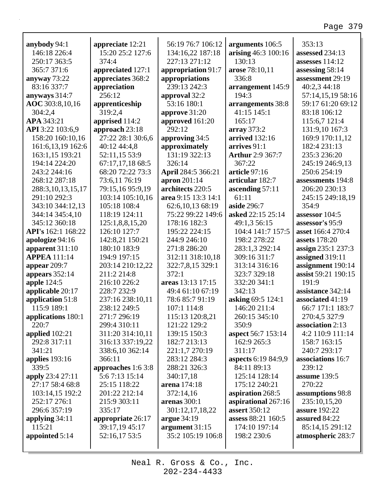| anybody 94:1                               | appreciate 12:21          | 56:19 76:7 106:12              | arguments 106:5                   | 353:13                      |
|--------------------------------------------|---------------------------|--------------------------------|-----------------------------------|-----------------------------|
| 146:18 226:4                               | 15:20 25:2 127:6          | 134:16,22 187:18               | arising 46:3 100:16               | assessed 234:13             |
| 250:17 363:5                               | 374:4                     | 227:13 271:12                  | 130:13                            | assesses 114:12             |
| 365:7 371:6                                | appreciated 127:1         | appropriation 91:7             | arose 78:10,11                    | assessing 58:14             |
| anyway 73:22                               | appreciates 368:2         | appropriations                 | 336:8                             | assessment 29:19            |
| 83:16 337:7                                | appreciation              | 239:13 242:3                   | arrangement 145:9                 | 40:2,3 44:18                |
| anyways 314:7                              | 256:12                    | approval 32:2                  | 194:3                             | 57:14,15,19 58:16           |
| AOC 303:8,10,16                            | apprenticeship            | 53:16 180:1                    | arrangements 38:8                 | 59:17 61:20 69:12           |
| 304:2,4                                    | 319:2,4                   | approve 31:20                  | 41:15 145:1                       | 83:18 106:12                |
| APA 343:21                                 | apprised 114:2            | approved 161:20                | 165:17                            | 115:6,7 121:4               |
| API 3:22 103:6,9                           | approach 23:18            | 292:12                         | array 373:2                       | 131:9,10 167:3              |
| 158:20 160:10,16                           | 27:22 28:1 30:6,6         | approving 34:5                 | <b>arrived</b> 132:16             | 169:9 170:11,12             |
| 161:6,13,19 162:6                          | 40:12 44:4,8              | approximately                  | arrives 91:1                      | 182:4 231:13                |
| 163:1,15 193:21                            | 52:11,15 53:9             | 131:19 322:13                  | <b>Arthur</b> 2:9 367:7           | 235:3 236:20                |
| 194:14 224:20                              | 67:17,17,18 68:5          | 326:14                         | 367:22                            | 245:19 246:9,13             |
| 243:2 244:16                               | 68:20 72:22 73:3          | April 284:5 366:21             | article 97:16                     | 250:6 254:19                |
| 268:12 287:18                              | 73:6,11 76:19             | apron 201:14                   | articular 182:7                   | assessments 194:8           |
| 288:3, 10, 13, 15, 17                      | 79:15,16 95:9,19          | architects 220:5               | ascending 57:11                   | 206:20 230:13               |
| 291:10 292:3                               | 103:14 105:10,16          | area 9:15 13:3 14:1            | 61:11                             | 245:15 249:18,19            |
| 343:10 344:12,13                           | 105:18 108:4              | 62:6,10,13 68:19               | aside 296:7                       | 354:9                       |
| 344:14 345:4,10                            | 118:19 124:11             | 75:22 99:22 149:6              | asked 22:15 25:14                 | assessor 104:5              |
| 345:12 360:18                              | 125:1,8,8,15,20           | 178:16 182:3                   | 49:1,3 56:15                      | assessor's 95:9             |
| API's 162:1 168:22                         | 126:10 127:7              | 195:22 224:15                  | 104:4 141:7 157:5                 | asset 166:4 270:4           |
| apologize 94:16                            | 142:8,21 150:21           | 244:9 246:10                   | 198:2 278:22                      | assets 178:20               |
| apparent $311:10$                          | 180:10 183:9              | 271:8 286:20                   | 283:1,3 292:14                    | assign 235:1 237:3          |
| <b>APPEA</b> 111:14                        | 194:9 197:15              | 312:11 318:10,18               | 309:16 311:7                      | assigned 319:11             |
| appear $209:7$                             | 203:14 210:12,22          | 322:7,8,15 329:1               | 313:14 316:16                     | assignment 190:14           |
| appears $352:14$                           | 211:2 214:8               | 372:1                          | 323:7 329:18                      | assist 59:21 190:15         |
| apple $124:5$                              | 216:10 226:2              | areas 13:13 17:15              | 332:20 341:1                      | 191:9                       |
| applicable 20:17                           | 228:7 232:9               | 49:4 61:10 67:19               | 342:13                            | assistance 342:14           |
| application 51:8                           | 237:16 238:10,11          | 78:6 85:7 91:19                | asking 69:5 124:1                 | associated 41:19            |
| 115:9 189:1                                | 238:12 249:5              | 107:1 114:8                    | 146:20 211:4                      | 66:7 171:1 183:7            |
|                                            | 271:7 296:19              | 115:13 120:8,21                | 260:15 345:10                     | 270:4,5 327:9               |
| applications 180:1<br>220:7                | 299:4 310:11              | 121:22 129:2                   | 350:9                             | association 2:13            |
| applied 102:21                             | 311:20 314:10,11          | 139:15 150:3                   |                                   | 4:2 110:9 111:14            |
| 292:8 317:11                               |                           | 182:7 213:13                   | aspect 56:7 153:14<br>162:9 265:3 | 158:7 163:15                |
| 341:21                                     | 316:13 337:19,22          |                                | 311:17                            |                             |
|                                            | 338:6,10 362:14<br>366:11 | 221:1,7 270:19<br>283:12 284:3 |                                   | 240:7 293:17                |
| applies $193:16$                           |                           |                                | aspects 6:19 84:9,9               | associations 16:7<br>239:12 |
| 339:5                                      | approaches 1:6 3:8        | 288:21 326:3                   | 84:11 89:13                       |                             |
| <b>apply</b> 23:4 27:11<br>27:17 58:4 68:8 | 5:67:13 15:14             | 340:17,18                      | 125:14 128:14                     | assume 139:5                |
|                                            | 25:15 118:22              | arena 174:18                   | 175:12 240:21                     | 270:22                      |
| 103:14,15 192:2                            | 201:22 212:14             | 372:14,16                      | aspiration 268:5                  | assumptions 98:8            |
| 252:17 276:1                               | 215:9 303:11              | arenas $300:1$                 | aspirational 267:16               | 235:10,15,20                |
| 296:6 357:19                               | 335:17                    | 301:12,17,18,22                | assert 350:12                     | <b>assure</b> 192:22        |
| applying 34:11                             | appropriate 26:17         | argue 34:19                    | assess 88:21 160:5                | assured 84:22               |
| 115:21                                     | 39:17,19 45:17            | argument 31:15                 | 174:10 197:14                     | 85:14,15 291:12             |
| appointed 5:14                             | 52:16,17 53:5             | 35:2 105:19 106:8              | 198:2 230:6                       | atmospheric 283:7           |
|                                            |                           |                                |                                   |                             |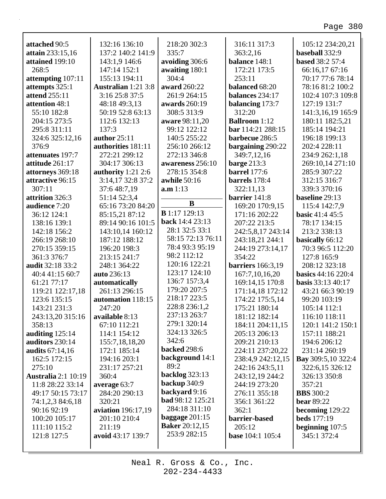| attached 90:5<br>attain 233:15,16<br>attained 199:10<br>268:5<br>attempting 107:11<br>attempts 325:1<br>attend 255:11<br>attention 48:1<br>55:10 182:8<br>204:15 273:5<br>295:8 311:11<br>324:6 325:12,16 | 132:16 136:10<br>137:2 140:2 141:9<br>143:1,9 146:6<br>147:14 152:1<br>155:13 194:11<br><b>Australian</b> 1:21 3:8<br>3:16 25:8 37:5<br>48:18 49:3,13<br>50:19 52:8 63:13<br>112:6 132:13<br>137:3<br>author 25:11 | 218:20 302:3<br>335:7<br>avoiding 306:6<br>awaiting 180:1<br>304:4<br>award 260:22<br>261:9 264:15<br>awards 260:19<br>308:5 313:9<br>aware 98:11,20<br>99:12 122:12<br>140:5 255:22 | 316:11 317:3<br>363:2,16<br>balance 148:1<br>172:21 173:5<br>253:11<br>balanced 68:20<br>balances 234:17<br>balancing 173:7<br>312:20<br><b>Ballroom</b> 1:12<br>bar 114:21 288:15<br>barbecue 286:5 | 105:12 234:20,21<br>baseball 332:9<br><b>based</b> 38:2 57:4<br>66:16,17 67:16<br>70:17 77:6 78:14<br>78:16 81:2 100:2<br>102:4 107:3 109:8<br>127:19 131:7<br>141:3,16,19 165:9<br>180:11 182:5,21<br>185:14 194:21<br>196:18 199:13 |
|-----------------------------------------------------------------------------------------------------------------------------------------------------------------------------------------------------------|--------------------------------------------------------------------------------------------------------------------------------------------------------------------------------------------------------------------|--------------------------------------------------------------------------------------------------------------------------------------------------------------------------------------|------------------------------------------------------------------------------------------------------------------------------------------------------------------------------------------------------|---------------------------------------------------------------------------------------------------------------------------------------------------------------------------------------------------------------------------------------|
| 376:9<br>attenuates 197:7                                                                                                                                                                                 | authorities 181:11<br>272:21 299:12                                                                                                                                                                                | 256:10 266:12<br>272:13 346:8                                                                                                                                                        | bargaining 290:22<br>349:7,12,16                                                                                                                                                                     | 202:4 228:11<br>234:9 262:1,18                                                                                                                                                                                                        |
| attitude 261:17                                                                                                                                                                                           | 304:17 306:13                                                                                                                                                                                                      | awareness 256:10                                                                                                                                                                     | barge $213:3$                                                                                                                                                                                        | 269:10,14 271:10                                                                                                                                                                                                                      |
| attorneys 369:18                                                                                                                                                                                          | authority $1:21$ 2:6                                                                                                                                                                                               | 278:15 354:8                                                                                                                                                                         | <b>barrel</b> 177:6                                                                                                                                                                                  | 285:9 307:22                                                                                                                                                                                                                          |
| attractive 96:15                                                                                                                                                                                          | 3:14,17 32:8 37:2                                                                                                                                                                                                  | awhile 50:16                                                                                                                                                                         | barrels 178:4                                                                                                                                                                                        | 312:15 316:7                                                                                                                                                                                                                          |
| 307:11                                                                                                                                                                                                    | 37:6 48:7,19                                                                                                                                                                                                       | a.m 1:13                                                                                                                                                                             | 322:11,13                                                                                                                                                                                            | 339:3 370:16                                                                                                                                                                                                                          |
| attrition 326:3                                                                                                                                                                                           | 51:14 52:3,4                                                                                                                                                                                                       |                                                                                                                                                                                      | barrier 141:8                                                                                                                                                                                        | baseline 29:13                                                                                                                                                                                                                        |
| audience 7:20                                                                                                                                                                                             | 65:16 73:20 84:20                                                                                                                                                                                                  | $\bf{B}$                                                                                                                                                                             | 169:20 170:9,15                                                                                                                                                                                      | 115:4 142:7,9                                                                                                                                                                                                                         |
| 36:12 124:1                                                                                                                                                                                               | 85:15,21 87:12                                                                                                                                                                                                     | <b>B</b> 1:17 129:13                                                                                                                                                                 | 171:16 202:22                                                                                                                                                                                        | <b>basic</b> 41:4 45:5                                                                                                                                                                                                                |
| 138:16 139:1                                                                                                                                                                                              | 89:14 90:16 101:5                                                                                                                                                                                                  | back 14:4 23:13                                                                                                                                                                      | 207:22 213:5                                                                                                                                                                                         | 78:17 134:15                                                                                                                                                                                                                          |
| 142:18 156:2                                                                                                                                                                                              | 143:10,14 160:12                                                                                                                                                                                                   | 28:1 32:5 33:1                                                                                                                                                                       | 242:5,8,17 243:14                                                                                                                                                                                    | 213:2 338:13                                                                                                                                                                                                                          |
| 266:19 268:10                                                                                                                                                                                             | 187:12 188:12                                                                                                                                                                                                      | 58:15 72:13 76:11                                                                                                                                                                    | 243:18,21 244:1                                                                                                                                                                                      | basically 66:12                                                                                                                                                                                                                       |
| 270:15 359:15                                                                                                                                                                                             | 196:20 198:3                                                                                                                                                                                                       | 78:4 93:3 95:19                                                                                                                                                                      | 244:19 273:14,17                                                                                                                                                                                     | 70:3 96:5 112:20                                                                                                                                                                                                                      |
| 361:3 376:7                                                                                                                                                                                               | 213:15 241:7                                                                                                                                                                                                       | 98:2 112:12                                                                                                                                                                          | 354:22                                                                                                                                                                                               | 127:8 165:9                                                                                                                                                                                                                           |
| audit 32:18 33:2                                                                                                                                                                                          | 248:1 364:22                                                                                                                                                                                                       | 120:16 122:21                                                                                                                                                                        | <b>barriers</b> 166:3,19                                                                                                                                                                             | 208:12 323:18                                                                                                                                                                                                                         |
| 40:4 41:15 60:7                                                                                                                                                                                           | auto 236:13                                                                                                                                                                                                        | 123:17 124:10                                                                                                                                                                        | 167:7,10,16,20                                                                                                                                                                                       | <b>basics</b> 44:16 220:4                                                                                                                                                                                                             |
| 61:21 77:17                                                                                                                                                                                               | automatically                                                                                                                                                                                                      | 136:7 157:3,4                                                                                                                                                                        | 169:14,15 170:8                                                                                                                                                                                      | <b>basis</b> 33:13 40:17                                                                                                                                                                                                              |
| 119:21 122:17,18                                                                                                                                                                                          | 261:13 296:15                                                                                                                                                                                                      | 179:20 207:5                                                                                                                                                                         | 171:14,18 172:12                                                                                                                                                                                     | 43:21 66:3 90:19                                                                                                                                                                                                                      |
| 123:6 135:15                                                                                                                                                                                              | automation 118:15                                                                                                                                                                                                  | 218:17 223:5                                                                                                                                                                         | 174:22 175:5,14                                                                                                                                                                                      | 99:20 103:19                                                                                                                                                                                                                          |
| 143:21 231:3                                                                                                                                                                                              | 247:20                                                                                                                                                                                                             | 228:8 236:1,2                                                                                                                                                                        | 175:21 180:14                                                                                                                                                                                        | 105:14 112:1                                                                                                                                                                                                                          |
| 243:13,20 315:16                                                                                                                                                                                          | available 8:13                                                                                                                                                                                                     | 237:13 263:7                                                                                                                                                                         | 181:12 182:14                                                                                                                                                                                        | 116:10 118:11                                                                                                                                                                                                                         |
| 358:13                                                                                                                                                                                                    | 67:10 112:21                                                                                                                                                                                                       | 279:1 320:14                                                                                                                                                                         | 184:11 204:11,15                                                                                                                                                                                     | 120:1 141:2 150:1                                                                                                                                                                                                                     |
| auditing 125:14                                                                                                                                                                                           | 114:1 154:12                                                                                                                                                                                                       | 324:13 326:5                                                                                                                                                                         | 205:13 206:13                                                                                                                                                                                        | 157:11 188:21                                                                                                                                                                                                                         |
| auditors 230:14                                                                                                                                                                                           | 155:7, 18, 18, 20                                                                                                                                                                                                  | 342:6                                                                                                                                                                                | 209:21 210:13                                                                                                                                                                                        | 194:6 206:12                                                                                                                                                                                                                          |
| <b>audits</b> 67:14,16                                                                                                                                                                                    | 172:1 185:14                                                                                                                                                                                                       | <b>backed</b> 298:6                                                                                                                                                                  | 224:11 237:20,22                                                                                                                                                                                     | 231:14 260:19                                                                                                                                                                                                                         |
| 162:5 172:15                                                                                                                                                                                              | 194:16 203:1                                                                                                                                                                                                       | <b>background</b> 14:1                                                                                                                                                               | 238:4,9 242:12,15                                                                                                                                                                                    | <b>Bay</b> 309:5,10 322:4                                                                                                                                                                                                             |
| 275:10                                                                                                                                                                                                    | 231:17 257:21                                                                                                                                                                                                      | 89:2                                                                                                                                                                                 | 242:16 243:5,11                                                                                                                                                                                      | 322:6,15 326:12                                                                                                                                                                                                                       |
| <b>Australia</b> 2:1 10:19                                                                                                                                                                                | 360:4                                                                                                                                                                                                              | <b>backlog</b> 323:13                                                                                                                                                                | 243:12,19 244:2                                                                                                                                                                                      | 326:13 350:8                                                                                                                                                                                                                          |
| 11:8 28:22 33:14                                                                                                                                                                                          | average 63:7                                                                                                                                                                                                       | backup 340:9                                                                                                                                                                         | 244:19 273:20                                                                                                                                                                                        | 357:21                                                                                                                                                                                                                                |
| 49:17 50:15 73:17                                                                                                                                                                                         | 284:20 290:13                                                                                                                                                                                                      | backyard 9:16                                                                                                                                                                        | 276:11 355:18                                                                                                                                                                                        | <b>BBS</b> 300:2                                                                                                                                                                                                                      |
| 74:1,2,3 84:6,18                                                                                                                                                                                          | 320:21                                                                                                                                                                                                             | bad 98:12 125:21                                                                                                                                                                     | 356:1 361:22                                                                                                                                                                                         | <b>bear</b> 89:22                                                                                                                                                                                                                     |
| 90:16 92:19                                                                                                                                                                                               | <b>aviation</b> 196:17,19                                                                                                                                                                                          | 284:18 311:10                                                                                                                                                                        | 362:1                                                                                                                                                                                                | becoming $129:22$                                                                                                                                                                                                                     |
| 100:20 105:17                                                                                                                                                                                             | 201:10 210:4                                                                                                                                                                                                       | baggage $201:15$                                                                                                                                                                     | barrier-based                                                                                                                                                                                        | <b>beds</b> 177:19                                                                                                                                                                                                                    |
| 111:10 115:2                                                                                                                                                                                              | 211:19                                                                                                                                                                                                             | <b>Baker</b> 20:12,15                                                                                                                                                                | 205:12                                                                                                                                                                                               | beginning $107:5$                                                                                                                                                                                                                     |
| 121:8 127:5                                                                                                                                                                                               | avoid 43:17 139:7                                                                                                                                                                                                  | 253:9 282:15                                                                                                                                                                         | <b>base</b> 104:1 105:4                                                                                                                                                                              | 345:1 372:4                                                                                                                                                                                                                           |
|                                                                                                                                                                                                           |                                                                                                                                                                                                                    |                                                                                                                                                                                      |                                                                                                                                                                                                      |                                                                                                                                                                                                                                       |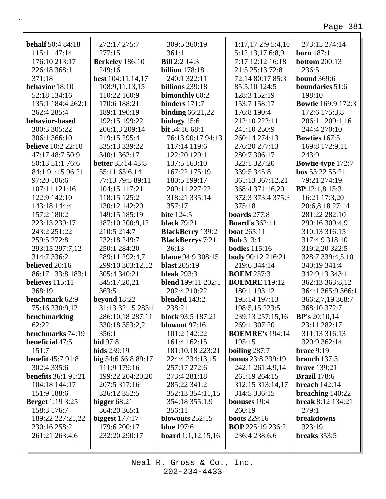| <b>behalf</b> 50:4 84:18   | 272:17 275:7             | 309:5 360:19                | $1:17,17$ 2:9 5:4,10     | 273:15 274:14             |
|----------------------------|--------------------------|-----------------------------|--------------------------|---------------------------|
| 115:1 147:14               | 277:15                   | 361:1                       | 5:12,13,17 6:8,9         | <b>born</b> 187:1         |
| 176:10 213:17              | <b>Berkeley</b> 186:10   | <b>Bill</b> 2:2 14:3        | 7:17 12:12 16:18         | <b>bottom</b> 200:13      |
| 226:18 368:1               | 249:16                   | <b>billion</b> 178:18       | 21:5 25:13 72:8          | 236:5                     |
| 371:18                     | best 104:11,14,17        | 240:1 322:11                | 72:14 80:17 85:3         | <b>bound</b> 369:6        |
| behavior 18:10             | 108:9,11,13,15           | <b>billions</b> 239:18      | 85:5,10 124:5            | boundaries 51:6           |
| 52:18 134:16               | 110:22 160:9             | bimonthly 60:2              | 128:3 152:19             | 198:10                    |
| 135:1 184:4 262:1          | 170:6 188:21             | binders $171:7$             | 153:7 158:17             | <b>Bowtie</b> 169:9 172:3 |
| 262:4 285:4                | 189:1 190:19             | binding $66:21,22$          | 176:8 190:4              | 172:6 175:3,8             |
| behavior-based             | 192:15 199:22            | biology 15:6                | 212:10 222:11            | 206:11 209:1,16           |
| 300:3 305:22               | 206:1,3 209:14           | bit 54:16 68:1              | 241:10 250:9             | 244:4 270:10              |
| 306:1 366:10               | 219:15 295:4             | 76:13 90:17 94:13           | 260:14 274:13            | <b>Bowties</b> 167:5      |
| <b>believe</b> 10:2 22:10  | 335:13 339:22            | 117:14 119:6                | 276:20 277:13            | 169:8 172:9,11            |
| 47:17 48:7 50:9            | 340:1 362:17             | 122:20 129:1                | 280:7 306:17             | 243:9                     |
| 50:13 51:1 76:6            | <b>better</b> 35:14 43:8 | 137:5 163:10                | 322:1 327:20             | Bowtie-type 172:7         |
| 84:1 91:15 96:21           | 55:11 65:6,14            | 167:22 175:19               | 339:5 345:8              | box 53:22 55:21           |
| 97:20 106:6                | 77:13 79:5 89:11         | 180:5 199:17                | 361:13 367:12,21         | 79:21 274:19              |
| 107:11 121:16              | 104:15 117:21            | 209:11 227:22               | 368:4 371:16,20          | <b>BP</b> 12:1,8 15:3     |
| 122:9 142:10               | 118:15 125:2             | 318:21 335:14               | 372:3 373:4 375:3        | 16:21 17:3,20             |
| 143:18 144:4               | 130:12 142:20            | 357:17                      | 375:18                   | 20:6,8,18 27:14           |
| 157:2 180:2                | 149:15 185:19            | <b>bite</b> 124:5           | <b>boards</b> 277:8      | 281:22 282:10             |
| 223:13 239:17              | 187:10 200:9,12          | <b>black</b> 79:21          | <b>Board's 362:11</b>    | 290:16 309:4,9            |
| 243:2 251:22               | 210:5 214:7              | <b>BlackBerry</b> 139:2     | <b>boat</b> 265:11       | 310:13 316:15             |
| 259:5 272:8                | 232:18 249:7             | <b>BlackBerrys</b> 7:21     | <b>Bob</b> 313:4         | 317:4,9 318:10            |
| 293:15 297:7,12            | 250:1 284:20             | 36:13                       | <b>bodies</b> 115:16     | 319:2,20 322:5            |
| 314:7 336:2                | 289:11 292:4,7           | blame 94:9 308:15           | body 90:12 216:21        | 328:7 339:4,5,10          |
| believed 20:16             | 299:10 303:12,12         | <b>blast</b> 205:19         | 219:6 344:14             | 340:19 341:4              |
| 86:17 133:8 183:1          | 305:4 340:21             | <b>bleak</b> 293:3          | <b>BOEM 257:3</b>        | 342:9,13 343:1            |
| believes 115:11            | 345:17,20,21             | <b>blend</b> 199:11 202:1   | <b>BOEMRE</b> 119:12     | 362:13 363:8,12           |
| 368:19                     | 363:5                    | 202:4 210:22                | 180:1 193:12             | 364:1 365:9 366:1         |
| benchmark 62:9             | beyond 18:22             | blended 143:2               | 195:14 197:13            | 366:2,7,19 368:7          |
| 75:16 230:9,12             | 31:13 32:15 283:1        | 238:21                      | 198:5,15 223:5           | 368:10 372:7              |
| benchmarking               | 286:10,18 287:11         | <b>block</b> 93:5 187:21    | 239:13 257:15,16         | BP's 20:10,14             |
| 62:22                      | 330:18 353:2,2           | blowout $97:16$             | 269:1 307:20             | 23:11 282:17              |
| benchmarks 74:19           | 356:1                    | 101:2 142:22                | <b>BOEMRE's 194:14</b>   | 311:13 316:13             |
| beneficial 47:5            | <b>bid</b> 97:8          | 161:4 162:15                | 195:15                   | 320:9 362:14              |
| 151:7                      | <b>bids</b> 239:19       | 181:10,18 223:21            | boiling $287:7$          | brace 9:19                |
| <b>benefit 45:7 91:8</b>   | big 54:6 66:8 89:17      | 224:4 234:13,15             | <b>bonus</b> 23:8 239:19 | branch $137:3$            |
| 302:4 335:6                | 111:9 179:16             | 257:17 272:6                | 242:1 261:4,9,14         | <b>brave</b> 139:21       |
| <b>benefits</b> 36:1 91:21 | 199:22 204:20,20         | 273:4 281:18                | 261:19 264:15            | <b>Brazil</b> 178:6       |
| 104:18 144:17              | 207:5 317:16             | 285:22 341:2                | 312:15 313:14,17         | breach $142:14$           |
| 151:9 188:6                | 326:12 352:5             | 352:13 354:11,15            | 314:5 336:15             | breaching 140:22          |
| <b>Berget</b> 1:19 3:25    | bigger $68:21$           | 354:18 355:1,9              | <b>bonuses</b> 19:4      | <b>break</b> 8:12 134:21  |
| 158:3 176:7                | 364:20 365:1             | 356:11                      | 260:19                   | 279:1                     |
| 189:22 227:21,22           | biggest $177:17$         | blowouts 252:15             | <b>boots</b> 229:16      | breakdowns                |
| 230:16 258:2               | 179:6 200:17             | <b>blue</b> 197:6           | <b>BOP</b> 225:19 236:2  | 323:19                    |
| 261:21 263:4,6             | 232:20 290:17            | <b>board</b> $1:1,12,15,16$ | 236:4 238:6,6            | breaks 353:5              |
|                            |                          |                             |                          |                           |

Neal R. Gross & Co., Inc.  $202 - 234 - 4433$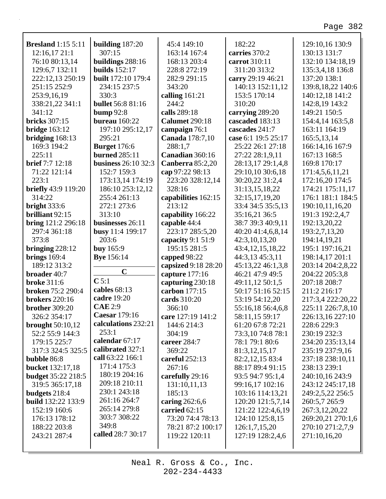| <b>Bresland</b> 1:15 5:11  | building $187:20$          | 45:4 149:10           | 182:22               | 129:10,16 130:9   |
|----------------------------|----------------------------|-----------------------|----------------------|-------------------|
| 12:16,1721:1               | 307:15                     | 163:14 167:4          | carries 370:2        | 130:13 131:7      |
| 76:10 80:13,14             | buildings 288:16           | 168:13 203:4          | carrot 310:11        | 132:10 134:18,19  |
| 129:6,7 132:11             | <b>builds</b> 152:17       | 228:8 272:19          | 311:20 313:2         | 135:3,4,18 136:8  |
| 222:12,13 250:19           | <b>built</b> 172:10 179:4  | 282:9 291:15          | carry 29:19 46:21    | 137:20 138:1      |
| 251:15 252:9               | 234:15 237:5               | 343:20                | 140:13 152:11,12     | 139:8,18,22 140:6 |
| 253:9,16,19                | 330:3                      | calling $161:21$      | 153:5 170:14         | 140:12,18 141:2   |
| 338:21,22 341:1            | <b>bullet</b> 56:8 81:16   | 244:2                 | 310:20               | 142:8,19 143:2    |
| 341:12                     | bump $92:8$                | calls 289:18          | carrying 289:20      | 149:21 150:5      |
| <b>bricks</b> 307:15       | <b>bureau</b> 160:22       | <b>Calumet 290:18</b> | cascaded 183:13      | 154:4,14 163:5,8  |
| <b>bridge</b> 163:12       | 197:10 295:12,17           | campaign 76:1         | cascades 241:7       | 163:11 164:19     |
| bridging $168:13$          | 295:21                     | Canada 178:7,10       | case 6:1 19:5 25:17  | 165:5,13,14       |
| 169:3 194:2                | <b>Burget</b> 176:6        | 288:1,7               | 25:22 26:1 27:18     | 166:14,16 167:9   |
| 225:11                     | <b>burned</b> 285:11       | Canadian 360:16       | 27:22 28:1,9,11      | 167:13 168:5      |
| <b>brief</b> 7:7 12:18     | <b>business</b> 26:10 32:3 | Canberra 85:2,20      | 28:13,17 29:1,4,8    | 169:8 170:17      |
| 71:22 121:14               | 152:7 159:3                | cap 97:22 98:13       | 29:10,10 30:6,18     | 171:4,5,6,11,21   |
| 223:1                      | 173:13,14 174:19           | 223:20 328:12,14      | 30:20,22 31:2,4      | 172:16,20 174:5   |
| <b>briefly</b> 43:9 119:20 | 186:10 253:12,12           | 328:16                | 31:13,15,18,22       | 174:21 175:11,17  |
| 314:22                     | 255:4 261:13               | capabilities 162:15   | 32:15,17,19,20       | 176:1 181:1 184:5 |
| bright $333:6$             | 272:1 273:6                | 213:12                | 33:4 34:5 35:5,13    | 190:10,11,16,20   |
| brilliant 92:15            | 313:10                     | capability 166:22     | 35:16,21 36:5        | 191:3 192:2,4,7   |
| bring 121:2 296:18         | businesses 26:11           | capable 44:4          | 38:7 39:3 40:9,11    | 192:13,20,22      |
| 297:4 361:18               | busy 11:4 199:17           | 223:17 285:5,20       | 40:20 41:4,6,8,14    | 193:2,7,13,20     |
| 373:8                      | 203:6                      | capacity 9:1 51:9     | 42:3,10,13,20        | 194:14,19,21      |
| bringing $228:12$          | <b>buy</b> 165:9           | 195:15 281:5          | 43:4, 12, 15, 18, 22 | 195:1 197:16,21   |
| brings $169:4$             | <b>Bye</b> 156:14          | capped 98:22          | 44:3,13 45:3,11      | 198:14,17 201:1   |
| 189:12 313:2               | $\mathbf C$                | capsized 9:18 28:20   | 45:13,22 46:1,3,8    | 203:14 204:2,8,22 |
| broader 40:7               | $C$ 5:1                    | capture 177:16        | 46:21 47:9 49:5      | 204:22 205:3,8    |
| <b>broke</b> 311:6         |                            | capturing 230:18      | 49:11,12 50:1,5      | 207:18 208:7      |
| <b>broken</b> 75:2 290:4   | cables 68:13               | carbon 177:15         | 50:17 51:16 52:15    | 211:2 216:17      |
| <b>brokers</b> 220:16      | cadre 19:20                | cards 310:20          | 53:19 54:12,20       | 217:3,4 222:20,22 |
| <b>brother</b> 309:20      | <b>CAE 2:9</b>             | 366:10                | 55:16,18 56:4,6,8    | 225:11 226:7,8,10 |
| 326:2 354:17               | Caesar 179:16              | care 127:19 141:2     | 58:11,15 59:17       | 226:13,16 227:10  |
| brought $50:10,12$         | calculations 232:21        | 144:6 214:3           | 61:20 67:8 72:21     | 228:6 229:3       |
| 52:2 55:9 144:3            | 253:1                      | 304:19                | 73:3,10 74:8 78:1    | 230:19 232:3      |
| 179:15 225:7               | calendar 67:17             | career 284:7          | 78:1 79:1 80:6       | 234:20 235:13,14  |
| 317:3 324:5 325:5          | calibrated 327:1           | 369:22                | 81:3,12,15,17        | 235:19 237:9,16   |
| bubble 86:8                | call 63:22 166:1           | careful $252:13$      | 82:2,12,15 83:4      | 237:18 238:10,11  |
| bucket 132:17,18           | 171:4 175:3                | 267:16                | 88:17 89:4 91:15     | 238:13 239:1      |
| <b>budget</b> 35:22 218:5  | 180:19 204:16              | carefully 29:16       | 93:5 94:7 95:1,4     | 240:10,16 243:9   |
| 319:5 365:17,18            | 209:18 210:11              | 131:10,11,13          | 99:16,17 102:16      | 243:12 245:17,18  |
| budgets 218:4              | 230:1 243:18               | 185:13                | 103:16 114:13,21     | 249:2,5,22 256:5  |
| <b>build</b> 132:22 133:9  | 261:16 264:7               | caring $262:6,6$      | 120:20 121:5,7,14    | 260:5,7 265:9     |
| 152:19 160:6               | 265:14 279:8               | carried 62:15         | 121:22 122:4,6,19    | 267:3,12,20,22    |
| 176:13 178:12              | 303:7 308:22               | 73:20 74:4 78:13      | 124:10 125:8,15      | 269:20,21 270:1,6 |
| 188:22 203:8               | 349:8                      | 78:21 87:2 100:17     | 126:1,7,15,20        | 270:10 271:2,7,9  |
| 243:21 287:4               | called 28:7 30:17          | 119:22 120:11         | 127:19 128:2,4,6     | 271:10,16,20      |
|                            |                            |                       |                      |                   |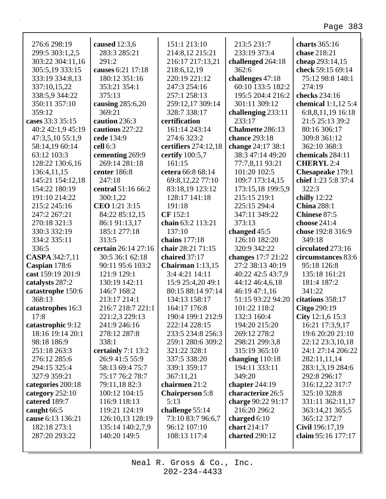٦

| 276:6 298:19      | caused 12:3,6        | 151:1 213:10           | 213:5 231:7        | charts $365:16$       |
|-------------------|----------------------|------------------------|--------------------|-----------------------|
| 299:5 303:1,2,5   | 283:3 285:21         | 214:8,12 215:21        | 233:19 373:4       | chase 218:21          |
| 303:22 304:11,16  | 291:2                | 216:17 217:13,21       | challenged 264:18  | cheap 293:14,15       |
| 305:5,19 333:15   | causes 6:21 17:18    | 218:6,12,19            | 362:6              | check 59:15 69:14     |
| 333:19 334:8,13   | 180:12 351:16        | 220:19 221:12          | challenges 47:18   | 75:12 98:8 148:1      |
| 337:10,15,22      | 353:21 354:1         | 247:3 254:16           | 60:10 133:5 182:2  | 274:19                |
| 338:5,9 344:22    | 375:13               | 257:1 258:13           | 195:5 204:4 216:2  | checks 234:16         |
| 350:11 357:10     | causing $285:6,20$   | 259:12,17 309:14       | 301:11 309:12      | chemical $1:1,12$ 5:4 |
| 359:12            | 369:21               | 328:7 338:17           | challenging 233:11 | 6:8,8,11,19 16:18     |
| cases 33:3 35:15  | caution 236:3        | certification          | 233:17             | 21:5 25:13 39:2       |
| 40:2 42:1,9 45:19 | cautious 227:22      | 161:14 243:14          | Chalmette 286:13   | 80:16 306:17          |
| 47:3,5,10 55:1,9  | cede 134:9           | 274:6 323:2            | chance 293:18      | 309:8 361:12          |
| 58:14,19 60:14    | cell 6:3             | certifiers 274:12,18   | change 24:17 38:1  | 362:10 368:3          |
| 63:12 103:3       | cementing 269:9      | certify 100:5,7        | 38:3 47:14 49:20   | chemicals 284:11      |
| 128:22 130:6,16   | 269:14 281:18        | 161:15                 | 77:7,8,11 93:21    | <b>CHERYL</b> 2:4     |
| 136:4,11,15       | center 186:8         | cetera 66:8 68:14      | 101:20 102:5       | Chesapeake 179:1      |
| 145:21 154:12,18  | 247:18               | 69:8,12,22 77:10       | 109:7 173:14,15    | chief 1:23 5:8 37:4   |
| 154:22 180:19     | central 51:16 66:2   | 83:18,19 123:12        | 173:15,18 199:5,9  | 322:3                 |
| 191:10 214:22     | 300:1,22             | 128:17 141:18          | 215:15 219:1       | chilly 12:22          |
| 215:2 245:16      | CEO 1:21 3:15        | 191:18                 | 225:15 294:4       | <b>China 288:1</b>    |
| 247:2 267:21      | 84:22 85:12,15       | CF 152:1               | 347:11 349:22      | Chinese 87:5          |
| 270:18 321:3      | 86:1 91:13,17        | chain 63:2 113:21      | 373:13             | choose 241:4          |
| 330:3 332:19      | 185:1 277:18         | 137:10                 | changed 45:5       | chose 192:8 316:9     |
| 334:2 335:11      | 313:5                | chains 177:18          | 126:10 182:20      | 349:18                |
| 336:5             | certain 26:14 27:16  | chair 28:21 71:15      | 320:9 342:22       | circulated 273:16     |
| CASPA 342:7,11    | 30:5 36:1 62:18      | chaired 37:17          | changes 17:7 21:22 | circumstances 83:6    |
| Caspian 178:6     | 90:11 95:6 103:2     | Chairman $1:13,15$     | 27:2 38:13 40:19   | 95:18 126:8           |
| cast 159:19 201:9 | 121:9 129:1          | 3:4 4:21 14:11         | 40:22 42:5 43:7,9  | 135:18 161:21         |
| catalysts 287:2   | 130:19 142:11        | 15:9 25:4,20 49:1      | 44:12 46:4,6,18    | 181:4 187:2           |
| catastrophe 150:6 | 146:7 168:2          | 80:15 88:14 97:14      | 46:19 47:1,16      | 341:22                |
| 368:13            | 213:17 214:1         | 134:13 158:17          | 51:15 93:22 94:20  | citations 358:17      |
| catastrophes 16:3 | 216:7 218:7 221:1    | 164:17 176:8           | 101:22 118:2       | Citgo 290:19          |
| 17:8              | 221:2,3 229:13       | 190:4 199:1 212:9      | 132:3 160:4        | City 12:1,6 15:3      |
| catastrophic 9:12 | 241:9 246:16         | 222:14 228:15          | 194:20 215:20      | 16:21 17:3,9,17       |
| 18:16 19:14 20:1  | 278:12 287:8         | 233:5 234:8 256:3      | 269:12 278:2       | 19:6 20:20 21:10      |
| 98:18 186:9       | 338:1                | 259:1 280:6 309:2      | 298:21 299:3,8     | 22:12 23:3,10,18      |
| 251:18 263:3      | certainly $7:1$ 13:2 | 321:22 328:1           | 315:19 365:10      | 24:1 27:14 206:22     |
| 276:12 285:6      | 26:9 41:5 55:9       | 337:5 338:20           | changing $110:18$  | 282:11,11,14          |
| 294:15 325:4      | 58:13 69:4 75:7      | 339:1 359:17           | 194:11 333:11      | 283:1,3,19 284:6      |
| 327:9 359:21      | 75:17 76:2 78:7      | 367:11,21              | 349:20             | 292:8 296:17          |
| categories 200:18 | 79:11,18 82:3        | chairmen 21:2          | chapter $244:19$   | 316:12,22 317:7       |
| category $252:10$ | 100:12 104:15        | <b>Chairperson 5:8</b> | characterize 26:5  | 325:10 328:8          |
| catered 189:7     | 116:9 118:13         | 5:13                   | charge 90:22 91:17 | 331:11 362:11,17      |
| caught 66:5       | 119:21 124:19        | challenge 55:14        | 216:20 296:2       | 363:14,21 365:5       |
| cause 6:13 136:21 | 126:10,13 128:19     | 73:10 83:7 96:6,7      | charged $6:10$     | 365:12 372:7          |
| 182:18 273:1      | 135:14 140:2,7,9     | 96:12 107:10           | chart 214:17       | Civil 196:17,19       |
| 287:20 293:22     | 140:20 149:5         | 108:13 117:4           | charted 290:12     | claim 95:16 177:17    |
|                   |                      |                        |                    |                       |
|                   |                      |                        |                    |                       |

Г

Neal R. Gross & Co., Inc.  $202 - 234 - 4433$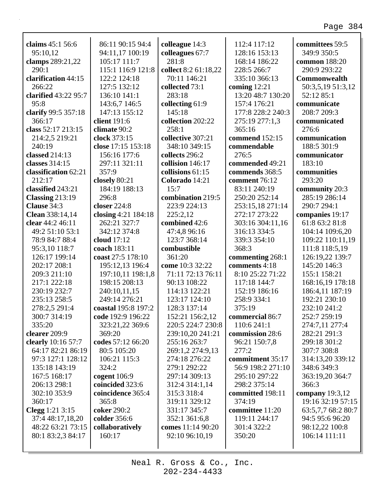| claims 45:1 56:6     | 86:11 90:15 94:4    | colleague 14:3       | 112:4 117:12      | committees 59:5    |
|----------------------|---------------------|----------------------|-------------------|--------------------|
| 95:10,12             | 94:11,17 100:19     | colleagues 67:7      | 128:16 153:13     | 349:9 350:5        |
| clamps 289:21,22     | 105:17 111:7        | 281:8                | 168:14 186:22     | common 188:20      |
| 290:1                | 115:1 116:9 121:8   | collect 8:2 61:18,22 | 228:5 266:7       | 290:9 293:22       |
| clarification 44:15  | 122:2 124:18        | 70:11 146:21         | 335:10 366:13     | Commonwealth       |
| 266:22               | 127:5 132:12        | collected 73:1       | coming $12:21$    | 50:3,5,19 51:3,12  |
| clarified 43:22 95:7 | 136:10 141:1        | 283:18               | 13:20 48:7 130:20 | 52:12 85:1         |
| 95:8                 | 143:6,7 146:5       | collecting 61:9      | 157:4 176:21      | communicate        |
| clarify 99:5 357:18  | 147:13 155:12       | 145:18               | 177:8 228:2 240:3 | 208:7 209:3        |
| 366:17               | client 191:6        | collection 202:22    | 275:19 277:1,3    | communicated       |
| class 52:17 213:15   | climate 90:2        | 258:1                | 365:16            | 276:6              |
| 214:2,5 219:21       | clock 373:15        | collective 307:21    | commend 152:15    | communication      |
| 240:19               | close 17:15 153:18  | 348:10 349:15        | commendable       | 188:5 301:9        |
| classed 214:13       | 156:16 177:6        | collects 296:2       | 276:5             | communicator       |
| classes 314:15       | 297:11 321:11       | collision 146:17     | commended 49:21   | 183:10             |
| classification 62:21 | 357:9               | collisions 61:15     | commends 368:5    | communities        |
| 212:17               | closely 80:21       | Colorado 14:21       | comment 76:12     | 293:20             |
| classified 243:21    | 184:19 188:13       | 15:7                 | 83:11 240:19      | community 20:3     |
| Classing 213:19      | 296:8               | combination 219:5    | 250:20 252:14     | 285:19 286:14      |
| Clause 34:3          | closer 224:8        | 223:9 224:13         | 253:15,18 271:14  | 290:7 294:1        |
| Clean 338:14,14      | closing 4:21 184:18 | 225:2,12             | 272:17 273:22     | companies 19:17    |
| clear 44:2 46:11     | 262:21 327:7        | combined 42:6        | 303:16 304:11,16  | 61:8 63:2 81:8     |
| 49:2 51:10 53:1      | 342:12 374:8        | 47:4,8 96:16         | 316:13 334:5      | 104:14 109:6,20    |
| 78:9 84:7 88:4       | cloud $17:12$       | 123:7 368:14         | 339:3 354:10      | 109:22 110:11,19   |
|                      |                     |                      |                   |                    |
|                      |                     |                      |                   |                    |
| 95:3,10 118:7        | coach 183:11        | combustible          | 368:3             | 111:8 118:5,19     |
| 126:17 199:14        | coast 27:5 178:10   | 361:20               | commenting 268:1  | 126:19,22 139:7    |
| 202:17 208:1         | 195:12,13 196:4     | come 10:3 32:22      | comments 4:18     | 145:20 146:3       |
| 209:3 211:10         | 197:10,11 198:1,8   | 71:11 72:13 76:11    | 8:10 25:22 71:22  | 155:1 158:21       |
| 217:1 222:18         | 198:15 208:13       | 90:13 108:22         | 117:18 144:7      | 168:16,19 178:18   |
| 230:19 232:7         | 240:10,11,15        | 114:13 122:21        | 152:19 186:16     | 186:4,11 187:19    |
| 235:13 258:5         | 249:14 276:21       | 123:17 124:10        | 258:9 334:1       | 192:21 230:10      |
| 278:2,5 291:4        | coastal 195:8 197:2 | 128:3 137:14         | 375:19            | 232:10 241:2       |
| 300:7 314:19         | code 192:9 196:22   | 152:21 156:2,12      | commercial 86:7   | 252:7 259:19       |
| 335:20               | 323:21,22 369:6     | 220:5 224:7 230:8    | 110:6 241:1       | 274:7,11 277:4     |
| clearer 209:9        | 369:20              | 239:10,20 241:21     | commission 28:6   | 282:21 291:3       |
| clearly 10:16 57:7   | codes 57:12 66:20   | 255:16 263:7         | 96:21 150:7,8     | 299:18 301:2       |
| 64:17 82:21 86:19    | 80:5 105:20         | 269:1,2 274:9,13     | 277:2             | 307:7 308:8        |
| 97:3 127:1 128:12    | 106:21 115:3        | 274:18 276:22        | commitment 35:17  | 314:13,20 339:12   |
| 135:18 143:19        | 324:2               | 279:1 292:22         | 56:9 198:2 271:10 | 348:6 349:3        |
| 167:5 168:17         | cogent $106:9$      | 297:14 309:13        | 295:10 297:22     | 363:19,20 364:7    |
| 206:13 298:1         | coincided 323:6     | 312:4 314:1,14       | 298:2 375:14      | 366:3              |
| 302:10 353:9         | coincidence 365:4   | 315:3 318:4          | committed 198:11  | company $19:3,12$  |
| 360:17               | 365:8               | 319:11 329:12        | 374:19            | 19:16 32:19 57:15  |
| Clegg 1:21 3:15      | coker 290:2         | 331:17 345:7         | committee 11:20   | 63:5,7,7 68:2 80:7 |
| 37:4 48:17,18,20     | colder 356:6        | 352:1 361:6,8        | 119:11 244:17     | 94:5 95:6 96:20    |
| 48:22 63:21 73:15    | collaboratively     | comes 11:14 90:20    | 301:4 322:2       | 98:12,22 100:8     |
| 80:1 83:2,3 84:17    | 160:17              | 92:10 96:10,19       | 350:20            | 106:14 111:11      |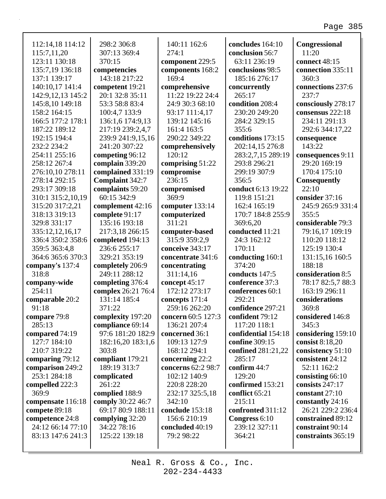| 112:14,18 114:12    | 298:2 306:8        | 140:11 162:6       | concludes 164:10    | Congressional       |
|---------------------|--------------------|--------------------|---------------------|---------------------|
| 115:7,11,20         | 307:13 369:4       | 274:1              | conclusion 56:7     | 11:20               |
| 123:11 130:18       | 370:15             | component 229:5    | 63:11 236:19        | connect 48:15       |
| 135:7,19 136:18     | competencies       | components 168:2   | conclusions 98:5    | connection 335:11   |
| 137:1 139:17        | 143:18 217:22      | 169:4              | 185:16 276:17       | 360:3               |
| 140:10,17 141:4     | competent 19:21    | comprehensive      | concurrently        | connections 237:6   |
| 142:9, 12, 13 145:2 | 20:1 32:8 35:11    | 11:22 19:22 24:4   | 265:17              | 237:7               |
| 145:8,10 149:18     | 53:3 58:8 83:4     | 24:9 30:3 68:10    | condition 208:4     | consciously 278:17  |
| 158:2 164:15        | 100:4,7 133:9      | 93:17 111:4,17     | 230:20 249:20       | consensus 222:18    |
| 166:5 177:2 178:1   | 136:1,6 174:9,13   | 139:12 145:16      | 284:2 329:15        | 234:11 291:13       |
| 187:22 189:12       | 217:19 239:2,4,7   | 161:4 163:5        | 355:6               | 292:6 344:17,22     |
| 192:15 194:4        | 239:9 241:9,15,16  | 290:22 349:22      | conditions 173:15   | consequence         |
| 232:2 234:2         | 241:20 307:22      | comprehensively    | 202:14,15 276:8     | 143:22              |
| 254:11 255:16       | competing 96:12    | 120:12             | 283:2,7,15 289:19   | consequences 9:11   |
| 258:12 267:4        | complain 339:20    | comprising 51:22   | 293:8 296:21        | 29:20 169:19        |
| 276:10,10 278:11    | complained 331:19  | compromise         | 299:19 307:9        | 170:4 175:10        |
| 278:14 292:15       | Complaint 342:7    | 236:15             | 356:5               | <b>Consequently</b> |
| 293:17 309:18       | complaints 59:20   | compromised        | conduct 6:13 19:22  | 22:10               |
| 310:1 315:2,10,19   | 60:15 342:9        | 369:9              | 119:8 151:21        | consider 37:16      |
| 315:20 317:2,21     | complement 42:16   | computer 133:14    | 162:4 165:19        | 245:9 265:9 331:4   |
| 318:13 319:13       | complete 91:17     | computerized       | 170:7 184:8 255:9   | 355:5               |
| 329:8 331:17        | 135:16 193:18      | 311:21             | 369:6,20            | considerable 79:3   |
| 335:12,12,16,17     | 217:3,18 266:15    | computer-based     | conducted 11:21     | 79:16,17 109:19     |
| 336:4 350:2 358:6   | completed 194:13   | 315:9 359:2,9      | 24:3 162:12         | 110:20 118:12       |
| 359:5 363:4,8       | 236:6 255:17       | conceive 343:17    | 170:11              | 125:19 130:4        |
| 364:6 365:6 370:3   | 329:21 353:19      | concentrate 341:6  | conducting 160:1    | 131:15,16 160:5     |
| company's 137:4     | completely 206:9   | concentrating      | 374:20              | 188:18              |
| 318:8               | 249:11 288:12      | 311:14,16          | conducts 147:5      | consideration 8:5   |
| company-wide        | completing 376:4   | concept 45:17      | conference 37:3     | 78:17 82:5,7 88:3   |
| 254:11              | complex 26:21 76:4 | 172:12 273:17      | conferences 60:1    | 163:19 296:11       |
| comparable 20:2     | 131:14 185:4       | concepts 171:4     | 292:21              | considerations      |
| 91:18               | 371:22             | 259:16 262:20      | confidence 297:21   | 369:8               |
| compare 79:8        | complexity 197:20  | concern 60:5 127:3 | confident 79:12     | considered 146:8    |
| 285:13              | compliance 69:14   | 136:21 207:4       | 117:20 118:1        | 345:3               |
| compared 74:19      | 97:6 181:20 182:9  | concerned 36:1     | confidential 154:18 | considering 159:10  |
| 127:7 184:10        | 182:16,20 183:1,6  | 109:13 127:9       | confine 309:15      | consist $8:18,20$   |
| 210:7 319:22        | 303:8              | 168:12 294:1       | confined 281:21,22  | consistency 51:10   |
| comparing 79:12     | compliant 179:21   | concerning 22:2    | 285:17              | consistent 24:12    |
| comparison 249:2    | 189:19 313:7       | concerns 62:2 98:7 | confirm 44:7        | 52:11 162:2         |
| 253:1 284:18        | complicated        | 102:12 140:9       | 129:20              | consisting 66:10    |
| compelled 222:3     | 261:22             | 220:8 228:20       | confirmed 153:21    | consists 247:17     |
| 369:9               | complied 188:9     | 232:17 325:5,18    | conflict 65:21      | constant 27:10      |
| compensate 116:18   | comply 30:22 46:7  | 342:10             | 215:11              | constantly 24:16    |
| compete 89:18       | 69:17 80:9 188:11  | conclude 153:18    | confronted 311:12   | 26:21 229:2 236:4   |
| competence 24:8     | complying 32:20    | 156:6 210:19       | Congress 6:10       | constrained 89:12   |
| 24:12 66:14 77:10   | 34:22 78:16        | concluded 40:19    | 239:12 327:11       | constraint 90:14    |
| 83:13 147:6 241:3   | 125:22 139:18      | 79:2 98:22         | 364:21              | constraints 365:19  |
|                     |                    |                    |                     |                     |

202-234-4433 Neal R. Gross & Co., Inc.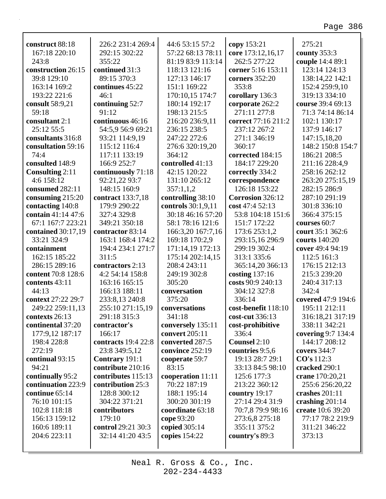| construct 88:18    | 226:2 231:4 269:4   | 44:6 53:15 57:2    | copy 153:21         | 275:21             |
|--------------------|---------------------|--------------------|---------------------|--------------------|
| 167:18 220:10      | 292:15 302:22       | 57:22 68:13 78:11  | core 173:12,16,17   | county 353:3       |
| 243:8              | 355:22              | 81:19 83:9 113:14  | 262:5 277:22        | couple 14:4 89:1   |
| construction 26:15 | continued 31:3      | 118:13 121:16      | corner 5:16 153:11  | 123:14 124:13      |
| 39:8 129:10        | 89:15 370:3         | 127:13 146:17      | corners 352:20      | 138:14,22 142:1    |
| 163:14 169:2       | continues 45:22     | 151:1 169:22       | 353:8               | 152:4 259:9,10     |
| 193:22 221:6       | 46:1                | 170:10,15 174:7    | corollary 136:3     | 319:13 334:10      |
| consult 58:9,21    | continuing 52:7     | 180:14 192:17      | corporate 262:2     | course 39:4 69:13  |
| 59:18              | 91:12               | 198:13 215:5       | 271:11 277:8        | 71:3 74:14 86:14   |
| consultant 2:1     | continuous 46:16    | 216:20 236:9,11    | correct 77:16 211:2 | 102:1 130:17       |
| 25:12 55:5         | 54:5,9 56:9 69:21   | 236:15 238:5       | 237:12 267:2        | 137:9 146:17       |
| consultants 316:8  | 93:21 114:9,19      | 247:22 272:6       | 271:1 346:19        | 147:15,18,20       |
| consultation 59:16 | 115:12 116:4        | 276:6 320:19,20    | 360:17              | 148:2 150:8 154:7  |
| 74:4               | 117:11 133:19       | 364:12             | corrected 184:15    | 186:21 208:5       |
| consulted 148:9    | 166:9 252:7         | controlled 41:13   | 184:17 229:20       | 211:16 228:4,9     |
| Consulting 2:11    | continuously 71:18  | 42:15 120:22       | correctly 334:2     | 258:16 262:12      |
| 4:6 158:12         | 92:21,22 93:7       | 131:10 265:12      | correspondence      | 263:20 275:15,19   |
| consumed 282:11    | 148:15 160:9        | 357:1,1,2          | 126:18 153:22       | 282:15 286:9       |
| consuming 215:20   | contract 133:7,18   | controlling 38:10  | Corrosion 326:12    | 287:10 291:19      |
| contacting 140:8   | 179:9 290:22        | controls 30:1,9,11 | cost 47:4 52:13     | 301:8 336:10       |
| contain 41:14 47:6 | 327:4 329:8         | 30:18 46:16 57:20  | 53:8 104:18 151:6   | 366:4 375:15       |
| 67:1 167:7 223:21  | 349:21 350:18       | 58:1 78:16 121:6   | 151:7 172:22        | courses 60:7       |
| contained 30:17,19 | contractor 83:14    | 166:3,20 167:7,16  | 173:6 253:1,2       | court 35:1 362:6   |
| 33:21 324:9        | 163:1 168:4 174:2   | 169:18 170:2,9     | 293:15,16 296:9     | courts 140:20      |
| containment        | 194:4 234:1 271:7   | 171:14,19 172:13   | 299:19 302:4        | cover 49:4 94:19   |
| 162:15 185:22      | 311:5               | 175:14 202:14,15   | 313:1 335:6         | 112:5 161:3        |
| 286:15 289:16      | contractors 2:13    | 208:4 243:11       | 365:14,20 366:13    | 176:15 212:13      |
| content 70:8 128:6 | 4:2 54:14 158:8     | 249:19 302:8       | costing 137:16      | 215:3 239:20       |
| contents 43:11     | 163:16 165:15       | 305:20             | costs 90:9 240:13   | 240:4 317:13       |
| 44:13              | 166:13 188:11       | conversation       | 304:12 327:8        | 342:4              |
| context 27:22 29:7 | 233:8,13 240:8      | 375:20             | 336:14              | covered 47:9 194:6 |
| 249:22 259:11,13   | 255:10 271:15,19    | conversations      | cost-benefit 118:10 | 195:11 212:11      |
| contexts 26:13     | 291:18 315:3        | 341:18             | cost-cut 336:13     | 316:18,21 317:19   |
| continental 37:20  | contractor's        | conversely 135:11  | cost-prohibitive    | 338:11 342:21      |
| 177:9,12 187:17    | 166:17              | convert 205:11     | 336:4               | covering 9:7 134:4 |
| 198:4 228:8        | contracts 19:4 22:8 | converted 287:5    | Counsel 2:10        | 144:17 208:12      |
| 272:19             | 23:8 349:5,12       | convince 252:19    | countries 9:5,6     | covers 344:7       |
| continual 93:15    | Contrary 191:1      | cooperate 59:7     | 19:13 28:7 29:1     | CO's 112:3         |
| 94:21              | contribute 210:16   | 83:15              | 33:13 84:5 98:10    | cracked 290:1      |
| continually 95:2   | contributes 115:13  | cooperation 11:11  | 125:6 177:3         | crane 170:20,21    |
| continuation 223:9 | contribution 25:3   | 70:22 187:19       | 213:22 360:12       | 255:6 256:20,22    |
| continue 65:14     | 128:8 300:12        | 188:1 195:14       | country 19:17       | crashes 201:11     |
| 76:10 101:15       | 304:22 371:21       | 300:20 301:19      | 27:14 29:4 31:9     | crashing 201:14    |
| 102:8 118:18       | contributors        | coordinate 63:18   | 70:7,8 79:9 98:16   | create 10:6 39:20  |
| 156:13 159:12      | 179:10              | cope 93:20         | 273:6,8 275:18      | 77:17 78:2 219:9   |
| 160:6 189:11       | control 29:21 30:3  | copied 305:14      | 355:11 375:2        | 311:21 346:22      |
| 204:6 223:11       | 32:14 41:20 43:5    | copies 154:22      | country's 89:3      | 373:13             |
|                    |                     |                    |                     |                    |
|                    |                     |                    |                     |                    |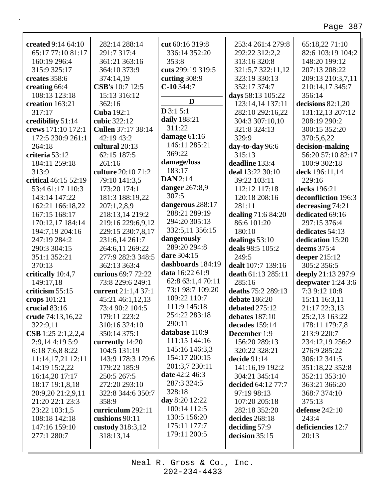٦

| created 9:14 64:10                      | 282:14 288:14             | cut 60:16 319:8       | 253:4 261:4 279:8   | 65:18,22 71:10      |
|-----------------------------------------|---------------------------|-----------------------|---------------------|---------------------|
| 65:17 77:10 81:17                       | 291:7 317:4               | 336:14 352:20         | 292:22 312:2,2      | 82:6 103:19 104:2   |
| 160:19 296:4                            | 361:21 363:16             | 353:8                 | 313:16 320:8        | 148:20 199:12       |
| 315:9 325:17                            | 364:10 373:9              | cuts 299:19 319:5     | 321:5,7 322:11,12   | 207:13 208:22       |
| creates 358:6                           | 374:14,19                 | cutting $308:9$       | 323:19 330:13       | 209:13 210:3,7,11   |
| creating 66:4                           | CSB's 10:7 12:5           | $C-10$ 344:7          | 352:17 374:7        | 210:14,17 345:7     |
| 108:13 123:18                           | 15:13 316:12              |                       | days 58:13 105:22   | 356:14              |
| creation 163:21                         | 362:16                    | D                     | 123:14,14 137:11    | decisions $82:1,20$ |
| 317:17                                  | Cuba 192:1                | D3:15:1               | 282:10 292:16,22    | 131:12,13 207:12    |
|                                         | cubic 322:12              | daily 188:21          | 304:3 307:10,10     | 208:19 290:2        |
| credibility 51:14<br>crews 171:10 172:1 |                           | 311:22                |                     | 300:15 352:20       |
|                                         | <b>Cullen</b> 37:17 38:14 | damage 61:16          | 321:8 324:13        |                     |
| 172:5 230:9 261:1                       | 42:19 43:2                | 146:11 285:21         | 329:9               | 370:5,6,22          |
| 264:18                                  | cultural 20:13            | 369:22                | day-to-day 96:6     | decision-making     |
| criteria 53:12                          | 62:15 187:5               |                       | 315:13              | 56:20 57:10 82:17   |
| 184:11 259:18                           | 261:16                    | damage/loss           | deadline 133:4      | 100:9 302:18        |
| 313:9                                   | culture 20:10 71:2        | 183:17                | deal 13:22 30:10    | deck 196:11,14      |
| critical 46:15 52:19                    | 79:10 141:3,5             | <b>DAN</b> 2:14       | 39:22 103:11        | 229:16              |
| 53:4 61:17 110:3                        | 173:20 174:1              | <b>danger</b> 267:8,9 | 112:12 117:18       | decks 196:21        |
| 143:14 147:22                           | 181:3 188:19,22           | 307:5                 | 120:18 208:16       | deconfliction 196:3 |
| 162:21 166:18,22                        | 207:1,2,8,9               | dangerous 288:17      | 281:11              | decreasing 74:21    |
| 167:15 168:17                           | 218:13,14 219:2           | 288:21 289:19         | dealing 71:6 84:20  | dedicated 69:16     |
| 170:12,17 184:14                        | 219:16 229:6,9,12         | 294:20 305:13         | 86:6 101:20         | 297:15 376:4        |
| 194:7,19 204:16                         | 229:15 230:7,8,17         | 332:5,11 356:15       | 180:10              | dedicates 54:13     |
| 247:19 284:2                            | 231:6,14 261:7            | dangerously           | dealings 53:10      | dedication 15:20    |
| 290:3 304:15                            | 264:6,11 269:22           | 289:20 294:8          | deals 98:5 105:2    | deems 375:4         |
| 351:1 352:21                            | 277:9 282:3 348:5         | dare 304:15           | 249:5               | deeper $215:12$     |
| 370:13                                  | 362:13 363:4              | dashboards 184:19     | dealt 107:7 139:16  | 305:2 356:5         |
|                                         | curious 69:7 72:22        | data 16:22 61:9       | death 61:13 285:11  |                     |
| critically 10:4,7                       |                           | 62:8 63:1,4 70:11     |                     | deeply 21:13 297:9  |
| 149:17,18                               | 73:8 229:6 249:1          | 73:1 98:7 109:20      | 285:16              | deepwater 1:24 3:6  |
| criticism 55:15                         | current 21:1,4 37:1       | 109:22 110:7          | deaths 75:2 289:13  | 7:3 9:12 10:8       |
| crops 101:21                            | 45:21 46:1,12,13          |                       | debate 186:20       | 15:11 16:3,11       |
| crucial 83:16                           | 73:4 90:2 104:5           | 111:9 145:18          | debated $275:12$    | 21:17 22:3,13       |
| crude 74:13,16,22                       | 179:11 223:2              | 254:22 283:18         | debates 187:10      | 25:2,13 163:22      |
| 322:9,11                                | 310:16 324:10             | 290:11                | decades 159:14      | 178:11 179:7,8      |
| CSB 1:25 2:1,2,2,4                      | 350:14 375:1              | database 110:9        | <b>December</b> 1:9 | 213:9 220:7         |
| 2:9,14 4:19 5:9                         | currently 14:20           | 111:15 144:16         | 156:20 289:13       | 234:12,19 256:2     |
| 6:18 7:6,8 8:22                         | 104:5 131:19              | 145:16 146:3,3        | 320:22 328:21       | 276:9 285:22        |
| 11:14,17,21 12:11                       | 143:9 178:3 179:6         | 154:17 200:15         | decide $91:14$      | 306:12 341:5        |
| 14:19 15:2,22                           | 179:22 185:9              | 201:3,7 230:11        | 141:16,19 192:2     | 351:18,22 352:8     |
| 16:14,20 17:17                          | 250:5 267:5               | <b>date</b> 42:2 46:3 | 304:21 345:14       | 352:11 353:10       |
| 18:17 19:1,8,18                         | 272:20 293:10             | 287:3 324:5           | decided 64:12 77:7  | 363:21 366:20       |
| 20:9,20 21:2,9,11                       | 322:8 344:6 350:7         | 328:18                | 97:19 98:13         | 368:7 374:10        |
| 21:20 22:1 23:3                         | 358:9                     | day 8:20 12:22        | 107:20 205:18       | 375:13              |
| 23:22 103:1,5                           | curriculum 292:11         | 100:14 112:5          | 282:18 352:20       | defense $242:10$    |
| 108:18 142:18                           | cushions 90:11            | 130:5 156:20          | decides 268:18      | 243:4               |
| 147:16 159:10                           | custody 318:3,12          | 175:11 177:7          | deciding 57:9       | deficiencies 12:7   |
| 277:1 280:7                             | 318:13,14                 | 179:11 200:5          | decision 35:15      | 20:13               |
|                                         |                           |                       |                     |                     |
|                                         |                           |                       |                     |                     |

Г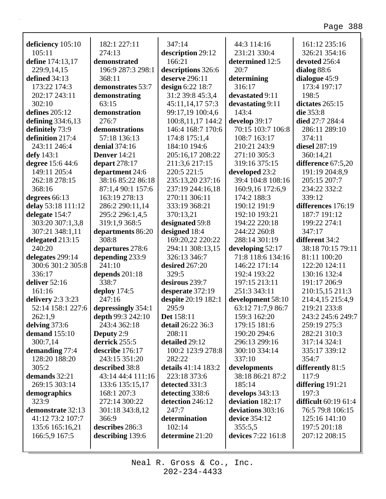|                             | 182:1 227:11             | 347:14                      | 44:3 114:16        | 161:12 235:16               |
|-----------------------------|--------------------------|-----------------------------|--------------------|-----------------------------|
| deficiency 105:10<br>105:11 | 274:13                   |                             | 231:21 330:4       | 326:21 354:16               |
| define 174:13,17            | demonstrated             | description 29:12<br>166:21 | determined 12:5    | devoted 256:4               |
| 229:9,14,15                 | 196:9 287:3 298:1        | descriptions 326:6          | 20:7               | dialog 88:6                 |
| defined 34:13               | 368:11                   | deserve 296:11              | determining        | dialogue 45:9               |
| 173:22 174:3                | demonstrates 53:7        | design 6:22 18:7            | 316:17             | 173:4 197:17                |
| 202:17 243:11               | demonstrating            | 31:2 39:8 45:3,4            | devastated 9:11    | 198:5                       |
| 302:10                      | 63:15                    | 45:11,14,17 57:3            | devastating 9:11   | dictates 265:15             |
| defines $205:12$            | demonstration            | 99:17,19 100:4,6            | 143:4              | die 353:8                   |
| defining $334:6,13$         | 276:7                    | 100:8,11,17 144:2           | develop 39:17      | died 27:7 284:4             |
| definitely 73:9             | demonstrations           | 146:4 168:7 170:6           | 70:15 103:7 106:8  | 286:11 289:10               |
| definition 217:4            | 57:18 136:13             | 174:8 175:1,4               | 108:7 163:17       | 374:11                      |
| 243:11 246:4                | denial 374:16            | 184:10 194:6                | 210:21 243:9       | diesel 287:19               |
| defy 143:1                  | <b>Denver</b> 14:21      | 205:16,17 208:22            | 271:10 305:3       | 360:14,21                   |
| degree 15:6 44:6            | depart 278:17            | 211:3,6 217:15              | 319:16 375:15      | difference 67:5,20          |
| 149:11 205:4                | department 24:6          | 220:5 221:5                 | developed 23:2     | 191:19 204:8,9              |
| 262:18 278:15               | 38:16 85:22 86:18        | 235:13,20 237:16            | 39:4 104:8 108:16  | 205:15 207:7                |
| 368:16                      | 87:1,4 90:1 157:6        | 237:19 244:16,18            | 160:9,16 172:6,9   | 234:22 332:2                |
| degrees 66:13               | 163:19 278:13            | 270:11 306:11               | 174:2 188:3        | 339:12                      |
| delay 53:18 111:12          | 286:2 290:11,14          | 333:19 368:21               | 190:12 191:9       | differences 176:19          |
| delegate 154:7              | 295:2 296:1,4,5          | 370:13,21                   | 192:10 193:21      | 187:7 191:12                |
| 303:20 307:1,3,8            | 319:1,9 368:5            | designated 59:8             | 194:22 220:18      | 199:22 274:1                |
| 307:21 348:1,11             | departments 86:20        | designed 18:4               | 244:22 260:8       | 347:17                      |
| delegated 213:15            | 308:8                    | 169:20,22 220:22            | 288:14 301:19      | different 34:2              |
| 240:20                      | departures 278:6         | 294:11 308:13,15            | developing 52:17   | 38:18 70:15 79:11           |
| delegates 299:14            | depending 233:9          | 326:13 346:7                | 71:8 118:6 134:16  | 81:11 100:20                |
| 300:6 301:2 305:8           | 241:10                   | desired 267:20              | 146:22 171:14      | 122:20 124:11               |
| 336:17                      | depends 201:18           | 329:5                       | 192:4 193:22       | 130:16 132:4                |
| deliver 52:16               | 338:7                    | desirous 239:7              | 197:15 213:11      | 191:17 206:9                |
| 161:16                      | deploy $174:5$           | desperate 372:19            | 251:3 343:11       | 210:15,15 211:3             |
| delivery $2:3\,3:23$        | 247:16                   | despite 20:19 182:1         | development 58:10  | 214:4,15 215:4,9            |
| 52:14 158:1 227:6           | depressingly 354:1       | 295:9                       | 63:12 71:7,9 86:7  | 219:21 233:8                |
| 262:1,9                     | <b>depth 99:3 242:10</b> | <b>Det</b> 158:11           | 159:3 162:20       | 243:2 245:6 249:7           |
| delving $373:6$             | 243:4 362:18             | detail 26:22 36:3           | 179:15 181:6       | 259:19 275:3                |
| <b>demand</b> 155:10        | <b>Deputy</b> 2:9        | 208:11                      | 190:20 294:6       | 282:21 310:3                |
| 300:7,14                    | derrick 255:5            | detailed 29:12              | 296:13 299:16      | 317:14 324:1                |
| demanding 77:4              | describe 176:17          | 100:2 123:9 278:8           | 300:10 334:14      | 335:17 339:12               |
| 128:20 188:20               | 243:15 351:20            | 282:22                      | 337:10             | 354:7                       |
| 305:2                       | described 38:8           | details 41:14 183:2         | developments       | differently 81:5            |
| demands 32:21               | 43:14 44:4 111:16        | 223:18 373:6                | 38:18 86:21 87:2   | 117:9                       |
| 269:15 303:14               | 133:6 135:15,17          | detected 331:3              | 185:14             | differing $191:21$          |
| demographics                | 168:1 207:3              | detecting 338:6             | develops 343:13    | 197:3                       |
| 323:9                       | 272:14 300:22            | detection 246:12            | deviation 182:17   | <b>difficult</b> 60:19 61:4 |
| demonstrate 32:13           | 301:18 343:8,12          | 247:7                       | deviations 303:16  | 76:5 79:8 106:15            |
| 41:12 73:2 107:7            | 366:9                    | determination               | device 354:12      | 125:16 141:10               |
| 135:6 165:16,21             | describes 286:3          | 102:14                      | 355:5,5            | 197:5 201:18                |
| 166:5,9 167:5               | describing 139:6         | determine 21:20             | devices 7:22 161:8 | 207:12 208:15               |
|                             |                          |                             |                    |                             |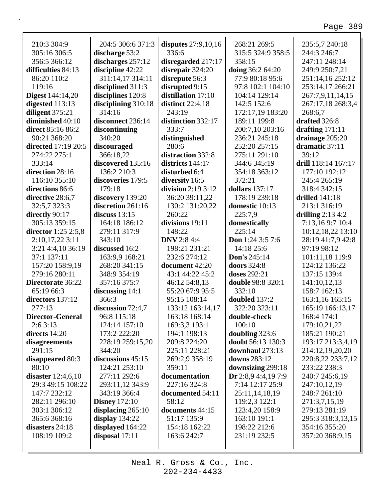ī

| 210:3 304:9             | 204:5 306:6 371:3    | disputes 27:9,10,16 | 268:21 269:5            | 235:5,7 240:18      |
|-------------------------|----------------------|---------------------|-------------------------|---------------------|
| 305:16 306:5            | discharge 53:2       | 336:6               | 315:5 324:9 358:5       | 244:3 246:7         |
| 356:5 366:12            | discharges 257:12    | disregarded 217:17  | 358:15                  | 247:11 248:14       |
| difficulties 84:13      | discipline 42:22     | disrepair 324:20    | <b>doing</b> 36:2 64:20 | 249:9 250:7,21      |
| 86:20 110:2             | 311:14,17 314:11     | disrepute 56:3      | 77:9 80:18 95:6         | 251:14,16 252:12    |
| 119:16                  | disciplined 311:3    | disrupted 9:15      | 97:8 102:1 104:10       | 253:14,17 266:21    |
| <b>Digest</b> 144:14,20 | disciplines 120:8    | distillation 17:10  | 104:14 129:14           | 267:7,9,11,14,15    |
| digested $113:13$       | disciplining 310:18  | distinct $22:4,18$  | 142:5 152:6             | 267:17,18 268:3,4   |
| diligent 375:21         | 314:16               | 243:19              | 172:17,19 183:20        | 268:6,7             |
| diminished 40:10        | disconnect 236:14    | distinction 332:17  | 189:11 199:8            | drafted 326:8       |
| direct 85:16 86:2       | discontinuing        | 333:7               | 200:7,10 203:16         | drafting $171:11$   |
| 90:21 368:20            | 340:20               | distinguished       | 236:21 245:18           | drainage 205:20     |
| directed 17:19 20:5     | discouraged          | 280:6               | 252:20 257:15           | dramatic 37:11      |
| 274:22 275:1            | 366:18,22            | distraction 332:8   | 275:11 291:10           | 39:12               |
| 333:14                  | discovered 135:16    | districts 144:17    | 344:6 345:19            | drill 118:14 167:17 |
| direction 28:16         | 136:2 210:3          | disturbed 6:4       | 354:18 363:12           | 177:10 192:12       |
| 116:10 355:10           | discoveries 179:5    | diversity 16:5      | 372:21                  | 245:4 265:19        |
| directions 86:6         | 179:18               | division $2:193:12$ | dollars 137:17          | 318:4 342:15        |
| directive 28:6,7        | discovery 139:20     | 36:20 39:11,22      | 178:19 239:18           | drilled $141:18$    |
| 32:5,7 323:3            | discretion 261:16    | 130:2 131:20,22     | domestic 10:13          | 213:1 316:19        |
| directly 90:17          | discuss $13:15$      | 260:22              | 225:7,9                 | drilling $2:134:2$  |
| 305:13 359:15           | 164:18 186:12        | divisions 19:11     | domestically            | 7:13,169:7 10:4     |
| director $1:25$ 2:5,8   | 279:11 317:9         | 148:22              | 225:14                  | 10:12,18,22 13:10   |
| 2:10,17,223:11          | 343:10               | <b>DNV</b> 2:8 4:4  | Don 1:24 3:5 7:6        | 28:19 41:7,9 42:8   |
| 3:21 4:4,10 36:19       | discussed 16:2       | 198:21 231:21       | 14:18 25:6              | 97:19 98:12         |
| 37:1 137:11             | 163:9,9 168:21       | 232:6 274:12        | Don's 245:14            | 101:11,18 119:9     |
| 157:20 158:9,19         | 268:20 341:15        | document 42:20      | doors 324:8             | 124:12 136:22       |
| 279:16 280:11           | 348:9 354:19         | 43:1 44:22 45:2     | doses 292:21            | 137:15 139:4        |
| Directorate 36:22       | 357:16 375:7         | 46:12 54:8,13       | double 98:8 320:1       | 141:10,12,13        |
| 65:19 66:3              | discussing $14:1$    | 55:20 67:9 95:5     | 332:10                  | 158:7 162:13        |
| directors 137:12        | 366:3                | 95:15 108:14        | doubled 137:2           | 163:1,16 165:15     |
| 277:13                  | discussion 72:4,7    | 133:12 163:14,17    | 322:20 323:11           | 165:19 166:13,17    |
| <b>Director-General</b> | 96:8 115:18          | 163:18 168:14       | double-check            | 168:4 174:1         |
| 2:63:13                 | 124:14 157:10        | 169:3,3 193:1       | 100:10                  | 179:10,21,22        |
| directs 14:20           | 173:2 222:20         | 194:1 198:13        | doubling 323:6          | 185:21 190:21       |
| disagreements           | 228:19 259:15,20     | 209:8 224:20        | doubt 56:13 130:3       | 193:17 213:3,4,19   |
| 291:15                  | 344:20               | 225:11 228:21       | downhaul 273:13         | 214:12,19,20,20     |
| disappeared 80:3        | discussions 45:15    | 269:2,9 358:19      | downs 283:12            | 220:8,22 233:7,12   |
| 80:10                   | 124:21 253:10        | 359:11              | downsizing 299:18       | 233:22 238:3        |
| disaster $12:4,6,10$    | 277:11 292:6         | documentation       | Dr $2:8,9$ 4:4,19 7:9   | 240:7 245:6,19      |
| 29:3 49:15 108:22       | 293:11,12 343:9      | 227:16 324:8        | 7:14 12:17 25:9         | 247:10,12,19        |
| 147:7 232:12            | 343:19 366:4         | documented 54:11    | 25:11,14,18,19          | 248:7 261:10        |
| 282:11 296:10           | <b>Disney</b> 172:10 | 58:12               | 119:2,3 122:1           | 271:3,7,15,19       |
| 303:1 306:12            | displacing $265:10$  | documents 44:15     | 123:4,20 158:9          | 279:13 281:19       |
| 365:6 368:16            | display $134:22$     | 51:17 135:9         | 163:10 191:1            | 295:3 318:3,13,15   |
| disasters 24:18         | displayed 164:22     | 154:18 162:22       | 198:22 212:6            | 354:16 355:20       |
| 108:19 109:2            | disposal 17:11       | 163:6 242:7         | 231:19 232:5            | 357:20 368:9,15     |
|                         |                      |                     |                         |                     |
|                         |                      |                     |                         |                     |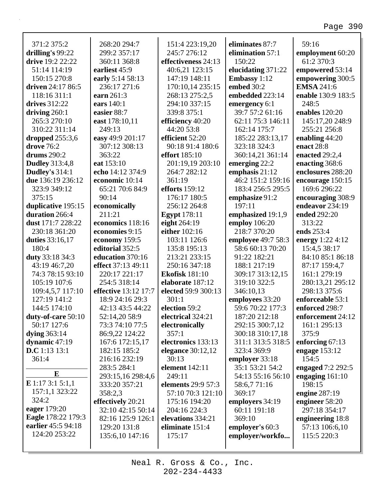| 371:2 375:2           | 268:20 294:7         | 151:4 223:19,20           | eliminates 87:7     | 59:16                            |
|-----------------------|----------------------|---------------------------|---------------------|----------------------------------|
| drilling's 99:22      | 299:2 357:17         | 245:7 276:12              | elimination 57:1    | employment 60:20                 |
| drive 19:2 22:22      | 360:11 368:8         | effectiveness 24:13       | 150:22              | 61:2 370:3                       |
| 51:14 114:19          | earliest 45:9        | 40:6,21 123:15            | elucidating 371:22  | empowered 53:14                  |
| 150:15 270:8          | early 5:14 58:13     | 147:19 148:11             | <b>Embassy</b> 1:12 | empowering 300:5                 |
| driven 24:17 86:5     | 236:17 271:6         | 170:10,14 235:15          | embed 30:2          | <b>EMSA 241:6</b>                |
| 118:16 311:1          | earn 261:3           | 268:13 275:2,5            | embedded 223:14     | enable 130:9 183:5               |
| drives 312:22         | ears 140:1           | 294:10 337:15             | emergency 6:1       | 248:5                            |
| driving $260:1$       | easier 88:7          | 339:8 375:1               | 39:7 57:2 61:16     | enables 120:20                   |
| 265:3 270:10          | east 178:10,11       | efficiency 40:20          | 62:11 75:3 146:11   | 145:17,20 248:9                  |
| 310:22 311:14         | 249:13               | 44:20 53:8                | 162:14 175:7        | 255:21 256:8                     |
| dropped $255:3,6$     | easy 49:9 201:17     | efficient 52:20           | 185:22 283:13,17    | enabling $44:20$                 |
| drove 76:2            | 307:12 308:13        | 90:18 91:4 180:6          | 323:18 324:3        | enact 28:8                       |
| drums 290:2           | 363:22               | <b>effort</b> 185:10      | 360:14,21 361:14    | enacted 29:2,4                   |
| <b>Dudley</b> 313:4,8 | eat 153:10           | 201:19,19 203:10          | emerging $22:2$     | enacting 368:6                   |
| Dudley's 314:1        | echo 14:12 374:9     | 264:7 282:12              | emphasis 21:12      | enclosures 288:20                |
| due 136:19 236:12     | economic 10:14       | 361:19                    | 46:2 151:2 159:16   |                                  |
|                       |                      |                           |                     | encourage 150:15<br>169:6 296:22 |
| 323:9 349:12          | 65:21 70:6 84:9      | <b>efforts</b> 159:12     | 183:4 256:5 295:5   |                                  |
| 375:15                | 90:14                | 176:17 180:5              | emphasize 91:2      | encouraging 308:9                |
| duplicative 195:15    | economically         | 256:12 264:8              | 197:11              | endeavor 234:19                  |
| duration 266:4        | 211:21               | <b>Egypt</b> 178:11       | emphasized 19:1,9   | ended 292:20                     |
| dust 171:7 228:22     | economics 118:16     | eight 264:19              | employ 106:20       | 313:22                           |
| 230:18 361:20         | economies 9:15       | either 102:16             | 218:7 370:20        | ends 253:4                       |
| duties 33:16,17       | economy 159:5        | 103:11 126:6              | employee 49:7 58:3  | energy 1:22 4:12                 |
| 180:4                 | editorial 352:5      | 135:8 195:13              | 58:6 60:13 70:20    | 15:4,5 38:17                     |
| duty 33:18 34:3       | education 370:16     | 213:21 233:15             | 91:22 182:21        | 84:10 85:1 86:18                 |
| 43:19 46:7,20         | effect 37:13 49:11   | 250:16 347:18             | 188:1 217:19        | 87:17 159:4,7                    |
| 74:3 78:15 93:10      | 220:17 221:17        | <b>Ekofisk</b> 181:10     | 309:17 313:12,15    | 161:1 279:19                     |
| 105:19 107:6          | 254:5 318:14         | elaborate 187:12          | 319:10 322:5        | 280:13,21 295:12                 |
| 109:4,5,7 117:10      | effective 13:12 17:7 | elected 59:9 300:13       | 346:10,13           | 298:13 375:6                     |
| 127:19 141:2          | 18:9 24:16 29:3      | 301:1                     | employees 33:20     | enforceable 53:1                 |
| 144:5 174:10          | 42:13 43:5 44:22     | election 59:2             | 59:6 70:22 177:3    | enforced 298:7                   |
| duty-of-care 50:10    | 52:14,20 58:9        | electrical 324:21         | 187:20 212:18       | enforcement 24:12                |
| 50:17 127:6           | 73:3 74:10 77:5      | electronically            | 292:15 300:7,12     | 161:1 295:13                     |
| dying $363:14$        | 86:9,22 124:22       | 357:1                     | 300:18 310:17,18    | 375:9                            |
| dynamic $47:19$       | 167:6 172:15,17      | electronics 133:13        | 311:1 313:5 318:5   | enforcing $67:13$                |
| D.C 1:13 13:1         | 182:15 185:2         | elegance $30:12,12$       | 323:4 369:9         | engage $153:12$                  |
| 361:4                 | 216:16 232:19        | 30:13                     | employer 33:18      | 154:5                            |
|                       | 283:5 284:1          | <b>element</b> 142:11     | 35:1 53:21 54:2     | engaged 7:2 292:5                |
| $\bf{E}$              | 293:15,16 298:4,6    | 249:11                    | 54:13 55:16 56:10   | engaging $161:10$                |
| $E$ 1:17 3:1 5:1,1    | 333:20 357:21        | <b>elements</b> 29:9 57:3 | 58:6,771:16         | 198:15                           |
| 157:1,1 323:22        | 358:2,3              | 57:10 70:3 121:10         | 369:17              | engine $287:19$                  |
| 324:2                 | effectively 20:21    | 175:16 194:20             | employers 34:19     | engineer 58:20                   |
| eager 179:20          | 32:10 42:15 50:14    | 204:16 224:3              | 60:11 191:18        | 297:18 354:17                    |
| Eagle 178:22 179:3    | 82:16 125:9 126:1    | elevations 334:21         | 369:10              | engineering 18:8                 |
| earlier 45:5 94:18    | 129:20 131:8         | eliminate 151:4           | employer's 60:3     | 57:13 106:6,10                   |
| 124:20 253:22         | 135:6,10 147:16      | 175:17                    | employer/workfo     | 115:5 220:3                      |
|                       |                      |                           |                     |                                  |
|                       |                      |                           |                     |                                  |

Г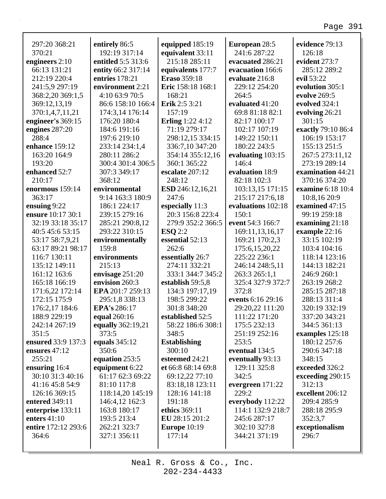| 297:20 368:21<br>370:21        | entirely 86:5<br>192:19 317:14       | equipped 185:19                          | European 28:5<br>241:6 287:22 | evidence 79:13<br>126:18 |
|--------------------------------|--------------------------------------|------------------------------------------|-------------------------------|--------------------------|
|                                | entitled 5:5 313:6                   | equivalent 33:11<br>215:18 285:11        |                               | evident 273:7            |
| engineers 2:10<br>66:13 131:21 |                                      |                                          | evacuated 286:21              | 285:12 289:2             |
| 212:19 220:4                   | entity 66:2 317:14<br>entries 178:21 | equivalents 177:7<br><b>Eraso</b> 359:18 | evacuation 166:6              | evil 53:22               |
|                                |                                      |                                          | evaluate 216:8                |                          |
| 241:5,9 297:19                 | environment 2:21                     | Eric 158:18 168:1                        | 229:12 254:20                 | evolution 305:1          |
| 368:2,20 369:1,5               | 4:10 63:9 70:5                       | 168:21                                   | 264:5                         | evolve 269:5             |
| 369:12,13,19                   | 86:6 158:10 166:4                    | Erik 2:5 3:21                            | evaluated 41:20               | evolved 324:1            |
| 370:1,4,7,11,21                | 174:3,14 176:14                      | 157:19                                   | 69:8 81:18 82:1               | evolving 26:21           |
| engineer's 369:15              | 176:20 180:4                         | <b>Erling</b> 1:22 4:12                  | 82:17 100:17                  | 301:15                   |
| engines 287:20                 | 184:6 191:16                         | 71:19 279:17                             | 102:17 107:19                 | exactly 79:10 86:4       |
| 288:4                          | 197:6 219:10                         | 298:12,15 334:15                         | 149:22 150:11                 | 106:19 153:17            |
| enhance 159:12                 | 233:14 234:1,4                       | 336:7,10 347:20                          | 180:22 243:5                  | 155:13 251:5             |
| 163:20 164:9                   | 280:11 286:2                         | 354:14 355:12,16                         | evaluating 103:15             | 267:5 273:11,12          |
| 193:20                         | 300:4 301:4 306:5                    | 360:1 365:22                             | 146:4                         | 273:19 289:14            |
| enhanced 52:7                  | 307:3 349:17                         | escalate 207:12                          | evaluation 18:9               | examination 44:21        |
| 210:17                         | 368:12                               | 248:12                                   | 82:18 102:3                   | 370:16 374:20            |
| enormous 159:14                | environmental                        | <b>ESD</b> 246:12,16,21                  | 103:13,15 171:15              | examine 6:18 10:4        |
| 363:17                         | 9:14 163:3 180:9                     | 247:6                                    | 215:17 217:6,18               | 10:8,16 20:9             |
| ensuing 9:22                   | 186:1 224:17                         | especially 11:3                          | evaluations 102:18            | examined 47:15           |
| ensure 10:17 30:1              | 239:15 279:16                        | 20:3 156:8 223:4                         | 150:1                         | 99:19 259:18             |
| 32:19 33:18 35:17              | 285:21 290:8,12                      | 279:9 352:2 366:5                        | event 54:3 166:7              | examining $21:18$        |
| 40:5 45:6 53:15                | 293:22 310:15                        | ESQ 2:2                                  | 169:11,13,16,17               | example $22:16$          |
| 53:17 58:7,9,21                | environmentally                      | essential 52:13                          | 169:21 170:2,3                | 33:15 102:19             |
| 63:17 89:21 98:17              | 159:8                                | 262:6                                    | 175:6, 15, 20, 22             | 103:4 104:16             |
| 116:7 130:11                   | environments                         | essentially 26:7                         | 225:22 236:1                  | 118:14 123:16            |
| 135:12 149:11                  | 215:13                               | 274:11 332:21                            | 246:14 248:5,11               | 144:13 182:21            |
| 161:12 163:6                   | envisage 251:20                      | 333:1 344:7 345:2                        | 263:3 265:1,1                 | 246:9 260:1              |
| 165:18 166:19                  | envision 260:3                       | establish 59:5,8                         | 325:4 327:9 372:7             | 263:19 268:2             |
| 171:6,22 172:14                | EPA 201:7 259:13                     | 134:3 197:17,19                          | 372:8                         | 285:15 287:18            |
| 172:15 175:9                   | 295:1,8 338:13                       | 198:5 299:22                             | events 6:16 29:16             | 288:13 311:4             |
| 176:2,17 184:6                 | EPA's 286:17                         | 301:8 348:20                             | 29:20,22 111:20               | 320:19 332:19            |
| 188:9 229:19                   | <b>equal</b> 260:16                  | established 52:5                         | 111:22 171:20                 | 337:20 343:21            |
| 242:14 267:19                  | equally 362:19,21                    | 58:22 186:6 308:1                        | 175:5 232:13                  | 344:5 361:13             |
| 351:5                          | 373:5                                | 348:5                                    | 251:19 252:16                 | examples 125:18          |
| ensured 33:9 137:3             | equals 345:12                        | <b>Establishing</b>                      | 253:5                         | 180:12 257:6             |
| ensures $47:12$                | 350:6                                | 300:10                                   | eventual 134:5                | 290:6 347:18             |
| 255:21                         | equation 253:5                       | esteemed 24:21                           | eventually 93:13              | 348:15                   |
| ensuring 16:4                  | equipment 6:22                       | et 66:8 68:14 69:8                       | 129:11 325:8                  | exceeded 326:2           |
| 30:10 31:3 40:16               | 61:17 62:3 69:22                     | 69:12,22 77:10                           | 342:5                         | exceeding 290:15         |
| 41:16 45:8 54:9                | 81:10 117:8                          | 83:18,18 123:11                          | evergreen $171:22$            | 312:13                   |
| 126:16 369:15                  | 118:14,20 145:19                     | 128:16 141:18                            | 229:2                         | excellent 206:12         |
| entered 349:11                 | 146:4,12 162:3                       | 191:18                                   | everybody 112:22              | 209:4 285:9              |
| enterprise 133:11              | 163:8 180:17                         | ethics 369:11                            | 114:1 132:9 218:7             | 288:18 295:9             |
| enters $41:10$                 | 193:5 213:4                          | EU 28:15 201:2                           | 245:6 287:17                  | 352:3,7                  |
| entire 172:12 293:6            | 262:21 323:7                         | <b>Europe</b> 10:19                      | 302:10 327:8                  | exceptionalism           |
| 364:6                          | 327:1 356:11                         | 177:14                                   | 344:21 371:19                 | 296:7                    |
|                                |                                      |                                          |                               |                          |
|                                |                                      |                                          |                               |                          |

Neal R. Gross & Co., Inc.  $202 - 234 - 4433$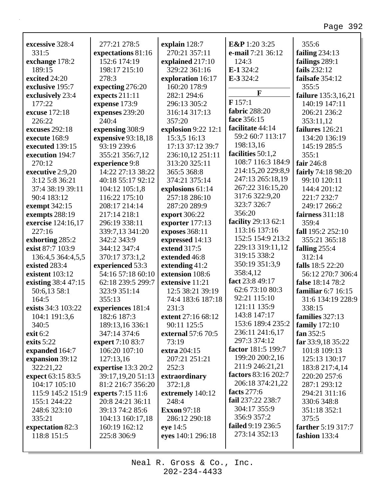٦

| excessive 328:4                 | 277:21 278:5                      | explain 128:7       | E&P 1:20 3:25       | 355:6               |
|---------------------------------|-----------------------------------|---------------------|---------------------|---------------------|
| 331:5                           | expectations 81:16                | 270:21 357:11       | e-mail 7:21 36:12   | failing $234:13$    |
| exchange 178:2                  | 152:6 174:19                      | explained 217:10    | 124:3               | failings 289:1      |
| 189:15                          | 198:17 215:10                     | 329:22 361:16       | $E-1324:2$          | fails 232:12        |
| excited 24:20                   | 278:3                             | exploration 16:17   | E-3 324:2           | failsafe 354:12     |
| exclusive 195:7                 | expecting 276:20                  | 160:20 178:9        |                     | 355:5               |
| exclusively 23:4                | expects 211:11                    | 282:1 294:6         | F                   | failure 135:3,16,21 |
| 177:22                          | expense 173:9                     | 296:13 305:2        | F157:1              | 140:19 147:11       |
| excuse 172:18                   | expenses 239:20                   | 316:14 317:13       | fabric 288:20       | 206:21 236:2        |
| 226:22                          | 240:4                             | 357:20              | face 356:15         | 353:11,12           |
| excuses 292:18                  | expensing 308:9                   | explosion 9:22 12:1 | facilitate 44:14    | failures 126:21     |
| execute 168:9                   | expensive 93:18,18                | 15:3,5 16:13        | 59:2 60:7 113:17    | 134:20 136:19       |
| executed 139:15                 | 93:19 239:6                       | 17:13 37:12 39:7    | 198:13,16           | 145:19 285:5        |
| execution 194:7                 | 355:21 356:7,12                   | 236:10,12 251:11    | facilities 50:1,2   | 355:1               |
| 270:12                          | experience 9:8                    | 313:20 325:11       | 108:7 116:3 184:9   | fair 246:8          |
| executive 2:9,20                | 14:22 27:13 38:22                 | 365:5 368:8         | 214:15,20 229:8,9   | fairly 74:18 98:20  |
| 3:12 5:8 36:21                  | 40:18 55:17 92:12                 | 374:21 375:14       | 247:13 265:18,19    | 99:10 120:11        |
| 37:4 38:19 39:11                | 104:12 105:1,8                    | explosions 61:14    | 267:22 316:15,20    | 144:4 201:12        |
| 90:4 183:12                     | 116:22 175:10                     | 257:18 286:10       | 317:6 322:9,20      | 221:7 232:7         |
| exempt 342:15                   | 208:17 214:14                     | 287:20 289:9        | 323:7 326:7         | 249:17 266:2        |
| exempts 288:19                  | 217:14 218:1                      | export 306:22       | 356:20              | fairness 311:18     |
| exercise 124:16,17              | 296:19 338:11                     | exporter 177:13     | facility 29:13 62:1 | 359:4               |
| 227:16                          | 339:7,13 341:20                   | exposes 368:11      | 113:16 137:16       | fall 195:2 252:10   |
| exhorting 285:2                 | 342:2 343:9                       | expressed 14:13     | 152:5 154:9 213:2   | 355:21 365:18       |
| exist 87:7 103:9                | 344:12 347:4                      | extend 317:5        | 229:13 319:11,12    | falling $255:4$     |
| 136:4,5 364:4,5,5               | 370:17 373:1,2                    | extended 46:8       | 319:15 338:2        | 312:14              |
| existed 283:4                   | experienced 53:3                  | extending 41:2      | 350:19 351:3,9      | falls 18:5 22:20    |
| existent 103:12                 | 54:16 57:18 60:10                 | extension 108:6     | 358:4,12            | 56:12 270:7 306:4   |
| existing 38:4 47:15             | 62:18 239:5 299:7                 | extensive 11:21     | fact 23:8 49:17     | false 18:14 78:2    |
| 50:6,13 58:1                    | 323:9 351:14                      | 12:5 38:21 39:19    | 62:6 73:10 80:3     | familiar 6:7 16:15  |
| 164:5                           | 355:13                            | 74:4 183:6 187:18   | 92:21 115:10        | 31:6 134:19 228:9   |
| exists 34:3 103:22              | experiences 181:4                 | 231:3               | 121:11 135:9        | 338:15              |
| 104:1 191:3,6                   | 182:6 187:3                       | extent 27:16 68:12  | 143:8 147:17        | families 327:13     |
| 340:5                           | 189:13,16 336:1                   | 90:11 125:5         | 153:6 189:4 235:2   | family 172:10       |
| exit 6:2                        | 347:14 374:6                      | external 57:6 70:5  | 236:11 241:6,17     | fan $352:5$         |
| exits $5:22$                    | expert 7:10 83:7                  | 73:19               | 297:3 374:12        | far 33:9,18 35:22   |
| expanded 164:7                  | 106:20 107:10                     | extra 204:15        | factor 181:5 199:7  | 101:8 109:13        |
| expansion 39:12                 | 127:13,16                         | 207:21 251:21       | 199:20 200:2,16     | 125:13 130:17       |
| 322:21,22                       | expertise 13:3 20:2               | 252:3               | 211:9 246:21,21     | 183:8 217:4,14      |
| expect 63:15 83:5               | 39:17,19,20 51:13                 | extraordinary       | factors 83:16 202:7 | 220:20 257:6        |
| 104:17 105:10                   | 81:2 216:7 356:20                 | 372:1,8             | 206:18 374:21,22    | 287:1 293:12        |
| 115:9 145:2 151:9               | experts 7:15 11:6                 | extremely 140:12    | facts 277:6         | 294:21 311:16       |
| 155:1 244:22                    | 20:8 24:21 36:11                  | 248:4               | fail 237:22 238:7   | 330:6 348:8         |
| 248:6 323:10                    | 39:13 74:2 85:6                   | <b>Exxon</b> 97:18  | 304:17 355:9        | 351:18 352:1        |
| 335:21                          |                                   | 286:12 290:18       | 356:9 357:2         | 375:5               |
|                                 | 104:13 160:17,18<br>160:19 162:12 |                     | failed 9:19 236:5   | farther 5:19 317:7  |
| expectation 82:3<br>118:8 151:5 |                                   | eye 14:5            | 273:14 352:13       |                     |
|                                 | 225:8 306:9                       | eyes 140:1 296:18   |                     | fashion 133:4       |
|                                 |                                   |                     |                     |                     |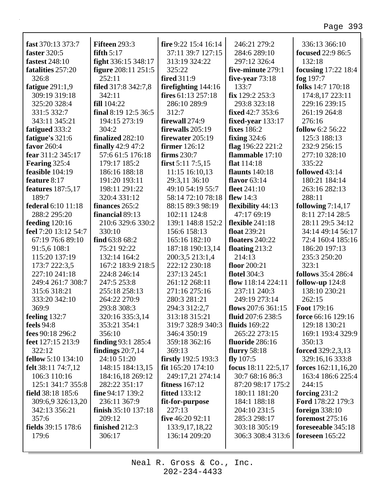٦

| fast 370:13 373:7         | Fifteen 293:3              | fire 9:22 15:4 16:14       | 246:21 279:2            | 336:13 366:10                |
|---------------------------|----------------------------|----------------------------|-------------------------|------------------------------|
| faster 320:5              | fifth $5:17$               | 37:11 39:7 127:15          | 284:6 289:10            | <b>focused</b> 22:9 86:5     |
| <b>fastest</b> 248:10     | fight 336:15 348:17        | 313:19 324:22              | 297:12 326:4            | 132:18                       |
| fatalities 257:20         | <b>figure</b> 208:11 251:5 | 325:22                     | five-minute 279:1       | <b>focusing</b> $17:22$ 18:4 |
| 326:8                     | 252:11                     | fired 311:9                | five-year $73:18$       | fog $197:7$                  |
| fatigue $291:1,9$         | filed 317:8 342:7,8        | firefighting 144:16        | 133:7                   | folks 14:7 170:18            |
| 309:19 319:18             | 342:11                     | fires $61:13$ 257:18       | fix 129:2 253:3         | 174:8,17 223:11              |
| 325:20 328:4              | <b>fill</b> 104:22         | 286:10 289:9               | 293:8 323:18            | 229:16 239:15                |
| 331:5 332:7               | final 8:19 12:5 36:5       | 312:7                      | <b>fixed</b> 42:7 353:6 | 261:19 264:8                 |
| 343:11 345:21             | 194:15 273:19              | firewall 274:9             | fixed-year $133:17$     | 276:16                       |
| fatigued 333:2            | 304:2                      | firewalls 205:19           | <b>fixes</b> 186:2      | <b>follow</b> 6:2 56:22      |
| fatigue's 321:6           | finalized 282:10           | firewater 205:19           | fixing $324:6$          | 125:3 188:13                 |
| favor 260:4               | finally $42:9$ $47:2$      | firmer 126:12              | flag 196:22 221:2       | 232:9 256:15                 |
| fear 311:2 345:17         | 57:6 61:5 176:18           | firms 230:7                | flammable 17:10         | 277:10 328:10                |
| Fearing 325:4             | 179:17 185:2               | first $5:117:5,15$         | flat $114:18$           | 335:22                       |
| feasible 104:19           | 186:16 188:18              | 11:15 16:10,13             | flaunts $140:18$        | followed 43:14               |
| feature 8:17              | 191:20 193:11              | 29:3,11 36:10              | <b>flavor</b> 63:14     | 180:21 184:14                |
| <b>features</b> 187:5,17  | 198:11 291:22              | 49:10 54:19 55:7           | fleet 241:10            | 263:16 282:13                |
| 189:7                     | 320:4 331:12               | 58:14 72:10 78:18          | flew $14:3$             | 288:11                       |
| federal 6:10 11:18        | finances 265:2             | 88:15 89:3 98:19           | flexibility $44:13$     | following 7:14,17            |
| 288:2 295:20              | financial 89:13            | 102:11 124:8               | 47:17 69:19             | 8:11 27:14 28:5              |
| feeding $120:16$          | 210:6 329:6 330:2          | 139:1 148:8 152:2          | flexible $241:18$       | 28:11 29:5 34:12             |
| feel 7:20 13:12 54:7      | 330:10                     | 156:6 158:13               | float 239:21            | 34:14 49:14 56:17            |
| 67:19 76:6 89:10          | find $63:868:2$            | 165:16 182:10              | floaters $240:22$       | 72:4 160:4 185:16            |
| 91:5,6 108:1              | 75:21 92:22                | 187:18 190:13,14           | floating $213:2$        | 186:20 197:13                |
| 115:20 137:19             | 132:14 164:2               | 200:3,5 213:1,4            | 214:13                  | 235:3 250:20                 |
| 173:7 222:3,5             | 167:2 183:9 218:5          | 222:12 230:18              | floor 200:21            | 323:1                        |
| 227:10 241:18             | 224:8 246:14               | 237:13 245:1               | <b>flotel</b> 304:3     | <b>follows</b> 35:4 286:4    |
| 249:4 261:7 308:7         | 247:5 253:8                | 261:12 268:11              | flow $118:14224:11$     | follow-up $124:8$            |
| 315:6 318:21              | 255:18 258:13              | 271:16 275:16              | 237:11 240:3            | 138:10 230:21                |
| 333:20 342:10             | 264:22 270:9               | 280:3 281:21               | 249:19 273:14           | 262:15                       |
| 369:9                     | 293:8 308:3                | 294:3 312:2,7              | flows $207:6361:15$     | Foot 179:16                  |
| feeling 132:7             | 320:16 335:3,14            | 313:18 315:21              | fluid 207:6 238:5       | force 66:16 129:16           |
| feels $94:8$              | 353:21 354:1               | 319:7 328:9 340:3          | fluids $169:22$         | 129:18 130:21                |
| fees 90:18 296:2          | 356:10                     | 346:4 350:19               | 265:22 273:15           | 169:1 193:4 329:9            |
| feet 127:15 213:9         | <b>finding 93:1 285:4</b>  | 359:18 362:16              | fluoride 286:16         | 350:13                       |
| 322:12                    | findings $20:7,14$         | 369:13                     | <b>flurry</b> 58:18     | forced 329:2,3,13            |
| <b>fellow</b> 5:10 134:10 | 24:10 51:20                | <b>firstly</b> 192:5 193:3 | fly $107:5$             | 329:16,16 333:8              |
| felt 38:11 74:7,12        | 148:15 184:13,15           | fit 165:20 174:10          | focus 18:11 22:5,17     | forces $162:11,16,20$        |
| 106:3 110:16              | 184:16,18 269:12           | 249:17,21 274:14           | 30:7 68:16 86:3         | 163:4 186:6 225:4            |
| 125:1 341:7 355:8         | 282:22 351:17              | fitness $167:12$           | 87:20 98:17 175:2       | 244:15                       |
|                           |                            |                            |                         |                              |
| field 38:18 185:6         | fine $94:17$ 139:2         | <b>fitted</b> 133:12       | 180:11 181:20           | forcing $231:2$              |
| 309:6,9 326:13,20         | 236:11 367:9               | fit-for-purpose            | 184:1 188:18            | Ford 178:22 179:3            |
| 342:13 356:21             | finish 35:10 137:18        | 227:13                     | 204:10 231:5            | foreign $338:10$             |
| 357:6                     | 209:12                     | five 46:20 92:11           | 285:3 298:17            | <b>foremost</b> 275:16       |
| fields 39:15 178:6        | finished 212:3             | 133:9, 17, 18, 22          | 303:18 305:19           | foreseeable 345:18           |
| 179:6                     | 306:17                     | 136:14 209:20              | 306:3 308:4 313:6       | foreseen $165:22$            |
|                           |                            |                            |                         |                              |

Neal R. Gross & Co., Inc.  $202 - 234 - 4433$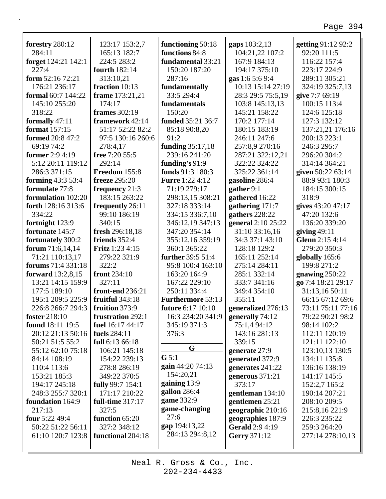٦

| forestry 280:12           | 123:17 153:2,7         | functioning 50:18        | gaps 103:2,13          | getting 91:12 92:2 |
|---------------------------|------------------------|--------------------------|------------------------|--------------------|
| 284:11                    | 165:13 182:7           | functions 84:8           | 104:21,22 107:2        | 92:20 111:5        |
| forget 124:21 142:1       | 224:5 283:2            | fundamental 33:21        | 167:9 184:13           | 116:22 157:4       |
| 227:4                     | <b>fourth</b> 182:14   | 150:20 187:20            | 194:17 375:10          | 223:17 224:9       |
| form 52:16 72:21          | 313:10,21              | 287:16                   | gas 1:6 5:6 9:4        | 289:11 305:21      |
| 176:21 236:17             | fraction 10:13         | fundamentally            | 10:13 15:14 27:19      | 324:19 325:7,13    |
| formal 60:7 144:22        | frame 173:21,21        | 33:5 294:4               | 28:3 29:5 75:5,19      | give 7:7 69:19     |
| 145:10 255:20             | 174:17                 | fundamentals             | 103:8 145:13,13        | 100:15 113:4       |
| 318:22                    | frames 302:19          | 150:20                   | 145:21 158:22          | 124:6 125:18       |
| formally 47:11            | framework 42:14        | funded 35:21 36:7        | 170:2 177:14           | 127:3 132:12       |
| <b>format</b> 157:15      | 51:17 52:22 82:2       | 85:18 90:8,20            | 180:15 183:19          | 137:21,21 176:16   |
| <b>formed</b> 20:8 47:2   | 97:5 130:16 260:6      | 91:2                     | 246:11 247:6           | 200:13 223:1       |
| 69:19 74:2                | 278:4,17               | funding 35:17,18         | 257:8,9 270:16         | 246:3 295:7        |
| former 2:9 4:19           | free 7:20 55:5         | 239:16 241:20            | 287:21 322:12,21       | 296:20 304:2       |
| 5:12 20:11 119:12         | 292:14                 | funding's 91:9           | 322:22 324:22          | 314:14 364:21      |
| 286:3 371:15              | Freedom 155:8          | funds 91:3 180:3         | 325:22 361:14          | given 50:22 63:14  |
| forming 43:3 53:4         | <b>freeze</b> 295:20   | <b>Furre</b> 1:22 4:12   | gasoline 286:4         | 88:9 93:1 180:3    |
| formulate 77:8            | frequency 21:3         | 71:19 279:17             | gather 9:1             | 184:15 300:15      |
| <b>formulation</b> 102:20 | 183:15 263:22          | 298:13,15 308:21         | gathered 16:22         | 318:9              |
| forth 128:16 313:6        | frequently 26:11       | 327:18 333:14            | gathering 171:7        | gives 43:20 47:17  |
| 334:22                    | 99:10 186:19           | 334:15 336:7,10          | gathers 228:22         | 47:20 132:6        |
| fortnight 123:9           | 340:15                 | 346:12,19 347:13         | general 2:10 25:22     | 136:20 339:20      |
| fortunate 145:7           | fresh 296:18,18        | 347:20 354:14            | 31:10 33:16,16         | giving $49:11$     |
| fortunately 300:2         | friends 352:4          | 355:12,16 359:19         | 34:3 37:1 43:10        | Glenn 2:15 4:14    |
| forum $71:6,14,14$        | <b>Fritz</b> 1:23 4:15 | 360:1 365:22             | 128:18 129:2           | 279:20 350:3       |
| 71:21 110:13,17           | 279:22 321:9           | further 39:5 51:4        | 165:11 252:14          | globally 165:6     |
| <b>forums</b> 71:4 331:18 | 322:2                  | 95:8 100:4 163:10        | 275:14 284:11          | 199:8 271:2        |
| forward 13:2,8,15         | front 234:10           | 163:20 164:9             | 285:1 332:14           | gnawing $250:22$   |
| 13:21 14:15 159:9         | 327:11                 | 167:22 229:10            | 333:7 341:16           | go 7:4 18:21 29:17 |
| 177:5 189:10              | front-end 236:21       | 250:11 334:4             | 349:4 354:10           | 31:13,16 50:11     |
| 195:1 209:5 225:9         | fruitful 343:18        | <b>Furthermore 53:13</b> | 355:11                 | 66:15 67:12 69:6   |
| 226:8 266:7 294:3         | fruition 373:9         | future 6:17 10:10        | generalized 276:13     | 73:11 75:11 77:16  |
| <b>foster</b> 218:10      | frustration 292:1      | 16:3 234:20 341:9        | generally 74:12        | 79:22 90:21 98:2   |
| found 18:11 19:5          | fuel 16:17 44:17       | 345:19 371:3             | 75:1,4 94:12           | 98:14 102:2        |
| 20:12 21:13 50:16         | fuels 284:11           | 376:3                    | 143:16 281:13          | 112:11 120:19      |
| 50:21 51:5 55:2           | full 6:13 66:18        |                          | 339:15                 | 121:11 122:10      |
| 55:12 62:10 75:18         | 106:21 145:18          | G                        | generate 27:9          | 123:10,13 130:5    |
| 84:14 108:19              | 154:22 239:13          | $G$ 5:1                  | generated 372:9        | 134:11 135:8       |
| 110:4 113:6               | 278:8 286:19           | gain 44:20 74:13         | generates 241:22       | 136:16 138:19      |
| 153:21 185:3              | 349:22 370:5           | 154:20,21                | generous 371:21        | 141:17 145:5       |
| 194:17 245:18             | fully 99:7 154:1       | gaining 13:9             | 373:17                 | 152:2,7 165:2      |
| 248:3 255:7 320:1         | 171:17 210:22          | gallon 286:4             | gentleman 134:10       | 190:14 207:21      |
| <b>foundation</b> 164:9   | full-time 317:17       | game 332:9               | gentlemen 25:21        | 208:10 209:5       |
| 217:13                    | 327:5                  | game-changing            | geographic 210:16      | 215:8,16 221:9     |
| four 5:22 49:4            | function 65:20         | 27:6                     | geographies 187:9      | 226:3 235:22       |
| 50:22 51:22 56:11         | 327:2 348:12           | gap 194:13,22            | <b>Gerald</b> 2:9 4:19 | 259:3 264:20       |
| 61:10 120:7 123:8         | functional 204:18      | 284:13 294:8,12          | Gerry 371:12           | 277:14 278:10,13   |
|                           |                        |                          |                        |                    |
|                           |                        |                          |                        |                    |

Г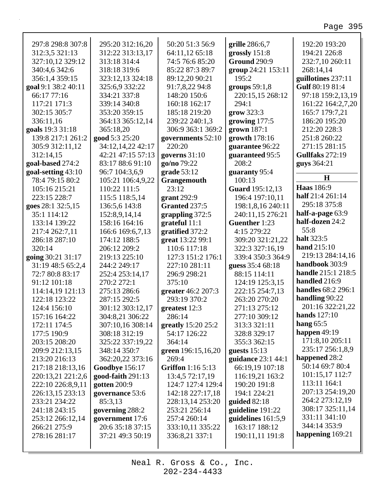| 297:8 298:8 307:8   | 295:20 312:16,20      | 50:20 51:3 56:9    | grille 286:6,7         | 192:20 193:20       |
|---------------------|-----------------------|--------------------|------------------------|---------------------|
| 312:3,5 321:13      | 312:22 313:13,17      | 64:11,12 65:18     | grossly $151:8$        | 194:21 226:8        |
| 327:10,12 329:12    | 313:18 314:4          | 74:5 76:6 85:20    | <b>Ground 290:9</b>    | 232:7,10 260:11     |
| 340:4,6 342:6       | 318:18 319:6          | 85:22 87:3 89:7    | group 24:21 153:11     | 268:14,14           |
| 356:1,4 359:15      | 323:12,13 324:18      | 89:12,20 90:21     | 195:2                  | guillotines 237:11  |
| goal 9:1 38:2 40:11 | 325:6,9 332:22        | 91:7,8,22 94:8     | groups $59:1,8$        | Gulf 80:19 81:4     |
| 66:17 77:16         | 334:21 337:8          | 148:20 150:6       | 220:15,15 268:12       | 97:18 159:2,13,19   |
| 117:21 171:3        | 339:14 340:8          | 160:18 162:17      | 294:1                  | 161:22 164:2,7,20   |
| 302:15 305:7        | 353:20 359:15         | 185:18 219:20      | grow 323:3             | 165:7 179:7,21      |
| 336:11,16           | 364:13 365:12,14      | 239:22 240:1,3     | growing 177:5          | 186:20 195:20       |
| goals 19:3 31:18    | 365:18,20             | 306:9 363:1 369:2  | grown 187:1            | 212:20 228:3        |
| 139:8 217:1 261:2   | good 5:3 25:20        | governments 52:10  | growth 178:16          | 251:8 260:22        |
| 305:9 312:11,12     | 34:12,14,22 42:17     | 220:20             | guarantee 96:22        | 271:15 281:15       |
| 312:14,15           | 42:21 47:15 57:13     | governs $31:10$    | guaranteed 95:5        | Gullfaks 272:19     |
| goal-based 274:2    | 83:17 88:6 91:10      | go/no 79:22        | 208:2                  | guys 364:21         |
| goal-setting 43:10  | 96:7 104:3,6,9        | grade 53:12        | guaranty 95:4          |                     |
| 78:4 79:15 80:2     | 105:21 106:4,9,22     | Grangemouth        | 100:13                 | $\mathbf H$         |
| 105:16 215:21       | 110:22 111:5          | 23:12              | <b>Guard</b> 195:12,13 | <b>Haas</b> 186:9   |
| 223:15 228:7        | 115:5 118:5,14        | grant 292:9        | 196:4 197:10,11        | half 21:4 261:14    |
| goes 28:1 32:5,15   | 136:5,6 143:8         | Granted 237:5      | 198:1,8,16 240:11      | 295:18 375:8        |
| 35:1 114:12         | 152:8,9,14,14         | grappling 372:5    | 240:11,15 276:21       | half-a-page 63:9    |
| 133:14 139:22       | 158:16 164:16         | grateful 11:1      | Guenther 1:23          | half-dozen 24:2     |
| 217:4 262:7,11      | 166:6 169:6,7,13      | gratified 372:2    | 4:15 279:22            | 55:8                |
| 286:18 287:10       | 174:12 188:5          | great 13:22 99:1   | 309:20 321:21,22       | halt 323:5          |
| 320:14              | 206:12 209:2          | 110:6 117:18       | 322:3 327:16,19        | hand 215:10         |
| going 30:21 31:17   | 219:13 225:10         | 127:3 151:2 176:1  | 339:4 350:3 364:9      | 219:13 284:14,16    |
| 31:19 48:5 65:2,4   | 244:2 249:17          | 227:10 281:11      | guess 35:4 68:18       | handbook 303:9      |
| 72:7 80:8 83:17     | 252:4 253:14,17       | 296:9 298:21       | 88:15 114:11           | handle 215:1 218:5  |
| 91:12 101:18        | 270:2 272:1           | 375:10             | 124:19 125:3,15        | handled 216:9       |
| 114:14,19 121:13    | 275:13 286:6          | greater 46:2 207:3 | 222:15 254:7,13        | handles 68:2 296:1  |
| 122:18 123:22       | 287:15 292:5          | 293:19 370:2       | 263:20 270:20          | handling 90:22      |
| 124:4 156:10        | 301:12 303:12,17      | greatest 12:3      | 271:13 275:12          | 201:16 322:21,22    |
| 157:16 164:22       | 304:8,21 306:22       | 286:14             | 277:10 309:12          | <b>hands</b> 127:10 |
| 172:11 174:5        | 307:10,16 308:14      | greatly 15:20 25:2 | 313:3 321:11           | hang $65:5$         |
| 177:5 190:9         | 308:18 312:19         | 54:17 126:22       | 328:8 329:17           | happen 49:19        |
| 203:15 208:20       | 325:22 337:19,22      | 364:14             | 355:3 362:15           | 171:8,10 205:11     |
| 209:9 212:13,15     | 348:14 350:7          | green 196:15,16,20 | guests $15:13$         | 235:17 256:1,8,9    |
| 213:20 216:13       | 362:20,22 373:16      | 269:4              | guidance 23:1 44:1     | happened 28:2       |
| 217:18 218:13,16    | <b>Goodbye 156:17</b> | Griffon 1:16 5:13  | 66:19,19 107:18        | 50:14 69:7 80:4     |
| 220:13,21 221:2,6   | good-faith 291:13     | 13:4,5 72:17,19    | 116:19,21 163:2        | 101:15,17 112:7     |
| 222:10 226:8,9,11   | gotten 200:9          | 124:7 127:4 129:4  | 190:20 191:8           | 113:11 164:1        |
| 226:13,15 233:13    | governance 53:6       | 142:18 227:17,18   | 194:1 224:21           | 207:13 254:19,20    |
| 233:21 234:22       | 85:3,13               | 228:13,14 253:20   | guided 82:18           | 264:2 273:12,19     |
| 241:18 243:15       | governing 288:2       | 253:21 256:14      | guideline 191:22       | 308:17 325:11,14    |
| 253:12 266:12,14    | government 17:6       | 257:4 260:14       | guidelines $161:5,9$   | 331:11 341:10       |
| 266:21 275:9        | 20:6 35:18 37:15      | 333:10,11 335:22   | 163:17 188:12          | 344:14 353:9        |
| 278:16 281:17       | 37:21 49:3 50:19      | 336:8,21 337:1     | 190:11,11 191:8        | happening 169:21    |
|                     |                       |                    |                        |                     |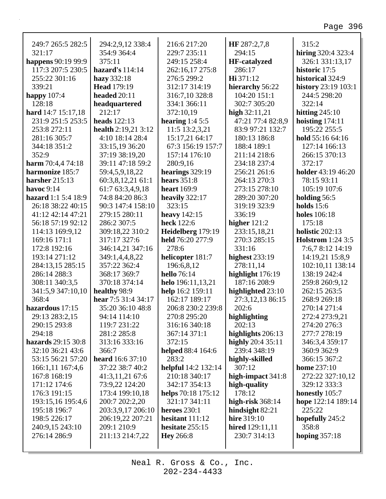| 249:7 265:5 282:5        | 294:2,9,12 338:4        | 216:6 217:20               | HF 287:2,7,8        | 315:2                    |
|--------------------------|-------------------------|----------------------------|---------------------|--------------------------|
| 321:17                   | 354:9 364:4             | 229:7 235:11               | 294:15              | hiring 320:4 323:4       |
| happens 90:19 99:9       | 375:11                  | 249:15 258:4               | <b>HF-catalyzed</b> | 326:1 331:13,17          |
| 117:3 207:5 230:5        | hazard's $114:14$       | 262:16,17 275:8            | 286:17              | historic 17:5            |
| 255:22 301:16            | hazy 332:18             | 276:5 299:2                | Hi 371:12           | historical 324:9         |
| 339:21                   | <b>Head 179:19</b>      | 312:17 314:19              | hierarchy 56:22     | history 23:19 103:1      |
| happy $107:4$            | headed 20:11            | 316:7,10 328:8             | 104:20 151:1        | 244:5 298:20             |
| 128:18                   | headquartered           | 334:1 366:11               | 302:7 305:20        | 322:14                   |
| hard 14:7 15:17,18       | 212:17                  | 372:10,19                  | high $32:11,21$     | hitting $245:10$         |
| 231:9 251:5 253:5        | <b>heads</b> 122:13     | hearing $1:45:5$           | 47:21 77:4 82:8,9   | hoisting $174:11$        |
| 253:8 272:11             | health $2:19,213:12$    | 11:5 13:2,3,21             | 83:9 97:21 132:7    | 195:22 255:5             |
| 281:16 305:7             | 4:10 18:14 28:4         | 15:17,21 64:17             | 180:13 186:8        | hold 55:16 64:16         |
| 344:18 351:2             | 33:15,19 36:20          | 67:3 156:19 157:7          | 188:4 189:1         | 127:14 166:13            |
| 352:9                    | 37:19 38:19,20          | 157:14 176:10              | 211:14 218:6        | 266:15 370:13            |
| <b>harm</b> 70:4,4 74:18 | 39:11 47:18 59:2        | 280:9,16                   | 234:18 237:4        | 372:17                   |
| harmonize 185:7          | 59:4,5,9,18,22          | hearings 329:19            | 256:21 261:6        | holder 43:19 46:20       |
| harsher $215:13$         | 60:3,8,12,21 61:1       | hears $351:8$              | 264:13 270:3        | 78:15 93:11              |
| havoc $9:14$             | 61:7 63:3,4,9,18        | <b>heart</b> 169:9         | 273:15 278:10       | 105:19 107:6             |
| hazard 1:1 5:4 18:9      | 74:8 84:20 86:3         | heavily $322:17$           | 289:20 307:20       | holding 56:5             |
| 26:18 38:22 40:15        | 90:3 147:4 158:10       | 323:15                     | 319:19 323:9        | holds $15:6$             |
| 41:12 42:14 47:21        | 279:15 280:11           | heavy 142:15               | 336:19              | <b>holes</b> 106:18      |
| 56:18 57:19 92:12        | 286:2 307:5             | heck 122:6                 | higher $121:2$      | 175:18                   |
| 114:13 169:9,12          | 309:18,22 310:2         | Heidelberg 179:19          | 233:15,18,21        | holistic 202:13          |
| 169:16 171:1             | 317:17 327:6            | held 76:20 277:9           | 270:3 285:15        | <b>Holstrom</b> 1:24 3:5 |
| 172:8 192:16             | 346:14,21 347:16        | 278:6                      | 331:16              | 7:6,7 8:12 14:19         |
| 193:14 271:12            | 349:1,4,4,8,22          | helicopter 181:7           | highest $233:19$    | 14:19,21 15:8,9          |
| 284:13,15 285:15         | 357:22 362:4            | 196:6,8,12                 | 278:11,14           | 102:10,11 138:14         |
| 286:14 288:3             | 368:17 369:7            | <b>hello</b> 76:14         | highlight 176:19    | 138:19 242:4             |
| 308:11 340:3,5           | 370:18 374:14           | helo 196:11,13,21          | 187:16 208:9        | 259:8 260:9,12           |
| 341:5,9 347:10,10        | healthy 98:9            | help 16:2 159:11           | highlighted 23:10   | 262:15 263:5             |
| 368:4                    | hear 7:5 31:4 34:17     | 162:17 189:17              | 27:3,12,13 86:15    | 268:9 269:18             |
| hazardous 17:15          | 35:20 36:10 48:8        | 206:8 230:2 239:8          | 202:6               | 270:14 271:4             |
| 29:13 283:2,15           | 94:14 114:10            | 270:8 295:20               | highlighting        | 272:4 273:9,21           |
| 290:15 293:8             | 119:7 231:22            | 316:16 340:18              | 202:13              | 274:20 276:3             |
| 294:18                   | 281:2 285:8             | 367:14 371:1               | highlights 206:13   | 277:7 278:19             |
| hazards 29:15 30:8       | 313:16 333:16           | 372:15                     | highly $20:435:11$  | 346:3,4 359:17           |
| 32:10 36:21 43:6         | 366:7                   | helped 88:4 164:6          | 239:4 348:19        | 360:9 362:9              |
| 53:15 56:21 57:20        | <b>heard</b> 16:6 37:10 | 283:2                      | highly-skilled      | 366:15 367:2             |
| 166:1,11 167:4,6         | 37:22 38:7 40:2         | <b>helpful</b> 14:2 132:14 | 307:12              | home $237:10$            |
| 167:8 168:19             | 41:3,11,21 67:6         | 210:18 340:17              | high-impact 341:8   | 272:22 327:10,12         |
| 171:12 174:6             | 73:9,22 124:20          | 342:17 354:13              | high-quality        | 329:12 333:3             |
| 176:3 191:15             | 173:4 199:10,18         | helps 70:18 175:12         | 178:12              | honestly 105:7           |
| 193:15,16 195:4,6        | 200:7 202:2,20          | 321:17 341:11              | high-risk $368:14$  | hope 122:14 189:14       |
| 195:18 196:7             | 203:3,9,17 206:10       | heroes 230:1               | hindsight $82:21$   | 225:22                   |
| 198:5 226:17             | 206:19,22 207:21        | hesitant $111:12$          | hire 319:10         | hopefully 245:2          |
| 240:9,15 243:10          | 209:1 210:9             | hesitate 255:15            | hired $129:11,11$   | 358:8                    |
| 276:14 286:9             | 211:13 214:7,22         | <b>Hey</b> 266:8           | 230:7 314:13        | hoping $357:18$          |
|                          |                         |                            |                     |                          |
|                          |                         |                            |                     |                          |

Neal R. Gross & Co., Inc.  $202 - 234 - 4433$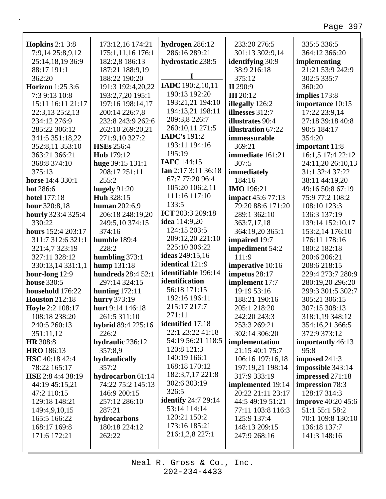٦

| <b>Hopkins</b> 2:1 3:8    | 173:12,16 174:21          | hydrogen 286:12            | 233:20 276:5              | 335:5 336:5               |
|---------------------------|---------------------------|----------------------------|---------------------------|---------------------------|
| 7:9,14 25:8,9,12          | 175:1,11,16 176:1         | 286:16 289:21              | 301:13 302:9,14           | 364:12 366:20             |
| 25:14,18,19 36:9          | 182:2,8 186:13            | hydrostatic 238:5          | <b>identifying 30:9</b>   | implementing              |
| 88:17 191:1               | 187:21 188:9,19           | I                          | 38:9 216:18               | 21:21 53:9 242:9          |
| 362:20                    | 188:22 190:20             |                            | 375:12                    | 302:5 335:7               |
| <b>Horizon</b> 1:25 3:6   | 191:3 192:4,20,22         | IADC 190:2,10,11           | II 290:9                  | 360:20                    |
| 7:3 9:13 10:8             | 193:2,7,20 195:1          | 190:13 192:20              | <b>III</b> 20:12          | implies 173:8             |
| 15:11 16:11 21:17         | 197:16 198:14,17          | 193:21,21 194:10           | illegally 126:2           | importance 10:15          |
| 22:3,13 25:2,13           | 200:14 226:7,8            | 194:13,21 198:11           | illnesses 312:7           | 17:22 23:9,14             |
| 234:12 276:9              | 232:8 243:9 262:6         | 209:3,8 226:7              | illustrates 90:4          | 27:18 39:18 40:8          |
| 285:22 306:12             | 262:10 269:20,21          | 260:10,11 271:5            | <b>illustration</b> 67:22 | 90:5 184:17               |
| 341:5 351:18,22           | 271:9,10 327:2            | <b>IADC's</b> 191:2        | immeasurable              | 354:20                    |
| 352:8,11 353:10           | <b>HSEs</b> 256:4         | 193:11 194:16              | 369:21                    | important 11:8            |
| 363:21 366:21             | Hub 179:12                | 195:19                     | immediate 161:21          | 16:1,5 17:4 22:12         |
| 368:8 374:10              | huge 39:15 131:1          | IAFC 144:15                | 307:5                     | 24:11,20 26:10,13         |
| 375:13                    | 208:17 251:11             | <b>Ian</b> 2:17 3:11 36:18 | immediately               | 31:1 32:4 37:22           |
| horse 14:4 330:1          | 255:2                     | 67:7 77:20 96:4            | 184:16                    | 38:11 44:19,20            |
| hot 286:6                 | hugely $91:20$            | 105:20 106:2,11            | <b>IMO</b> 196:21         | 49:16 50:8 67:19          |
| <b>hotel</b> 177:18       | Huh 328:15                | 111:16 117:10              | <b>impact</b> 45:6 77:13  | 75:9 77:2 108:2           |
| hour 320:8,18             | <b>human</b> 202:6,9      | 133:5                      | 79:20 88:6 171:20         | 108:10 123:3              |
| <b>hourly</b> 323:4 325:4 | 206:18 248:19,20          | ICT 203:3 209:18           | 289:1 362:10              | 136:3 137:19              |
| 330:22                    | 249:5,10 374:15           | idea 114:9,20              | 363:7,17,18               | 139:14 152:10,17          |
| hours 152:4 203:17        | 374:16                    | 124:15 203:5               | 364:19,20 365:1           | 153:2,14 176:10           |
| 311:7 312:6 321:1         | humble 189:4              | 209:12,20 221:10           | impaired 19:7             | 176:11 178:16             |
| 321:4,7 323:19            | 228:2                     | 225:10 306:22              | impediment 54:2           | 180:2 182:18              |
| 327:11 328:12             | humbling $373:1$          | ideas 249:15,16            | 111:9                     | 200:6 206:21              |
| 330:13,14 331:1,1         | hump 131:18               | identical 121:9            | imperative 10:16          | 208:6 218:15              |
| hour-long 12:9            | <b>hundreds</b> 28:4 52:1 | identifiable 196:14        | impetus 28:17             | 229:4 273:7 280:9         |
| <b>house</b> 330:5        | 297:14 324:15             | identification             | implement 17:7            | 280:19,20 296:20          |
| household 176:22          | hunting $172:11$          | 56:18 171:15               | 19:19 53:16               | 299:3 301:5 302:7         |
| <b>Houston</b> 212:18     | hurry 373:19              | 192:16 196:11              | 188:21 190:16             | 305:21 306:15             |
| Hoyle 2:2 108:17          | hurt 9:14 146:18          | 215:17 217:7               | 205:1 218:20              | 307:15 308:13             |
| 108:18 238:20             | 261:5 311:10              | 271:11                     | 242:20 243:3              | 318:1,19 348:12           |
| 240:5 260:13              | hybrid 89:4 225:16        | <b>identified</b> 17:18    | 253:3 269:21              | 354:16,21 366:5           |
| 351:11,12                 | 226:2                     | 22:1 23:22 41:18           | 302:14 306:20             | 372:9 373:12              |
| <b>HR</b> 308:8           | hydraulic 236:12          | 54:19 56:21 118:5          | implementation            | importantly 46:13         |
| <b>HRO</b> 186:13         | 357:8,9                   | 120:8 121:3                | 21:15 40:1 75:7           | 95:8                      |
| <b>HSC</b> 40:18 42:4     | hydraulically             | 140:19 166:1               | 106:16 197:16,18          | imposed 241:3             |
| 78:22 165:17              | 357:2                     | 168:18 170:12              | 197:19,21 198:14          | impossible 343:14         |
| <b>HSE</b> 2:8 4:4 38:19  |                           | 182:3,7,17 221:8           | 317:9 333:19              |                           |
|                           | hydrocarbon 61:14         | 302:6 303:19               |                           | impressed 271:18          |
| 44:19 45:15,21            | 74:22 75:2 145:13         | 326:5                      | implemented 19:14         | impression 78:3           |
| 47:2 110:15               | 146:9 200:15              | <b>identify</b> 24:7 29:14 | 20:22 21:11 23:17         | 128:17 314:3              |
| 129:18 148:21             | 257:12 286:10             | 53:14 114:14               | 44:5 49:19 51:21          | <b>improve</b> 40:20 45:6 |
| 149:4,9,10,15             | 287:21                    | 120:21 150:2               | 77:11 103:8 116:3         | 51:1 55:1 58:2            |
| 165:5 166:22              | hydrocarbons              | 173:16 185:21              | 125:9 137:4               | 70:1 109:8 130:10         |
| 168:17 169:8              | 180:18 224:12             |                            | 148:13 209:15             | 136:18 137:7              |
| 171:6 172:21              | 262:22                    | 216:1,2,8 227:1            | 247:9 268:16              | 141:3 148:16              |
|                           |                           |                            |                           |                           |

Г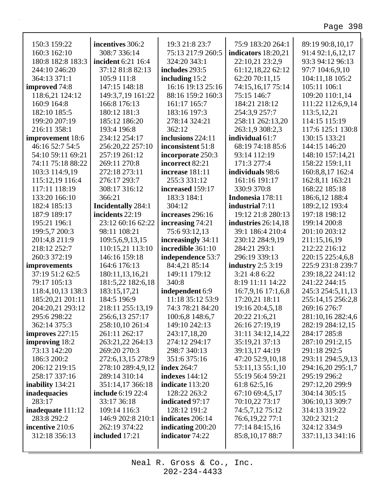٦

| 150:3 159:22             | incentives 306:2          | 19:3 21:8 23:7           | 75:9 183:20 264:1      | 89:19 90:8,10,17  |
|--------------------------|---------------------------|--------------------------|------------------------|-------------------|
| 160:3 162:10             | 308:7 336:14              | 75:13 217:9 260:5        | indicators $18:20,21$  | 91:4 92:1,6,12,17 |
| 180:8 182:8 183:3        | incident 6:21 16:4        | 324:20 343:1             | 22:10,21 23:2,9        | 93:3 94:12 96:13  |
| 244:10 246:20            | 37:12 81:8 82:13          | includes 293:5           | 61:12,18,22 62:12      | 97:7 104:6,9,10   |
| 364:13 371:1             | 105:9 111:8               | including $15:2$         | 62:20 70:11,15         | 104:11,18 105:2   |
| improved 74:8            | 147:15 148:18             | 16:16 19:13 25:16        | 74:15,16,17 75:14      | 105:11 106:1      |
| 118:6,21 124:12          | 149:3,7,19 161:22         | 88:16 159:2 160:3        | 75:15 146:7            | 109:20 110:1,14   |
| 160:9 164:8              | 166:8 176:13              | 161:17 165:7             | 184:21 218:12          | 111:22 112:6,9,14 |
| 182:10 185:5             | 180:12 181:3              | 183:16 197:3             | 254:3,9 257:7          | 113:5, 12, 21     |
| 199:20 207:19            | 185:12 186:20             | 278:14 324:21            | 258:11 262:13,20       | 114:15 115:19     |
| 216:11 358:1             | 193:4 196:8               | 362:12                   | 263:1,9 308:2,3        | 117:6 125:1 130:8 |
| improvement 18:6         | 234:12 254:17             | inclusions 224:11        | individual 61:7        | 130:15 133:21     |
| 46:16 52:7 54:5          | 256:20,22 257:10          | inconsistent 51:8        | 68:19 74:18 85:6       | 144:15 146:20     |
| 54:10 59:11 69:21        | 257:19 261:12             | incorporate 250:3        | 93:14 112:19           | 148:10 157:14,21  |
| 74:11 75:18 88:22        | 269:11 270:8              | incorrect 82:21          | 171:3 277:4            | 158:22 159:1,11   |
| 103:3 114:9,19           | 272:18 273:11             | increase 181:11          | individuals 98:6       | 160:8,8,17 162:4  |
| 115:12,19 116:4          | 276:17 293:7              | 255:3 331:12             | 161:16 191:17          | 162:8,11 163:21   |
| 117:11 118:19            | 308:17 316:12             | increased 159:17         | 330:9 370:8            | 168:22 185:18     |
| 133:20 166:10            | 366:21                    | 183:3 184:1              | Indonesia 178:11       | 186:6,12 188:4    |
| 182:4 185:13             | <b>Incidentally 284:1</b> | 304:12                   | <b>industrial</b> 7:11 | 189:2,12 193:4    |
| 187:9 189:17             | incidents 22:19           | increases 296:16         | 19:12 21:8 280:13      | 197:18 198:12     |
| 195:21 196:1             | 23:12 60:16 62:22         | increasing 74:21         | industries 26:14,18    | 199:14 200:8      |
| 199:5,7 200:3            | 98:11 108:21              | 75:6 93:12,13            | 39:1 186:4 210:4       | 201:10 203:12     |
| 201:4,8 211:9            | 109:5,6,9,13,15           | increasingly 34:11       | 230:12 284:9,19        | 211:15,16,19      |
| 218:12 252:7             | 110:15,21 113:10          | incredible 361:10        | 284:21 293:1           | 212:22 216:12     |
| 260:3 372:19             | 146:16 159:18             | independence 53:7        | 296:19 339:13          | 220:15 225:4,6,8  |
| improvements             | 164:6 176:13              | 84:4,21 85:14            | industry $2:53:19$     | 225:9 231:8 239:7 |
| 37:19 51:2 62:5          | 180:11,13,16,21           | 149:11 179:12            | 3:21 4:8 6:22          | 239:18,22 241:12  |
| 79:17 105:13             | 181:5,22 182:6,18         | 340:8                    | 8:19 11:11 14:22       | 241:22 244:15     |
| 118:4, 10, 13 138:3      | 183:15,17,21              | independent 6:9          | 16:7,9,16 17:1,6,8     | 245:3 254:5,11,13 |
| 185:20,21 201:11         | 184:5 196:9               | 11:18 35:12 53:9         | 17:20,21 18:11         | 255:14,15 256:2,8 |
| 204:20,21 293:12         | 218:11 255:13,19          | 74:3 78:21 84:20         | 19:16 20:4,5,18        | 269:16 276:7      |
| 295:6 298:22             | 256:6,13 257:17           | 100:6,8 148:6,7          | 20:22 21:6,21          | 281:10,16 282:4,6 |
| 362:14 375:3             | 258:10,10 261:4           | 149:10 242:13            | 26:16 27:19,19         | 282:19 284:12,15  |
| improves $227:15$        | 261:11 262:17             | 243:17,18,20             | 31:11 34:12,14,22      | 284:17 285:8      |
| improving 18:2           | 263:21,22 264:13          | 274:12 294:17            | 35:19,21 37:13         | 287:10 291:2,15   |
| 73:13 142:20             | 269:20 270:3              | 298:7 340:13             | 39:13,17 44:19         | 291:18 292:5      |
| 186:3 200:2              | 272:6, 13, 15 278:9       | 351:6 375:16             | 47:20 52:9,10,18       | 293:11 294:5,9,13 |
| 206:12 219:15            | 278:10 289:4,9,12         | <b>index</b> 264:7       | 53:11,13 55:1,10       | 294:16,20 295:1,7 |
| 258:17 337:16            | 289:14 310:14             | <b>indexes</b> 144:12    | 55:19 56:4 59:21       | 295:19 296:2      |
| inability 134:21         | 351:14,17 366:18          | indicate 113:20          | 61:8 62:5,16           | 297:12,20 299:9   |
| inadequacies             | <b>include</b> 6:19 22:4  | 128:22 263:2             | 67:10 69:4,5,17        | 304:14 305:15     |
| 283:17                   | 33:17 36:18               | indicated 97:17          | 70:10,22 73:17         | 306:10,13 309:7   |
| <b>inadequate</b> 111:12 | 109:14 116:3              | 128:12 191:2             | 74:5,7,12 75:12        | 314:13 319:22     |
| 283:8 292:2              | 146:9 202:8 210:1         | indicates 206:14         | 76:6,19,22 77:1        | 320:2 321:2       |
| incentive 210:6          | 262:19 374:22             | <b>indicating</b> 200:20 | 77:14 84:15,16         | 324:12 334:9      |
| 312:18 356:13            | included 17:21            | indicator 74:22          | 85:8, 10, 17 88:7      | 337:11,13 341:16  |
|                          |                           |                          |                        |                   |
|                          |                           |                          |                        |                   |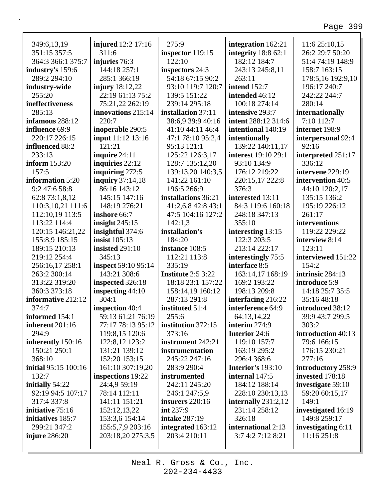| 349:6,13,19                 | <b>injured</b> 12:2 17:16 | 275:9                           | integration 162:21                      | 11:6 25:10,15      |
|-----------------------------|---------------------------|---------------------------------|-----------------------------------------|--------------------|
| 351:15 357:5                | 311:6                     | inspector 119:15                | integrity $18:862:1$                    | 26:2 29:7 50:20    |
| 364:3 366:1 375:7           | injuries 76:3             | 122:10                          | 182:12 184:7                            | 51:4 74:19 148:9   |
| industry's 159:6            | 144:18 257:1              | inspectors 24:3                 | 243:13 245:8,11                         | 158:7 163:15       |
| 289:2 294:10                | 285:1 366:19              | 54:18 67:15 90:2                | 263:11                                  | 178:5,16 192:9,10  |
| industry-wide               | <b>injury</b> 18:12,22    | 93:10 119:7 120:7               | intend 152:7                            | 196:17 240:7       |
| 255:20                      | 22:19 61:13 75:2          | 139:5 151:22                    | intended 46:12                          | 242:22 244:7       |
| ineffectiveness             | 75:21,22 262:19           | 239:14 295:18                   | 100:18 274:14                           | 280:14             |
| 285:13                      | innovations 215:14        | installation 37:11              | intensive 293:7                         | internationally    |
| infamous 288:12             | 220:7                     | 38:6,9 39:9 40:16               | intent 288:12 314:6                     | 7:10 112:7         |
| influence 69:9              | inoperable 290:5          | 41:10 44:11 46:4                | intentional 140:19                      | internet 198:9     |
| 220:17 226:15               | input 11:12 13:16         | 47:1 78:10 95:2,4               | intentionally                           | interpersonal 92:4 |
| influenced 88:2             | 121:21                    | 95:13 121:1                     | 139:22 140:11,17                        | 92:16              |
| 233:13                      | inquire 24:11             | 125:22 126:3,17                 | interest 19:10 29:1                     | interpreted 251:17 |
| <b>inform</b> 153:20        | inquiries 22:12           | 128:7 135:12,20                 | 93:10 134:9                             | 336:12             |
| 157:5                       | inquiring $272:5$         | 139:13,20 140:3,5               | 176:12 219:22                           | intervene 229:19   |
| information 5:20            | <b>inquiry</b> 37:14,18   | 141:22 161:10                   | 220:15,17 222:8                         | intervention 40:5  |
| 9:2 47:6 58:8               | 86:16 143:12              | 196:5 266:9                     | 376:3                                   | 44:10 120:2,17     |
| 62:8 73:1,8,12              | 145:15 147:16             | installations 36:21             | interested 13:11                        | 135:15 136:2       |
| 110:3,10,21 111:6           | 148:19 276:21             | 41:2,6,8 42:8 43:1              | 84:3 119:6 160:18                       | 195:19 226:12      |
| 112:10,19 113:5             | inshore 66:7              | 47:5 104:16 127:2               | 248:18 347:13                           | 261:17             |
| 113:22 114:4                | insight $245:15$          | 142:1,3                         | 355:10                                  | interventions      |
| 120:15 146:21,22            | insightful 374:6          | installation's                  | interesting 13:15                       | 119:22 229:22      |
| 155:8,9 185:15              | insist $105:13$           | 184:20                          | 122:3 203:5                             | interview 8:14     |
| 189:15 210:13               | insisted 291:10           | instance 108:5                  | 213:14 222:17                           | 123:11             |
| 219:12 254:4                | 345:13                    | 112:21 113:8                    | interestingly 75:5                      | interviewed 151:22 |
| 256:16,17 258:1             | inspect 59:10 95:14       | 335:19                          | interface 8:5                           | 154:2              |
| 263:2 300:14                | 143:21 308:6              | Institute 2:5 3:22              | 163:14,17 168:19                        | intrinsic 284:13   |
| 313:22 319:20               | inspected 326:18          | 18:18 23:1 157:22               | 169:2 193:22                            | introduce 5:9      |
| 360:3 373:18                | inspecting $44:10$        | 158:14,19 160:12                | 198:13 209:8                            | 14:18 25:7 35:5    |
|                             | 304:1                     |                                 |                                         | 35:16 48:18        |
| informative 212:12<br>374:7 |                           | 287:13 291:8<br>instituted 51:4 | interfacing 216:22<br>interference 64:9 |                    |
|                             | inspection 40:4           |                                 |                                         | introduced 38:12   |
| informed 154:1              | 59:13 61:21 76:19         | 255:6                           | 64:13,14,22                             | 39:9 43:7 299:5    |
| inherent 201:16             | 77:17 78:13 95:12         | institution 372:15              | interim 274:9                           | 303:2              |
| 294:9                       | 119:8,15 120:6            | 373:16                          | <b>Interior 24:6</b>                    | introduction 40:13 |
| inherently 150:16           | 122:8,12 123:2            | instrument 242:21               | 119:10 157:7                            | 79:6 166:15        |
| 150:21 250:1                | 131:21 139:12             | instrumentation                 | 163:19 295:2                            | 176:15 230:21      |
| 368:10                      | 152:20 153:15             | 245:22 247:16                   | 296:4 368:6                             | 277:16             |
| initial 95:15 100:16        | 161:10 307:19,20          | 283:9 290:4                     | Interior's 193:10                       | introductory 258:9 |
| 132:7                       | inspections 19:22         | instrumented                    | internal 147:5                          | invested 178:18    |
| initially 54:22             | 24:4,9 59:19              | 242:11 245:20                   | 184:12 188:14                           | investigate 59:10  |
| 92:19 94:5 107:17           | 78:14 112:11              | 246:1 247:5,9                   | 228:10 230:13,13                        | 59:20 60:15,17     |
| 317:4 337:8                 | 141:11 151:21             | insurers 220:16                 | internally $231:2,12$                   | 149:1              |
| <b>initiative</b> 75:16     | 152:12,13,22              | int 237:9                       | 231:14 258:12                           | investigated 16:19 |
| initiatives 185:7           | 153:3,6 154:14            | <b>intake 287:19</b>            | 326:18                                  | 149:8 259:17       |
| 299:21 347:2                | 155:5,7,9 203:16          | integrated 163:12               | international 2:13                      | investigating 6:11 |
| injure $286:20$             | 203:18,20 275:3,5         | 203:4 210:11                    | 3:7 4:2 7:12 8:21                       | 11:16 251:8        |
|                             |                           |                                 |                                         |                    |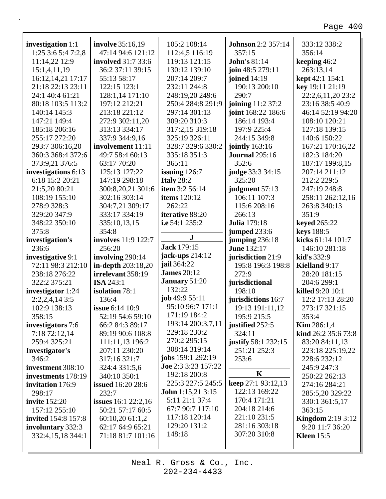٦

| investigation 1:1          |                            |                                                |                                     |                          |
|----------------------------|----------------------------|------------------------------------------------|-------------------------------------|--------------------------|
|                            | <b>involve</b> 35:16,19    | 105:2 108:14                                   | <b>Johnson</b> 2:2 357:14           | 333:12 338:2             |
| 1:25 3:6 5:4 7:2,8         | 47:14 94:6 121:12          | 112:4,5 116:19                                 | 357:15                              | 356:14                   |
| 11:14,22 12:9              | <b>involved</b> 31:7 33:6  | 119:13 121:15                                  | <b>John's 81:14</b>                 | keeping 46:2             |
| 15:1,4,11,19               | 36:2 37:11 39:15           | 130:12 139:10                                  | join 48:5 279:11                    | 263:13,14                |
| 16:12,14,21 17:17          | 55:13 58:17                | 207:14 209:7                                   | joined 14:19                        | kept 42:1 154:1          |
| 21:18 22:13 23:11          | 122:15 123:1               | 232:11 244:8                                   | 190:13 200:10                       | key 19:11 21:19          |
| 24:1 40:4 61:21            | 128:1,14 171:10            | 248:19,20 249:6                                | 290:7                               | 22:2,6,11,20 23:2        |
| 80:18 103:5 113:2          | 197:12 212:21              | 250:4 284:8 291:9                              | joining 11:2 37:2                   | 23:16 38:5 40:9          |
| 140:14 145:3               | 213:18 221:12              | 297:14 301:13                                  | joint 168:22 186:6                  | 46:14 52:19 94:20        |
| 147:21 149:4               | 272:9 302:11,20            | 309:20 310:3                                   | 186:14 193:4                        | 108:10 120:21            |
| 185:18 206:16              | 313:13 334:17              | 317:2,15 319:18                                | 197:9 225:4                         | 127:18 139:15            |
| 255:17 272:20              | 337:9 344:9,16             | 325:19 326:11                                  | 244:15 349:8                        | 140:6 150:22             |
| 293:7 306:16,20            | involvement 11:11          | 328:7 329:6 330:2                              | jointly 163:16                      | 167:21 170:16,22         |
| 360:3 368:4 372:6          | 49:7 58:4 60:13            | 335:18 351:3                                   | <b>Journal</b> 295:16               | 182:3 184:20             |
| 373:9,21 376:5             | 63:17 70:20                | 365:11                                         | 352:6                               | 187:17 199:8,15          |
| investigations 6:13        | 125:13 127:22              | issuing $126:7$                                | judge 33:3 34:15                    | 207:14 211:12            |
| 6:18 15:2 20:21            | 147:19 298:18              | Italy $28:2$                                   | 325:20                              | 212:2 229:5              |
| 21:5,20 80:21              | 300:8,20,21 301:6          | <b>item 3:2 56:14</b>                          | judgment 57:13                      | 247:19 248:8             |
| 108:19 155:10              | 302:16 303:14              | <b>items</b> 120:12                            | 106:11 107:3                        | 258:11 262:12,16         |
| 278:9 328:3                | 304:7,21 309:17            | 262:22                                         | 115:6 208:16                        | 263:8 340:13             |
| 329:20 347:9               | 333:17 334:19              | <b>iterative 88:20</b>                         | 266:13                              | 351:9                    |
| 348:22 350:10              | 335:10,13,15               | i.e 54:1 235:2                                 | <b>Julia</b> 179:18                 | <b>keyed</b> 265:22      |
| 375:8                      | 354:8                      |                                                | jumped 233:6                        | keys 188:5               |
| investigation's            | involves 11:9 122:7        | ${\bf J}$                                      | jumping $236:18$                    | kicks 61:14 101:7        |
| 236:6                      | 256:20                     | <b>Jack 179:15</b>                             | <b>June 132:17</b>                  | 146:10 281:18            |
| investigative 9:1          | involving 290:14           | jack-ups 214:12                                | jurisdiction 21:9                   | kid's 332:9              |
| 72:11 98:3 212:10          | in-depth 203:18,20         | jail 364:22                                    | 195:8 196:3 198:8                   | <b>Kielland 9:17</b>     |
|                            |                            |                                                |                                     |                          |
|                            |                            | <b>James</b> 20:12                             |                                     |                          |
| 238:18 276:22              | irrelevant 358:19          | <b>January 51:20</b>                           | 272:9                               | 28:20 181:15             |
| 322:2 375:21               | <b>ISA 243:1</b>           | 132:22                                         | jurisdictional<br>198:10            | 204:6 299:1              |
| investigator 1:24          | isolation 78:1             | job $49:955:11$                                |                                     | killed 9:20 10:1         |
| $2:2,2,4,14$ 3:5           | 136:4                      | 95:10 96:7 171:1                               | jurisdictions 16:7                  | 12:2 17:13 28:20         |
| 102:9 138:13               | issue 6:14 10:9            | 171:19 184:2                                   | 19:13 191:11,12                     | 273:17 321:15            |
| 358:15                     | 52:19 54:6 59:10           | 193:14 200:3,7,11                              | 195:9 215:5                         | 353:4                    |
| investigators 7:6          | 66:2 84:3 89:17            | 229:18 230:2                                   | justified 252:5                     | <b>Kim</b> 286:1,4       |
| 7:18 72:12,14              | 89:19 90:6 108:8           | 270:2 295:15                                   | 324:11                              | kind 26:2 35:6 73:8      |
| 259:4 325:21               | 111:11,13 196:2            | 308:14 319:14                                  | justify 58:1 232:15                 | 83:20 84:11,13           |
| Investigator's             | 207:11 230:20              | jobs 159:1 292:19                              | 251:21 252:3                        | 223:18 225:19,22         |
| 346:2                      | 317:16 321:7               | Joe 2:3 3:23 157:22                            | 253:6                               | 228:6 232:12             |
| investment 308:10          | 324:4 331:5,6              |                                                | K                                   | 245:9 247:3              |
| investments 178:19         | 340:10 350:1               | 192:18 200:8<br>225:3 227:5 245:5              |                                     | 250:22 262:13            |
| invitation 176:9           | <b>issued</b> 16:20 28:6   |                                                | keep 27:1 93:12,13<br>122:13 169:22 | 274:16 284:21            |
| 298:17                     | 232:7                      | <b>John</b> $1:15,21$ $3:15$<br>5:11 21:1 37:4 | 170:4 171:21                        | 285:5,20 329:22          |
| <b>invite</b> 152:20       | <b>issues</b> 16:1 22:2,16 | 67:7 90:7 117:10                               | 204:18 214:6                        | 330:1 361:5,17           |
| 157:12 255:10              | 50:21 57:17 60:5           | 117:18 120:14                                  | 221:10 231:5                        | 363:15                   |
| <b>invited</b> 154:8 157:8 | 60:10,20 61:1,2            | 129:20 131:2                                   | 281:16 303:18                       | <b>Kingdom</b> 2:19 3:12 |
| involuntary 332:3          | 62:17 64:9 65:21           | 148:18                                         | 307:20 310:8                        | 9:20 11:7 36:20          |
| 332:4,15,18 344:1          | 71:18 81:7 101:16          |                                                |                                     | <b>Kleen</b> 15:5        |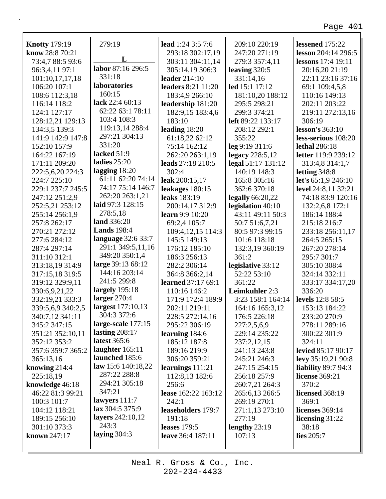| <b>Knotty 179:19</b> | 279:19             | lead 1:24 3:5 7:6         | 209:10 220:19      | lessened 175:22        |
|----------------------|--------------------|---------------------------|--------------------|------------------------|
| know 28:8 70:21      |                    | 293:18 302:17,19          | 247:20 271:19      | lesson 204:14 296:5    |
| 73:4,7 88:5 93:6     | L                  | 303:11 304:11,14          | 279:3 357:4,11     | lessons 17:4 19:11     |
| 96:3,4,11 97:1       | labor 87:16 296:5  | 305:14,19 306:3           | leaving 320:5      | 20:16,20 21:19         |
| 101:10,17,17,18      | 331:18             | leader 214:10             | 331:14,16          | 22:11 23:16 37:16      |
| 106:20 107:1         | laboratories       | leaders 8:21 11:20        | led 15:1 17:12     | 69:1 109:4,5,8         |
| 108:6 112:3,18       | 160:15             | 183:4,9 266:10            | 181:10,20 188:12   | 110:16 149:13          |
| 116:14 118:2         | lack 22:4 60:13    | leadership 181:20         | 295:5 298:21       | 202:11 203:22          |
| 124:1 127:17         | 62:22 63:1 78:11   | 182:9,15 183:4,6          | 299:3 374:21       | 219:11 272:13,16       |
| 128:12,21 129:13     | 103:4 108:3        | 183:10                    | left 89:22 133:17  | 306:19                 |
| 134:3,5 139:3        | 119:13,14 288:4    | leading $18:20$           | 208:12 292:1       | lesson's $363:10$      |
| 141:9 142:9 147:8    | 297:21 304:13      | 61:18,22 62:12            | 355:22             | less-serious 108:20    |
| 152:10 157:9         | 331:20             | 75:14 162:12              | leg 9:19 311:6     | <b>lethal</b> 286:18   |
| 164:22 167:19        | lacked 51:9        | 262:20 263:1,19           | legacy $228:5,12$  | letter 119:9 239:12    |
| 171:11 209:20        | ladies $25:20$     | leads 27:18 210:5         | legal 51:17 131:12 | 313:4,8 314:1,7        |
| 222:5,6,20 224:3     | lagging $18:20$    | 302:4                     | 140:19 148:3       | letting $348:8$        |
| 224:7 225:10         | 61:11 62:20 74:14  | leak 200:15,17            | 165:8 305:16       | let's 65:1,9 246:10    |
| 229:1 237:7 245:5    | 74:17 75:14 146:7  | leakages 180:15           | 362:6 370:18       | level 24:8,11 32:21    |
| 247:12 251:2,9       | 262:20 263:1,21    | leaks 183:19              | legally $66:20,22$ | 74:18 83:9 120:16      |
| 252:5,21 253:12      | laid 97:3 128:15   | 200:14,17 312:9           | legislation 40:10  | 132:2,6,8 172:1        |
| 255:14 256:1,9       | 278:5,18           | <b>learn</b> 9:9 10:20    | 43:11 49:11 50:3   | 186:14 188:4           |
| 257:8 262:17         | land 336:20        | 69:2,4 105:7              | 50:7 51:6,7,21     | 215:18 216:7           |
| 270:21 272:12        | <b>Lands</b> 198:4 | 109:4, 12, 15 114:3       | 80:5 97:3 99:15    | 233:18 256:11,17       |
| 277:6 284:12         | language 32:6 33:7 | 145:5 149:13              | 101:6 118:18       | 264:5 265:15           |
| 287:4 297:14         | 291:1 349:5,11,16  | 176:12 185:10             | 132:3,19 360:19    | 267:20 278:14          |
| 311:10 312:1         | 349:20 350:1,4     | 186:3 256:13              | 361:2              | 295:7 301:7            |
| 313:18,19 314:9      | large 39:13 68:12  | 282:2 306:14              | legislative 33:12  | 305:10 308:4           |
| 317:15,18 319:5      | 144:16 203:14      | 364:8 366:2,14            | 52:22 53:10        | 324:14 332:11          |
| 319:12 329:9,11      | 241:5 299:8        | <b>learned</b> 37:17 69:1 | 361:22             | 333:17 334:17,20       |
| 330:6,9,21,22        | largely 195:18     | 110:16 146:2              | Leimkuhler 2:3     | 336:20                 |
| 332:19,21 333:3      | larger $270:4$     | 171:9 172:4 189:9         | 3:23 158:1 164:14  | levels 12:8 58:5       |
| 339:5,6,9 340:2,5    | largest 177:10,13  | 202:11 219:11             | 164:16 165:3,12    | 153:13 184:22          |
| 340:7,12 341:11      | 304:3 372:6        | 228:5 272:14,16           | 176:5 226:18       | 233:20 270:9           |
| 345:2 347:15         | large-scale 177:15 | 295:22 306:19             | 227:2,5,6,9        | 278:11 289:16          |
| 351:21 352:10,11     | lasting $208:17$   | learning 184:6            | 229:14 235:22      | 300:22 301:9           |
| 352:12 353:2         | latest 365:6       | 185:12 187:8              | 237:2,12,15        | 324:11                 |
| 357:6 359:7 365:2    | laughter $165:11$  | 189:16 219:9              | 241:13 243:8       | levied 85:17 90:17     |
| 365:13,16            | launched 185:6     | 306:20 359:21             | 245:21 246:3       | levy 35:19,21 90:8     |
| knowing $214:4$      | law 15:6 140:18,22 | learnings $111:21$        | 247:15 254:15      | liability $89:794:3$   |
| 225:18,19            | 287:22 288:8       | 112:8,13 182:6            | 256:18 257:9       | license 369:21         |
| knowledge 46:18      | 294:21 305:18      | 256:6                     | 260:7,21 264:3     | 370:2                  |
| 46:22 81:3 99:21     | 347:21             | lease 162:22 163:12       | 265:6,13 266:5     | <b>licensed</b> 368:19 |
| 100:3 101:7          | lawyers $111:7$    | 242:1                     | 269:19 270:1       | 369:1                  |
| 104:12 118:21        | lax 304:5 375:9    | leaseholders 179:7        | 271:1,13 273:10    | <b>licenses</b> 369:14 |
| 189:15 256:10        | layers 242:10,12   | 191:18                    | 277:19             | licensing $31:22$      |
| 301:10 373:3         | 243:3              | <b>leases</b> 179:5       | lengthy $23:19$    | 38:18                  |
| known $247:17$       | laying $304:3$     | leave 36:4 187:11         | 107:13             | lies $205:7$           |
|                      |                    |                           |                    |                        |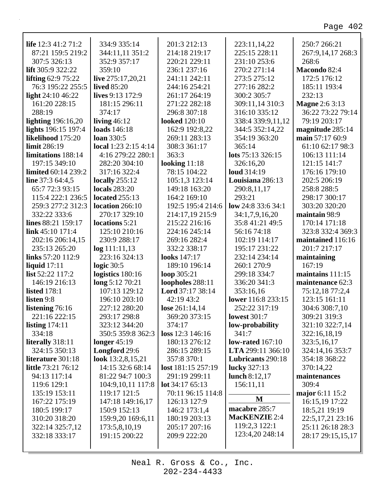٦

| life $12:341:271:2$        | 334:9 335:14               | 201:3 212:13         | 223:11,14,22         | 250:7 266:21          |
|----------------------------|----------------------------|----------------------|----------------------|-----------------------|
| 87:21 159:5 219:2          | 344:11,11 351:2            | 214:18 219:17        | 225:15 228:11        | 267:9,14,17 268:3     |
| 307:5 326:13               | 352:9 357:17               | 220:21 229:11        | 231:10 253:6         | 268:6                 |
| lift 305:9 322:22          | 359:10                     | 236:1 237:16         | 270:2 271:14         | Macondo 82:4          |
| lifting $62:975:22$        | live 275:17,20,21          | 241:11 242:11        | 273:5 275:12         | 172:5 176:12          |
| 76:3 195:22 255:5          | <b>lived</b> 85:20         | 244:16 254:21        | 277:16 282:2         | 185:11 193:4          |
| light 24:10 46:22          | lives 9:13 172:9           | 261:17 264:19        | 300:2 305:7          | 232:13                |
| 161:20 228:15              | 181:15 296:11              | 271:22 282:18        | 309:11,14 310:3      | <b>Magne 2:6 3:13</b> |
| 288:19                     | 374:17                     | 296:8 307:18         | 316:10 335:12        | 36:22 73:22 79:14     |
| <b>lighting</b> 196:16,20  | living $46:12$             | <b>looked</b> 120:10 | 338:4 339:9,11,12    | 79:19 203:17          |
| lights 196:15 197:4        | loads 146:18               | 162:9 192:8,22       | 344:5 352:14,22      | magnitude 285:14      |
| likelihood 175:20          | <b>loan</b> 330:5          | 269:11 283:13        | 354:19 363:20        | main 57:17 60:9       |
| limit 286:19               | local $1:23$ $2:15$ $4:14$ | 308:3 361:17         | 365:14               | 61:10 62:17 98:3      |
| limitations 188:14         | 4:16 279:22 280:1          | 363:3                | lots 75:13 326:15    | 106:13 111:14         |
| 197:15 349:10              | 282:20 304:10              | looking $11:18$      | 326:16,20            | 121:15 141:7          |
| <b>limited</b> 60:14 239:2 | 317:16 322:4               | 78:15 104:22         | loud 314:19          | 176:16 179:10         |
| line 37:3 64:4,5           | locally $255:12$           | 105:1,3 123:14       | Louisiana 286:13     | 202:5 206:19          |
| 65:7 72:3 93:15            | <b>locals</b> 283:20       | 149:18 163:20        | 290:8,11,17          | 258:8 288:5           |
| 115:4 222:1 236:5          | located $255:13$           | 164:2 169:10         | 293:21               | 298:17 300:17         |
| 259:3 277:2 312:3          | location 266:10            | 192:5 195:4 214:6    | low $24:833:634:1$   | 303:20 320:20         |
| 332:22 333:6               | 270:17 329:10              | 214:17,19 215:9      | 34:1,7,9,16,20       | maintain 98:9         |
| <b>lines</b> 88:21 159:17  | locations 5:21             | 215:22 216:16        | 35:8 41:21 49:5      | 170:14 171:18         |
| link 45:10 171:4           | 125:10 210:16              | 224:16 245:14        | 56:16 74:18          | 323:8 332:4 369:3     |
| 202:16 206:14,15           | 230:9 288:17               | 269:16 282:4         | 102:19 114:17        | maintained 116:16     |
| 235:13 265:20              | log 111:11,13              | 332:2 338:17         | 195:17 231:22        | 201:7 217:17          |
| links 57:20 112:9          | 223:16 324:13              | looks 147:17         | 232:14 234:14        | maintaining           |
| liquid $17:11$             | logic $30:5$               | 189:10 196:14        | 260:1 270:9          | 167:19                |
| list 52:22 117:2           | logistics 180:16           | loop 305:21          | 299:18 334:7         | maintains 111:15      |
| 146:19 216:13              | long 5:12 70:21            | loopholes 288:11     | 336:20 341:3         | maintenance 62:3      |
| <b>listed</b> 178:1        | 107:13 129:12              | Lord 37:17 38:14     | 353:16,16            | 75:12,18 77:2,4       |
| listen 9:8                 | 196:10 203:10              | 42:19 43:2           | lower 116:8 233:15   | 123:15 161:11         |
| listening $76:16$          | 227:12 280:20              | lose $261:14,14$     | 252:22 317:19        | 304:6 308:7,10        |
| 221:16 222:15              | 293:17 298:8               | 369:20 373:15        | <b>lowest</b> 301:7  | 309:21 319:3          |
| listing $174:11$           | 323:12 344:20              | 374:17               | low-probability      | 321:10 322:7,14       |
| 334:18                     | 350:5 359:8 362:3          | loss 12:3 146:16     | 341:7                | 322:16,18,19          |
| literally 318:11           | longer $45:19$             | 180:13 276:12        | low-rated $167:10$   | 323:5,16,17           |
| 324:15 350:13              | Longford 29:6              | 286:15 289:15        | LTA 299:11 366:10    | 324:14,16 353:7       |
| literature 301:18          | look 13:2,8,15,21          | 357:8 370:1          | Lubricants 290:18    | 354:18 368:22         |
| <b>little</b> 73:21 76:12  | 14:15 32:6 68:14           | lost 181:15 257:19   | lucky 327:13         | 370:14,22             |
| 94:13 117:14               | 81:22 94:7 100:3           | 291:19 299:11        | lunch 8:12,17        | maintenances          |
| 119:6 129:1                | 104:9,10,11 117:8          | lot $34:1765:13$     | 156:11,11            | 309:4                 |
| 135:19 153:11              | 119:17 121:5               | 70:11 96:15 114:8    |                      | major 6:11 15:2       |
| 167:22 175:19              | 147:18 149:16,17           | 126:13 127:9         | M                    | 16:15,19 17:22        |
| 180:5 199:17               | 150:9 152:13               | 146:2 173:1,4        | macabre 285:7        | 18:5,21 19:19         |
| 310:20 318:20              | 159:9,20 169:6,11          | 180:19 203:13        | <b>MacKENZIE 2:4</b> | 22:5,17,21 23:16      |
| 322:14 325:7,12            | 173:5,8,10,19              | 205:17 207:16        | 119:2,3 122:1        | 25:11 26:18 28:3      |
| 332:18 333:17              | 191:15 200:22              | 209:9 222:20         | 123:4,20 248:14      | 28:17 29:15,15,17     |
|                            |                            |                      |                      |                       |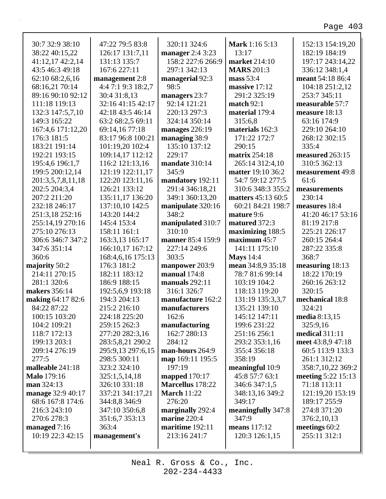| 30:7 32:9 38:10                   | 47:22 79:5 83:8                   | 320:11 324:6                  | <b>Mark</b> 1:16 5:13        | 152:13 154:19,20                |
|-----------------------------------|-----------------------------------|-------------------------------|------------------------------|---------------------------------|
| 38:22 40:15,22                    | 126:17 131:7,11                   | manager 2:4 3:23              | 13:17                        | 182:19 184:19                   |
| 41:12,17 42:2,14                  | 131:13 135:7                      | 158:2 227:6 266:9             | market 214:10                | 197:17 243:14,22                |
| 43:5 46:3 49:18                   | 167:6 227:11                      | 297:1 342:13                  | <b>MARS</b> 201:3            | 336:12 348:1,4                  |
| 62:10 68:2,6,16                   | management 2:8                    | managerial 92:3<br>98:5       | mass 53:4                    | meant 54:18 86:4                |
| 68:16,21 70:14                    | 4:4 7:1 9:3 18:2,7                |                               | massive 17:12                | 104:18 251:2,12                 |
| 89:16 90:10 92:12                 | 30:4 31:8,13<br>32:16 41:15 42:17 | managers 23:7<br>92:14 121:21 | 291:2 325:19<br>match $92:1$ | 253:7 345:11<br>measurable 57:7 |
| 111:18 119:13<br>132:3 147:5,7,10 | 42:18 43:5 46:14                  | 220:13 297:3                  | material 179:4               | measure 18:13                   |
| 149:3 165:22                      | 63:2 68:2,5 69:11                 | 324:14 350:14                 | 315:6.8                      | 63:16 174:9                     |
| 167:4,6 171:12,20                 | 69:14,16 77:18                    | manages $226:19$              | materials 162:3              | 229:10 264:10                   |
| 176:3 181:5                       | 83:17 96:8 100:21                 | managing 38:9                 | 171:22 172:7                 | 268:12 302:15                   |
| 183:21 191:14                     | 101:19,20 102:4                   | 135:10 137:12                 | 290:15                       | 335:4                           |
| 192:21 193:15                     | 109:14,17 112:12                  | 229:17                        | <b>matrix</b> 254:18         | measured 263:15                 |
| 195:4,6 196:1,7                   | 116:2 121:13,16                   | mandate 310:14                | 265:14 312:4,10              | 310:5 362:13                    |
| 199:5 200:12,14                   | 121:19 122:11,17                  | 345:9                         | <b>matter</b> 19:10 36:2     | measurement 49:8                |
| 201:3,5,7,8,11,18                 | 122:20 123:11,16                  | mandatory 192:11              | 54:7 59:12 277:5             | 61:6                            |
| 202:5 204:3,4                     | 126:21 133:12                     | 291:4 346:18,21               | 310:6 348:3 355:2            | measurements                    |
| 207:2 211:20                      | 135:11,17 136:20                  | 349:1 360:13,20               | matters 45:13 60:5           | 230:14                          |
| 232:18 246:17                     | 137:10,10 142:5                   | manipulate 320:16             | 60:21 84:21 198:7            | measures 18:4                   |
| 251:3,18 252:16                   | 143:20 144:2                      | 348:2                         | mature 9:6                   | 41:20 46:17 53:16               |
| 255:14,19 270:16                  | 145:4 153:4                       | manipulated 310:7             | matured 372:3                | 81:19 217:8                     |
| 275:10 276:13                     | 158:11 161:1                      | 310:10                        | maximizing 188:5             | 225:21 226:17                   |
| 306:6 346:7 347:2                 | 163:3,13 165:17                   | manner 85:4 159:9             | maximum 45:7                 | 260:15 264:4                    |
| 347:6 351:14                      | 166:10,17 167:12                  | 227:14 249:6                  | 141:11 175:10                | 287:22 335:8                    |
| 360:6                             | 168:4,6,16 175:13                 | 303:5                         | <b>Mays</b> 14:4             | 368:7                           |
| majority 50:2                     | 176:3 181:2                       | manpower 203:9                | mean 34:8,9 35:18            | measuring 18:13                 |
| 214:11 270:15                     | 182:11 183:12                     | manual $174:8$                | 78:7 81:6 99:14              | 18:22 170:19                    |
| 281:1 320:6                       | 186:9 188:15                      | manuals $292:11$              | 103:19 104:2                 | 260:16 263:12                   |
| makers 356:14                     | 192:5,6,9 193:18                  | 316:1 326:7                   | 118:13 119:20                | 320:15                          |
| making 64:17 82:6                 | 194:3 204:13                      | manufacture 162:2             | 131:19 135:3,3,7             | mechanical 18:8                 |
| 84:22 87:22                       | 215:2 216:10                      | manufacturers                 | 135:21 139:10                | 324:21                          |
| 100:15 103:20                     | 224:18 225:20                     | 162:6                         | 145:12 147:11                | media 8:13,15                   |
| 104:2 109:21                      | 259:15 262:3                      | manufacturing                 | 199:6 231:22                 | 325:9,16                        |
| 118:7 172:13                      | 277:20 282:3,16                   | 162:7 280:13                  | 251:16 256:1                 | medical $311:11$                |
| 199:13 203:1                      | 283:5,8,21 290:2                  | 284:12                        | 293:2 353:1,16               | meet 43:8,9 47:18               |
| 209:14 276:19                     | 295:9,13 297:6,15                 | man-hours 264:9               | 355:4 356:18                 | 60:5 113:9 133:3                |
| 277:5                             | 298:5 300:11                      | map 169:11 195:5              | 358:19                       | 261:1 312:12                    |
| malleable 241:18                  | 323:2 324:10                      | 197:19                        | meaningful 10:9              | 358:7,10,22 369:2               |
| <b>Malo</b> 179:16                | 325:1,5,14,18                     | mapped 170:17                 | 45:8 57:7 63:1               | meeting 5:22 15:13              |
| man $324:13$                      | 326:10 331:18                     | Marcellus 178:22              | 346:6 347:1,5                | 71:18 113:11                    |
| manage 32:9 40:17                 | 337:21 341:17,21                  | <b>March 11:22</b>            | 348:13,16 349:2              | 121:19,20 153:19                |
| 68:6 167:8 174:6                  | 344:8,8 346:9                     | 276:20                        | 349:17                       | 189:17 255:9                    |
| 216:3 243:10                      | 347:10 350:6,8                    | marginally 292:4              | meaningfully 347:8           | 274:8 371:20                    |
| 270:6 278:3                       | 351:6,7 353:13                    | marine 220:4                  | 347:9                        | 376:2,10,13                     |
| managed $7:16$                    | 363:4                             | maritime 192:11               | means $117:12$               | meetings 60:2                   |
| 10:19 22:3 42:15                  | management's                      | 213:16 241:7                  | 120:3 126:1,15               | 255:11 312:1                    |
|                                   |                                   |                               |                              |                                 |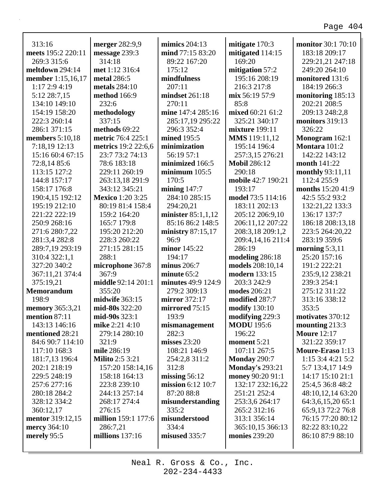٦

| 313:16                 | merger 282:9,9          | mimics $204:13$      | mitigate 170:3         | <b>monitor</b> 30:1 70:10 |
|------------------------|-------------------------|----------------------|------------------------|---------------------------|
| meets 195:2 220:11     | message 239:3           | mind 77:15 83:20     | mitigated 114:15       | 183:18 209:17             |
| 269:3 315:6            | 314:18                  | 89:22 167:20         | 169:20                 | 229:21,21 247:18          |
| meltdown 294:14        | met 1:12 316:4          | 175:12               | mitigation 57:2        | 249:20 264:10             |
| member 1:15,16,17      | metal 286:5             | mindfulness          | 195:16 208:19          | monitored 131:6           |
| 1:17 2:9 4:19          | metals 284:10           | 207:11               | 216:3 217:8            | 184:19 266:3              |
| 5:12 28:7,15           | method 166:9            | mindset 261:18       | mix 56:19 57:9         | monitoring 185:13         |
| 134:10 149:10          | 232:6                   | 270:11               | 85:8                   | 202:21 208:5              |
| 154:19 158:20          | methodology             | mine 147:4 285:16    | mixed 60:21 61:2       | 209:13 248:2,8            |
| 222:3 260:14           | 337:15                  | 285:17,19 295:22     | 325:21 340:17          | monitors 319:13           |
| 286:1 371:15           | methods 69:22           | 296:3 352:4          | mixture 199:11         | 326:22                    |
| members $5:10,18$      | metric 76:4 225:1       | mined 195:5          | <b>MMS</b> 119:11,12   | Monogram 162:1            |
| 7:18,19 12:13          | metrics 19:2 22:6,6     | minimization         | 195:14 196:4           | Montara 101:2             |
| 15:16 60:4 67:15       | 23:7 73:2 74:13         | 56:19 57:1           | 257:3,15 276:21        | 142:22 143:12             |
| 72:8,14 85:6           | 78:6 183:18             | minimized 166:5      | <b>Mobil 286:12</b>    | month 141:22              |
| 113:15 127:2           | 229:11 260:19           | minimum $105:5$      | 290:18                 | monthly 93:11,11          |
| 144:8 157:17           | 263:13,18 291:9         | 170:5                | mobile 42:7 190:21     | 112:4 255:9               |
| 158:17 176:8           | 343:12 345:21           | mining $147:7$       | 193:17                 | months 15:20 41:9         |
| 190:4,15 192:12        | <b>Mexico</b> 1:20 3:25 | 284:10 285:15        | model 73:5 114:16      | 42:5 55:2 93:2            |
| 195:19 212:10          | 80:19 81:4 158:4        | 294:20,21            | 183:11 202:13          | 132:21,22 133:3           |
| 221:22 222:19          | 159:2 164:20            | minister $85:1,1,12$ | 205:12 206:9,10        | 136:17 137:7              |
| 250:9 268:16           | 165:7 179:8             | 85:16 86:2 148:5     | 206:11,12 207:22       | 186:18 208:13,18          |
| 271:6 280:7,22         | 195:20 212:20           | ministry $87:15,17$  | 208:3,18 209:1,2       | 223:5 264:20,22           |
| 281:3,4 282:8          | 228:3 260:22            | 96:9                 | 209:4,14,16 211:4      | 283:19 359:6              |
| 289:7,19 293:19        | 271:15 281:15           | minor 145:22         | 286:19                 | morning $5:3,11$          |
| 310:4 322:1,1          | 288:1                   | 194:17               | modeling 286:18        | 25:20 157:16              |
| 327:20 340:2           | microphone 367:8        | minus $206:7$        | models 208:10,14       | 191:2 222:21              |
| 367:11,21 374:4        | 367:9                   | minute $65:2$        | modern 133:15          | 235:9,12 238:21           |
| 375:19,21              | middle 92:14 201:1      | minutes 49:9 124:9   | 203:3 242:9            | 239:3 254:1               |
| <b>Memorandum</b>      | 355:20                  | 279:2 309:13         | modes 206:21           | 275:12 311:22             |
| 198:9                  | midwife 363:15          | mirror 372:17        | modified 287:7         | 313:16 338:12             |
| <b>memory</b> 365:3,21 | mid-80s 322:20          | mirrored 75:15       | modify 130:10          | 353:5                     |
| mention 87:11          | mid-90s 323:1           | 193:9                | modifying 229:3        | motivates 370:12          |
| 143:13 146:16          | mike $2:21\,4:10$       | mismanagement        | <b>MODU</b> 195:6      | mounting $213:3$          |
| mentioned 28:21        | 279:14 280:10           | 282:3                | 196:22                 | <b>Moure 12:17</b>        |
| 84:6 90:7 114:10       | 321:9                   | misses $23:20$       | moment 5:21            | 321:22 359:17             |
| 117:10 168:3           | mile 286:19             | 108:21 146:9         | 107:11 267:5           | Moure-Eraso 1:13          |
| 181:7,13 196:4         | <b>Milito</b> 2:5 3:21  | 254:2,8 311:2        | <b>Monday 290:7</b>    | 1:15 3:4 4:21 5:2         |
| 202:1 218:19           | 157:20 158:14,16        | 312:8                | <b>Monday's 293:21</b> | 5:7 13:4,17 14:9          |
| 229:5 248:19           | 158:18 164:13           | missing $56:12$      | money 90:20 91:1       | 14:17 15:10 21:1          |
| 257:6 277:16           | 223:8 239:10            | mission 6:12 10:7    | 132:17 232:16,22       | 25:4,5 36:8 48:2          |
| 280:18 284:2           | 244:13 257:14           | 87:20 88:8           | 251:21 252:4           | 48:10,12,14 63:20         |
| 328:12 334:2           | 268:17 274:4            | misunderstanding     | 253:3,6 264:17         | 64:3,6,15,20 65:1         |
| 360:12,17              | 276:15                  | 335:2                | 265:2 312:16           | 65:9,13 72:2 76:8         |
| mentor 319:12,15       | million 159:1 177:6     | misunderstood        | 313:1 356:14           | 76:15 77:20 80:12         |
| <b>mercy</b> 364:10    | 286:7,21                | 334:4                | 365:10,15 366:13       | 82:22 83:10,22            |
| merely 95:5            | millions $137:16$       | misused 335:7        | monies 239:20          | 86:10 87:9 88:10          |
|                        |                         |                      |                        |                           |
|                        |                         |                      |                        |                           |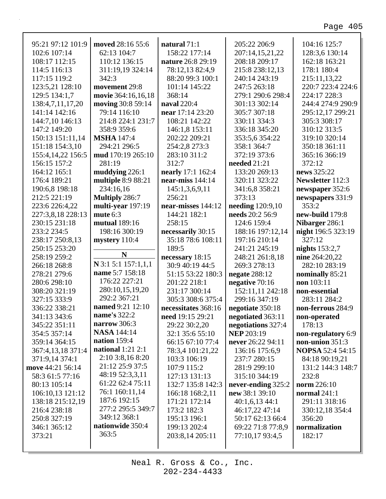| 95:21 97:12 101:9    | moved 28:16 55:6      | natural 71:1        | 205:22 206:9            | 104:16 125:7            |
|----------------------|-----------------------|---------------------|-------------------------|-------------------------|
| 102:6 107:14         | 62:13 104:7           | 158:22 177:14       | 207:14,15,21,22         | 128:3,6 130:14          |
| 108:17 112:15        | 110:12 136:15         | nature 26:8 29:19   | 208:18 209:17           | 162:18 163:21           |
| 114:5 116:13         | 311:19,19 324:14      | 78:12,13 82:4,9     | 215:8 238:12,13         | 178:1 180:4             |
| 117:15 119:2         | 342:3                 | 88:20 99:3 100:1    | 240:14 243:19           | 215:11,13,22            |
| 123:5,21 128:10      | movement 29:8         | 101:14 145:22       | 247:5 263:18            | 220:7 223:4 224:6       |
| 129:5 134:1,7        | movie 364:16,16,18    | 368:14              | 279:1 290:6 298:4       | 224:17 228:3            |
| 138:4,7,11,17,20     | moving 30:8 59:14     | naval 220:4         | 301:13 302:14           | 244:4 274:9 290:9       |
| 141:14 142:16        | 79:14 116:10          | near 17:14 23:20    | 305:7 307:18            | 295:12,17 299:21        |
| 144:7,10 146:13      | 214:8 224:1 231:7     | 108:21 142:22       | 330:11 334:3            | 305:3 308:17            |
| 147:2 149:20         | 358:9 359:6           | 146:1,8 153:11      | 336:18 345:20           | 310:12 313:5            |
| 150:13 151:11,14     | <b>MSHA</b> 147:4     | 202:22 209:21       | 353:5,6 354:22          | 319:10 320:14           |
| 151:18 154:3,10      | 294:21 296:5          | 254:2,8 273:3       | 358:1 364:7             | 350:18 361:11           |
| 155:4, 14, 22 156: 5 | mud 170:19 265:10     | 283:10 311:2        | 372:19 373:6            | 365:16 366:19           |
| 156:15 157:2         | 281:19                | 312:7               | needed 21:21            | 372:12                  |
| 164:12 165:1         | muddying 226:1        | nearly 17:1 162:4   | 133:20 269:13           | news 325:22             |
| 176:4 189:21         | multiple 8:9 88:21    | near-miss 144:14    | 320:11 323:22           | Newsletter 112:3        |
| 190:6,8 198:18       | 234:16,16             | 145:1,3,6,9,11      | 341:6,8 358:21          | newspaper 352:6         |
| 212:5 221:19         | <b>Multiply 286:7</b> | 256:21              | 373:13                  | newspapers 331:9        |
| 223:6 226:4,22       | multi-year 197:19     | near-misses 144:12  | <b>needing</b> 120:9,10 | 353:2                   |
| 227:3,8,18 228:13    | mute $6:3$            | 144:21 182:1        | needs 20:2 56:9         | new-build 179:8         |
| 230:15 231:18        | mutual 189:16         | 258:15              | 124:6 159:4             | Nibarger 286:1          |
| 233:2 234:5          | 198:16 300:19         | necessarily 30:15   | 188:16 197:12,14        | night 196:5 323:19      |
| 238:17 250:8,13      | mystery 110:4         | 35:18 78:6 108:11   | 197:16 210:14           | 327:12                  |
| 250:15 253:20        |                       | 189:5               | 241:21 245:19           | nights $153:2,7$        |
| 258:19 259:2         | N                     | necessary 18:15     | 248:21 261:8,18         | nine 264:20,22          |
| 266:18 268:8         | $N$ 3:1 5:1 157:1,1,1 | 30:9 40:19 44:5     | 269:3 278:13            | 282:10 283:19           |
| 278:21 279:6         | name 5:7 158:18       | 51:15 53:22 180:3   | negate 288:12           | nominally 85:21         |
| 280:6 298:10         | 176:22 227:21         | 201:22 218:1        | negative 70:16          | non 103:11              |
| 308:20 321:19        | 280:10,15,19,20       | 231:17 300:14       | 152:11,11 242:18        | non-essential           |
| 327:15 333:9         | 292:2 367:21          | 305:3 308:6 375:4   | 299:16 347:19           | 283:11 284:2            |
| 336:22 338:21        | named 9:21 12:10      | necessitates 368:16 | negotiate 350:18        | non-ferrous 284:9       |
| 341:13 343:6         | name's 322:2          | need 19:15 29:21    | negotiated 363:11       | non-operated            |
| 345:22 351:11        | narrow $306:3$        | 29:22 30:2,20       | negotiations 327:4      | 178:13                  |
| 354:5 357:14         | <b>NASA</b> 144:14    | 32:1 35:6 55:10     | <b>NEP 203:19</b>       | non-regulatory 6:9      |
| 359:14 364:15        | nation $159:4$        | 66:15 67:10 77:4    | never 26:22 94:11       | non-union 351:3         |
| 367:4,13,18 371:4    | national $1:21$ $2:1$ | 78:3,4 101:21,22    | 136:16 175:6,9          | <b>NOPSA 52:4 54:15</b> |
| 371:9,14 374:1       | 2:10 3:8,16 8:20      | 103:3 106:19        | 237:7 280:15            | 84:18 90:19,21          |
| move 44:21 56:14     | 21:12 25:9 37:5       | 107:9 115:2         | 281:9 299:10            | 131:2 144:3 148:7       |
| 58:3 61:5 77:16      | 48:19 52:3,3,11       | 127:13 131:13       | 315:10 344:19           | 232:8                   |
| 80:13 105:14         | 61:22 62:4 75:11      | 132:7 135:8 142:3   | never-ending 325:2      | norm $226:10$           |
| 106:10,13 121:12     | 76:1 160:11,14        | 166:18 168:2,11     | new 38:1 39:10          | normal $241:1$          |
| 138:18 215:12,19     | 187:6 192:15          | 171:21 172:14       | 40:1,6,13,44:1          | 291:11 318:16           |
| 216:4 238:18         | 277:2 295:5 349:7     | 173:2 182:3         | 46:17,22 47:14          | 330:12,18 354:4         |
| 250:8 327:19         | 349:12 368:1          | 195:13 196:1        | 50:17 62:13 66:4        | 356:20                  |
| 346:1 365:12         | nationwide 350:4      | 199:13 202:4        | 69:22 71:8 77:8,9       | normalization           |
| 373:21               | 363:5                 | 203:8,14 205:11     | 77:10,17 93:4,5         | 182:17                  |
|                      |                       |                     |                         |                         |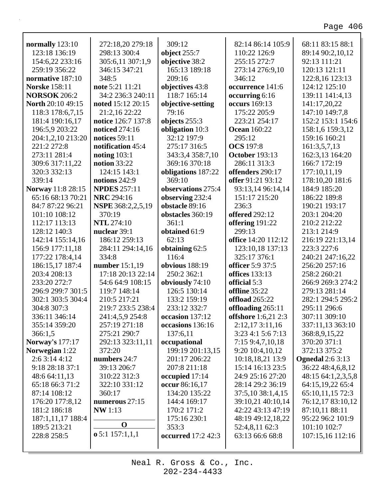| normally 123:10          | 272:18,20 279:18           | 309:12                    | 82:14 86:14 105:9          | 68:11 83:15 88:1        |
|--------------------------|----------------------------|---------------------------|----------------------------|-------------------------|
| 123:18 136:19            | 298:13 300:4               | object 255:7              | 110:22 126:9               | 89:14 90:2,10,12        |
| 154:6,22 233:16          | 305:6,11 307:1,9           | objective 38:2            | 255:15 272:7               | 92:13 111:21            |
| 259:19 356:22            | 346:15 347:21              | 165:13 189:18             | 273:14 276:9,10            | 120:13 121:11           |
| normative 187:10         | 348:5                      | 209:16                    | 346:12                     | 122:8,16 123:13         |
| <b>Norske</b> 158:11     | note 5:21 11:21            | objectives 43:8           | occurrence 141:6           | 124:12 125:10           |
| <b>NORSOK 206:2</b>      | 34:2 236:3 240:11          | 118:7 165:14              | occurring 6:16             | 139:11 141:4,13         |
| <b>North 20:10 49:15</b> | noted 15:12 20:15          | objective-setting         | <b>occurs</b> 169:13       | 141:17,20,22            |
| 118:3 178:6,7,15         | 21:2,16 22:22              | 79:16                     | 175:22 205:9               | 147:10 149:7,8          |
| 181:4 190:16,17          | notice 126:7 137:8         | objects 255:3             | 223:21 254:17              | 152:2 153:1 154:6       |
| 196:5,9 203:22           | noticed 274:16             | obligation 10:3           | <b>Ocean 160:22</b>        | 158:1,6 159:3,12        |
| 204:1,2,10 213:20        | notices $59:11$            | 32:12 197:9               | 295:12                     | 159:16 160:21           |
| 221:2 272:8              | notification 45:4          | 275:17 316:5              | <b>OCS</b> 197:8           | 161:3,5,7,13            |
| 273:11 281:4             | noting $103:1$             | 343:3,4 358:7,10          | <b>October 193:13</b>      | 162:3,13 164:20         |
| 309:6 317:11,22          | <b>notion</b> 33:22        | 369:16 370:18             | 286:11 313:3               | 166:7 172:19            |
| 320:3 332:13             | 124:15 143:1               | obligations 187:22        | offenders 290:17           | 177:10,11,19            |
| 339:14                   | notions 242:9              | 369:10                    | offer 91:21 93:12          | 178:10,20 181:6         |
| Norway 11:8 28:15        | <b>NPDES</b> 257:11        | observations 275:4        | 93:13,14 96:14,14          | 184:9 185:20            |
| 65:16 68:13 70:21        | <b>NRC</b> 294:16          | observing 232:4           | 151:17 215:20              | 186:22 189:8            |
| 84:7 87:22 96:21         | NSPE 368:2,2,5,19          | obstacle 89:16            | 236:3                      | 190:21 193:17           |
| 101:10 108:12            | 370:19                     | obstacles 360:19          | <b>offered</b> 292:12      | 203:1 204:20            |
| 112:17 113:13            | <b>NTL</b> 274:10          | 361:1                     | offering 191:22            | 210:2 212:22            |
| 128:12 140:3             | nuclear 39:1               | obtained 61:9             | 299:13                     | 213:1 214:9             |
| 142:14 155:14,16         | 186:12 259:13              | 62:13                     | office 14:20 112:12        | 216:19 221:13,14        |
| 156:9 177:11,18          | 284:11 294:14,16           | obtaining 62:5            | 123:10,18 137:13           | 223:3 227:6             |
|                          | 334:8                      | 116:4                     | 325:17 376:1               | 240:21 247:16,22        |
| 177:22 178:4,14          |                            | obvious 188:19            | officer 5:9 37:5           | 256:20 257:16           |
| 186:15,17 187:4          | number 15:1,19             |                           |                            |                         |
| 203:4 208:13             | 17:18 20:13 22:14          | 250:2 362:1               | offices 133:13             | 258:2 260:21            |
| 233:20 272:7             | 54:6 64:9 108:15           | obviously 74:10           | official 5:3               | 266:9 269:3 274:2       |
| 296:9 299:7 301:5        | 119:7 148:14               | 126:5 130:14              | offline 35:22              | 279:13 281:14           |
| 302:1 303:5 304:4        | 210:5 217:21               | 133:2 159:19              | offload 265:22             | 282:1 294:5 295:2       |
| 304:8 307:3              | 219:7 233:5 238:4          | 233:12 332:7              | offloading 265:11          | 295:11 296:6            |
| 336:11 346:14            | 241:4,5,9 254:8            | occasion 137:12           | <b>offshore</b> 1:6,21 2:3 | 307:11 309:10           |
| 355:14 359:20            | 257:19 271:18              | occasions 136:16          | 2:12,173:11,16             | 337:11,13 363:10        |
| 366:1,5                  | 275:21 290:7               | 137:6,11                  | $3:23$ 4:1 5:6 7:13        | 368:8,9,15,22           |
| <b>Norway's 177:17</b>   | 292:13 323:11,11           | occupational              | 7:15 9:4,7,10,18           | 370:20 371:1            |
| Norwegian 1:22           | 372:20                     | 199:19 201:13,15          | 9:20 10:4,10,12            | 372:13 375:2            |
| 2:6 3:14 4:12            | numbers 24:7               | 201:17 206:22             | 10:18,18,21 13:9           | <b>Ognedal</b> 2:6 3:13 |
| 9:18 28:18 37:1          | 39:13 206:7                | 207:8 211:18              | 15:14 16:13 23:5           | 36:22 48:4,6,8,12       |
| 48:6 64:11,13            | 310:22 312:3               | occupied 17:14            | 24:9 25:16 27:20           | 48:15 64:1,2,3,5,8      |
| 65:18 66:3 71:2          | 322:10 331:12              | occur 86:16,17            | 28:14 29:2 36:19           | 64:15,19,22 65:4        |
| 87:14 108:12             | 360:17                     | 134:20 135:22             | 37:5,10 38:1,4,15          | 65:10,11,15 72:3        |
| 176:20 177:8,12          | numerous $27:15$           | 144:4 169:17              | 39:10,21 40:10,14          | 76:12,17 83:10,12       |
| 181:2 186:18             | <b>NW</b> 1:13             | 170:2 171:2               | 42:22 43:13 47:19          | 87:10,11 88:11          |
| 187:1,11,17 188:4        |                            | 175:16 230:1              | 48:19 49:12,18,22          | 95:22 96:2 101:9        |
| 189:5 213:21             | $\mathbf 0$                | 353:3                     | 52:4,8,11 62:3             | 101:10 102:7            |
| 228:8 258:5              | $\mathbf{0}$ 5:1 157:1,1,1 | <b>occurred</b> 17:2 42:3 | 63:13 66:6 68:8            | 107:15,16 112:16        |
|                          |                            |                           |                            |                         |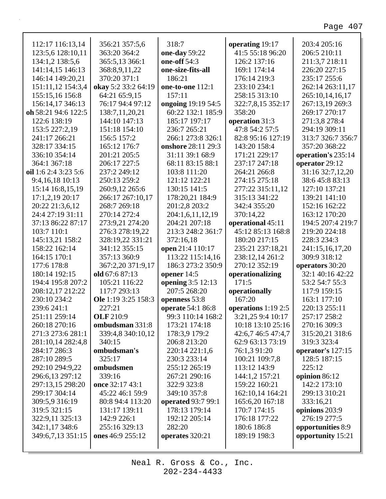| 112:17 116:13,14     | 356:21 357:5,6      | 318:7              | operating 19:17      | 203:4 205:16       |
|----------------------|---------------------|--------------------|----------------------|--------------------|
| 123:5,6 128:10,11    | 363:20 364:2        | one-day 59:22      | 41:5 55:18 96:20     | 206:5 210:11       |
| 134:1,2 138:5,6      | 365:5,13 366:1      | one-off 54:3       | 126:2 137:16         | 211:3,7 218:11     |
| 141:14,15 146:13     | 368:8,9,11,22       | one-size-fits-all  | 169:1 174:14         | 226:20 227:15      |
| 146:14 149:20,21     | 370:20 371:1        | 186:21             | 176:14 219:3         | 235:17 255:6       |
| 151:11,12 154:3,4    | okay 5:2 33:2 64:19 | one-to-one 112:1   | 233:10 234:1         | 262:14 263:11,17   |
| 155:15,16 156:8      | 64:21 65:9,15       | 157:11             | 258:15 313:10        | 265:10,14,16,17    |
| 156:14,17 346:13     | 76:17 94:4 97:12    | ongoing 19:19 54:5 | 322:7,8,15 352:17    | 267:13,19 269:3    |
| oh 58:21 94:6 122:5  | 138:7,11,20,21      | 60:22 132:1 185:9  | 358:20               | 269:17 270:17      |
| 122:6 138:19         | 144:10 147:13       | 185:17 197:17      | operation 31:3       | 271:3,8 278:4      |
| 153:5 227:2,19       | 151:18 154:10       | 236:7 265:21       | 47:8 54:2 57:5       | 294:19 309:11      |
| 241:17 266:21        | 156:5 157:2         | 266:1 273:8 326:1  | 82:8 95:16 127:19    | 313:7 326:7 356:7  |
| 328:17 334:15        | 165:12 176:7        | onshore 28:11 29:3 | 143:20 158:4         | 357:20 368:22      |
| 336:10 354:14        | 201:21 205:5        | 31:11 39:1 68:9    | 171:21 229:17        | operation's 235:14 |
| 364:1 367:18         | 206:17 227:5        | 68:11 83:15 88:1   | 237:17 247:18        | operator 29:12     |
| oil 1:6 2:4 3:23 5:6 | 237:2 249:12        | 103:8 111:20       | 264:21 266:8         | 31:16 32:7,12,20   |
| 9:4,16,18 10:13      | 250:13 259:2        | 121:12 122:21      | 274:15 275:18        | 38:6 45:8 83:13    |
| 15:14 16:8,15,19     | 260:9,12 265:6      | 130:15 141:5       | 277:22 315:11,12     | 127:10 137:21      |
| 17:1,2,19 20:17      | 266:17 267:10,17    | 178:20,21 184:9    | 315:13 341:22        | 139:21 141:10      |
| 20:22 21:3,6,12      | 268:7 269:18        | 201:2,8 203:2      | 342:4 355:20         | 152:16 162:22      |
| 24:4 27:19 31:11     | 270:14 272:4        | 204:1,6,11,12,19   | 370:14,22            | 163:12 170:20      |
| 37:13 86:22 87:17    | 273:9,21 274:20     | 204:21 207:18      | operational 45:11    | 194:5 207:4 219:7  |
| 103:7 110:1          | 276:3 278:19,22     | 213:3 248:2 361:7  | 45:12 85:13 168:8    | 219:20 224:18      |
| 145:13,21 158:2      | 328:19,22 331:21    | 372:16,18          | 180:20 217:15        | 228:3 234:3        |
| 158:22 162:14        | 341:12 355:15       | open 21:4 110:17   | 235:21 237:18,21     | 241:15,16,17,20    |
| 164:15 170:1         | 357:13 360:9        | 113:22 115:14,16   | 238:12,14 261:2      | 309:9 318:12       |
| 177:6 178:8          | 367:2,20 371:9,17   | 186:3 273:2 350:9  | 270:12 352:19        | operators 30:20    |
| 180:14 192:15        | old 67:6 87:13      | opener 14:5        | operationalizing     | 32:1 40:16 42:22   |
| 194:4 195:8 207:2    | 105:21 116:22       | opening 3:5 12:13  | 171:5                | 53:2 54:7 55:3     |
| 208:12,17 212:22     | 117:7 293:13        | 207:5 268:20       | operationally        | 117:9 159:15       |
| 230:10 234:2         | Ole 1:19 3:25 158:3 | openness 53:8      | 167:20               | 163:1 177:10       |
| 239:6 241:1          | 227:21              | operate 54:1 86:8  | operations $1:192:5$ | 220:13 255:11      |
| 251:11 259:14        | <b>OLF</b> 210:9    | 99:3 110:14 168:2  | 3:21,25 9:4 10:17    | 257:17 258:2       |
| 260:18 270:16        | ombudsman 331:8     | 173:21 174:18      | 10:18 13:10 25:16    | 270:16 309:3       |
| 271:3 273:6 281:1    | 339:4,8 340:10,12   | 178:3,9 179:2      | 42:6,7 46:5 47:4,7   | 315:20,21 318:6    |
| 281:10,14 282:4,8    | 340:15              | 206:8 213:20       | 62:9 63:13 73:19     | 319:3 323:4        |
| 284:17 286:3         | ombudsman's         | 220:14 221:1,6     | 76:1,3 91:20         | operator's 127:15  |
| 287:10 289:5         | 325:17              | 230:3 233:14       | 100:21 109:7,8       | 128:5 187:15       |
| 292:10 294:9,22      | ombudsmen           | 255:12 265:19      | 113:12 143:9         | 225:12             |
| 296:6,13 297:12      | 339:16              | 267:21 290:16      | 144:1,2 157:21       | opinion 86:12      |
| 297:13,15 298:20     | once 32:17 43:1     | 322:9 323:8        | 159:22 160:21        | 142:2 173:10       |
| 299:17 304:14        | 45:22 46:1 59:9     | 349:10 357:8       | 162:10,14 164:21     | 299:13 310:21      |
| 309:5,9 316:19       | 80:8 94:4 113:20    | operated 93:7 99:1 | 165:6,20 167:18      | 333:16,21          |
| 319:5 321:15         | 131:17 139:11       | 178:13 179:14      | 170:7 174:15         | opinions 203:9     |
| 322:9,11 325:13      | 142:9 226:1         | 192:12 205:14      | 176:18 177:22        | 276:19 277:5       |
| 342:1,17 348:6       | 255:16 329:13       | 282:20             | 180:6 186:8          | opportunities 8:9  |
| 349:6,7,13 351:15    | ones 46:9 255:12    | operates 320:21    | 189:19 198:3         | opportunity 15:21  |
|                      |                     |                    |                      |                    |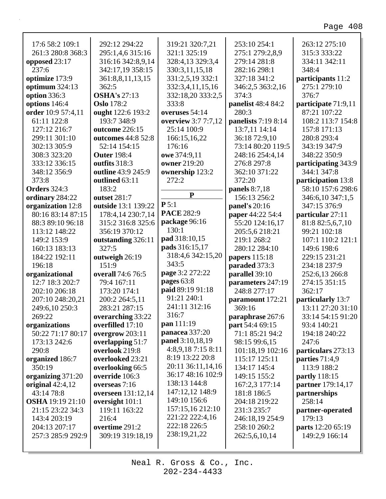| 17:6 58:2 109:1         | 292:12 294:22             | 319:21 320:7,21     | 253:10 254:1               | 263:12 275:10        |
|-------------------------|---------------------------|---------------------|----------------------------|----------------------|
| 261:3 280:8 368:3       | 295:1,4,6 315:16          | 321:1 325:19        | 275:1 279:2,8,9            | 315:3 333:22         |
| opposed 23:17           | 316:16 342:8,9,14         | 328:4,13 329:3,4    | 279:14 281:8               | 334:11 342:11        |
| 237:6                   | 342:17,19 358:15          | 330:3,11,15,18      | 282:16 298:1               | 348:4                |
| optimize 173:9          | 361:8,8,11,13,15          | 331:2,5,19 332:1    | 327:18 341:2               | participants 11:2    |
| optimum 324:13          | 362:5                     | 332:3,4,11,15,16    | 346:2,5 363:2,16           | 275:1 279:10         |
| option 336:3            | <b>OSHA's 27:13</b>       | 332:18,20 333:2,5   | 374:3                      | 376:7                |
| options 146:4           | <b>Oslo</b> 178:2         | 333:8               | panelist 48:4 84:2         | participate 71:9,11  |
| order 10:9 57:4,11      | ought 122:6 193:2         | overuses 54:14      | 280:3                      | 87:21 107:22         |
| 61:11 122:8             | 193:7 348:9               | overview 3:7 7:7,12 | <b>panelists</b> 7:19 8:14 | 108:2 113:7 154:8    |
| 127:12 216:7            | outcome 226:15            | 25:14 100:9         | 13:7,11 14:14              | 157:8 171:13         |
| 299:11 301:10           | outcomes 44:8 52:8        | 166:15,16,22        | 36:18 72:9,10              | 280:8 293:4          |
| 302:13 305:9            | 52:14 154:15              | 176:16              | 73:14 80:20 119:5          | 343:19 347:9         |
| 308:3 323:20            | <b>Outer 198:4</b>        | owe 374:9,11        | 248:16 254:4,14            | 348:22 350:9         |
| 333:12 336:15           | outfits 318:3             | <b>owner</b> 219:20 | 276:8 297:8                | participating 343:9  |
| 348:12 356:9            | outline 43:9 245:9        | ownership 123:2     | 362:10 371:22              | 344:1 347:8          |
| 373:8                   | outlined 63:11            | 272:2               | 372:20                     | participation 13:8   |
| <b>Orders</b> 324:3     | 183:2                     |                     | panels 8:7,18              | 58:10 157:6 298:6    |
| ordinary 284:22         | outset 281:7              | ${\bf P}$           | 156:13 256:2               | 346:6,10 347:1,5     |
| organization 12:8       | outside 13:1 139:22       | P 5:1               | panel's 20:16              | 347:15 376:9         |
| 80:16 83:14 87:15       | 178:4,14 230:7,14         | <b>PACE 282:9</b>   | paper 44:22 54:4           | particular 27:11     |
| 88:3 89:10 96:18        | 315:2 316:8 325:6         | package 96:16       | 55:20 124:16,17            | 81:8 82:5,6,7,10     |
| 113:12 148:22           | 356:19 370:12             | 130:1               | 205:5,6 218:21             | 99:21 102:18         |
| 149:2 153:9             | outstanding 326:11        | pad 318:10,15       | 219:1 268:2                | 107:1 110:2 121:1    |
| 160:13 183:13           | 327:5                     | pads 316:15,17      | 280:12 284:10              | 149:6 198:6          |
| 184:22 192:11           | outweigh 26:19            | 318:4,6 342:15,20   | papers 115:18              | 229:15 231:21        |
| 196:18                  | 151:9                     | 343:5               | paraded 373:3              | 234:18 237:9         |
| organizational          | overall 74:6 76:5         | page 3:2 272:22     | parallel 39:10             | 252:6,13 266:8       |
| 12:7 18:3 202:7         | 79:4 167:11               | pages 63:8          | parameters 247:19          | 274:15 351:15        |
| 202:10 206:18           | 173:20 174:1              | paid 89:19 91:18    | 248:8 277:17               | 362:17               |
| 207:10 248:20,21        | 200:2 264:5,11            | 91:21 240:1         | paramount 172:21           | particularly 13:7    |
| 249:6,10 250:3          | 283:21 287:15             | 241:11 312:16       | 369:16                     | 13:11 27:20 31:10    |
| 269:22                  | overarching 33:22         | 316:7               | paraphrase 267:6           | 33:14 54:15 91:20    |
| organizations           | overfilled 17:10          | pan 111:19          | part 54:4 69:15            | 93:4 140:21          |
| 50:22 71:17 80:17       | overgrow 203:11           | panacea 337:20      | 71:1 85:21 94:2            | 194:18 240:22        |
| 173:13 242:6            | overlapping 51:7          | panel 3:10,18,19    | 98:15 99:6,15              | 247:6                |
| 290:8                   | overlook 219:8            | 4:8,9,187:158:11    | 101:18,19 102:16           | particulars 273:13   |
| organized 186:7         | overlooked 23:21          | 8:19 13:22 20:8     | 115:17 125:11              | parties $71:4,9$     |
| 350:19                  | overlooking 66:5          | 20:11 36:11,14,16   | 134:17 145:4               | 113:9 188:2          |
| organizing 371:20       | override 106:3            | 36:17 48:16 102:9   | 149:15 155:2               | <b>partly</b> 118:15 |
| original $42:4,12$      | overseas 7:16             | 138:13 144:8        | 167:2,3 177:14             | partner 179:14,17    |
| 43:14 78:8              | <b>overseen</b> 131:12,14 | 147:12,12 148:9     | 181:8 186:5                | partnerships         |
| <b>OSHA</b> 19:19 21:10 | oversight $101:1$         | 149:10 156:6        | 204:18 219:22              | 258:14               |
| 21:15 23:22 34:3        | 119:11 163:22             | 157:15,16 212:10    | 231:3 235:7                | partner-operated     |
| 143:4 203:19            | 216:4                     | 221:22 222:4,16     | 246:18,19 254:9            | 179:13               |
| 204:13 207:17           | overtime 291:2            | 222:18 226:5        | 258:10 260:2               | parts 12:20 65:19    |
| 257:3 285:9 292:9       | 309:19 319:18,19          | 238:19,21,22        | 262:5,6,10,14              | 149:2,9 166:14       |
|                         |                           |                     |                            |                      |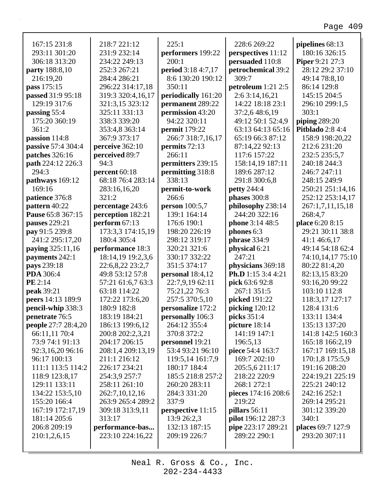| 167:15 231:8               | 218:7 221:12      | 225:1                | 228:6 269:22            | pipelines 68:13         |
|----------------------------|-------------------|----------------------|-------------------------|-------------------------|
| 293:11 301:20              | 231:9 232:14      | performers 199:22    | perspectives 11:12      | 180:16 326:15           |
| 306:18 313:20              | 234:22 249:13     | 200:1                | persuaded 110:8         | <b>Piper</b> 9:21 27:3  |
| party 188:8,10             | 252:3 267:21      | period 3:18 4:7,17   | petrochemical 39:2      | 28:12 29:2 37:10        |
| 216:19,20                  | 284:4 286:21      | 8:6 130:20 190:12    | 309:7                   | 49:14 78:8,10           |
| pass 175:15                | 296:22 314:17,18  | 350:11               | petroleum 1:21 2:5      | 86:14 129:8             |
| passed 31:9 95:18          | 319:3 320:4,16,17 | periodically 161:20  | 2:6 3:14,16,21          | 145:15 204:5            |
| 129:19 317:6               | 321:3,15 323:12   | permanent 289:22     | 14:22 18:18 23:1        | 296:10 299:1,5          |
| passing 55:4               | 325:11 331:13     | permission 43:20     | 37:2,6 48:6,19          | 303:1                   |
| 175:20 360:19              | 338:3 339:20      | 94:22 320:11         | 49:12 50:1 52:4,9       | piping $289:20$         |
| 361:2                      | 353:4,8 363:14    | <b>permit</b> 179:22 | 63:13 64:13 65:16       | <b>Pitblado</b> 2:8 4:4 |
| passion 114:8              | 367:9 373:17      | 266:7 318:7,16,17    | 65:19 66:3 87:12        | 158:9 198:20,22         |
| passive 57:4 304:4         | perceive 362:10   | permits 72:13        | 87:14,22 92:13          | 212:6 231:20            |
| patches 326:16             | perceived 89:7    | 266:11               | 117:6 157:22            | 232:5 235:5,7           |
| path 224:12 226:3          | 94:3              | permitters 239:15    | 158:14,19 187:11        | 240:18 244:3            |
| 294:3                      | percent 60:18     | permitting 318:8     | 189:6 287:12            | 246:7 247:11            |
| pathways 169:12            | 68:18 76:4 283:14 | 338:13               | 291:8 300:6,8           | 248:15 249:9            |
| 169:16                     | 283:16,16,20      | permit-to-work       | <b>petty</b> 244:4      | 250:21 251:14,16        |
| patience 376:8             | 321:2             | 266:6                | phases 300:8            | 252:12 253:14,17        |
| pattern 40:22              | percentage 243:6  | person 100:5,7       | philosophy 238:14       | 267:1,7,11,15,18        |
| Pause 65:8 367:15          | perception 182:21 | 139:1 164:14         | 244:20 322:16           | 268:4,7                 |
| pauses 229:21              | perform 67:13     | 176:6 190:1          | phone 3:14 48:5         | place 6:20 8:15         |
| pay 91:5 239:8             | 173:3,3 174:15,19 | 198:20 226:19        | phones 6:3              | 29:21 30:11 38:8        |
| 241:2 295:17,20            | 180:4 305:4       | 298:12 319:17        | phrase 334:9            | 41:146:6,17             |
|                            |                   | 320:21 321:6         |                         | 49:14 54:18 62:4        |
| paying 325:11,16           | performance 18:3  |                      | physical 6:21<br>247:21 |                         |
| payments 242:1             | 18:14,19 19:2,3,6 | 330:17 332:22        |                         | 74:10,14,17 75:10       |
| pays 239:18                | 22:6,8,22 23:2,7  | 351:5 374:17         | physicians 369:18       | 80:22 81:4,20           |
| PDA 306:4                  | 49:8 53:12 57:8   | personal $18:4,12$   | Ph.D 1:15 3:4 4:21      | 82:13,15 83:20          |
| PE 2:14                    | 57:21 61:6,7 63:3 | 22:7,9,19 62:11      | pick 63:6 92:8          | 93:16,20 99:22          |
| peak 39:21                 | 63:18 114:22      | 75:21,22 76:3        | 267:1 351:5             | 103:10 112:8            |
| peers 14:13 189:9          | 172:22 173:6,20   | 257:5 370:5,10       | picked 191:22           | 118:3,17 127:17         |
| pencil-whip 338:3          | 180:9 182:8       | personalize 172:2    | picking $120:12$        | 128:4 131:6             |
| penetrate 76:5             | 183:19 184:21     | personally 106:3     | picks 351:4             | 133:11 134:4            |
| <b>people</b> 27:7 28:4,20 | 186:13 199:6,12   | 264:12 355:4         | picture $18:14$         | 135:13 137:20           |
| 66:11,11 70:4              | 200:8 202:2,3,21  | 370:8 372:2          | 141:19 147:1            | 141:8 142:5 160:3       |
| 73:9 74:1 91:13            | 204:17 206:15     | personnel 19:21      | 196:5,13                | 165:18 166:2,19         |
| 92:3,16,20 96:16           | 208:1,4 209:13,19 | 53:4 93:21 96:10     | piece 54:4 163:7        | 167:17 169:15,18        |
| 96:17 100:13               | 211:1 216:12      | 119:5,14 161:7,9     | 169:7 202:10            | 170:1,8 175:5,9         |
| 111:1 113:5 114:2          | 226:17 234:21     | 180:17 184:4         | 205:5,6 211:17          | 191:16 208:20           |
| 118:9 123:8,17             | 254:3,9 257:7     | 185:5 218:8 257:2    | 218:22 220:9            | 224:19,21 225:19        |
| 129:11 133:11              | 258:11 261:10     | 260:20 283:11        | 268:1 272:1             | 225:21 240:12           |
| 134:22 153:5,10            | 262:7,10,12,16    | 284:3 331:20         | pieces 174:16 208:6     | 242:16 252:1            |
| 155:20 166:4               | 263:9 265:4 289:2 | 337:9                | 219:22                  | 269:14 295:21           |
| 167:19 172:17,19           | 309:18 313:9,11   | perspective 11:15    | pillars 56:11           | 301:12 339:20           |
| 181:14 205:6               | 313:17            | 13:9 26:2,3          | pilot 196:12 287:3      | 340:1                   |
| 206:8 209:19               | performance-bas   | 132:13 187:15        | pipe 223:17 289:21      | places 69:7 127:9       |
| 210:1,2,6,15               | 223:10 224:16,22  | 209:19 226:7         | 289:22 290:1            | 293:20 307:11           |
|                            |                   |                      |                         |                         |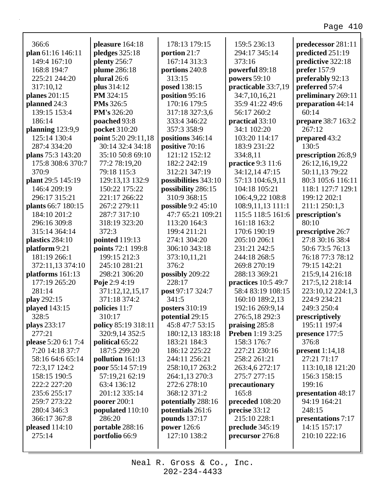| 366:6               | pleasure 164:18     | 178:13 179:15        | 159:5 236:13            | predecessor 281:11  |
|---------------------|---------------------|----------------------|-------------------------|---------------------|
| plan 61:16 146:11   | pledges $325:18$    | portion 21:7         | 294:17 345:14           | predicted 251:19    |
| 149:4 167:10        | plenty 256:7        | 167:14 313:3         | 373:16                  | predictive 322:18   |
| 168:8 194:7         | plume 286:18        | portions 240:8       | powerful 89:18          | prefer $157:9$      |
| 225:21 244:20       | plural 26:6         | 313:15               | powers 59:10            | preferably 92:13    |
| 317:10,12           | plus 314:12         | posed 138:15         | practicable 33:7,19     | preferred 57:4      |
| planes 201:15       | PM 324:15           | position 95:16       | 34:7,10,16,21           | preliminary 269:11  |
| planned 24:3        | <b>PMs</b> 326:5    | 170:16 179:5         | 35:9 41:22 49:6         | preparation 44:14   |
| 139:15 153:4        | <b>PM's 326:20</b>  | 317:18 327:3,6       | 56:17 260:2             | 60:14               |
| 186:14              | poached 93:8        | 333:4 346:22         | practical 33:10         | prepare 38:7 163:2  |
| planning $123:9,9$  | pocket 310:20       | 357:3 358:9          | 34:1 102:20             | 267:12              |
| 125:14 130:4        | point 5:20 29:11,18 | positions 346:14     | 103:20 114:17           | prepared 43:2       |
| 287:4 334:20        | 30:14 32:4 34:18    | positive 70:16       | 183:9 231:22            | 130:5               |
| plans 75:3 143:20   | 35:10 50:8 69:10    | 121:12 152:12        | 334:8,11                | prescription 26:8,9 |
| 175:8 308:6 370:7   | 77:2 78:19,20       | 182:2 242:19         | practice 9:3 11:6       | 26:12,16,19,22      |
| 370:9               | 79:18 115:3         | 312:21 347:19        | 34:12,14 47:15          | 50:11,13 79:22      |
| plant 29:5 145:19   | 129:13,13 132:9     | possibilities 343:10 | 57:13 104:6,9,11        | 80:3 105:6 116:11   |
| 146:4 209:19        | 150:22 175:22       | possibility 286:15   | 104:18 105:21           | 118:1 127:7 129:1   |
| 296:17 315:21       | 221:17 266:22       | 310:9 368:15         | 106:4,9,22 108:8        | 199:12 202:1        |
| plants 66:7 180:15  | 267:2 279:11        | possible 9:2 45:10   | 108:9,11,13 111:1       | 211:1 250:1,3       |
| 184:10 201:2        | 287:7 317:10        | 47:7 65:21 109:21    | 115:5 118:5 161:6       | prescription's      |
| 296:16 309:8        | 318:19 323:20       | 113:20 164:3         | 161:18 163:2            | 80:10               |
| 315:14 364:14       | 372:3               | 199:4 211:21         | 170:6 190:19            | prescriptive 26:7   |
| plastics 284:10     | pointed 119:13      | 274:1 304:20         | 205:10 206:1            | 27:8 30:16 38:4     |
| platform 9:21       | points 72:1 199:8   | 306:10 343:18        | 231:21 242:5            | 50:6 73:5 76:13     |
| 181:19 266:1        | 199:15 212:3        | 373:10,11,21         | 244:18 268:5            | 76:18 77:3 78:12    |
| 372:11,13 374:10    | 245:10 281:21       | 376:2                | 269:8 270:19            | 79:15 142:21        |
| platforms 161:13    | 298:21 306:20       | possibly 209:22      | 288:13 369:21           | 215:9,14 216:18     |
| 177:19 265:20       | Poje 2:9 4:19       | 228:17               | practices 10:5 49:7     | 217:5,12 218:14     |
| 281:14              | 371:12,12,15,17     | post 97:17 324:7     | 58:4 83:19 108:15       | 223:10,12 224:1,3   |
| play 292:15         | 371:18 374:2        | 341:5                | 160:10 189:2,13         | 224:9 234:21        |
| played 143:15       | policies 11:7       | posters 310:19       | 192:16 269:9,14         | 249:3 250:4         |
| 328:5               | 310:17              | potential 29:15      | 276:5,18 292:3          | prescriptively      |
| plays 233:17        | policy 85:19 318:11 | 45:8 47:7 53:15      | praising 285:8          | 195:11 197:4        |
| 277:21              | 320:9,14 352:5      | 180:12,13 183:18     | <b>Preben</b> 1:19 3:25 | presence 177:5      |
| please 5:20 6:1 7:4 | political 65:22     | 183:21 184:3         | 158:3 176:7             | 376:8               |
| 7:20 14:18 37:7     | 187:5 299:20        | 186:12 225:22        | 227:21 230:16           | present $1:14,18$   |
| 58:16 64:6 65:14    | pollution 161:13    | 244:11 256:21        | 258:2 261:21            | 27:21 71:17         |
| 72:3,17 124:2       | poor 55:14 57:19    | 258:10,17 263:2      | 263:4,6 272:17          | 113:10,18 121:20    |
| 158:15 190:5        | 57:19,21 62:19      | 264:1,13 270:3       | 275:7 277:15            | 156:3 158:15        |
| 222:2 227:20        | 63:4 136:12         | 272:6 278:10         | precautionary           | 199:16              |
| 235:6 255:17        | 201:12 335:14       | 368:12 371:2         | 165:8                   | presentation 48:17  |
| 259:7 273:22        | poorer $200:1$      | potentially 288:16   | preceded 108:20         | 94:19 164:21        |
| 280:4 346:3         | populated 110:10    | potentials 261:6     | precise 33:12           | 248:15              |
| 366:17 367:8        | 286:20              | pounds 137:17        | 215:10 228:1            | presentations 7:17  |
| pleased $114:10$    | portable 288:16     | power 126:6          | preclude 345:19         | 14:15 157:17        |
| 275:14              | portfolio 66:9      | 127:10 138:2         | precursor 276:8         | 210:10 222:16       |
|                     |                     |                      |                         |                     |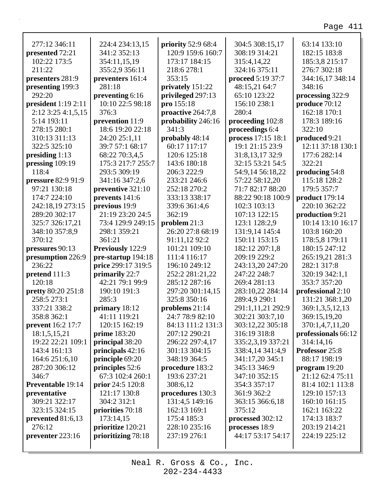| 277:12 346:11             | 224:4 234:13,15    | priority 52:9 68:4 | 304:5 308:15,17    | 63:14 133:10        |
|---------------------------|--------------------|--------------------|--------------------|---------------------|
| presented 72:21           | 341:2 352:13       | 120:9 159:6 160:7  | 308:19 314:21      | 182:15 183:8        |
| 102:22 173:5              | 354:11,15,19       | 173:17 184:15      | 315:4,14,22        | 185:3,8 215:17      |
| 211:22                    | 355:2,9 356:11     | 218:6 278:1        | 324:16 375:11      | 276:7 302:18        |
| presenters 281:9          | preventers 161:4   | 353:15             | proceed 5:19 37:7  | 344:16,17 348:14    |
| presenting 199:3          | 281:18             | privately 151:22   | 48:15,21 64:7      | 348:16              |
| 292:20                    | preventing 6:16    | privileged 297:13  | 65:10 123:22       | processing 322:9    |
| president $1:192:11$      | 10:10 22:5 98:18   | pro 155:18         | 156:10 238:1       | produce 70:12       |
| $2:12$ 3:25 4:1,5,15      | 376:3              | proactive 264:7,8  | 280:4              | 162:18 170:1        |
| 5:14 193:11               | prevention 11:9    | probability 246:16 | proceeding 102:8   | 178:3 189:16        |
| 278:15 280:1              | 18:6 19:20 22:18   | 341:3              | proceedings 6:4    | 322:10              |
| 310:13 311:13             | 24:20 25:1,11      | probably 48:14     | process 17:15 18:1 | produced 9:21       |
| 322:5 325:10              | 39:7 57:1 68:17    | 60:17 117:17       | 19:1 21:15 23:9    | 12:11 37:18 130:1   |
| presiding $1:13$          | 68:22 70:3,4,5     | 120:6 125:18       | 31:8,13,17 32:9    | 177:6 282:14        |
| pressing 109:19           | 175:3 217:7 255:7  | 143:6 180:18       | 32:15 53:21 54:5   | 322:21              |
| 118:4                     | 293:5 309:19       | 206:3 222:9        | 54:9,14 56:18,22   | producing 54:8      |
| pressure 82:9 91:9        | 341:16 347:2,6     | 233:21 246:6       | 57:22 58:12,20     | 115:18 128:2        |
| 97:21 130:18              | preventive 321:10  | 252:18 270:2       | 71:7 82:17 88:20   | 179:5 357:7         |
| 174:7 224:10              | prevents 141:6     | 333:13 338:17      | 88:22 90:18 100:9  | product 179:14      |
| 242:18,19 273:15          | previous 19:9      | 339:6 361:4,6      | 102:3 103:13       | 220:10 362:22       |
| 289:20 302:17             | 21:19 23:20 24:5   | 362:19             | 107:13 122:15      | production 9:21     |
| 325:7 326:17,21           | 73:4 129:9 249:15  | problem $21:3$     | 123:1 128:2,9      | 10:14 13:10 16:17   |
| 348:10 357:8,9            | 298:1 359:21       | 26:20 27:8 68:19   | 131:9,14 145:4     | 103:8 160:20        |
| 370:12                    | 361:21             | 91:11,12 92:2      | 150:11 153:15      | 178:5,8 179:11      |
| pressures 90:13           | Previously 122:9   | 101:21 109:10      | 182:12 207:1,8     | 180:15 247:12       |
| presumption 226:9         | pre-startup 194:18 | 111:4 116:17       | 209:19 229:2       | 265:19,21 281:3     |
| 236:22                    | price 299:17 319:5 | 196:10 249:12      | 243:13,20 247:20   | 282:1 317:8         |
| pretend 111:3             | primarily 22:7     | 252:2 281:21,22    | 247:22 248:7       | 320:19 342:1,1      |
| 120:18                    | 42:21 79:1 99:9    | 285:12 287:16      | 269:4 281:13       | 353:7 357:20        |
| <b>pretty</b> 80:20 251:8 | 190:10 191:3       | 297:20 301:14,15   | 283:10,22 284:14   | professional 2:10   |
| 258:5 273:1               | 285:3              | 325:8 350:16       | 289:4,9 290:1      | 131:21 368:1,20     |
| 337:21 338:2              | primary 18:12      | problems $21:14$   | 291:1,11,21 292:9  | 369:1,3,5,12,13     |
| 358:8 362:1               | 41:11 119:21       | 24:7 78:9 82:10    | 302:21 303:7,10    | 369:15,19,20        |
| <b>prevent</b> 16:2 17:7  | 120:15 162:19      | 84:13 111:2 131:3  | 303:12,22 305:18   | 370:1,4,7,11,20     |
| 18:1,5,15,21              | prime 183:20       | 207:12 290:21      | 316:19 318:8       | professionals 66:12 |
| 19:22 22:21 109:1         | principal 38:20    | 296:22 297:4,17    | 335:2,3,19 337:21  | 314:14,16           |
| 143:4 161:13              | principals 42:16   | 301:13 304:15      | 338:4,14 341:4,9   | Professor 25:8      |
| 164:6 251:6,10            | principle 69:20    | 348:19 364:5       | 341:17,20 345:1    | 88:17 198:19        |
| 287:20 306:12             | principles 52:6    | procedure 183:2    | 345:13 346:9       | program $19:20$     |
| 346:7                     | 67:3 102:4 260:1   | 193:6 237:21       | 347:10 352:15      | 21:12 62:4 75:11    |
| <b>Preventable 19:14</b>  | prior 24:5 120:8   | 308:6,12           | 354:3 357:17       | 81:4 102:1 113:8    |
| preventative              | 121:17 130:8       | procedures 130:3   | 361:9 362:2        | 129:10 157:13       |
| 309:21 322:17             | 304:2 312:1        | 131:4,5 149:16     | 363:15 366:6,18    | 160:10 161:15       |
| 323:15 324:15             | priorities 70:18   | 162:13 169:1       | 375:12             | 162:1 163:22        |
| prevented 81:6,13         | 173:14,15          | 175:4 185:3        | processed 302:12   | 174:13 183:7        |
| 276:12                    | prioritize 120:21  | 228:10 235:16      | processes 18:9     | 203:19 214:21       |
| preventer 223:16          | prioritizing 78:18 | 237:19 276:1       | 44:17 53:17 54:17  | 224:19 225:12       |
|                           |                    |                    |                    |                     |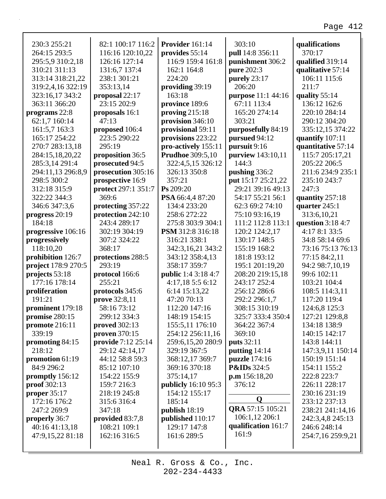| 230:3 255:21               | 82:1 100:17 116:2   | Provider 161:14            | 303:10                 | qualifications     |
|----------------------------|---------------------|----------------------------|------------------------|--------------------|
| 264:15 293:5               | 116:16 120:10,22    | provides 55:14             | pull 14:8 356:11       | 370:17             |
| 295:5,9 310:2,18           | 126:16 127:14       | 116:9 159:4 161:8          | punishment 306:2       | qualified 319:14   |
| 310:21 311:13              | 131:6,7 137:4       | 162:1 164:8                | pure 202:3             | qualitative 57:14  |
| 313:14 318:21,22           | 238:1 301:21        | 224:20                     | purely 23:17           | 106:11 115:6       |
| 319:2,4,16 322:19          | 353:13,14           | providing 39:19            | 206:20                 | 211:7              |
| 323:16,17 343:2            | proposal 22:17      | 163:18                     | purpose 11:1 44:16     | quality 55:14      |
| 363:11 366:20              | 23:15 202:9         | province 189:6             | 67:11 113:4            | 136:12 162:6       |
| programs 22:8              | proposals 16:1      | proving $215:18$           | 165:20 274:14          | 220:10 284:14      |
| 62:1,7 160:14              | 47:13               | provision $346:10$         | 303:21                 | 290:12 304:20      |
| 161:5,7 163:3              | proposed 106:4      | provisional 59:11          | purposefully 84:19     | 335:12,15 374:22   |
| 165:17 254:22              | 223:5 290:22        | provisions 223:22          | pursued 94:12          | quantify 107:11    |
| 270:7 283:13,18            | 295:19              | pro-actively 155:11        | pursuit 9:16           | quantitative 57:14 |
| 284:15,18,20,22            | proposition 36:5    | <b>Prudhoe</b> 309:5,10    | purview 143:10,11      | 115:7 205:17,21    |
| 285:3,14 291:4             | prosecuted 94:5     | 322:4,5,15 326:12          | 144:3                  | 205:22 206:5       |
| 294:11,13 296:8,9          | prosecution 305:16  | 326:13 350:8               | pushing 336:2          | 211:6 234:9 235:1  |
| 298:5 300:2                | prospective 16:9    | 357:21                     | put 15:17 25:21,22     | 235:10 243:7       |
| 312:18 315:9               | protect 297:1 351:7 | Ps 209:20                  | 29:21 39:16 49:13      | 247:3              |
| 322:22 344:3               | 369:6               | PSA 66:4,4 87:20           | 54:17 55:21 56:1       | quantity 257:18    |
| 346:6 347:3,6              | protecting 357:22   | 134:4 233:20               | 62:3 69:2 74:10        | quarter 245:1      |
| progress 20:19             | protection 242:10   | 258:6 272:22               | 75:10 93:16,19         | 313:6,10,21        |
| 184:18                     | 243:4 289:17        | 275:8 303:9 304:1          | 111:2 112:8 113:1      | question $3:184:7$ |
| progressive 106:16         | 302:19 304:19       | PSM 312:8 316:18           | 120:2 124:2,17         | 4:17 8:1 33:5      |
| progressively              | 307:2 324:22        | 316:21 338:1               | 130:17 148:5           | 34:8 58:14 69:6    |
| 118:10,20                  | 368:17              | 342:3,16,21 343:2          | 155:19 168:2           | 73:16 75:13 76:13  |
| prohibition 126:7          | protections 288:5   | 343:12 358:4,13            | 181:8 193:12           | 77:15 84:2,11      |
| <b>project</b> 178:9 270:5 | 293:19              | 358:17 359:7               | 195:1 201:19,20        | 94:2 98:7,10,19    |
| projects 53:18             | protocol 166:6      | <b>public</b> 1:4 3:18 4:7 | 208:20 219:15,18       | 99:6 102:11        |
| 177:16 178:14              | 255:21              | 4:17,18 5:5 6:12           | 243:17 252:4           | 103:21 104:4       |
| proliferation              | protocols 345:6     | 6:14 15:13,22              | 256:12 286:6           | 108:5 114:3,11     |
| 191:21                     | prove 32:8,11       | 47:20 70:13                | 292:2 296:1,7          | 117:20 119:4       |
| prominent 179:18           | 58:16 73:12         | 112:20 147:16              | 308:15 310:19          | 124:6,8 125:3      |
| promise 280:15             | 299:12 334:3        | 148:19 154:15              | 325:7 333:4 350:4      | 127:21 129:8,8     |
| <b>promote</b> 216:11      | proved $302:13$     | 155:5,11 176:10            | 364:22 367:4           | 134:18 138:9       |
| 339:19                     | proven 370:15       | 254:12 256:11,16           | 369:10                 | 140:15 142:17      |
| promoting 84:15            | provide 7:12 25:14  | 259:6,15,20 280:9          | <b>puts</b> 32:11      | 143:8 144:11       |
| 218:12                     | 29:12 42:14,17      | 329:19 367:5               | putting $14:14$        | 147:3,9,11 150:14  |
| promotion 61:19            | 44:12 58:8 59:3     | 368:12,17 369:7            | puzzle 174:16          | 150:19 151:14      |
| 84:9 296:2                 | 85:12 107:10        | 369:16 370:18              | <b>P&amp;IDs</b> 324:5 | 154:11 155:2       |
| promptly 156:12            | 154:22 155:9        | 375:14,17                  | p.m 156:18,20          | 222:8 223:7        |
| <b>proof</b> 302:13        | 159:7 216:3         | publicly 16:10 95:3        | 376:12                 | 226:11 228:17      |
| proper $35:17$             | 218:19 245:8        | 154:12 155:17              |                        | 230:16 231:19      |
| 172:16 176:2               | 315:6316:4          | 185:14                     | Q                      | 233:12 237:13      |
| 247:2 269:9                | 347:18              | publish 18:19              | QRA 57:15 105:21       | 238:21 241:14,16   |
| properly 36:7              | provided 83:7,8     | published 110:17           | 106:1,12 206:1         | 242:3,4,8 245:13   |
| 40:16 41:13,18             | 108:21 109:1        | 129:17 147:8               | qualification 161:7    | 246:6 248:14       |
| 47:9,15,22 81:18           | 162:16 316:5        | 161:6 289:5                | 161:9                  | 254:7,16 259:9,21  |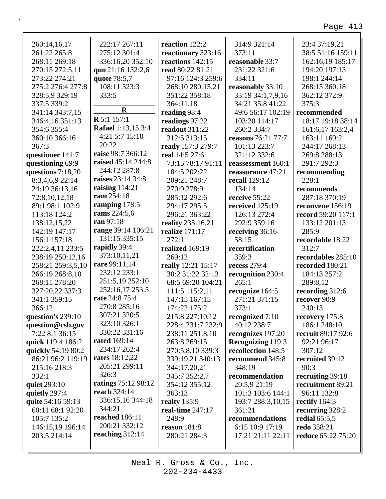| 260:14,16,17       | 222:17 267:11                           | reaction 122:2     | 314:9 321:14             | 23:4 37:19,21             |
|--------------------|-----------------------------------------|--------------------|--------------------------|---------------------------|
| 261:22 265:8       | 275:12 301:4                            | reactionary 323:16 | 373:11                   | 38:5 51:16 159:11         |
| 268:11 269:18      | 336:16,20 352:10                        | reactions 142:15   | reasonable 33:7          | 162:16,19 185:17          |
| 270:15 272:5,11    | quo 21:16 132:2,6                       | read 80:22 81:21   | 231:22 321:6             | 194:20 197:13             |
| 273:22 274:21      | quote 78:5,7                            | 97:16 124:3 259:6  | 334:11                   | 198:1 244:14              |
| 275:2 276:4 277:8  | 108:11 323:3                            | 268:10 280:15,21   | reasonably 33:10         | 268:15 360:18             |
| 328:5,9 329:19     | 333:5                                   | 351:22 358:18      | 33:19 34:1,7,9,16        | 362:12 372:9              |
| 337:5 339:2        | $\mathbf R$                             | 364:11,18          | 34:21 35:8 41:22         | 375:3                     |
| 341:14 343:7,15    | <b>R</b> 5:1 157:1                      | reading 98:4       | 49:6 56:17 102:19        | recommended               |
| 346:4,16 351:13    |                                         | readings 97:22     | 103:20 114:17            | 18:17 19:18 38:14         |
| 354:6 355:4        | Rafael 1:13,15 3:4                      | readout 311:22     | 260:2 334:7              | 161:6,17 163:2,4          |
| 360:10 366:16      | 4:21 5:7 15:10<br>20:22                 | 312:5 313:15       | reasons 76:21 77:7       | 163:11 169:2              |
| 367:3              |                                         | ready 157:3 279:7  | 101:13 223:7             | 244:17 268:13             |
| questioner 141:7   | raise 98:7 366:12<br>raised 45:14 244:8 | real 14:5 27:6     | 321:12 332:6             | 269:8 288:13              |
| questioning 69:9   |                                         | 73:15 78:17 91:11  | reassessment 160:1       | 291:7 292:3               |
| questions 7:18,20  | 244:12 287:8                            | 184:5 202:22       | reassurance 47:21        | recommending              |
| 8:3,4,6,9 22:14    | raises 23:14 34:8                       | 209:21 248:7       | recall 129:12            | 228:1                     |
| 24:19 36:13,16     | raising $114:21$<br>ram 254:18          | 270:9 278:9        | 134:14                   | recommends                |
| 72:8,10,12,18      |                                         | 285:12 292:6       | receive 55:22            | 287:18 370:19             |
| 89:1 98:1 102:9    | ramping 178:5<br>rams 224:5,6           | 294:17 295:5       | received 125:19          | reconvene 156:19          |
| 113:18 124:2       | ran 97:18                               | 296:21 363:22      | 126:13 272:4             | record 59:20 117:1        |
| 138:12,15,22       | range 39:14 106:21                      | reality 235:16,21  | 292:9 359:16             | 133:12 201:13             |
| 142:19 147:17      | 131:15 335:15                           | realize 171:17     | receiving 36:16          | 285:9                     |
| 156:1 157:18       | rapidly 39:4                            | 272:1              | 58:15                    | recordable 18:22          |
|                    |                                         |                    |                          |                           |
| 222:2,4,11 233:5   |                                         | realized 169:19    | recertification          | 312:7                     |
| 238:19 250:12,16   | 373:10,11,21                            | 269:12             | 359:3                    | recordables 285:10        |
| 258:21 259:3,5,10  | rare 99:11,14                           | really 12:21 15:17 | recess 279:4             | recorded 180:21           |
| 266:19 268:8,10    | 232:12 233:1                            | 30:2 31:22 32:13   | recognition 230:4        | 184:13 257:2              |
| 268:11 278:20      | 251:5,19 252:10                         | 68:5 69:20 104:21  | 265:1                    | 289:8,12                  |
| 327:20,22 337:3    | 252:16,17 253:5                         | 111:5 115:2,11     | recognize 164:5          | recording 312:6           |
| 341:1 359:15       | rate 24:8 75:4                          | 147:15 167:15      | 271:21 371:15            | recover 90:9              |
| 366:12             | 270:8 285:16                            | 174:22 175:2       | 373:1                    | 240:13                    |
| question's 239:10  | 307:21 320:5                            | 215:8 227:10,12    | recognized 7:10          | recovery 175:8            |
| question@csb.gov   | 323:10 326:1                            | 228:4 231:7 232:9  | 40:12 238:7              | 186:1 248:10              |
| 7:22 8:1 36:15     | 330:22 331:16                           | 238:11 251:8,10    | recognizes 197:20        | recruit 89:17 92:6        |
| quick 119:4 186:2  | <b>rated</b> 169:14                     | 263:8 269:15       | <b>Recognizing 119:3</b> | 92:21 96:17               |
| quickly 54:19 80:2 | 234:17 262:4                            | 270:5,8,10 339:3   | recollection 148:5       | 307:12                    |
| 86:21 96:2 119:19  | <b>rates</b> 18:12,22                   | 339:19,21 340:13   | recommend 345:8          | recruited 39:12           |
| 215:16 218:3       | 205:21 299:11                           | 344:17,20,21       | 348:19                   | 90:3                      |
| 332:1              | 326:3                                   | 345:7 352:2,7      | recommendation           | recruiting 39:18          |
| quiet 293:10       | ratings 75:12 98:12                     | 354:12 355:12      | 20:5,9 21:19             | recruitment 89:21         |
| quietly 297:4      | reach 324:14                            | 363:13             | 101:3 103:6 144:1        | 96:11 132:8               |
| quite 54:16 59:13  | 336:15,16 344:18                        | realty $135:9$     | 193:7 288:3,10,15        | rectify $164:3$           |
| 60:11 68:1 92:20   | 344:21                                  | real-time 247:17   | 361:21                   | recurring 328:2           |
| 105:7 135:2        | <b>reached</b> 186:11                   | 248:9              | recommendations          | redial $65:5,5$           |
| 146:15,19 196:14   | 200:21 332:12                           | reason 181:8       | 6:15 10:9 17:19          | redo 358:21               |
| 203:5 214:14       | reaching $312:14$                       | 280:21 284:3       | 17:21 21:11 22:11        | <b>reduce</b> 65:22 75:20 |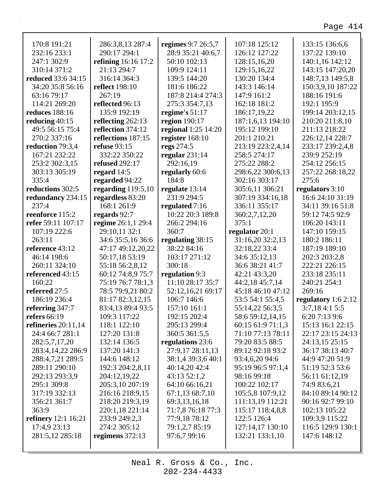| 170:8 191:21               | 286:3,8,13 287:4           | regimes 9:7 26:5,7  | 107:18 125:12     | 133:15 136:6,6      |
|----------------------------|----------------------------|---------------------|-------------------|---------------------|
| 232:16 233:1               | 290:17 294:1               | 28:9 35:21 40:6,7   | 126:12 127:22     | 137:22 139:10       |
| 247:1 302:9                | <b>refining</b> 16:16 17:2 | 50:10 102:13        | 128:15,16,20      | 140:1,16 142:12     |
| 310:14 371:2               | 21:13 294:7                | 109:9 124:11        | 129:15,16,22      | 143:15 147:20,20    |
| <b>reduced</b> 33:6 34:15  | 316:14 364:3               | 139:5 144:20        | 130:20 134:4      | 148:7,13 149:5,8    |
| 34:20 35:8 56:16           | <b>reflect</b> 198:10      | 181:6 186:22        | 143:3 146:14      | 150:3,9,10 187:22   |
| 63:16 79:17                | 267:19                     | 187:8 214:4 274:3   | 147:9 161:2       | 188:16 191:6        |
| 114:21 269:20              | reflected 96:13            | 275:3 354:7,13      | 162:18 181:2      | 192:1 195:9         |
| <b>reduces</b> 188:16      | 135:9 192:19               | regime's $51:17$    | 186:17,19,22      | 199:14 203:12,15    |
| reducing 40:15             | reflecting $262:13$        | region 190:17       | 187:1,6,13 194:10 | 210:20 211:8,10     |
| 49:5 56:15 75:4            | reflection 374:12          | regional 1:25 14:20 | 195:12 199:10     | 211:13 218:22       |
| 270:2 337:16               | reflections 187:15         | register 168:10     | 201:1 210:21      | 226:12,14 228:7     |
| reduction 79:3,4           | <b>refuse</b> 93:15        | regs 274:5          | 213:19 223:2,4,14 | 233:17 239:2,4,8    |
| 167:21 232:22              | 332:22 350:22              | regular $231:14$    | 258:5 274:17      | 239:9 252:19        |
| 253:2 302:3,15             | <b>refused</b> 292:17      | 292:16,19           | 275:22 288:2      | 254:12 256:15       |
| 303:13 305:19              | regard $14:5$              | regularly 60:6      | 298:6,22 300:6,13 | 257:22 268:18,22    |
| 335:4                      | regarded 94:22             | 184:8               | 302:16 303:17     | 275:6               |
| reductions 302:5           | regarding $119:5,10$       | regulate 13:14      | 305:6,11 306:21   | regulators 3:10     |
| redundancy 234:15          | regardless 83:20           | 231:9 294:5         | 307:19 334:16,18  | 16:6 24:10 31:19    |
| 237:4                      | 168:1 261:9                | regulated 7:16      | 336:11 355:17     | 34:11 39:16 51:8    |
| reenforce 115:2            | regards 92:7               | 10:22 20:3 189:8    | 360:2,7,12,20     | 59:12 74:5 92:9     |
| refer 59:11 107:17         | regime 26:1,1 29:4         | 266:2 294:16        | 375:1             | 106:20 143:11       |
| 107:19 222:6               | 29:10,11 32:1              | 360:7               | regulator 20:1    | 147:10 159:15       |
| 263:11                     | 34:6 35:5,16 36:6          | regulating 38:15    | 31:16,20 32:2,13  | 180:2 186:11        |
| reference 43:12            | 47:17 49:12,20,22          | 38:22 84:16         | 32:18,22 33:4     | 187:19 189:10       |
| 46:14 198:6                | 50:17,18 53:19             | 103:17 271:12       | 34:6 35:12,13     | 202:3 203:2,8       |
| 260:11 324:10              | 55:18 56:2,8,12            | 300:18              | 36:6 38:21 41:7   | 222:21 226:15       |
| referenced 43:15           | 60:12 74:8,9 75:7          | regulation 9:3      | 42:21 43:3,20     | 233:18 235:11       |
| 160:22                     | 75:19 76:7 78:1,3          | 11:10 28:17 35:7    | 44:2,18 45:7,14   | 240:21 254:1        |
| referred 27:5              | 78:5 79:9,21 80:2          | 52:12,16,21 69:17   | 45:18 46:10 47:12 | 269:16              |
| 186:19 236:4               | 81:17 82:3,12,15           | 106:7 146:6         | 53:5 54:1 55:4,5  | regulatory 1:6 2:12 |
| referring 347:7            | 83:4,13 89:4 93:5          | 157:10 161:1        | 55:14,22 56:3,5   | 3:7,184:15:5        |
| refers $66:19$             | 109:3 117:22               | 192:15 202:4        | 58:6 59:12,14,15  | 6:20 7:13 9:6       |
| refineries $20:11,14$      | 118:1 122:10               | 295:13 299:4        | 60:15 61:9 71:1,3 | 15:13 16:1 22:15    |
| 24:4 66:7 281:1            | 127:20 131:8               | 360:5 361:5,5       | 71:10 77:13 78:11 | 22:17 23:15 24:13   |
| 282:5,7,17,20              | 132:14 136:5               | regulations 23:6    | 79:20 83:5 88:5   | 24:13,15 25:15      |
| 283:4, 14, 22 286: 9       | 137:20 141:3               | 27:9,17 28:11,13    | 89:12 92:18 93:2  | 36:17 38:13 40:7    |
| 288:4,7,21 289:5           | 144:6 148:12               | 38:1,4 39:3,6 40:1  | 93:4,6,20 94:6    | 44:9 47:20 51:9     |
| 289:11 290:10              | 192:3 204:2,8,11           | 40:14,20 42:4       | 95:19 96:5 97:1,4 | 51:19 52:3 53:6     |
| 292:13 293:3,9             | 204:12,19,22               | 43:13 52:1,2        | 98:16 99:18       | 56:11 61:12,19      |
| 295:1 309:8                | 205:3,10 207:19            | 64:10 66:16,21      | 100:22 102:17     | 74:9 83:6,21        |
| 317:19 332:13              | 216:16 218:9,15            | 67:1,13 68:7,10     | 105:5,8 107:9,12  | 84:10 89:14 90:12   |
| 356:21 361:7               | 218:20 219:3,19            | 69:3,13,16,18       | 111:13,19 112:21  | 90:16 92:7 99:10    |
| 363:9                      | 220:1,18 221:14            | 71:7,8 76:18 77:3   | 115:17 118:4,8,8  | 102:13 105:22       |
| <b>refinery</b> 12:1 16:21 | 233:9 249:2,3              | 77:9,18 78:12       | 122:5 126:4       | 109:3,9 115:22      |
| 17:4,9 23:13               | 274:2 305:12               | 79:1,2,7 85:19      | 127:14,17 130:10  | 116:5 129:9 130:1   |
| 281:5,12 285:18            | regimens $372:13$          | 97:6,7 99:16        | 132:21 133:1,10   | 147:6 148:12        |
|                            |                            |                     |                   |                     |
|                            |                            |                     |                   |                     |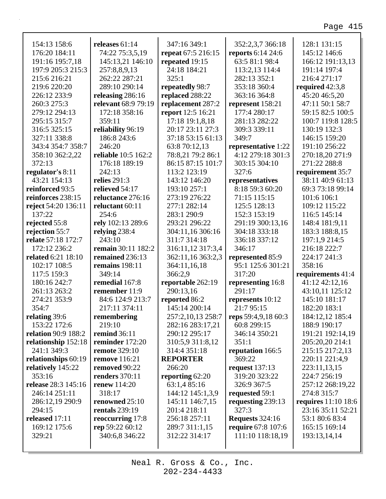| 154:13 158:6              | releases $61:14$      | 347:16 349:1            | 352:2,3,7 366:18          | 128:1 131:15                        |
|---------------------------|-----------------------|-------------------------|---------------------------|-------------------------------------|
| 176:20 184:11             | 74:22 75:3,5,19       | repeat 67:5 216:15      | reports 6:14 24:6         | 145:12 146:6                        |
| 191:16 195:7,18           | 145:13,21 146:10      | repeated 19:15          | 63:5 81:1 98:4            | 166:12 191:13,13                    |
| 197:9 205:3 215:3         | 257:8,8,9,13          | 24:18 184:21            | 113:2,13 114:4            | 191:14 197:4                        |
| 215:6 216:21              | 262:22 287:21         | 325:1                   | 282:13 352:1              | 216:4 271:17                        |
| 219:6 220:20              | 289:10 290:14         | repeatedly 98:7         | 353:18 360:4              | required $42:3,8$                   |
| 226:12 233:9              | releasing 286:16      | replaced 288:22         | 363:16 364:8              | 45:20 46:5,20                       |
| 260:3 275:3               | relevant 68:9 79:19   | replacement 287:2       | represent 158:21          | 47:11 50:1 58:7                     |
| 279:12 294:13             | 172:18 358:16         | report 12:5 16:21       | 177:4 280:17              | 59:15 82:5 100:5                    |
| 295:15 315:7              | 359:11                | 17:18 19:1,8,18         | 281:13 282:22             | 100:7 119:8 128:5                   |
| 316:5 325:15              | reliability 96:19     | 20:17 23:11 27:3        | 309:3 339:11              | 130:19 132:3                        |
| 327:11 338:8              | 186:8 243:6           | 37:18 53:15 61:13       | 349:7                     | 146:15 159:20                       |
| 343:4 354:7 358:7         | 246:20                | 63:8 70:12,13           | representative 1:22       | 191:10 256:22                       |
| 358:10 362:2,22           | reliable 10:5 162:2   | 78:8,21 79:2 86:1       | 4:12 279:18 301:3         | 270:18,20 271:9                     |
| 372:13                    | 176:18 189:19         | 86:15 87:15 101:7       | 303:15 304:10             | 271:22 288:8                        |
| regulator's 8:11          | 242:13                | 113:2 123:19            | 327:6                     | requirement 35:7                    |
| 43:21 154:13              | relies 291:3          | 143:12 146:20           | representatives           | 38:11 40:9 61:13                    |
| reinforced 93:5           | relieved 54:17        | 193:10 257:1            | 8:18 59:3 60:20           | 69:3 73:18 99:14                    |
| reinforces 238:15         | reluctance 276:16     | 273:19 276:22           | 71:15 115:15              | 101:6 106:1                         |
| reject 54:20 136:11       | reluctant 60:11       | 277:1 282:14            | 125:5 128:13              | 109:12 115:22                       |
| 137:22                    | 254:6                 | 283:1 290:9             | 152:3 153:19              | 116:5 145:14                        |
| rejected 55:8             | rely 102:13 289:6     | 293:21 296:22           | 291:19 300:13,16          | 148:4 181:9,11                      |
| rejection 55:7            | relying 238:4         | 304:11,16 306:16        | 304:18 333:18             | 183:3 188:8,15                      |
| relate 57:18 172:7        | 243:10                | 311:7 314:18            | 336:18 337:12             | 197:1,9 214:5                       |
| 172:12 236:2              | remain 30:11 182:2    | 316:11,12 317:3,4       | 346:17                    | 216:18 222:7                        |
| <b>related</b> 6:21 18:10 | remained 236:13       | 362:11,16 363:2,3       | represented 85:9          | 224:17 241:3                        |
| 102:17 108:5              | remains 198:11        |                         | 95:1 125:6 301:21         | 358:16                              |
| 117:5 159:3               | 349:14                | 364:11,16,18<br>366:2,9 | 317:20                    |                                     |
| 180:16 242:7              |                       |                         |                           | requirements 41:4<br>41:12 42:12,16 |
|                           | remedial 167:8        | reportable 262:19       | representing 16:8         |                                     |
| 261:13 263:2              | remember 11:9         | 290:13,16               | 291:17                    | 43:10,11 125:12                     |
| 274:21 353:9              | 84:6 124:9 213:7      | reported 86:2           | represents 10:12          | 145:10 181:17                       |
| 354:7                     | 217:11 374:11         | 145:14 200:14           | 21:7 95:15                | 182:20 183:1                        |
| relating 39:6             | remembering           | 257:2,10,13 258:7       | reps 59:4,9,18 60:3       | 184:12,12 185:4                     |
| 153:22 172:6              | 219:10                | 282:16 283:17,21        | 60:8 299:15               | 188:9 190:17                        |
| relation 90:9 188:2       | <b>remind</b> 36:11   | 290:12 295:17           | 346:14 350:21             | 191:21 192:14,19                    |
| relationship 152:18       | reminder 172:20       | 310:5,9 311:8,12        | 351:1                     | 205:20,20 214:1                     |
| 241:1 349:3               | <b>remote</b> 329:10  | 314:4 351:18            | reputation 166:5          | 215:15 217:2,13                     |
| relationships 60:19       | <b>remove</b> 116:21  | <b>REPORTER</b>         | 369:22                    | 220:11 221:4,9                      |
| relatively 145:22         | removed 90:22         | 266:20                  | request $137:13$          | 223:11,13,15                        |
| 353:16                    | <b>renders</b> 370:11 | reporting 62:20         | 319:20 323:22             | 224:7 256:19                        |
| release 28:3 145:16       | <b>renew</b> 114:20   | 63:1,4 85:16            | 326:9 367:5               | 257:12 268:19,22                    |
| 246:14 251:11             | 318:17                | 144:12 145:1,3,9        | requested 59:1            | 274:8 315:7                         |
| 286:12,19 290:9           | renowned 25:10        | 145:11 146:7,15         | requesting 239:13         | requires $11:10$ 18:6               |
| 294:15                    | <b>rentals</b> 239:19 | 201:4 218:11            | 327:3                     | 23:16 35:11 52:21                   |
| released 17:11            | reoccurring 17:8      | 256:18 257:11           | <b>Requests</b> 324:16    | 53:1 80:6 83:4                      |
| 169:12 175:6              | rep 59:22 60:12       | 289:7 311:1,15          | <b>require</b> 67:8 107:6 | 165:15 169:14                       |
| 329:21                    | 340:6,8 346:22        | 312:22 314:17           | 111:10 118:18,19          | 193:13,14,14                        |
|                           |                       |                         |                           |                                     |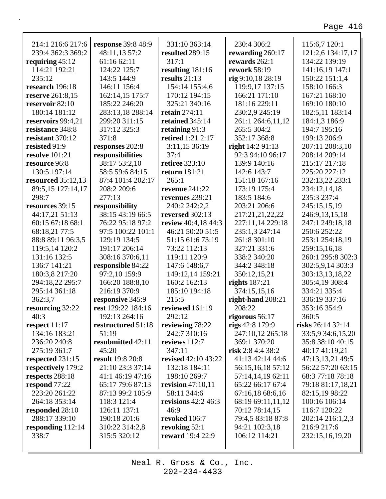٦

| 214:1 216:6 217:6       | <b>response</b> 39:8 48:9 | 331:10 363:14         | 230:4 306:2          | 115:6,7 120:1     |
|-------------------------|---------------------------|-----------------------|----------------------|-------------------|
| 239:4 362:3 369:2       | 48:11,13 57:2             | resulted 289:15       | rewarding 260:17     | 121:2,6 134:17,17 |
| requiring $45:12$       | 61:16 62:11               | 317:1                 | rewards 262:1        | 134:22 139:19     |
| 114:21 192:21           | 124:22 125:7              | resulting 181:16      | <b>rework</b> 58:19  | 141:16,19 147:1   |
| 235:12                  | 143:5 144:9               | results $21:13$       | rig 9:10,18 28:19    | 150:22 151:1,4    |
| research 196:18         | 146:11 156:4              | 154:14 155:4,6        | 119:9,17 137:15      | 158:10 166:3      |
| <b>reserve</b> 261:8,15 | 162:14,15 175:7           | 170:12 194:15         | 166:21 171:10        | 167:21 168:10     |
| reservoir 82:10         | 185:22 246:20             | 325:21 340:16         | 181:16 229:11        | 169:10 180:10     |
| 180:14 181:12           | 283:13,18 288:14          | retain 274:11         | 230:2,9 245:19       | 182:5,11 183:14   |
| reservoirs 99:4,21      | 299:20 311:15             | retained 345:14       | 261:1 264:6,11,12    | 184:1,3 186:9     |
| resistance 348:8        | 317:12 325:3              | retaining 91:3        | 265:5 304:2          | 194:7 195:16      |
| resistant 370:12        | 371:8                     | retired 1:21 2:17     | 352:17 368:8         | 199:13 206:9      |
| resisted 91:9           | responses 202:8           | 3:11,15 36:19         | right $14:291:13$    | 207:11 208:3,10   |
| <b>resolve</b> 101:21   | responsibilities          | 37:4                  | 92:3 94:10 96:17     | 208:14 209:14     |
| resource 96:8           | 38:17 53:2,10             | <b>retiree</b> 323:10 | 139:9 140:16         | 215:17 217:18     |
| 130:5 197:14            | 58:5 59:6 84:15           | return 181:21         | 142:6 143:7          | 225:20 227:12     |
| resourced $35:12,13$    | 87:4 101:4 202:17         | 265:1                 | 151:18 167:16        | 232:13,22 233:1   |
| 89:5,15 127:14,17       | 208:2 209:6               | <b>revenue</b> 241:22 | 173:19 175:4         | 234:12,14,18      |
| 298:7                   | 277:13                    | revenues 239:21       | 183:5 184:6          | 235:3 237:4       |
| resources 39:15         | responsibility            | 240:2 242:2,2         | 203:21 206:6         | 245:15,15,19      |
| 44:17,21 51:13          | 38:15 43:19 66:5          | reversed 302:13       | 217:21,21,22,22      | 246:9,13,15,18    |
| 60:15 67:18 68:1        | 76:22 95:18 97:2          | review 40:4,18 44:3   | 227:11,14 229:18     | 247:1 249:18,18   |
| 68:18,21 77:5           | 97:5 100:22 101:1         | 46:21 50:20 51:5      | 235:1,3 247:14       | 250:6 252:22      |
| 88:8 89:11 96:3,5       | 129:19 134:5              | 51:15 61:6 73:19      | 261:8 301:10         | 253:1 254:18,19   |
| 119:5,14 120:2          | 191:17 206:14             | 73:22 112:13          | 327:21 331:6         | 259:15,16,18      |
| 131:16 132:5            | 308:16 370:6,11           | 119:11 120:9          | 338:2 340:20         | 260:1 295:8 302:3 |
| 136:7 141:21            | responsible 84:22         | 147:6 148:6,7         | 344:2 348:18         | 302:5,9,14 303:3  |
| 180:3,8 217:20          | 97:2,10 159:9             | 149:12,14 159:21      | 350:12,15,21         | 303:13,13,18,22   |
| 294:18,22 295:7         | 166:20 188:8,10           | 160:2 162:13          | <b>rights</b> 187:21 | 305:4,19 308:4    |
| 295:14 361:18           | 216:19 370:9              | 185:10 194:18         | 374:15,15,16         | 334:21 335:4      |
| 362:3,7                 | responsive 345:9          | 215:5                 | right-hand 208:21    | 336:19 337:16     |
| resourcing 32:22        | rest 129:22 184:16        | reviewed 161:19       | 208:22               | 353:16 354:9      |
| 40:3                    | 192:13 264:16             | 292:12                | rigorous 56:17       | 360:5             |
| respect $11:17$         |                           |                       |                      | risks 26:14 32:14 |
|                         | restructured 51:18        | reviewing 78:22       | rigs $42:8$ 179:9    |                   |
| 134:16 183:21           | 51:19                     | 242:7 310:16          | 247:10,12 265:18     | 33:5,9 34:6,15,20 |
| 236:20 240:8            | resubmitted 42:11         | reviews 112:7         | 369:1 370:20         | 35:8 38:10 40:15  |
| 275:19 361:7            | 45:20                     | 347:11                | risk 2:8 4:4 38:2    | 40:17 41:19,21    |
| respected 231:15        | result 19:8 20:8          | revised 42:10 43:22   | 41:13 42:14 44:6     | 47:13,13,21 49:5  |
| respectively 179:2      | 21:10 23:3 37:14          | 132:18 184:11         | 56:15,16,18 57:12    | 56:22 57:20 63:15 |
| respects 288:18         | 41:1 46:19 47:16          | 198:10 269:7          | 57:14,14,19 62:11    | 68:3 77:18 78:18  |
| respond 77:22           | 65:17 79:6 87:13          | revision $47:10,11$   | 65:22 66:17 67:4     | 79:18 81:17,18,21 |
| 223:20 261:22           | 87:13 99:2 105:9          | 58:11 344:6           | 67:16,18 68:6,16     | 82:15,19 98:22    |
| 264:18 353:14           | 118:3 121:4               | revisions $42:2$ 46:3 | 68:19 69:11,11,12    | 100:16 106:14     |
| responded 28:10         | 126:11 137:1              | 46:9                  | 70:12 78:14,15       | 116:7 120:22      |
| 288:17 339:10           | 190:18 201:6              | revoked 106:7         | 79:4,5 83:18 87:8    | 202:14 216:1,2,3  |
| responding 112:14       | 310:22 314:2,8            | revoking 52:1         | 94:21 102:3,18       | 216:9 217:6       |
| 338:7                   | 315:5 320:12              | reward 19:4 22:9      | 106:12 114:21        | 232:15,16,19,20   |
|                         |                           |                       |                      |                   |

Г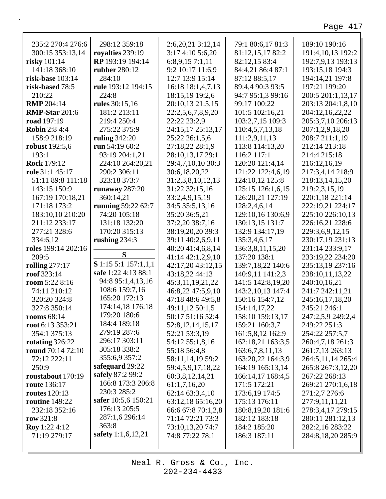٦

| 235:2 270:4 276:6        | 298:12 359:18          | 2:6,20,21 3:12,14    | 79:1 80:6,17 81:3 | 189:10 190:16        |
|--------------------------|------------------------|----------------------|-------------------|----------------------|
| 300:15 353:13,14         | royalties 239:19       | 3:17 4:10 5:6,20     | 81:12,15,17 82:2  | 191:4,10,13 192:2    |
| risky 101:14             | RP 193:19 194:14       | 6:8,9,15 7:1,11      | 82:12,15 83:4     | 192:7,9,13 193:13    |
| 141:18 368:10            | <b>rubber</b> 280:12   | 9:2 10:17 11:6,9     | 84:4,21 86:4 87:1 | 193:15,18 194:3      |
| risk-base 103:14         | 284:10                 | 12:7 13:9 15:14      | 87:12 88:5,17     | 194:14,21 197:8      |
| risk-based 78:5          | rule 193:12 194:15     | 16:18 18:1,4,7,13    | 89:4,4 90:3 93:5  | 197:21 199:20        |
| 210:22                   | 224:8                  | 18:15,19 19:2,6      | 94:7 95:1,3 99:16 | 200:5 201:1,13,17    |
| <b>RMP</b> 204:14        | rules 30:15,16         | 20:10,13 21:5,15     | 99:17 100:22      | 203:13 204:1,8,10    |
| <b>RMP-Star 201:6</b>    | 181:2 213:11           | 22:2,5,6,7,8,9,20    | 101:5 102:16,21   | 204:12,16,22,22      |
| road 197:19              | 219:4 250:4            | 22:22 23:2,9         | 103:2,7,15 109:3  | 205:3,7,10 206:13    |
| <b>Robin 2:8 4:4</b>     | 275:22 375:9           | 24:15,17 25:13,17    | 110:4,5,7,13,18   | 207:1,2,9,18,20      |
| 158:9 218:19             | ruling $342:20$        | 25:22 26:1,5,6       | 111:2,9,11,13     | 208:7 211:1,19       |
| robust 192:5,6           | run 54:19 60:2         | 27:18,22 28:1,9      | 113:8 114:13,20   | 212:14 213:18        |
| 193:1                    | 93:19 204:1,21         | 28:10,13,17 29:1     | 116:2 117:1       | 214:4 215:18         |
| <b>Rock 179:12</b>       | 224:10 264:20,21       | 29:4,7,10,10 30:3    | 120:20 121:4,14   | 216:12,16,19         |
| role 31:1 45:17          | 290:2 306:11           | 30:6,18,20,22        | 121:22 122:4,6,19 | 217:3,4,14 218:9     |
| 51:11 89:8 111:18        | 323:18 373:7           | 31:2,3,8,10,12,13    | 124:10,12 125:8   | 218:13,14,15,20      |
| 143:15 150:9             | runaway $287:20$       | 31:22 32:15,16       | 125:15 126:1,6,15 | 219:2,3,15,19        |
| 167:19 170:18,21         | 360:14,21              | 33:2,4,9,15,19       | 126:20,21 127:19  | 220:1,18 221:14      |
| 171:18 173:2             |                        |                      |                   | 222:19.21 224:17     |
|                          | running 59:22 62:7     | 34:5 35:5,13,16      | 128:2,4,6,14      |                      |
| 183:10,10 210:20         | 74:20 105:18           | 35:20 36:5,21        | 129:10,16 130:6,9 | 225:10 226:10,13     |
| 211:12 233:17            | 131:18 132:20          | 37:2,20 38:7,16      | 130:13,15 131:7   | 226:16,21 228:6      |
| 277:21 328:6             | 170:20 315:13          | 38:19,20,20 39:3     | 132:9 134:17,19   | 229:3,6,9,12,15      |
| 334:6,12                 | rushing $234:3$        | 39:11 40:2,6,9,11    | 135:3,4,6,17      | 230:17,19 231:13     |
| roles 199:14 202:16      | S                      | 40:20 41:4,6,8,14    | 136:3,8,11,15,20  | 231:14 233:9,17      |
| 209:5                    |                        | 41:14 42:1,2,9,10    | 137:20 138:1      | 233:19,22 234:20     |
| <b>rolling</b> 277:17    | $S$ 1:15 5:1 157:1,1,1 | 42:17,20 43:12,15    | 139:7,18,22 140:6 | 235:13,19 237:16     |
| roof 323:14              | safe 1:22 4:13 88:1    | 43:18,22 44:13       | 140:9,11 141:2,3  | 238:10,11,13,22      |
| room 5:22 8:16           | 94:8 95:1,4,13,16      | 45:3,11,19,21,22     | 141:5 142:8,19,20 | 240:10,16,21         |
| 74:11 210:12             | 108:6 159:7,16         | 46:8,22 47:5,9,10    | 143:2,10,13 147:4 | 241:7 242:11,21      |
| 320:20 324:8             | 165:20 172:13          | 47:18 48:6 49:5,8    | 150:16 154:7,12   | 245:16,17,18,20      |
| 327:8 350:14             | 174:14,18 176:18       | 49:11,12 50:1,5      | 154:14,17,22      | 245:21 246:1         |
| rooms 68:14              | 179:20 180:6           | 50:17 51:16 52:4     | 158:10 159:13,17  | 247:2,5,9 249:2,4    |
| root 6:13 353:21         | 184:4 189:18           | 52:8, 12, 14, 15, 17 | 159:21 160:3,7    | 249:22 251:3         |
| 354:1 375:13             | 279:19 287:6           | 52:21 53:3,19        | 161:5,8,12 162:9  | 254:22 257:5,7       |
| rotating $326:22$        | 296:17 303:11          | 54:12 55:1,8,16      | 162:18,21 163:3,5 | 260:4,7,18 261:3     |
| <b>round</b> 70:14 72:10 | 305:18 338:2           | 55:18 56:4,8         | 163:6,7,8,11,13   | 261:7,13 263:13      |
| 72:12 222:11             | 355:6,9 357:2          | 58:11,14,19 59:2     | 163:20,22 164:3,9 | 264:5, 11, 14 265: 4 |
| 250:9                    | safeguard 29:22        | 59:4,5,9,17,18,22    | 164:19 165:13,14  | 265:8 267:3,12,20    |
| roustabout 170:19        | safely 87:2 99:2       | 60:3,8,12,14,21      | 166:14,17 168:4,5 | 267:22 268:13        |
| <b>route</b> 136:17      | 166:8 173:3 206:8      | 61:1,7,16,20         | 171:5 172:21      | 269:21 270:1,6,18    |
| routes $120:13$          | 230:3 285:2            | 62:14 63:3,4,10      | 173:6,19 174:5    | 271:2,7 276:6        |
| routine $149:22$         | safer 10:5,6 150:21    | 63:12,18 65:16,20    | 175:13 176:11     | 277:9,11,11,21       |
| 232:18 352:16            | 176:13 205:5           | 66:6 67:8 70:1,2,8   | 180:8,19,20 181:6 | 278:3,4,17 279:15    |
| row $321:8$              | 287:1,6 296:14         | 71:14 72:21 73:3     | 182:12 183:18     | 280:11 281:12,13     |
| <b>Roy</b> 1:22 4:12     | 363:8                  | 73:10,13,20 74:7     | 184:2 185:20      | 282:2,16 283:22      |
| 71:19 279:17             | safety 1:1,6,12,21     | 74:8 77:22 78:1      | 186:3 187:11      | 284:8,18,20 285:9    |
|                          |                        |                      |                   |                      |
|                          |                        |                      |                   |                      |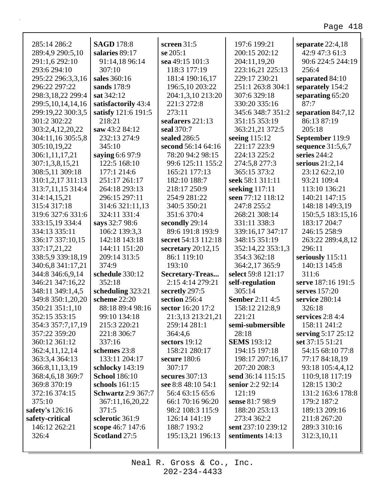┑

| 285:14 286:2      | <b>SAGD</b> 178:8         | screen $31:5$        | 197:6 199:21              | separate 22:4,18   |
|-------------------|---------------------------|----------------------|---------------------------|--------------------|
| 289:4,9 290:5,10  | salaries 89:17            | se 205:1             | 200:15 202:12             | 42:9 47:3 61:3     |
| 291:1,6 292:10    | 91:14,18 96:14            | sea 49:15 101:3      | 204:11,19,20              | 90:6 224:5 244:19  |
| 293:6 294:10      | 307:10                    | 118:3 177:19         | 223:16,21 225:13          | 256:4              |
| 295:22 296:3,3,16 | sales 360:16              | 181:4 190:16,17      | 229:17 230:21             | separated 84:10    |
| 296:22 297:22     | sands 178:9               | 196:5,10 203:22      | 251:1 263:8 304:1         | separately 154:2   |
| 298:3,18,22 299:4 | sat 342:12                | 204:1,3,10 213:20    | 307:6 329:18              | separating 65:20   |
| 299:5,10,14,14,16 | satisfactorily 43:4       | 221:3 272:8          | 330:20 335:16             | 87:7               |
| 299:19,22 300:3,5 | satisfy 121:6 191:5       | 273:11               | 345:6 348:7 351:2         | separation 84:7,12 |
| 301:2 302:22      | 218:21                    | seafarers 221:13     | 351:15 353:19             | 86:13 87:19        |
| 303:2,4,12,20,22  | saw 43:2 84:12            | seal 370:7           | 363:21,21 372:5           | 205:18             |
| 304:11,16 305:5,8 | 232:13 274:9              | sealed 286:5         | seeing 115:12             | September 119:9    |
| 305:10,19,22      | 345:10                    | second 56:14 64:16   | 221:17 223:9              | sequence 31:5,6,7  |
| 306:1,11,17,21    | saying 6:6 97:9           | 78:20 94:2 98:15     | 224:13 225:2              | series $244:2$     |
| 307:1,3,8,15,21   | 122:5 168:10              | 99:6 125:11 155:2    | 274:5,8 277:3             | serious 21:2,14    |
| 308:5,11 309:18   | 177:1 214:6               | 165:21 177:13        | 365:15 373:2              | 23:12 62:2,10      |
| 310:1,2,17 311:13 | 251:17 261:17             | 182:10 188:7         | seek 58:1 311:11          | 93:21 109:4        |
| 313:7,11,15 314:4 | 264:18 293:13             | 218:17 250:9         | seeking 117:11            | 113:10 136:21      |
| 314:14,15,21      | 296:15 297:11             | 254:9 281:22         | seen 77:12 118:12         | 140:21 147:15      |
| 315:4 317:18      | 314:6 321:11,13           | 340:5 350:21         | 247:8 255:2               | 148:18 149:3,19    |
| 319:6 327:6 331:6 | 324:11 331:4              | 351:6 370:4          | 268:21 308:14             | 150:5,5 183:15,16  |
| 333:15,19 334:4   | says 32:7 98:6            | secondly 29:14       | 331:11 338:3              | 183:17 204:7       |
| 334:13 335:11     | 106:2 139:3,3             | 89:6 191:8 193:9     | 339:16,17 347:17          | 246:15 258:9       |
| 336:17 337:10,15  | 142:18 143:18             | secret 54:13 112:18  | 348:15 351:19             | 263:22 289:4,8,12  |
| 337:17,21,22      | 144:11 151:20             | secretary $20:12,15$ | 352:14,22 353:1,3         | 296:11             |
| 338:5,9 339:18,19 | 209:14 313:5              | 86:1 119:10          | 354:3 362:18              | seriously 115:11   |
| 340:6,8 341:17,21 | 374:9                     | 193:10               | 364:2,17 365:9            | 140:13 145:8       |
| 344:8 346:6,9,14  | schedule 330:12           | Secretary-Treas      | select 59:8 121:17        | 311:6              |
| 346:21 347:16,22  | 352:18                    | 2:15 4:14 279:21     |                           | serve 187:16 191:5 |
| 348:11 349:1,4,5  |                           |                      | self-regulation<br>305:14 |                    |
|                   | scheduling 323:21         | secretly 297:5       | <b>Sember 2:11 4:5</b>    | serves 157:20      |
| 349:8 350:1,20,20 | scheme 22:20              | section 256:4        |                           | service 280:14     |
| 350:21 351:1,10   | 88:18 89:4 98:16          | sector 16:20 17:2    | 158:12 212:8,9            | 326:18             |
| 352:15 353:15     | 99:10 134:18              | 21:3,13 213:21,21    | 221:21                    | services $2:84:4$  |
| 354:3 357:7,17,19 | 215:3 220:21              | 259:14 281:1         | semi-submersible          | 158:11 241:2       |
| 357:22 359:20     | 221:8 306:7               | 364:4,6              | 28:18                     | serving 5:17 25:12 |
| 360:12 361:12     | 337:16                    | sectors 19:12        | <b>SEMS</b> 193:12        | set 37:15 51:21    |
| 362:4,11,12,14    | schemes 23:8              | 158:21 280:17        | 194:15 197:18             | 54:15 68:10 77:8   |
| 363:3,4 364:13    | 133:11 204:17             | secure 180:6         | 198:17 207:16,17          | 77:17 84:18,19     |
| 366:8,11,13,19    | schlocky 143:19           | 307:17               | 207:20 208:3              | 93:18 105:4,4,12   |
| 368:4,6,18 369:7  | <b>School</b> 186:10      | secures 307:13       | send 36:14 115:15         | 110:9,18 117:19    |
| 369:8 370:19      | schools 161:15            | see 8:8 48:10 54:1   | senior 2:2 92:14          | 128:15 130:2       |
| 372:16 374:15     | <b>Schwartz</b> 2:9 367:7 | 56:4 63:15 65:6      | 121:19                    | 131:2 163:6 178:8  |
| 375:10            | 367:11,16,20,22           | 66:1 70:16 96:20     | sense 81:7 98:9           | 179:2 187:2        |
| safety's 126:16   | 371:5                     | 98:2 108:3 115:9     | 188:20 253:13             | 189:13 209:16      |
| safety-critical   | sclerotic 361:9           | 126:14 141:19        | 273:4 362:2               | 211:8 267:20       |
| 146:12 262:21     | scope 46:7 147:6          | 188:7 193:2          | sent 237:10 239:12        | 289:3 310:16       |
| 326:4             | Scotland 27:5             | 195:13,21 196:13     | sentiments 14:13          | 312:3,10,11        |
|                   |                           |                      |                           |                    |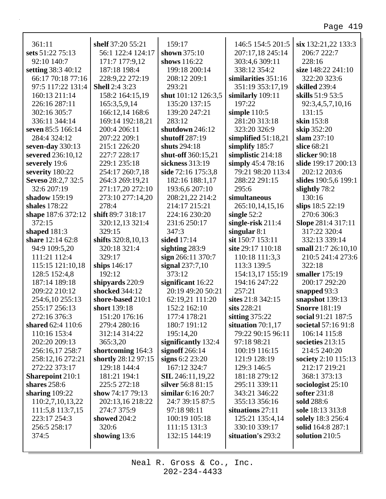| 361:11                  | shelf 37:20 55:21     | 159:17                  | 146:5 154:5 201:5     | six 132:21,22 133:3  |
|-------------------------|-----------------------|-------------------------|-----------------------|----------------------|
| sets 51:22 75:13        | 56:1 122:4 124:17     | shown 375:10            | 207:17,18 245:14      | 206:7 222:7          |
| 92:10 140:7             | 171:7 177:9,12        | shows 116:22            | 303:4,6 309:11        | 228:16               |
| setting 38:3 40:12      | 187:18 198:4          | 199:18 200:14           | 338:12 354:2          | size 148:22 241:10   |
| 66:17 70:18 77:16       | 228:9,22 272:19       | 208:12 209:1            | similarities 351:16   | 322:20 323:6         |
| 97:5 117:22 131:4       | <b>Shell</b> 2:4 3:23 | 293:21                  | 351:19 353:17,19      | skilled 239:4        |
| 160:13 211:14           | 158:2 164:15,19       | shut 101:12 126:3,5     | similarly 109:11      | skills 51:9 53:5     |
| 226:16 287:11           | 165:3,5,9,14          | 135:20 137:15           | 197:22                | 92:3,4,5,7,10,16     |
| 302:16 305:7            | 166:12,14 168:6       | 139:20 247:21           | simple $110:5$        | 131:15               |
| 336:11 344:14           | 169:14 192:18,21      | 283:12                  | 281:20 313:18         | <b>skin</b> 153:8    |
| seven 85:5 166:14       | 200:4 206:11          | shutdown 246:12         | 323:20 326:9          | skip 352:20          |
| 284:4 324:12            | 207:22 209:1          | shutoff 287:19          | simplified $51:18,21$ | slam 237:10          |
| seven-day $330:13$      | 215:1 226:20          | shuts 294:18            | simplify 185:7        | slice 68:21          |
| severed 236:10,12       | 227:7 228:17          | shut-off 360:15,21      | simplistic 214:18     | slicker 90:18        |
| severely 19:6           | 229:1 235:18          | sickness 313:19         | simply 45:4 78:16     | slide 199:17 200:13  |
| severity 180:22         | 254:17 260:7,18       | side 72:16 175:3,8      | 79:21 98:20 113:4     | 202:12 203:6         |
| Seveso 28:2,7 32:5      | 264:3 269:19,21       | 182:16 188:1,17         | 288:22 291:15         | slides 190:5,6 199:1 |
| 32:6 207:19             | 271:17,20 272:10      | 193:6,6 207:10          | 295:6                 | slightly 78:2        |
| shadow 159:19           | 273:10 277:14,20      | 208:21,22 214:2         | simultaneous          | 130:16               |
| shales 178:22           | 278:4                 | 214:17 215:21           | 265:10,14,15,16       | slips 18:5 22:19     |
| shape 187:6 372:12      | shift 89:7 318:17     | 224:16 230:20           | single $52:2$         | 270:6 306:3          |
| 372:15                  | 320:12,13 321:4       | 231:6 250:17            | single-risk $211:4$   | Slope 281:4 317:11   |
| shaped 181:3            | 329:15                | 347:3                   | singular $8:1$        | 317:22 320:4         |
| share 12:14 62:8        | shifts 320:8,10,13    | sided 17:14             | sit 150:7 153:11      | 332:13 339:14        |
| 94:9 109:5,20           | 320:18 321:4          | sighting $283:9$        | site 29:17 110:18     | small 21:7 26:10,10  |
| 111:21 112:4            | 329:17                | sign 266:11 370:7       | 110:18 111:3,3        | 210:5 241:4 273:6    |
| 115:15 121:10,18        | ships 146:17          | signal $237:7,10$       | 113:3 139:5           | 322:18               |
| 128:5 152:4,8           | 192:12                | 373:12                  | 154:13,17 155:19      | smaller 175:19       |
| 187:14 189:18           | shipyards 220:9       | significant 16:22       | 194:16 247:22         | 200:17 292:20        |
| 209:22 210:12           | shocked 344:12        | 20:19 49:20 50:21       | 257:21                | snapped 93:3         |
| 254:6,10 255:13         | shore-based 210:1     | 62:19,21 111:20         | sites 21:8 342:15     | snapshot 139:13      |
| 255:17 256:13           | short 139:18          | 152:2 162:10            | sits 228:21           | <b>Snorre 181:19</b> |
| 272:16 376:3            | 151:20 176:16         | 177:4 178:21            | sitting $375:22$      | social 91:21 187:5   |
| shared 62:4 110:6       | 279:4 280:16          | 180:7 191:12            | situation $70:1,17$   | societal 57:16 91:8  |
| 110:16 153:4            | 312:14 314:22         | 195:14,20               | 79:22 90:15 96:11     | 106:14 115:8         |
| 202:20 209:13           | 365:3,20              | significantly 132:4     | 97:18 98:21           | societies 213:15     |
| 256:16,17 258:7         | shortcoming 164:3     | signoff $266:14$        | 100:19 116:15         | 214:5 240:20         |
| 258:12,16 272:21        | shortly 28:12 97:15   | signs $6:2 23:20$       | 121:9 128:19          | society 2:10 115:13  |
| 272:22 373:17           | 129:18 144:4          | 167:12 324:7            | 129:3 146:5           | 212:17 219:21        |
| <b>Sharepoint 210:1</b> | 181:21 194:1          | <b>SIL</b> 246:11,19,22 | 181:18 279:12         | 368:1 373:13         |
| shares 258:6            | 225:5 272:18          | silver 56:8 81:15       | 295:11 339:11         | sociologist $25:10$  |
| sharing 109:22          | show 74:17 79:13      | similar 6:16 20:7       | 343:21 346:22         | softer 231:8         |
| 110:2,7,10,13,22        | 202:13,16 218:22      | 24:7 39:15 87:5         | 355:13 356:16         | sold 288:6           |
| 111:5,8 113:7,15        | 274:7 375:9           | 97:18 98:11             | situations $27:11$    | sole 18:13 313:8     |
| 223:17 254:3            | showed 204:2          | 100:19 105:18           | 125:21 135:4,14       | solely 18:3 256:4    |
| 256:5 258:17            | 320:6                 | 111:15 131:3            | 330:10 339:17         | solid 164:8 287:1    |
| 374:5                   | showing 13:6          | 132:15 144:19           | situation's 293:2     | solution 210:5       |
|                         |                       |                         |                       |                      |
|                         |                       |                         |                       |                      |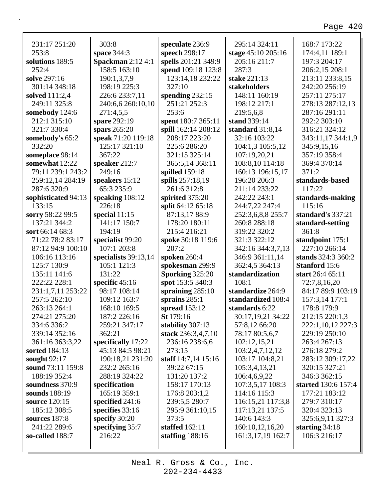| 231:17 251:20       | 303:8                    | speculate 236:9     | 295:14 324:11      | 168:7 173:22         |
|---------------------|--------------------------|---------------------|--------------------|----------------------|
| 253:8               | space 344:3              | speech 298:17       | stage 45:10 205:16 | 174:4,11 189:1       |
| solutions 189:5     | <b>Spackman</b> 2:12 4:1 | spells 201:21 349:9 | 205:16 211:7       | 197:3 204:17         |
| 252:4               | 158:5 163:10             | spend 109:18 123:8  | 287:3              | 206:2,15 208:1       |
| solve 297:16        | 190:1,3,7,9              | 123:14,18 232:22    | stake 221:13       | 213:11 233:8,15      |
| 301:14 348:18       | 198:19 225:3             | 327:10              | stakeholders       | 242:20 256:19        |
| solved 111:2,4      | 226:6 233:7,11           | spending $232:15$   | 148:11 160:19      | 257:11 275:17        |
| 249:11 325:8        | 240:6,6 260:10,10        | 251:21 252:3        | 198:12 217:1       | 278:13 287:12,13     |
| somebody 124:6      | 271:4,5,5                | 253:6               | 219:5,6,8          | 287:16 291:11        |
| 212:1 315:10        | spare 292:19             | spent 180:7 365:11  | stand 339:14       | 292:2 303:10         |
| 321:7 330:4         | spars $265:20$           | spill 162:14 208:12 | standard $31:8,14$ | 316:21 324:12        |
| somebody's 65:2     | speak 71:20 119:18       | 208:17 223:20       | 32:16 103:22       | 343:11,17 344:1,9    |
| 332:20              | 125:17 321:10            | 225:6 286:20        | 104:1,3 105:5,12   | 345:9,15,16          |
| someplace 98:14     | 367:22                   | 321:15 325:14       | 107:19,20,21       | 357:19 358:4         |
| somewhat 12:22      | speaker 212:7            | 365:5,14 368:11     | 108:8,10 114:18    | 369:4 370:14         |
| 79:11 239:1 243:2   | 249:16                   | spilled 159:18      | 160:13 196:15,17   | 371:2                |
| 259:12,14 284:19    | speakers 15:12           | spills 257:18,19    | 196:20 206:3       | standards-based      |
| 287:6 320:9         | 65:3 235:9               | 261:6 312:8         | 211:14 233:22      | 117:22               |
| sophisticated 94:13 | speaking 108:12          | spirited 375:20     | 242:22 243:1       | standards-making     |
| 133:15              | 226:18                   | split 64:12 65:18   | 244:7,22 247:4     | 115:16               |
| sorry 58:22 99:5    | special $11:15$          | 87:13,17 88:9       | 252:3,6,8,8 255:7  | standard's 337:21    |
| 137:21 344:2        | 141:17 150:7             | 178:20 180:11       | 260:8 288:18       | standard-setting     |
| sort 66:14 68:3     | 194:19                   | 215:4 216:21        | 319:22 320:2       | 361:8                |
| 71:22 78:2 83:17    | specialist 99:20         | spoke 30:18 119:6   | 321:3 322:12       | standpoint 175:1     |
| 87:12 94:9 100:10   | 107:1 203:8              | 207:2               | 342:16 344:3,7,13  | 227:10 266:14        |
| 106:16 113:16       | specialists $39:13,14$   | spoken 260:4        | 346:9 361:11,14    | stands 324:3 360:2   |
| 125:7 130:9         | 105:1 121:3              | spokesman 299:9     | 362:4,5 364:13     | <b>Stanford</b> 15:6 |
| 135:11 141:6        | 131:22                   | Sporking 325:20     | standardization    | start 26:4 65:11     |
| 222:22 228:1        | specific $45:16$         | spot 153:5 340:3    | 108:1              | 72:7,8,16,20         |
| 231:1,7,11 253:22   | 98:17 108:14             | spraining $285:10$  | standardize 264:9  | 84:17 89:9 103:19    |
| 257:5 262:10        | 109:12 163:7             | sprains $285:1$     | standardized 108:4 | 157:3,14 177:1       |
| 263:13 264:1        | 168:10 169:5             | spread 153:12       | standards 6:22     | 178:8 179:9          |
| 274:21 275:20       | 187:2 226:16             | St 179:16           | 30:17,19,21 34:22  | 212:15 220:1,3       |
| 334:6 336:2         | 259:21 347:17            | stability 307:13    | 57:8,12 66:20      | 222:1,10,12 227:3    |
| 339:14 352:16       | 362:21                   | stack 236:3,4,7,10  | 78:17 80:5,6,7     | 229:19 250:10        |
| 361:16 363:3,22     | specifically 17:22       | 236:16 238:6,6      | 102:12,15,21       | 263:4 267:13         |
| sorted 184:13       | 45:13 84:5 98:21         | 273:15              | 103:2,4,7,12,12    | 276:18 279:2         |
| sought $92:17$      | 190:18,21 231:20         | staff 14:7,14 15:16 | 103:17 104:8,21    | 283:12 309:17,22     |
| sound 73:11 159:8   | 232:2 265:16             | 39:22 67:15         | 105:3,4,13,21      | 320:15 327:21        |
| 188:19 352:4        | 288:19 324:22            | 131:20 137:2        | 106:4,6,9,22       | 346:3 362:15         |
| soundness 370:9     | specification            | 158:17 170:13       | 107:3,5,17 108:3   | started 130:6 157:4  |
| sounds 188:19       | 165:19 359:1             | 176:8 203:1,2       | 114:16 115:3       | 177:21 183:12        |
| source 120:15       | specified 241:6          | 239:5,5 280:7       | 116:15,21 117:3,8  | 279:7 310:17         |
| 185:12 308:5        | specifies $33:16$        | 295:9 361:10,15     | 117:13,21 137:5    | 320:4 323:13         |
| sources 187:8       | specify 30:20            | 373:5               | 140:6 143:3        | 325:6,9,11 327:3     |
| 241:22 289:6        | specifying 35:7          | staffed 162:11      | 160:10,12,16,20    | starting $34:18$     |
| so-called 188:7     | 216:22                   | staffing $188:16$   | 161:3,17,19 162:7  | 106:3 216:17         |
|                     |                          |                     |                    |                      |
|                     |                          |                     |                    |                      |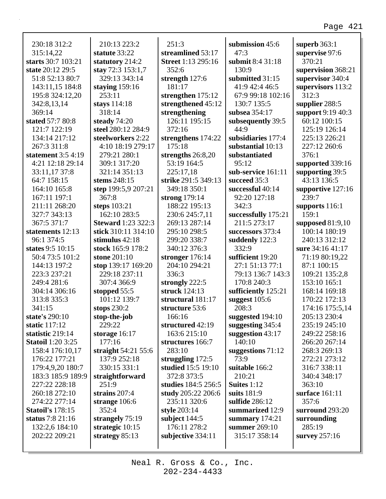#### 230:18 312:2 315:14,22 **starts** 30:7 103:21 **state** 20:12 29:5 51:8 52:13 80:7 143:11,15 184:8 195:8 324:12,20 342:8,13,14 369:14 **stated** 57:7 80:8 121:7 122:19 134:14 217:12 267:3 311:8 **statement** 3:5 4:19 4:21 12:18 29:14 33:11,17 37:8 64:7 158:15 164:10 165:8 167:11 197:1 211:11 268:20 327:7 343:13 367:5 371:7 **statements** 12:13 96:1 374:5 **states** 9:5 10:15 50:4 73:5 101:2 144:13 197:2 223:3 237:21 249:4 281:6 304:14 306:16 313:8 335:3 341:15 **state's** 290:10 **static** 117:12 **statistic** 219:14 **Statoil** 1:20 3:25 158:4 176:10,17 176:22 177:21 179:4,9,20 180:7 183:3 185:9 189:9 227:22 228:18 260:18 272:10 274:22 277:14 **Statoil's** 178:15 **status** 7:8 21:16 132:2,6 184:10 202:22 209:21 210:13 223:2 **statute** 33:22 **statutory** 214:2 **stay** 72:3 153:1,7 329:13 343:14 **staying** 159:16 253:11 **stays** 114:18 318:14 **steady** 74:20 **steel** 280:12 284:9 **steelworkers** 2:22 4:10 18:19 279:17 279:21 280:1 309:1 317:20 321:14 351:13 **stems** 248:15 **step** 199:5,9 207:21 367:8 **steps** 103:21 162:10 283:5 **Steward** 1:23 322:3 **stick** 310:11 314:10 **stimulus** 42:18 **stock** 165:9 178:2 **stone** 201:10 **stop** 139:17 169:20 229:18 237:11 307:4 366:9 **stopped** 55:5 101:12 139:7 **stops** 230:2 **stop-the-job** 229:22 **storage** 16:17 177:16 **straight** 54:21 55:6 137:9 252:18 330:15 331:1 **straightforward** 251:9 **strains** 207:4 **strange** 106:6 352:4 **strangely** 75:19 **strategic** 10:15 **strategy** 85:13 251:3 **streamlined** 53:17 **Street** 1:13 295:16 352:6 **strength** 127:6 181:17 **strengthen** 175:12 **strengthened** 45:12 **strengthening** 126:11 195:15 372:16 **strengthens** 174:22 175:18 **strengths** 26:8,20 53:19 164:5 225:17,18 **strike** 291:5 349:13 349:18 350:1 **strong** 179:14 188:22 195:13 230:6 245:7,11 269:13 287:14 295:10 298:5 299:20 338:7 340:12 376:3 **stronger** 176:14 204:10 294:21 336:3 **strongly** 222:5 **struck** 124:13 **structural** 181:17 **structure** 53:6 166:16 **structured** 42:19 163:6 215:10 **structures** 166:7 283:10 **struggling** 172:5 **studied** 15:5 19:10 372:8 373:5 **studies** 184:5 256:5 **study** 205:22 206:6 235:11 320:6 **style** 203:14 **subject** 144:5 176:11 278:2 **subjective** 334:11 **submission** 45:6 47:3 **submit** 8:4 31:18 130:9 **submitted** 31:15 41:9 42:4 46:5 67:9 99:18 102:16 130:7 135:5 **subsea** 354:17 **subsequently** 39:5 44:9 **subsidiaries** 177:4 **substantial** 10:13 **substantiated** 95:12 **sub-service** 161:11 **succeed** 35:3 **successful** 40:14 92:20 127:18 342:3 **successfully** 175:21 211:5 273:17 **successors** 373:4 **suddenly** 122:3 332:9 **sufficient** 19:20 27:1 51:13 77:1 79:13 136:7 143:3 170:8 240:3 **sufficiently** 125:21 **suggest** 105:6 208:3 **suggested** 194:10 **suggesting** 345:4 **suggestion** 43:17 140:10 **suggestions** 71:12 73:9 **suitable** 166:2 210:21 **Suites** 1:12 **suits** 181:9 **sulfide** 286:12 **summarized** 12:9 **summary** 174:21 **summer** 269:10 315:17 358:14 **superb** 363:1 **supervise** 97:6 370:21 **supervision** 368:21 **supervisor** 340:4 **supervisors** 113:2 312:3 **supplier** 288:5 **support** 9:19 40:3 60:12 100:15 125:19 126:14 225:13 226:21 227:12 260:6 376:1 **supported** 339:16 **supporting** 39:5 43:13 136:5 **supportive** 127:16 239:7 **supports** 116:1 159:1 **supposed** 81:9,10 100:14 180:19 240:13 312:12 **sure** 34:16 41:17 71:19 80:19,22 87:1 100:15 109:21 135:2,8 153:10 165:1 168:14 169:18 170:22 172:13 174:16 175:5,14 205:13 230:4 235:19 245:10 249:22 258:16 266:20 267:14 268:3 269:13 272:21 273:12 316:7 338:11 340:4 348:17 363:10 **surface** 161:11 357:6 **surround** 293:20 **surrounding** 285:19 **survey** 257:16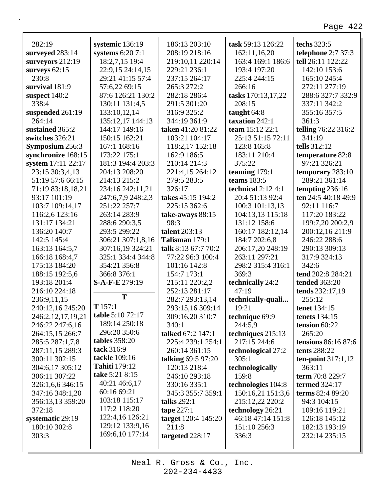| 282:19             | systemic 136:19         | 186:13 203:10             | task 59:13 126:22   | techs 323:5          |
|--------------------|-------------------------|---------------------------|---------------------|----------------------|
| surveyed 283:14    | systems $6:207:1$       | 208:19 218:16             | 162:11,16,20        | telephone 2:7 37:3   |
| surveyors 212:19   | 18:2,7,15 19:4          | 219:10,11 220:14          | 163:4 169:1 186:6   | tell 26:11 122:22    |
| surveys $62:15$    | 22:9,15 24:14,15        | 229:21 236:1              | 193:4 197:20        | 142:10 153:6         |
| 230:8              | 29:21 41:15 57:4        | 237:15 264:17             | 225:4 244:15        | 165:10 245:4         |
| survival 181:9     | 57:6,22 69:15           | 265:3 272:2               | 266:16              | 272:11 277:19        |
| suspect $140:2$    | 87:6 126:21 130:2       | 282:18 286:4              | tasks 170:13,17,22  | 288:6 327:7 332:9    |
| 338:4              | 130:11 131:4,5          | 291:5 301:20              | 208:15              | 337:11 342:2         |
| suspended 261:19   | 133:10,12,14            | 316:9 325:2               | taught $64:8$       | 355:16 357:5         |
| 264:14             | 135:12,17 144:13        | 344:19 361:9              | taxation 242:1      | 361:3                |
| sustained 365:2    | 144:17 149:16           | taken 41:20 81:22         | team 15:12 22:1     | telling 76:22 316:2  |
| switches 326:21    | 150:15 162:21           | 103:21 104:17             | 25:13 51:15 72:11   | 341:19               |
| Symposium 256:3    | 167:1 168:16            | 118:2,17 152:18           | 123:8 165:8         | tells 312:12         |
| synchronize 168:15 | 173:22 175:1            | 162:9 186:5               | 183:11 210:4        | temperature 82:8     |
| system 17:11 22:17 | 181:3 194:4 203:3       | 210:14 214:3              | 375:22              | 97:21 326:21         |
| 23:15 30:3,4,13    | 204:13 208:20           | 221:4,15 264:12           | teaming 179:1       | temporary 283:10     |
| 51:19 57:6 66:15   | 214:13 215:2            | 279:5 283:5               | teams 183:5         | 289:21 361:14        |
| 71:19 83:18,18,21  | 234:16 242:11,21        | 326:17                    | technical $2:124:1$ | tempting 236:16      |
| 93:17 101:19       | 247:6,7,9 248:2,3       | takes 45:15 194:2         | 20:4 51:13 92:4     | ten 24:5 40:18 49:9  |
| 103:7 109:14,17    | 251:22 257:7            | 225:15 362:6              | 100:3 101:13,13     | 92:11 116:7          |
| 116:2,6 123:16     | 263:14 283:9            | take-aways 88:15          | 104:13,13 115:18    | 117:20 183:22        |
| 131:17 134:21      | 288:6 290:3,5           | 98:3                      | 131:12 158:6        | 199:7,20 200:2,9     |
| 136:20 140:7       | 293:5 299:22            | talent 203:13             | 160:17 182:12,14    | 200:12,16 211:9      |
| 142:5 145:4        | 306:21 307:1,8,16       | Talisman 179:1            | 184:7 202:6,8       | 246:22 288:6         |
| 163:13 164:5,7     | 307:16,19 324:21        | talk 8:13 67:7 70:2       | 206:17,20 248:19    | 290:13 309:13        |
| 166:18 168:4,7     | 325:1 334:4 344:8       | 77:22 96:3 100:4          | 263:11 297:21       | 317:9 324:13         |
| 175:13 184:20      | 354:21 356:8            | 101:16 142:8              | 298:2 315:4 316:1   | 342:6                |
| 188:15 192:5,6     | 366:8 376:1             | 154:7 173:1               | 369:3               | tend 202:8 284:21    |
| 193:18 201:4       | $S-A-F-E 279:19$        | 215:11 220:2,2            | technically 24:2    | <b>tended</b> 363:20 |
| 216:10 224:18      |                         | 252:13 281:17             | 47:19               | tends 232:17,19      |
| 236:9,11,15        | T                       | 282:7 293:13,14           | technically-quali   | 255:12               |
| 240:12,16 245:20   | T157:1                  | 293:15,16 309:14          | 19:21               | tenet 134:15         |
| 246:2,12,17,19,21  | <b>table 5:10 72:17</b> | 309:16,20 310:7           | technique 69:9      | tenets $134:15$      |
| 246:22 247:6,16    | 189:14 250:18           | 340:1                     | 244:5.9             | tension 60:22        |
| 264:15,15 266:7    | 296:20 350:6            | talked 67:2 147:1         | techniques 215:13   | 265:20               |
| 285:5 287:1,7,8    | <b>tables</b> 358:20    | 225:4 239:1 254:1         | 217:15 244:6        | tensions 86:16 87:6  |
| 287:11,15 289:3    | tack 316:9              | 260:14 361:15             | technological 27:2  | tents 288:22         |
| 300:11 302:15      | tackle 109:16           | <b>talking 69:5 97:20</b> | 305:1               | ten-point $317:1,12$ |
| 304:6,17 305:12    | <b>Tahiti</b> 179:12    | 120:13 218:4              | technologically     | 363:11               |
| 306:11 307:22      | take 5:21 8:15          | 246:10 293:18             | 159:8               | term 70:8 229:7      |
| 326:1,6,6 346:15   | 40:21 46:6,17           | 330:16 335:1              | technologies 104:8  | <b>termed</b> 324:17 |
| 347:16 348:1,20    | 60:16 69:21             | 345:3 355:7 359:1         | 150:16,21 151:3,6   | terms 82:4 89:20     |
| 356:13,13 359:20   | 103:18 115:17           | talks $292:1$             | 215:12,22 220:2     | 94:3 104:15          |
| 372:18             | 117:2 118:20            | tape $227:1$              | technology 26:21    | 109:16 119:21        |
| systematic 29:19   | 122:4,16 126:21         | target 120:4 145:20       | 46:18 47:14 151:8   | 126:18 145:12        |
| 180:10 302:8       | 129:12 133:9,16         | 211:8                     | 151:10 256:3        | 182:13 193:19        |
| 303:3              | 169:6,10 177:14         | targeted 228:17           | 336:3               | 232:14 235:15        |
|                    |                         |                           |                     |                      |
|                    |                         |                           |                     |                      |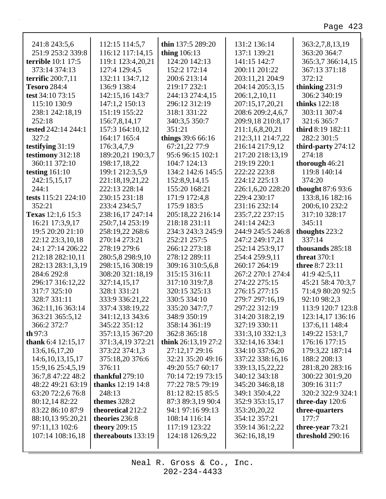| tested 242:14 244:1                  | 157:3 164:10,12                  | 351:21                            | 211:1,6,8,20,21                      | third 8:19 182:11        |  |
|--------------------------------------|----------------------------------|-----------------------------------|--------------------------------------|--------------------------|--|
| 327:2                                | 164:17 165:4                     | things 39:6 66:16                 | 212:3,11 214:7,22                    | 282:2 301:5              |  |
| testifying 31:19                     | 176:3,4,7,9                      | 67:21,22 77:9                     | 216:14 217:9,12                      | third-party 274:12       |  |
| testimony 312:18                     | 189:20,21 190:3,7                | 95:6 96:15 102:1                  | 217:20 218:13,19                     | 274:18                   |  |
| 360:11 372:10                        | 198:17,18,22                     | 104:7 124:13                      | 219:19 220:1                         | thorough $46:21$         |  |
| testing $161:10$                     | 199:1 212:3,5,9                  | 134:2 142:6 145:5                 | 222:22 223:8                         | 119:8 140:14             |  |
| 242:15,15,17                         | 221:18,19,21,22                  | 152:8,9,14,15                     | 224:12 225:13                        | 374:20                   |  |
| 244:1                                | 222:13 228:14                    | 155:20 168:21                     | 226:1,6,20 228:20                    | thought 87:6 93:6        |  |
| tests 115:21 224:10                  | 230:15 231:18                    | 171:9 172:4,8                     | 229:4 230:17                         | 133:8,16 182:16          |  |
| 352:21                               | 233:4 234:5,7                    | 175:9 183:5                       | 231:16 232:14                        | 200:6,10 232:2           |  |
| Texas 12:1,6 15:3                    | 238:16,17 247:14                 | 205:18,22 216:14                  | 235:7,22 237:15                      | 317:10 328:17            |  |
| 16:21 17:3,9,17                      | 250:7,14 253:19                  | 218:18 231:11                     | 241:14 242:3                         | 345:11                   |  |
| 19:5 20:20 21:10<br>22:12 23:3,10,18 | 258:19,22 268:6<br>270:14 273:21 | 234:3 243:3 245:9<br>252:21 257:5 | 244:9 245:5 246:8<br>247:2 249:17,21 | thoughts 223:2<br>337:14 |  |
| 24:1 27:14 206:22                    | 278:19 279:6                     | 266:12 273:18                     | 252:14 253:9,17                      | thousands 285:18         |  |
| 212:18 282:10,11                     | 280:5,8 298:9,10                 | 278:12 289:11                     | 254:4 259:9,11                       | threat $370:1$           |  |
| 282:13 283:1,3,19                    | 298:15,16 308:19                 | 309:16 310:5,6,8                  | 260:17 264:19                        | three 8:7 23:11          |  |
| 284:6 292:8                          | 308:20 321:18,19                 | 315:15 316:11                     | 267:2 270:1 274:4                    | 41:9 42:5,11             |  |
| 296:17 316:12,22                     | 327:14,15,17                     | 317:10 319:7,8                    | 274:22 275:15                        | 45:21 58:4 70:3,7        |  |
| 317:7 325:10                         | 328:1 331:21                     | 320:15 325:13                     | 276:15 277:15                        | 71:4,9 80:20 92:5        |  |
| 328:7 331:11                         | 333:9 336:21,22                  | 330:5 334:10                      | 279:7 297:16,19                      | 92:10 98:2,3             |  |
| 362:11,16 363:14                     | 337:4 338:19,22                  | 335:20 347:7,7                    | 297:22 312:19                        | 113:9 120:7 123:8        |  |
| 363:21 365:5,12                      | 341:12,13 343:6                  | 348:9 350:19                      | 314:20 318:2,19                      | 123:14,17 136:16         |  |
| 366:2 372:7                          | 345:22 351:12                    | 358:14 361:19                     | 327:19 330:11                        | 137:6,11 148:4           |  |
| th $97:3$                            | 357:13,15 367:20                 | 362:8 365:18                      | 331:3,10 332:1,3                     | 149:22 153:1,7           |  |
| thank $6:4$ 12:15,17                 | 371:3,4,19 372:21                | think $26:13,19$ 27:2             | 332:14,16 334:1                      | 176:16 177:15            |  |
| 13:6, 16, 17, 20                     | 373:22 374:1,3                   | 27:12,17 29:16                    | 334:10 337:6,20                      | 179:3,22 187:14          |  |
| 14:6, 10, 13, 15, 17                 | 375:18,20 376:6                  | 32:21 35:20 49:16                 | 337:22 338:16,16                     | 188:2 208:13             |  |
| 15:9,16 25:4,5,19                    | 376:11                           | 49:20 55:7 60:17                  | 339:13,15,22,22                      | 281:8,20 283:16          |  |
| 36:7,8 47:22 48:2                    | thankful 279:10                  | 70:14 72:19 73:15                 | 340:12 343:18                        | 300:22 301:9,20          |  |
| 48:22 49:21 63:19                    | <b>thanks</b> 12:19 14:8         | 77:22 78:5 79:19                  | 345:20 346:8,18                      | 309:16 311:7             |  |
| 63:20 72:2,6 76:8                    | 248:13                           | 81:12 82:15 85:5                  | 349:1 350:4,22                       | 320:2 322:9 324:1        |  |
| 80:12,14 82:22                       | themes $328:2$                   | 87:3 89:3,19 90:4                 | 352:9 353:15,17                      | three-day $120:6$        |  |
| 83:22 86:10 87:9                     | theoretical 212:2                | 94:1 97:16 99:13                  | 353:20,20,22                         | three-quarters           |  |
| 88:10,13 95:20,21                    | theories 236:8                   | 108:14 116:14                     | 354:12 357:21                        | 177:7                    |  |
| 97:11,13 102:6                       | <b>theory</b> 209:15             | 117:19 123:22                     | 359:14 361:2,22                      | three-year 73:21         |  |
| 107:14 108:16,18                     | thereabouts 133:19               | 124:18 126:9,22                   | 362:16,18,19                         | threshold 290:16         |  |
|                                      |                                  |                                   |                                      |                          |  |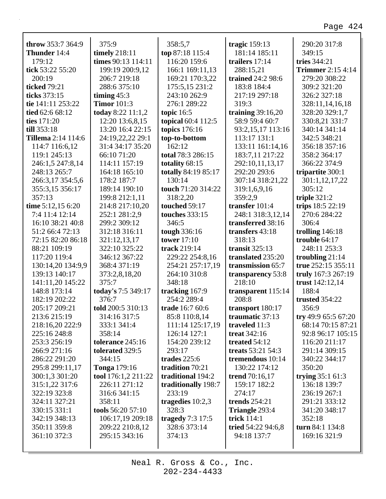| throw 353:7 364:9                  | 375:9                       | 358:5,7                          | tragic 159:13               | 290:20 317:8                            |
|------------------------------------|-----------------------------|----------------------------------|-----------------------------|-----------------------------------------|
| <b>Thunder</b> 14:4                | timely 218:11               | top 87:18 115:4                  | 181:14 185:11               | 349:15                                  |
| 179:12                             | times 90:13 114:11          | 116:20 159:6                     | trailers $17:14$            | tries 344:21                            |
| tick 53:22 55:20                   | 199:19 200:9,12             | 166:1 169:11,13                  | 288:15,21                   | <b>Trimmer</b> 2:15 4:14                |
| 200:19                             | 206:7 219:18                | 169:21 170:3,22                  | trained 24:2 98:6           | 279:20 308:22                           |
| ticked 79:21                       | 288:6 375:10                | 175:5,15 231:2                   | 183:8 184:4                 | 309:2 321:20                            |
| ticks 373:15                       | timing $45:3$               | 243:10 262:9                     | 217:19 297:18               | 326:2 327:18                            |
| tie 141:11 253:22                  | <b>Timor</b> 101:3          | 276:1 289:22                     | 319:3                       | 328:11,14,16,18                         |
| tied 62:6 68:12                    | today 8:22 11:1,2           | topic $16:5$                     | training $39:16,20$         | 328:20 329:1,7                          |
| ties 171:20                        | 12:20 13:6,8,15             | topical 60:4 112:5               | 58:9 59:4 60:7              | 330:8,21 331:7                          |
| till 353:18                        | 13:20 16:4 22:15            | topics 176:16                    | 93:2,15,17 113:16           | 340:14 341:14                           |
| <b>Tillema</b> 2:14 114:6          | 24:19,22,22 29:1            | top-to-bottom                    | 113:17 131:1                | 342:5 348:21                            |
| 114:7 116:6,12                     | 31:4 34:17 35:20            | 162:12                           | 133:11 161:14,16            | 356:18 357:16                           |
| 119:1 245:13                       | 66:10 71:20                 | total 78:3 286:15                | 183:7,11 217:22             | 358:2 364:17                            |
| 246:1,5 247:8,14                   | 114:11 157:19               | totality 68:15                   | 292:10,11,13,17             | 366:22 374:9                            |
| 248:13 265:7                       | 164:18 165:10               | totally 84:19 85:17              | 292:20 293:6                |                                         |
| 266:3,17 354:5,6                   | 178:2 187:7                 | 130:14                           | 307:14 318:21,22            | tripartite 300:1<br>301:1,12,17,22      |
| 355:3,15 356:17                    | 189:14 190:10               | touch 71:20 314:22               | 319:1,6,9,16                | 305:12                                  |
| 357:13                             | 199:8 212:1,11              | 318:2,20                         | 359:2,9                     | triple $321:2$                          |
| time 5:12,15 6:20                  | 214:8 217:10,20             | touched 59:17                    | transfer 101:4              | trips 18:5 22:19                        |
| 7:4 11:4 12:14                     | 252:1 281:2,9               | <b>touches</b> 333:15            | 248:1 318:3,12,14           | 270:6 284:22                            |
| 16:10 38:21 40:8                   | 299:2 309:12                | 346:5                            | transferred 38:16           | 306:4                                   |
| 51:2 66:4 72:13                    | 312:18 316:11               |                                  | transfers 43:18             |                                         |
| 72:15 82:20 86:18                  |                             | tough 336:16<br>tower $17:10$    | 318:13                      | trolling $146:18$<br>trouble 64:17      |
|                                    | 321:12,13,17                | track 219:14                     | transit $325:13$            | 248:11 253:3                            |
| 88:21 109:19                       | 322:10 325:22               |                                  |                             |                                         |
| 117:20 119:4                       | 346:12 367:22               | 229:22 254:8,16                  | translated 235:20           | troubling $21:14$<br>true 252:15 355:11 |
| 130:14,20 134:9,9<br>139:13 140:17 | 368:4 371:19                | 254:21 257:17,19<br>264:10 310:8 | transmission 65:7           | truly 167:3 267:19                      |
|                                    | 373:2,8,18,20<br>375:7      | 348:18                           | transparency 53:8<br>218:10 | trust 142:12,14                         |
| 141:11,20 145:22                   |                             |                                  |                             |                                         |
| 148:8 173:14                       | today's 7:5 349:17<br>376:7 | tracking 167:9                   | transparent 115:14<br>208:8 | 188:4                                   |
| 182:19 202:22<br>205:17 209:21     |                             | 254:2 289:4                      |                             | <b>trusted</b> 354:22                   |
|                                    | told 200:5 310:13           | trade 16:7 60:6                  | transport 180:17            | 356:9                                   |
| 213:6 215:19                       | 314:16 317:5                | 85:8 110:8,14                    | traumatic $37:13$           | try 49:9 65:5 67:20                     |
| 218:16,20 222:9                    | 333:1 341:4                 | 111:14 125:17,19                 | traveled 11:3               | 68:14 70:15 87:21                       |
| 225:16 248:8                       | 358:14                      | 126:14 127:1                     | treat $342:16$              | 92:8 96:17 105:15                       |
| 253:3 256:19                       | tolerance 245:16            | 154:20 239:12                    | treated 54:12               | 116:20 211:17                           |
| 266:9 271:16                       | tolerated 329:5             | 293:17                           | treats 53:21 54:3           | 291:14 309:15                           |
| 286:22 291:20                      | 344:15                      | trades $225:6$                   | tremendous 10:14            | 340:22 344:17                           |
| 295:8 299:11,17                    | <b>Tonga</b> 179:16         | tradition 70:21                  | 130:22 174:12               | 350:20                                  |
| 300:1,3 301:20                     | tool 176:1,2 211:22         | traditional 194:2                | trend 70:16,17              | trying $35:161:3$                       |
| 315:1,22 317:6                     | 226:11 271:12               | traditionally 198:7              | 159:17 182:2                | 136:18 139:7                            |
| 322:19 323:8                       | 316:6 341:15                | 233:19                           | 274:17                      | 236:19 267:1                            |
| 324:11 327:21                      | 358:11                      | tragedies $10:2,3$               | trends $254:21$             | 291:21 333:12                           |
| 330:15 331:1                       | tools 56:20 57:10           | 328:3                            | Triangle 293:4              | 341:20 348:17                           |
| 342:19 348:13                      | 106:17,19 209:18            | tragedy $7:3$ 17:5               | trick 114:1                 | 352:18                                  |
| 350:11 359:8                       | 209:22 210:8,12             | 328:6 373:14                     | tried 54:22 94:6,8          | turn $84:1$ 134:8                       |
| 361:10 372:3                       | 295:15 343:16               | 374:13                           | 94:18 137:7                 | 169:16 321:9                            |
|                                    |                             |                                  |                             |                                         |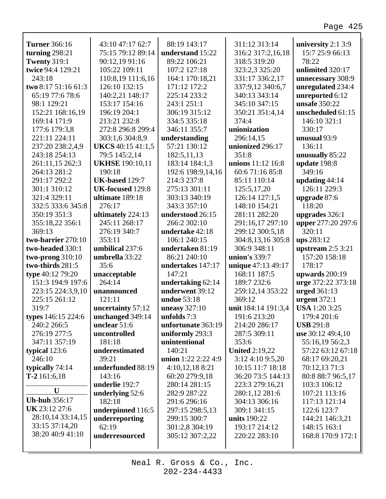٦

| <b>Turner</b> 366:16 | 43:10 47:17 62:7         | 88:19 143:17          | 311:12 313:14         | university $2:1$ 3:9 |
|----------------------|--------------------------|-----------------------|-----------------------|----------------------|
| turning $298:21$     | 75:15 79:12 89:14        | understand 15:22      | 316:2 317:2,16,18     | 15:7 25:9 66:13      |
| <b>Twenty 319:1</b>  | 90:12,19 91:16           | 89:22 106:21          | 318:5 319:20          | 78:22                |
| twice 94:4 129:21    | 105:22 109:11            | 107:2 127:18          | 323:2,3 325:20        | unlimited 320:17     |
| 243:18               | 110:8,19 111:6,16        | 164:1 170:18,21       | 331:17 336:2,17       | unnecessary 308:9    |
| two 8:17 51:16 61:3  | 126:10 132:15            | 171:12 172:2          | 337:9,12 340:6,7      | unregulated 234:4    |
| 65:19 77:6 78:6      | 140:2,21 148:17          | 225:14 233:2          | 340:13 343:14         | unreported 6:12      |
| 98:1 129:21          | 153:17 154:16            | 243:1 251:1           | 345:10 347:15         | unsafe 350:22        |
| 152:21 168:16,19     | 196:19 204:1             | 306:19 315:12         | 350:21 351:4,14       | unscheduled 61:15    |
| 169:14 171:9         | 213:21 232:8             | 334:5 335:18          | 374:4                 | 146:10 321:1         |
| 177:6 179:3,8        | 272:8 296:8 299:4        | 346:11 355:7          | unionization          | 330:17               |
| 221:11 224:11        | 303:1,6 304:8,9          | understanding         | 296:14,15             | unusual 93:9         |
| 237:20 238:2,4,9     | <b>UKCS</b> 40:15 41:1,5 | 57:21 130:12          | unionized 296:17      | 136:11               |
| 243:18 254:13        | 79:5 145:2,14            | 182:5,11,13           | 351:8                 | unusually 85:22      |
| 261:11,15 262:3      | <b>UKHSE</b> 190:10,11   | 183:14 184:1,3        | unions 11:12 16:8     | update 198:8         |
| 264:13 281:2         | 190:18                   | 192:6 198:9,14,16     | 60:671:1685:8         | 349:16               |
| 291:17 292:2         | <b>UK-based 129:7</b>    | 214:3 237:8           | 85:11 110:14          | updating 44:14       |
| 301:1 310:12         | UK-focused 129:8         | 275:13 301:11         | 125:5,17,20           | 126:11 229:3         |
| 321:4 329:11         | ultimate 189:18          | 303:13 340:19         | 126:14 127:1,5        | upgrade 87:6         |
| 332:5 333:6 345:8    | 276:17                   | 343:3 357:10          | 148:10 154:21         | 118:20               |
| 350:19 351:3         | ultimately 224:13        | understood 26:15      | 281:11 282:20         | upgrades 326:1       |
| 355:18,22 356:1      | 245:11 268:17            | 266:2 302:10          | 291:16,17 297:10      | upper 277:20 297:6   |
| 369:13               | 276:19 340:7             | undertake 42:18       | 299:12 300:5,18       | 320:11               |
| two-barrier 270:10   | 353:11                   | 106:1 240:15          | 304:8,13,16 305:8     | ups 283:12           |
| two-headed 330:1     | umbilical 237:6          | undertaken 81:19      | 306:9 348:11          | upstream $2:5$ 3:21  |
| two-prong $310:10$   | umbrella 33:22           | 86:21 240:10          | union's 339:7         | 157:20 158:18        |
| two-thirds 281:5     | 35:6                     | undertakes 147:17     | unique 47:13 49:17    | 178:17               |
| type 40:12 79:20     | unacceptable             | 147:21                | 168:11 187:5          | upwards 200:19       |
| 151:3 194:9 197:6    | 264:14                   | undertaking 62:14     | 189:7 232:6           | urge 372:22 373:18   |
| 223:15 224:3,9,10    | unannounced              | underwent 39:12       | 259:12,14 353:22      | <b>urged</b> 361:13  |
| 225:15 261:12        | 121:11                   | <b>undue</b> 53:18    | 369:12                | urgent $372:1$       |
| 319:7                | uncertainty 57:12        | uneasy $327:10$       | unit 184:14 191:3,4   | <b>USA</b> 1:20 3:25 |
| types 146:15 224:6   | unchanged 349:14         | unfolds $7:3$         | 191:6 213:20          | 179:4 201:6          |
| 240:2 266:5          | unclear $51:6$           | unfortunate 363:19    | 214:20 286:17         | <b>USB</b> 291:8     |
| 276:19 277:5         | uncontrolled             | uniformly 293:3       | 287:5 309:11          | use 30:12 49:4,10    |
| 347:11 357:19        | 181:18                   | unintentional         | 353:6                 | 55:16,19 56:2,3      |
| typical 123:6        | underestimated           | 140:21                | <b>United 2:19,22</b> | 57:22 63:12 67:18    |
| 246:10               | 39:21                    | union $1:22$ 2:22 4:9 | 3:12 4:10 9:5,20      | 68:17 69:20,21       |
| typically 74:14      | underfunded 88:19        | 4:10,12,18 8:21       | 10:15 11:7 18:18      | 70:12,13 71:3        |
| T-2 161:6,18         | 143:16                   | 60:20 279:9,18        | 36:20 73:5 144:13     | 80:8 88:7 96:5,17    |
|                      | underlie 192:7           | 280:14 281:15         | 223:3 279:16,21       | 103:3 106:12         |
| U                    | underlying 52:6          | 282:9 287:22          | 280:1,12 281:6        | 107:21 113:16        |
| <b>Uh-huh</b> 356:17 | 182:18                   | 291:6 296:16          | 304:13 306:16         | 117:13 121:14        |
| UK 23:12 27:6        | underpinned 116:5        | 297:15 298:5,13       | 309:1 341:15          | 122:6 123:7          |
| 28:10,14 33:14,15    | underreporting           | 299:15 300:7          | units 190:22          | 144:21 146:3,21      |
| 33:15 37:14,20       | 62:19                    | 301:2,8 304:19        | 193:17 214:12         | 148:15 163:1         |
| 38:20 40:9 41:10     | underresourced           | 305:12 307:2,22       | 220:22 283:10         | 168:8 170:9 172:1    |
|                      |                          |                       |                       |                      |
|                      |                          |                       |                       |                      |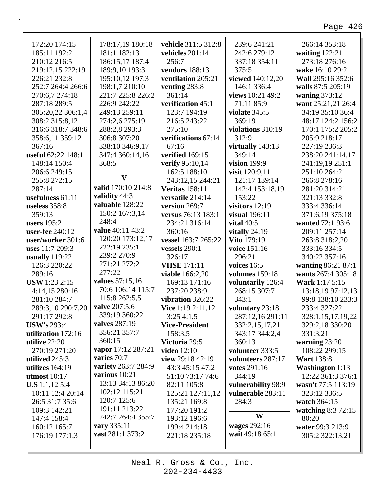| 172:20 174:15          | 178:17,19 180:18    | vehicle 311:5 312:8    | 239:6 241:21          | 266:14 353:18          |
|------------------------|---------------------|------------------------|-----------------------|------------------------|
| 185:11 192:2           | 181:1 182:13        | vehicles 201:14        | 242:6 279:12          | waiting $122:21$       |
| 210:12 216:5           | 186:15,17 187:4     | 256:7                  | 337:18 354:11         | 273:18 276:16          |
| 219:12,15 222:19       | 189:9,10 193:3      | <b>vendors</b> 188:13  | 375:5                 | wake 16:10 29:2        |
| 226:21 232:8           | 195:10,12 197:3     | ventilation 205:21     | viewed 140:12,20      | Wall 295:16 352:6      |
| 252:7 264:4 266:6      | 198:1,7 210:10      | venting $283:8$        | 146:1 336:4           | walls 87:5 205:19      |
| 270:6,7 274:18         | 221:7 225:8 226:2   | 361:14                 | views 10:21 49:2      | waning 373:12          |
| 287:18 289:5           | 226:9 242:22        | verification 45:1      | 71:11 85:9            | want 25:21,21 26:4     |
| 305:20,22 306:1,4      | 249:13 259:11       | 123:7 194:19           | violate 345:5         | 34:19 35:10 36:4       |
| 308:2 315:8,12         | 274:2,6 275:19      | 216:5 243:22           | 369:19                | 48:17 124:2 156:2      |
| 316:6 318:7 348:6      | 288:2,8 293:3       | 275:10                 | violations 310:19     | 170:1 175:2 205:2      |
| 358:6,11 359:12        | 306:8 307:20        | verifications 67:14    | 312:9                 | 205:9 218:17           |
| 367:16                 | 338:10 346:9,17     | 67:16                  | virtually 143:13      | 227:19 236:3           |
| useful 62:22 148:1     | 347:4 360:14,16     | verified 169:15        | 349:14                | 238:20 241:14,17       |
| 148:14 150:4           | 368:5               |                        | vision 199:9          | 241:19,19 251:1        |
|                        |                     | verify 95:10,14        |                       | 251:10 264:21          |
| 206:6 249:15           | $\mathbf{V}$        | 162:5 188:10           | visit 120:9,11        |                        |
| 255:8 272:15           | valid 170:10 214:8  | 243:12,15 244:21       | 121:17 139:14         | 266:8 278:16           |
| 287:14                 | validity 44:3       | <b>Veritas</b> 158:11  | 142:4 153:18,19       | 281:20 314:21          |
| usefulness $61:11$     | valuable 128:22     | versatile 214:14       | 153:22                | 321:13 332:8           |
| useless 358:8          | 150:2 167:3,14      | version 269:7          | visitors $12:19$      | 333:4 336:14           |
| 359:13                 | 248:4               | versus 76:13 183:1     | visual 196:11         | 371:6,19 375:18        |
| users $195:2$          | value 40:11 43:2    | 234:21 316:14          | vital $40:5$          | wanted 72:1 93:6       |
| <b>user-fee</b> 240:12 |                     | 360:16                 | vitally 24:19         | 209:11 257:14          |
| user/worker 301:6      | 120:20 173:12,17    | vessel 163:7 265:22    | <b>Vito</b> 179:19    | 263:8 318:2,20         |
| uses 11:7 209:3        | 222:19 235:1        | vessels $290:1$        | voice 151:16          | 333:16 334:5           |
| usually 119:22         | 239:2 270:9         | 326:17                 | 296:21                | 340:22 357:16          |
| 126:3 220:22           | 271:21 272:2        | <b>VHSE</b> 171:11     | voices $16:5$         | wanting 86:21 87:1     |
| 289:16                 | 277:22              | <b>viable</b> 166:2,20 | <b>volumes</b> 159:18 | wants 267:4 305:18     |
| <b>USW</b> 1:23 2:15   | values 57:15,16     | 169:13 171:16          | voluntarily 126:4     | Wark 1:17 5:15         |
| 4:14,15 280:16         | 70:6 106:14 115:7   | 237:20 238:9           | 268:15 307:7          | 13:18,19 97:12,13      |
| 281:10 284:7           | 115:8 262:5,5       | vibration 326:22       | 343:1                 | 99:8 138:10 233:3      |
| 289:3,10 290:7,20      | valve 207:5,6       | Vice 1:19 2:11,12      | voluntary 23:18       | 233:4 327:22           |
| 291:17 292:8           | 339:19 360:22       | 3:25 4:1,5             | 287:12,16 291:11      | 328:1,15,17,19,22      |
| <b>USW's 293:4</b>     | valves 287:19       | <b>Vice-President</b>  | 332:2,15,17,21        | 329:2,18 330:20        |
| utilization 172:16     | 356:21 357:7        | 158:3,5                | 343:17 344:2,4        | 331:3,21               |
| utilize 22:20          | 360:15              | Victoria 29:5          | 360:13                | warning $23:20$        |
| 270:19 271:20          | vapor 17:12 287:21  | <b>video</b> 12:10     | volunteer 333:5       | 108:22 299:15          |
| utilized 245:3         | varies 70:7         | view $29:18\,42:19$    | volunteers 287:17     | <b>Wart 138:8</b>      |
| utilizes $164:19$      | variety 263:7 284:9 | 43:3 45:15 47:2        | <b>votes</b> 291:16   | <b>Washington</b> 1:13 |
| utmost $10:17$         | various 10:21       | 51:10 73:17 74:6       | 344:19                | 12:22 361:3 376:1      |
| <b>U.S</b> 1:1,12 5:4  | 13:13 34:13 86:20   | 82:11 105:8            | vulnerability 98:9    | wasn't 77:5 113:19     |
| 10:11 12:4 20:14       | 102:12 115:21       | 125:21 127:11,12       | vulnerable 283:11     | 323:12 336:5           |
| 26:5 31:7 35:6         | 120:7 125:6         | 135:21 169:8           | 284:3                 | watch 364:15           |
| 109:3 142:21           | 191:11 213:22       | 177:20 191:2           |                       | watching 8:3 72:15     |
| 147:4 158:4            | 242:7 264:4 355:7   | 193:12 196:6           | W                     | 80:20                  |
| 160:12 165:7           | vary 335:11         | 199:4 214:18           | wages 292:16          | water 99:3 213:9       |
| 176:19 177:1,3         | vast 281:1 373:2    | 221:18 235:18          | wait 49:18 65:1       | 305:2 322:13,21        |
|                        |                     |                        |                       |                        |
|                        |                     |                        |                       |                        |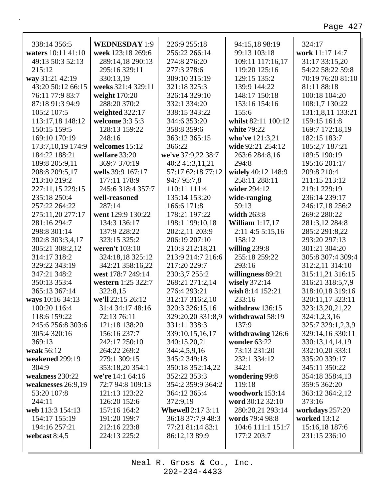|                                    | <b>WEDNESDAY 1:9</b> |                               |                                |                           |  |
|------------------------------------|----------------------|-------------------------------|--------------------------------|---------------------------|--|
| 338:14 356:5<br>waters 10:11 41:10 | week 123:18 269:6    | 226:9 255:18<br>256:22 266:14 | 94:15,18 98:19<br>99:13 103:18 | 324:17<br>work 11:17 14:7 |  |
| 49:13 50:3 52:13                   | 289:14,18 290:13     | 274:8 276:20                  | 109:11 117:16,17               | 31:17 33:15,20            |  |
| 215:12                             | 295:16 329:11        | 277:3 278:6                   | 119:20 125:16                  | 54:22 58:22 59:8          |  |
| way 31:21 42:19                    |                      |                               |                                | 70:19 76:20 81:10         |  |
|                                    | 330:13,19            | 309:10 315:19                 | 129:15 135:2                   |                           |  |
| 43:20 50:12 66:15                  | weeks 321:4 329:11   | 321:18 325:3                  | 139:9 144:22                   | 81:11 88:18               |  |
| 76:11 77:9 83:7                    | weight 170:20        | 326:14 329:10                 | 148:17 150:18                  | 100:18 104:20             |  |
| 87:18 91:3 94:9                    | 288:20 370:2         | 332:1 334:20                  | 153:16 154:16                  | 108:1,7 130:22            |  |
| 105:2 107:5                        | weighted 322:17      | 338:15 343:22                 | 155:6                          | 131:1,8,11 133:21         |  |
| 113:17,18 148:12                   | welcome 3:3 5:3      | 344:6 353:20                  | whilst 82:11 100:12            | 159:15 161:8              |  |
| 150:15 159:5                       | 128:13 159:22        | 358:8 359:6                   | white 79:22                    | 169:7 172:18,19           |  |
| 169:10 170:19                      | 248:16               | 363:12 365:15                 | who've 121:3,21                | 182:15 183:7              |  |
| 173:7,10,19 174:9                  | welcomes 15:12       | 366:22                        | wide 92:21 254:12              | 185:2,7 187:21            |  |
| 184:22 188:21                      | welfare 33:20        | we've 37:9,22 38:7            | 263:6 284:8,16                 | 189:5 190:19              |  |
| 189:8 205:9,11                     | 369:7 370:19         | 40:2 41:3,11,21               | 294:8                          | 195:16 201:17             |  |
| 208:8 209:5,17                     | wells 39:9 167:17    | 57:17 62:18 77:12             | widely 40:12 148:9             | 209:8 210:4               |  |
| 213:10 219:2                       | 177:11 178:9         | 94:7 95:7,8                   | 258:11 288:11                  | 211:15 213:12             |  |
| 227:11,15 229:15                   | 245:6 318:4 357:7    | 110:11 111:4                  | wider 294:12                   | 219:1 229:19              |  |
| 235:18 250:4                       | well-reasoned        | 135:14 153:20                 | wide-ranging                   | 236:14 239:17             |  |
| 257:22 264:22                      | 287:14               | 166:6 171:8                   | 59:13                          | 246:17,18 256:2           |  |
| 275:11,20 277:17                   | went 129:9 130:22    | 178:21 197:22                 | width 263:8                    | 269:2 280:22              |  |
| 281:16 294:7                       | 134:3 136:17         | 198:1 199:10,18               | William $1:17,17$              | 281:3,12 284:8            |  |
| 298:8 301:14                       | 137:9 228:22         | 202:2,11 203:9                | $2:11$ 4:5 5:15,16             | 285:2 291:8,22            |  |
| 302:8 303:3,4,17                   | 323:15 325:2         | 206:19 207:10                 | 158:12                         | 293:20 297:13             |  |
| 305:21 308:2,12                    | weren't 103:10       | 210:3 212:18,21               | willing $239:8$                | 301:21 304:20             |  |
| 314:17 318:2                       | 324:18,18 325:12     | 213:9 214:7 216:6             | 255:18 259:22                  | 305:8 307:4 309:4         |  |
| 329:22 343:19                      | 342:21 358:16,22     | 217:20 229:7                  | 293:16                         | 312:2,11 314:10           |  |
| 347:21 348:2                       | west 178:7 249:14    | 230:3,7 255:2                 | willingness 89:21              | 315:11,21 316:15          |  |
| 350:13 353:4                       | western 1:25 322:7   | 268:21 271:2,14               | wisely $372:14$                | 316:21 318:5,7,9          |  |
| 365:13 367:14                      | 322:8,15             | 276:4 293:21                  | wish 8:14 152:21               | 318:10,18 319:16          |  |
| ways 10:16 34:13                   | we'll 22:15 26:12    | 312:17 316:2,10               | 233:16                         | 320:11,17 323:11          |  |
| 100:20 116:4                       | 31:4 34:17 48:16     | 320:3 326:15,16               | withdraw $136:15$              | 323:13,20,21,22           |  |
| 118:6 159:22                       | 72:13 76:11          | 329:20,20 331:8,9             | withdrawal 58:19               | 324:1,2,3,16              |  |
| 245:6 256:8 303:6                  | 121:18 138:20        | 331:11 338:3                  | 137:9                          | 325:7 329:1,2,3,9         |  |
| 305:4 320:16                       | 156:16 237:7         | 339:10,15,16,17               | withdrawing 126:6              | 329:14,16 330:11          |  |
| 369:13                             | 242:17 250:10        | 340:15,20,21                  | wonder 63:22                   | 330:13,14,14,19           |  |
| weak 56:12                         | 264:22 269:2         | 344:4,5,9,16                  | 73:13 231:20                   | 332:10,20 333:1           |  |
| weakened 299:19                    | 279:1 309:15         | 345:2 349:18                  | 232:1 334:12                   | 335:20 339:17             |  |
| 304:9                              | 353:18,20 354:1      | 350:18 352:14,22              | 342:1                          | 345:11 350:22             |  |
| weakness 230:22                    | we're 14:1 64:16     | 352:22 353:3                  | wondering 99:8                 | 354:18 358:4,13           |  |
| weaknesses 26:9,19                 | 72:7 94:8 109:13     | 354:2 359:9 364:2             | 119:18                         | 359:5 362:20              |  |
| 53:20 107:8                        | 121:13 123:22        | 364:12 365:4                  | woodwork 153:14                | 363:12 364:2,12           |  |
| 244:11                             | 126:20 152:6         | 372:9,19                      | word 30:12 32:10               | 373:16                    |  |
| web 113:3 154:13                   | 157:16 164:2         | <b>Whewell 2:17 3:11</b>      | 280:20,21 293:14               | workdays 257:20           |  |
| 154:17 155:19                      | 191:20 199:7         | 36:18 37:7,9 48:3             | words 79:4 98:8                | <b>worked</b> 13:12       |  |
| 194:16 257:21                      | 212:16 223:8         | 77:21 81:14 83:1              | 104:6 111:1 151:7              | 15:16,18 187:6            |  |
| webcast $8:4,5$                    | 224:13 225:2         | 86:12,13 89:9                 | 177:2 203:7                    | 231:15 236:10             |  |
|                                    |                      |                               |                                |                           |  |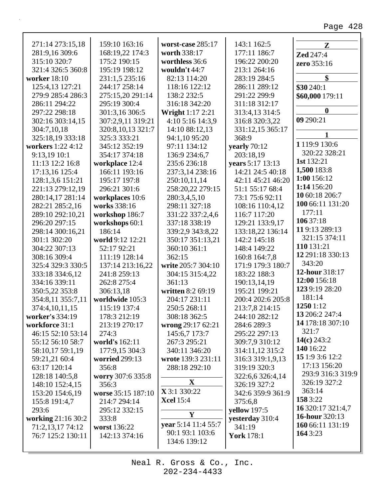| 271:14 273:15,18    | 159:10 163:16         | worst-case 285:17       | 143:1 162:5         | $\mathbf{Z}$                |
|---------------------|-----------------------|-------------------------|---------------------|-----------------------------|
| 281:9,16 309:6      | 168:19,22 174:3       | worth 338:17            | 177:11 186:7        | <b>Zed</b> 247:4            |
| 315:10 320:7        | 175:2 190:15          | worthless 36:6          | 196:22 200:20       | zero 353:16                 |
| 321:4 326:5 360:8   | 195:19 198:12         | wouldn't $44:7$         | 213:1 264:16        |                             |
| <b>worker</b> 18:10 | 231:1,5 235:16        | 82:13 114:20            | 283:19 284:5        | \$                          |
| 125:4,13 127:21     | 244:17 258:14         | 118:16 122:12           | 286:11 289:12       | \$30 240:1                  |
| 279:9 285:4 286:3   | 275:15,20 291:14      | 138:2 232:5             | 291:22 299:9        | \$60,000 179:11             |
| 286:11 294:22       | 295:19 300:4          | 316:18 342:20           | 311:18 312:17       |                             |
| 297:22 298:18       | 301:3,16 306:5        | <b>Wright</b> 1:17 2:21 | 313:4,13 314:5      | $\boldsymbol{0}$            |
| 302:16 303:14,15    | 307:2,9,11 319:21     | 4:10 5:16 14:3,9        | 316:8 320:3,22      | 09 290:21                   |
| 304:7,10,18         | 320:8,10,13 321:7     | 14:10 88:12,13          | 331:12,15 365:17    |                             |
| 325:18,19 333:18    | 325:3 333:21          | 94:1,10 95:20           | 368:9               | 1 1 1 9 : 9 1 3 0 : 6       |
| workers 1:22 4:12   | 345:12 352:19         | 97:11 134:12            | yearly $70:12$      |                             |
| 9:13,19 10:1        | 354:17 374:18         | 136:9 234:6,7           | 203:18,19           | 320:22 328:21<br>1st 132:21 |
| 11:13 12:2 16:8     | workplace 12:4        | 235:6 236:18            | years 5:17 13:13    |                             |
| 17:13,16 125:4      | 166:11 193:16         | 237:3,14 238:16         | 14:21 24:5 40:18    | 1,500 183:8                 |
| 128:1,3,6 151:21    | 195:17 197:8          | 250:10,11,14            | 42:11 45:21 46:20   | 1:00 156:12                 |
| 221:13 279:12,19    | 296:21 301:6          | 258:20,22 279:15        | 51:1 55:17 68:4     | 1:14 156:20                 |
| 280:14,17 281:14    | workplaces 10:6       | 280:3,4,5,10            | 73:1 75:6 92:11     | 10 60:18 206:7              |
| 282:21 285:2,16     | works 338:16          | 298:11 327:18           | 108:16 110:4,12     | 100 66:11 131:20            |
| 289:10 292:10,21    | workshop 186:7        | 331:22 337:2,4,6        | 116:7 117:20        | 177:11                      |
| 296:20 297:15       | workshops 60:1        | 337:18 338:19           | 129:21 133:9,17     | 106 37:18                   |
| 298:14 300:16,21    | 186:14                | 339:2,9 343:8,22        | 133:18,22 136:14    | 119:13 289:13               |
| 301:1 302:20        | world 9:12 12:21      | 350:17 351:13,21        | 142:2 145:18        | 321:15 374:11               |
| 304:22 307:13       | 52:17 92:21           | 360:10 361:1            | 148:4 149:22        | 110 131:21                  |
| 308:16 309:4        | 111:19 128:14         | 362:15                  | 160:8 164:7,8       | 12 291:18 330:13            |
| 325:4 329:3 330:5   | 137:14 213:16,22      | write 205:7 304:10      | 171:9 179:3 180:7   | 343:20                      |
| 333:18 334:6,12     | 241:8 259:13          | 304:15 315:4,22         | 183:22 188:3        | 12-hour 318:17              |
| 334:16 339:11       | 262:8 275:4           | 361:13                  | 190:13,14,19        | 12:00 156:18                |
| 350:5,22 353:8      | 306:13,18             | written 8:2 69:19       | 195:21 199:21       | 1239:19 28:20               |
| 354:8,11 355:7,11   | worldwide 105:3       | 204:17 231:11           | 200:4 202:6 205:8   | 181:14                      |
| 374:4,10,11,15      | 115:19 137:4          | 250:5 268:11            | 213:7,8 214:15      | 1250 1:12                   |
| worker's 334:19     | 178:3 212:19          | 308:18 362:5            | 244:10 282:12       | 13 206:2 247:4              |
| workforce 31:1      | 213:19 270:17         | wrong 29:17 62:21       | 284:6 289:3         | 14 178:18 307:10            |
| 46:15 52:10 53:14   | 274:3                 | 145:6,7 173:7           | 295:22 297:13       | 321:7                       |
| 55:12 56:10 58:7    | world's 162:11        | 267:3 295:21            | 309:7,9 310:12      | 14(c) $243:2$               |
| 58:10,17 59:1,19    | 177:9,15 304:3        | 340:11 346:20           | 314:11,12 315:2     | 140 16:22                   |
| 59:21,21 60:4       | <b>worried</b> 299:13 | wrote 139:3 231:11      | 316:3 319:1,9,13    | 15 1:9 3:6 12:2             |
| 63:17 120:14        | 356:8                 | 288:18 292:10           | 319:19 320:3        | 17:13 156:20                |
| 128:18 140:5,8      | worry 307:6 335:8     |                         | 322:6,6 326:4,14    | 293:9 316:3 319:9           |
| 148:10 152:4,15     | 356:3                 | $\mathbf{X}$            | 326:19 327:2        | 326:19 327:2                |
| 153:20 154:6,19     | worse 35:15 187:10    | X 3:1 330:22            | 342:6 359:9 361:9   | 363:14                      |
| 155:8 191:4,7       | 214:7 294:14          | <b>Xcel</b> 15:4        | 375:6,8             | 158 3:22                    |
| 293:6               | 295:12 332:15         |                         | <b>yellow</b> 197:5 | 16 320:17 321:4,7           |
| working 21:16 30:2  | 333:8                 | Y                       | yesterday 310:4     | <b>16-hour</b> 320:13       |
| 71:2,13,17 74:12    | worst 136:22          | year 5:14 11:4 55:7     | 341:19              | 160 66:11 131:19            |
| 76:7 125:2 130:11   | 142:13 374:16         | 90:1 93:1 103:6         | <b>York</b> 178:1   | 164 3:23                    |
|                     |                       | 134:6 139:12            |                     |                             |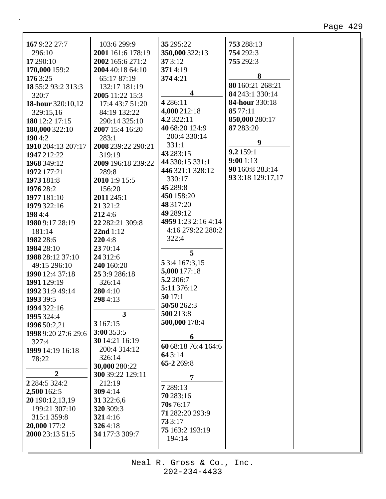| 1679:22 27:7          | 103:6 299:9             | 35 295:22               | 753 288:13            |  |
|-----------------------|-------------------------|-------------------------|-----------------------|--|
| 296:10                | 2001 161:6 178:19       | 350,000 322:13          | 754 292:3             |  |
| 17 290:10             | 2002 165:6 271:2        | 373:12                  | 755 292:3             |  |
|                       | 2004 40:18 64:10        | 3714:19                 |                       |  |
| 170,000 159:2         |                         |                         | 8                     |  |
| 176 3:25              | 65:17 87:19             | 3744:21                 | 80 160:21 268:21      |  |
| 18 55:2 93:2 313:3    | 132:17 181:19           | $\overline{\mathbf{4}}$ | 84 243:1 330:14       |  |
| 320:7                 | 2005 11:22 15:3         | 4286:11                 | <b>84-hour</b> 330:18 |  |
| 18-hour 320:10,12     | 17:4 43:7 51:20         | 4,000 212:18            | 85 77:11              |  |
| 329:15,16             | 84:19 132:22            | 4.2 322:11              | 850,000 280:17        |  |
| 180 12:2 17:15        | 290:14 325:10           |                         |                       |  |
| 180,000 322:10        | 2007 15:4 16:20         | 40 68:20 124:9          | 87 283:20             |  |
| 1904:2                | 283:1                   | 200:4 330:14            | 9                     |  |
| 1910 204:13 207:17    | 2008 239:22 290:21      | 331:1                   | 9.2 159:1             |  |
| 1947 212:22           | 319:19                  | 43 283:15               | 9:001:13              |  |
| 1968 349:12           | 2009 196:18 239:22      | 44 330:15 331:1         |                       |  |
| 1972 177:21           | 289:8                   | 446 321:1 328:12        | 90 160:8 283:14       |  |
| 1973 181:8            | 2010 1:9 15:5           | 330:17                  | 93 3:18 129:17,17     |  |
| 1976 28:2             | 156:20                  | 45 289:8                |                       |  |
| 1977 181:10           | 2011 245:1              | 450 158:20              |                       |  |
| 1979 322:16           | 21 321:2                | 48 317:20               |                       |  |
| 1984:4                | 2124:6                  | 49 289:12               |                       |  |
| 1980 9:17 28:19       | 22 282:21 309:8         | 4959 1:23 2:16 4:14     |                       |  |
| 181:14                | 22nd 1:12               | 4:16 279:22 280:2       |                       |  |
| 1982 28:6             | 2204:8                  | 322:4                   |                       |  |
| 1984 28:10            | 23 70:14                |                         |                       |  |
| 1988 28:12 37:10      | 24 3 1 2:6              | 5                       |                       |  |
| 49:15 296:10          | 240 160:20              | 5 3:4 167:3,15          |                       |  |
| 1990 12:4 37:18       | 25 3:9 286:18           | 5,000 177:18            |                       |  |
| 1991 129:19           | 326:14                  | 5.2 206:7               |                       |  |
| 1992 31:9 49:14       | 2804:10                 | 5:11 376:12             |                       |  |
| 1993 39:5             | 2984:13                 | 5017:1                  |                       |  |
| 1994 322:16           |                         | 50/50 262:3             |                       |  |
| 1995 324:4            | $\overline{\mathbf{3}}$ | 500 213:8               |                       |  |
| 1996 50:2,21          | 3 167:15                | 500,000 178:4           |                       |  |
| 1998 9:20 27:6 29:6   | 3:00353:5               |                         |                       |  |
| 327:4                 | 30 14:21 16:19          | 6                       |                       |  |
| 1999 14:19 16:18      | 200:4 314:12            | 60 68:18 76:4 164:6     |                       |  |
| 78:22                 | 326:14                  | 643:14                  |                       |  |
|                       | 30,000 280:22           | 65-2269:8               |                       |  |
| $\overline{2}$        | 300 39:22 129:11        | $\overline{7}$          |                       |  |
| 2 2 8 4 : 5 3 2 4 : 2 | 212:19                  |                         |                       |  |
| 2,500 162:5           | 3094:14                 | 7 2 8 9:13              |                       |  |
| 20 190:12,13,19       | 31 322:6,6              | 70 283:16               |                       |  |
| 199:21 307:10         | 320 309:3               | 70s 76:17               |                       |  |
| 315:1 359:8           | 3214:16                 | 71 282:20 293:9         |                       |  |
| 20,000 177:2          | 3264:18                 | 733:17                  |                       |  |
| 2000 23:13 51:5       | 34 177:3 309:7          | 75 163:2 193:19         |                       |  |
|                       |                         | 194:14                  |                       |  |
|                       |                         |                         |                       |  |